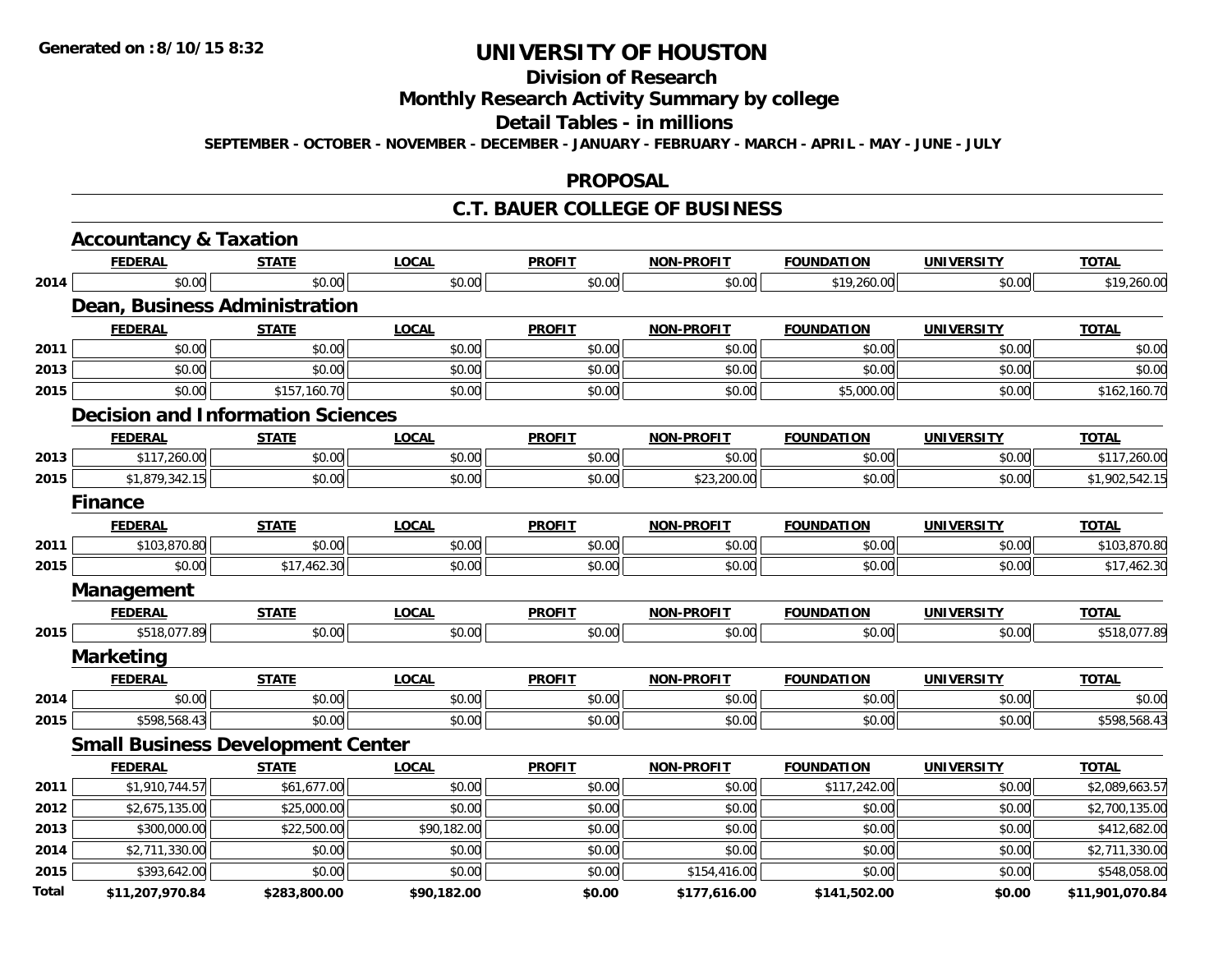## **Division of Research**

### **Monthly Research Activity Summary by college**

#### **Detail Tables - in millions**

**SEPTEMBER - OCTOBER - NOVEMBER - DECEMBER - JANUARY - FEBRUARY - MARCH - APRIL - MAY - JUNE - JULY**

#### **PROPOSAL**

### **C.T. BAUER COLLEGE OF BUSINESS**

|              | <b>Accountancy &amp; Taxation</b>        |              |              |               |                   |                   |                   |                 |
|--------------|------------------------------------------|--------------|--------------|---------------|-------------------|-------------------|-------------------|-----------------|
|              | <b>FEDERAL</b>                           | <b>STATE</b> | <b>LOCAL</b> | <b>PROFIT</b> | <b>NON-PROFIT</b> | <b>FOUNDATION</b> | <b>UNIVERSITY</b> | <b>TOTAL</b>    |
| 2014         | \$0.00                                   | \$0.00       | \$0.00       | \$0.00        | \$0.00            | \$19,260.00       | \$0.00            | \$19,260.00     |
|              | <b>Dean, Business Administration</b>     |              |              |               |                   |                   |                   |                 |
|              | <b>FEDERAL</b>                           | <b>STATE</b> | <b>LOCAL</b> | <b>PROFIT</b> | <b>NON-PROFIT</b> | <b>FOUNDATION</b> | <b>UNIVERSITY</b> | <b>TOTAL</b>    |
| 2011         | \$0.00                                   | \$0.00       | \$0.00       | \$0.00        | \$0.00            | \$0.00            | \$0.00            | \$0.00          |
| 2013         | \$0.00                                   | \$0.00       | \$0.00       | \$0.00        | \$0.00            | \$0.00            | \$0.00            | \$0.00          |
| 2015         | \$0.00                                   | \$157,160.70 | \$0.00       | \$0.00        | \$0.00            | \$5,000.00        | \$0.00            | \$162,160.70    |
|              | <b>Decision and Information Sciences</b> |              |              |               |                   |                   |                   |                 |
|              | <b>FEDERAL</b>                           | <b>STATE</b> | <b>LOCAL</b> | <b>PROFIT</b> | <b>NON-PROFIT</b> | <b>FOUNDATION</b> | <b>UNIVERSITY</b> | <b>TOTAL</b>    |
| 2013         | \$117,260.00                             | \$0.00       | \$0.00       | \$0.00        | \$0.00            | \$0.00            | \$0.00            | \$117,260.00    |
| 2015         | \$1,879,342.15                           | \$0.00       | \$0.00       | \$0.00        | \$23,200.00       | \$0.00            | \$0.00            | \$1,902,542.15  |
|              | <b>Finance</b>                           |              |              |               |                   |                   |                   |                 |
|              | <b>FEDERAL</b>                           | <b>STATE</b> | <b>LOCAL</b> | <b>PROFIT</b> | <b>NON-PROFIT</b> | <b>FOUNDATION</b> | <b>UNIVERSITY</b> | <b>TOTAL</b>    |
| 2011         | \$103,870.80                             | \$0.00       | \$0.00       | \$0.00        | \$0.00            | \$0.00            | \$0.00            | \$103,870.80    |
| 2015         | \$0.00                                   | \$17,462.30  | \$0.00       | \$0.00        | \$0.00            | \$0.00            | \$0.00            | \$17,462.30     |
|              | Management                               |              |              |               |                   |                   |                   |                 |
|              | <b>FEDERAL</b>                           | <b>STATE</b> | <b>LOCAL</b> | <b>PROFIT</b> | <b>NON-PROFIT</b> | <b>FOUNDATION</b> | <b>UNIVERSITY</b> | <b>TOTAL</b>    |
| 2015         | \$518,077.89                             | \$0.00       | \$0.00       | \$0.00        | \$0.00            | \$0.00            | \$0.00            | \$518,077.89    |
|              | <b>Marketing</b>                         |              |              |               |                   |                   |                   |                 |
|              | <b>FEDERAL</b>                           | <b>STATE</b> | <b>LOCAL</b> | <b>PROFIT</b> | <b>NON-PROFIT</b> | <b>FOUNDATION</b> | <b>UNIVERSITY</b> | <b>TOTAL</b>    |
| 2014         | \$0.00                                   | \$0.00       | \$0.00       | \$0.00        | \$0.00            | \$0.00            | \$0.00            | \$0.00          |
| 2015         | \$598,568.43                             | \$0.00       | \$0.00       | \$0.00        | \$0.00            | \$0.00            | \$0.00            | \$598,568.43    |
|              | <b>Small Business Development Center</b> |              |              |               |                   |                   |                   |                 |
|              | <b>FEDERAL</b>                           | <b>STATE</b> | <b>LOCAL</b> | <b>PROFIT</b> | <b>NON-PROFIT</b> | <b>FOUNDATION</b> | <b>UNIVERSITY</b> | <b>TOTAL</b>    |
| 2011         | \$1,910,744.57                           | \$61,677.00  | \$0.00       | \$0.00        | \$0.00            | \$117,242.00      | \$0.00            | \$2,089,663.57  |
| 2012         | \$2,675,135.00                           | \$25,000.00  | \$0.00       | \$0.00        | \$0.00            | \$0.00            | \$0.00            | \$2,700,135.00  |
| 2013         | \$300,000.00                             | \$22,500.00  | \$90,182.00  | \$0.00        | \$0.00            | \$0.00            | \$0.00            | \$412,682.00    |
| 2014         | \$2,711,330.00                           | \$0.00       | \$0.00       | \$0.00        | \$0.00            | \$0.00            | \$0.00            | \$2,711,330.00  |
| 2015         | \$393,642.00                             | \$0.00       | \$0.00       | \$0.00        | \$154,416.00      | \$0.00            | \$0.00            | \$548,058.00    |
| <b>Total</b> | \$11,207,970.84                          | \$283,800.00 | \$90,182.00  | \$0.00        | \$177,616.00      | \$141,502.00      | \$0.00            | \$11,901,070.84 |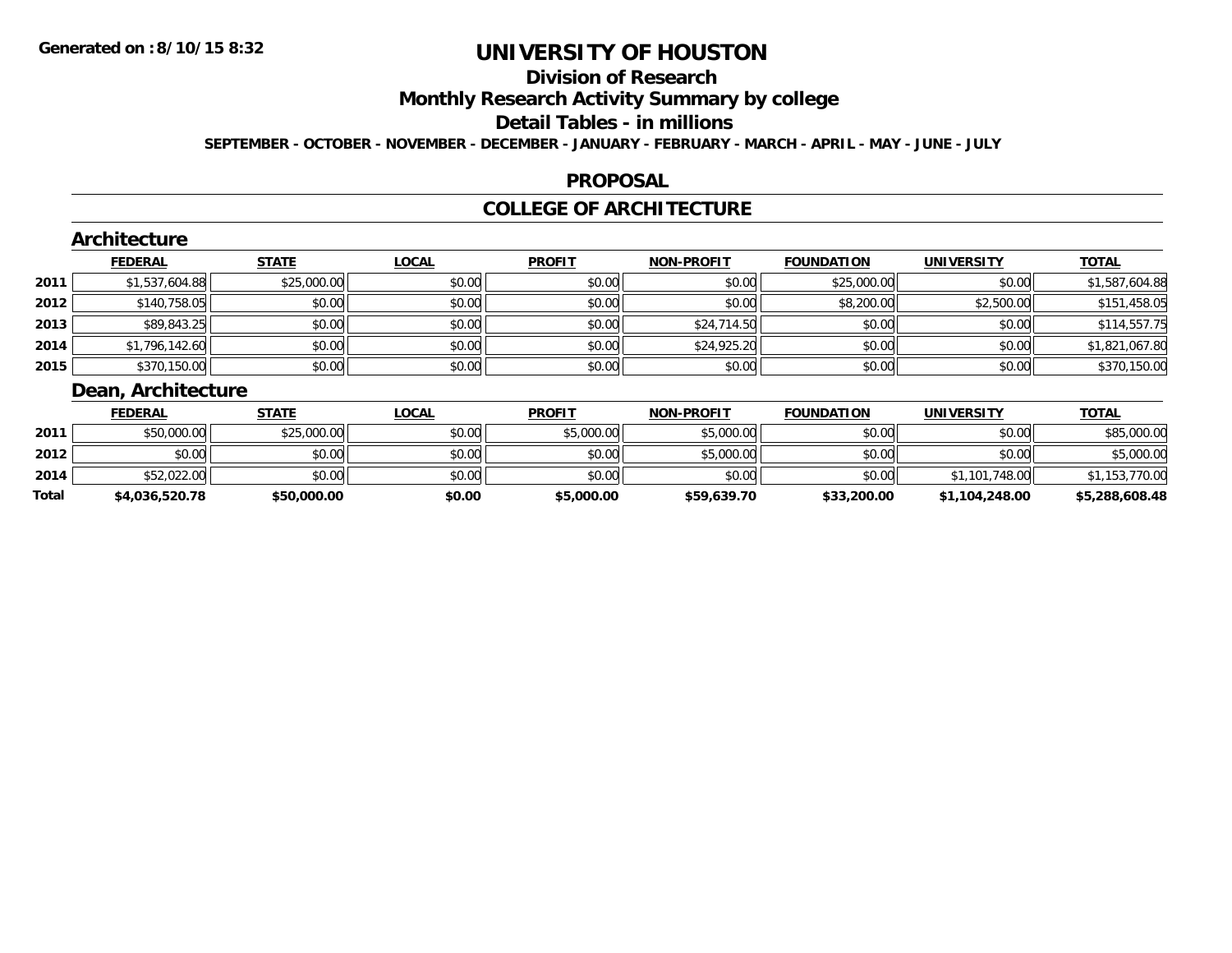## **Division of Research**

**Monthly Research Activity Summary by college**

**Detail Tables - in millions**

**SEPTEMBER - OCTOBER - NOVEMBER - DECEMBER - JANUARY - FEBRUARY - MARCH - APRIL - MAY - JUNE - JULY**

### **PROPOSAL**

### **COLLEGE OF ARCHITECTURE**

|      | Architecture          |              |              |               |                   |                   |                   |                |
|------|-----------------------|--------------|--------------|---------------|-------------------|-------------------|-------------------|----------------|
|      | <b>FEDERAL</b>        | <b>STATE</b> | <b>LOCAL</b> | <b>PROFIT</b> | <b>NON-PROFIT</b> | <b>FOUNDATION</b> | <b>UNIVERSITY</b> | <b>TOTAL</b>   |
| 2011 | \$1,537,604.88        | \$25,000.00  | \$0.00       | \$0.00        | \$0.00            | \$25,000.00       | \$0.00            | \$1,587,604.88 |
| 2012 | \$140,758.05          | \$0.00       | \$0.00       | \$0.00        | \$0.00            | \$8,200.00        | \$2,500.00        | \$151,458.05   |
| 2013 | \$89,843.25           | \$0.00       | \$0.00       | \$0.00        | \$24,714.50       | \$0.00            | \$0.00            | \$114,557.75   |
| 2014 | \$1,796,142.60        | \$0.00       | \$0.00       | \$0.00        | \$24,925.20       | \$0.00            | \$0.00            | \$1,821,067.80 |
| 2015 | \$370,150.00          | \$0.00       | \$0.00       | \$0.00        | \$0.00            | \$0.00            | \$0.00            | \$370,150.00   |
|      | Desir Angletts attend |              |              |               |                   |                   |                   |                |

#### **Dean, Architecture**

|       | <b>FEDERAL</b> | <b>STATE</b> | <u>LOCAL</u> | <b>PROFIT</b> | <b>NON-PROFIT</b> | <b>FOUNDATION</b> | UNIVERSITY     | <b>TOTAL</b>   |
|-------|----------------|--------------|--------------|---------------|-------------------|-------------------|----------------|----------------|
| 2011  | \$50,000.00    | \$25,000.00  | \$0.00       | \$5,000.00    | \$5,000.00        | \$0.00            | \$0.00         | \$85,000.00    |
| 2012  | \$0.00         | \$0.00       | \$0.00       | \$0.00        | \$5,000.00        | \$0.00            | \$0.00         | \$5,000.00     |
| 2014  | \$52,022.00    | \$0.00       | \$0.00       | \$0.00        | \$0.00            | \$0.00            | \$1,101,748.00 | \$1,153,770.00 |
| Total | \$4,036,520.78 | \$50,000.00  | \$0.00       | \$5,000.00    | \$59,639.70       | \$33,200.00       | \$1,104,248.00 | \$5,288,608.48 |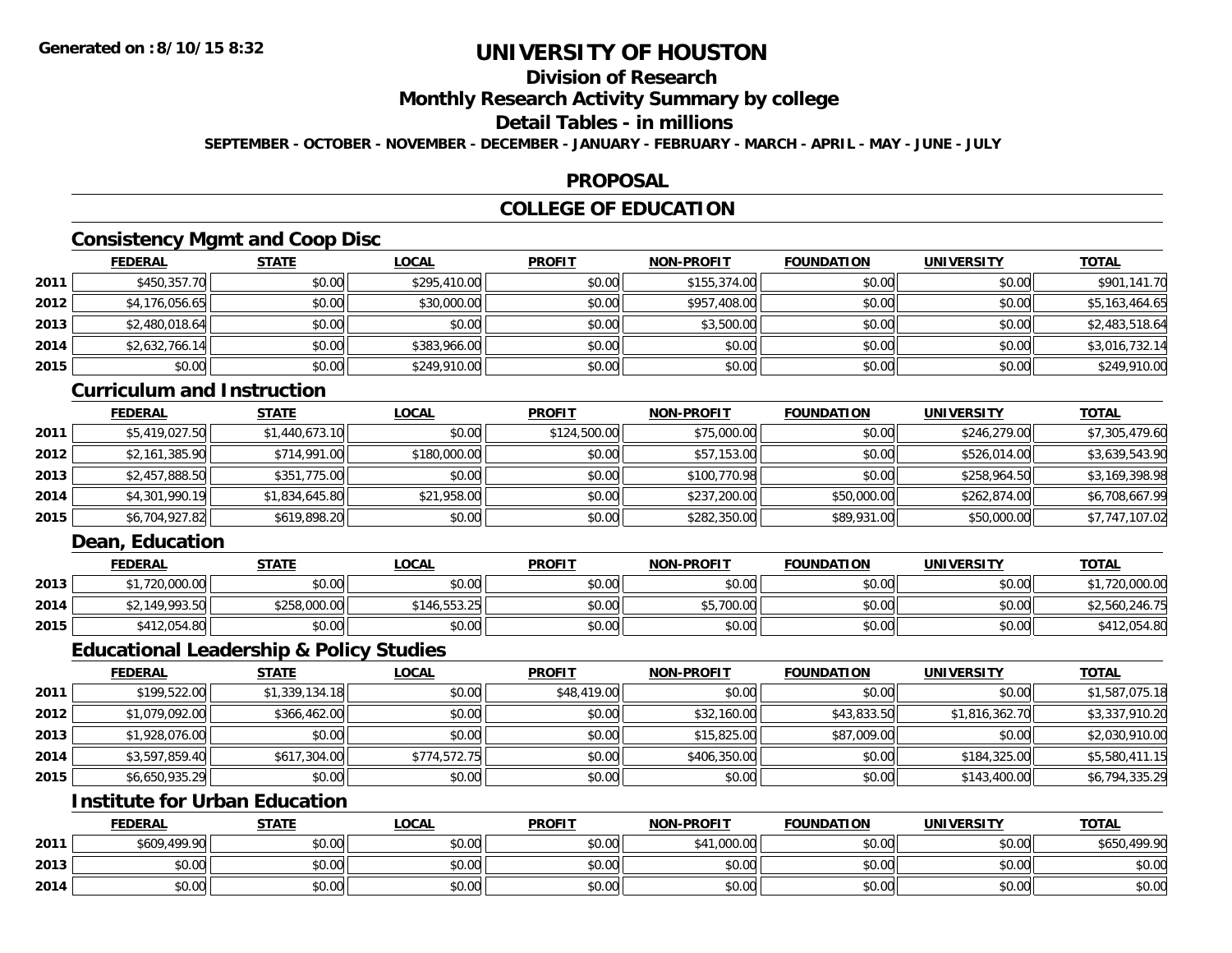## **Division of Research**

**Monthly Research Activity Summary by college**

#### **Detail Tables - in millions**

**SEPTEMBER - OCTOBER - NOVEMBER - DECEMBER - JANUARY - FEBRUARY - MARCH - APRIL - MAY - JUNE - JULY**

### **PROPOSAL**

## **COLLEGE OF EDUCATION**

## **Consistency Mgmt and Coop Disc**

|      | <b>FEDERAL</b> | <b>STATE</b> | <u>LOCAL</u> | <b>PROFIT</b> | <b>NON-PROFIT</b> | <b>FOUNDATION</b> | <b>UNIVERSITY</b> | <b>TOTAL</b>   |
|------|----------------|--------------|--------------|---------------|-------------------|-------------------|-------------------|----------------|
| 2011 | \$450,357.70   | \$0.00       | \$295,410.00 | \$0.00        | \$155,374.00      | \$0.00            | \$0.00            | \$901,141.70   |
| 2012 | \$4,176,056.65 | \$0.00       | \$30,000.00  | \$0.00        | \$957,408.00      | \$0.00            | \$0.00            | \$5,163,464.65 |
| 2013 | \$2,480,018.64 | \$0.00       | \$0.00       | \$0.00        | \$3,500.00        | \$0.00            | \$0.00            | \$2,483,518.64 |
| 2014 | \$2,632,766.14 | \$0.00       | \$383,966.00 | \$0.00        | \$0.00            | \$0.00            | \$0.00            | \$3,016,732.14 |
| 2015 | \$0.00         | \$0.00       | \$249,910.00 | \$0.00        | \$0.00            | \$0.00            | \$0.00            | \$249,910.00   |

### **Curriculum and Instruction**

|      | <b>FEDERAL</b> | <b>STATE</b>   | <u>LOCAL</u> | <b>PROFIT</b> | <b>NON-PROFIT</b> | <b>FOUNDATION</b> | <b>UNIVERSITY</b> | <b>TOTAL</b>   |
|------|----------------|----------------|--------------|---------------|-------------------|-------------------|-------------------|----------------|
| 2011 | \$5,419,027.50 | \$1,440,673.10 | \$0.00       | \$124,500.00  | \$75,000.00       | \$0.00            | \$246,279.00      | \$7,305,479.60 |
| 2012 | \$2,161,385.90 | \$714,991.00   | \$180,000.00 | \$0.00        | \$57,153.00       | \$0.00            | \$526,014.00      | \$3,639,543.90 |
| 2013 | \$2,457,888.50 | \$351,775.00   | \$0.00       | \$0.00        | \$100,770.98      | \$0.00            | \$258,964.50      | \$3,169,398.98 |
| 2014 | \$4,301,990.19 | \$1,834,645.80 | \$21,958.00  | \$0.00        | \$237,200.00      | \$50,000.00       | \$262,874.00      | \$6,708,667.99 |
| 2015 | \$6,704,927.82 | \$619,898.20   | \$0.00       | \$0.00        | \$282,350.00      | \$89,931.00       | \$50,000.00       | \$7,747,107.02 |

## **Dean, Education**

|      | FEDERAL        | <b>STATE</b> | <b>LOCAL</b> | <b>PROFIT</b> | <b>NON-PROFIT</b> | <b>FOUNDATION</b> | UNIVERSITY | <b>TOTAL</b>   |
|------|----------------|--------------|--------------|---------------|-------------------|-------------------|------------|----------------|
| 2013 | ,720,000.00    | \$0.00       | \$0.00       | \$0.00        | \$0.00            | \$0.00            | \$0.00     | ,720,000.00    |
| 2014 | \$2,149,993.50 | \$258,000.00 | \$146,553.25 | \$0.00        | \$5,700.00        | \$0.00            | \$0.00     | \$2,560,246.75 |
| 2015 | \$412,054.80   | \$0.00       | \$0.00       | \$0.00        | \$0.00            | \$0.00            | \$0.00     | \$412,054.80   |

#### **Educational Leadership & Policy Studies**

|      | <b>FEDERAL</b> | <b>STATE</b>   | <u>LOCAL</u> | <b>PROFIT</b> | <b>NON-PROFIT</b> | <b>FOUNDATION</b> | <b>UNIVERSITY</b> | <b>TOTAL</b>   |
|------|----------------|----------------|--------------|---------------|-------------------|-------------------|-------------------|----------------|
| 2011 | \$199,522.00   | \$1,339,134.18 | \$0.00       | \$48,419.00   | \$0.00            | \$0.00            | \$0.00            | \$1,587,075.18 |
| 2012 | \$1,079,092.00 | \$366,462.00   | \$0.00       | \$0.00        | \$32,160.00       | \$43,833.50       | \$1,816,362.70    | \$3,337,910.20 |
| 2013 | \$1,928,076.00 | \$0.00         | \$0.00       | \$0.00        | \$15,825.00       | \$87,009.00       | \$0.00            | \$2,030,910.00 |
| 2014 | \$3,597,859.40 | \$617,304.00   | \$774.572.75 | \$0.00        | \$406,350.00      | \$0.00            | \$184,325,00      | \$5,580,411.15 |
| 2015 | \$6,650,935.29 | \$0.00         | \$0.00       | \$0.00        | \$0.00            | \$0.00            | \$143,400.00      | \$6,794,335.29 |

## **Institute for Urban Education**

|      | <b>FEDERAL</b> | <b>STATE</b> | LOCAL  | <b>PROFIT</b> | <b>NON-PROFIT</b> | <b>FOUNDATION</b> | <b>UNIVERSITY</b> | <b>TOTAL</b> |
|------|----------------|--------------|--------|---------------|-------------------|-------------------|-------------------|--------------|
| 2011 | \$609,499.90   | \$0.00       | \$0.00 | \$0.00        | \$41,000.00       | \$0.00            | \$0.00            | \$650,499.90 |
| 2013 | \$0.00         | \$0.00       | \$0.00 | \$0.00        | \$0.00            | \$0.00            | \$0.00            | \$0.00       |
| 2014 | \$0.00         | \$0.00       | \$0.00 | \$0.00        | \$0.00            | \$0.00            | \$0.00            | \$0.00       |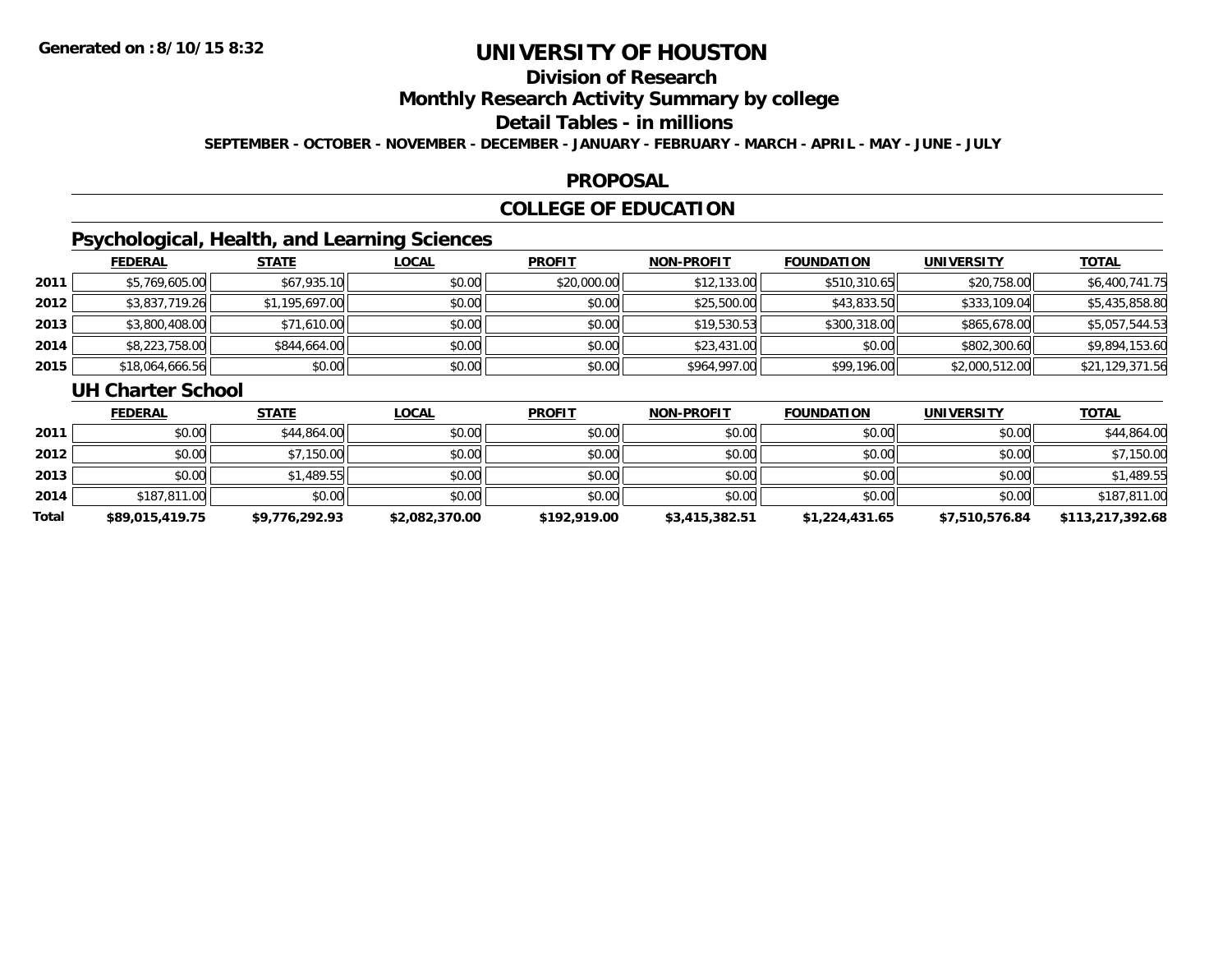## **Division of Research**

**Monthly Research Activity Summary by college**

#### **Detail Tables - in millions**

**SEPTEMBER - OCTOBER - NOVEMBER - DECEMBER - JANUARY - FEBRUARY - MARCH - APRIL - MAY - JUNE - JULY**

### **PROPOSAL**

## **COLLEGE OF EDUCATION**

## **Psychological, Health, and Learning Sciences**

|      | <b>FEDERAL</b>  | <b>STATE</b>   | <b>LOCAL</b> | <b>PROFIT</b> | <b>NON-PROFIT</b> | <b>FOUNDATION</b> | <b>UNIVERSITY</b> | <b>TOTAL</b>    |
|------|-----------------|----------------|--------------|---------------|-------------------|-------------------|-------------------|-----------------|
| 2011 | \$5,769,605.00  | \$67,935.10    | \$0.00       | \$20,000.00   | \$12,133.00       | \$510,310.65      | \$20,758.00       | \$6,400,741.75  |
| 2012 | \$3,837,719.26  | \$1,195,697.00 | \$0.00       | \$0.00        | \$25,500.00       | \$43,833.50       | \$333,109.04      | \$5,435,858.80  |
| 2013 | \$3,800,408.00  | \$71,610.00    | \$0.00       | \$0.00        | \$19,530.53       | \$300,318.00      | \$865,678,00      | \$5,057,544.53  |
| 2014 | \$8,223,758.00  | \$844,664.00   | \$0.00       | \$0.00        | \$23,431.00       | \$0.00            | \$802,300.60      | \$9,894,153.60  |
| 2015 | \$18,064,666.56 | \$0.00         | \$0.00       | \$0.00        | \$964,997.00      | \$99,196.00       | \$2,000,512.00    | \$21,129,371.56 |

#### **UH Charter School**

|       | <b>FEDERAL</b>  | <b>STATE</b>   | <b>LOCAL</b>   | <b>PROFIT</b> | <b>NON-PROFIT</b> | <b>FOUNDATION</b> | UNIVERSITY     | <u>TOTAL</u>     |
|-------|-----------------|----------------|----------------|---------------|-------------------|-------------------|----------------|------------------|
| 2011  | \$0.00          | \$44,864.00    | \$0.00         | \$0.00        | \$0.00            | \$0.00            | \$0.00         | \$44,864.00      |
| 2012  | \$0.00          | \$7,150.00     | \$0.00         | \$0.00        | \$0.00            | \$0.00            | \$0.00         | \$7,150.00       |
| 2013  | \$0.00          | \$1,489.55     | \$0.00         | \$0.00        | \$0.00            | \$0.00            | \$0.00         | \$1,489.55       |
| 2014  | \$187,811.00    | \$0.00         | \$0.00         | \$0.00        | \$0.00            | \$0.00            | \$0.00         | \$187,811.00     |
| Total | \$89,015,419.75 | \$9,776,292.93 | \$2,082,370.00 | \$192,919.00  | \$3,415,382.51    | \$1,224,431.65    | \$7,510,576.84 | \$113,217,392.68 |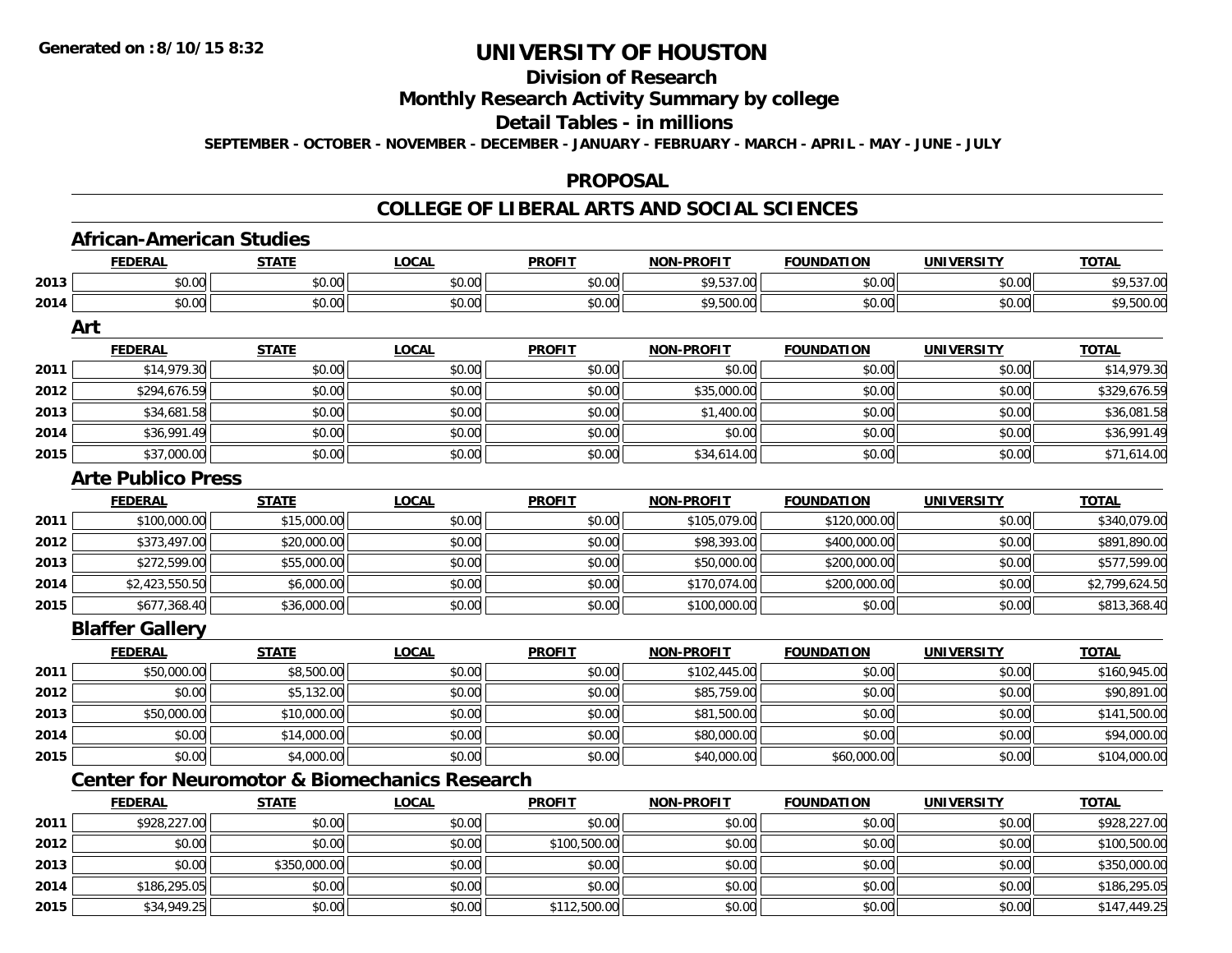**2014**

**2015**

# **UNIVERSITY OF HOUSTON**

## **Division of Research**

**Monthly Research Activity Summary by college**

## **Detail Tables - in millions**

**SEPTEMBER - OCTOBER - NOVEMBER - DECEMBER - JANUARY - FEBRUARY - MARCH - APRIL - MAY - JUNE - JULY**

#### **PROPOSAL**

### **COLLEGE OF LIBERAL ARTS AND SOCIAL SCIENCES**

|      | <b>African-American Studies</b>                          |              |              |               |                   |                   |                   |                |
|------|----------------------------------------------------------|--------------|--------------|---------------|-------------------|-------------------|-------------------|----------------|
|      | <b>FEDERAL</b>                                           | <b>STATE</b> | <b>LOCAL</b> | <b>PROFIT</b> | <b>NON-PROFIT</b> | <b>FOUNDATION</b> | <b>UNIVERSITY</b> | <b>TOTAL</b>   |
| 2013 | \$0.00                                                   | \$0.00       | \$0.00       | \$0.00        | \$9,537.00        | \$0.00            | \$0.00            | \$9,537.00     |
| 2014 | \$0.00                                                   | \$0.00       | \$0.00       | \$0.00        | \$9,500.00        | \$0.00            | \$0.00            | \$9,500.00     |
|      | Art                                                      |              |              |               |                   |                   |                   |                |
|      | <b>FEDERAL</b>                                           | <b>STATE</b> | <b>LOCAL</b> | <b>PROFIT</b> | <b>NON-PROFIT</b> | <b>FOUNDATION</b> | <b>UNIVERSITY</b> | <b>TOTAL</b>   |
| 2011 | \$14,979.30                                              | \$0.00       | \$0.00       | \$0.00        | \$0.00            | \$0.00            | \$0.00            | \$14,979.30    |
| 2012 | \$294,676.59                                             | \$0.00       | \$0.00       | \$0.00        | \$35,000.00       | \$0.00            | \$0.00            | \$329,676.59   |
| 2013 | \$34,681.58                                              | \$0.00       | \$0.00       | \$0.00        | \$1,400.00        | \$0.00            | \$0.00            | \$36,081.58    |
| 2014 | \$36,991.49                                              | \$0.00       | \$0.00       | \$0.00        | \$0.00            | \$0.00            | \$0.00            | \$36,991.49    |
| 2015 | \$37,000.00                                              | \$0.00       | \$0.00       | \$0.00        | \$34,614.00       | \$0.00            | \$0.00            | \$71,614.00    |
|      | <b>Arte Publico Press</b>                                |              |              |               |                   |                   |                   |                |
|      | <b>FEDERAL</b>                                           | <b>STATE</b> | <b>LOCAL</b> | <b>PROFIT</b> | <b>NON-PROFIT</b> | <b>FOUNDATION</b> | <b>UNIVERSITY</b> | <b>TOTAL</b>   |
| 2011 | \$100,000.00                                             | \$15,000.00  | \$0.00       | \$0.00        | \$105,079.00      | \$120,000.00      | \$0.00            | \$340,079.00   |
| 2012 | \$373,497.00                                             | \$20,000.00  | \$0.00       | \$0.00        | \$98,393.00       | \$400,000.00      | \$0.00            | \$891,890.00   |
| 2013 | \$272,599.00                                             | \$55,000.00  | \$0.00       | \$0.00        | \$50,000.00       | \$200,000.00      | \$0.00            | \$577,599.00   |
| 2014 | \$2,423,550.50                                           | \$6,000.00   | \$0.00       | \$0.00        | \$170,074.00      | \$200,000.00      | \$0.00            | \$2,799,624.50 |
| 2015 | \$677,368.40                                             | \$36,000.00  | \$0.00       | \$0.00        | \$100,000.00      | \$0.00            | \$0.00            | \$813,368.40   |
|      | <b>Blaffer Gallery</b>                                   |              |              |               |                   |                   |                   |                |
|      | <b>FEDERAL</b>                                           | <b>STATE</b> | <b>LOCAL</b> | <b>PROFIT</b> | <b>NON-PROFIT</b> | <b>FOUNDATION</b> | <b>UNIVERSITY</b> | <b>TOTAL</b>   |
| 2011 | \$50,000.00                                              | \$8,500.00   | \$0.00       | \$0.00        | \$102,445.00      | \$0.00            | \$0.00            | \$160,945.00   |
| 2012 | \$0.00                                                   | \$5,132.00   | \$0.00       | \$0.00        | \$85,759.00       | \$0.00            | \$0.00            | \$90,891.00    |
| 2013 | \$50,000.00                                              | \$10,000.00  | \$0.00       | \$0.00        | \$81,500.00       | \$0.00            | \$0.00            | \$141,500.00   |
| 2014 | \$0.00                                                   | \$14,000.00  | \$0.00       | \$0.00        | \$80,000.00       | \$0.00            | \$0.00            | \$94,000.00    |
| 2015 | \$0.00                                                   | \$4,000.00   | \$0.00       | \$0.00        | \$40,000.00       | \$60,000.00       | \$0.00            | \$104,000.00   |
|      | <b>Center for Neuromotor &amp; Biomechanics Research</b> |              |              |               |                   |                   |                   |                |
|      | <b>FEDERAL</b>                                           | <b>STATE</b> | <b>LOCAL</b> | <b>PROFIT</b> | <b>NON-PROFIT</b> | <b>FOUNDATION</b> | <b>UNIVERSITY</b> | <b>TOTAL</b>   |
| 2011 | \$928,227.00                                             | \$0.00       | \$0.00       | \$0.00        | \$0.00            | \$0.00            | \$0.00            | \$928,227.00   |
| 2012 | \$0.00                                                   | \$0.00       | \$0.00       | \$100,500.00  | \$0.00            | \$0.00            | \$0.00            | \$100,500.00   |
| 2013 | \$0.00                                                   | \$350,000.00 | \$0.00       | \$0.00        | \$0.00            | \$0.00            | \$0.00            | \$350,000.00   |

4 \$186,295.05|| \$0.00|| \$0.00|| \$0.00|| \$0.00|| \$0.00|| \$186,295.05

\$34,949.25 \$0.00 \$0.00 \$112,500.00 \$0.00 \$0.00 \$0.00 \$147,449.25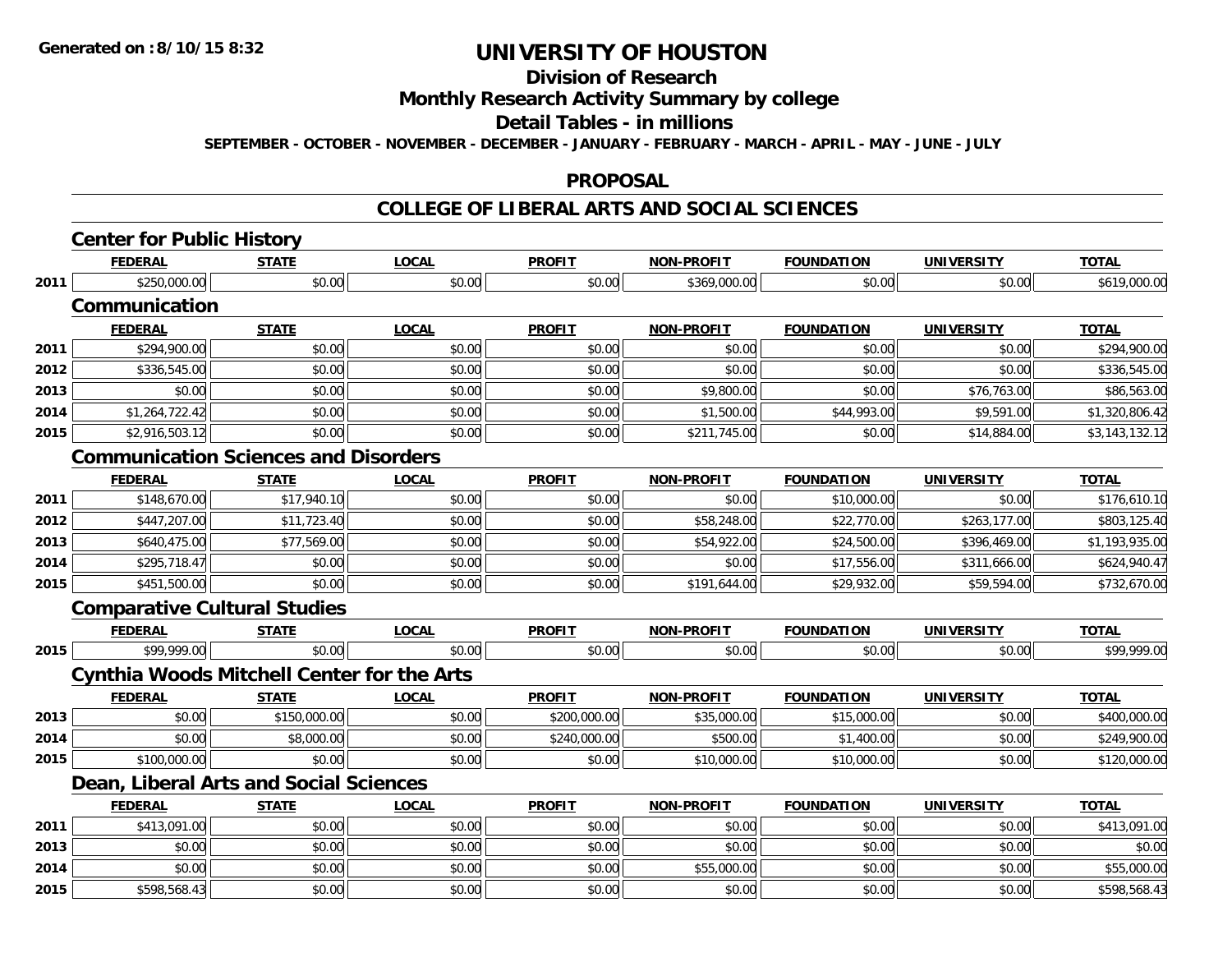## **Division of Research**

### **Monthly Research Activity Summary by college**

#### **Detail Tables - in millions**

**SEPTEMBER - OCTOBER - NOVEMBER - DECEMBER - JANUARY - FEBRUARY - MARCH - APRIL - MAY - JUNE - JULY**

#### **PROPOSAL**

### **COLLEGE OF LIBERAL ARTS AND SOCIAL SCIENCES**

|      | <b>FEDERAL</b>                      | <b>STATE</b>                                      | <b>LOCAL</b> | <b>PROFIT</b> | <b>NON-PROFIT</b> | <b>FOUNDATION</b> | <b>UNIVERSITY</b> | <b>TOTAL</b>   |
|------|-------------------------------------|---------------------------------------------------|--------------|---------------|-------------------|-------------------|-------------------|----------------|
| 2011 | \$250,000.00                        | \$0.00                                            | \$0.00       | \$0.00        | \$369,000.00      | \$0.00            | \$0.00            | \$619,000.00   |
|      | Communication                       |                                                   |              |               |                   |                   |                   |                |
|      | <b>FEDERAL</b>                      | <b>STATE</b>                                      | <b>LOCAL</b> | <b>PROFIT</b> | <b>NON-PROFIT</b> | <b>FOUNDATION</b> | <b>UNIVERSITY</b> | <b>TOTAL</b>   |
| 2011 | \$294,900.00                        | \$0.00                                            | \$0.00       | \$0.00        | \$0.00            | \$0.00            | \$0.00            | \$294,900.00   |
| 2012 | \$336,545.00                        | \$0.00                                            | \$0.00       | \$0.00        | \$0.00            | \$0.00            | \$0.00            | \$336,545.00   |
| 2013 | \$0.00                              | \$0.00                                            | \$0.00       | \$0.00        | \$9,800.00        | \$0.00            | \$76,763.00       | \$86,563.00    |
| 2014 | \$1,264,722.42                      | \$0.00                                            | \$0.00       | \$0.00        | \$1,500.00        | \$44,993.00       | \$9,591.00        | \$1,320,806.42 |
| 2015 | \$2,916,503.12                      | \$0.00                                            | \$0.00       | \$0.00        | \$211,745.00      | \$0.00            | \$14,884.00       | \$3,143,132.12 |
|      |                                     | <b>Communication Sciences and Disorders</b>       |              |               |                   |                   |                   |                |
|      | <b>FEDERAL</b>                      | <b>STATE</b>                                      | <b>LOCAL</b> | <b>PROFIT</b> | <b>NON-PROFIT</b> | <b>FOUNDATION</b> | <b>UNIVERSITY</b> | <b>TOTAL</b>   |
| 2011 | \$148,670.00                        | \$17,940.10                                       | \$0.00       | \$0.00        | \$0.00            | \$10,000.00       | \$0.00            | \$176,610.10   |
| 2012 | \$447,207.00                        | \$11,723.40                                       | \$0.00       | \$0.00        | \$58,248.00       | \$22,770.00       | \$263,177.00      | \$803,125.40   |
| 2013 | \$640,475.00                        | \$77,569.00                                       | \$0.00       | \$0.00        | \$54,922.00       | \$24,500.00       | \$396,469.00      | \$1,193,935.00 |
| 2014 | \$295,718.47                        | \$0.00                                            | \$0.00       | \$0.00        | \$0.00            | \$17,556.00       | \$311,666.00      | \$624,940.47   |
| 2015 | \$451,500.00                        | \$0.00                                            | \$0.00       | \$0.00        | \$191,644.00      | \$29,932.00       | \$59,594.00       | \$732,670.00   |
|      | <b>Comparative Cultural Studies</b> |                                                   |              |               |                   |                   |                   |                |
|      | <b>FEDERAL</b>                      | <b>STATE</b>                                      | <b>LOCAL</b> | <b>PROFIT</b> | <b>NON-PROFIT</b> | <b>FOUNDATION</b> | <b>UNIVERSITY</b> | <b>TOTAL</b>   |
| 2015 | \$99,999.00                         | \$0.00                                            | \$0.00       | \$0.00        | \$0.00            | \$0.00            | \$0.00            | \$99,999.00    |
|      |                                     | <b>Cynthia Woods Mitchell Center for the Arts</b> |              |               |                   |                   |                   |                |
|      | <b>FEDERAL</b>                      | STATE                                             | <b>LOCAL</b> | <b>PROFIT</b> | <b>NON-PROFIT</b> | <b>FOUNDATION</b> | <b>UNIVERSITY</b> | <b>TOTAL</b>   |
| 2013 | \$0.00                              | \$150,000.00                                      | \$0.00       | \$200,000.00  | \$35,000.00       | \$15,000.00       | \$0.00            | \$400,000.00   |
| 2014 | \$0.00                              | \$8,000.00                                        | \$0.00       | \$240,000.00  | \$500.00          | \$1,400.00        | \$0.00            | \$249,900.00   |
| 2015 | \$100,000.00                        | \$0.00                                            | \$0.00       | \$0.00        | \$10,000.00       | \$10,000.00       | \$0.00            | \$120,000.00   |
|      |                                     | Dean, Liberal Arts and Social Sciences            |              |               |                   |                   |                   |                |
|      | <b>FEDERAL</b>                      | <b>STATE</b>                                      | <b>LOCAL</b> | <b>PROFIT</b> | <b>NON-PROFIT</b> | <b>FOUNDATION</b> | <b>UNIVERSITY</b> | <b>TOTAL</b>   |
| 2011 | \$413,091.00                        | \$0.00                                            | \$0.00       | \$0.00        | \$0.00            | \$0.00            | \$0.00            | \$413,091.00   |
| 2013 | \$0.00                              | \$0.00                                            | \$0.00       | \$0.00        | \$0.00            | \$0.00            | \$0.00            | \$0.00         |
| 2014 | \$0.00                              | \$0.00                                            | \$0.00       | \$0.00        | \$55,000.00       | \$0.00            | \$0.00            | \$55,000.00    |
| 2015 | \$598,568.43                        | \$0.00                                            | \$0.00       | \$0.00        | \$0.00            | \$0.00            | \$0.00            | \$598,568.43   |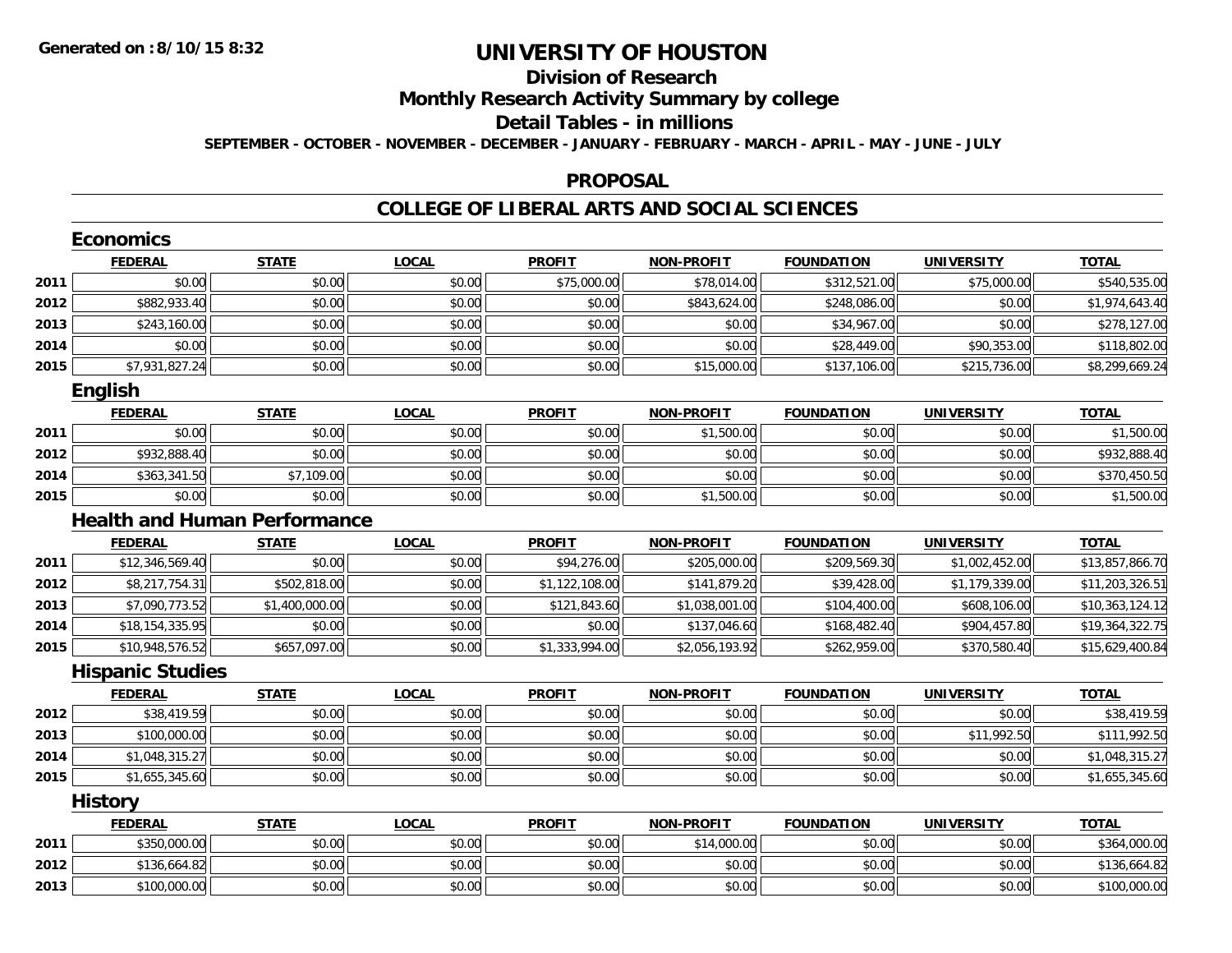## **Division of Research**

**Monthly Research Activity Summary by college**

#### **Detail Tables - in millions**

**SEPTEMBER - OCTOBER - NOVEMBER - DECEMBER - JANUARY - FEBRUARY - MARCH - APRIL - MAY - JUNE - JULY**

#### **PROPOSAL**

### **COLLEGE OF LIBERAL ARTS AND SOCIAL SCIENCES**

|      | <b>Economics</b>                    |                |              |                |                   |                   |                   |                 |
|------|-------------------------------------|----------------|--------------|----------------|-------------------|-------------------|-------------------|-----------------|
|      | <b>FEDERAL</b>                      | <b>STATE</b>   | <b>LOCAL</b> | <b>PROFIT</b>  | <b>NON-PROFIT</b> | <b>FOUNDATION</b> | <b>UNIVERSITY</b> | <b>TOTAL</b>    |
| 2011 | \$0.00                              | \$0.00         | \$0.00       | \$75,000.00    | \$78,014.00       | \$312,521.00      | \$75,000.00       | \$540,535.00    |
| 2012 | \$882,933.40                        | \$0.00         | \$0.00       | \$0.00         | \$843,624.00      | \$248,086.00      | \$0.00            | \$1,974,643.40  |
| 2013 | \$243,160.00                        | \$0.00         | \$0.00       | \$0.00         | \$0.00            | \$34,967.00       | \$0.00            | \$278,127.00    |
| 2014 | \$0.00                              | \$0.00         | \$0.00       | \$0.00         | \$0.00            | \$28,449.00       | \$90,353.00       | \$118,802.00    |
| 2015 | \$7,931,827.24                      | \$0.00         | \$0.00       | \$0.00         | \$15,000.00       | \$137,106.00      | \$215,736.00      | \$8,299,669.24  |
|      | <b>English</b>                      |                |              |                |                   |                   |                   |                 |
|      | <b>FEDERAL</b>                      | <b>STATE</b>   | <b>LOCAL</b> | <b>PROFIT</b>  | <b>NON-PROFIT</b> | <b>FOUNDATION</b> | <b>UNIVERSITY</b> | <b>TOTAL</b>    |
| 2011 | \$0.00                              | \$0.00         | \$0.00       | \$0.00         | \$1,500.00        | \$0.00            | \$0.00            | \$1,500.00      |
| 2012 | \$932,888.40                        | \$0.00         | \$0.00       | \$0.00         | \$0.00            | \$0.00            | \$0.00            | \$932,888.40    |
| 2014 | \$363,341.50                        | \$7,109.00     | \$0.00       | \$0.00         | \$0.00            | \$0.00            | \$0.00            | \$370,450.50    |
| 2015 | \$0.00                              | \$0.00         | \$0.00       | \$0.00         | \$1,500.00        | \$0.00            | \$0.00            | \$1,500.00      |
|      | <b>Health and Human Performance</b> |                |              |                |                   |                   |                   |                 |
|      | <b>FEDERAL</b>                      | <b>STATE</b>   | <b>LOCAL</b> | <b>PROFIT</b>  | <b>NON-PROFIT</b> | <b>FOUNDATION</b> | <b>UNIVERSITY</b> | <b>TOTAL</b>    |
| 2011 | \$12,346,569.40                     | \$0.00         | \$0.00       | \$94,276.00    | \$205,000.00      | \$209,569.30      | \$1,002,452.00    | \$13,857,866.70 |
| 2012 | \$8,217,754.31                      | \$502,818.00   | \$0.00       | \$1,122,108.00 | \$141,879.20      | \$39,428.00       | \$1,179,339.00    | \$11,203,326.51 |
| 2013 | \$7,090,773.52                      | \$1,400,000.00 | \$0.00       | \$121,843.60   | \$1,038,001.00    | \$104,400.00      | \$608,106.00      | \$10,363,124.12 |
| 2014 | \$18,154,335.95                     | \$0.00         | \$0.00       | \$0.00         | \$137,046.60      | \$168,482.40      | \$904,457.80      | \$19,364,322.75 |
| 2015 | \$10,948,576.52                     | \$657,097.00   | \$0.00       | \$1,333,994.00 | \$2,056,193.92    | \$262,959.00      | \$370,580.40      | \$15,629,400.84 |
|      | <b>Hispanic Studies</b>             |                |              |                |                   |                   |                   |                 |
|      | <b>FEDERAL</b>                      | <b>STATE</b>   | <b>LOCAL</b> | <b>PROFIT</b>  | <b>NON-PROFIT</b> | <b>FOUNDATION</b> | <b>UNIVERSITY</b> | <b>TOTAL</b>    |
| 2012 | \$38,419.59                         | \$0.00         | \$0.00       | \$0.00         | \$0.00            | \$0.00            | \$0.00            | \$38,419.59     |
| 2013 | \$100,000.00                        | \$0.00         | \$0.00       | \$0.00         | \$0.00            | \$0.00            | \$11,992.50       | \$111,992.50    |
| 2014 | \$1,048,315.27                      | \$0.00         | \$0.00       | \$0.00         | \$0.00            | \$0.00            | \$0.00            | \$1,048,315.27  |
| 2015 | \$1,655,345.60                      | \$0.00         | \$0.00       | \$0.00         | \$0.00            | \$0.00            | \$0.00            | \$1,655,345.60  |
|      | <b>History</b>                      |                |              |                |                   |                   |                   |                 |
|      | <b>FEDERAL</b>                      | <b>STATE</b>   | <b>LOCAL</b> | <b>PROFIT</b>  | <b>NON-PROFIT</b> | <b>FOUNDATION</b> | <b>UNIVERSITY</b> | <b>TOTAL</b>    |
| 2011 | \$350,000.00                        | \$0.00         | \$0.00       | \$0.00         | \$14,000.00       | \$0.00            | \$0.00            | \$364,000.00    |
| 2012 | \$136,664.82                        | \$0.00         | \$0.00       | \$0.00         | \$0.00            | \$0.00            | \$0.00            | \$136,664.82    |
| 2013 | \$100,000.00                        | \$0.00         | \$0.00       | \$0.00         | \$0.00            | \$0.00            | \$0.00            | \$100,000.00    |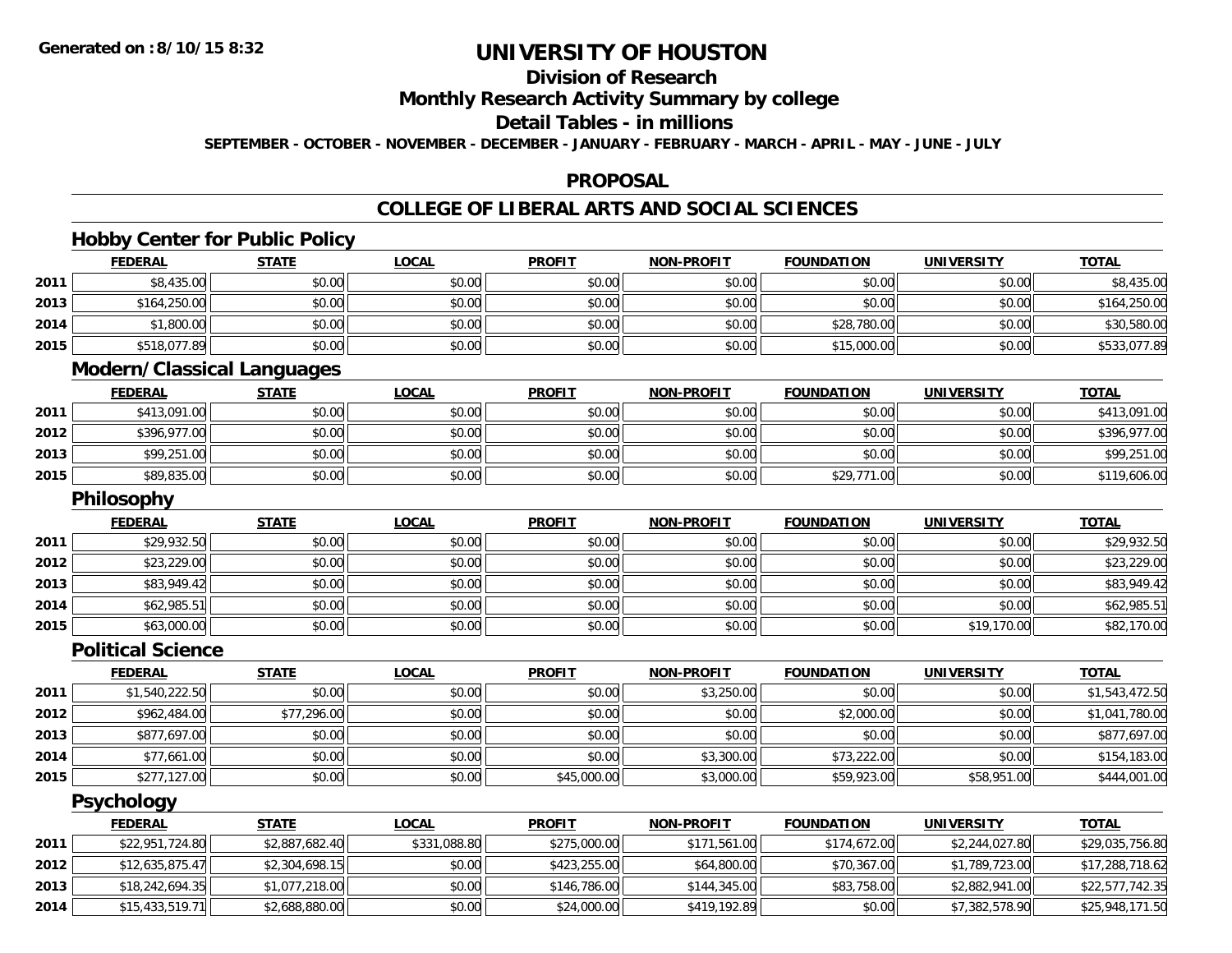## **Division of Research**

**Monthly Research Activity Summary by college**

## **Detail Tables - in millions**

**SEPTEMBER - OCTOBER - NOVEMBER - DECEMBER - JANUARY - FEBRUARY - MARCH - APRIL - MAY - JUNE - JULY**

### **PROPOSAL**

### **COLLEGE OF LIBERAL ARTS AND SOCIAL SCIENCES**

### **Hobby Center for Public Policy**

|      | <b>FEDERAL</b> | <b>STATE</b> | <u>LOCAL</u> | <b>PROFIT</b> | <b>NON-PROFIT</b> | <b>FOUNDATION</b> | <b>UNIVERSITY</b> | <b>TOTAL</b> |
|------|----------------|--------------|--------------|---------------|-------------------|-------------------|-------------------|--------------|
| 2011 | \$8,435.00     | \$0.00       | \$0.00       | \$0.00        | \$0.00            | \$0.00            | \$0.00            | \$8,435.00   |
| 2013 | \$164,250.00   | \$0.00       | \$0.00       | \$0.00        | \$0.00            | \$0.00            | \$0.00            | \$164,250.00 |
| 2014 | \$1,800.00     | \$0.00       | \$0.00       | \$0.00        | \$0.00            | \$28,780.00       | \$0.00            | \$30,580.00  |
| 2015 | \$518,077.89   | \$0.00       | \$0.00       | \$0.00        | \$0.00            | \$15,000.00       | \$0.00            | \$533,077.89 |

### **Modern/Classical Languages**

|      | <u>FEDERAL</u> | <b>STATE</b> | <u>LOCAL</u> | <b>PROFIT</b> | <b>NON-PROFIT</b> | <b>FOUNDATION</b> | <b>UNIVERSITY</b> | <b>TOTAL</b> |
|------|----------------|--------------|--------------|---------------|-------------------|-------------------|-------------------|--------------|
| 2011 | \$413,091.00   | \$0.00       | \$0.00       | \$0.00        | \$0.00            | \$0.00            | \$0.00            | \$413,091.00 |
| 2012 | \$396,977.00   | \$0.00       | \$0.00       | \$0.00        | \$0.00            | \$0.00            | \$0.00            | \$396,977.00 |
| 2013 | \$99,251.00    | \$0.00       | \$0.00       | \$0.00        | \$0.00            | \$0.00            | \$0.00            | \$99,251.00  |
| 2015 | \$89,835.00    | \$0.00       | \$0.00       | \$0.00        | \$0.00            | \$29,771.00       | \$0.00            | \$119,606.00 |

### **Philosophy**

|      | <b>FEDERAL</b> | <b>STATE</b> | <u>LOCAL</u> | <b>PROFIT</b> | <b>NON-PROFIT</b> | <b>FOUNDATION</b> | <b>UNIVERSITY</b> | <b>TOTAL</b> |
|------|----------------|--------------|--------------|---------------|-------------------|-------------------|-------------------|--------------|
| 2011 | \$29,932.50    | \$0.00       | \$0.00       | \$0.00        | \$0.00            | \$0.00            | \$0.00            | \$29,932.50  |
| 2012 | \$23,229.00    | \$0.00       | \$0.00       | \$0.00        | \$0.00            | \$0.00            | \$0.00            | \$23,229.00  |
| 2013 | \$83,949.42    | \$0.00       | \$0.00       | \$0.00        | \$0.00            | \$0.00            | \$0.00            | \$83,949.42  |
| 2014 | \$62,985.51    | \$0.00       | \$0.00       | \$0.00        | \$0.00            | \$0.00            | \$0.00            | \$62,985.51  |
| 2015 | \$63,000.00    | \$0.00       | \$0.00       | \$0.00        | \$0.00            | \$0.00            | \$19,170.00       | \$82,170.00  |

#### **Political Science**

|      | <b>FEDERAL</b> | <b>STATE</b> | <b>LOCAL</b> | <b>PROFIT</b> | <b>NON-PROFIT</b> | <b>FOUNDATION</b> | <b>UNIVERSITY</b> | <u>TOTAL</u>   |
|------|----------------|--------------|--------------|---------------|-------------------|-------------------|-------------------|----------------|
| 2011 | \$1,540,222.50 | \$0.00       | \$0.00       | \$0.00        | \$3,250.00        | \$0.00            | \$0.00            | \$1,543,472.50 |
| 2012 | \$962,484.00   | \$77,296.00  | \$0.00       | \$0.00        | \$0.00            | \$2,000.00        | \$0.00            | \$1,041,780.00 |
| 2013 | \$877,697.00   | \$0.00       | \$0.00       | \$0.00        | \$0.00            | \$0.00            | \$0.00            | \$877,697.00   |
| 2014 | \$77,661.00    | \$0.00       | \$0.00       | \$0.00        | \$3,300.00        | \$73,222.00       | \$0.00            | \$154,183.00   |
| 2015 | \$277,127.00   | \$0.00       | \$0.00       | \$45,000.00   | \$3,000.00        | \$59,923.00       | \$58,951.00       | \$444,001.00   |

### **Psychology**

|      | <b>FEDERAL</b>  | <u>STATE</u>   | <u>LOCAL</u> | <b>PROFIT</b> | <b>NON-PROFIT</b> | <b>FOUNDATION</b> | <b>UNIVERSITY</b> | <b>TOTAL</b>    |
|------|-----------------|----------------|--------------|---------------|-------------------|-------------------|-------------------|-----------------|
| 2011 | \$22,951,724.80 | \$2,887,682.40 | \$331,088.80 | \$275,000.00  | \$171,561.00      | \$174,672.00      | \$2,244,027.80    | \$29,035,756.80 |
| 2012 | \$12,635,875.47 | \$2,304,698.15 | \$0.00       | \$423,255,00  | \$64,800.00       | \$70,367.00       | \$1,789,723.00    | \$17,288,718.62 |
| 2013 | \$18,242,694.35 | \$1,077,218.00 | \$0.00       | \$146,786.00  | \$144,345.00      | \$83,758.00       | \$2,882,941.00    | \$22,577,742.35 |
| 2014 | \$15,433,519.71 | \$2,688,880.00 | \$0.00       | \$24,000.00   | \$419,192.89      | \$0.00            | \$7,382,578,90    | \$25,948,171.50 |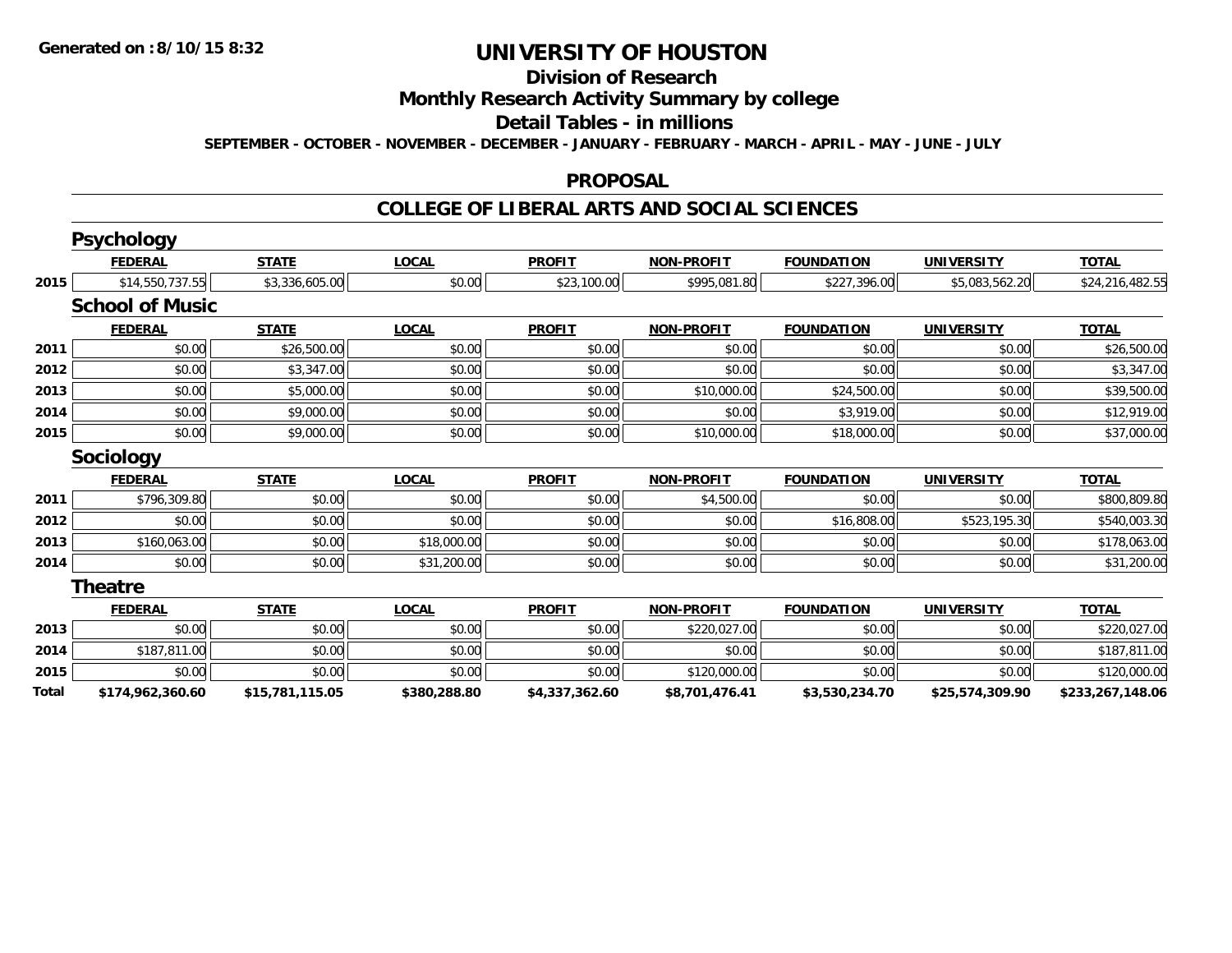## **Division of Research**

### **Monthly Research Activity Summary by college**

#### **Detail Tables - in millions**

**SEPTEMBER - OCTOBER - NOVEMBER - DECEMBER - JANUARY - FEBRUARY - MARCH - APRIL - MAY - JUNE - JULY**

#### **PROPOSAL**

#### **COLLEGE OF LIBERAL ARTS AND SOCIAL SCIENCES**

|       | <b>Psychology</b>      |                 |              |                |                   |                   |                   |                  |
|-------|------------------------|-----------------|--------------|----------------|-------------------|-------------------|-------------------|------------------|
|       | <b>FEDERAL</b>         | <b>STATE</b>    | <b>LOCAL</b> | <b>PROFIT</b>  | <b>NON-PROFIT</b> | <b>FOUNDATION</b> | <b>UNIVERSITY</b> | <b>TOTAL</b>     |
| 2015  | \$14,550,737.55        | \$3,336,605.00  | \$0.00       | \$23,100.00    | \$995,081.80      | \$227,396.00      | \$5,083,562.20    | \$24,216,482.55  |
|       | <b>School of Music</b> |                 |              |                |                   |                   |                   |                  |
|       | <b>FEDERAL</b>         | <b>STATE</b>    | <b>LOCAL</b> | <b>PROFIT</b>  | <b>NON-PROFIT</b> | <b>FOUNDATION</b> | <b>UNIVERSITY</b> | <b>TOTAL</b>     |
| 2011  | \$0.00                 | \$26,500.00     | \$0.00       | \$0.00         | \$0.00            | \$0.00            | \$0.00            | \$26,500.00      |
| 2012  | \$0.00                 | \$3,347.00      | \$0.00       | \$0.00         | \$0.00            | \$0.00            | \$0.00            | \$3,347.00       |
| 2013  | \$0.00                 | \$5,000.00      | \$0.00       | \$0.00         | \$10,000.00       | \$24,500.00       | \$0.00            | \$39,500.00      |
| 2014  | \$0.00                 | \$9,000.00      | \$0.00       | \$0.00         | \$0.00            | \$3,919.00        | \$0.00            | \$12,919.00      |
| 2015  | \$0.00                 | \$9,000.00      | \$0.00       | \$0.00         | \$10,000.00       | \$18,000.00       | \$0.00            | \$37,000.00      |
|       | <b>Sociology</b>       |                 |              |                |                   |                   |                   |                  |
|       | <b>FEDERAL</b>         | <b>STATE</b>    | <b>LOCAL</b> | <b>PROFIT</b>  | <b>NON-PROFIT</b> | <b>FOUNDATION</b> | <b>UNIVERSITY</b> | <b>TOTAL</b>     |
| 2011  | \$796,309.80           | \$0.00          | \$0.00       | \$0.00         | \$4,500.00        | \$0.00            | \$0.00            | \$800,809.80     |
| 2012  | \$0.00                 | \$0.00          | \$0.00       | \$0.00         | \$0.00            | \$16,808.00       | \$523,195.30      | \$540,003.30     |
| 2013  | \$160,063.00           | \$0.00          | \$18,000.00  | \$0.00         | \$0.00            | \$0.00            | \$0.00            | \$178,063.00     |
| 2014  | \$0.00                 | \$0.00          | \$31,200.00  | \$0.00         | \$0.00            | \$0.00            | \$0.00            | \$31,200.00      |
|       | <b>Theatre</b>         |                 |              |                |                   |                   |                   |                  |
|       | <b>FEDERAL</b>         | <b>STATE</b>    | <b>LOCAL</b> | <b>PROFIT</b>  | <b>NON-PROFIT</b> | <b>FOUNDATION</b> | <b>UNIVERSITY</b> | <b>TOTAL</b>     |
| 2013  | \$0.00                 | \$0.00          | \$0.00       | \$0.00         | \$220,027.00      | \$0.00            | \$0.00            | \$220,027.00     |
| 2014  | \$187,811.00           | \$0.00          | \$0.00       | \$0.00         | \$0.00            | \$0.00            | \$0.00            | \$187,811.00     |
| 2015  | \$0.00                 | \$0.00          | \$0.00       | \$0.00         | \$120,000.00      | \$0.00            | \$0.00            | \$120,000.00     |
| Total | \$174,962,360.60       | \$15,781,115.05 | \$380,288.80 | \$4,337,362.60 | \$8,701,476.41    | \$3,530,234.70    | \$25,574,309.90   | \$233,267,148.06 |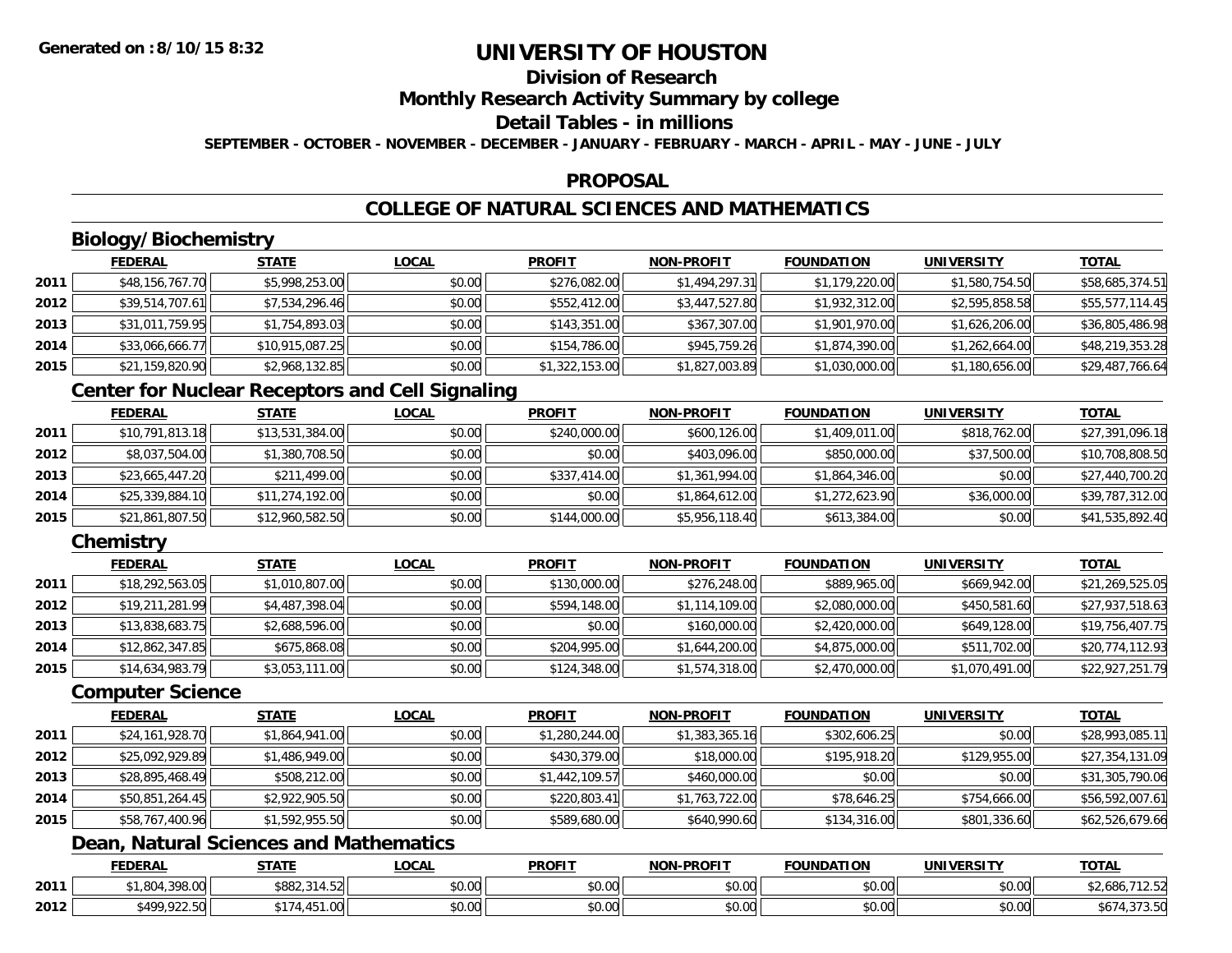## **Division of Research**

**Monthly Research Activity Summary by college**

#### **Detail Tables - in millions**

**SEPTEMBER - OCTOBER - NOVEMBER - DECEMBER - JANUARY - FEBRUARY - MARCH - APRIL - MAY - JUNE - JULY**

### **PROPOSAL**

## **COLLEGE OF NATURAL SCIENCES AND MATHEMATICS**

## **Biology/Biochemistry**

|      | <b>FEDERAL</b>  | <u>STATE</u>    | <u>LOCAL</u> | <b>PROFIT</b>  | <b>NON-PROFIT</b> | <b>FOUNDATION</b> | <b>UNIVERSITY</b> | <u>TOTAL</u>    |
|------|-----------------|-----------------|--------------|----------------|-------------------|-------------------|-------------------|-----------------|
| 2011 | \$48,156,767.70 | \$5,998,253.00  | \$0.00       | \$276,082.00   | \$1,494,297.31    | \$1,179,220.00    | \$1,580,754.50    | \$58,685,374.51 |
| 2012 | \$39,514,707.61 | \$7,534,296.46  | \$0.00       | \$552,412.00   | \$3,447,527.80    | \$1,932,312.00    | \$2,595,858.58    | \$55,577,114.45 |
| 2013 | \$31,011,759.95 | \$1,754,893.03  | \$0.00       | \$143,351.00   | \$367,307.00      | \$1,901,970.00    | \$1,626,206.00    | \$36,805,486.98 |
| 2014 | \$33,066,666.77 | \$10,915,087.25 | \$0.00       | \$154,786.00   | \$945,759.26      | \$1,874,390.00    | \$1,262,664.00    | \$48,219,353.28 |
| 2015 | \$21,159,820.90 | \$2,968,132.85  | \$0.00       | \$1,322,153.00 | \$1,827,003.89    | \$1,030,000.00    | \$1,180,656.00    | \$29,487,766.64 |

## **Center for Nuclear Receptors and Cell Signaling**

|      | <b>FEDERAL</b>  | <b>STATE</b>    | <b>LOCAL</b> | <b>PROFIT</b> | <b>NON-PROFIT</b> | <b>FOUNDATION</b> | <b>UNIVERSITY</b> | <b>TOTAL</b>    |
|------|-----------------|-----------------|--------------|---------------|-------------------|-------------------|-------------------|-----------------|
| 2011 | \$10,791,813.18 | \$13,531,384.00 | \$0.00       | \$240,000.00  | \$600,126.00      | \$1,409,011.00    | \$818,762.00      | \$27,391,096.18 |
| 2012 | \$8,037,504.00  | \$1,380,708.50  | \$0.00       | \$0.00        | \$403,096.00      | \$850,000.00      | \$37,500.00       | \$10,708,808.50 |
| 2013 | \$23,665,447.20 | \$211,499.00    | \$0.00       | \$337,414.00  | \$1,361,994.00    | \$1,864,346.00    | \$0.00            | \$27,440,700.20 |
| 2014 | \$25,339,884.10 | \$11,274,192.00 | \$0.00       | \$0.00        | \$1,864,612.00    | \$1,272,623.90    | \$36,000.00       | \$39,787,312.00 |
| 2015 | \$21,861,807.50 | \$12,960,582.50 | \$0.00       | \$144,000.00  | \$5,956,118.40    | \$613,384.00      | \$0.00            | \$41,535,892.40 |

## **Chemistry**

|      | <b>FEDERAL</b>  | <b>STATE</b>   | <b>LOCAL</b> | <b>PROFIT</b> | <b>NON-PROFIT</b> | <b>FOUNDATION</b> | <b>UNIVERSITY</b> | <b>TOTAL</b>    |
|------|-----------------|----------------|--------------|---------------|-------------------|-------------------|-------------------|-----------------|
| 2011 | \$18,292,563.05 | \$1,010,807.00 | \$0.00       | \$130,000.00  | \$276,248.00      | \$889,965.00      | \$669,942.00      | \$21,269,525.05 |
| 2012 | \$19,211,281.99 | \$4,487,398.04 | \$0.00       | \$594,148.00  | \$1,114,109.00    | \$2,080,000.00    | \$450,581.60      | \$27,937,518.63 |
| 2013 | \$13,838,683.75 | \$2,688,596.00 | \$0.00       | \$0.00        | \$160,000.00      | \$2,420,000.00    | \$649,128.00      | \$19,756,407.75 |
| 2014 | \$12,862,347.85 | \$675,868.08   | \$0.00       | \$204,995.00  | \$1,644,200.00    | \$4,875,000.00    | \$511,702.00      | \$20,774,112.93 |
| 2015 | \$14,634,983.79 | \$3,053,111.00 | \$0.00       | \$124,348.00  | \$1,574,318.00    | \$2,470,000.00    | \$1,070,491.00    | \$22,927,251.79 |

#### **Computer Science**

|      | <b>FEDERAL</b>  | <b>STATE</b>   | <b>LOCAL</b> | <b>PROFIT</b>  | <b>NON-PROFIT</b> | <b>FOUNDATION</b> | <b>UNIVERSITY</b> | <b>TOTAL</b>    |
|------|-----------------|----------------|--------------|----------------|-------------------|-------------------|-------------------|-----------------|
| 2011 | \$24,161,928.70 | \$1,864,941.00 | \$0.00       | \$1,280,244.00 | \$1,383,365.16    | \$302,606.25      | \$0.00            | \$28,993,085.11 |
| 2012 | \$25,092,929.89 | \$1,486,949.00 | \$0.00       | \$430,379.00   | \$18,000.00       | \$195,918.20      | \$129,955.00      | \$27,354,131.09 |
| 2013 | \$28,895,468.49 | \$508,212.00   | \$0.00       | \$1,442,109.57 | \$460,000.00      | \$0.00            | \$0.00            | \$31,305,790.06 |
| 2014 | \$50,851,264.45 | \$2,922,905.50 | \$0.00       | \$220,803.41   | \$1,763,722.00    | \$78,646.25       | \$754,666.00      | \$56,592,007.61 |
| 2015 | \$58,767,400.96 | \$1,592,955.50 | \$0.00       | \$589,680.00   | \$640,990.60      | \$134,316.00      | \$801,336.60      | \$62,526,679.66 |

## **Dean, Natural Sciences and Mathematics**

|      | <b>FEDERAL</b>                | <b>CTATE</b><br>3 I A I I | <b>_OCAL</b>       | <b>PROFIT</b>              | <b>M-PROFIT</b><br><b>BIABI</b> | <b>FOUNDATION</b>    | UNIVERSITY | TOTA.                                    |
|------|-------------------------------|---------------------------|--------------------|----------------------------|---------------------------------|----------------------|------------|------------------------------------------|
| 2011 | $\sim$ 000.00<br>70.UU        | \$882,3.<br>7.JZ          | $\sim$ 00<br>pu.uu | 0000<br>DU.UU              | 0000<br>vu.vu                   | 0000<br><b>DU.UU</b> | \$0.00     | $\sim$ $\sim$ $\sim$<br>\$2,686,.<br>ے ت |
| 2012 | <b>CAOO 022 50L</b><br>722.JU | ᠇.,                       | $\sim$ 00<br>pu.uu | $*$ $\cap$ $\cap$<br>DU.UU | $\sim$ 00<br>PO.OO              | 0000<br><b>JU.UU</b> | \$0.00     | $\sim$ $\sim$ $\sim$<br>ن <i>.</i>       |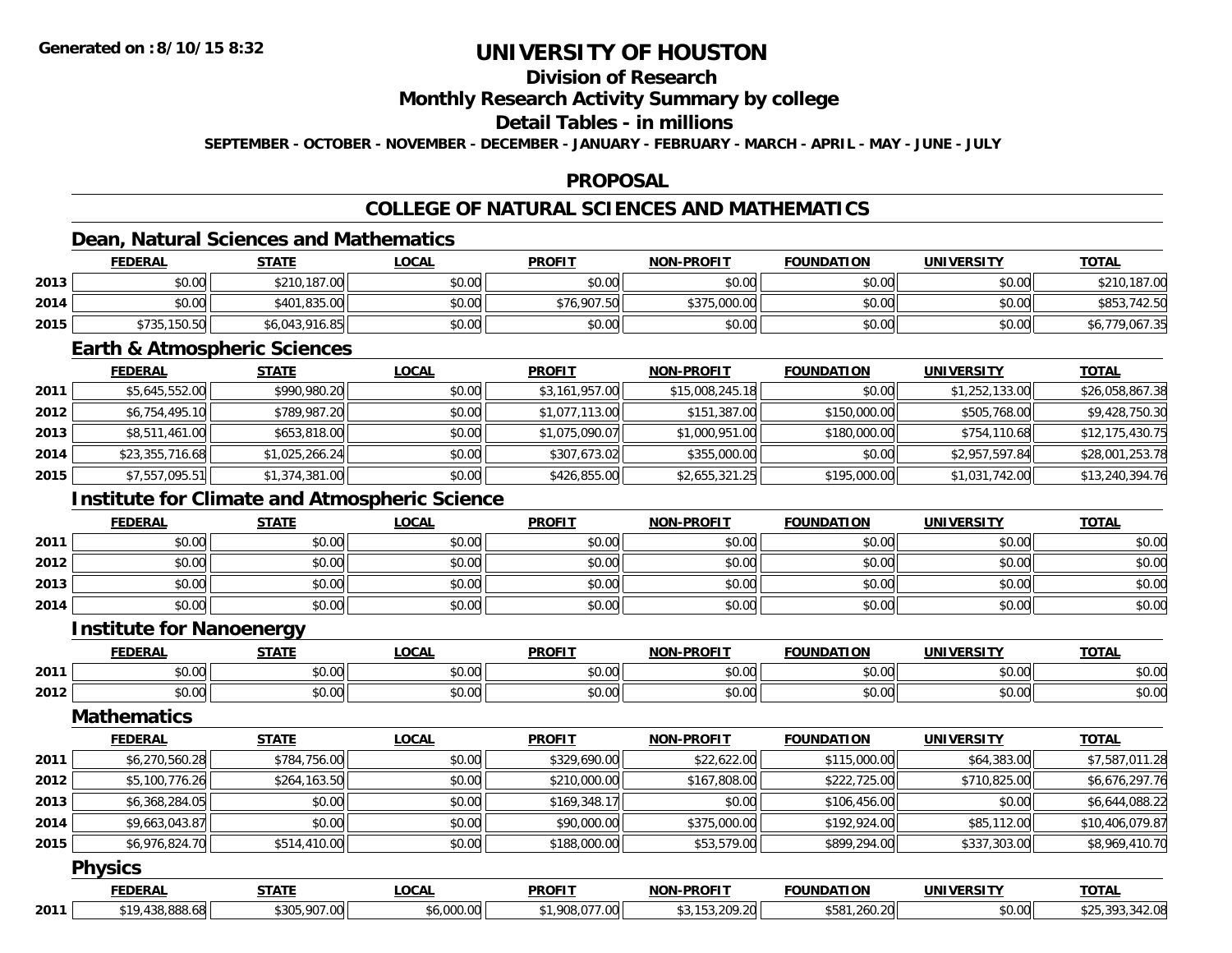## **Division of Research**

**Monthly Research Activity Summary by college**

### **Detail Tables - in millions**

**SEPTEMBER - OCTOBER - NOVEMBER - DECEMBER - JANUARY - FEBRUARY - MARCH - APRIL - MAY - JUNE - JULY**

### **PROPOSAL**

## **COLLEGE OF NATURAL SCIENCES AND MATHEMATICS**

## **Dean, Natural Sciences and Mathematics**

|      | <b>FEDERAL</b> | <u>STATE</u>   | <b>LOCAL</b> | <b>PROFIT</b> | <b>NON-PROFIT</b> | <b>FOUNDATION</b> | UNIVERSITY | <b>TOTAL</b>   |
|------|----------------|----------------|--------------|---------------|-------------------|-------------------|------------|----------------|
| 2013 | \$0.00         | \$210,187.00   | \$0.00       | \$0.00        | \$0.00            | \$0.00            | \$0.00     | \$210,187.00   |
| 2014 | \$0.00         | \$401,835,00   | \$0.00       | \$76,907.50   | \$375,000.00      | \$0.00            | \$0.00     | \$853,742.50   |
| 2015 | \$735,150.50   | \$6,043,916.85 | \$0.00       | \$0.00        | \$0.00            | \$0.00            | \$0.00     | \$6,779,067.35 |

### **Earth & Atmospheric Sciences**

|      | <b>FEDERAL</b>  | <u>STATE</u>   | <b>LOCAL</b> | <b>PROFIT</b>  | <b>NON-PROFIT</b> | <b>FOUNDATION</b> | UNIVERSITY     | <b>TOTAL</b>    |
|------|-----------------|----------------|--------------|----------------|-------------------|-------------------|----------------|-----------------|
| 2011 | \$5,645,552.00  | \$990,980.20   | \$0.00       | \$3,161,957.00 | \$15,008,245.18   | \$0.00            | \$1,252,133.00 | \$26,058,867.38 |
| 2012 | \$6,754,495.10  | \$789,987.20   | \$0.00       | \$1,077,113.00 | \$151,387.00      | \$150,000.00      | \$505,768.00   | \$9,428,750.30  |
| 2013 | \$8,511,461.00  | \$653,818.00   | \$0.00       | \$1,075,090.07 | \$1,000,951.00    | \$180,000.00      | \$754,110.68   | \$12,175,430.75 |
| 2014 | \$23,355,716.68 | \$1,025,266.24 | \$0.00       | \$307,673.02   | \$355,000.00      | \$0.00            | \$2,957,597.84 | \$28,001,253.78 |
| 2015 | \$7,557,095.51  | \$1,374,381.00 | \$0.00       | \$426,855.00   | \$2,655,321.25    | \$195,000.00      | \$1,031,742.00 | \$13,240,394.76 |

## **Institute for Climate and Atmospheric Science**

|      | <b>FEDERAL</b> | <b>STATE</b> | <u>LOCAL</u> | <b>PROFIT</b> | <b>NON-PROFIT</b> | <b>FOUNDATION</b> | <b>UNIVERSITY</b> | <b>TOTAL</b> |
|------|----------------|--------------|--------------|---------------|-------------------|-------------------|-------------------|--------------|
| 2011 | \$0.00         | \$0.00       | \$0.00       | \$0.00        | \$0.00            | \$0.00            | \$0.00            | \$0.00       |
| 2012 | \$0.00         | \$0.00       | \$0.00       | \$0.00        | \$0.00            | \$0.00            | \$0.00            | \$0.00       |
| 2013 | \$0.00         | \$0.00       | \$0.00       | \$0.00        | \$0.00            | \$0.00            | \$0.00            | \$0.00       |
| 2014 | \$0.00         | \$0.00       | \$0.00       | \$0.00        | \$0.00            | \$0.00            | \$0.00            | \$0.00       |

#### **Institute for Nanoenergy**

|      | וגם את<br>-nr | $- - - - -$        | $\bigcap_{n=1}^{\infty}$<br>้บนค | <b>DDOEIT</b>                                   | <b>DDAFIT</b><br>™∩M                                | ,,,, <del>,</del> ,,,,<br>ıм<br>. J F | <b>IINIIVEDCITV</b> | <b>TA1</b>             |
|------|---------------|--------------------|----------------------------------|-------------------------------------------------|-----------------------------------------------------|---------------------------------------|---------------------|------------------------|
| 2011 | ልስ ስስ         | $\sim$ 00<br>טט.טט | $\sim$ $\sim$ $\sim$<br>vv.vv    | $\mathsf{A} \cap \mathsf{A} \mathsf{A}$<br>vv.u | $\triangle$ $\triangle$ $\triangle$<br>. UU<br>, پ, | $\sim$ $\sim$<br>טט.טע                | $\sim$ 00           | $\sim$ $\sim$<br>PU.UU |
| 2012 | \$0.00        | 500<br>טט.טע       | $+ - - -$<br>JU.UU               | 0000<br>JU.U                                    | $\sim$ 00<br>pu.uu                                  | $\sim$ $\sim$<br>טט.טע                | $\sim$ 00<br>vv.vv  | $\sim$ $\sim$<br>DU.UU |

### **Mathematics**

|      | <b>FEDERAL</b> | <b>STATE</b> | <b>LOCAL</b> | <b>PROFIT</b> | <b>NON-PROFIT</b> | <b>FOUNDATION</b> | <b>UNIVERSITY</b> | <b>TOTAL</b>    |
|------|----------------|--------------|--------------|---------------|-------------------|-------------------|-------------------|-----------------|
| 2011 | \$6,270,560.28 | \$784,756.00 | \$0.00       | \$329,690.00  | \$22,622.00       | \$115,000.00      | \$64,383.00       | \$7,587,011.28  |
| 2012 | \$5,100,776.26 | \$264,163.50 | \$0.00       | \$210,000.00  | \$167,808.00      | \$222,725.00      | \$710,825.00      | \$6,676,297.76  |
| 2013 | \$6,368,284.05 | \$0.00       | \$0.00       | \$169,348.17  | \$0.00            | \$106,456.00      | \$0.00            | \$6,644,088.22  |
| 2014 | \$9,663,043.87 | \$0.00       | \$0.00       | \$90,000.00   | \$375,000.00      | \$192,924.00      | \$85,112.00       | \$10,406,079.87 |
| 2015 | \$6,976,824.70 | \$514,410.00 | \$0.00       | \$188,000.00  | \$53,579.00       | \$899,294.00      | \$337,303.00      | \$8,969,410.70  |

#### **Physics**

|      | <b>FEDERAL</b> | STATE<br>.                     | <b>OCAL</b>                   | <b>PROFIT</b>           | <b>JN-PROFIT</b><br>81081 | <b>FOUNDATION</b>        | UNIVERSITY | <b>TOTAL</b>       |
|------|----------------|--------------------------------|-------------------------------|-------------------------|---------------------------|--------------------------|------------|--------------------|
| 2011 | <b>hx</b>      | no roo<br>$h \cap \cap \Gamma$ | $\epsilon$ 000.00<br>o,uuu.uu | $  -$<br>$\sim$<br>. UU | 209.20<br>$\sim$<br>⇒.∠U⊟ | \$581<br>.260.20<br>70 L | \$0.00     | $\sim$<br>$\cdots$ |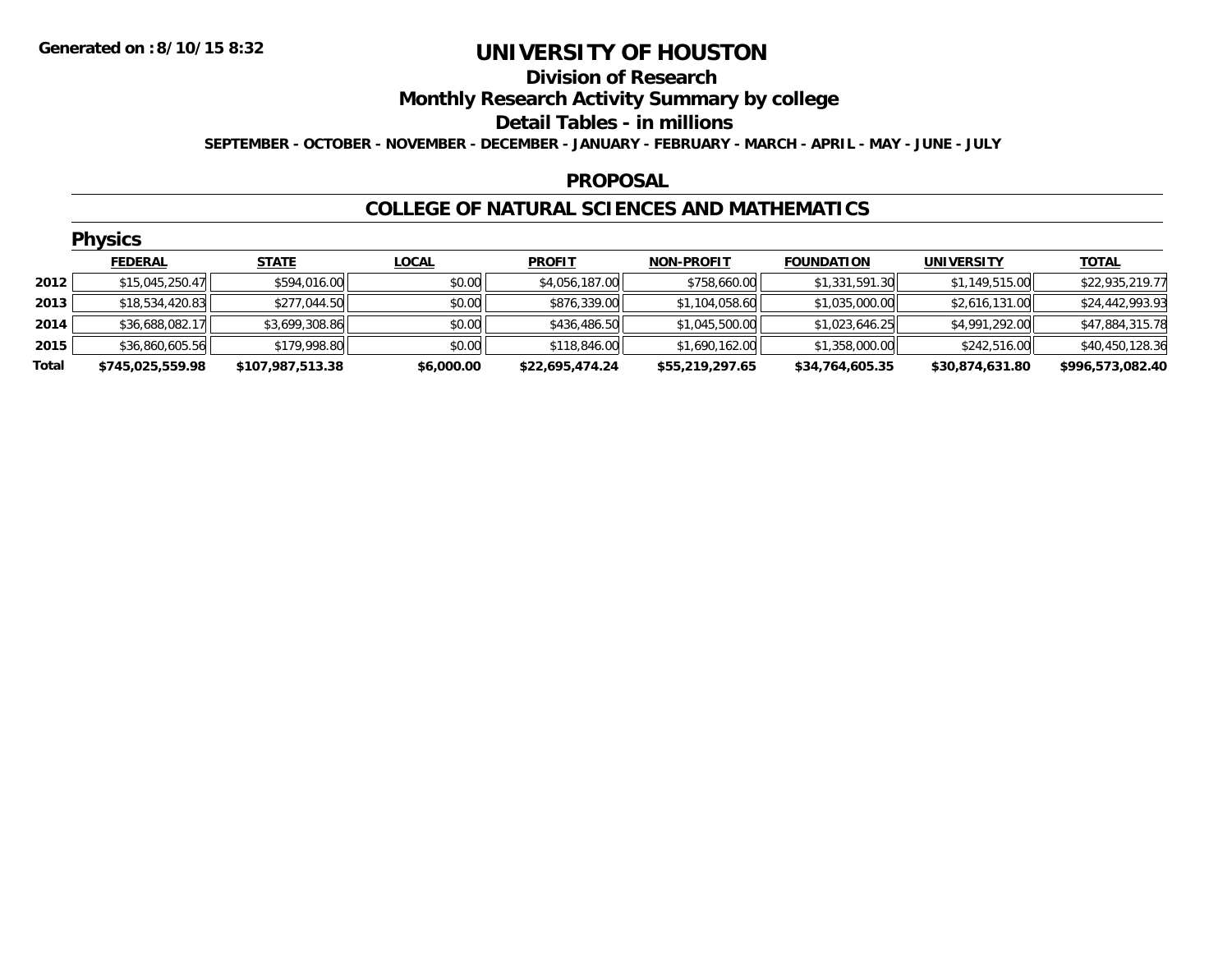#### **Division of Research**

**Monthly Research Activity Summary by college**

**Detail Tables - in millions**

**SEPTEMBER - OCTOBER - NOVEMBER - DECEMBER - JANUARY - FEBRUARY - MARCH - APRIL - MAY - JUNE - JULY**

### **PROPOSAL**

### **COLLEGE OF NATURAL SCIENCES AND MATHEMATICS**

|       | <b>Physics</b>   |                  |              |                 |                   |                   |                   |                  |  |  |  |
|-------|------------------|------------------|--------------|-----------------|-------------------|-------------------|-------------------|------------------|--|--|--|
|       | <b>FEDERAL</b>   | <b>STATE</b>     | <b>LOCAL</b> | <b>PROFIT</b>   | <b>NON-PROFIT</b> | <b>FOUNDATION</b> | <b>UNIVERSITY</b> | <b>TOTAL</b>     |  |  |  |
| 2012  | \$15,045,250.47  | \$594,016.00     | \$0.00       | \$4,056,187.00  | \$758,660.00      | \$1,331,591.30    | \$1,149,515.00    | \$22,935,219.77  |  |  |  |
| 2013  | \$18,534,420.83  | \$277,044.50     | \$0.00       | \$876,339.00    | \$1,104,058.60    | \$1,035,000.00    | \$2,616,131.00    | \$24,442,993.93  |  |  |  |
| 2014  | \$36,688,082.17  | \$3,699,308.86   | \$0.00       | \$436,486.50    | \$1,045,500.00    | \$1,023,646.25    | \$4,991,292.00    | \$47,884,315.78  |  |  |  |
| 2015  | \$36,860,605.56  | \$179,998.80     | \$0.00       | \$118,846.00    | \$1,690,162.00    | \$1,358,000.00    | \$242,516.00      | \$40,450,128.36  |  |  |  |
| Total | \$745,025,559.98 | \$107,987,513.38 | \$6,000.00   | \$22,695,474.24 | \$55,219,297.65   | \$34,764,605.35   | \$30,874,631.80   | \$996,573,082.40 |  |  |  |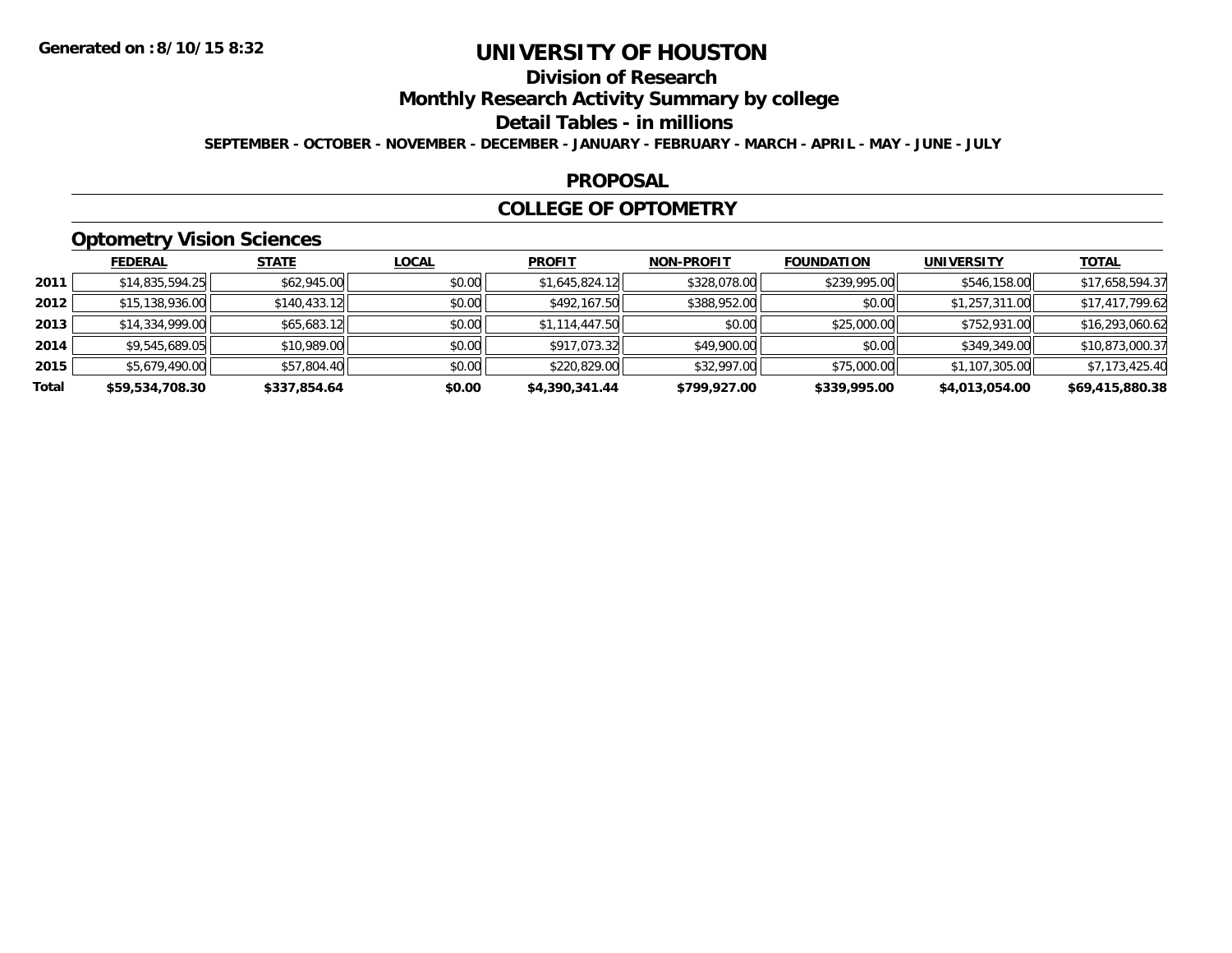## **Division of Research**

**Monthly Research Activity Summary by college**

**Detail Tables - in millions**

**SEPTEMBER - OCTOBER - NOVEMBER - DECEMBER - JANUARY - FEBRUARY - MARCH - APRIL - MAY - JUNE - JULY**

### **PROPOSAL**

### **COLLEGE OF OPTOMETRY**

## **Optometry Vision Sciences**

|       | <b>FEDERAL</b>  | <b>STATE</b> | <b>LOCAL</b> | <b>PROFIT</b>  | <b>NON-PROFIT</b> | <b>FOUNDATION</b> | <b>UNIVERSITY</b> | <u>TOTAL</u>    |
|-------|-----------------|--------------|--------------|----------------|-------------------|-------------------|-------------------|-----------------|
| 2011  | \$14,835,594.25 | \$62,945.00  | \$0.00       | \$1,645,824.12 | \$328,078.00      | \$239,995.00      | \$546,158.00      | \$17,658,594.37 |
| 2012  | \$15,138,936.00 | \$140,433.12 | \$0.00       | \$492,167.50   | \$388,952.00      | \$0.00            | \$1,257,311.00    | \$17,417,799.62 |
| 2013  | \$14,334,999.00 | \$65,683.12  | \$0.00       | \$1,114,447.50 | \$0.00            | \$25,000.00       | \$752,931.00      | \$16,293,060.62 |
| 2014  | \$9,545,689.05  | \$10,989.00  | \$0.00       | \$917,073.32   | \$49,900.00       | \$0.00            | \$349,349.00      | \$10,873,000.37 |
| 2015  | \$5,679,490.00  | \$57,804.40  | \$0.00       | \$220,829.00   | \$32,997.00       | \$75,000.00       | \$1,107,305.00    | \$7,173,425.40  |
| Total | \$59,534,708.30 | \$337,854.64 | \$0.00       | \$4,390,341.44 | \$799,927.00      | \$339,995.00      | \$4,013,054.00    | \$69,415,880.38 |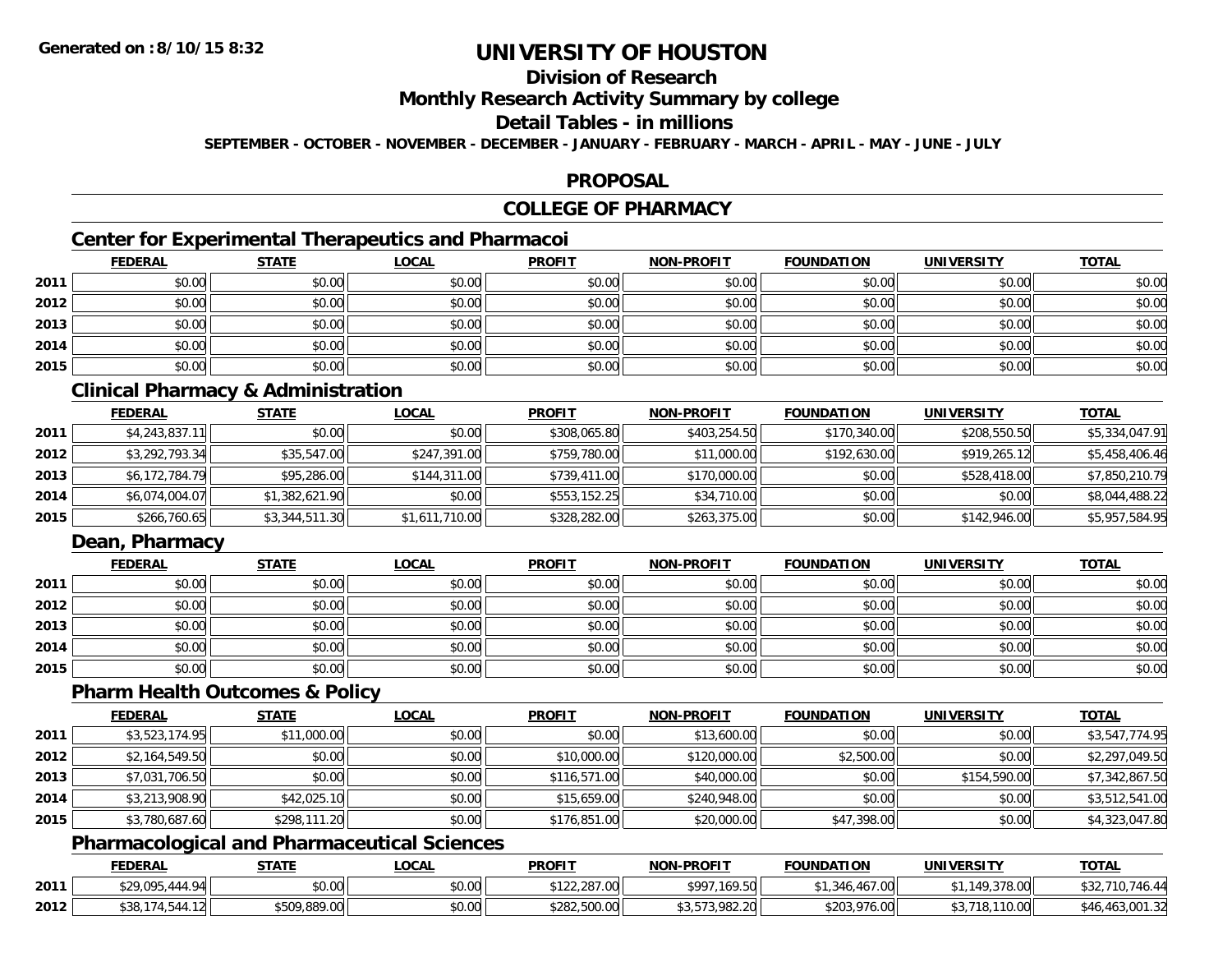## **Division of Research**

**Monthly Research Activity Summary by college**

#### **Detail Tables - in millions**

**SEPTEMBER - OCTOBER - NOVEMBER - DECEMBER - JANUARY - FEBRUARY - MARCH - APRIL - MAY - JUNE - JULY**

## **PROPOSAL**

## **COLLEGE OF PHARMACY**

## **Center for Experimental Therapeutics and Pharmacoi**

|      | <b>FEDERAL</b> | <b>STATE</b> | <b>LOCAL</b> | <b>PROFIT</b> | NON-PROFIT | <b>FOUNDATION</b> | <b>UNIVERSITY</b> | <b>TOTAL</b> |
|------|----------------|--------------|--------------|---------------|------------|-------------------|-------------------|--------------|
| 2011 | \$0.00         | \$0.00       | \$0.00       | \$0.00        | \$0.00     | \$0.00            | \$0.00            | \$0.00       |
| 2012 | \$0.00         | \$0.00       | \$0.00       | \$0.00        | \$0.00     | \$0.00            | \$0.00            | \$0.00       |
| 2013 | \$0.00         | \$0.00       | \$0.00       | \$0.00        | \$0.00     | \$0.00            | \$0.00            | \$0.00       |
| 2014 | \$0.00         | \$0.00       | \$0.00       | \$0.00        | \$0.00     | \$0.00            | \$0.00            | \$0.00       |
| 2015 | \$0.00         | \$0.00       | \$0.00       | \$0.00        | \$0.00     | \$0.00            | \$0.00            | \$0.00       |

## **Clinical Pharmacy & Administration**

|      | <b>FEDERAL</b> | <u>STATE</u>   | <b>LOCAL</b>   | <b>PROFIT</b> | <b>NON-PROFIT</b> | <b>FOUNDATION</b> | <b>UNIVERSITY</b> | <b>TOTAL</b>   |
|------|----------------|----------------|----------------|---------------|-------------------|-------------------|-------------------|----------------|
| 2011 | \$4,243,837.11 | \$0.00         | \$0.00         | \$308,065.80  | \$403,254.50      | \$170,340.00      | \$208,550.50      | \$5,334,047.91 |
| 2012 | \$3,292,793.34 | \$35,547.00    | \$247,391.00   | \$759,780.00  | \$11,000.00       | \$192,630.00      | \$919,265.12      | \$5,458,406.46 |
| 2013 | \$6,172,784.79 | \$95,286.00    | \$144,311.00   | \$739,411.00  | \$170,000.00      | \$0.00            | \$528,418.00      | \$7,850,210.79 |
| 2014 | \$6,074,004.07 | \$1,382,621.90 | \$0.00         | \$553,152.25  | \$34,710.00       | \$0.00            | \$0.00            | \$8,044,488.22 |
| 2015 | \$266,760.65   | \$3,344,511.30 | \$1,611,710.00 | \$328,282.00  | \$263,375.00      | \$0.00            | \$142,946.00      | \$5,957,584.95 |

## **Dean, Pharmacy**

|      | <u>FEDERAL</u> | <b>STATE</b> | <u>LOCAL</u> | <b>PROFIT</b> | <b>NON-PROFIT</b> | <b>FOUNDATION</b> | <b>UNIVERSITY</b> | <b>TOTAL</b> |
|------|----------------|--------------|--------------|---------------|-------------------|-------------------|-------------------|--------------|
| 2011 | \$0.00         | \$0.00       | \$0.00       | \$0.00        | \$0.00            | \$0.00            | \$0.00            | \$0.00       |
| 2012 | \$0.00         | \$0.00       | \$0.00       | \$0.00        | \$0.00            | \$0.00            | \$0.00            | \$0.00       |
| 2013 | \$0.00         | \$0.00       | \$0.00       | \$0.00        | \$0.00            | \$0.00            | \$0.00            | \$0.00       |
| 2014 | \$0.00         | \$0.00       | \$0.00       | \$0.00        | \$0.00            | \$0.00            | \$0.00            | \$0.00       |
| 2015 | \$0.00         | \$0.00       | \$0.00       | \$0.00        | \$0.00            | \$0.00            | \$0.00            | \$0.00       |

### **Pharm Health Outcomes & Policy**

|      | <b>FEDERAL</b> | <b>STATE</b> | <b>LOCAL</b> | <b>PROFIT</b> | <b>NON-PROFIT</b> | <b>FOUNDATION</b> | <b>UNIVERSITY</b> | <b>TOTAL</b>   |
|------|----------------|--------------|--------------|---------------|-------------------|-------------------|-------------------|----------------|
| 2011 | \$3,523,174.95 | \$11,000.00  | \$0.00       | \$0.00        | \$13,600.00       | \$0.00            | \$0.00            | \$3,547,774.95 |
| 2012 | \$2,164,549.50 | \$0.00       | \$0.00       | \$10,000.00   | \$120,000.00      | \$2,500.00        | \$0.00            | \$2,297,049.50 |
| 2013 | \$7,031,706.50 | \$0.00       | \$0.00       | \$116,571.00  | \$40,000.00       | \$0.00            | \$154,590.00      | \$7,342,867.50 |
| 2014 | \$3,213,908.90 | \$42,025.10  | \$0.00       | \$15,659.00   | \$240,948.00      | \$0.00            | \$0.00            | \$3,512,541.00 |
| 2015 | \$3,780,687.60 | \$298,111.20 | \$0.00       | \$176,851.00  | \$20,000.00       | \$47,398.00       | \$0.00            | \$4,323,047.80 |

## **Pharmacological and Pharmaceutical Sciences**

|      | <b>FEDERAL</b>   | STATE                      | _OCAL          | <b>PROFIT</b>                      | <b>NON-PROFIT</b> | <b>FOUNDATION</b> | UNIVERSITY             | <b>TOTAL</b>        |
|------|------------------|----------------------------|----------------|------------------------------------|-------------------|-------------------|------------------------|---------------------|
| 2011 | \$29,095.<br>444 | \$0.00                     | mn n¢<br>pu.uu | $\sim$ 0.0<br>0.220<br>122,287.001 | \$997,169.50      | .467.00           | 149.378.00<br>Y,378.UU | \$32,710.<br>\$32,1 |
| 2012 | ا م ا            | <b>CENO 000 NO</b><br>`00. | \$0.00         | \$282,500.00                       | 573,982.20        | \$203,976.00      | TU.UU<br>ΙО.           | \$46,463,001.3∠     |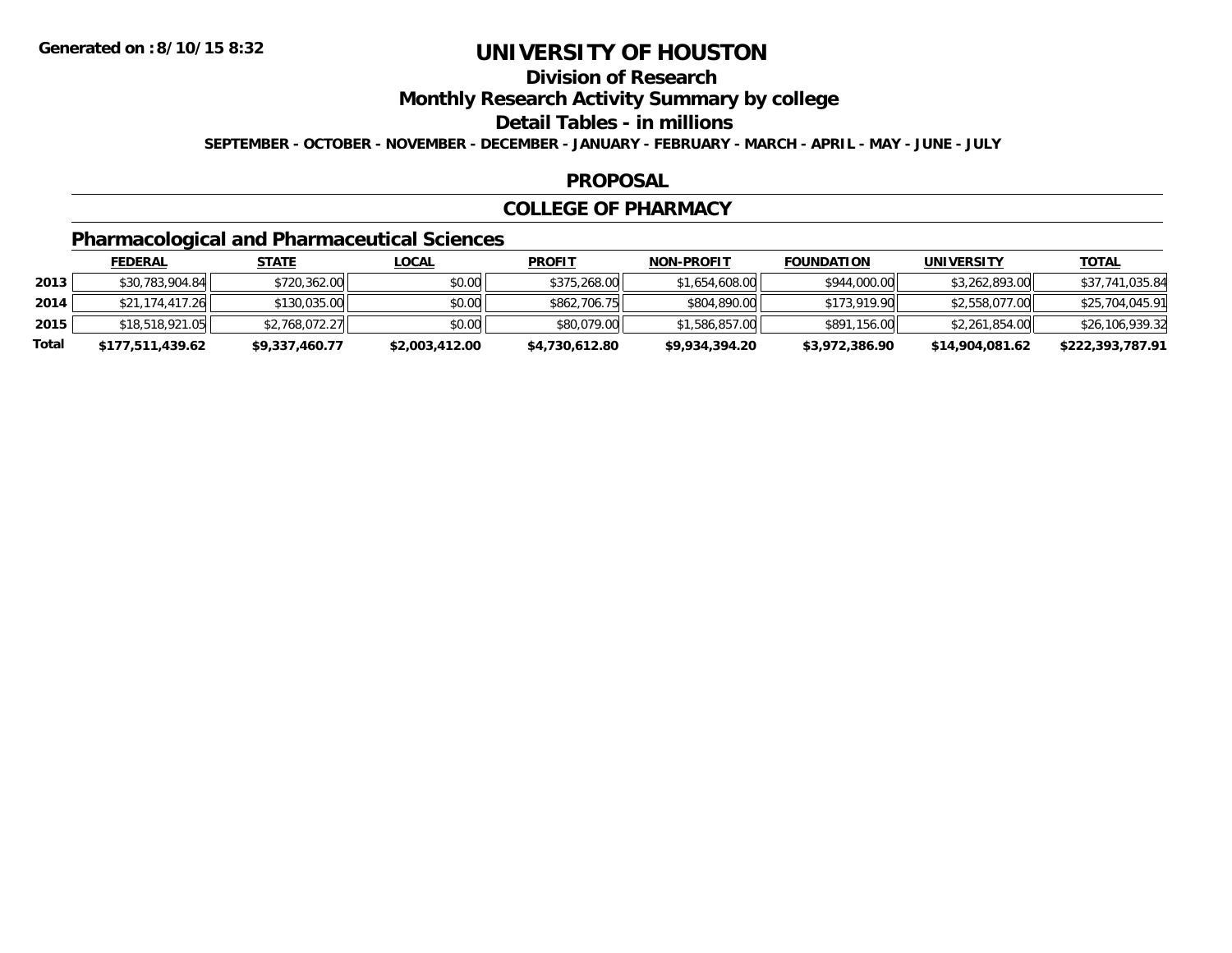## **Division of Research**

**Monthly Research Activity Summary by college**

**Detail Tables - in millions**

**SEPTEMBER - OCTOBER - NOVEMBER - DECEMBER - JANUARY - FEBRUARY - MARCH - APRIL - MAY - JUNE - JULY**

### **PROPOSAL**

### **COLLEGE OF PHARMACY**

## **Pharmacological and Pharmaceutical Sciences**

|       | <u>FEDERAL</u>   | <u>STATE</u>   | <u>LOCAL</u>   | <b>PROFIT</b>  | <b>NON-PROFIT</b> | <b>FOUNDATION</b> | UNIVERSITY      | <u>TOTAL</u>     |
|-------|------------------|----------------|----------------|----------------|-------------------|-------------------|-----------------|------------------|
| 2013  | \$30,783,904.84  | \$720,362.00   | \$0.00         | \$375,268,00   | \$1,654,608.00    | \$944,000.00      | \$3,262,893.00  | \$37,741,035.84  |
| 2014  | \$21,174,417.26  | \$130,035.00   | \$0.00         | \$862,706.75   | \$804,890,00      | \$173,919.90      | \$2,558,077.00  | \$25,704,045.91  |
| 2015  | \$18,518,921.05  | \$2,768,072.27 | \$0.00         | \$80,079,00    | \$1,586,857,00    | \$891,156,00      | \$2,261,854.00  | \$26,106,939.32  |
| Total | \$177,511,439.62 | \$9,337,460.77 | \$2,003,412.00 | \$4,730,612.80 | \$9,934,394.20    | \$3,972,386.90    | \$14,904,081.62 | \$222,393,787.91 |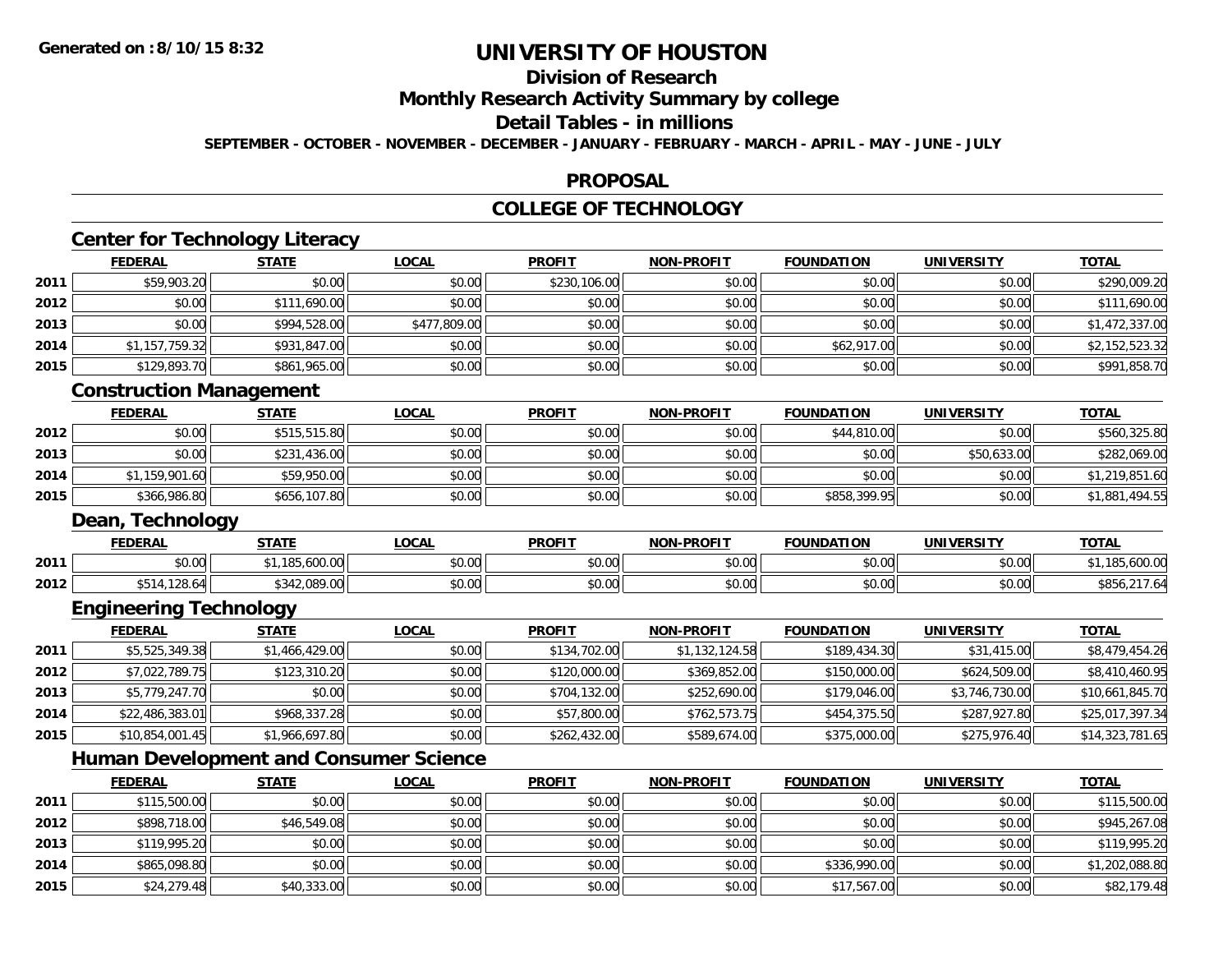**2014**

**2015**

# **UNIVERSITY OF HOUSTON**

## **Division of Research**

**Monthly Research Activity Summary by college**

## **Detail Tables - in millions**

**SEPTEMBER - OCTOBER - NOVEMBER - DECEMBER - JANUARY - FEBRUARY - MARCH - APRIL - MAY - JUNE - JULY**

### **PROPOSAL**

## **COLLEGE OF TECHNOLOGY**

|      | <b>Center for Technology Literacy</b><br><b>FEDERAL</b> | <b>STATE</b>   | <b>LOCAL</b> | <b>PROFIT</b> | <b>NON-PROFIT</b> | <b>FOUNDATION</b> | <b>UNIVERSITY</b> | <b>TOTAL</b>    |
|------|---------------------------------------------------------|----------------|--------------|---------------|-------------------|-------------------|-------------------|-----------------|
| 2011 | \$59,903.20                                             | \$0.00         | \$0.00       | \$230,106.00  | \$0.00            | \$0.00            | \$0.00            | \$290,009.20    |
| 2012 | \$0.00                                                  | \$111,690.00   | \$0.00       | \$0.00        | \$0.00            | \$0.00            | \$0.00            | \$111,690.00    |
| 2013 | \$0.00                                                  | \$994,528.00   | \$477,809.00 | \$0.00        | \$0.00            | \$0.00            | \$0.00            | \$1,472,337.00  |
| 2014 | \$1,157,759.32                                          | \$931,847.00   | \$0.00       | \$0.00        | \$0.00            | \$62,917.00       | \$0.00            | \$2,152,523.32  |
| 2015 | \$129,893.70                                            | \$861,965.00   | \$0.00       | \$0.00        | \$0.00            | \$0.00            | \$0.00            | \$991,858.70    |
|      | <b>Construction Management</b>                          |                |              |               |                   |                   |                   |                 |
|      | <b>FEDERAL</b>                                          | <b>STATE</b>   | <b>LOCAL</b> | <b>PROFIT</b> | <b>NON-PROFIT</b> | <b>FOUNDATION</b> | <b>UNIVERSITY</b> | <b>TOTAL</b>    |
| 2012 | \$0.00                                                  | \$515,515.80   | \$0.00       | \$0.00        | \$0.00            | \$44,810.00       | \$0.00            | \$560,325.80    |
| 2013 | \$0.00                                                  | \$231,436.00   | \$0.00       | \$0.00        | \$0.00            | \$0.00            | \$50,633.00       | \$282,069.00    |
| 2014 | \$1,159,901.60                                          | \$59,950.00    | \$0.00       | \$0.00        | \$0.00            | \$0.00            | \$0.00            | \$1,219,851.60  |
| 2015 | \$366,986.80                                            | \$656,107.80   | \$0.00       | \$0.00        | \$0.00            | \$858,399.95      | \$0.00            | \$1,881,494.55  |
|      | Dean, Technology                                        |                |              |               |                   |                   |                   |                 |
|      | <b>FEDERAL</b>                                          | <b>STATE</b>   | <b>LOCAL</b> | <b>PROFIT</b> | <b>NON-PROFIT</b> | <b>FOUNDATION</b> | <b>UNIVERSITY</b> | <b>TOTAL</b>    |
| 2011 | \$0.00                                                  | \$1,185,600.00 | \$0.00       | \$0.00        | \$0.00            | \$0.00            | \$0.00            | \$1,185,600.00  |
| 2012 | \$514,128.64                                            | \$342,089.00   | \$0.00       | \$0.00        | \$0.00            | \$0.00            | \$0.00            | \$856,217.64    |
|      | <b>Engineering Technology</b>                           |                |              |               |                   |                   |                   |                 |
|      | <b>FEDERAL</b>                                          | <b>STATE</b>   | <b>LOCAL</b> | <b>PROFIT</b> | <b>NON-PROFIT</b> | <b>FOUNDATION</b> | <b>UNIVERSITY</b> | <b>TOTAL</b>    |
| 2011 | \$5,525,349.38                                          | \$1,466,429.00 | \$0.00       | \$134,702.00  | \$1,132,124.58    | \$189,434.30      | \$31,415.00       | \$8,479,454.26  |
| 2012 | \$7,022,789.75                                          | \$123,310.20   | \$0.00       | \$120,000.00  | \$369,852.00      | \$150,000.00      | \$624,509.00      | \$8,410,460.95  |
| 2013 | \$5,779,247.70                                          | \$0.00         | \$0.00       | \$704,132.00  | \$252,690.00      | \$179,046.00      | \$3,746,730.00    | \$10,661,845.70 |
| 2014 | \$22,486,383.01                                         | \$968,337.28   | \$0.00       | \$57,800.00   | \$762,573.75      | \$454,375.50      | \$287,927.80      | \$25,017,397.34 |
| 2015 | \$10,854,001.45                                         | \$1,966,697.80 | \$0.00       | \$262,432.00  | \$589,674.00      | \$375,000.00      | \$275,976.40      | \$14,323,781.65 |
|      | <b>Human Development and Consumer Science</b>           |                |              |               |                   |                   |                   |                 |
|      | <b>FEDERAL</b>                                          | <b>STATE</b>   | <b>LOCAL</b> | <b>PROFIT</b> | <b>NON-PROFIT</b> | <b>FOUNDATION</b> | <b>UNIVERSITY</b> | <b>TOTAL</b>    |
| 2011 | \$115,500.00                                            | \$0.00         | \$0.00       | \$0.00        | \$0.00            | \$0.00            | \$0.00            | \$115,500.00    |
| 2012 | \$898,718.00                                            | \$46,549.08    | \$0.00       | \$0.00        | \$0.00            | \$0.00            | \$0.00            | \$945,267.08    |
| 2013 | \$119,995.20                                            | \$0.00         | \$0.00       | \$0.00        | \$0.00            | \$0.00            | \$0.00            | \$119,995.20    |

4 \$865,098.80 \$0.00 \$0.00 \$0.00 \$0.00 \$0.00 \$0.00 \$0.00 \$0.00 \$0.00 \$336,990.00 \$336,990.00 \$1,202,088.80

\$24,279.48 \$40,333.00 \$0.00 \$0.00 \$0.00 \$17,567.00 \$0.00 \$82,179.48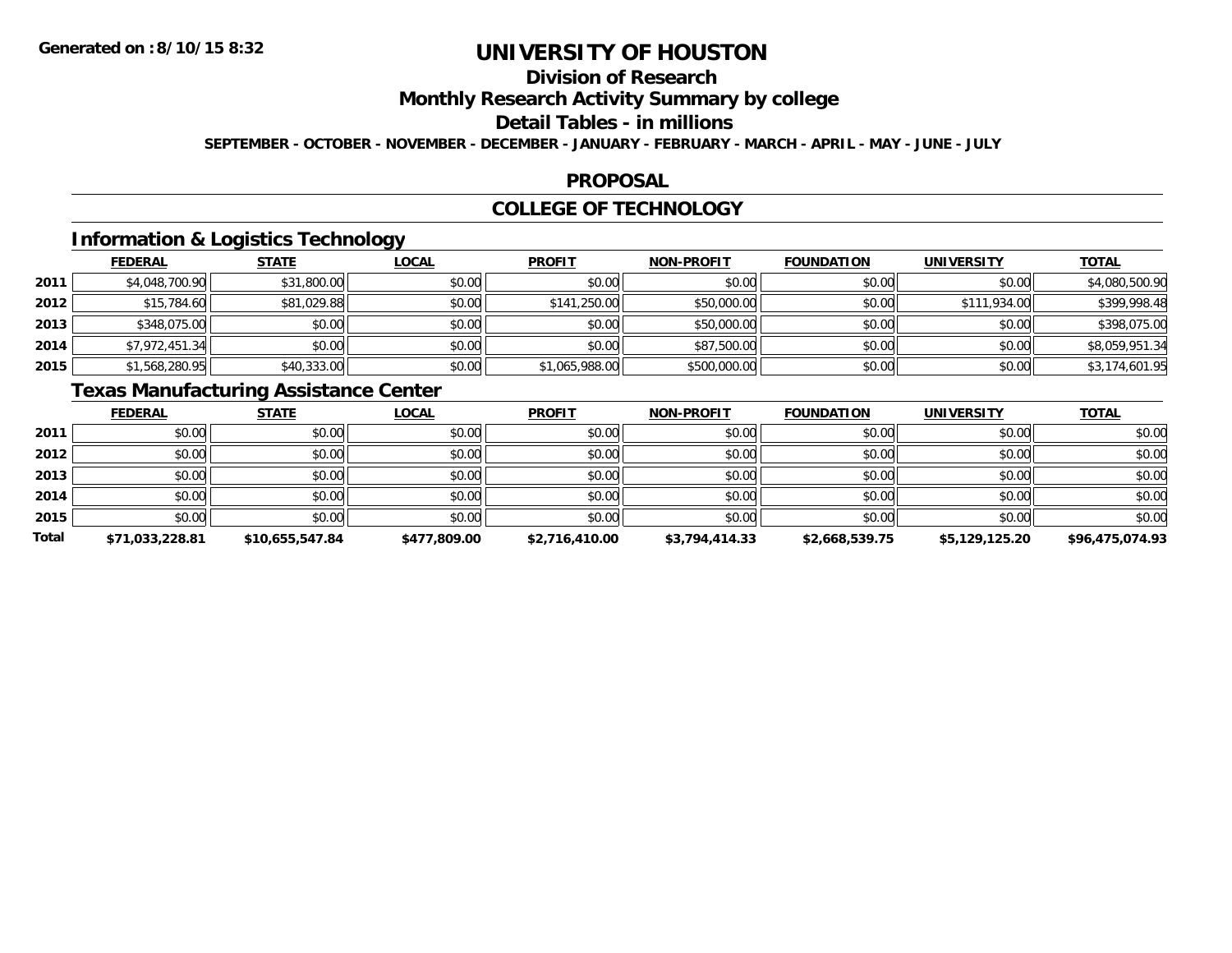## **Division of Research**

**Monthly Research Activity Summary by college**

#### **Detail Tables - in millions**

**SEPTEMBER - OCTOBER - NOVEMBER - DECEMBER - JANUARY - FEBRUARY - MARCH - APRIL - MAY - JUNE - JULY**

### **PROPOSAL**

### **COLLEGE OF TECHNOLOGY**

## **Information & Logistics Technology**

|      | <b>FEDERAL</b> | <b>STATE</b> | <u>LOCAL</u> | <b>PROFIT</b>  | <b>NON-PROFIT</b> | <b>FOUNDATION</b> | <b>UNIVERSITY</b> | <b>TOTAL</b>   |
|------|----------------|--------------|--------------|----------------|-------------------|-------------------|-------------------|----------------|
| 2011 | \$4,048,700.90 | \$31,800.00  | \$0.00       | \$0.00         | \$0.00            | \$0.00            | \$0.00            | \$4,080,500.90 |
| 2012 | \$15,784.60    | \$81,029.88  | \$0.00       | \$141,250.00   | \$50,000.00       | \$0.00            | \$111,934.00      | \$399,998.48   |
| 2013 | \$348,075.00   | \$0.00       | \$0.00       | \$0.00         | \$50,000.00       | \$0.00            | \$0.00            | \$398,075.00   |
| 2014 | \$7,972,451.34 | \$0.00       | \$0.00       | \$0.00         | \$87,500.00       | \$0.00            | \$0.00            | \$8,059,951.34 |
| 2015 | \$1,568,280.95 | \$40,333.00  | \$0.00       | \$1,065,988.00 | \$500,000.00      | \$0.00            | \$0.00            | \$3,174,601.95 |

## **Texas Manufacturing Assistance Center**

|       | <b>FEDERAL</b>  | <b>STATE</b>    | <b>LOCAL</b> | <b>PROFIT</b>  | <b>NON-PROFIT</b> | <b>FOUNDATION</b> | <b>UNIVERSITY</b> | <b>TOTAL</b>    |
|-------|-----------------|-----------------|--------------|----------------|-------------------|-------------------|-------------------|-----------------|
| 2011  | \$0.00          | \$0.00          | \$0.00       | \$0.00         | \$0.00            | \$0.00            | \$0.00            | \$0.00          |
| 2012  | \$0.00          | \$0.00          | \$0.00       | \$0.00         | \$0.00            | \$0.00            | \$0.00            | \$0.00          |
| 2013  | \$0.00          | \$0.00          | \$0.00       | \$0.00         | \$0.00            | \$0.00            | \$0.00            | \$0.00          |
| 2014  | \$0.00          | \$0.00          | \$0.00       | \$0.00         | \$0.00            | \$0.00            | \$0.00            | \$0.00          |
| 2015  | \$0.00          | \$0.00          | \$0.00       | \$0.00         | \$0.00            | \$0.00            | \$0.00            | \$0.00          |
| Total | \$71,033,228.81 | \$10,655,547.84 | \$477,809.00 | \$2,716,410.00 | \$3,794,414.33    | \$2,668,539.75    | \$5,129,125.20    | \$96,475,074.93 |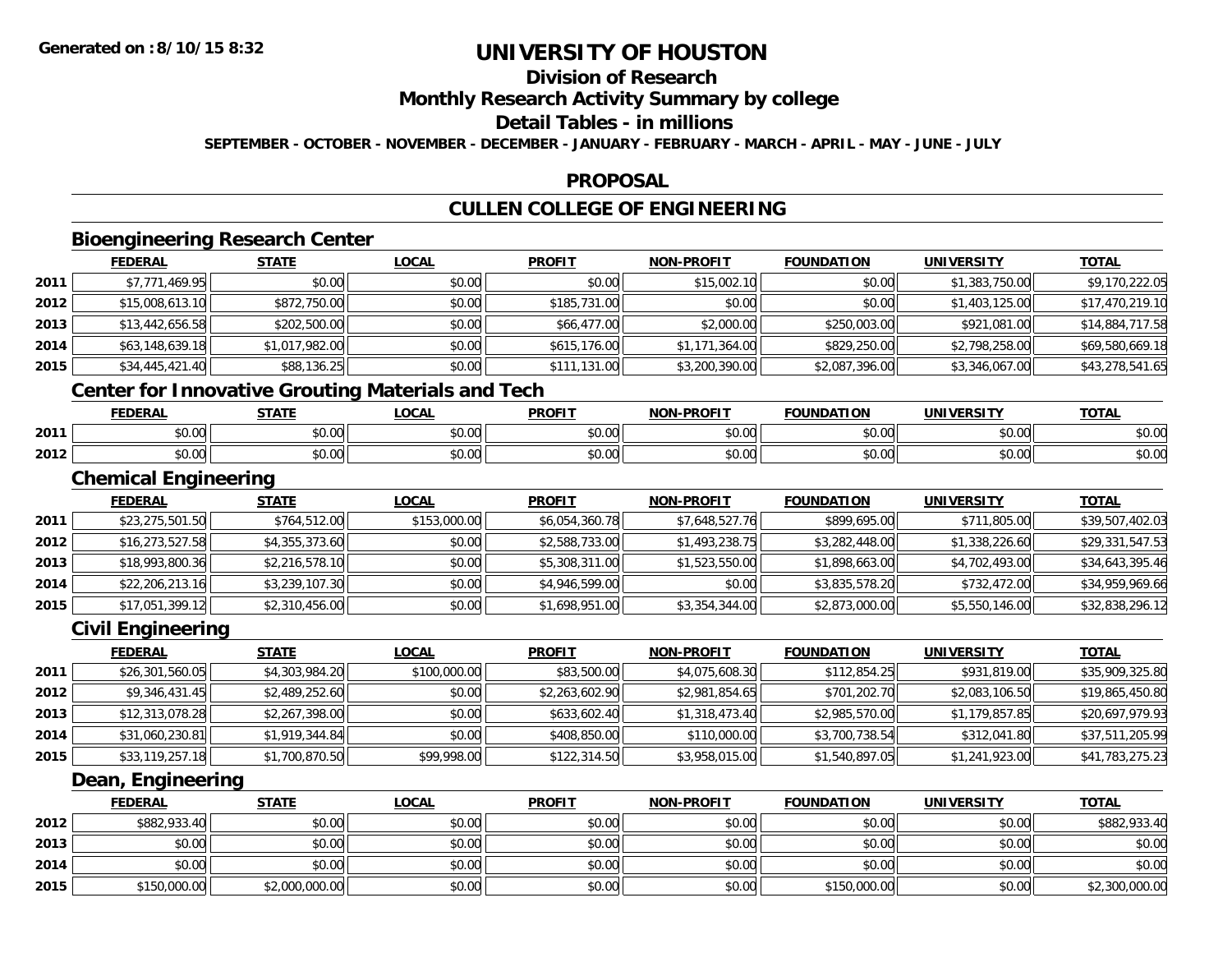## **Division of Research**

### **Monthly Research Activity Summary by college**

#### **Detail Tables - in millions**

**SEPTEMBER - OCTOBER - NOVEMBER - DECEMBER - JANUARY - FEBRUARY - MARCH - APRIL - MAY - JUNE - JULY**

### **PROPOSAL**

## **CULLEN COLLEGE OF ENGINEERING**

### **Bioengineering Research Center**

|      | <b>FEDERAL</b>  | <b>STATE</b>   | <u>LOCAL</u> | <b>PROFIT</b> | <b>NON-PROFIT</b> | <b>FOUNDATION</b> | <b>UNIVERSITY</b> | <b>TOTAL</b>    |
|------|-----------------|----------------|--------------|---------------|-------------------|-------------------|-------------------|-----------------|
| 2011 | \$7,771,469.95  | \$0.00         | \$0.00       | \$0.00        | \$15,002.10       | \$0.00            | \$1,383,750.00    | \$9,170,222.05  |
| 2012 | \$15,008,613.10 | \$872,750.00   | \$0.00       | \$185,731.00  | \$0.00            | \$0.00            | \$1,403,125.00    | \$17,470,219.10 |
| 2013 | \$13,442,656.58 | \$202,500.00   | \$0.00       | \$66,477.00   | \$2,000.00        | \$250,003.00      | \$921,081.00      | \$14,884,717.58 |
| 2014 | \$63,148,639.18 | \$1,017,982.00 | \$0.00       | \$615,176.00  | \$1,171,364.00    | \$829,250.00      | \$2,798,258.00    | \$69,580,669.18 |
| 2015 | \$34,445,421.40 | \$88,136.25    | \$0.00       | \$111,131.00  | \$3,200,390.00    | \$2,087,396.00    | \$3,346,067.00    | \$43,278,541.65 |
|      |                 |                |              |               |                   |                   |                   |                 |

#### **Center for Innovative Grouting Materials and Tech**

|      | <b>FEDEDA</b> | <b>CTATE</b>       | OCM                    | <b>DDOEI</b> | -PROFIT<br><b>NION</b> | חסו־<br>$-0.000$ | HNI V<br>$T^{\prime}$ | TOTI                   |
|------|---------------|--------------------|------------------------|--------------|------------------------|------------------|-----------------------|------------------------|
| 2011 | ט.ט           | $\sim$ 00<br>JU.UU | $\sim$ $\sim$<br>vv.vv | ູນບ.√        | 0000<br>vu.vu          | $+ - - -$<br>    | 0.00<br>JU.UU         | $\sim$ $\sim$<br>JU.UL |
| 2012 | ۰^<br>10.UU   | $\sim$ 00<br>vu.vu | 0000<br>PO.OO          | vv.vv        | 0000<br>PO.OO          | 0000<br>pu.uu    | \$0.00                | $\sim$ $\sim$<br>DU.UU |

### **Chemical Engineering**

|      | <b>Chemical Engineering</b> |                |              |                |                   |                   |                |                 |
|------|-----------------------------|----------------|--------------|----------------|-------------------|-------------------|----------------|-----------------|
|      | <b>FEDERAL</b>              | <b>STATE</b>   | <b>LOCAL</b> | <b>PROFIT</b>  | <b>NON-PROFIT</b> | <b>FOUNDATION</b> | UNIVERSITY     | <b>TOTAL</b>    |
| 2011 | \$23,275,501.50             | \$764,512.00   | \$153,000.00 | \$6,054,360.78 | \$7,648,527.76    | \$899,695.00      | \$711,805.00   | \$39,507,402.03 |
| 2012 | \$16,273,527.58             | \$4,355,373.60 | \$0.00       | \$2,588,733.00 | \$1,493,238.75    | \$3,282,448.00    | \$1,338,226.60 | \$29,331,547.53 |
| 2013 | \$18,993,800.36             | \$2,216,578.10 | \$0.00       | \$5,308,311.00 | \$1,523,550.00    | \$1,898,663.00    | \$4,702,493.00 | \$34,643,395.46 |
| 2014 | \$22,206,213.16             | \$3,239,107.30 | \$0.00       | \$4,946,599.00 | \$0.00            | \$3,835,578.20    | \$732,472.00   | \$34,959,969.66 |
| 2015 | \$17,051,399.12             | \$2,310,456.00 | \$0.00       | \$1,698,951.00 | \$3,354,344.00    | \$2,873,000.00    | \$5,550,146.00 | \$32,838,296.12 |

### **Civil Engineering**

|      | <b>FEDERAL</b>  | <b>STATE</b>   | <u>LOCAL</u> | <b>PROFIT</b>  | <b>NON-PROFIT</b> | <b>FOUNDATION</b> | <b>UNIVERSITY</b> | <u>TOTAL</u>    |
|------|-----------------|----------------|--------------|----------------|-------------------|-------------------|-------------------|-----------------|
| 2011 | \$26,301,560.05 | \$4,303,984.20 | \$100,000.00 | \$83,500.00    | \$4,075,608.30    | \$112,854.25      | \$931,819.00      | \$35,909,325.80 |
| 2012 | \$9,346,431.45  | \$2,489,252.60 | \$0.00       | \$2,263,602.90 | \$2,981,854.65    | \$701,202.70      | \$2,083,106.50    | \$19,865,450.80 |
| 2013 | \$12,313,078.28 | \$2,267,398.00 | \$0.00       | \$633,602.40   | \$1,318,473.40    | \$2,985,570.00    | \$1,179,857.85    | \$20,697,979.93 |
| 2014 | \$31,060,230.81 | \$1,919,344.84 | \$0.00       | \$408,850.00   | \$110,000.00      | \$3,700,738.54    | \$312,041.80      | \$37,511,205.99 |
| 2015 | \$33,119,257.18 | \$1,700,870.50 | \$99,998.00  | \$122,314.50   | \$3,958,015.00    | \$1,540,897.05    | \$1,241,923.00    | \$41,783,275.23 |

### **Dean, Engineering**

|      | <b>FEDERAL</b> | <u>STATE</u>   | <u>LOCAL</u> | <b>PROFIT</b> | <b>NON-PROFIT</b> | <b>FOUNDATION</b> | <b>UNIVERSITY</b> | <b>TOTAL</b>   |
|------|----------------|----------------|--------------|---------------|-------------------|-------------------|-------------------|----------------|
| 2012 | \$882,933.40   | \$0.00         | \$0.00       | \$0.00        | \$0.00            | \$0.00            | \$0.00            | \$882,933.40   |
| 2013 | \$0.00         | \$0.00         | \$0.00       | \$0.00        | \$0.00            | \$0.00            | \$0.00            | \$0.00         |
| 2014 | \$0.00         | \$0.00         | \$0.00       | \$0.00        | \$0.00            | \$0.00            | \$0.00            | \$0.00         |
| 2015 | \$150,000.00   | \$2,000,000.00 | \$0.00       | \$0.00        | \$0.00            | \$150,000.00      | \$0.00            | \$2,300,000.00 |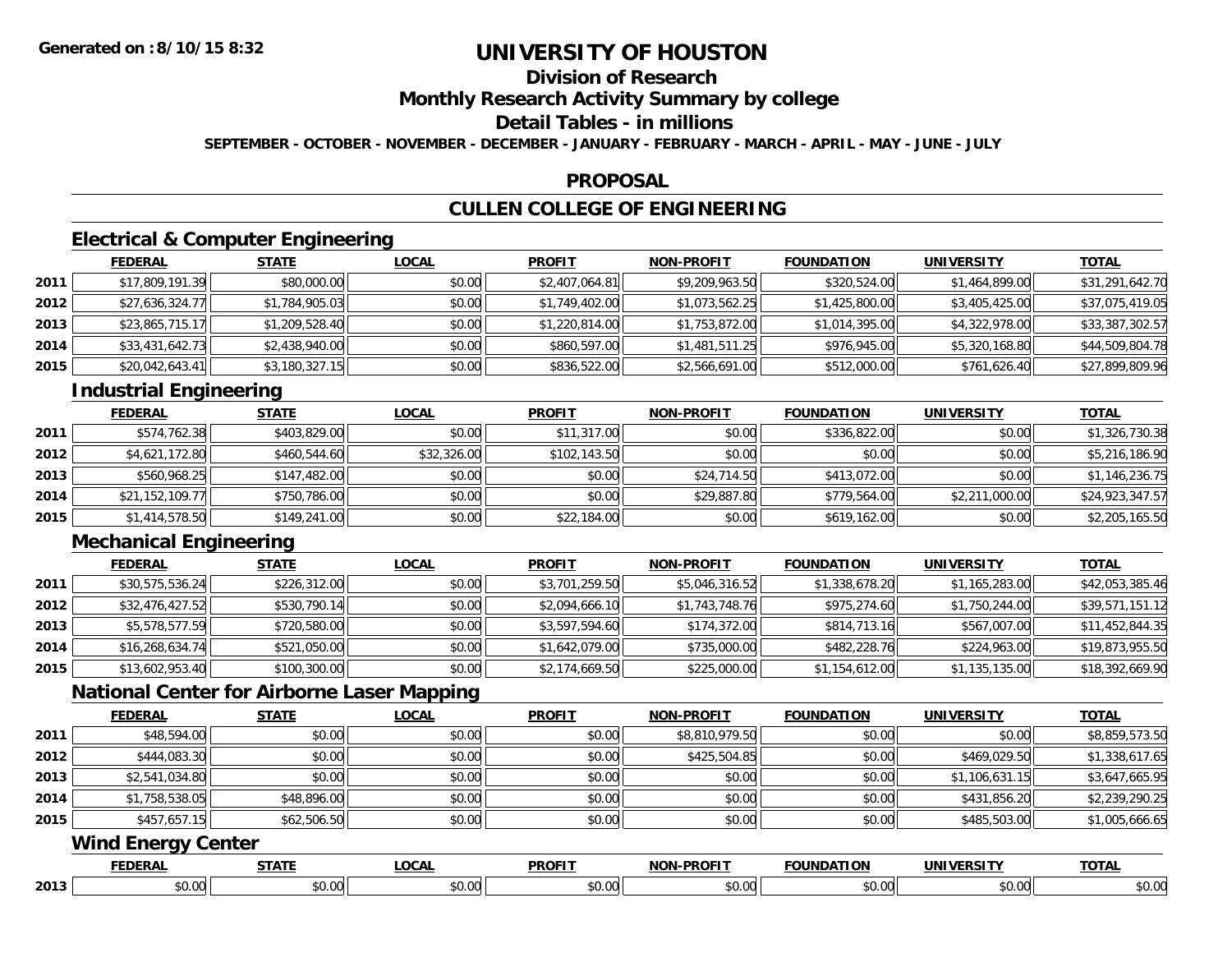## **Division of Research**

**Monthly Research Activity Summary by college**

## **Detail Tables - in millions**

**SEPTEMBER - OCTOBER - NOVEMBER - DECEMBER - JANUARY - FEBRUARY - MARCH - APRIL - MAY - JUNE - JULY**

### **PROPOSAL**

## **CULLEN COLLEGE OF ENGINEERING**

## **Electrical & Computer Engineering**

|      | <b>FEDERAL</b>  | <b>STATE</b>   | <b>LOCAL</b> | <b>PROFIT</b>  | <b>NON-PROFIT</b> | <b>FOUNDATION</b> | <b>UNIVERSITY</b> | <b>TOTAL</b>    |
|------|-----------------|----------------|--------------|----------------|-------------------|-------------------|-------------------|-----------------|
| 2011 | \$17,809,191.39 | \$80,000.00    | \$0.00       | \$2,407,064.81 | \$9,209,963.50    | \$320,524.00      | \$1,464,899.00    | \$31,291,642.70 |
| 2012 | \$27,636,324.77 | \$1,784,905.03 | \$0.00       | \$1,749,402.00 | \$1,073,562.25    | \$1,425,800.00    | \$3,405,425.00    | \$37,075,419.05 |
| 2013 | \$23,865,715.17 | \$1,209,528.40 | \$0.00       | \$1,220,814.00 | \$1,753,872.00    | \$1,014,395.00    | \$4,322,978.00    | \$33,387,302.57 |
| 2014 | \$33,431,642.73 | \$2,438,940.00 | \$0.00       | \$860,597.00   | \$1,481,511.25    | \$976,945.00      | \$5,320,168.80    | \$44,509,804.78 |
| 2015 | \$20,042,643.41 | \$3,180,327.15 | \$0.00       | \$836,522.00   | \$2,566,691.00    | \$512,000.00      | \$761,626.40      | \$27,899,809.96 |

## **Industrial Engineering**

|      | <b>FEDERAL</b>  | <u>STATE</u> | <u>LOCAL</u> | <b>PROFIT</b> | <b>NON-PROFIT</b> | <b>FOUNDATION</b> | <b>UNIVERSITY</b> | <b>TOTAL</b>    |
|------|-----------------|--------------|--------------|---------------|-------------------|-------------------|-------------------|-----------------|
| 2011 | \$574,762.38    | \$403,829,00 | \$0.00       | \$11,317.00   | \$0.00            | \$336,822.00      | \$0.00            | \$1,326,730.38  |
| 2012 | \$4,621,172.80  | \$460,544.60 | \$32,326.00  | \$102,143.50  | \$0.00            | \$0.00            | \$0.00            | \$5,216,186.90  |
| 2013 | \$560,968.25    | \$147,482.00 | \$0.00       | \$0.00        | \$24,714.50       | \$413.072.00      | \$0.00            | \$1,146,236.75  |
| 2014 | \$21,152,109.77 | \$750,786.00 | \$0.00       | \$0.00        | \$29,887.80       | \$779,564.00      | \$2,211,000.00    | \$24,923,347.57 |
| 2015 | \$1,414,578.50  | \$149,241.00 | \$0.00       | \$22,184.00   | \$0.00            | \$619,162.00      | \$0.00            | \$2,205,165.50  |

## **Mechanical Engineering**

**2013**

|      | <b>FEDERAL</b>  | <u>STATE</u> | <b>LOCAL</b> | <b>PROFIT</b>  | <b>NON-PROFIT</b> | <b>FOUNDATION</b> | <b>UNIVERSITY</b> | <u>TOTAL</u>    |
|------|-----------------|--------------|--------------|----------------|-------------------|-------------------|-------------------|-----------------|
| 2011 | \$30,575,536.24 | \$226,312.00 | \$0.00       | \$3,701,259.50 | \$5,046,316.52    | \$1,338,678.20    | \$1,165,283.00    | \$42,053,385.46 |
| 2012 | \$32,476,427.52 | \$530,790.14 | \$0.00       | \$2,094,666.10 | \$1,743,748.76    | \$975,274.60      | \$1,750,244.00    | \$39,571,151.12 |
| 2013 | \$5,578,577.59  | \$720,580.00 | \$0.00       | \$3,597,594.60 | \$174,372.00      | \$814,713.16      | \$567,007.00      | \$11,452,844.35 |
| 2014 | \$16,268,634.74 | \$521,050.00 | \$0.00       | \$1,642,079.00 | \$735,000.00      | \$482,228.76      | \$224,963.00      | \$19,873,955.50 |
| 2015 | \$13,602,953.40 | \$100,300.00 | \$0.00       | \$2,174,669.50 | \$225,000.00      | \$1,154,612.00    | \$1,135,135.00    | \$18,392,669.90 |

## **National Center for Airborne Laser Mapping**

|      | <b>FEDERAL</b>            | <b>STATE</b> | LOCAL        | <b>PROFIT</b> | <b>NON-PROFIT</b> | <b>FOUNDATION</b> | <b>UNIVERSITY</b> | <b>TOTAL</b>   |  |  |  |
|------|---------------------------|--------------|--------------|---------------|-------------------|-------------------|-------------------|----------------|--|--|--|
| 2011 | \$48,594.00               | \$0.00       | \$0.00       | \$0.00        | \$8,810,979.50    | \$0.00            | \$0.00            | \$8,859,573.50 |  |  |  |
| 2012 | \$444,083.30              | \$0.00       | \$0.00       | \$0.00        | \$425,504.85      | \$0.00            | \$469,029.50      | \$1,338,617.65 |  |  |  |
| 2013 | \$2,541,034.80            | \$0.00       | \$0.00       | \$0.00        | \$0.00            | \$0.00            | \$1,106,631.15    | \$3,647,665.95 |  |  |  |
| 2014 | \$1,758,538.05            | \$48,896.00  | \$0.00       | \$0.00        | \$0.00            | \$0.00            | \$431,856.20      | \$2,239,290.25 |  |  |  |
| 2015 | \$457,657.15              | \$62,506.50  | \$0.00       | \$0.00        | \$0.00            | \$0.00            | \$485,503.00      | \$1,005,666.65 |  |  |  |
|      | <b>Wind Energy Center</b> |              |              |               |                   |                   |                   |                |  |  |  |
|      | <b>FEDERAL</b>            | <b>STATE</b> | <b>LOCAL</b> | <b>PROFIT</b> | <b>NON-PROFIT</b> | <b>FOUNDATION</b> | <b>UNIVERSITY</b> | <b>TOTAL</b>   |  |  |  |

3 \$0.00 | \$0.00 | \$0.00 | \$0.00 | \$0.00 | \$0.00 | \$0.00 | \$0.00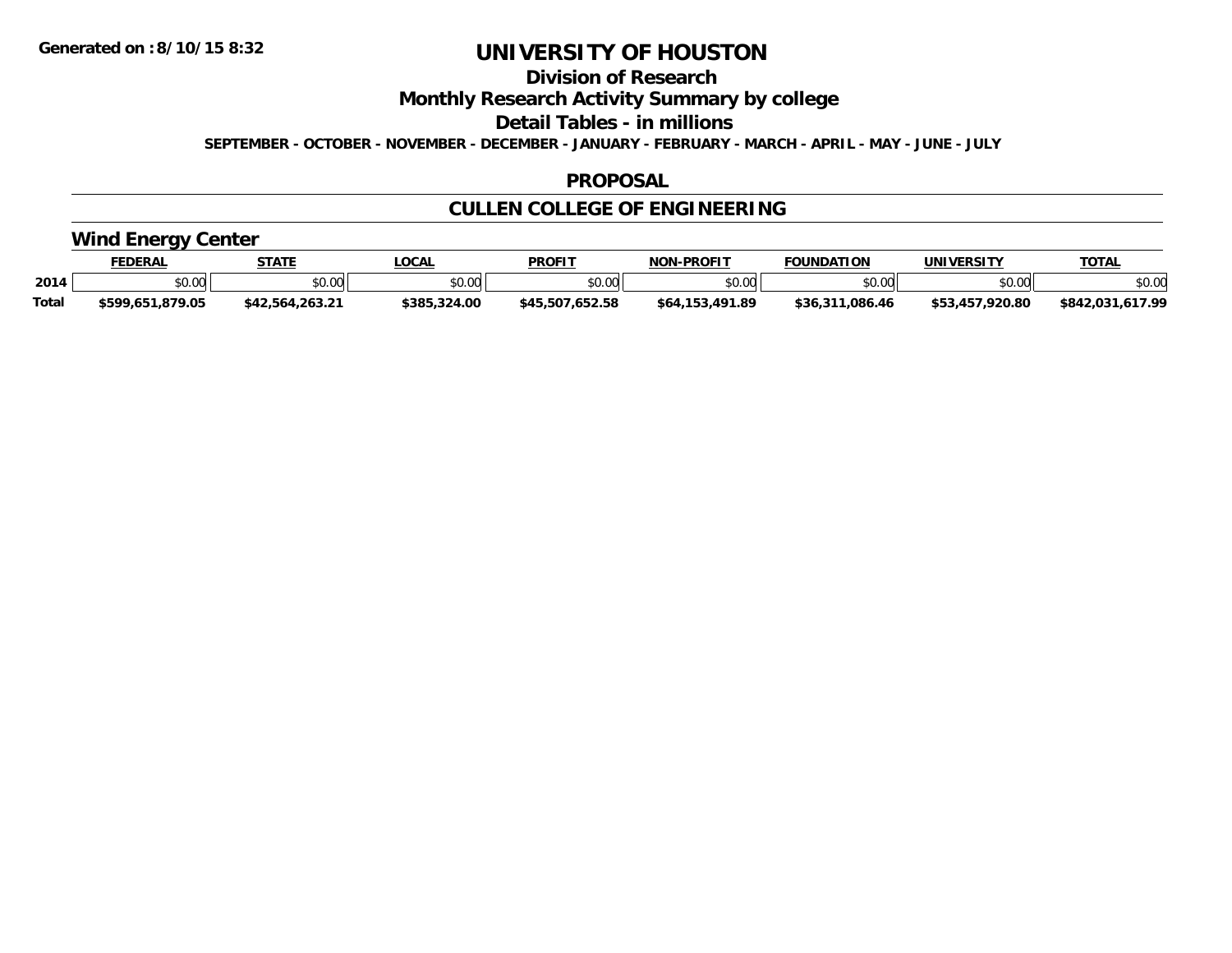**Division of Research**

**Monthly Research Activity Summary by college**

**Detail Tables - in millions**

**SEPTEMBER - OCTOBER - NOVEMBER - DECEMBER - JANUARY - FEBRUARY - MARCH - APRIL - MAY - JUNE - JULY**

### **PROPOSAL**

## **CULLEN COLLEGE OF ENGINEERING**

### **Wind Energy Center**

|       | <b>EDERAL</b>    | <b>STATE</b>    | LOCA          | <b>PROFIT</b>                      | <b>J-PROFIT</b><br>NON- | <b>FOUNDATION</b> | UNIVERSITY  | TOTA.               |
|-------|------------------|-----------------|---------------|------------------------------------|-------------------------|-------------------|-------------|---------------------|
| 2014  | \$0.00           | \$0.00          | 0000<br>₽U.UU | \$0.00                             | ልስ ባህ<br>, J.UUI        | \$0.00            | \$0.00      | \$0.00              |
| Total | \$599.651.879.05 | \$42.564.263.21 | \$385.324.00  | 7.652.58<br><b>E07</b><br>\$45.507 | . 491.89<br>.153<br>564 | .086.46<br>\$36.  | .457.920.80 | 617 OO<br>\$842,031 |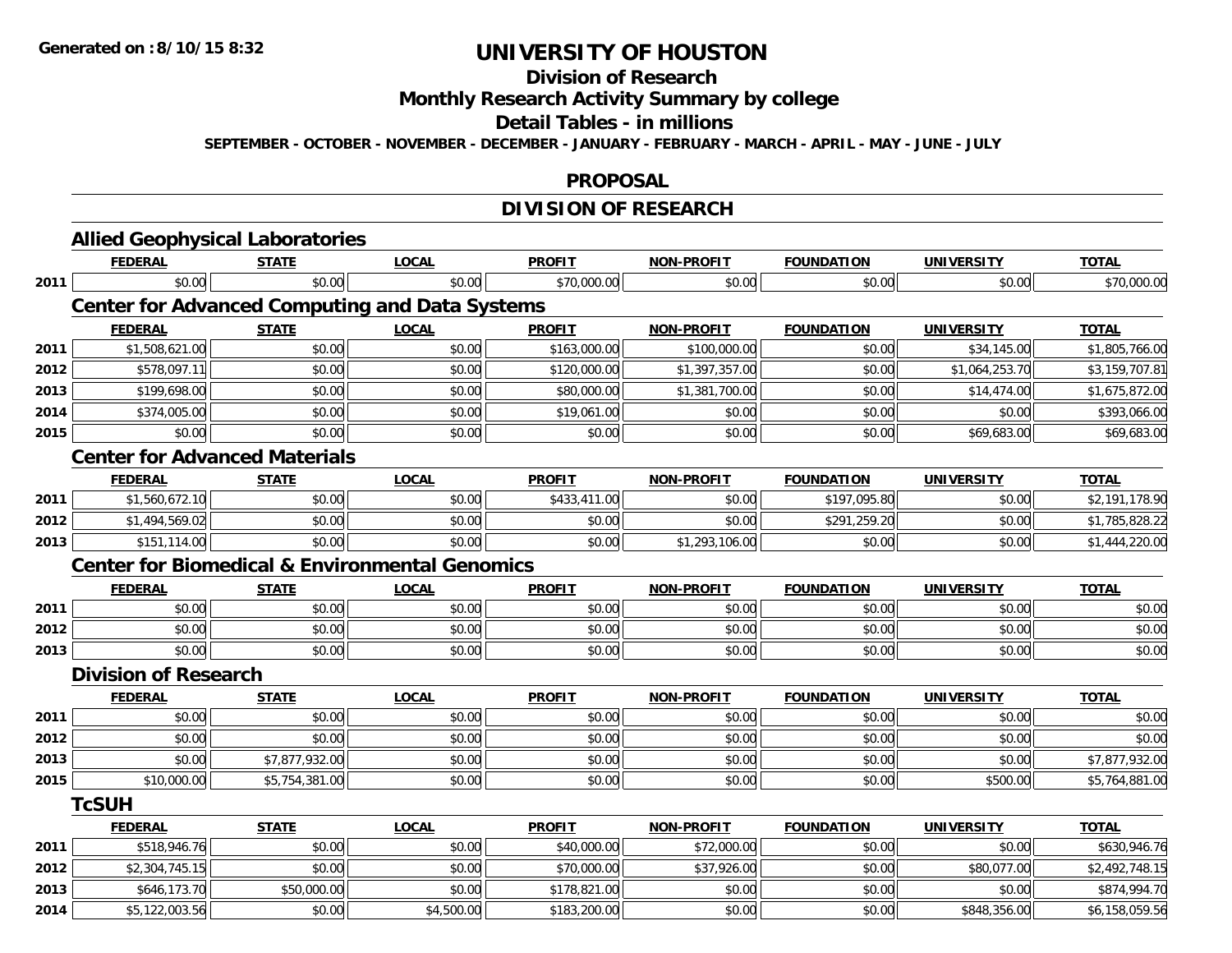## **Division of Research**

**Monthly Research Activity Summary by college**

**Detail Tables - in millions**

**SEPTEMBER - OCTOBER - NOVEMBER - DECEMBER - JANUARY - FEBRUARY - MARCH - APRIL - MAY - JUNE - JULY**

#### **PROPOSAL**

## **DIVISION OF RESEARCH**

|      | <b>Allied Geophysical Laboratories</b>                    |                |              |               |                   |                   |                   |                |
|------|-----------------------------------------------------------|----------------|--------------|---------------|-------------------|-------------------|-------------------|----------------|
|      | <b>FEDERAL</b>                                            | <b>STATE</b>   | <b>LOCAL</b> | <b>PROFIT</b> | <b>NON-PROFIT</b> | <b>FOUNDATION</b> | <b>UNIVERSITY</b> | <b>TOTAL</b>   |
| 2011 | \$0.00                                                    | \$0.00         | \$0.00       | \$70,000.00   | \$0.00            | \$0.00            | \$0.00            | \$70,000.00    |
|      | <b>Center for Advanced Computing and Data Systems</b>     |                |              |               |                   |                   |                   |                |
|      | <b>FEDERAL</b>                                            | <b>STATE</b>   | <b>LOCAL</b> | <b>PROFIT</b> | <b>NON-PROFIT</b> | <b>FOUNDATION</b> | <b>UNIVERSITY</b> | <b>TOTAL</b>   |
| 2011 | \$1,508,621.00                                            | \$0.00         | \$0.00       | \$163,000.00  | \$100,000.00      | \$0.00            | \$34,145.00       | \$1,805,766.00 |
| 2012 | \$578,097.11                                              | \$0.00         | \$0.00       | \$120,000.00  | \$1,397,357.00    | \$0.00            | \$1,064,253.70    | \$3,159,707.81 |
| 2013 | \$199,698.00                                              | \$0.00         | \$0.00       | \$80,000.00   | \$1,381,700.00    | \$0.00            | \$14,474.00       | \$1,675,872.00 |
| 2014 | \$374,005.00                                              | \$0.00         | \$0.00       | \$19,061.00   | \$0.00            | \$0.00            | \$0.00            | \$393,066.00   |
| 2015 | \$0.00                                                    | \$0.00         | \$0.00       | \$0.00        | \$0.00            | \$0.00            | \$69,683.00       | \$69,683.00    |
|      | <b>Center for Advanced Materials</b>                      |                |              |               |                   |                   |                   |                |
|      | <b>FEDERAL</b>                                            | <b>STATE</b>   | <b>LOCAL</b> | <b>PROFIT</b> | <b>NON-PROFIT</b> | <b>FOUNDATION</b> | <b>UNIVERSITY</b> | <b>TOTAL</b>   |
| 2011 | \$1,560,672.10                                            | \$0.00         | \$0.00       | \$433,411.00  | \$0.00            | \$197,095.80      | \$0.00            | \$2,191,178.90 |
| 2012 | \$1,494,569.02                                            | \$0.00         | \$0.00       | \$0.00        | \$0.00            | \$291,259.20      | \$0.00            | \$1,785,828.22 |
| 2013 | \$151,114.00                                              | \$0.00         | \$0.00       | \$0.00        | \$1,293,106.00    | \$0.00            | \$0.00            | \$1,444,220.00 |
|      | <b>Center for Biomedical &amp; Environmental Genomics</b> |                |              |               |                   |                   |                   |                |
|      | <b>FEDERAL</b>                                            | <b>STATE</b>   | <b>LOCAL</b> | <b>PROFIT</b> | <b>NON-PROFIT</b> | <b>FOUNDATION</b> | <b>UNIVERSITY</b> | <b>TOTAL</b>   |
| 2011 | \$0.00                                                    | \$0.00         | \$0.00       | \$0.00        | \$0.00            | \$0.00            | \$0.00            | \$0.00         |
| 2012 | \$0.00                                                    | \$0.00         | \$0.00       | \$0.00        | \$0.00            | \$0.00            | \$0.00            | \$0.00         |
| 2013 | \$0.00                                                    | \$0.00         | \$0.00       | \$0.00        | \$0.00            | \$0.00            | \$0.00            | \$0.00         |
|      | <b>Division of Research</b>                               |                |              |               |                   |                   |                   |                |
|      | <b>FEDERAL</b>                                            | <b>STATE</b>   | <b>LOCAL</b> | <b>PROFIT</b> | <b>NON-PROFIT</b> | <b>FOUNDATION</b> | <b>UNIVERSITY</b> | <b>TOTAL</b>   |
| 2011 | \$0.00                                                    | \$0.00         | \$0.00       | \$0.00        | \$0.00            | \$0.00            | \$0.00            | \$0.00         |
| 2012 | \$0.00                                                    | \$0.00         | \$0.00       | \$0.00        | \$0.00            | \$0.00            | \$0.00            | \$0.00         |
| 2013 | \$0.00                                                    | \$7,877,932.00 | \$0.00       | \$0.00        | \$0.00            | \$0.00            | \$0.00            | \$7,877,932.00 |
| 2015 | \$10,000.00                                               | \$5,754,381.00 | \$0.00       | \$0.00        | \$0.00            | \$0.00            | \$500.00          | \$5,764,881.00 |
|      | <b>TcSUH</b>                                              |                |              |               |                   |                   |                   |                |
|      | <b>FEDERAL</b>                                            | <b>STATE</b>   | <b>LOCAL</b> | <b>PROFIT</b> | <b>NON-PROFIT</b> | <b>FOUNDATION</b> | <b>UNIVERSITY</b> | <b>TOTAL</b>   |
| 2011 | \$518,946.76                                              | \$0.00         | \$0.00       | \$40,000.00   | \$72,000.00       | \$0.00            | \$0.00            | \$630,946.76   |
| 2012 | \$2,304,745.15                                            | \$0.00         | \$0.00       | \$70,000.00   | \$37,926.00       | \$0.00            | \$80,077.00       | \$2,492,748.15 |
| 2013 | \$646,173.70                                              | \$50,000.00    | \$0.00       | \$178,821.00  | \$0.00            | \$0.00            | \$0.00            | \$874,994.70   |
| 2014 | \$5,122,003.56                                            | \$0.00         | \$4,500.00   | \$183,200.00  | \$0.00            | \$0.00            | \$848,356.00      | \$6,158,059.56 |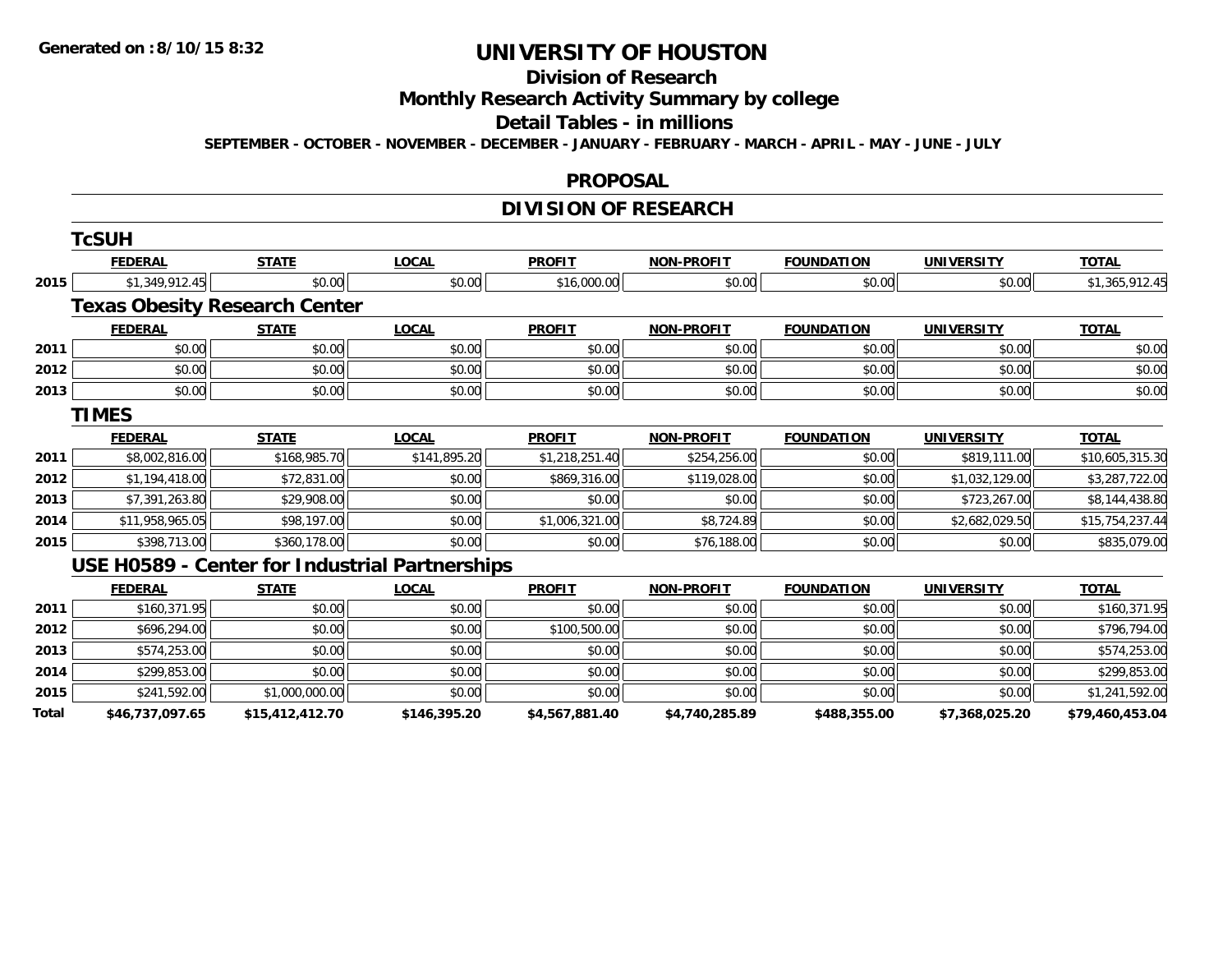#### **Division of Research**

**Monthly Research Activity Summary by college**

#### **Detail Tables - in millions**

**SEPTEMBER - OCTOBER - NOVEMBER - DECEMBER - JANUARY - FEBRUARY - MARCH - APRIL - MAY - JUNE - JULY**

#### **PROPOSAL**

## **DIVISION OF RESEARCH**

|       | <b>TcSUH</b>                         |                 |                                                |                |                   |                   |                   |                 |
|-------|--------------------------------------|-----------------|------------------------------------------------|----------------|-------------------|-------------------|-------------------|-----------------|
|       | <b>FEDERAL</b>                       | <b>STATE</b>    | <b>LOCAL</b>                                   | <b>PROFIT</b>  | <b>NON-PROFIT</b> | <b>FOUNDATION</b> | <b>UNIVERSITY</b> | <b>TOTAL</b>    |
| 2015  | \$1,349,912.45                       | \$0.00          | \$0.00                                         | \$16,000.00    | \$0.00            | \$0.00            | \$0.00            | \$1,365,912.45  |
|       | <b>Texas Obesity Research Center</b> |                 |                                                |                |                   |                   |                   |                 |
|       | <b>FEDERAL</b>                       | <b>STATE</b>    | <b>LOCAL</b>                                   | <b>PROFIT</b>  | <b>NON-PROFIT</b> | <b>FOUNDATION</b> | <b>UNIVERSITY</b> | <b>TOTAL</b>    |
| 2011  | \$0.00                               | \$0.00          | \$0.00                                         | \$0.00         | \$0.00            | \$0.00            | \$0.00            | \$0.00          |
| 2012  | \$0.00                               | \$0.00          | \$0.00                                         | \$0.00         | \$0.00            | \$0.00            | \$0.00            | \$0.00          |
| 2013  | \$0.00                               | \$0.00          | \$0.00                                         | \$0.00         | \$0.00            | \$0.00            | \$0.00            | \$0.00          |
|       | <b>TIMES</b>                         |                 |                                                |                |                   |                   |                   |                 |
|       | <b>FEDERAL</b>                       | <b>STATE</b>    | <b>LOCAL</b>                                   | <b>PROFIT</b>  | <b>NON-PROFIT</b> | <b>FOUNDATION</b> | <b>UNIVERSITY</b> | <b>TOTAL</b>    |
| 2011  | \$8,002,816.00                       | \$168,985.70    | \$141,895.20                                   | \$1,218,251.40 | \$254,256.00      | \$0.00            | \$819,111.00      | \$10,605,315.30 |
| 2012  | \$1,194,418.00                       | \$72,831.00     | \$0.00                                         | \$869,316.00   | \$119,028.00      | \$0.00            | \$1,032,129.00    | \$3,287,722.00  |
| 2013  | \$7,391,263.80                       | \$29,908.00     | \$0.00                                         | \$0.00         | \$0.00            | \$0.00            | \$723,267.00      | \$8,144,438.80  |
| 2014  | \$11,958,965.05                      | \$98,197.00     | \$0.00                                         | \$1,006,321.00 | \$8,724.89        | \$0.00            | \$2,682,029.50    | \$15,754,237.44 |
| 2015  | \$398,713.00                         | \$360,178.00    | \$0.00                                         | \$0.00         | \$76,188.00       | \$0.00            | \$0.00            | \$835,079.00    |
|       |                                      |                 | USE H0589 - Center for Industrial Partnerships |                |                   |                   |                   |                 |
|       | <b>FEDERAL</b>                       | <b>STATE</b>    | <b>LOCAL</b>                                   | <b>PROFIT</b>  | <b>NON-PROFIT</b> | <b>FOUNDATION</b> | <b>UNIVERSITY</b> | <b>TOTAL</b>    |
| 2011  | \$160,371.95                         | \$0.00          | \$0.00                                         | \$0.00         | \$0.00            | \$0.00            | \$0.00            | \$160,371.95    |
| 2012  | \$696,294.00                         | \$0.00          | \$0.00                                         | \$100,500.00   | \$0.00            | \$0.00            | \$0.00            | \$796,794.00    |
| 2013  | \$574,253.00                         | \$0.00          | \$0.00                                         | \$0.00         | \$0.00            | \$0.00            | \$0.00            | \$574,253.00    |
| 2014  | \$299,853.00                         | \$0.00          | \$0.00                                         | \$0.00         | \$0.00            | \$0.00            | \$0.00            | \$299,853.00    |
| 2015  | \$241,592.00                         | \$1,000,000.00  | \$0.00                                         | \$0.00         | \$0.00            | \$0.00            | \$0.00            | \$1,241,592.00  |
| Total | \$46,737,097.65                      | \$15,412,412.70 | \$146,395.20                                   | \$4,567,881.40 | \$4,740,285.89    | \$488,355.00      | \$7,368,025.20    | \$79,460,453.04 |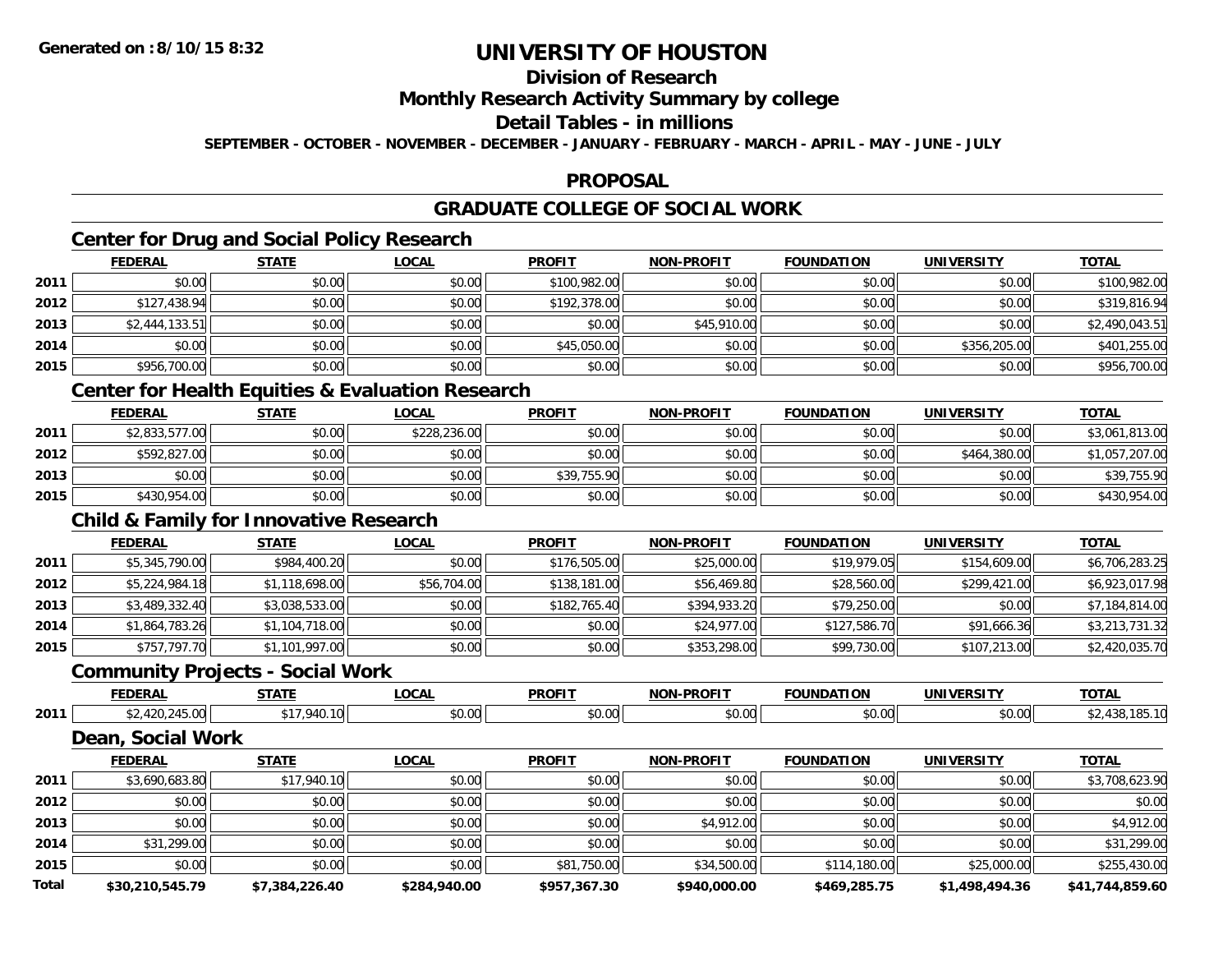## **Division of Research**

### **Monthly Research Activity Summary by college**

### **Detail Tables - in millions**

**SEPTEMBER - OCTOBER - NOVEMBER - DECEMBER - JANUARY - FEBRUARY - MARCH - APRIL - MAY - JUNE - JULY**

## **PROPOSAL**

## **GRADUATE COLLEGE OF SOCIAL WORK**

## **Center for Drug and Social Policy Research**

|      | <b>FEDERAL</b> | <b>STATE</b> | <b>LOCAL</b> | <b>PROFIT</b> | <b>NON-PROFIT</b> | <b>FOUNDATION</b> | <b>UNIVERSITY</b> | <b>TOTAL</b>   |
|------|----------------|--------------|--------------|---------------|-------------------|-------------------|-------------------|----------------|
| 2011 | \$0.00         | \$0.00       | \$0.00       | \$100,982.00  | \$0.00            | \$0.00            | \$0.00            | \$100,982.00   |
| 2012 | \$127,438.94   | \$0.00       | \$0.00       | \$192,378.00  | \$0.00            | \$0.00            | \$0.00            | \$319,816.94   |
| 2013 | \$2,444,133.51 | \$0.00       | \$0.00       | \$0.00        | \$45,910.00       | \$0.00            | \$0.00            | \$2,490,043.51 |
| 2014 | \$0.00         | \$0.00       | \$0.00       | \$45,050.00   | \$0.00            | \$0.00            | \$356,205.00      | \$401,255.00   |
| 2015 | \$956,700.00   | \$0.00       | \$0.00       | \$0.00        | \$0.00            | \$0.00            | \$0.00            | \$956,700.00   |

### **Center for Health Equities & Evaluation Research**

|      | <b>FEDERAL</b> | <b>STATE</b> | <u>LOCAL</u> | <b>PROFIT</b> | <b>NON-PROFIT</b> | <b>FOUNDATION</b> | UNIVERSITY   | <b>TOTAL</b>   |
|------|----------------|--------------|--------------|---------------|-------------------|-------------------|--------------|----------------|
| 2011 | \$2,833,577.00 | \$0.00       | \$228,236.00 | \$0.00        | \$0.00            | \$0.00            | \$0.00       | \$3,061,813.00 |
| 2012 | \$592,827.00   | \$0.00       | \$0.00       | \$0.00        | \$0.00            | \$0.00            | \$464,380.00 | \$1,057,207.00 |
| 2013 | \$0.00         | \$0.00       | \$0.00       | \$39,755.90   | \$0.00            | \$0.00            | \$0.00       | \$39,755.90    |
| 2015 | \$430,954.00   | \$0.00       | \$0.00       | \$0.00        | \$0.00            | \$0.00            | \$0.00       | \$430,954.00   |

## **Child & Family for Innovative Research**

|      | <b>FEDERAL</b> | <b>STATE</b>   | <b>LOCAL</b> | <b>PROFIT</b> | <b>NON-PROFIT</b> | <b>FOUNDATION</b> | <b>UNIVERSITY</b> | <b>TOTAL</b>   |
|------|----------------|----------------|--------------|---------------|-------------------|-------------------|-------------------|----------------|
| 2011 | \$5,345,790.00 | \$984,400.20   | \$0.00       | \$176,505.00  | \$25,000.00       | \$19,979.05       | \$154,609.00      | \$6,706,283.25 |
| 2012 | \$5,224,984.18 | \$1,118,698.00 | \$56,704.00  | \$138,181.00  | \$56,469.80       | \$28,560.00       | \$299,421.00      | \$6,923,017.98 |
| 2013 | \$3,489,332.40 | \$3,038,533.00 | \$0.00       | \$182,765.40  | \$394,933.20      | \$79,250.00       | \$0.00            | \$7,184,814.00 |
| 2014 | \$1,864,783.26 | \$1,104,718.00 | \$0.00       | \$0.00        | \$24,977.00       | \$127,586.70      | \$91,666.36       | \$3,213,731.32 |
| 2015 | \$757,797.70   | \$1,101,997.00 | \$0.00       | \$0.00        | \$353,298.00      | \$99,730.00       | \$107,213.00      | \$2,420,035.70 |

## **Community Projects - Social Work**

|      | <b>FEDERAL</b>                                        | 0 T A T F<br>,,,,,, | <b>OCAL</b>           | <b>PROFIT</b>      | <b>DDOFIT</b><br><b>NIONI</b> | <b>INDA</b><br>nor                                   | HNIVE<br>$\ldots$ ne $-$ | <b>TOTAL</b> |
|------|-------------------------------------------------------|---------------------|-----------------------|--------------------|-------------------------------|------------------------------------------------------|--------------------------|--------------|
| 2011 | $\sim$ $\sim$<br>$\overline{\phantom{0}}$<br>$\ldots$ | $\sim$ $\sim$       | $\sim$ $\sim$<br>ט.טע | $\sim$ 00<br>וטטוע | \$0.00                        | $\mathbf{A} \cap \mathbf{A} \cap \mathbf{A}$<br>wu.c | $\sim$ 00<br>DU.U¢       | . ٥٥٠        |

### **Dean, Social Work**

|              | <b>FEDERAL</b>  | <b>STATE</b>   | <u>LOCAL</u> | <b>PROFIT</b> | <b>NON-PROFIT</b> | <b>FOUNDATION</b> | <b>UNIVERSITY</b> | <b>TOTAL</b>    |
|--------------|-----------------|----------------|--------------|---------------|-------------------|-------------------|-------------------|-----------------|
| 2011         | \$3,690,683.80  | \$17,940.10    | \$0.00       | \$0.00        | \$0.00            | \$0.00            | \$0.00            | \$3,708,623.90  |
| 2012         | \$0.00          | \$0.00         | \$0.00       | \$0.00        | \$0.00            | \$0.00            | \$0.00            | \$0.00          |
| 2013         | \$0.00          | \$0.00         | \$0.00       | \$0.00        | \$4,912.00        | \$0.00            | \$0.00            | \$4,912.00      |
| 2014         | \$31,299.00     | \$0.00         | \$0.00       | \$0.00        | \$0.00            | \$0.00            | \$0.00            | \$31,299.00     |
| 2015         | \$0.00          | \$0.00         | \$0.00       | \$81,750.00   | \$34,500.00       | \$114,180.00      | \$25,000.00       | \$255,430.00    |
| <b>Total</b> | \$30,210,545.79 | \$7.384.226.40 | \$284,940.00 | \$957,367.30  | \$940,000.00      | \$469,285.75      | \$1,498,494.36    | \$41,744,859.60 |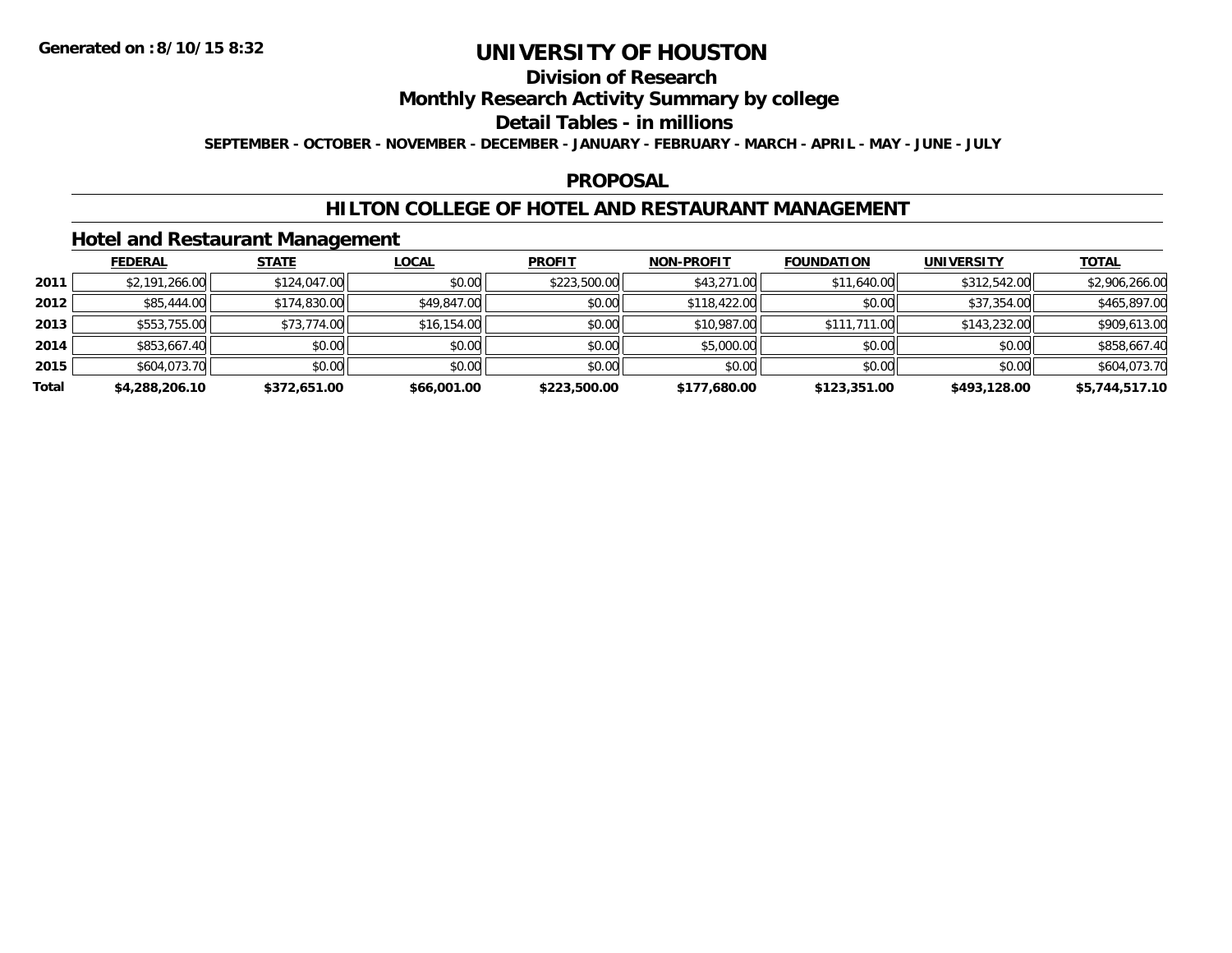## **Division of Research**

### **Monthly Research Activity Summary by college**

#### **Detail Tables - in millions**

**SEPTEMBER - OCTOBER - NOVEMBER - DECEMBER - JANUARY - FEBRUARY - MARCH - APRIL - MAY - JUNE - JULY**

### **PROPOSAL**

### **HILTON COLLEGE OF HOTEL AND RESTAURANT MANAGEMENT**

### **Hotel and Restaurant Management**

|       | <b>FEDERAL</b> | <b>STATE</b> | <u>LOCAL</u> | <b>PROFIT</b> | <b>NON-PROFIT</b> | <b>FOUNDATION</b> | <b>UNIVERSITY</b> | <b>TOTAL</b>   |
|-------|----------------|--------------|--------------|---------------|-------------------|-------------------|-------------------|----------------|
| 2011  | \$2,191,266.00 | \$124,047.00 | \$0.00       | \$223,500.00  | \$43,271.00       | \$11,640.00       | \$312,542.00      | \$2,906,266.00 |
| 2012  | \$85,444.00    | \$174,830.00 | \$49,847.00  | \$0.00        | \$118,422.00      | \$0.00            | \$37,354.00       | \$465,897.00   |
| 2013  | \$553,755.00   | \$73,774.00  | \$16,154.00  | \$0.00        | \$10,987.00       | \$111,711.00      | \$143,232.00      | \$909,613.00   |
| 2014  | \$853,667.40   | \$0.00       | \$0.00       | \$0.00        | \$5,000.00        | \$0.00            | \$0.00            | \$858,667.40   |
| 2015  | \$604,073.70   | \$0.00       | \$0.00       | \$0.00        | \$0.00            | \$0.00            | \$0.00            | \$604,073.70   |
| Total | \$4,288,206.10 | \$372,651.00 | \$66,001.00  | \$223,500.00  | \$177,680.00      | \$123,351.00      | \$493,128.00      | \$5,744,517.10 |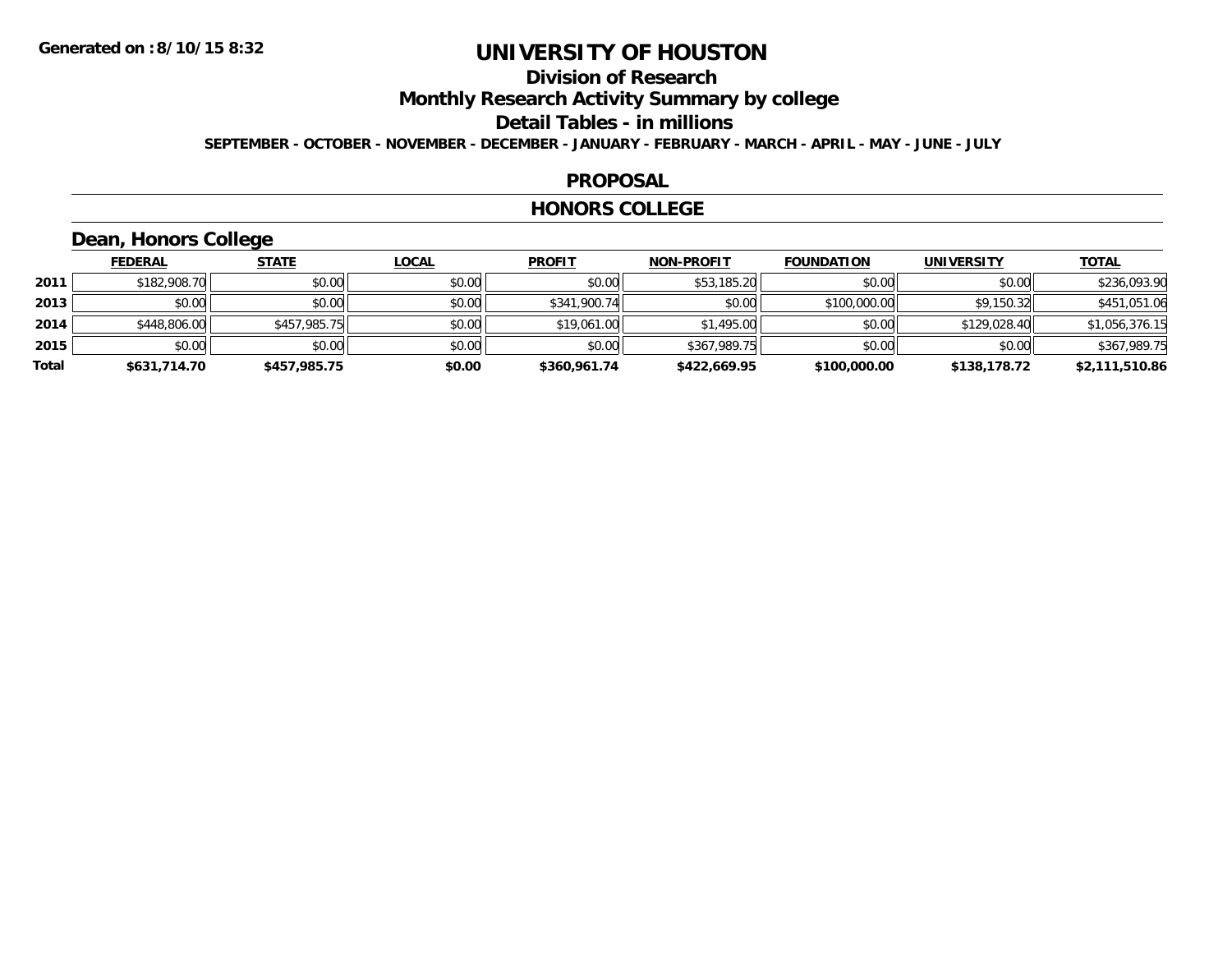## **Division of Research**

**Monthly Research Activity Summary by college**

**Detail Tables - in millions**

**SEPTEMBER - OCTOBER - NOVEMBER - DECEMBER - JANUARY - FEBRUARY - MARCH - APRIL - MAY - JUNE - JULY**

### **PROPOSAL**

#### **HONORS COLLEGE**

## **Dean, Honors College**

|       | <b>FEDERAL</b> | <b>STATE</b> | <b>LOCAL</b> | <b>PROFIT</b> | <b>NON-PROFIT</b> | <b>FOUNDATION</b> | <b>UNIVERSITY</b> | <b>TOTAL</b>   |
|-------|----------------|--------------|--------------|---------------|-------------------|-------------------|-------------------|----------------|
| 2011  | \$182,908.70   | \$0.00       | \$0.00       | \$0.00        | \$53,185.20       | \$0.00            | \$0.00            | \$236,093.90   |
| 2013  | \$0.00         | \$0.00       | \$0.00       | \$341,900.74  | \$0.00            | \$100,000.00      | \$9,150.32        | \$451,051.06   |
| 2014  | \$448,806.00   | \$457,985.75 | \$0.00       | \$19,061.00   | \$1,495.00        | \$0.00            | \$129,028.40      | \$1,056,376.15 |
| 2015  | \$0.00         | \$0.00       | \$0.00       | \$0.00        | \$367,989.75      | \$0.00            | \$0.00            | \$367,989.75   |
| Total | \$631,714.70   | \$457,985.75 | \$0.00       | \$360,961.74  | \$422,669.95      | \$100,000.00      | \$138,178.72      | \$2,111,510.86 |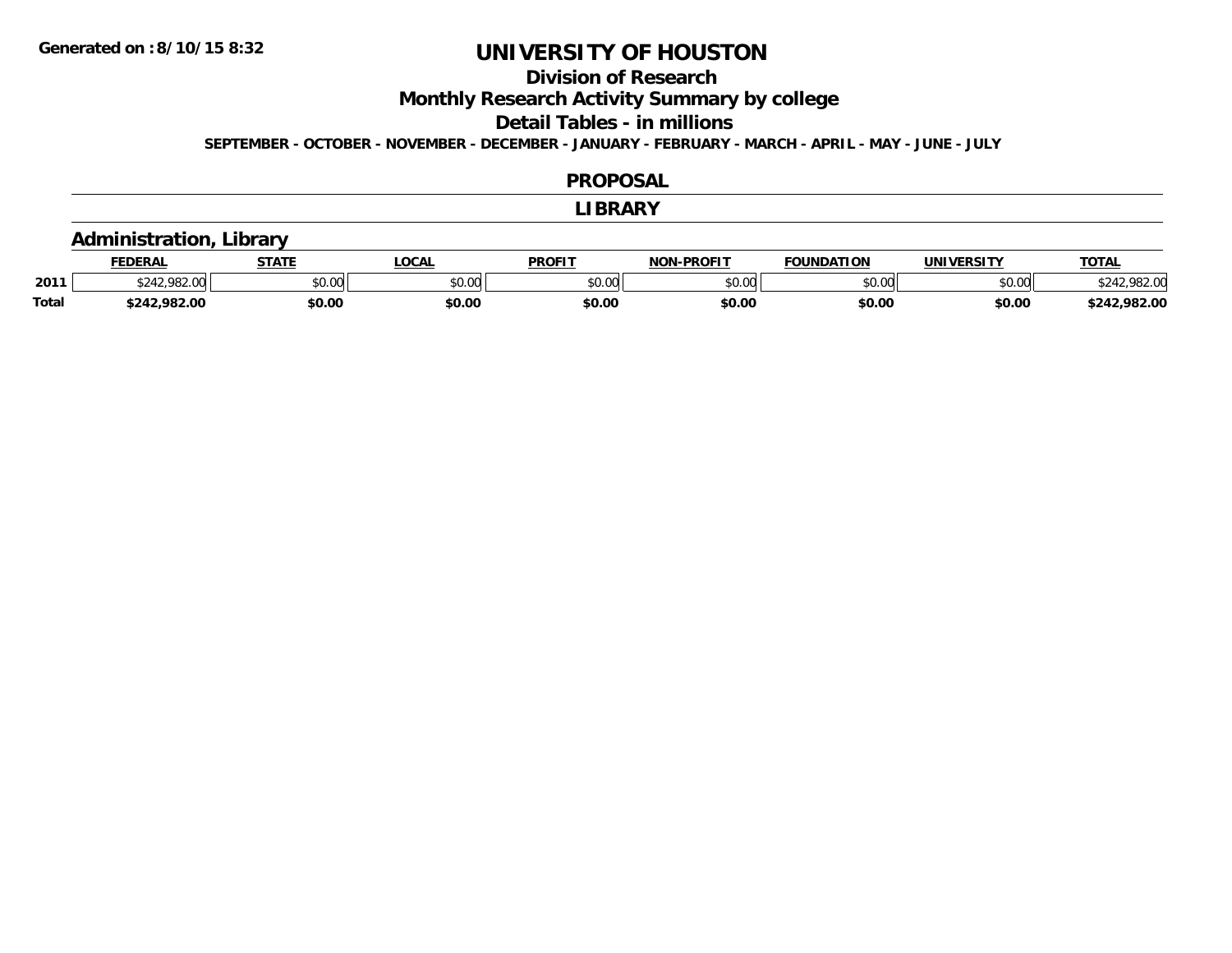## **Division of Research**

**Monthly Research Activity Summary by college**

**Detail Tables - in millions**

**SEPTEMBER - OCTOBER - NOVEMBER - DECEMBER - JANUARY - FEBRUARY - MARCH - APRIL - MAY - JUNE - JULY**

#### **PROPOSAL**

#### **LIBRARY**

### **Administration, Library**

|              | <b>FEDERAL</b> | <b>STATE</b> | <b>OCAL</b> | <b>PROFIT</b> | <b>DDAFIT</b><br><b>NON</b> | <b>FOUNDATION</b> | UNIVERSITY | <b>TOTAL</b>      |
|--------------|----------------|--------------|-------------|---------------|-----------------------------|-------------------|------------|-------------------|
| 2011         |                | \$0.00       | vv.vv       | 0000<br>JU.UL | ስ ለሰ<br>pu.uu               | \$0.00            | \$0.00     |                   |
| <b>Total</b> | 982.00         | \$0.00       | \$0.00      | \$0.00        | \$0.00                      | \$0.00            | \$0.00     | ,982.00<br>69.A 2 |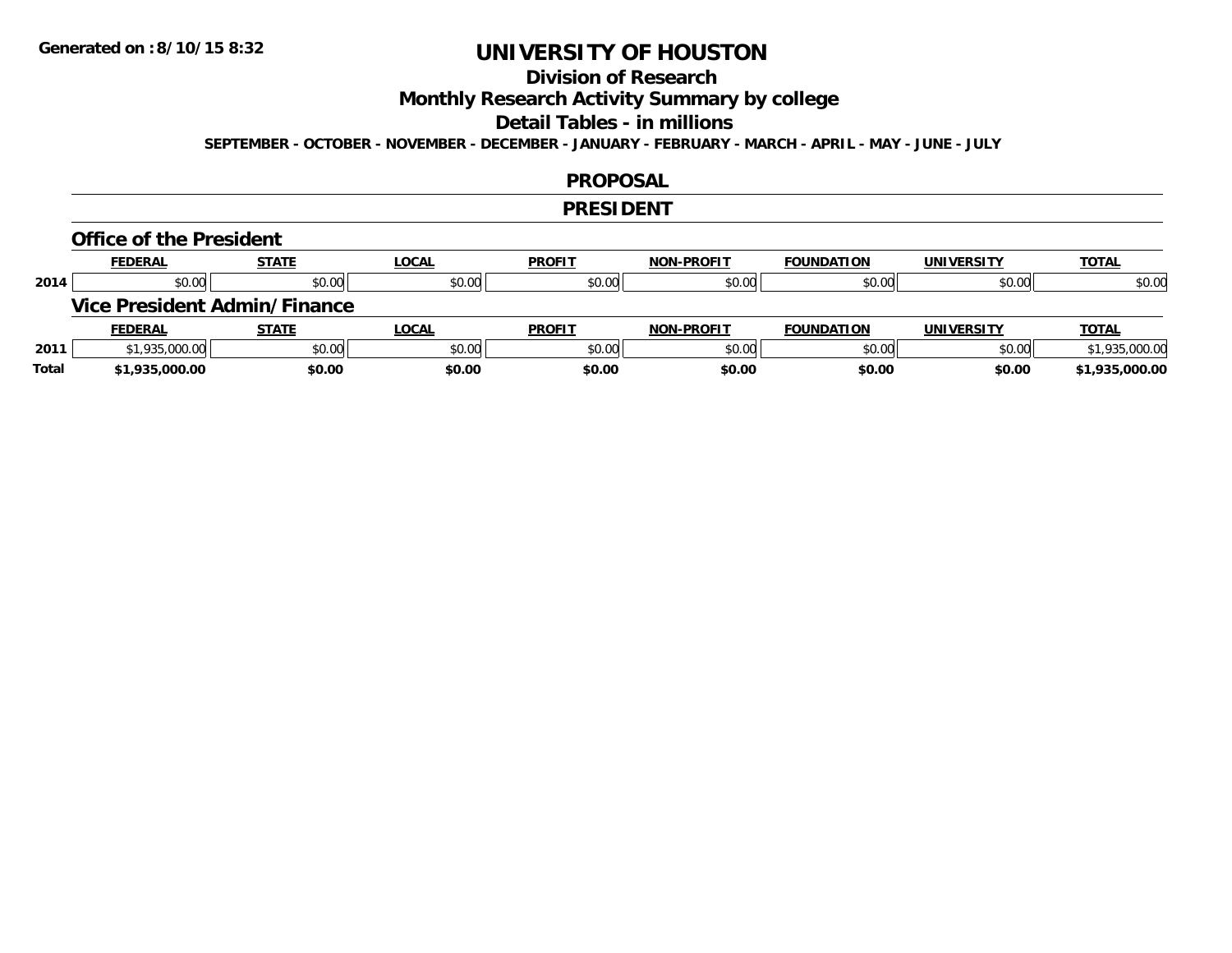## **Division of Research**

**Monthly Research Activity Summary by college**

#### **Detail Tables - in millions**

**SEPTEMBER - OCTOBER - NOVEMBER - DECEMBER - JANUARY - FEBRUARY - MARCH - APRIL - MAY - JUNE - JULY**

#### **PROPOSAL**

#### **PRESIDENT**

#### **Office of the President**

|      | <b>FEDERAL</b>                      | <b>STATE</b> | <u>LOCAL</u> | <b>PROFIT</b> | <b>NON-PROFIT</b> | <b>FOUNDATION</b> | <b>UNIVERSITY</b> | <b>TOTAL</b>   |
|------|-------------------------------------|--------------|--------------|---------------|-------------------|-------------------|-------------------|----------------|
| 2014 | \$0.00                              | \$0.00       | \$0.00       | \$0.00        | \$0.00            | \$0.00            | \$0.00            | \$0.00         |
|      | <b>Vice President Admin/Finance</b> |              |              |               |                   |                   |                   |                |
|      |                                     |              |              |               |                   |                   |                   |                |
|      | <b>FEDERAL</b>                      | <u>STATE</u> | <u>LOCAL</u> | <b>PROFIT</b> | <b>NON-PROFIT</b> | <b>FOUNDATION</b> | <b>UNIVERSITY</b> | <b>TOTAL</b>   |
| 2011 | \$1,935,000.00                      | \$0.00       | \$0.00       | \$0.00        | \$0.00            | \$0.00            | \$0.00            | \$1,935,000.00 |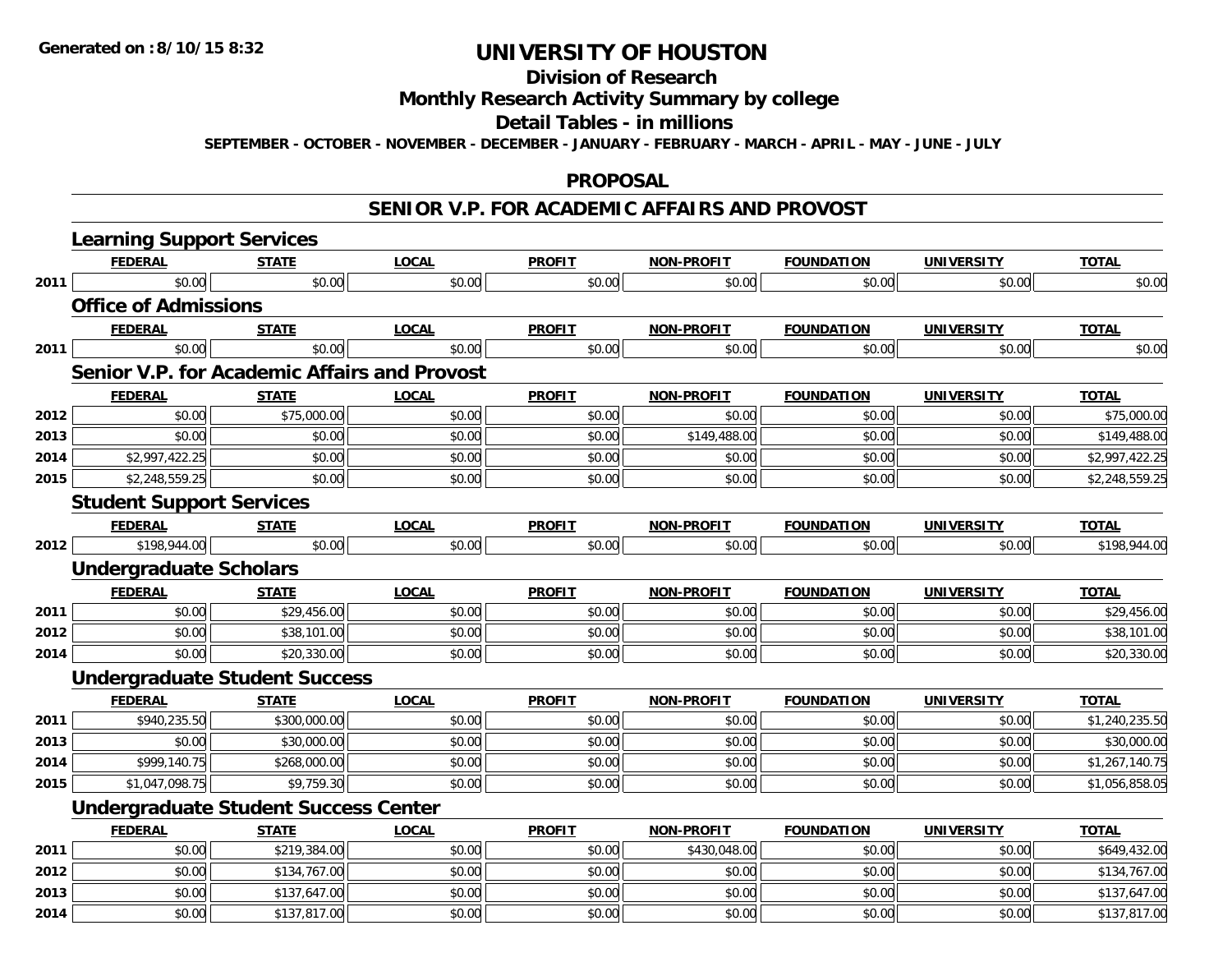## **Division of Research**

## **Monthly Research Activity Summary by college**

#### **Detail Tables - in millions**

**SEPTEMBER - OCTOBER - NOVEMBER - DECEMBER - JANUARY - FEBRUARY - MARCH - APRIL - MAY - JUNE - JULY**

#### **PROPOSAL**

### **SENIOR V.P. FOR ACADEMIC AFFAIRS AND PROVOST**

|      | <b>Learning Support Services</b>             |              |              |               |                   |                   |                   |                |
|------|----------------------------------------------|--------------|--------------|---------------|-------------------|-------------------|-------------------|----------------|
|      | <b>FEDERAL</b>                               | <b>STATE</b> | <b>LOCAL</b> | <b>PROFIT</b> | <b>NON-PROFIT</b> | <b>FOUNDATION</b> | <b>UNIVERSITY</b> | <b>TOTAL</b>   |
| 2011 | \$0.00                                       | \$0.00       | \$0.00       | \$0.00        | \$0.00            | \$0.00            | \$0.00            | \$0.00         |
|      | <b>Office of Admissions</b>                  |              |              |               |                   |                   |                   |                |
|      | <b>FEDERAL</b>                               | <b>STATE</b> | <b>LOCAL</b> | <b>PROFIT</b> | <b>NON-PROFIT</b> | <b>FOUNDATION</b> | <b>UNIVERSITY</b> | <b>TOTAL</b>   |
| 2011 | \$0.00                                       | \$0.00       | \$0.00       | \$0.00        | \$0.00            | \$0.00            | \$0.00            | \$0.00         |
|      | Senior V.P. for Academic Affairs and Provost |              |              |               |                   |                   |                   |                |
|      | <b>FEDERAL</b>                               | <b>STATE</b> | <b>LOCAL</b> | <b>PROFIT</b> | <b>NON-PROFIT</b> | <b>FOUNDATION</b> | <b>UNIVERSITY</b> | <b>TOTAL</b>   |
| 2012 | \$0.00                                       | \$75,000.00  | \$0.00       | \$0.00        | \$0.00            | \$0.00            | \$0.00            | \$75,000.00    |
| 2013 | \$0.00                                       | \$0.00       | \$0.00       | \$0.00        | \$149,488.00      | \$0.00            | \$0.00            | \$149,488.00   |
| 2014 | \$2,997,422.25                               | \$0.00       | \$0.00       | \$0.00        | \$0.00            | \$0.00            | \$0.00            | \$2,997,422.25 |
| 2015 | \$2,248,559.25                               | \$0.00       | \$0.00       | \$0.00        | \$0.00            | \$0.00            | \$0.00            | \$2,248,559.25 |
|      | <b>Student Support Services</b>              |              |              |               |                   |                   |                   |                |
|      | <b>FEDERAL</b>                               | <b>STATE</b> | <b>LOCAL</b> | <b>PROFIT</b> | <b>NON-PROFIT</b> | <b>FOUNDATION</b> | <b>UNIVERSITY</b> | <b>TOTAL</b>   |
| 2012 | \$198,944.00                                 | \$0.00       | \$0.00       | \$0.00        | \$0.00            | \$0.00            | \$0.00            | \$198,944.00   |
|      | <b>Undergraduate Scholars</b>                |              |              |               |                   |                   |                   |                |
|      | <b>FEDERAL</b>                               | <b>STATE</b> | <b>LOCAL</b> | <b>PROFIT</b> | <b>NON-PROFIT</b> | <b>FOUNDATION</b> | <b>UNIVERSITY</b> | <b>TOTAL</b>   |
| 2011 | \$0.00                                       | \$29,456.00  | \$0.00       | \$0.00        | \$0.00            | \$0.00            | \$0.00            | \$29,456.00    |
| 2012 | \$0.00                                       | \$38,101.00  | \$0.00       | \$0.00        | \$0.00            | \$0.00            | \$0.00            | \$38,101.00    |
| 2014 | \$0.00                                       | \$20,330.00  | \$0.00       | \$0.00        | \$0.00            | \$0.00            | \$0.00            | \$20,330.00    |
|      | <b>Undergraduate Student Success</b>         |              |              |               |                   |                   |                   |                |
|      | <b>FEDERAL</b>                               | <b>STATE</b> | <b>LOCAL</b> | <b>PROFIT</b> | <b>NON-PROFIT</b> | <b>FOUNDATION</b> | <b>UNIVERSITY</b> | <b>TOTAL</b>   |
| 2011 | \$940,235.50                                 | \$300,000.00 | \$0.00       | \$0.00        | \$0.00            | \$0.00            | \$0.00            | \$1,240,235.50 |
| 2013 | \$0.00                                       | \$30,000.00  | \$0.00       | \$0.00        | \$0.00            | \$0.00            | \$0.00            | \$30,000.00    |
| 2014 | \$999,140.75                                 | \$268,000.00 | \$0.00       | \$0.00        | \$0.00            | \$0.00            | \$0.00            | \$1,267,140.75 |
| 2015 | \$1,047,098.75                               | \$9,759.30   | \$0.00       | \$0.00        | \$0.00            | \$0.00            | \$0.00            | \$1,056,858.05 |
|      | <b>Undergraduate Student Success Center</b>  |              |              |               |                   |                   |                   |                |
|      | <b>FEDERAL</b>                               | <b>STATE</b> | <b>LOCAL</b> | <b>PROFIT</b> | <b>NON-PROFIT</b> | <b>FOUNDATION</b> | <b>UNIVERSITY</b> | <b>TOTAL</b>   |
| 2011 | \$0.00                                       | \$219,384.00 | \$0.00       | \$0.00        | \$430,048.00      | \$0.00            | \$0.00            | \$649,432.00   |
| 2012 | \$0.00                                       | \$134,767.00 | \$0.00       | \$0.00        | \$0.00            | \$0.00            | \$0.00            | \$134,767.00   |
| 2013 | \$0.00                                       | \$137,647.00 | \$0.00       | \$0.00        | \$0.00            | \$0.00            | \$0.00            | \$137,647.00   |
| 2014 | \$0.00                                       | \$137,817.00 | \$0.00       | \$0.00        | \$0.00            | \$0.00            | \$0.00            | \$137,817.00   |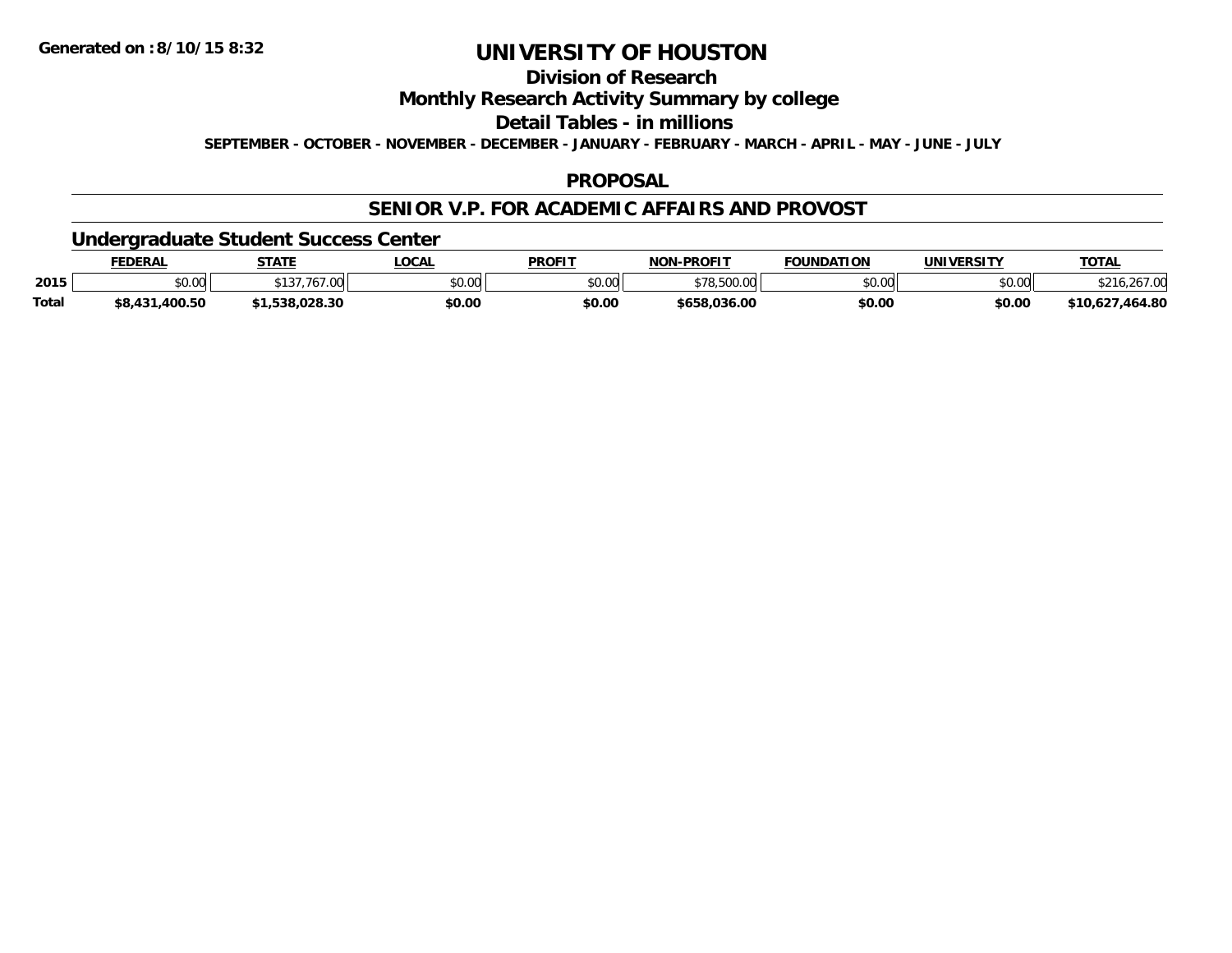## **Division of Research**

**Monthly Research Activity Summary by college**

**Detail Tables - in millions**

**SEPTEMBER - OCTOBER - NOVEMBER - DECEMBER - JANUARY - FEBRUARY - MARCH - APRIL - MAY - JUNE - JULY**

### **PROPOSAL**

### **SENIOR V.P. FOR ACADEMIC AFFAIRS AND PROVOST**

**Undergraduate Student Success Center**

|       | <b>FEDERAL</b>      | <b>STATE</b> | LOCAL  | <b>PROFIT</b>   | <b>NON-PROFIT</b> | <b>FOUNDATION</b> | UNIVERSITY | <b>TOTAL</b>      |
|-------|---------------------|--------------|--------|-----------------|-------------------|-------------------|------------|-------------------|
| 2015  | \$0.00              | $\cap$<br>w  | \$0.00 | mn n¢<br>DU. UU | 500.00            | \$0.00            | \$0.00     |                   |
| Total | .400.50<br>\$8.431. | .538.028.30  | \$0.00 | \$0.00          | \$658.036.00      | \$0.00            | \$0.00     | ,464.80<br>،10,62 |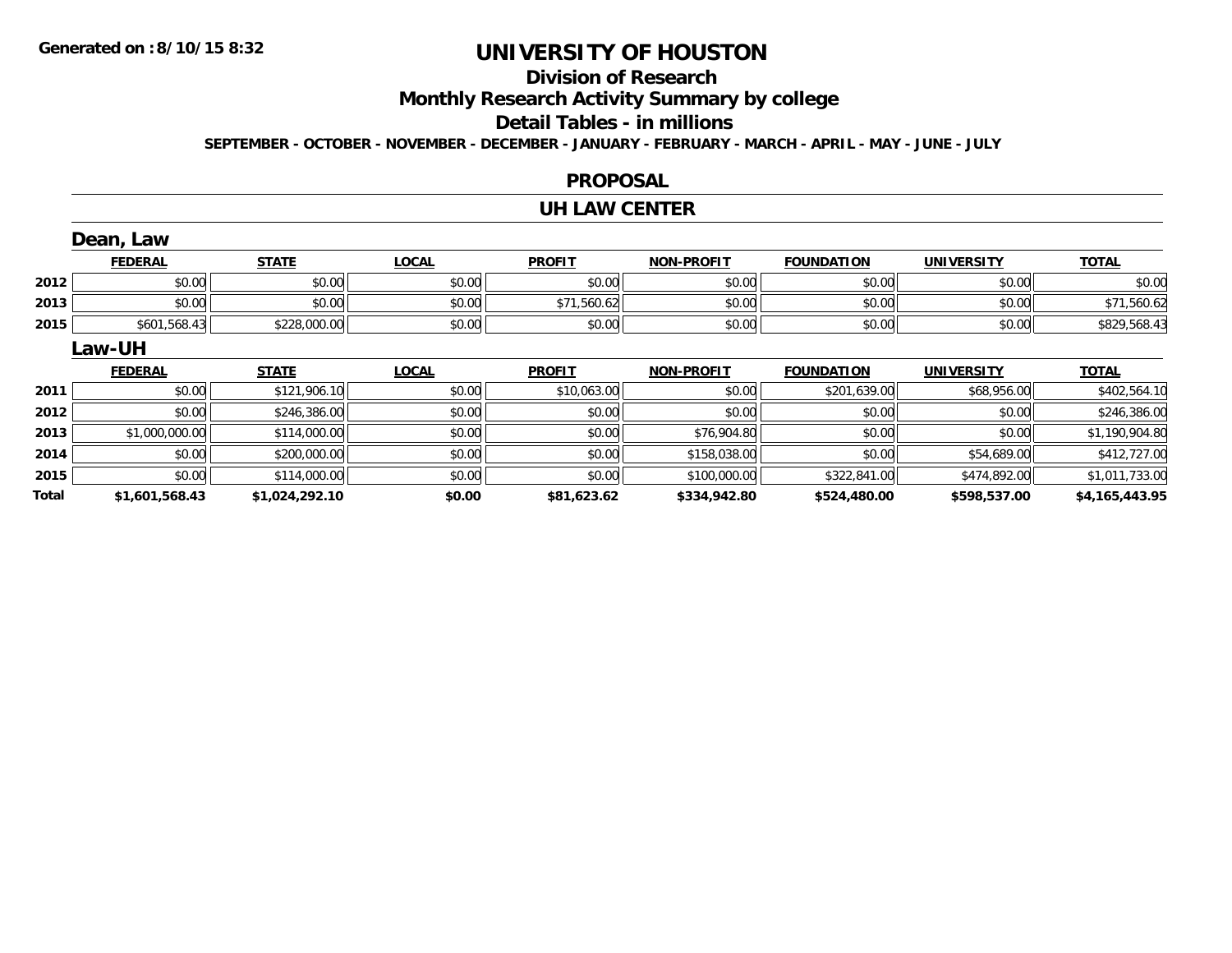## **Division of Research**

**Monthly Research Activity Summary by college**

#### **Detail Tables - in millions**

**SEPTEMBER - OCTOBER - NOVEMBER - DECEMBER - JANUARY - FEBRUARY - MARCH - APRIL - MAY - JUNE - JULY**

### **PROPOSAL**

#### **UH LAW CENTER**

|       | Dean, Law      |                |              |               |                   |                   |                   |                |
|-------|----------------|----------------|--------------|---------------|-------------------|-------------------|-------------------|----------------|
|       | <b>FEDERAL</b> | <b>STATE</b>   | <b>LOCAL</b> | <b>PROFIT</b> | <b>NON-PROFIT</b> | <b>FOUNDATION</b> | <b>UNIVERSITY</b> | <b>TOTAL</b>   |
| 2012  | \$0.00         | \$0.00         | \$0.00       | \$0.00        | \$0.00            | \$0.00            | \$0.00            | \$0.00         |
| 2013  | \$0.00         | \$0.00         | \$0.00       | \$71,560.62   | \$0.00            | \$0.00            | \$0.00            | \$71,560.62    |
| 2015  | \$601,568.43   | \$228,000.00   | \$0.00       | \$0.00        | \$0.00            | \$0.00            | \$0.00            | \$829,568.43   |
|       | Law-UH         |                |              |               |                   |                   |                   |                |
|       | <b>FEDERAL</b> | <b>STATE</b>   | <b>LOCAL</b> | <b>PROFIT</b> | <b>NON-PROFIT</b> | <b>FOUNDATION</b> | <b>UNIVERSITY</b> | <b>TOTAL</b>   |
| 2011  | \$0.00         | \$121,906.10   | \$0.00       | \$10,063.00   | \$0.00            | \$201,639.00      | \$68,956.00       | \$402,564.10   |
| 2012  | \$0.00         | \$246,386.00   | \$0.00       | \$0.00        | \$0.00            | \$0.00            | \$0.00            | \$246,386.00   |
| 2013  | \$1,000,000.00 | \$114,000.00   | \$0.00       | \$0.00        | \$76,904.80       | \$0.00            | \$0.00            | \$1,190,904.80 |
| 2014  | \$0.00         | \$200,000.00   | \$0.00       | \$0.00        | \$158,038.00      | \$0.00            | \$54,689.00       | \$412,727.00   |
| 2015  | \$0.00         | \$114,000.00   | \$0.00       | \$0.00        | \$100,000.00      | \$322,841.00      | \$474,892.00      | \$1,011,733.00 |
| Total | \$1,601,568.43 | \$1,024,292.10 | \$0.00       | \$81,623.62   | \$334,942.80      | \$524,480.00      | \$598,537.00      | \$4,165,443.95 |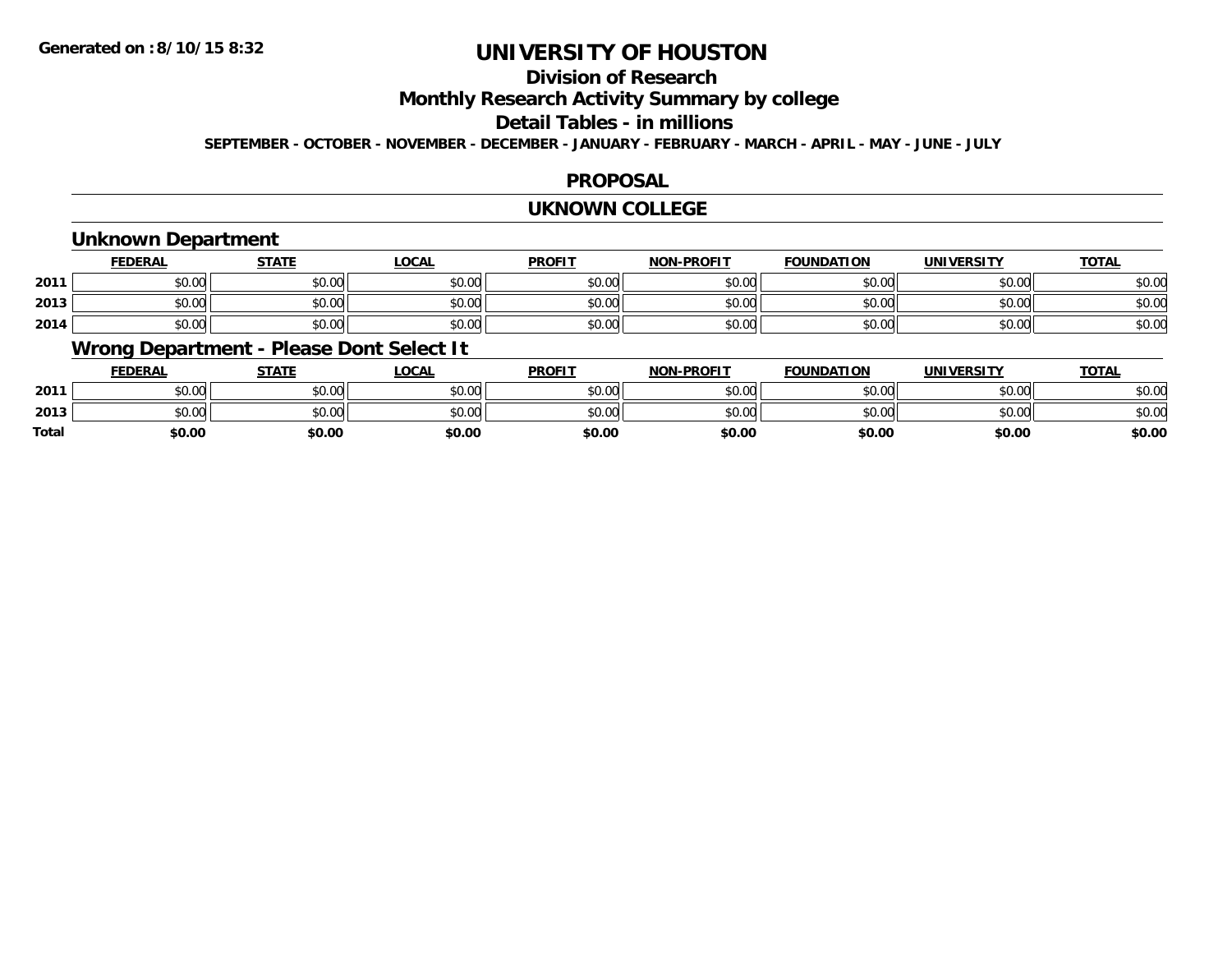## **Division of Research**

**Monthly Research Activity Summary by college**

#### **Detail Tables - in millions**

**SEPTEMBER - OCTOBER - NOVEMBER - DECEMBER - JANUARY - FEBRUARY - MARCH - APRIL - MAY - JUNE - JULY**

### **PROPOSAL**

#### **UKNOWN COLLEGE**

### **Unknown Department**

|      | <u>FEDERAL</u> | <b>STATE</b> | <u>LOCAL</u> | <b>PROFIT</b> | MONLDDOELT<br>'NUI | <b>FOUNDATION</b> | <b>UNIVERSITY</b> | <b>TOTAL</b> |
|------|----------------|--------------|--------------|---------------|--------------------|-------------------|-------------------|--------------|
| 2011 | \$0.00         | \$0.00       | \$0.00       | \$0.00        | \$0.00             | \$0.00            | \$0.00            | \$0.00       |
| 2013 | \$0.00         | \$0.00       | \$0.00       | \$0.00        | \$0.00             | \$0.00            | \$0.00            | \$0.00       |
| 2014 | \$0.00         | \$0.00       | \$0.00       | \$0.00        | \$0.00             | \$0.00            | \$0.00            | \$0.00       |

## **Wrong Department - Please Dont Select It**

|              | <b>FEDERAL</b> | <b>STATE</b> | <u>LOCAL</u> | <b>PROFIT</b> | <b>NON-PROFIT</b> | <b>FOUNDATION</b> | <b>UNIVERSITY</b> | <u>TOTAL</u> |
|--------------|----------------|--------------|--------------|---------------|-------------------|-------------------|-------------------|--------------|
| 2011         | \$0.00         | \$0.00       | \$0.00       | \$0.00        | \$0.00            | \$0.00            | \$0.00            | \$0.00       |
| 2013         | \$0.00         | \$0.00       | \$0.00       | \$0.00        | \$0.00            | \$0.00            | \$0.00            | \$0.00       |
| <b>Total</b> | \$0.00         | \$0.00       | \$0.00       | \$0.00        | \$0.00            | \$0.00            | \$0.00            | \$0.00       |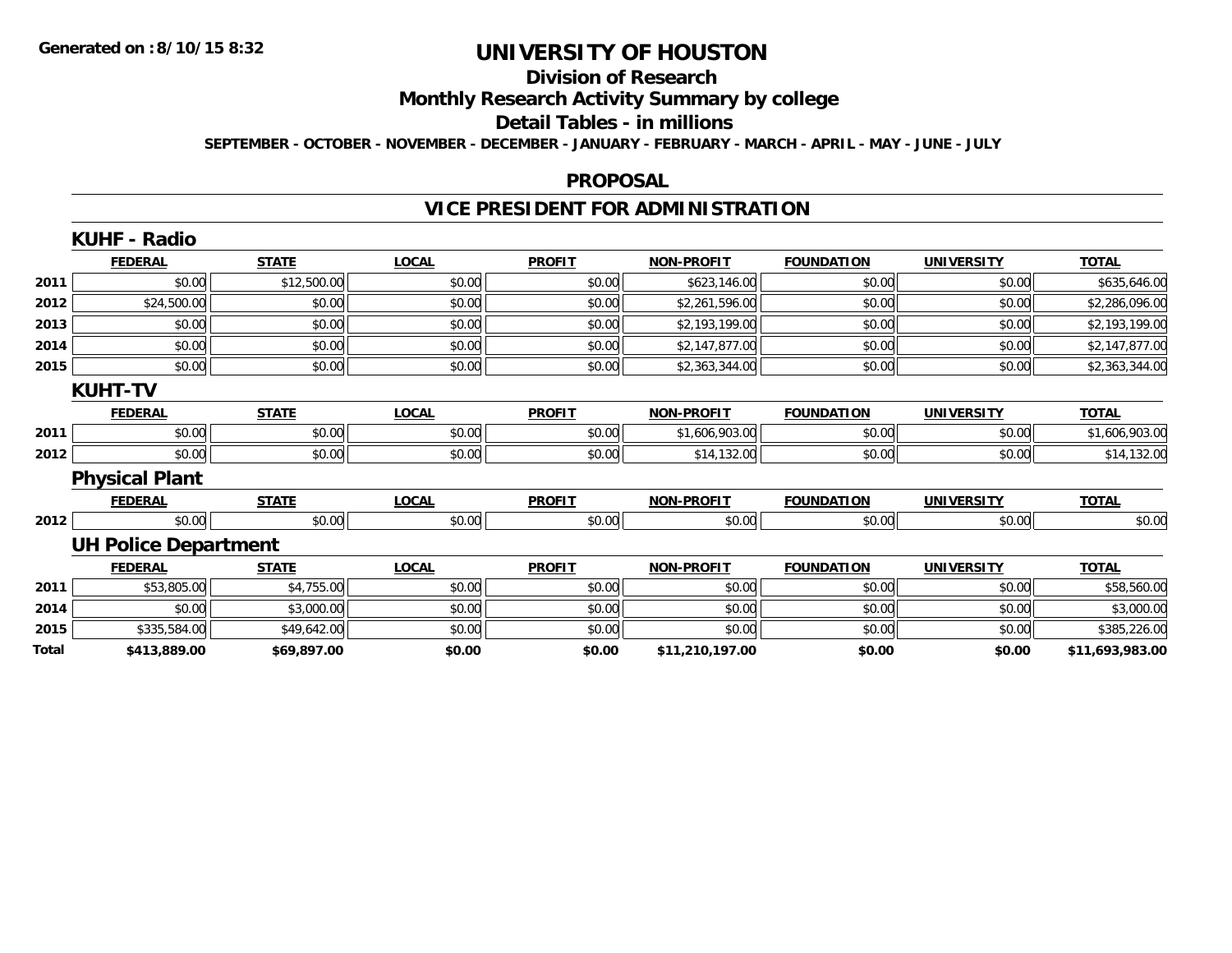## **Division of Research**

**Monthly Research Activity Summary by college**

**Detail Tables - in millions**

**SEPTEMBER - OCTOBER - NOVEMBER - DECEMBER - JANUARY - FEBRUARY - MARCH - APRIL - MAY - JUNE - JULY**

#### **PROPOSAL**

## **VICE PRESIDENT FOR ADMINISTRATION**

|       | <b>KUHF - Radio</b>         |              |              |               |                   |                   |                   |                 |
|-------|-----------------------------|--------------|--------------|---------------|-------------------|-------------------|-------------------|-----------------|
|       | <b>FEDERAL</b>              | <b>STATE</b> | <b>LOCAL</b> | <b>PROFIT</b> | <b>NON-PROFIT</b> | <b>FOUNDATION</b> | <b>UNIVERSITY</b> | <b>TOTAL</b>    |
| 2011  | \$0.00                      | \$12,500.00  | \$0.00       | \$0.00        | \$623,146.00      | \$0.00            | \$0.00            | \$635,646.00    |
| 2012  | \$24,500.00                 | \$0.00       | \$0.00       | \$0.00        | \$2,261,596.00    | \$0.00            | \$0.00            | \$2,286,096.00  |
| 2013  | \$0.00                      | \$0.00       | \$0.00       | \$0.00        | \$2,193,199.00    | \$0.00            | \$0.00            | \$2,193,199.00  |
| 2014  | \$0.00                      | \$0.00       | \$0.00       | \$0.00        | \$2,147,877.00    | \$0.00            | \$0.00            | \$2,147,877.00  |
| 2015  | \$0.00                      | \$0.00       | \$0.00       | \$0.00        | \$2,363,344.00    | \$0.00            | \$0.00            | \$2,363,344.00  |
|       | <b>KUHT-TV</b>              |              |              |               |                   |                   |                   |                 |
|       | <b>FEDERAL</b>              | <b>STATE</b> | <b>LOCAL</b> | <b>PROFIT</b> | <b>NON-PROFIT</b> | <b>FOUNDATION</b> | <b>UNIVERSITY</b> | <b>TOTAL</b>    |
| 2011  | \$0.00                      | \$0.00       | \$0.00       | \$0.00        | \$1,606,903.00    | \$0.00            | \$0.00            | \$1,606,903.00  |
| 2012  | \$0.00                      | \$0.00       | \$0.00       | \$0.00        | \$14,132.00       | \$0.00            | \$0.00            | \$14,132.00     |
|       | <b>Physical Plant</b>       |              |              |               |                   |                   |                   |                 |
|       | <b>FEDERAL</b>              | <b>STATE</b> | <b>LOCAL</b> | <b>PROFIT</b> | <b>NON-PROFIT</b> | <b>FOUNDATION</b> | <b>UNIVERSITY</b> | <b>TOTAL</b>    |
| 2012  | \$0.00                      | \$0.00       | \$0.00       | \$0.00        | \$0.00            | \$0.00            | \$0.00            | \$0.00          |
|       | <b>UH Police Department</b> |              |              |               |                   |                   |                   |                 |
|       | <b>FEDERAL</b>              | <b>STATE</b> | <b>LOCAL</b> | <b>PROFIT</b> | <b>NON-PROFIT</b> | <b>FOUNDATION</b> | <b>UNIVERSITY</b> | <b>TOTAL</b>    |
| 2011  | \$53,805.00                 | \$4,755.00   | \$0.00       | \$0.00        | \$0.00            | \$0.00            | \$0.00            | \$58,560.00     |
| 2014  | \$0.00                      | \$3,000.00   | \$0.00       | \$0.00        | \$0.00            | \$0.00            | \$0.00            | \$3,000.00      |
| 2015  | \$335,584.00                | \$49,642.00  | \$0.00       | \$0.00        | \$0.00            | \$0.00            | \$0.00            | \$385,226.00    |
| Total | \$413,889.00                | \$69,897.00  | \$0.00       | \$0.00        | \$11,210,197.00   | \$0.00            | \$0.00            | \$11,693,983.00 |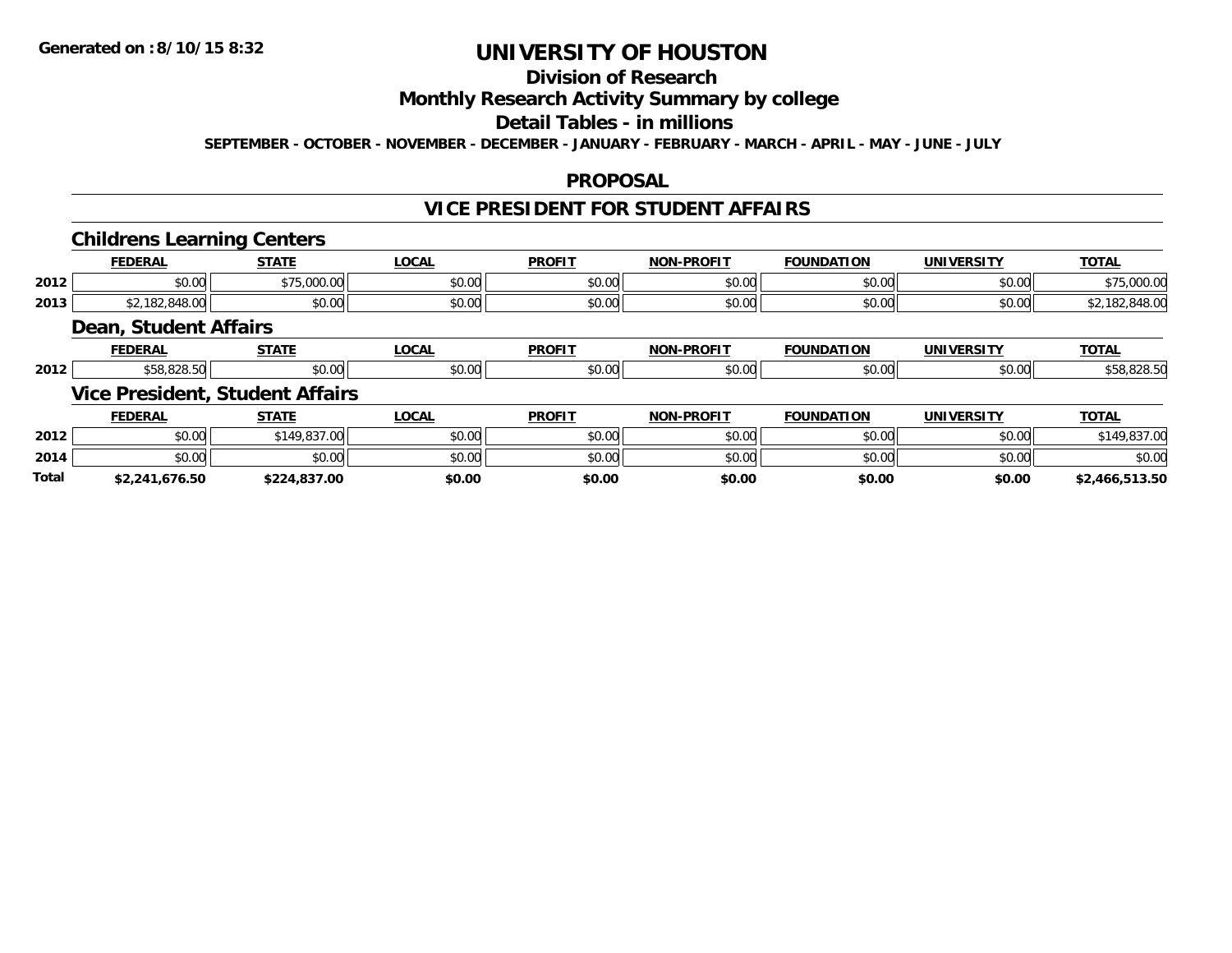## **Division of Research**

### **Monthly Research Activity Summary by college**

## **Detail Tables - in millions**

**SEPTEMBER - OCTOBER - NOVEMBER - DECEMBER - JANUARY - FEBRUARY - MARCH - APRIL - MAY - JUNE - JULY**

### **PROPOSAL**

### **VICE PRESIDENT FOR STUDENT AFFAIRS**

### **Childrens Learning Centers**

|      | <b>FEDERAL</b>       | <b>CTATE</b>               | .OCAL  | <b>PROFIT</b> | <b>NON-PROFIT</b>    | <b>FOUNDATION</b> | <b>UNIVERSITY</b> | TOTA.                      |
|------|----------------------|----------------------------|--------|---------------|----------------------|-------------------|-------------------|----------------------------|
| 2012 | 0.00<br><b>DU.UU</b> | $0.75$ 000 00<br>79.UUU.UU | \$0.00 | \$0.00        | 0000<br><b>JU.UU</b> | \$0.00            | \$0.00            | $\sim$ $\sim$<br>79,000.00 |
| 2013 | $\sim$<br>טאי        | \$0.00                     | \$0.00 | \$0.00        | \$0.00               | 0000<br>,u.uu     | \$0.00            | 10.01<br>140.UU            |

### **Dean, Student Affairs**

|      | ______ | -----                            | $\sim$ $\sim$<br>$\cdots$ | <b>PROFIT</b>     | <b>DDAEIT</b><br>ימות |                   |       | $-2$ |
|------|--------|----------------------------------|---------------------------|-------------------|-----------------------|-------------------|-------|------|
| 2012 |        | $\uparrow$ $\uparrow$ $\uparrow$ | - - -<br>۰^<br>טט.טע      | $\sim$ 00<br>v.vv | $\sim$<br>. ഹ<br>wu   | $\sim$<br>, , , , | JU.UU |      |

## **Vice President, Student Affairs**

|              | <b>FEDERAL</b> | <b>STATE</b> | _OCAL  | <b>PROFIT</b> | <b>NON-PROFIT</b> | <b>FOUNDATION</b> | UNIVERSITY | <b>TOTAL</b>   |
|--------------|----------------|--------------|--------|---------------|-------------------|-------------------|------------|----------------|
| 2012         | \$0.00         | \$149,837.00 | \$0.00 | \$0.00        | \$0.00            | \$0.00            | \$0.00     | ۵۵۳ - ۵۵۳      |
| 2014         | \$0.00         | \$0.00       | \$0.00 | \$0.00        | \$0.00            | \$0.00            | \$0.00     | \$0.00         |
| <b>Total</b> | \$2,241,676.50 | \$224.837.00 | \$0.00 | \$0.00        | \$0.00            | \$0.00            | \$0.00     | \$2,466,513.50 |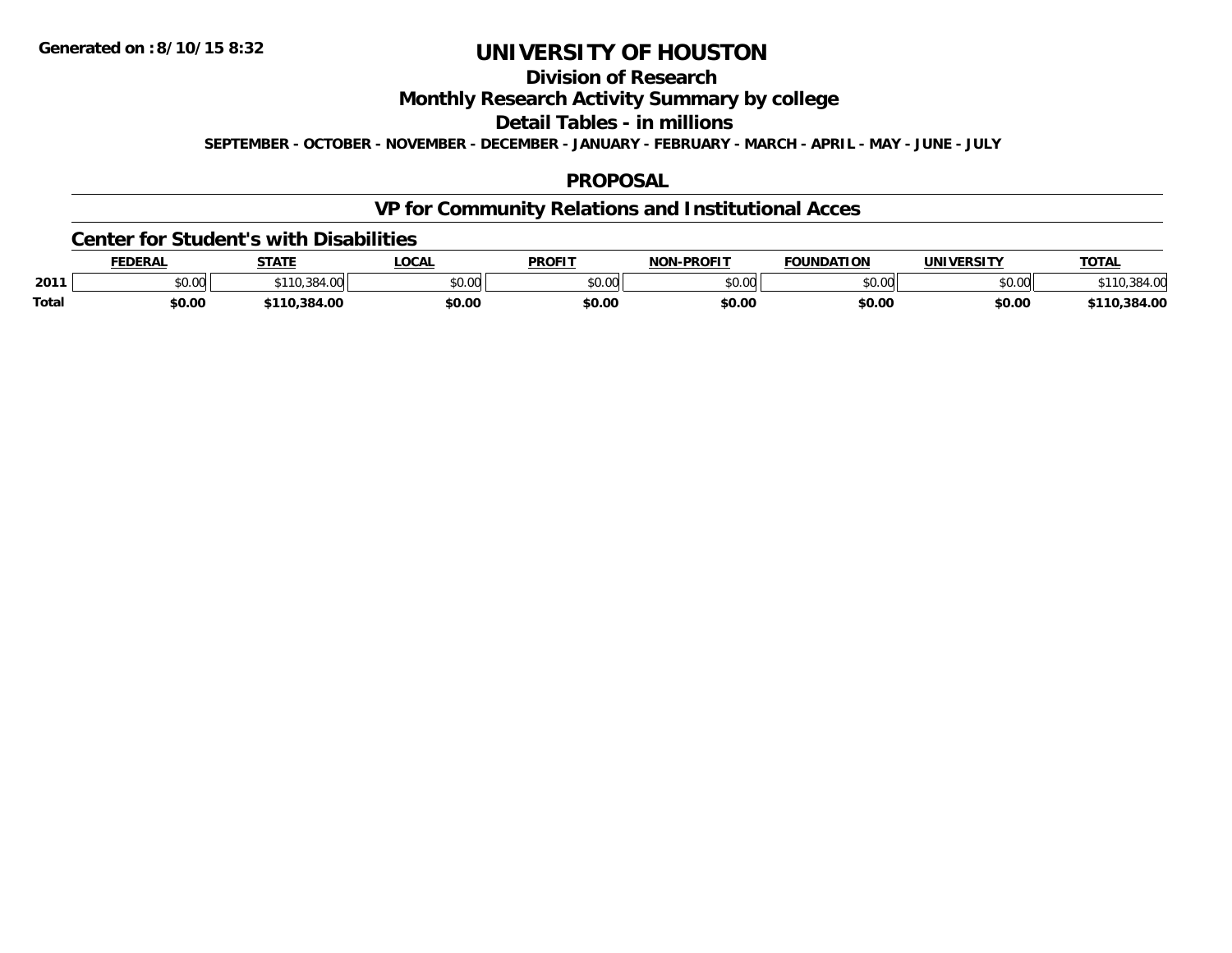## **Division of Research**

### **Monthly Research Activity Summary by college**

**Detail Tables - in millions**

**SEPTEMBER - OCTOBER - NOVEMBER - DECEMBER - JANUARY - FEBRUARY - MARCH - APRIL - MAY - JUNE - JULY**

### **PROPOSAL**

## **VP for Community Relations and Institutional Acces**

#### **Center for Student's with Disabilities**

|              | <b>FEDERAL</b>         | <b>STATE</b>  | LOCAI         | <b>PROFIT</b> | <b>-PROFIT</b><br>NON. | <b>FOUNDATION</b> | <b>IINIVERSITY</b> | <b>TOTAL</b>   |
|--------------|------------------------|---------------|---------------|---------------|------------------------|-------------------|--------------------|----------------|
| 2011         | $\sim$ $\sim$<br>JU.UU | $. \, \cdots$ | 0000<br>JU.UU | \$0.00        | \$0.00                 | ሶስ ሰሰ<br>PU.UU    | 0.00<br>DU.UU      |                |
| <b>Total</b> | \$0.00                 | .384.00       | \$0.00        | \$0.00        | \$0.00                 | \$0.00            | \$0.00             | .384.00<br>110 |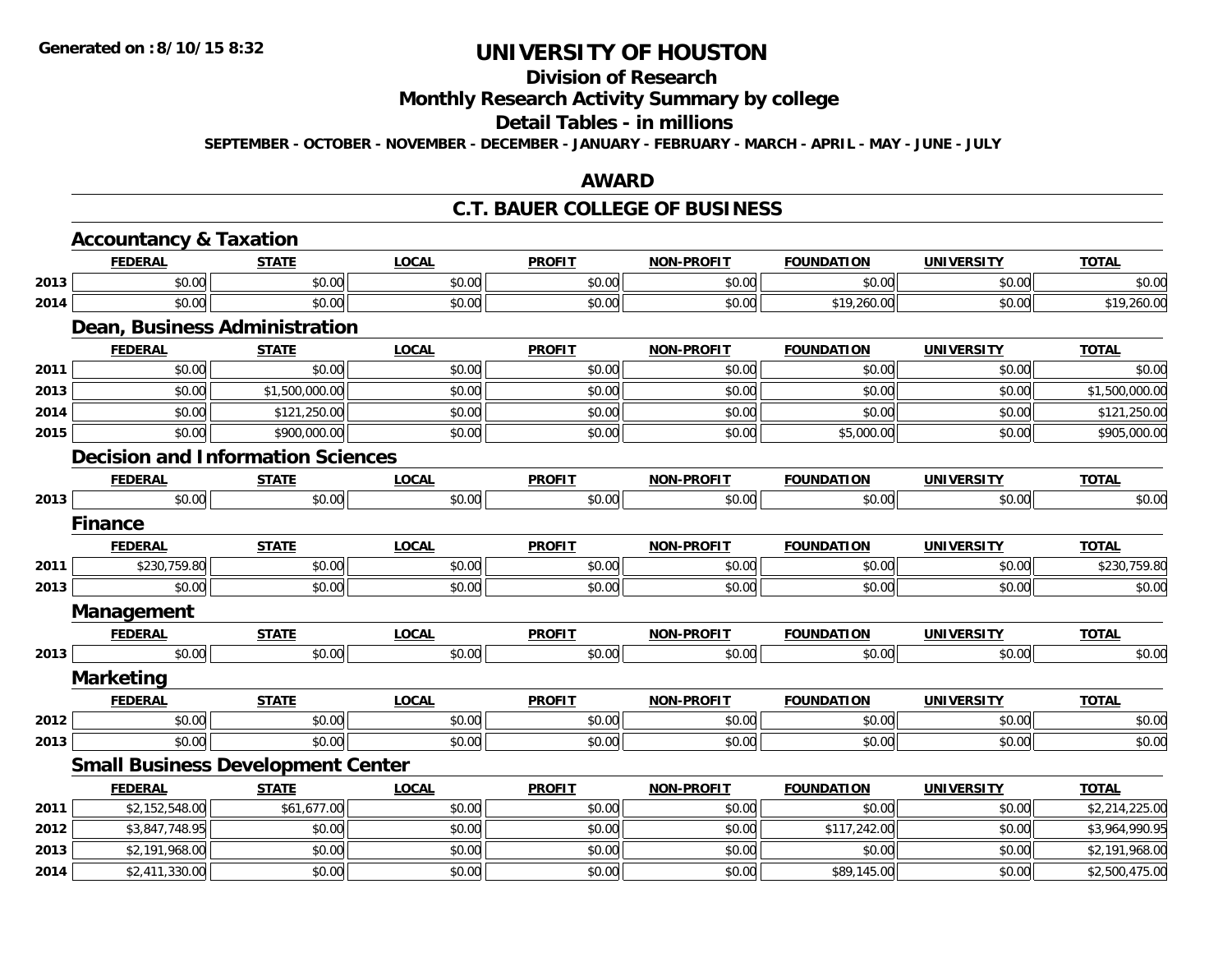## **Division of Research**

**Monthly Research Activity Summary by college**

#### **Detail Tables - in millions**

**SEPTEMBER - OCTOBER - NOVEMBER - DECEMBER - JANUARY - FEBRUARY - MARCH - APRIL - MAY - JUNE - JULY**

### **AWARD**

### **C.T. BAUER COLLEGE OF BUSINESS**

|      | <b>Accountancy &amp; Taxation</b>        |                |              |               |                   |                   |                   |                |  |  |  |
|------|------------------------------------------|----------------|--------------|---------------|-------------------|-------------------|-------------------|----------------|--|--|--|
|      | <b>FEDERAL</b>                           | <b>STATE</b>   | <b>LOCAL</b> | <b>PROFIT</b> | <b>NON-PROFIT</b> | <b>FOUNDATION</b> | <b>UNIVERSITY</b> | <b>TOTAL</b>   |  |  |  |
| 2013 | \$0.00                                   | \$0.00         | \$0.00       | \$0.00        | \$0.00            | \$0.00            | \$0.00            | \$0.00         |  |  |  |
| 2014 | \$0.00                                   | \$0.00         | \$0.00       | \$0.00        | \$0.00            | \$19,260.00       | \$0.00            | \$19,260.00    |  |  |  |
|      | Dean, Business Administration            |                |              |               |                   |                   |                   |                |  |  |  |
|      | <b>FEDERAL</b>                           | <b>STATE</b>   | <b>LOCAL</b> | <b>PROFIT</b> | <b>NON-PROFIT</b> | <b>FOUNDATION</b> | <b>UNIVERSITY</b> | <b>TOTAL</b>   |  |  |  |
| 2011 | \$0.00                                   | \$0.00         | \$0.00       | \$0.00        | \$0.00            | \$0.00            | \$0.00            | \$0.00         |  |  |  |
| 2013 | \$0.00                                   | \$1,500,000.00 | \$0.00       | \$0.00        | \$0.00            | \$0.00            | \$0.00            | \$1,500,000.00 |  |  |  |
| 2014 | \$0.00                                   | \$121,250.00   | \$0.00       | \$0.00        | \$0.00            | \$0.00            | \$0.00            | \$121,250.00   |  |  |  |
| 2015 | \$0.00                                   | \$900,000.00   | \$0.00       | \$0.00        | \$0.00            | \$5,000.00        | \$0.00            | \$905,000.00   |  |  |  |
|      | <b>Decision and Information Sciences</b> |                |              |               |                   |                   |                   |                |  |  |  |
|      | <b>FEDERAL</b>                           | <b>STATE</b>   | <b>LOCAL</b> | <b>PROFIT</b> | <b>NON-PROFIT</b> | <b>FOUNDATION</b> | <b>UNIVERSITY</b> | <b>TOTAL</b>   |  |  |  |
| 2013 | \$0.00                                   | \$0.00         | \$0.00       | \$0.00        | \$0.00            | \$0.00            | \$0.00            | \$0.00         |  |  |  |
|      | <b>Finance</b>                           |                |              |               |                   |                   |                   |                |  |  |  |
|      | <b>FEDERAL</b>                           | <b>STATE</b>   | <b>LOCAL</b> | <b>PROFIT</b> | <b>NON-PROFIT</b> | <b>FOUNDATION</b> | <b>UNIVERSITY</b> | <b>TOTAL</b>   |  |  |  |
| 2011 | \$230,759.80                             | \$0.00         | \$0.00       | \$0.00        | \$0.00            | \$0.00            | \$0.00            | \$230,759.80   |  |  |  |
| 2013 | \$0.00                                   | \$0.00         | \$0.00       | \$0.00        | \$0.00            | \$0.00            | \$0.00            | \$0.00         |  |  |  |
|      | <b>Management</b>                        |                |              |               |                   |                   |                   |                |  |  |  |
|      | <b>FEDERAL</b>                           | <b>STATE</b>   | <b>LOCAL</b> | <b>PROFIT</b> | <b>NON-PROFIT</b> | <b>FOUNDATION</b> | <b>UNIVERSITY</b> | <b>TOTAL</b>   |  |  |  |
| 2013 | \$0.00                                   | \$0.00         | \$0.00       | \$0.00        | \$0.00            | \$0.00            | \$0.00            | \$0.00         |  |  |  |
|      | <b>Marketing</b>                         |                |              |               |                   |                   |                   |                |  |  |  |
|      | <b>FEDERAL</b>                           | <b>STATE</b>   | <b>LOCAL</b> | <b>PROFIT</b> | <b>NON-PROFIT</b> | <b>FOUNDATION</b> | <b>UNIVERSITY</b> | <b>TOTAL</b>   |  |  |  |
| 2012 | \$0.00                                   | \$0.00         | \$0.00       | \$0.00        | \$0.00            | \$0.00            | \$0.00            | \$0.00         |  |  |  |
| 2013 | \$0.00                                   | \$0.00         | \$0.00       | \$0.00        | \$0.00            | \$0.00            | \$0.00            | \$0.00         |  |  |  |
|      | <b>Small Business Development Center</b> |                |              |               |                   |                   |                   |                |  |  |  |
|      | <b>FEDERAL</b>                           | <b>STATE</b>   | <b>LOCAL</b> | <b>PROFIT</b> | <b>NON-PROFIT</b> | <b>FOUNDATION</b> | <b>UNIVERSITY</b> | <b>TOTAL</b>   |  |  |  |
| 2011 | \$2,152,548.00                           | \$61,677.00    | \$0.00       | \$0.00        | \$0.00            | \$0.00            | \$0.00            | \$2,214,225.00 |  |  |  |
| 2012 | \$3,847,748.95                           | \$0.00         | \$0.00       | \$0.00        | \$0.00            | \$117,242.00      | \$0.00            | \$3,964,990.95 |  |  |  |
| 2013 | \$2,191,968.00                           | \$0.00         | \$0.00       | \$0.00        | \$0.00            | \$0.00            | \$0.00            | \$2,191,968.00 |  |  |  |
| 2014 | \$2,411,330.00                           | \$0.00         | \$0.00       | \$0.00        | \$0.00            | \$89,145.00       | \$0.00            | \$2,500,475.00 |  |  |  |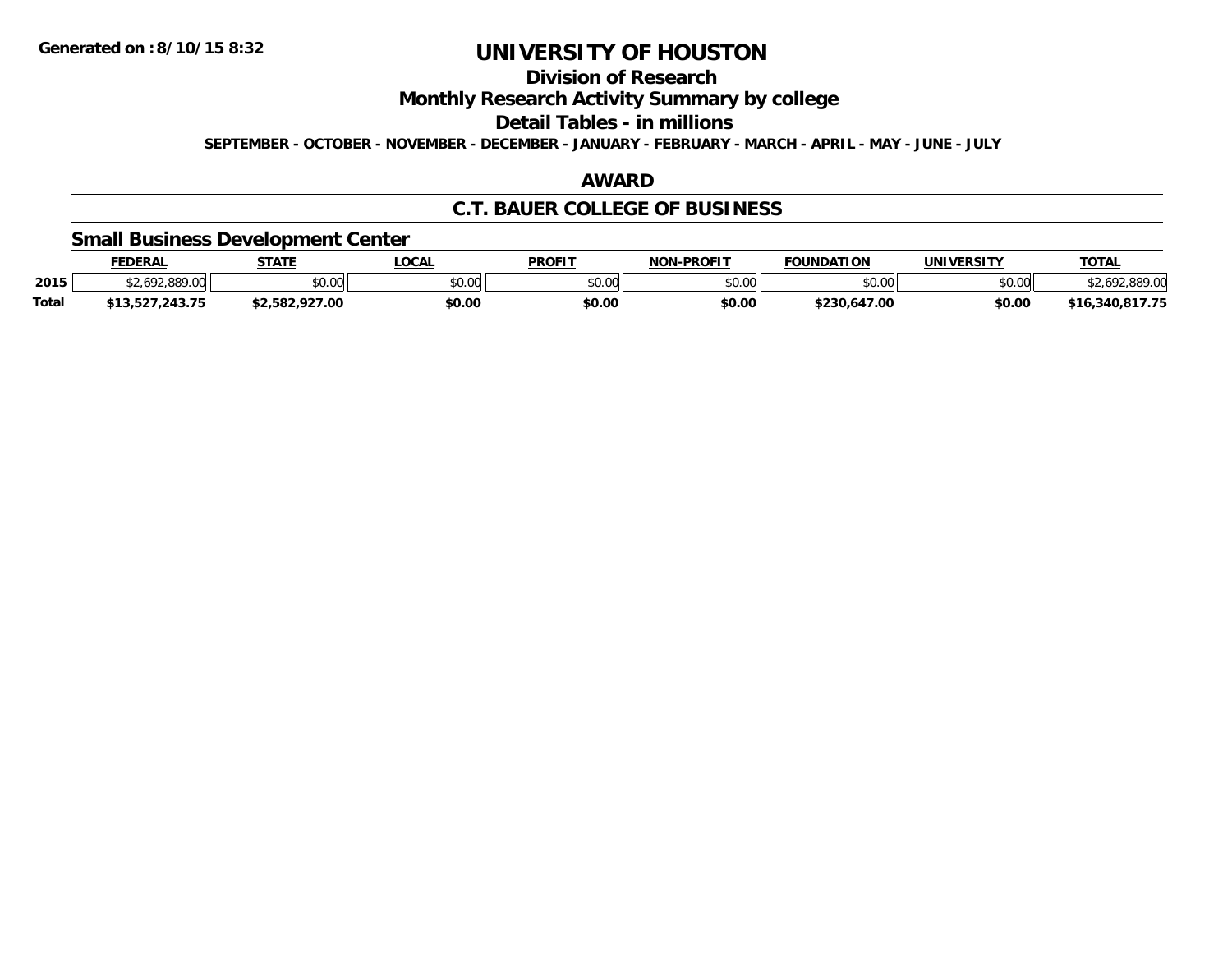## **Division of Research**

**Monthly Research Activity Summary by college**

**Detail Tables - in millions**

**SEPTEMBER - OCTOBER - NOVEMBER - DECEMBER - JANUARY - FEBRUARY - MARCH - APRIL - MAY - JUNE - JULY**

## **AWARD**

## **C.T. BAUER COLLEGE OF BUSINESS**

### **Small Business Development Center**

|              | <b>FEDERAL</b>  | <b>STATE</b>   | LOCAL  | <b>PROFIT</b> | <b>NON-PROFIT</b> | <b>FOUNDATION</b> | UNIVERSITY | <b>TOTAL</b>  |
|--------------|-----------------|----------------|--------|---------------|-------------------|-------------------|------------|---------------|
| 2015         | 62.692.889.00   | 0000<br>JU.UU  | \$0.00 | 0000<br>JU.UU | \$0.00            | \$0.00            | \$0.00     | 692.889.00    |
| <b>Total</b> | \$13,527,243.75 | \$2.582.927.00 | \$0.00 | \$0.00        | \$0.00            | \$230.647.00      | \$0.00     | 16.340.817.75 |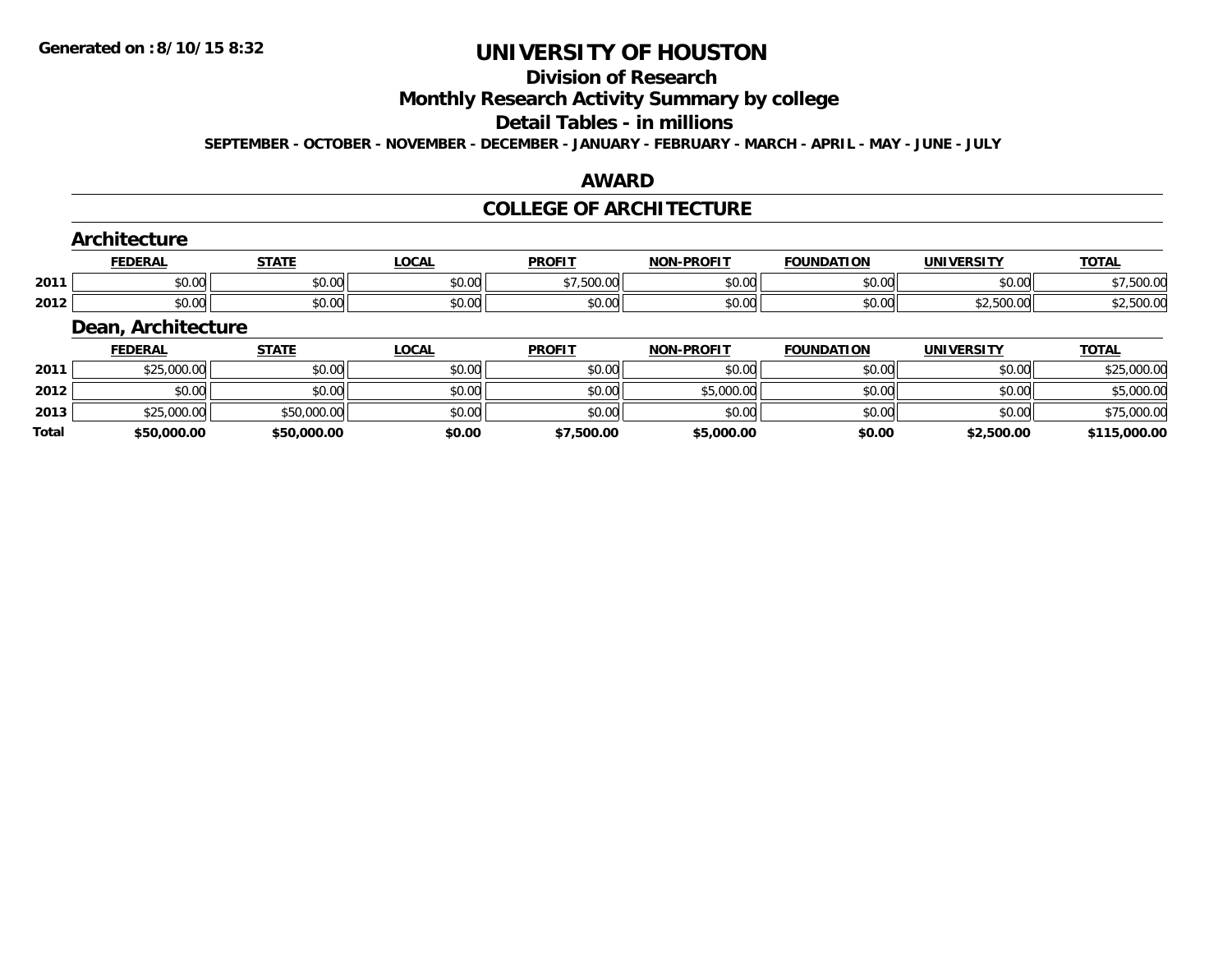## **Division of Research**

**Monthly Research Activity Summary by college**

#### **Detail Tables - in millions**

**SEPTEMBER - OCTOBER - NOVEMBER - DECEMBER - JANUARY - FEBRUARY - MARCH - APRIL - MAY - JUNE - JULY**

### **AWARD**

#### **COLLEGE OF ARCHITECTURE**

| Architecture |                    |              |              |               |                   |                   |            |              |  |  |
|--------------|--------------------|--------------|--------------|---------------|-------------------|-------------------|------------|--------------|--|--|
|              | <b>FEDERAL</b>     | <b>STATE</b> | <u>LOCAL</u> | <b>PROFIT</b> | <b>NON-PROFIT</b> | <b>FOUNDATION</b> | UNIVERSITY | <b>TOTAL</b> |  |  |
| 2011         | \$0.00             | \$0.00       | \$0.00       | \$7,500.00    | \$0.00            | \$0.00            | \$0.00     | \$7,500.00   |  |  |
| 2012         | \$0.00             | \$0.00       | \$0.00       | \$0.00        | \$0.00            | \$0.00            | \$2,500.00 | \$2,500.00   |  |  |
|              | Dean, Architecture |              |              |               |                   |                   |            |              |  |  |

|       | <b>FEDERAL</b> | STATE       | <u>LOCAL</u> | <b>PROFIT</b> | <b>NON-PROFIT</b> | <b>FOUNDATION</b> | <b>UNIVERSITY</b> | <b>TOTAL</b> |
|-------|----------------|-------------|--------------|---------------|-------------------|-------------------|-------------------|--------------|
| 2011  | \$25,000.00    | \$0.00      | \$0.00       | \$0.00        | \$0.00            | \$0.00            | \$0.00            | \$25,000.00  |
| 2012  | \$0.00         | \$0.00      | \$0.00       | \$0.00        | \$5,000.00        | \$0.00            | \$0.00            | \$5,000.00   |
| 2013  | \$25,000.00    | \$50,000.00 | \$0.00       | \$0.00        | \$0.00            | \$0.00            | \$0.00            | \$75,000.00  |
| Total | \$50,000.00    | \$50,000.00 | \$0.00       | \$7,500.00    | \$5,000.00        | \$0.00            | \$2,500.00        | \$115,000.00 |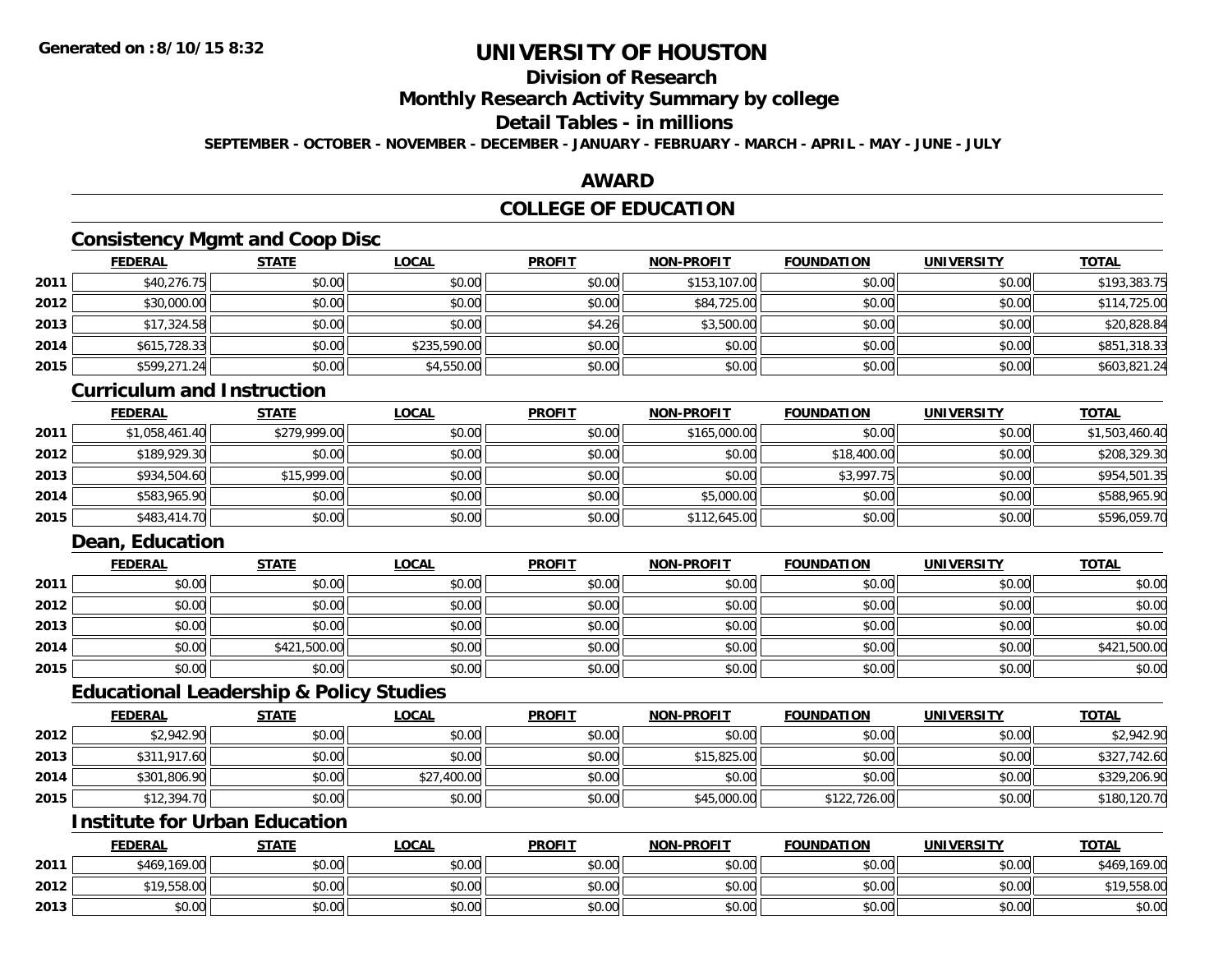## **Division of Research**

**Monthly Research Activity Summary by college**

## **Detail Tables - in millions**

**SEPTEMBER - OCTOBER - NOVEMBER - DECEMBER - JANUARY - FEBRUARY - MARCH - APRIL - MAY - JUNE - JULY**

### **AWARD**

### **COLLEGE OF EDUCATION**

### **Consistency Mgmt and Coop Disc**

|      | <b>FEDERAL</b> | <b>STATE</b> | <u>LOCAL</u> | <b>PROFIT</b> | <b>NON-PROFIT</b> | <b>FOUNDATION</b> | <b>UNIVERSITY</b> | <b>TOTAL</b> |
|------|----------------|--------------|--------------|---------------|-------------------|-------------------|-------------------|--------------|
| 2011 | \$40,276.75    | \$0.00       | \$0.00       | \$0.00        | \$153,107.00      | \$0.00            | \$0.00            | \$193,383.75 |
| 2012 | \$30,000.00    | \$0.00       | \$0.00       | \$0.00        | \$84,725.00       | \$0.00            | \$0.00            | \$114,725.00 |
| 2013 | \$17,324.58    | \$0.00       | \$0.00       | \$4.26        | \$3,500.00        | \$0.00            | \$0.00            | \$20,828.84  |
| 2014 | \$615,728.33   | \$0.00       | \$235,590.00 | \$0.00        | \$0.00            | \$0.00            | \$0.00            | \$851,318.33 |
| 2015 | \$599,271.24   | \$0.00       | \$4,550.00   | \$0.00        | \$0.00            | \$0.00            | \$0.00            | \$603,821.24 |

#### **Curriculum and Instruction**

|      | <b>FEDERAL</b> | <u>STATE</u> | <u>LOCAL</u> | <b>PROFIT</b> | <b>NON-PROFIT</b> | <b>FOUNDATION</b> | <b>UNIVERSITY</b> | <b>TOTAL</b>   |
|------|----------------|--------------|--------------|---------------|-------------------|-------------------|-------------------|----------------|
| 2011 | \$1,058,461.40 | \$279,999.00 | \$0.00       | \$0.00        | \$165,000.00      | \$0.00            | \$0.00            | \$1,503,460.40 |
| 2012 | \$189,929.30   | \$0.00       | \$0.00       | \$0.00        | \$0.00            | \$18,400.00       | \$0.00            | \$208,329.30   |
| 2013 | \$934,504.60   | \$15,999.00  | \$0.00       | \$0.00        | \$0.00            | \$3,997.75        | \$0.00            | \$954,501.35   |
| 2014 | \$583,965.90   | \$0.00       | \$0.00       | \$0.00        | \$5,000.00        | \$0.00            | \$0.00            | \$588,965.90   |
| 2015 | \$483,414.70   | \$0.00       | \$0.00       | \$0.00        | \$112,645.00      | \$0.00            | \$0.00            | \$596,059.70   |

## **Dean, Education**

|      | <b>FEDERAL</b> | <b>STATE</b> | <b>LOCAL</b> | <b>PROFIT</b> | <b>NON-PROFIT</b> | <b>FOUNDATION</b> | <b>UNIVERSITY</b> | <b>TOTAL</b> |
|------|----------------|--------------|--------------|---------------|-------------------|-------------------|-------------------|--------------|
| 2011 | \$0.00         | \$0.00       | \$0.00       | \$0.00        | \$0.00            | \$0.00            | \$0.00            | \$0.00       |
| 2012 | \$0.00         | \$0.00       | \$0.00       | \$0.00        | \$0.00            | \$0.00            | \$0.00            | \$0.00       |
| 2013 | \$0.00         | \$0.00       | \$0.00       | \$0.00        | \$0.00            | \$0.00            | \$0.00            | \$0.00       |
| 2014 | \$0.00         | \$421,500.00 | \$0.00       | \$0.00        | \$0.00            | \$0.00            | \$0.00            | \$421,500.00 |
| 2015 | \$0.00         | \$0.00       | \$0.00       | \$0.00        | \$0.00            | \$0.00            | \$0.00            | \$0.00       |

### **Educational Leadership & Policy Studies**

|      | <b>FEDERAL</b> | <b>STATE</b> | <u>LOCAL</u> | <b>PROFIT</b> | <b>NON-PROFIT</b> | <b>FOUNDATION</b> | <b>UNIVERSITY</b> | <b>TOTAL</b> |
|------|----------------|--------------|--------------|---------------|-------------------|-------------------|-------------------|--------------|
| 2012 | \$2,942.90     | \$0.00       | \$0.00       | \$0.00        | \$0.00            | \$0.00            | \$0.00            | \$2,942.90   |
| 2013 | \$311,917.60   | \$0.00       | \$0.00       | \$0.00        | \$15,825.00       | \$0.00            | \$0.00            | \$327,742.60 |
| 2014 | \$301,806.90   | \$0.00       | \$27,400.00  | \$0.00        | \$0.00            | \$0.00            | \$0.00            | \$329,206.90 |
| 2015 | \$12,394.70    | \$0.00       | \$0.00       | \$0.00        | \$45,000.00       | \$122,726.00      | \$0.00            | \$180,120.70 |

### **Institute for Urban Education**

|      | <b>FEDERAL</b>  | <b>STATE</b> | <u>LOCAL</u> | <b>PROFIT</b> | <b>NON-PROFIT</b> | <b>FOUNDATION</b> | <b>UNIVERSITY</b> | <b>TOTAL</b> |
|------|-----------------|--------------|--------------|---------------|-------------------|-------------------|-------------------|--------------|
| 2011 | \$469,169.00    | \$0.00       | \$0.00       | \$0.00        | \$0.00            | \$0.00            | \$0.00            | \$469,169.00 |
| 2012 | 9.558.00<br>*10 | \$0.00       | \$0.00       | \$0.00        | \$0.00            | \$0.00            | \$0.00            | \$19,558.00  |
| 2013 | \$0.00          | \$0.00       | \$0.00       | \$0.00        | \$0.00            | \$0.00            | \$0.00            | \$0.00       |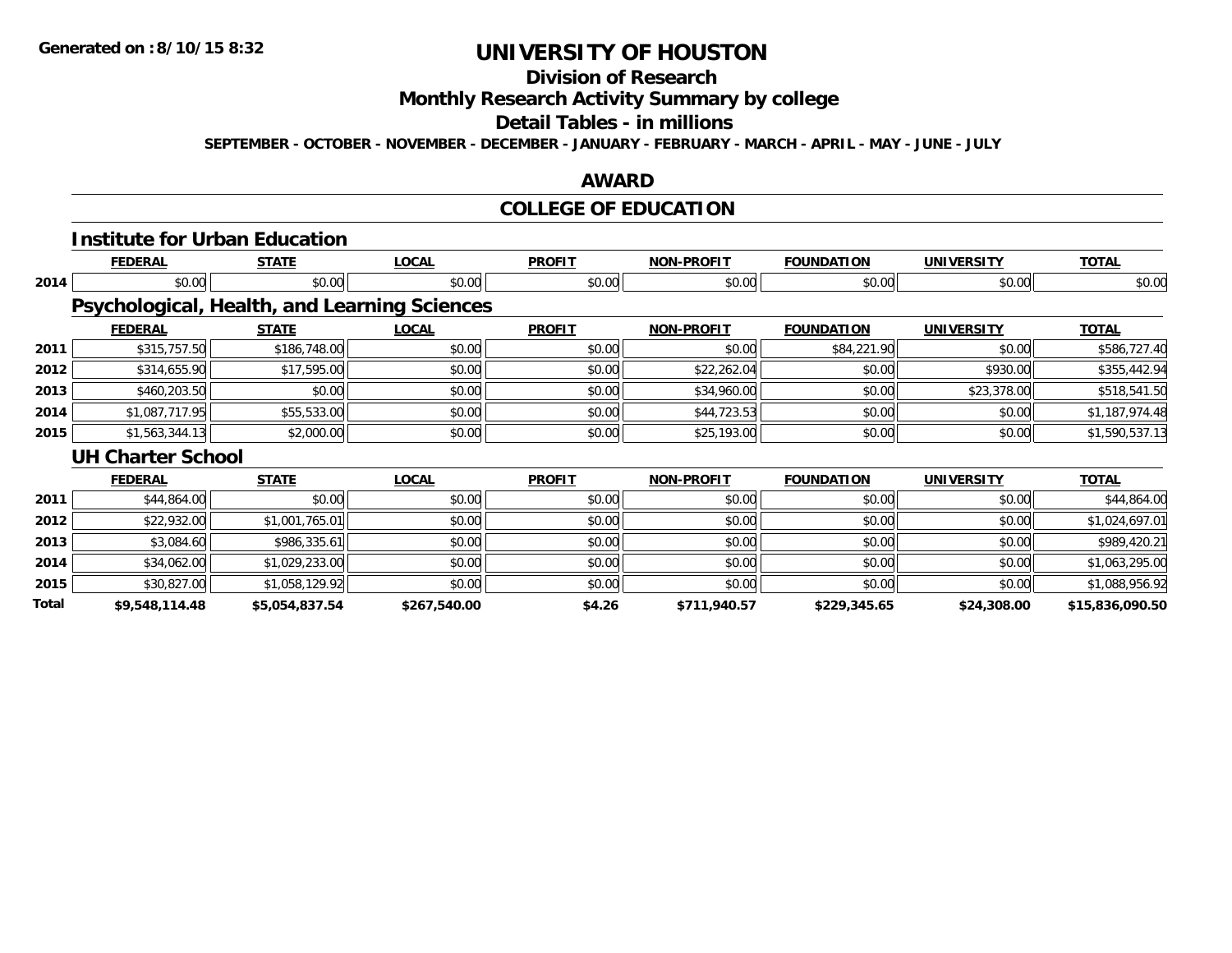## **Division of Research**

**Monthly Research Activity Summary by college**

#### **Detail Tables - in millions**

**SEPTEMBER - OCTOBER - NOVEMBER - DECEMBER - JANUARY - FEBRUARY - MARCH - APRIL - MAY - JUNE - JULY**

### **AWARD**

## **COLLEGE OF EDUCATION**

|       | <b>Institute for Urban Education</b>         |                |              |               |                   |                   |                   |                 |
|-------|----------------------------------------------|----------------|--------------|---------------|-------------------|-------------------|-------------------|-----------------|
|       | <b>FEDERAL</b>                               | <b>STATE</b>   | <b>LOCAL</b> | <b>PROFIT</b> | <b>NON-PROFIT</b> | <b>FOUNDATION</b> | <b>UNIVERSITY</b> | <b>TOTAL</b>    |
| 2014  | \$0.00                                       | \$0.00         | \$0.00       | \$0.00        | \$0.00            | \$0.00            | \$0.00            | \$0.00          |
|       | Psychological, Health, and Learning Sciences |                |              |               |                   |                   |                   |                 |
|       | <b>FEDERAL</b>                               | <b>STATE</b>   | <b>LOCAL</b> | <b>PROFIT</b> | <b>NON-PROFIT</b> | <b>FOUNDATION</b> | <b>UNIVERSITY</b> | <b>TOTAL</b>    |
| 2011  | \$315,757.50                                 | \$186,748.00   | \$0.00       | \$0.00        | \$0.00            | \$84,221.90       | \$0.00            | \$586,727.40    |
| 2012  | \$314,655.90                                 | \$17,595.00    | \$0.00       | \$0.00        | \$22,262.04       | \$0.00            | \$930.00          | \$355,442.94    |
| 2013  | \$460,203.50                                 | \$0.00         | \$0.00       | \$0.00        | \$34,960.00       | \$0.00            | \$23,378.00       | \$518,541.50    |
| 2014  | \$1,087,717.95                               | \$55,533.00    | \$0.00       | \$0.00        | \$44,723.53       | \$0.00            | \$0.00            | \$1,187,974.48  |
| 2015  | \$1,563,344.13                               | \$2,000.00     | \$0.00       | \$0.00        | \$25,193.00       | \$0.00            | \$0.00            | \$1,590,537.13  |
|       | <b>UH Charter School</b>                     |                |              |               |                   |                   |                   |                 |
|       | <b>FEDERAL</b>                               | <b>STATE</b>   | <b>LOCAL</b> | <b>PROFIT</b> | <b>NON-PROFIT</b> | <b>FOUNDATION</b> | <b>UNIVERSITY</b> | <b>TOTAL</b>    |
| 2011  | \$44,864.00                                  | \$0.00         | \$0.00       | \$0.00        | \$0.00            | \$0.00            | \$0.00            | \$44,864.00     |
| 2012  | \$22,932.00                                  | \$1,001,765.01 | \$0.00       | \$0.00        | \$0.00            | \$0.00            | \$0.00            | \$1,024,697.01  |
| 2013  | \$3,084.60                                   | \$986,335.61   | \$0.00       | \$0.00        | \$0.00            | \$0.00            | \$0.00            | \$989,420.21    |
| 2014  | \$34,062.00                                  | \$1,029,233.00 | \$0.00       | \$0.00        | \$0.00            | \$0.00            | \$0.00            | \$1,063,295.00  |
| 2015  | \$30,827.00                                  | \$1,058,129.92 | \$0.00       | \$0.00        | \$0.00            | \$0.00            | \$0.00            | \$1,088,956.92  |
| Total | \$9,548,114.48                               | \$5,054,837.54 | \$267,540.00 | \$4.26        | \$711,940.57      | \$229,345.65      | \$24,308.00       | \$15,836,090.50 |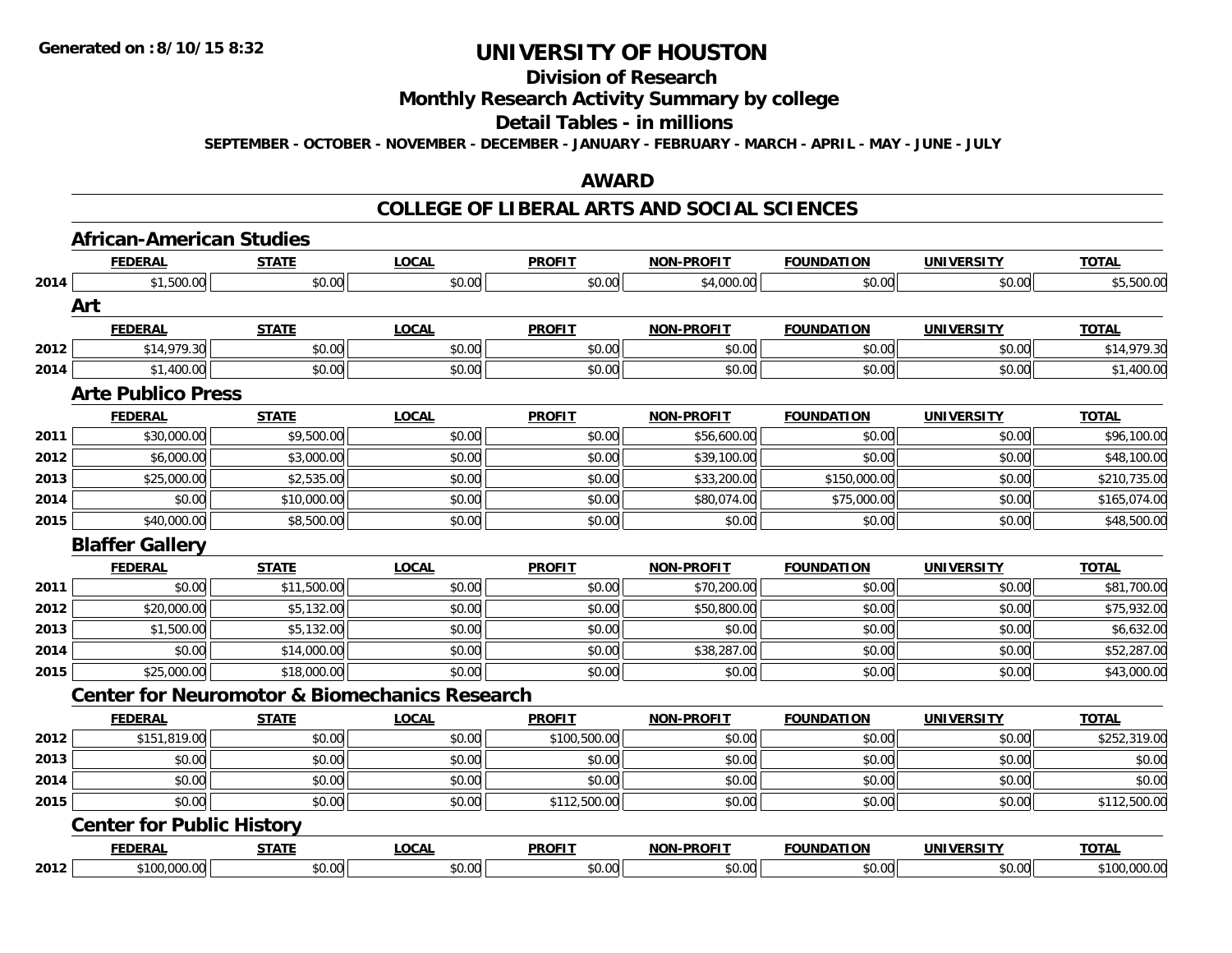#### **Division of Research**

## **Monthly Research Activity Summary by college**

#### **Detail Tables - in millions**

**SEPTEMBER - OCTOBER - NOVEMBER - DECEMBER - JANUARY - FEBRUARY - MARCH - APRIL - MAY - JUNE - JULY**

#### **AWARD**

|      | <b>African-American Studies</b>  |              |                                                          |               |                   |                   |                   |              |
|------|----------------------------------|--------------|----------------------------------------------------------|---------------|-------------------|-------------------|-------------------|--------------|
|      | <b>FEDERAL</b>                   | <b>STATE</b> | <b>LOCAL</b>                                             | <b>PROFIT</b> | <b>NON-PROFIT</b> | <b>FOUNDATION</b> | <b>UNIVERSITY</b> | <b>TOTAL</b> |
| 2014 | \$1,500.00                       | \$0.00       | \$0.00                                                   | \$0.00        | \$4,000.00        | \$0.00            | \$0.00            | \$5,500.00   |
|      | Art                              |              |                                                          |               |                   |                   |                   |              |
|      | <b>FEDERAL</b>                   | <b>STATE</b> | <b>LOCAL</b>                                             | <b>PROFIT</b> | <b>NON-PROFIT</b> | <b>FOUNDATION</b> | <b>UNIVERSITY</b> | <b>TOTAL</b> |
| 2012 | \$14,979.30                      | \$0.00       | \$0.00                                                   | \$0.00        | \$0.00            | \$0.00            | \$0.00            | \$14,979.30  |
| 2014 | \$1,400.00                       | \$0.00       | \$0.00                                                   | \$0.00        | \$0.00            | \$0.00            | \$0.00            | \$1,400.00   |
|      | <b>Arte Publico Press</b>        |              |                                                          |               |                   |                   |                   |              |
|      | <b>FEDERAL</b>                   | <b>STATE</b> | <b>LOCAL</b>                                             | <b>PROFIT</b> | <b>NON-PROFIT</b> | <b>FOUNDATION</b> | <b>UNIVERSITY</b> | <b>TOTAL</b> |
| 2011 | \$30,000.00                      | \$9,500.00   | \$0.00                                                   | \$0.00        | \$56,600.00       | \$0.00            | \$0.00            | \$96,100.00  |
| 2012 | \$6,000.00                       | \$3,000.00   | \$0.00                                                   | \$0.00        | \$39,100.00       | \$0.00            | \$0.00            | \$48,100.00  |
| 2013 | \$25,000.00                      | \$2,535.00   | \$0.00                                                   | \$0.00        | \$33,200.00       | \$150,000.00      | \$0.00            | \$210,735.00 |
| 2014 | \$0.00                           | \$10,000.00  | \$0.00                                                   | \$0.00        | \$80,074.00       | \$75,000.00       | \$0.00            | \$165,074.00 |
| 2015 | \$40,000.00                      | \$8,500.00   | \$0.00                                                   | \$0.00        | \$0.00            | \$0.00            | \$0.00            | \$48,500.00  |
|      | <b>Blaffer Gallery</b>           |              |                                                          |               |                   |                   |                   |              |
|      | <b>FEDERAL</b>                   | <b>STATE</b> | <b>LOCAL</b>                                             | <b>PROFIT</b> | <b>NON-PROFIT</b> | <b>FOUNDATION</b> | <b>UNIVERSITY</b> | <b>TOTAL</b> |
| 2011 | \$0.00                           | \$11,500.00  | \$0.00                                                   | \$0.00        | \$70,200.00       | \$0.00            | \$0.00            | \$81,700.00  |
| 2012 | \$20,000.00                      | \$5,132.00   | \$0.00                                                   | \$0.00        | \$50,800.00       | \$0.00            | \$0.00            | \$75,932.00  |
| 2013 | \$1,500.00                       | \$5,132.00   | \$0.00                                                   | \$0.00        | \$0.00            | \$0.00            | \$0.00            | \$6,632.00   |
| 2014 | \$0.00                           | \$14,000.00  | \$0.00                                                   | \$0.00        | \$38,287.00       | \$0.00            | \$0.00            | \$52,287.00  |
| 2015 | \$25,000.00                      | \$18,000.00  |                                                          |               |                   |                   |                   |              |
|      |                                  |              | \$0.00                                                   | \$0.00        | \$0.00            | \$0.00            | \$0.00            | \$43,000.00  |
|      |                                  |              | <b>Center for Neuromotor &amp; Biomechanics Research</b> |               |                   |                   |                   |              |
|      | <b>FEDERAL</b>                   | <b>STATE</b> | <b>LOCAL</b>                                             | <b>PROFIT</b> | <b>NON-PROFIT</b> | <b>FOUNDATION</b> | <b>UNIVERSITY</b> | <b>TOTAL</b> |
| 2012 | \$151,819.00                     | \$0.00       | \$0.00                                                   | \$100,500.00  | \$0.00            | \$0.00            | \$0.00            | \$252,319.00 |
| 2013 | \$0.00                           | \$0.00       | \$0.00                                                   | \$0.00        | \$0.00            | \$0.00            | \$0.00            | \$0.00       |
| 2014 | \$0.00                           | \$0.00       | \$0.00                                                   | \$0.00        | \$0.00            | \$0.00            | \$0.00            | \$0.00       |
| 2015 | \$0.00                           | \$0.00       | \$0.00                                                   | \$112,500.00  | \$0.00            | \$0.00            | \$0.00            | \$112,500.00 |
|      | <b>Center for Public History</b> |              |                                                          |               |                   |                   |                   |              |
|      | <b>FEDERAL</b>                   | <b>STATE</b> | <b>LOCAL</b>                                             | <b>PROFIT</b> | <b>NON-PROFIT</b> | <b>FOUNDATION</b> | <b>UNIVERSITY</b> | <b>TOTAL</b> |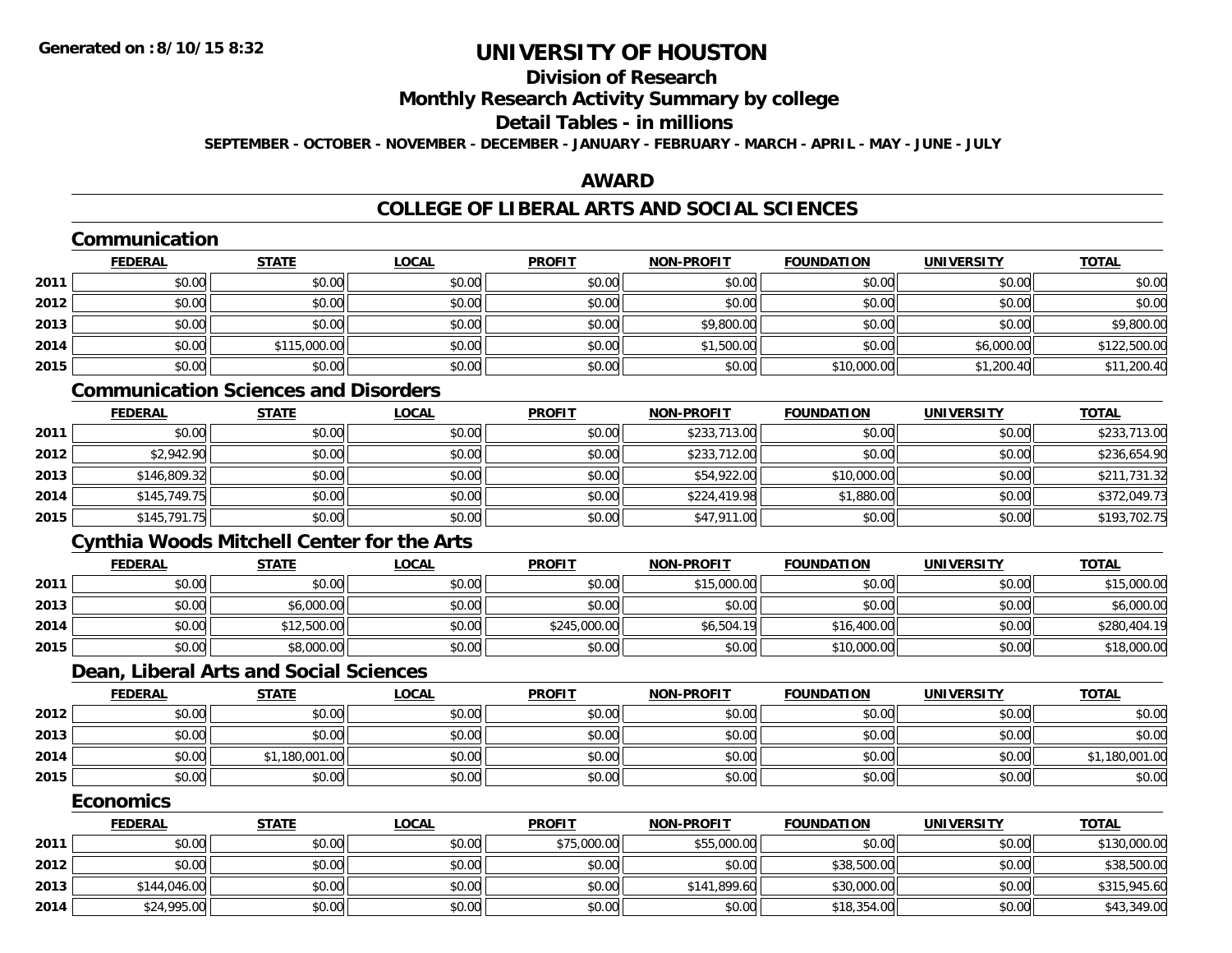## **Division of Research**

**Monthly Research Activity Summary by college**

#### **Detail Tables - in millions**

**SEPTEMBER - OCTOBER - NOVEMBER - DECEMBER - JANUARY - FEBRUARY - MARCH - APRIL - MAY - JUNE - JULY**

### **AWARD**

## **COLLEGE OF LIBERAL ARTS AND SOCIAL SCIENCES**

### **Communication**

|      | <b>FEDERAL</b> | <b>STATE</b> | <u>LOCAL</u> | <b>PROFIT</b> | <b>NON-PROFIT</b> | <b>FOUNDATION</b> | <b>UNIVERSITY</b> | <b>TOTAL</b> |
|------|----------------|--------------|--------------|---------------|-------------------|-------------------|-------------------|--------------|
| 2011 | \$0.00         | \$0.00       | \$0.00       | \$0.00        | \$0.00            | \$0.00            | \$0.00            | \$0.00       |
| 2012 | \$0.00         | \$0.00       | \$0.00       | \$0.00        | \$0.00            | \$0.00            | \$0.00            | \$0.00       |
| 2013 | \$0.00         | \$0.00       | \$0.00       | \$0.00        | \$9,800.00        | \$0.00            | \$0.00            | \$9,800.00   |
| 2014 | \$0.00         | \$115,000.00 | \$0.00       | \$0.00        | \$1,500.00        | \$0.00            | \$6,000.00        | \$122,500.00 |
| 2015 | \$0.00         | \$0.00       | \$0.00       | \$0.00        | \$0.00            | \$10,000.00       | \$1,200.40        | \$11,200.40  |

## **Communication Sciences and Disorders**

|      | <u>FEDERAL</u> | <b>STATE</b> | <u>LOCAL</u> | <b>PROFIT</b> | <b>NON-PROFIT</b> | <b>FOUNDATION</b> | <b>UNIVERSITY</b> | <b>TOTAL</b> |
|------|----------------|--------------|--------------|---------------|-------------------|-------------------|-------------------|--------------|
| 2011 | \$0.00         | \$0.00       | \$0.00       | \$0.00        | \$233,713.00      | \$0.00            | \$0.00            | \$233,713.00 |
| 2012 | \$2,942.90     | \$0.00       | \$0.00       | \$0.00        | \$233,712.00      | \$0.00            | \$0.00            | \$236,654.90 |
| 2013 | \$146,809.32   | \$0.00       | \$0.00       | \$0.00        | \$54,922.00       | \$10,000.00       | \$0.00            | \$211,731.32 |
| 2014 | \$145,749.75   | \$0.00       | \$0.00       | \$0.00        | \$224,419.98      | \$1,880.00        | \$0.00            | \$372,049.73 |
| 2015 | \$145,791.75   | \$0.00       | \$0.00       | \$0.00        | \$47,911.00       | \$0.00            | \$0.00            | \$193,702.75 |

## **Cynthia Woods Mitchell Center for the Arts**

|      | <b>FEDERAL</b> | <u>STATE</u> | <u>LOCAL</u> | <b>PROFIT</b> | <b>NON-PROFIT</b> | <b>FOUNDATION</b> | <b>UNIVERSITY</b> | <b>TOTAL</b> |
|------|----------------|--------------|--------------|---------------|-------------------|-------------------|-------------------|--------------|
| 2011 | \$0.00         | \$0.00       | \$0.00       | \$0.00        | \$15,000.00       | \$0.00            | \$0.00            | \$15,000.00  |
| 2013 | \$0.00         | \$6,000.00   | \$0.00       | \$0.00        | \$0.00            | \$0.00            | \$0.00            | \$6,000.00   |
| 2014 | \$0.00         | \$12,500.00  | \$0.00       | \$245,000.00  | \$6,504.19        | \$16,400.00       | \$0.00            | \$280,404.19 |
| 2015 | \$0.00         | \$8,000.00   | \$0.00       | \$0.00        | \$0.00            | \$10,000.00       | \$0.00            | \$18,000.00  |

#### **Dean, Liberal Arts and Social Sciences**

|      | <b>FEDERAL</b> | <u>STATE</u> | <b>LOCAL</b> | <b>PROFIT</b> | <b>NON-PROFIT</b> | <b>FOUNDATION</b> | <b>UNIVERSITY</b> | <b>TOTAL</b>   |
|------|----------------|--------------|--------------|---------------|-------------------|-------------------|-------------------|----------------|
| 2012 | \$0.00         | \$0.00       | \$0.00       | \$0.00        | \$0.00            | \$0.00            | \$0.00            | \$0.00         |
| 2013 | \$0.00         | \$0.00       | \$0.00       | \$0.00        | \$0.00            | \$0.00            | \$0.00            | \$0.00         |
| 2014 | \$0.00         | 1,180,001.00 | \$0.00       | \$0.00        | \$0.00            | \$0.00            | \$0.00            | \$1,180,001.00 |
| 2015 | \$0.00         | \$0.00       | \$0.00       | \$0.00        | \$0.00            | \$0.00            | \$0.00            | \$0.00         |

#### **Economics**

|      | <u>FEDERAL</u> | <u>STATE</u> | <u>LOCAL</u> | <b>PROFIT</b> | <b>NON-PROFIT</b> | <b>FOUNDATION</b> | <b>UNIVERSITY</b> | <b>TOTAL</b> |
|------|----------------|--------------|--------------|---------------|-------------------|-------------------|-------------------|--------------|
| 2011 | \$0.00         | \$0.00       | \$0.00       | \$75,000.00   | \$55,000.00       | \$0.00            | \$0.00            | \$130,000.00 |
| 2012 | \$0.00         | \$0.00       | \$0.00       | \$0.00        | \$0.00            | \$38,500.00       | \$0.00            | \$38,500.00  |
| 2013 | \$144,046.00   | \$0.00       | \$0.00       | \$0.00        | \$141,899.60      | \$30,000.00       | \$0.00            | \$315,945.60 |
| 2014 | \$24,995.00    | \$0.00       | \$0.00       | \$0.00        | \$0.00            | \$18,354.00       | \$0.00            | \$43,349.00  |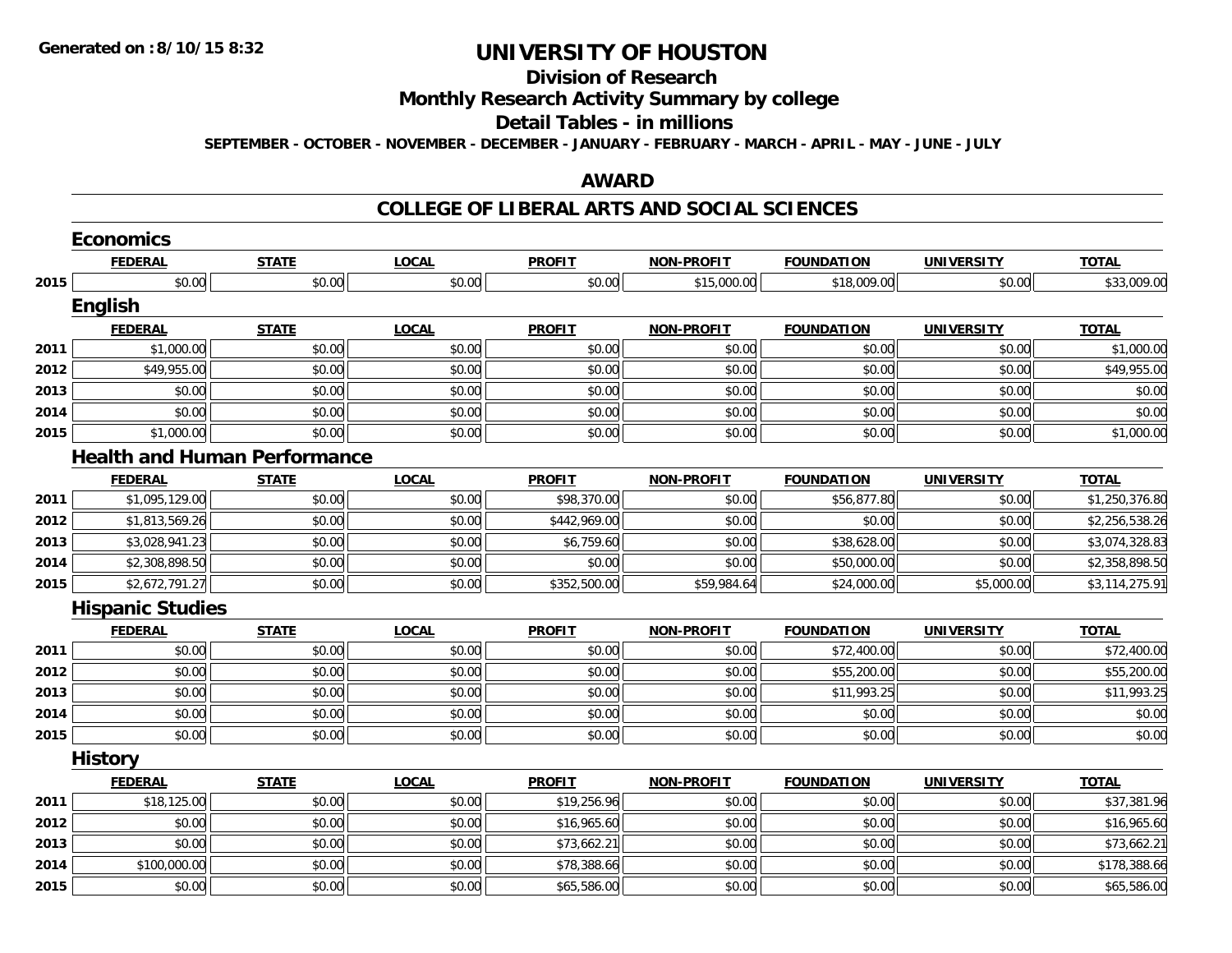## **Division of Research**

## **Monthly Research Activity Summary by college**

#### **Detail Tables - in millions**

**SEPTEMBER - OCTOBER - NOVEMBER - DECEMBER - JANUARY - FEBRUARY - MARCH - APRIL - MAY - JUNE - JULY**

#### **AWARD**

|      | <b>Economics</b>                    |              |              |               |                   |                   |                   |                |
|------|-------------------------------------|--------------|--------------|---------------|-------------------|-------------------|-------------------|----------------|
|      | <b>FEDERAL</b>                      | <b>STATE</b> | <b>LOCAL</b> | <b>PROFIT</b> | NON-PROFIT        | <b>FOUNDATION</b> | <b>UNIVERSITY</b> | <b>TOTAL</b>   |
| 2015 | \$0.00                              | \$0.00       | \$0.00       | \$0.00        | \$15,000.00       | \$18,009.00       | \$0.00            | \$33,009.00    |
|      | <b>English</b>                      |              |              |               |                   |                   |                   |                |
|      | <b>FEDERAL</b>                      | <b>STATE</b> | <b>LOCAL</b> | <b>PROFIT</b> | <b>NON-PROFIT</b> | <b>FOUNDATION</b> | <b>UNIVERSITY</b> | <b>TOTAL</b>   |
| 2011 | \$1,000.00                          | \$0.00       | \$0.00       | \$0.00        | \$0.00            | \$0.00            | \$0.00            | \$1,000.00     |
| 2012 | \$49,955.00                         | \$0.00       | \$0.00       | \$0.00        | \$0.00            | \$0.00            | \$0.00            | \$49,955.00    |
| 2013 | \$0.00                              | \$0.00       | \$0.00       | \$0.00        | \$0.00            | \$0.00            | \$0.00            | \$0.00         |
| 2014 | \$0.00                              | \$0.00       | \$0.00       | \$0.00        | \$0.00            | \$0.00            | \$0.00            | \$0.00         |
| 2015 | \$1,000.00                          | \$0.00       | \$0.00       | \$0.00        | \$0.00            | \$0.00            | \$0.00            | \$1,000.00     |
|      | <b>Health and Human Performance</b> |              |              |               |                   |                   |                   |                |
|      | <b>FEDERAL</b>                      | <b>STATE</b> | <b>LOCAL</b> | <b>PROFIT</b> | <b>NON-PROFIT</b> | <b>FOUNDATION</b> | <b>UNIVERSITY</b> | <b>TOTAL</b>   |
| 2011 | \$1,095,129.00                      | \$0.00       | \$0.00       | \$98,370.00   | \$0.00            | \$56,877.80       | \$0.00            | \$1,250,376.80 |
| 2012 | \$1,813,569.26                      | \$0.00       | \$0.00       | \$442,969.00  | \$0.00            | \$0.00            | \$0.00            | \$2,256,538.26 |
| 2013 | \$3,028,941.23                      | \$0.00       | \$0.00       | \$6,759.60    | \$0.00            | \$38,628.00       | \$0.00            | \$3,074,328.83 |
| 2014 | \$2,308,898.50                      | \$0.00       | \$0.00       | \$0.00        | \$0.00            | \$50,000.00       | \$0.00            | \$2,358,898.50 |
| 2015 | \$2,672,791.27                      | \$0.00       | \$0.00       | \$352,500.00  | \$59,984.64       | \$24,000.00       | \$5,000.00        | \$3,114,275.91 |
|      | <b>Hispanic Studies</b>             |              |              |               |                   |                   |                   |                |
|      | <b>FEDERAL</b>                      | <b>STATE</b> | <b>LOCAL</b> | <b>PROFIT</b> | <b>NON-PROFIT</b> | <b>FOUNDATION</b> | <b>UNIVERSITY</b> | <b>TOTAL</b>   |
| 2011 | \$0.00                              | \$0.00       | \$0.00       | \$0.00        | \$0.00            | \$72,400.00       | \$0.00            | \$72,400.00    |
| 2012 | \$0.00                              | \$0.00       | \$0.00       | \$0.00        | \$0.00            | \$55,200.00       | \$0.00            | \$55,200.00    |
| 2013 | \$0.00                              | \$0.00       | \$0.00       | \$0.00        | \$0.00            | \$11,993.25       | \$0.00            | \$11,993.25    |
| 2014 | \$0.00                              | \$0.00       | \$0.00       | \$0.00        | \$0.00            | \$0.00            | \$0.00            | \$0.00         |
| 2015 | \$0.00                              | \$0.00       | \$0.00       | \$0.00        | \$0.00            | \$0.00            | \$0.00            | \$0.00         |
|      | <b>History</b>                      |              |              |               |                   |                   |                   |                |
|      | <b>FEDERAL</b>                      | <b>STATE</b> | <b>LOCAL</b> | <b>PROFIT</b> | <b>NON-PROFIT</b> | <b>FOUNDATION</b> | <b>UNIVERSITY</b> | <b>TOTAL</b>   |
| 2011 | \$18,125.00                         | \$0.00       | \$0.00       | \$19,256.96   | \$0.00            | \$0.00            | \$0.00            | \$37,381.96    |
| 2012 | \$0.00                              | \$0.00       | \$0.00       | \$16,965.60   | \$0.00            | \$0.00            | \$0.00            | \$16,965.60    |
| 2013 | \$0.00                              | \$0.00       | \$0.00       | \$73,662.21   | \$0.00            | \$0.00            | \$0.00            | \$73,662.21    |
| 2014 | \$100,000.00                        | \$0.00       | \$0.00       | \$78,388.66   | \$0.00            | \$0.00            | \$0.00            | \$178,388.66   |
| 2015 | \$0.00                              | \$0.00       | \$0.00       | \$65,586.00   | \$0.00            | \$0.00            | \$0.00            | \$65,586.00    |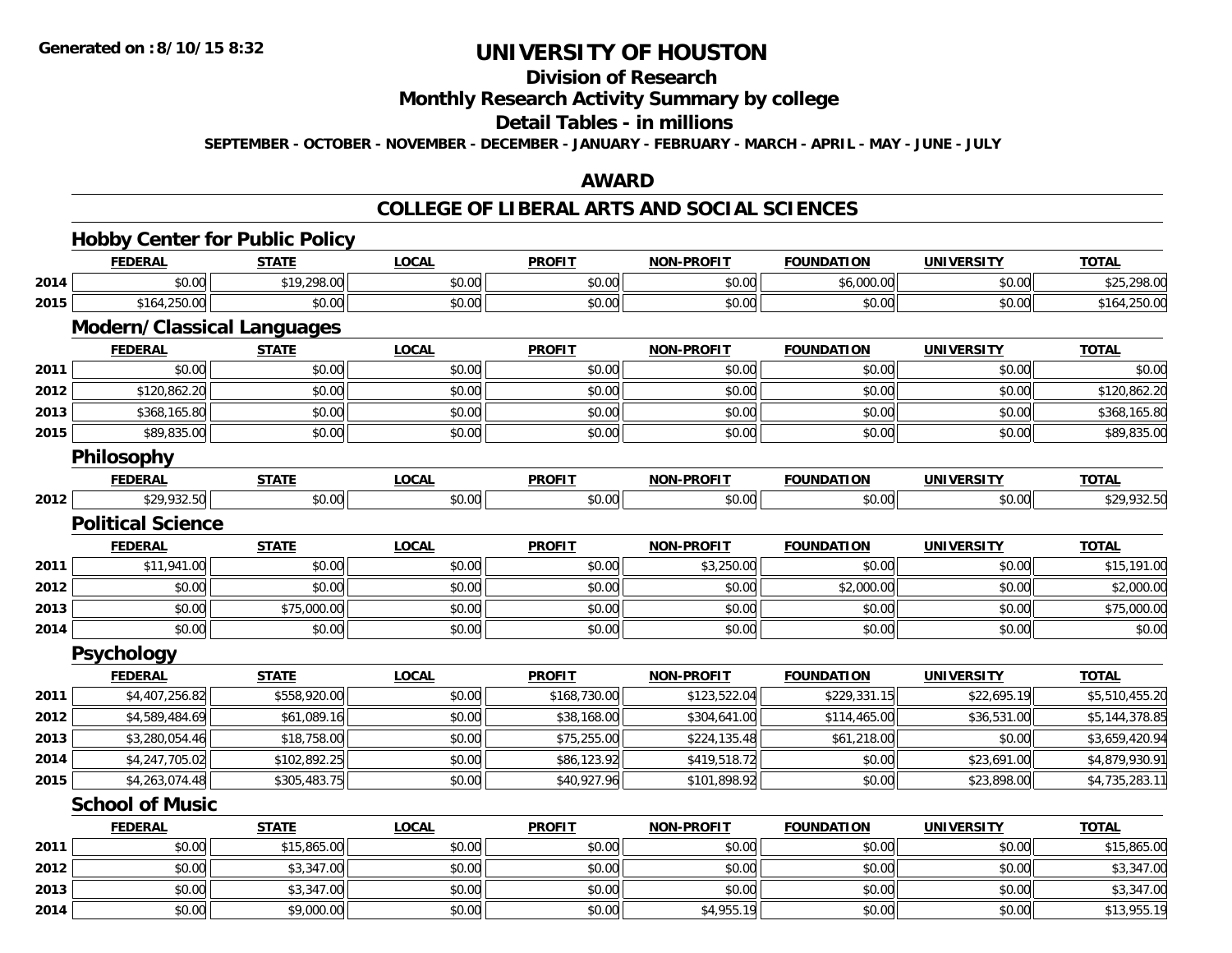## **Division of Research**

**Monthly Research Activity Summary by college**

#### **Detail Tables - in millions**

**SEPTEMBER - OCTOBER - NOVEMBER - DECEMBER - JANUARY - FEBRUARY - MARCH - APRIL - MAY - JUNE - JULY**

### **AWARD**

|      | <b>FEDERAL</b>                    | <b>STATE</b> | <b>LOCAL</b> | <b>PROFIT</b> | <b>NON-PROFIT</b> | <b>FOUNDATION</b> | <b>UNIVERSITY</b> | <b>TOTAL</b>   |
|------|-----------------------------------|--------------|--------------|---------------|-------------------|-------------------|-------------------|----------------|
| 2014 | \$0.00                            | \$19,298.00  | \$0.00       | \$0.00        | \$0.00            | \$6,000.00        | \$0.00            | \$25,298.00    |
| 2015 | \$164,250.00                      | \$0.00       | \$0.00       | \$0.00        | \$0.00            | \$0.00            | \$0.00            | \$164,250.00   |
|      | <b>Modern/Classical Languages</b> |              |              |               |                   |                   |                   |                |
|      | <b>FEDERAL</b>                    | <b>STATE</b> | <b>LOCAL</b> | <b>PROFIT</b> | <b>NON-PROFIT</b> | <b>FOUNDATION</b> | <b>UNIVERSITY</b> | <b>TOTAL</b>   |
| 2011 | \$0.00                            | \$0.00       | \$0.00       | \$0.00        | \$0.00            | \$0.00            | \$0.00            | \$0.00         |
| 2012 | \$120,862.20                      | \$0.00       | \$0.00       | \$0.00        | \$0.00            | \$0.00            | \$0.00            | \$120,862.20   |
| 2013 | \$368,165.80                      | \$0.00       | \$0.00       | \$0.00        | \$0.00            | \$0.00            | \$0.00            | \$368,165.80   |
| 2015 | \$89,835.00                       | \$0.00       | \$0.00       | \$0.00        | \$0.00            | \$0.00            | \$0.00            | \$89,835.00    |
|      | Philosophy                        |              |              |               |                   |                   |                   |                |
|      | <b>FEDERAL</b>                    | <b>STATE</b> | <b>LOCAL</b> | <b>PROFIT</b> | <b>NON-PROFIT</b> | <b>FOUNDATION</b> | <b>UNIVERSITY</b> | <b>TOTAL</b>   |
| 2012 | \$29,932.50                       | \$0.00       | \$0.00       | \$0.00        | \$0.00            | \$0.00            | \$0.00            | \$29,932.50    |
|      | <b>Political Science</b>          |              |              |               |                   |                   |                   |                |
|      | <b>FEDERAL</b>                    | <b>STATE</b> | <b>LOCAL</b> | <b>PROFIT</b> | <b>NON-PROFIT</b> | <b>FOUNDATION</b> | <b>UNIVERSITY</b> | <b>TOTAL</b>   |
| 2011 | \$11,941.00                       | \$0.00       | \$0.00       | \$0.00        | \$3,250.00        | \$0.00            | \$0.00            | \$15,191.00    |
| 2012 | \$0.00                            | \$0.00       | \$0.00       | \$0.00        | \$0.00            | \$2,000.00        | \$0.00            | \$2,000.00     |
| 2013 | \$0.00                            | \$75,000.00  | \$0.00       | \$0.00        | \$0.00            | \$0.00            | \$0.00            | \$75,000.00    |
| 2014 | \$0.00                            | \$0.00       | \$0.00       | \$0.00        | \$0.00            | \$0.00            | \$0.00            | \$0.00         |
|      | Psychology                        |              |              |               |                   |                   |                   |                |
|      | <b>FEDERAL</b>                    | <b>STATE</b> | <b>LOCAL</b> | <b>PROFIT</b> | <b>NON-PROFIT</b> | <b>FOUNDATION</b> | <b>UNIVERSITY</b> | <b>TOTAL</b>   |
| 2011 | \$4,407,256.82                    | \$558,920.00 | \$0.00       | \$168,730.00  | \$123,522.04      | \$229,331.15      | \$22,695.19       | \$5,510,455.20 |
| 2012 | \$4,589,484.69                    | \$61,089.16  | \$0.00       | \$38,168.00   | \$304,641.00      | \$114,465.00      | \$36,531.00       | \$5,144,378.85 |
| 2013 | \$3,280,054.46                    | \$18,758.00  | \$0.00       | \$75,255.00   | \$224,135.48      | \$61,218.00       | \$0.00            | \$3,659,420.94 |
| 2014 | \$4,247,705.02                    | \$102,892.25 | \$0.00       | \$86,123.92   | \$419,518.72      | \$0.00            | \$23,691.00       | \$4,879,930.91 |
| 2015 | \$4,263,074.48                    | \$305,483.75 | \$0.00       | \$40,927.96   | \$101,898.92      | \$0.00            | \$23,898.00       | \$4,735,283.11 |
|      | <b>School of Music</b>            |              |              |               |                   |                   |                   |                |
|      | <b>FEDERAL</b>                    | <b>STATE</b> | <b>LOCAL</b> | <b>PROFIT</b> | <b>NON-PROFIT</b> | <b>FOUNDATION</b> | <b>UNIVERSITY</b> | <b>TOTAL</b>   |
| 2011 | \$0.00                            | \$15,865.00  | \$0.00       | \$0.00        | \$0.00            | \$0.00            | \$0.00            | \$15,865.00    |
| 2012 | \$0.00                            | \$3,347.00   | \$0.00       | \$0.00        | \$0.00            | \$0.00            | \$0.00            | \$3,347.00     |
| 2013 | \$0.00                            | \$3,347.00   | \$0.00       | \$0.00        | \$0.00            | \$0.00            | \$0.00            | \$3,347.00     |
| 2014 | \$0.00                            | \$9,000.00   | \$0.00       | \$0.00        | \$4,955.19        | \$0.00            | \$0.00            | \$13,955.19    |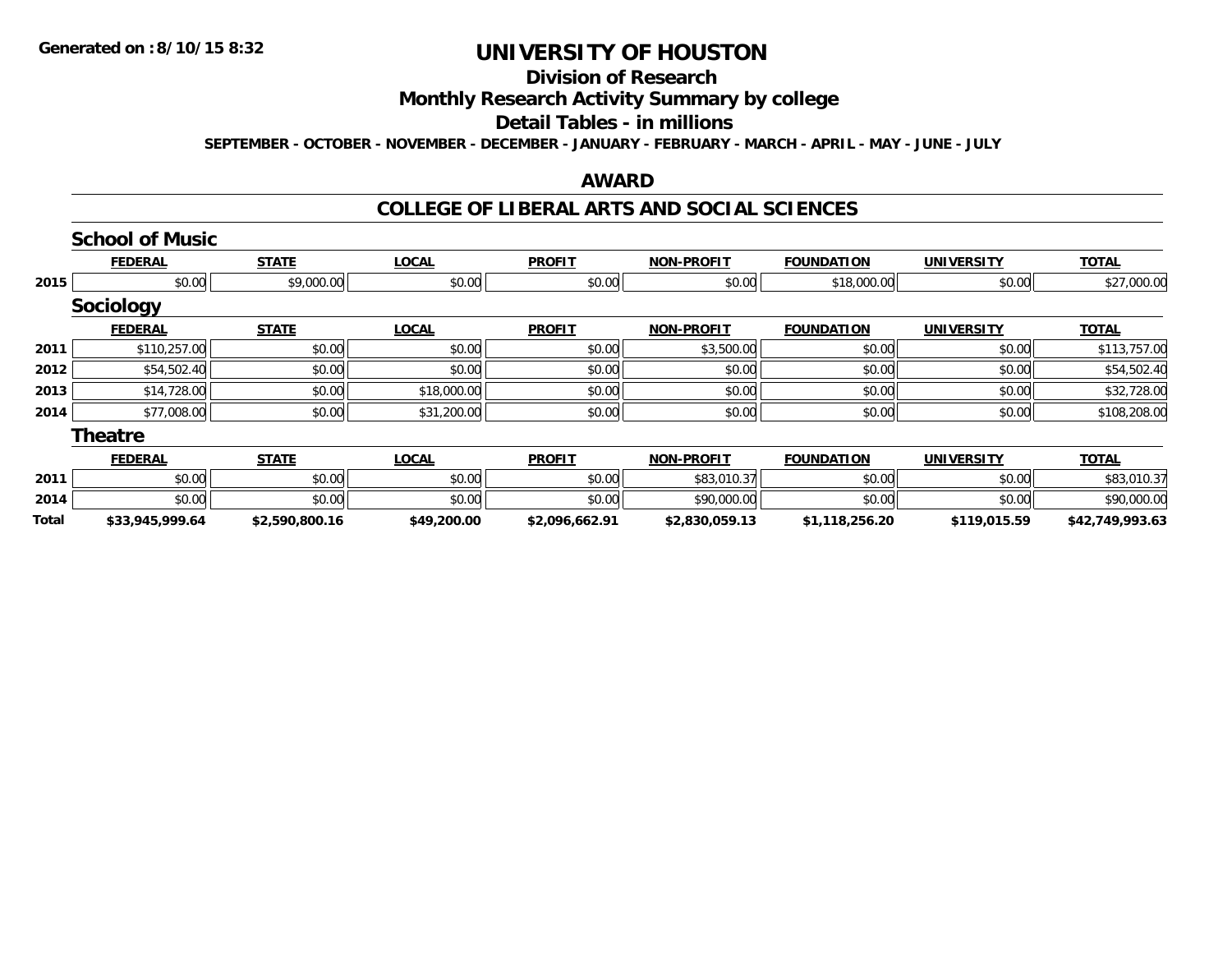## **Division of Research**

**Monthly Research Activity Summary by college**

## **Detail Tables - in millions**

**SEPTEMBER - OCTOBER - NOVEMBER - DECEMBER - JANUARY - FEBRUARY - MARCH - APRIL - MAY - JUNE - JULY**

#### **AWARD**

|              | <b>School of Music</b> |                |              |                |                   |                   |                   |                 |
|--------------|------------------------|----------------|--------------|----------------|-------------------|-------------------|-------------------|-----------------|
|              | <b>FEDERAL</b>         | <b>STATE</b>   | <b>LOCAL</b> | <b>PROFIT</b>  | <b>NON-PROFIT</b> | <b>FOUNDATION</b> | <b>UNIVERSITY</b> | <b>TOTAL</b>    |
| 2015         | \$0.00                 | \$9,000.00     | \$0.00       | \$0.00         | \$0.00            | \$18,000.00       | \$0.00            | \$27,000.00     |
|              | <b>Sociology</b>       |                |              |                |                   |                   |                   |                 |
|              | <b>FEDERAL</b>         | <b>STATE</b>   | <b>LOCAL</b> | <b>PROFIT</b>  | <b>NON-PROFIT</b> | <b>FOUNDATION</b> | <b>UNIVERSITY</b> | <b>TOTAL</b>    |
| 2011         | \$110,257.00           | \$0.00         | \$0.00       | \$0.00         | \$3,500.00        | \$0.00            | \$0.00            | \$113,757.00    |
| 2012         | \$54,502.40            | \$0.00         | \$0.00       | \$0.00         | \$0.00            | \$0.00            | \$0.00            | \$54,502.40     |
| 2013         | \$14,728.00            | \$0.00         | \$18,000.00  | \$0.00         | \$0.00            | \$0.00            | \$0.00            | \$32,728.00     |
| 2014         | \$77,008.00            | \$0.00         | \$31,200.00  | \$0.00         | \$0.00            | \$0.00            | \$0.00            | \$108,208.00    |
|              | <b>Theatre</b>         |                |              |                |                   |                   |                   |                 |
|              | <b>FEDERAL</b>         | <b>STATE</b>   | <b>LOCAL</b> | <b>PROFIT</b>  | <b>NON-PROFIT</b> | <b>FOUNDATION</b> | <b>UNIVERSITY</b> | <b>TOTAL</b>    |
| 2011         | \$0.00                 | \$0.00         | \$0.00       | \$0.00         | \$83,010.37       | \$0.00            | \$0.00            | \$83,010.37     |
| 2014         | \$0.00                 | \$0.00         | \$0.00       | \$0.00         | \$90,000.00       | \$0.00            | \$0.00            | \$90,000.00     |
| <b>Total</b> | \$33,945,999.64        | \$2,590,800.16 | \$49,200.00  | \$2,096,662.91 | \$2,830,059.13    | \$1,118,256.20    | \$119,015.59      | \$42,749,993.63 |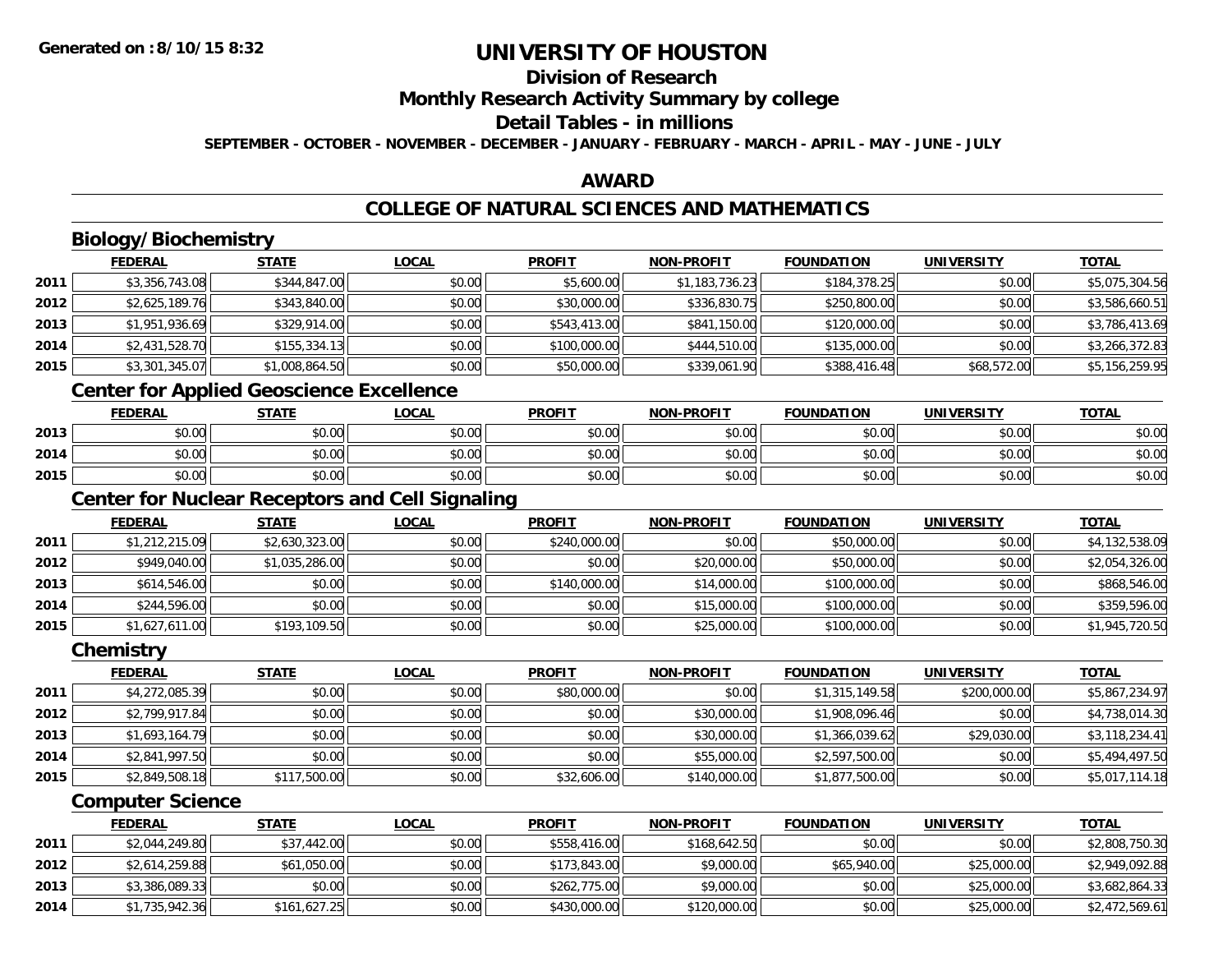## **Division of Research**

**Monthly Research Activity Summary by college**

## **Detail Tables - in millions**

**SEPTEMBER - OCTOBER - NOVEMBER - DECEMBER - JANUARY - FEBRUARY - MARCH - APRIL - MAY - JUNE - JULY**

## **AWARD**

## **COLLEGE OF NATURAL SCIENCES AND MATHEMATICS**

## **Biology/Biochemistry**

|      | <b>FEDERAL</b> | <b>STATE</b>   | <b>LOCAL</b> | <b>PROFIT</b> | <b>NON-PROFIT</b> | <b>FOUNDATION</b> | <b>UNIVERSITY</b> | <b>TOTAL</b>   |
|------|----------------|----------------|--------------|---------------|-------------------|-------------------|-------------------|----------------|
| 2011 | \$3,356,743.08 | \$344,847.00   | \$0.00       | \$5,600.00    | \$1,183,736.23    | \$184,378.25      | \$0.00            | \$5,075,304.56 |
| 2012 | \$2,625,189.76 | \$343,840.00   | \$0.00       | \$30,000.00   | \$336,830.75      | \$250,800.00      | \$0.00            | \$3,586,660.51 |
| 2013 | \$1,951,936.69 | \$329,914.00   | \$0.00       | \$543,413.00  | \$841,150.00      | \$120,000.00      | \$0.00            | \$3,786,413.69 |
| 2014 | \$2,431,528.70 | \$155,334.13   | \$0.00       | \$100,000.00  | \$444,510.00      | \$135,000.00      | \$0.00            | \$3,266,372.83 |
| 2015 | \$3,301,345.07 | \$1,008,864.50 | \$0.00       | \$50,000.00   | \$339,061.90      | \$388,416.48      | \$68,572.00       | \$5,156,259.95 |

<u> 1980 - Johann Barbara, martxa amerikan bashkar (</u>

## **Center for Applied Geoscience Excellence**

|      | <b>FEDERAL</b>               | <b>STATE</b> | <u>LOCAL</u> | <b>PROFIT</b> | <b>NON-PROFIT</b> | <b>FOUNDATION</b> | <b>UNIVERSITY</b> | <b>TOTAL</b> |
|------|------------------------------|--------------|--------------|---------------|-------------------|-------------------|-------------------|--------------|
| 2013 | $\sim$<br>$\sim$<br>JU.UU    | \$0.00       | \$0.00       | \$0.00        | \$0.00            | \$0.00            | \$0.00            | \$0.00       |
| 2014 | ሖጣ<br>$\sim$<br>וטטוע        | \$0.00       | \$0.00       | \$0.00        | \$0.00            | \$0.00            | \$0.00            | \$0.00       |
| 2015 | <b>↑∩</b><br>$\sim$<br>JU.UU | \$0.00       | \$0.00       | \$0.00        | \$0.00            | \$0.00            | \$0.00            | \$0.00       |

<u> 1980 - Johann Barn, fransk politik (d. 1980)</u>

## **Center for Nuclear Receptors and Cell Signaling**

|      | <b>FEDERAL</b> | <b>STATE</b>   | <b>LOCAL</b> | <b>PROFIT</b> | <b>NON-PROFIT</b> | <b>FOUNDATION</b> | <b>UNIVERSITY</b> | <b>TOTAL</b>   |
|------|----------------|----------------|--------------|---------------|-------------------|-------------------|-------------------|----------------|
| 2011 | \$1,212,215.09 | \$2,630,323.00 | \$0.00       | \$240,000.00  | \$0.00            | \$50,000.00       | \$0.00            | \$4,132,538.09 |
| 2012 | \$949,040.00   | \$1,035,286.00 | \$0.00       | \$0.00        | \$20,000.00       | \$50,000.00       | \$0.00            | \$2,054,326.00 |
| 2013 | \$614,546.00   | \$0.00         | \$0.00       | \$140,000.00  | \$14,000.00       | \$100,000.00      | \$0.00            | \$868,546.00   |
| 2014 | \$244,596.00   | \$0.00         | \$0.00       | \$0.00        | \$15,000.00       | \$100,000.00      | \$0.00            | \$359,596.00   |
| 2015 | \$1,627,611.00 | \$193,109.50   | \$0.00       | \$0.00        | \$25,000.00       | \$100,000.00      | \$0.00            | \$1,945,720.50 |

#### **Chemistry**

|      | <b>FEDERAL</b> | <b>STATE</b> | <b>LOCAL</b> | <b>PROFIT</b> | <b>NON-PROFIT</b> | <b>FOUNDATION</b> | <b>UNIVERSITY</b> | <b>TOTAL</b>   |
|------|----------------|--------------|--------------|---------------|-------------------|-------------------|-------------------|----------------|
| 2011 | \$4,272,085.39 | \$0.00       | \$0.00       | \$80,000.00   | \$0.00            | \$1,315,149.58    | \$200,000.00      | \$5,867,234.97 |
| 2012 | \$2,799,917.84 | \$0.00       | \$0.00       | \$0.00        | \$30,000.00       | \$1,908,096.46    | \$0.00            | \$4,738,014.30 |
| 2013 | \$1,693,164.79 | \$0.00       | \$0.00       | \$0.00        | \$30,000.00       | \$1,366,039.62    | \$29,030.00       | \$3,118,234.41 |
| 2014 | \$2,841,997.50 | \$0.00       | \$0.00       | \$0.00        | \$55,000.00       | \$2,597,500.00    | \$0.00            | \$5,494,497.50 |
| 2015 | \$2,849,508.18 | \$117,500.00 | \$0.00       | \$32,606.00   | \$140,000.00      | \$1,877,500.00    | \$0.00            | \$5,017,114.18 |

#### **Computer Science**

|      | <u>FEDERAL</u> | <u>STATE</u> | <u>LOCAL</u> | <b>PROFIT</b> | <b>NON-PROFIT</b> | <b>FOUNDATION</b> | UNIVERSITY  | <b>TOTAL</b>   |
|------|----------------|--------------|--------------|---------------|-------------------|-------------------|-------------|----------------|
| 2011 | \$2,044,249.80 | \$37,442.00  | \$0.00       | \$558,416.00  | \$168,642.50      | \$0.00            | \$0.00      | \$2,808,750.30 |
| 2012 | \$2,614,259.88 | \$61,050.00  | \$0.00       | \$173,843,00  | \$9,000.00        | \$65,940,00       | \$25,000.00 | \$2,949,092.88 |
| 2013 | \$3,386,089.33 | \$0.00       | \$0.00       | \$262,775.00  | \$9,000.00        | \$0.00            | \$25,000.00 | \$3,682,864.33 |
| 2014 | \$1,735,942.36 | \$161,627.25 | \$0.00       | \$430,000.00  | \$120,000.00      | \$0.00            | \$25,000.00 | \$2,472,569.61 |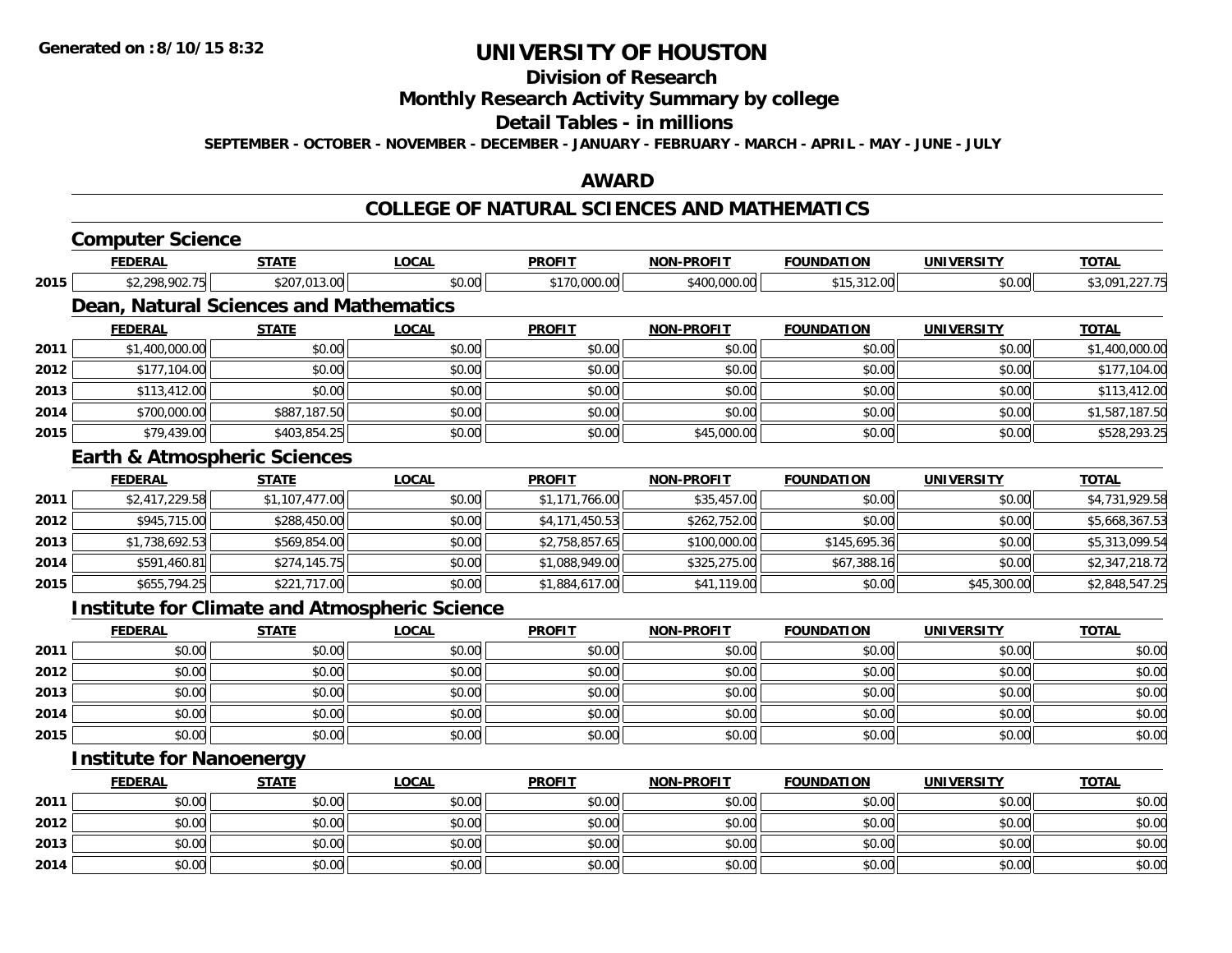**2014**

# **UNIVERSITY OF HOUSTON**

## **Division of Research**

**Monthly Research Activity Summary by college**

#### **Detail Tables - in millions**

**SEPTEMBER - OCTOBER - NOVEMBER - DECEMBER - JANUARY - FEBRUARY - MARCH - APRIL - MAY - JUNE - JULY**

### **AWARD**

#### **COLLEGE OF NATURAL SCIENCES AND MATHEMATICS**

|                                                                              | <b>Computer Science</b>                              |                |              |                |                   |                   |                   |                |
|------------------------------------------------------------------------------|------------------------------------------------------|----------------|--------------|----------------|-------------------|-------------------|-------------------|----------------|
|                                                                              | <b>FEDERAL</b>                                       | <b>STATE</b>   | <b>LOCAL</b> | <b>PROFIT</b>  | <b>NON-PROFIT</b> | <b>FOUNDATION</b> | <b>UNIVERSITY</b> | <b>TOTAL</b>   |
| 2015<br>2011<br>2012<br>2013<br>2014<br>2015<br>2011<br>2012<br>2013<br>2014 | \$2,298,902.75                                       | \$207,013.00   | \$0.00       | \$170,000.00   | \$400,000.00      | \$15,312.00       | \$0.00            | \$3,091,227.75 |
|                                                                              | Dean, Natural Sciences and Mathematics               |                |              |                |                   |                   |                   |                |
|                                                                              | <b>FEDERAL</b>                                       | <b>STATE</b>   | <b>LOCAL</b> | <b>PROFIT</b>  | <b>NON-PROFIT</b> | <b>FOUNDATION</b> | <b>UNIVERSITY</b> | <b>TOTAL</b>   |
|                                                                              | \$1,400,000.00                                       | \$0.00         | \$0.00       | \$0.00         | \$0.00            | \$0.00            | \$0.00            | \$1,400,000.00 |
|                                                                              | \$177,104.00                                         | \$0.00         | \$0.00       | \$0.00         | \$0.00            | \$0.00            | \$0.00            | \$177,104.00   |
|                                                                              | \$113,412.00                                         | \$0.00         | \$0.00       | \$0.00         | \$0.00            | \$0.00            | \$0.00            | \$113,412.00   |
|                                                                              | \$700,000.00                                         | \$887,187.50   | \$0.00       | \$0.00         | \$0.00            | \$0.00            | \$0.00            | \$1,587,187.50 |
|                                                                              | \$79,439.00                                          | \$403,854.25   | \$0.00       | \$0.00         | \$45,000.00       | \$0.00            | \$0.00            | \$528,293.25   |
|                                                                              | <b>Earth &amp; Atmospheric Sciences</b>              |                |              |                |                   |                   |                   |                |
|                                                                              | <b>FEDERAL</b>                                       | <b>STATE</b>   | <b>LOCAL</b> | <b>PROFIT</b>  | <b>NON-PROFIT</b> | <b>FOUNDATION</b> | <b>UNIVERSITY</b> | <b>TOTAL</b>   |
|                                                                              | \$2,417,229.58                                       | \$1,107,477.00 | \$0.00       | \$1,171,766.00 | \$35,457.00       | \$0.00            | \$0.00            | \$4,731,929.58 |
|                                                                              | \$945,715.00                                         | \$288,450.00   | \$0.00       | \$4,171,450.53 | \$262,752.00      | \$0.00            | \$0.00            | \$5,668,367.53 |
|                                                                              | \$1,738,692.53                                       | \$569,854.00   | \$0.00       | \$2,758,857.65 | \$100,000.00      | \$145,695.36      | \$0.00            | \$5,313,099.54 |
|                                                                              | \$591,460.81                                         | \$274,145.75   | \$0.00       | \$1,088,949.00 | \$325,275.00      | \$67,388.16       | \$0.00            | \$2,347,218.72 |
| 2015                                                                         | \$655,794.25                                         | \$221,717.00   | \$0.00       | \$1,884,617.00 | \$41,119.00       | \$0.00            | \$45,300.00       | \$2,848,547.25 |
|                                                                              | <b>Institute for Climate and Atmospheric Science</b> |                |              |                |                   |                   |                   |                |
|                                                                              | <b>FEDERAL</b>                                       | <b>STATE</b>   | <b>LOCAL</b> | <b>PROFIT</b>  | <b>NON-PROFIT</b> | <b>FOUNDATION</b> | <b>UNIVERSITY</b> | <b>TOTAL</b>   |
| 2011                                                                         | \$0.00                                               | \$0.00         | \$0.00       | \$0.00         | \$0.00            | \$0.00            | \$0.00            | \$0.00         |
| 2012                                                                         | \$0.00                                               | \$0.00         | \$0.00       | \$0.00         | \$0.00            | \$0.00            | \$0.00            | \$0.00         |
| 2013                                                                         | \$0.00                                               | \$0.00         | \$0.00       | \$0.00         | \$0.00            | \$0.00            | \$0.00            | \$0.00         |
| 2014                                                                         | \$0.00                                               | \$0.00         | \$0.00       | \$0.00         | \$0.00            | \$0.00            | \$0.00            | \$0.00         |
| 2015                                                                         | \$0.00                                               | \$0.00         | \$0.00       | \$0.00         | \$0.00            | \$0.00            | \$0.00            | \$0.00         |
|                                                                              | <b>Institute for Nanoenergy</b>                      |                |              |                |                   |                   |                   |                |
|                                                                              | <b>FEDERAL</b>                                       | <b>STATE</b>   | <b>LOCAL</b> | <b>PROFIT</b>  | <b>NON-PROFIT</b> | <b>FOUNDATION</b> | <b>UNIVERSITY</b> | <b>TOTAL</b>   |
| 2011                                                                         | \$0.00                                               | \$0.00         | \$0.00       | \$0.00         | \$0.00            | \$0.00            | \$0.00            | \$0.00         |
| 2012                                                                         | \$0.00                                               | \$0.00         | \$0.00       | \$0.00         | \$0.00            | \$0.00            | \$0.00            | \$0.00         |
| 2013                                                                         | \$0.00                                               | \$0.00         | \$0.00       | \$0.00         | \$0.00            | \$0.00            | \$0.00            | \$0.00         |

4 \$0.00 \$0.00 \$0.00 \$0.00 \$0.00 \$0.00 \$0.00 \$0.00 \$0.00 \$0.00 \$0.00 \$0.00 \$0.00 \$0.00 \$0.00 \$0.00 \$0.00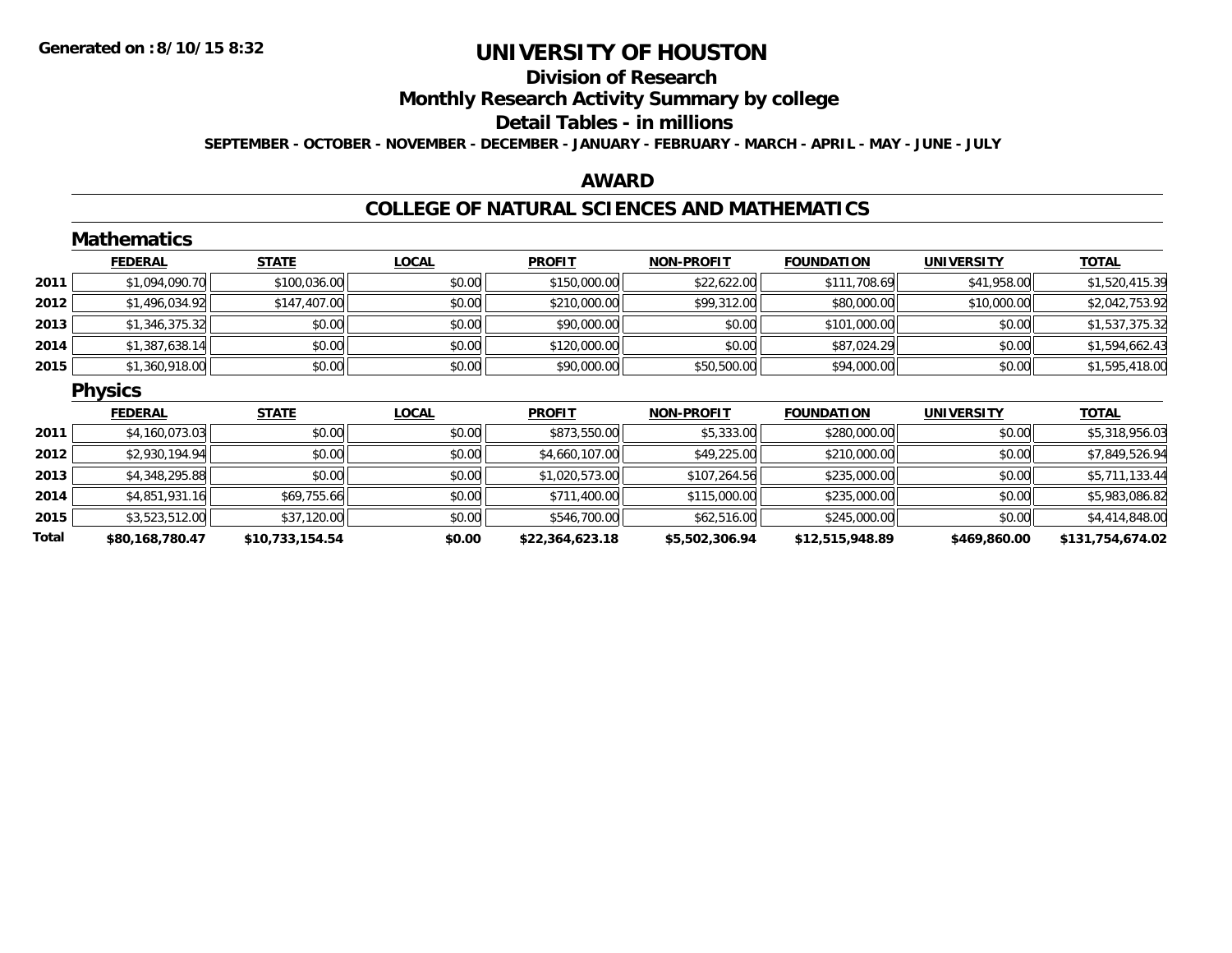# **Division of Research**

**Monthly Research Activity Summary by college**

#### **Detail Tables - in millions**

**SEPTEMBER - OCTOBER - NOVEMBER - DECEMBER - JANUARY - FEBRUARY - MARCH - APRIL - MAY - JUNE - JULY**

### **AWARD**

#### **COLLEGE OF NATURAL SCIENCES AND MATHEMATICS**

|       | <b>Mathematics</b> |                 |              |                 |                   |                   |                   |                  |
|-------|--------------------|-----------------|--------------|-----------------|-------------------|-------------------|-------------------|------------------|
|       | <b>FEDERAL</b>     | <b>STATE</b>    | <b>LOCAL</b> | <b>PROFIT</b>   | <b>NON-PROFIT</b> | <b>FOUNDATION</b> | <b>UNIVERSITY</b> | <b>TOTAL</b>     |
| 2011  | \$1,094,090.70     | \$100,036.00    | \$0.00       | \$150,000.00    | \$22,622.00       | \$111,708.69      | \$41,958.00       | \$1,520,415.39   |
| 2012  | \$1,496,034.92     | \$147,407.00    | \$0.00       | \$210,000.00    | \$99,312.00       | \$80,000.00       | \$10,000.00       | \$2,042,753.92   |
| 2013  | \$1,346,375.32     | \$0.00          | \$0.00       | \$90,000.00     | \$0.00            | \$101,000.00      | \$0.00            | \$1,537,375.32   |
| 2014  | \$1,387,638.14     | \$0.00          | \$0.00       | \$120,000.00    | \$0.00            | \$87,024.29       | \$0.00            | \$1,594,662.43   |
| 2015  | \$1,360,918.00     | \$0.00          | \$0.00       | \$90,000.00     | \$50,500.00       | \$94,000.00       | \$0.00            | \$1,595,418.00   |
|       | <b>Physics</b>     |                 |              |                 |                   |                   |                   |                  |
|       | <b>FEDERAL</b>     | <b>STATE</b>    | <b>LOCAL</b> | <b>PROFIT</b>   | <b>NON-PROFIT</b> | <b>FOUNDATION</b> | <b>UNIVERSITY</b> | <b>TOTAL</b>     |
| 2011  | \$4,160,073.03     | \$0.00          | \$0.00       | \$873,550.00    | \$5,333.00        | \$280,000.00      | \$0.00            | \$5,318,956.03   |
| 2012  | \$2,930,194.94     | \$0.00          | \$0.00       | \$4,660,107.00  | \$49,225.00       | \$210,000.00      | \$0.00            | \$7,849,526.94   |
| 2013  | \$4,348,295.88     | \$0.00          | \$0.00       | \$1,020,573.00  | \$107,264.56      | \$235,000.00      | \$0.00            | \$5,711,133.44   |
| 2014  | \$4,851,931.16     | \$69,755.66     | \$0.00       | \$711,400.00    | \$115,000.00      | \$235,000.00      | \$0.00            | \$5,983,086.82   |
| 2015  | \$3,523,512.00     | \$37,120.00     | \$0.00       | \$546,700.00    | \$62,516.00       | \$245,000.00      | \$0.00            | \$4,414,848.00   |
| Total | \$80,168,780.47    | \$10,733,154.54 | \$0.00       | \$22,364,623.18 | \$5,502,306.94    | \$12,515,948.89   | \$469,860.00      | \$131,754,674.02 |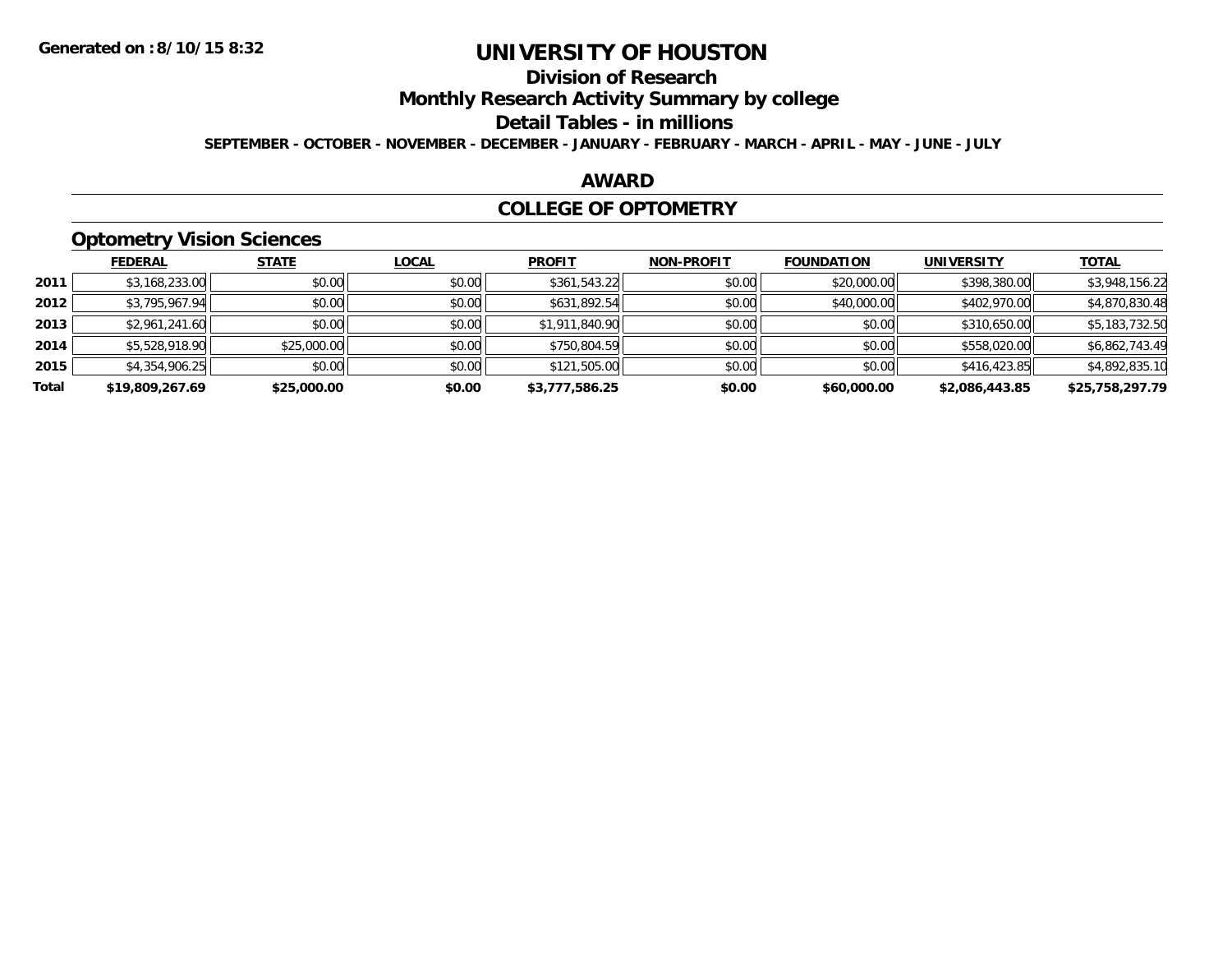## **Division of Research**

**Monthly Research Activity Summary by college**

#### **Detail Tables - in millions**

**SEPTEMBER - OCTOBER - NOVEMBER - DECEMBER - JANUARY - FEBRUARY - MARCH - APRIL - MAY - JUNE - JULY**

### **AWARD**

#### **COLLEGE OF OPTOMETRY**

## **Optometry Vision Sciences**

|       | __              |              |              |                |                   |                   |                   |                 |
|-------|-----------------|--------------|--------------|----------------|-------------------|-------------------|-------------------|-----------------|
|       | <b>FEDERAL</b>  | <b>STATE</b> | <b>LOCAL</b> | <b>PROFIT</b>  | <b>NON-PROFIT</b> | <b>FOUNDATION</b> | <b>UNIVERSITY</b> | <b>TOTAL</b>    |
| 2011  | \$3,168,233.00  | \$0.00       | \$0.00       | \$361,543.22   | \$0.00            | \$20,000.00       | \$398,380.00      | \$3,948,156.22  |
| 2012  | \$3,795,967.94  | \$0.00       | \$0.00       | \$631,892.54   | \$0.00            | \$40,000.00       | \$402,970.00      | \$4,870,830.48  |
| 2013  | \$2,961,241.60  | \$0.00       | \$0.00       | \$1,911,840.90 | \$0.00            | \$0.00            | \$310,650.00      | \$5,183,732.50  |
| 2014  | \$5,528,918.90  | \$25,000.00  | \$0.00       | \$750,804.59   | \$0.00            | \$0.00            | \$558,020.00      | \$6,862,743.49  |
| 2015  | \$4,354,906.25  | \$0.00       | \$0.00       | \$121,505.00   | \$0.00            | \$0.00            | \$416,423.85      | \$4,892,835.10  |
| Total | \$19,809,267.69 | \$25,000.00  | \$0.00       | \$3,777,586.25 | \$0.00            | \$60,000.00       | \$2,086,443.85    | \$25,758,297.79 |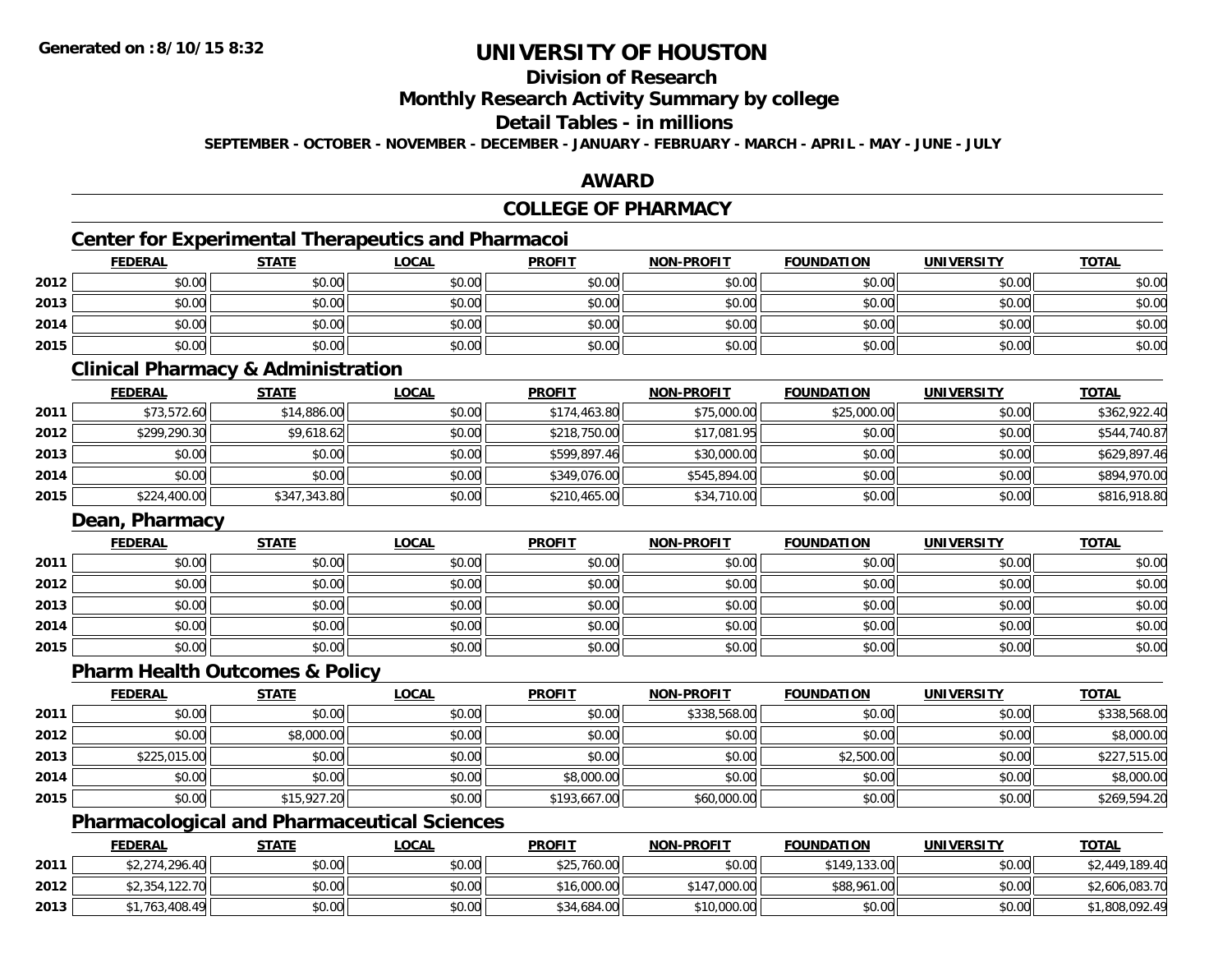## **Division of Research**

**Monthly Research Activity Summary by college**

## **Detail Tables - in millions**

**SEPTEMBER - OCTOBER - NOVEMBER - DECEMBER - JANUARY - FEBRUARY - MARCH - APRIL - MAY - JUNE - JULY**

### **AWARD**

## **COLLEGE OF PHARMACY**

## **Center for Experimental Therapeutics and Pharmacoi**

|      | <b>FEDERAL</b> | <b>STATE</b> | <b>LOCAL</b> | <b>PROFIT</b> | NON-PROFIT | <b>FOUNDATION</b> | <b>UNIVERSITY</b> | <b>TOTAL</b> |
|------|----------------|--------------|--------------|---------------|------------|-------------------|-------------------|--------------|
| 2012 | \$0.00         | \$0.00       | \$0.00       | \$0.00        | \$0.00     | \$0.00            | \$0.00            | \$0.00       |
| 2013 | \$0.00         | \$0.00       | \$0.00       | \$0.00        | \$0.00     | \$0.00            | \$0.00            | \$0.00       |
| 2014 | \$0.00         | \$0.00       | \$0.00       | \$0.00        | \$0.00     | \$0.00            | \$0.00            | \$0.00       |
| 2015 | \$0.00         | \$0.00       | \$0.00       | \$0.00        | \$0.00     | \$0.00            | \$0.00            | \$0.00       |

#### **Clinical Pharmacy & Administration**

|      | <b>FEDERAL</b> | <u>STATE</u> | <u>LOCAL</u> | <b>PROFIT</b> | <b>NON-PROFIT</b> | <b>FOUNDATION</b> | <b>UNIVERSITY</b> | <b>TOTAL</b> |
|------|----------------|--------------|--------------|---------------|-------------------|-------------------|-------------------|--------------|
| 2011 | \$73,572.60    | \$14,886.00  | \$0.00       | \$174,463.80  | \$75,000.00       | \$25,000.00       | \$0.00            | \$362,922.40 |
| 2012 | \$299,290.30   | \$9,618.62   | \$0.00       | \$218,750.00  | \$17,081.95       | \$0.00            | \$0.00            | \$544,740.87 |
| 2013 | \$0.00         | \$0.00       | \$0.00       | \$599,897.46  | \$30,000.00       | \$0.00            | \$0.00            | \$629,897.46 |
| 2014 | \$0.00         | \$0.00       | \$0.00       | \$349,076.00  | \$545,894.00      | \$0.00            | \$0.00            | \$894,970.00 |
| 2015 | \$224,400.00   | \$347,343.80 | \$0.00       | \$210,465.00  | \$34,710.00       | \$0.00            | \$0.00            | \$816,918.80 |

#### **Dean, Pharmacy**

|      | <u>FEDERAL</u> | <b>STATE</b> | <u>LOCAL</u> | <b>PROFIT</b> | <b>NON-PROFIT</b> | <b>FOUNDATION</b> | <b>UNIVERSITY</b> | <b>TOTAL</b> |
|------|----------------|--------------|--------------|---------------|-------------------|-------------------|-------------------|--------------|
| 2011 | \$0.00         | \$0.00       | \$0.00       | \$0.00        | \$0.00            | \$0.00            | \$0.00            | \$0.00       |
| 2012 | \$0.00         | \$0.00       | \$0.00       | \$0.00        | \$0.00            | \$0.00            | \$0.00            | \$0.00       |
| 2013 | \$0.00         | \$0.00       | \$0.00       | \$0.00        | \$0.00            | \$0.00            | \$0.00            | \$0.00       |
| 2014 | \$0.00         | \$0.00       | \$0.00       | \$0.00        | \$0.00            | \$0.00            | \$0.00            | \$0.00       |
| 2015 | \$0.00         | \$0.00       | \$0.00       | \$0.00        | \$0.00            | \$0.00            | \$0.00            | \$0.00       |

## **Pharm Health Outcomes & Policy**

|      | <b>FEDERAL</b> | <b>STATE</b> | <u>LOCAL</u> | <b>PROFIT</b> | <b>NON-PROFIT</b> | <b>FOUNDATION</b> | <b>UNIVERSITY</b> | <b>TOTAL</b> |
|------|----------------|--------------|--------------|---------------|-------------------|-------------------|-------------------|--------------|
| 2011 | \$0.00         | \$0.00       | \$0.00       | \$0.00        | \$338,568.00      | \$0.00            | \$0.00            | \$338,568.00 |
| 2012 | \$0.00         | \$8,000.00   | \$0.00       | \$0.00        | \$0.00            | \$0.00            | \$0.00            | \$8,000.00   |
| 2013 | \$225,015.00   | \$0.00       | \$0.00       | \$0.00        | \$0.00            | \$2,500.00        | \$0.00            | \$227,515.00 |
| 2014 | \$0.00         | \$0.00       | \$0.00       | \$8,000.00    | \$0.00            | \$0.00            | \$0.00            | \$8,000.00   |
| 2015 | \$0.00         | \$15,927.20  | \$0.00       | \$193,667.00  | \$60,000.00       | \$0.00            | \$0.00            | \$269,594.20 |

### **Pharmacological and Pharmaceutical Sciences**

|      | <b>FEDERAL</b> | <b>STATE</b> | <u>LOCAL</u> | <b>PROFIT</b> | <b>NON-PROFIT</b> | <b>FOUNDATION</b> | UNIVERSITY | <b>TOTAL</b>   |
|------|----------------|--------------|--------------|---------------|-------------------|-------------------|------------|----------------|
| 2011 | \$2,274,296.40 | \$0.00       | \$0.00       | \$25,760.00   | \$0.00            | \$149,133.00      | \$0.00     | \$2,449,189.40 |
| 2012 | \$2,354,122.70 | \$0.00       | \$0.00       | \$16,000.00   | \$147,000.00      | \$88,961.00       | \$0.00     | \$2,606,083.70 |
| 2013 | .763.408.49    | \$0.00       | \$0.00       | \$34,684.00   | \$10,000.00       | \$0.00            | \$0.00     | 1,808,092.49   |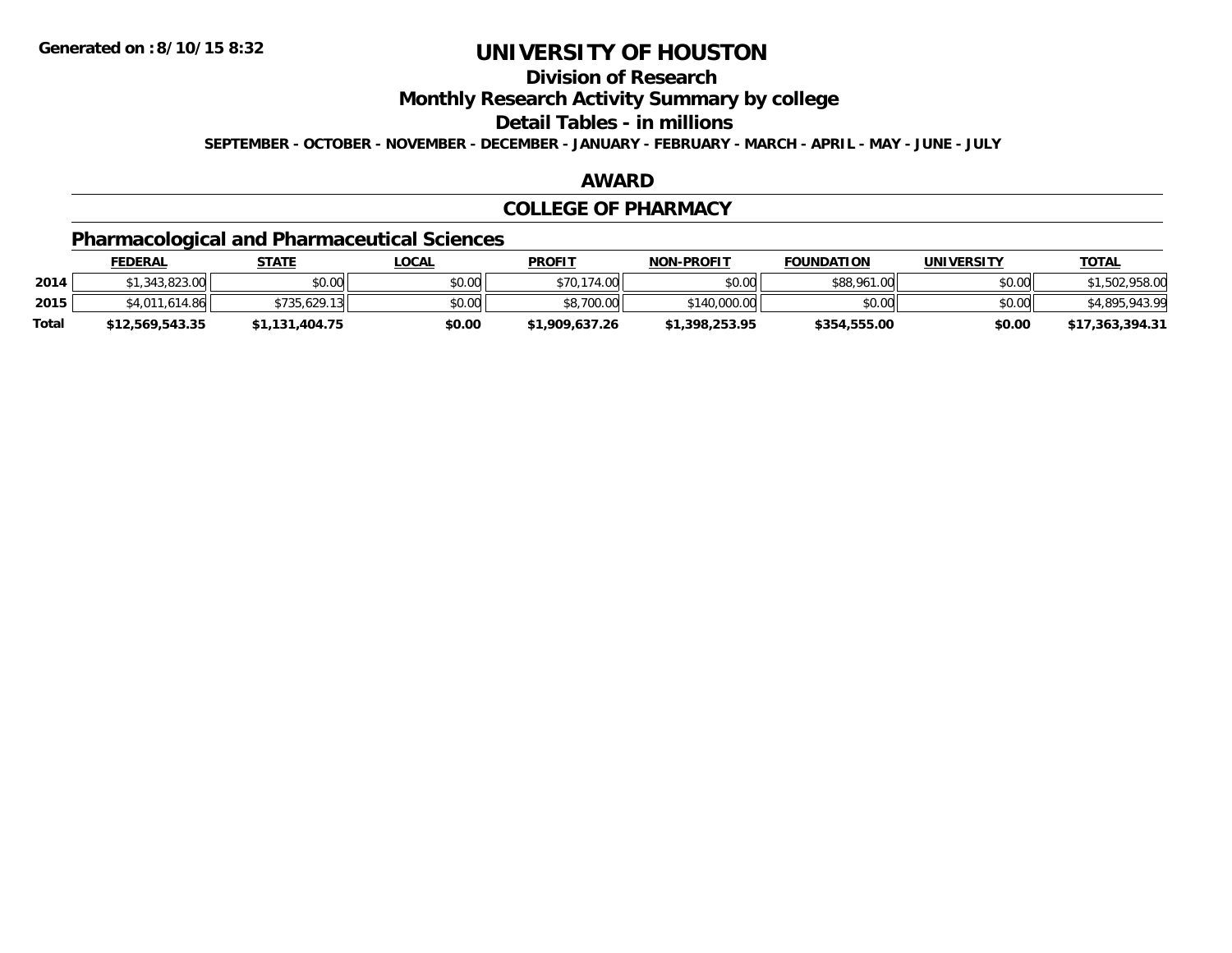## **Division of Research**

**Monthly Research Activity Summary by college**

**Detail Tables - in millions**

**SEPTEMBER - OCTOBER - NOVEMBER - DECEMBER - JANUARY - FEBRUARY - MARCH - APRIL - MAY - JUNE - JULY**

#### **AWARD**

#### **COLLEGE OF PHARMACY**

## **Pharmacological and Pharmaceutical Sciences**

|       | <b>FEDERAL</b>  | STATE          | <u>LOCAL</u> | <b>PROFIT</b>  | <b>NON-PROFIT</b> | <b>FOUNDATION</b> | UNIVERSITY | <b>TOTAL</b>    |
|-------|-----------------|----------------|--------------|----------------|-------------------|-------------------|------------|-----------------|
| 2014  | .343.823.00     | \$0.00         | \$0.00       | \$70,174.00    | \$0.00            | \$88,961.00       | \$0.00     | 1,502,958.00    |
| 2015  | \$4,011,614.86  | \$735,629.13   | \$0.00       | \$8,700.00     | \$140,000.00      | \$0.00            | \$0.00     | \$4,895,943.99  |
| Total | \$12,569,543.35 | \$1,131,404.75 | \$0.00       | \$1,909,637.26 | \$1,398,253.95    | \$354,555.00      | \$0.00     | \$17,363,394.31 |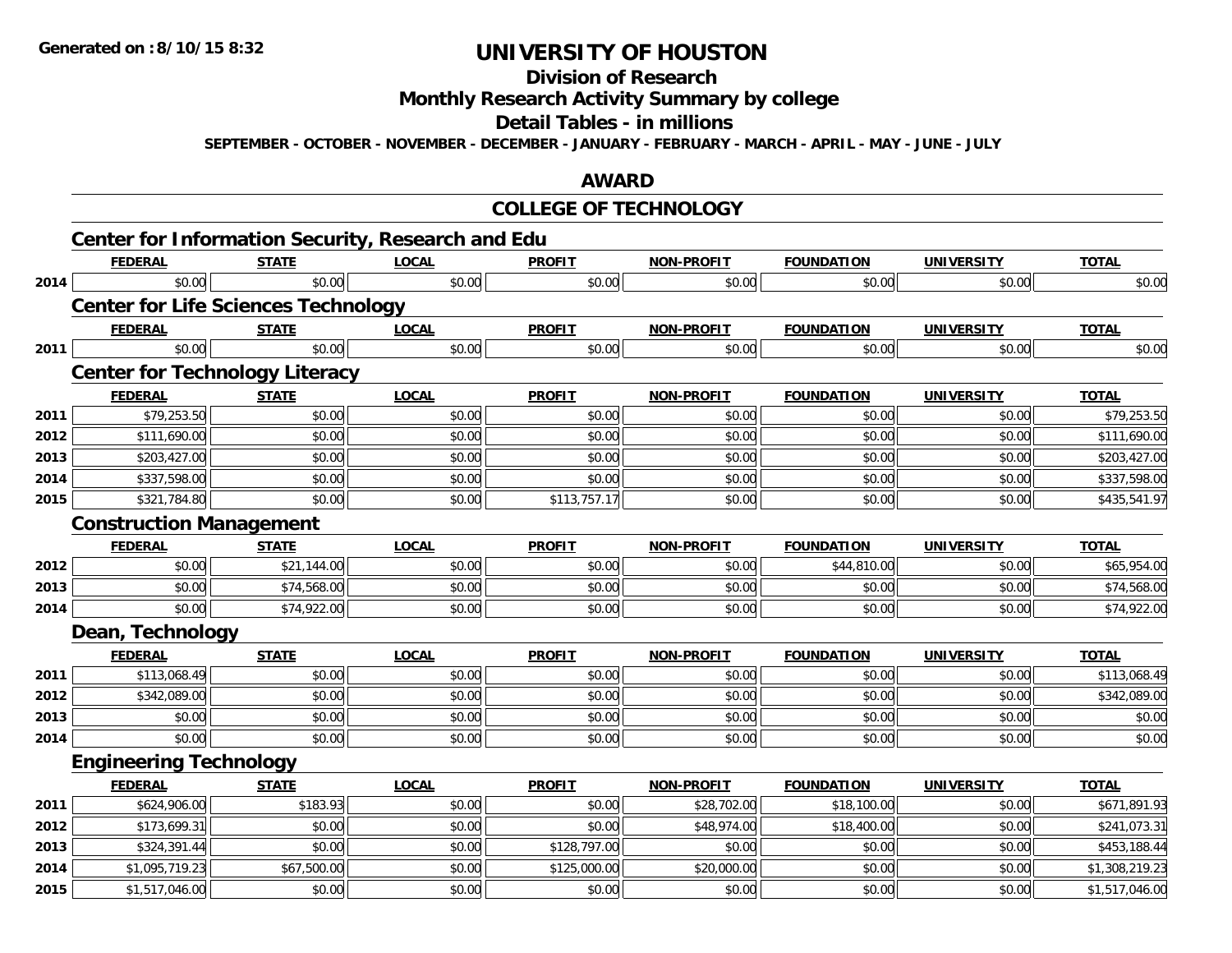#### **Division of Research**

**Monthly Research Activity Summary by college**

**Detail Tables - in millions**

**SEPTEMBER - OCTOBER - NOVEMBER - DECEMBER - JANUARY - FEBRUARY - MARCH - APRIL - MAY - JUNE - JULY**

### **AWARD**

#### **COLLEGE OF TECHNOLOGY**

|      | <b>Center for Information Security, Research and Edu</b> |              |              |               |                   |                   |                   |                |
|------|----------------------------------------------------------|--------------|--------------|---------------|-------------------|-------------------|-------------------|----------------|
|      | <b>FEDERAL</b>                                           | <b>STATE</b> | <b>LOCAL</b> | <b>PROFIT</b> | <b>NON-PROFIT</b> | <b>FOUNDATION</b> | <b>UNIVERSITY</b> | <b>TOTAL</b>   |
| 2014 | \$0.00                                                   | \$0.00       | \$0.00       | \$0.00        | \$0.00            | \$0.00            | \$0.00            | \$0.00         |
|      | <b>Center for Life Sciences Technology</b>               |              |              |               |                   |                   |                   |                |
|      | <b>FEDERAL</b>                                           | <b>STATE</b> | <b>LOCAL</b> | <b>PROFIT</b> | NON-PROFIT        | <b>FOUNDATION</b> | <b>UNIVERSITY</b> | <b>TOTAL</b>   |
| 2011 | \$0.00                                                   | \$0.00       | \$0.00       | \$0.00        | \$0.00            | \$0.00            | \$0.00            | \$0.00         |
|      | <b>Center for Technology Literacy</b>                    |              |              |               |                   |                   |                   |                |
|      | <b>FEDERAL</b>                                           | <b>STATE</b> | <b>LOCAL</b> | <b>PROFIT</b> | <b>NON-PROFIT</b> | <b>FOUNDATION</b> | <b>UNIVERSITY</b> | <b>TOTAL</b>   |
| 2011 | \$79,253.50                                              | \$0.00       | \$0.00       | \$0.00        | \$0.00            | \$0.00            | \$0.00            | \$79,253.50    |
| 2012 | \$111,690.00                                             | \$0.00       | \$0.00       | \$0.00        | \$0.00            | \$0.00            | \$0.00            | \$111,690.00   |
| 2013 | \$203,427.00                                             | \$0.00       | \$0.00       | \$0.00        | \$0.00            | \$0.00            | \$0.00            | \$203,427.00   |
| 2014 | \$337,598.00                                             | \$0.00       | \$0.00       | \$0.00        | \$0.00            | \$0.00            | \$0.00            | \$337,598.00   |
| 2015 | \$321,784.80                                             | \$0.00       | \$0.00       | \$113,757.17  | \$0.00            | \$0.00            | \$0.00            | \$435,541.97   |
|      | <b>Construction Management</b>                           |              |              |               |                   |                   |                   |                |
|      | <b>FEDERAL</b>                                           | <b>STATE</b> | <b>LOCAL</b> | <b>PROFIT</b> | <b>NON-PROFIT</b> | <b>FOUNDATION</b> | <b>UNIVERSITY</b> | <b>TOTAL</b>   |
| 2012 | \$0.00                                                   | \$21,144.00  | \$0.00       | \$0.00        | \$0.00            | \$44,810.00       | \$0.00            | \$65,954.00    |
| 2013 | \$0.00                                                   | \$74,568.00  | \$0.00       | \$0.00        | \$0.00            | \$0.00            | \$0.00            | \$74,568.00    |
| 2014 | \$0.00                                                   | \$74,922.00  | \$0.00       | \$0.00        | \$0.00            | \$0.00            | \$0.00            | \$74,922.00    |
|      | Dean, Technology                                         |              |              |               |                   |                   |                   |                |
|      | <b>FEDERAL</b>                                           | <b>STATE</b> | <b>LOCAL</b> | <b>PROFIT</b> | <b>NON-PROFIT</b> | <b>FOUNDATION</b> | <b>UNIVERSITY</b> | <b>TOTAL</b>   |
| 2011 | \$113,068.49                                             | \$0.00       | \$0.00       | \$0.00        | \$0.00            | \$0.00            | \$0.00            | \$113,068.49   |
| 2012 | \$342,089.00                                             | \$0.00       | \$0.00       | \$0.00        | \$0.00            | \$0.00            | \$0.00            | \$342,089.00   |
| 2013 | \$0.00                                                   | \$0.00       | \$0.00       | \$0.00        | \$0.00            | \$0.00            | \$0.00            | \$0.00         |
| 2014 | \$0.00                                                   | \$0.00       | \$0.00       | \$0.00        | \$0.00            | \$0.00            | \$0.00            | \$0.00         |
|      | <b>Engineering Technology</b>                            |              |              |               |                   |                   |                   |                |
|      | <b>FEDERAL</b>                                           | <b>STATE</b> | <b>LOCAL</b> | <b>PROFIT</b> | <b>NON-PROFIT</b> | <b>FOUNDATION</b> | <b>UNIVERSITY</b> | <b>TOTAL</b>   |
| 2011 | \$624,906.00                                             | \$183.93     | \$0.00       | \$0.00        | \$28,702.00       | \$18,100.00       | \$0.00            | \$671,891.93   |
| 2012 | \$173,699.31                                             | \$0.00       | \$0.00       | \$0.00        | \$48,974.00       | \$18,400.00       | \$0.00            | \$241,073.31   |
| 2013 | \$324,391.44                                             | \$0.00       | \$0.00       | \$128,797.00  | \$0.00            | \$0.00            | \$0.00            | \$453,188.44   |
| 2014 | \$1,095,719.23                                           | \$67,500.00  | \$0.00       | \$125,000.00  | \$20,000.00       | \$0.00            | \$0.00            | \$1,308,219.23 |
| 2015 | \$1,517,046.00                                           | \$0.00       | \$0.00       | \$0.00        | \$0.00            | \$0.00            | \$0.00            | \$1,517,046.00 |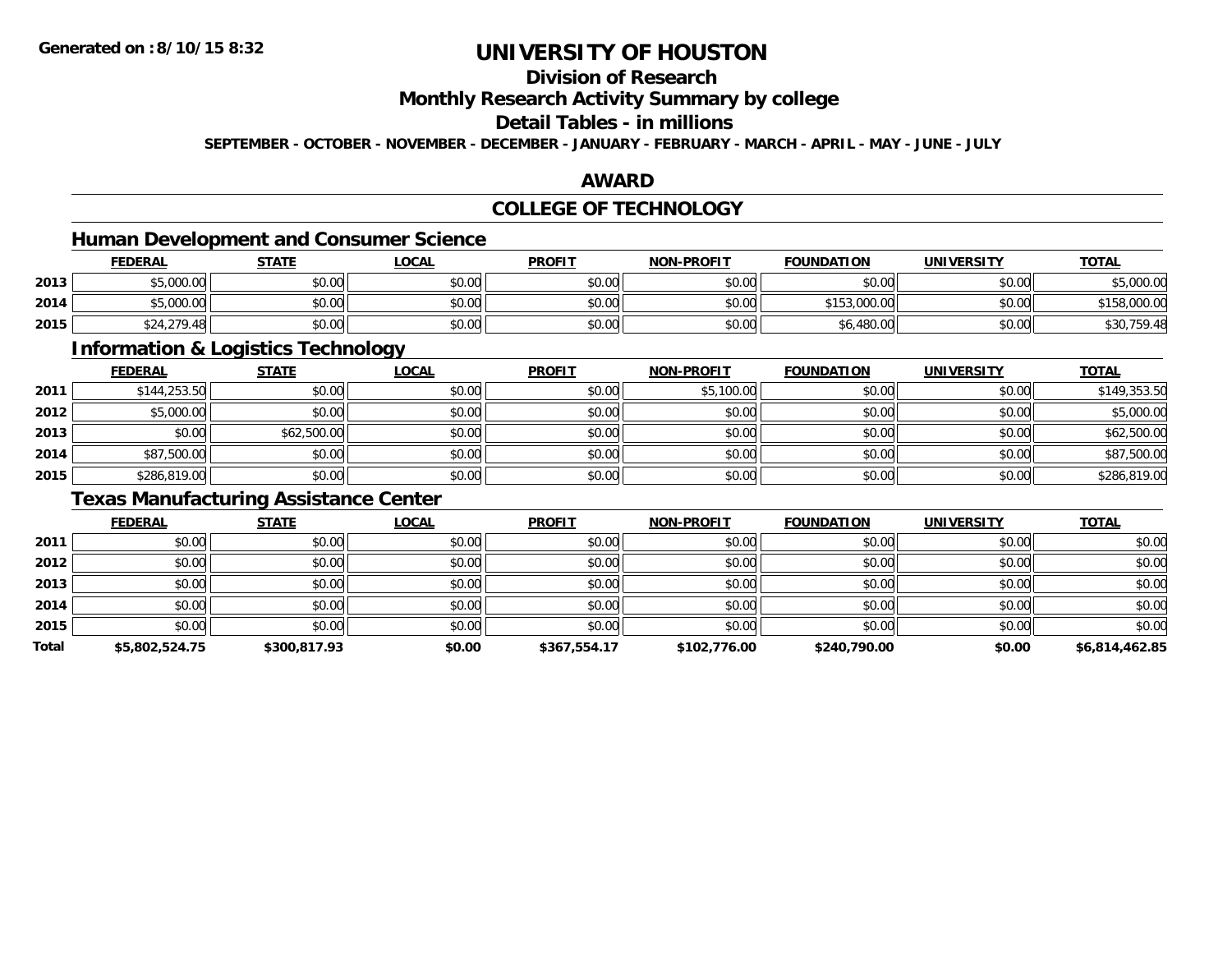## **Division of Research**

### **Monthly Research Activity Summary by college**

## **Detail Tables - in millions**

**SEPTEMBER - OCTOBER - NOVEMBER - DECEMBER - JANUARY - FEBRUARY - MARCH - APRIL - MAY - JUNE - JULY**

### **AWARD**

## **COLLEGE OF TECHNOLOGY**

## **Human Development and Consumer Science**

|      | <b>FEDERAL</b> | <u>STATE</u> | <u>LOCAL</u> | <b>PROFIT</b> | <b>NON-PROFIT</b> | <b>FOUNDATION</b> | <b>UNIVERSITY</b> | <b>TOTAL</b> |
|------|----------------|--------------|--------------|---------------|-------------------|-------------------|-------------------|--------------|
| 2013 | \$5,000.00     | \$0.00       | \$0.00       | \$0.00        | \$0.00            | \$0.00            | \$0.00            | \$5,000.00   |
| 2014 | \$5,000.00     | \$0.00       | \$0.00       | \$0.00        | \$0.00            | \$153,000.00      | \$0.00            | 158,000.00   |
| 2015 | \$24,279.48    | \$0.00       | \$0.00       | \$0.00        | \$0.00            | \$6,480.00        | \$0.00            | \$30,759.48  |

<u> 1989 - Johann Stoff, deutscher Stoffen und der Stoffen und der Stoffen und der Stoffen und der Stoffen und de</u>

### **Information & Logistics Technology**

|      | <b>FEDERAL</b> | <b>STATE</b> | <b>LOCAL</b> | <b>PROFIT</b> | NON-PROFIT | <b>FOUNDATION</b> | <b>UNIVERSITY</b> | <b>TOTAL</b> |
|------|----------------|--------------|--------------|---------------|------------|-------------------|-------------------|--------------|
| 2011 | \$144,253.50   | \$0.00       | \$0.00       | \$0.00        | \$5,100.00 | \$0.00            | \$0.00            | \$149,353.50 |
| 2012 | \$5,000.00     | \$0.00       | \$0.00       | \$0.00        | \$0.00     | \$0.00            | \$0.00            | \$5,000.00   |
| 2013 | \$0.00         | \$62,500.00  | \$0.00       | \$0.00        | \$0.00     | \$0.00            | \$0.00            | \$62,500.00  |
| 2014 | \$87,500.00    | \$0.00       | \$0.00       | \$0.00        | \$0.00     | \$0.00            | \$0.00            | \$87,500.00  |
| 2015 | \$286,819.00   | \$0.00       | \$0.00       | \$0.00        | \$0.00     | \$0.00            | \$0.00            | \$286,819.00 |

## **Texas Manufacturing Assistance Center**

|       | <b>FEDERAL</b> | <b>STATE</b> | <u>LOCAL</u> | <b>PROFIT</b> | <b>NON-PROFIT</b> | <b>FOUNDATION</b> | <b>UNIVERSITY</b> | <b>TOTAL</b>   |
|-------|----------------|--------------|--------------|---------------|-------------------|-------------------|-------------------|----------------|
| 2011  | \$0.00         | \$0.00       | \$0.00       | \$0.00        | \$0.00            | \$0.00            | \$0.00            | \$0.00         |
| 2012  | \$0.00         | \$0.00       | \$0.00       | \$0.00        | \$0.00            | \$0.00            | \$0.00            | \$0.00         |
| 2013  | \$0.00         | \$0.00       | \$0.00       | \$0.00        | \$0.00            | \$0.00            | \$0.00            | \$0.00         |
| 2014  | \$0.00         | \$0.00       | \$0.00       | \$0.00        | \$0.00            | \$0.00            | \$0.00            | \$0.00         |
| 2015  | \$0.00         | \$0.00       | \$0.00       | \$0.00        | \$0.00            | \$0.00            | \$0.00            | \$0.00         |
| Total | \$5,802,524.75 | \$300,817.93 | \$0.00       | \$367,554.17  | \$102,776.00      | \$240,790.00      | \$0.00            | \$6,814,462.85 |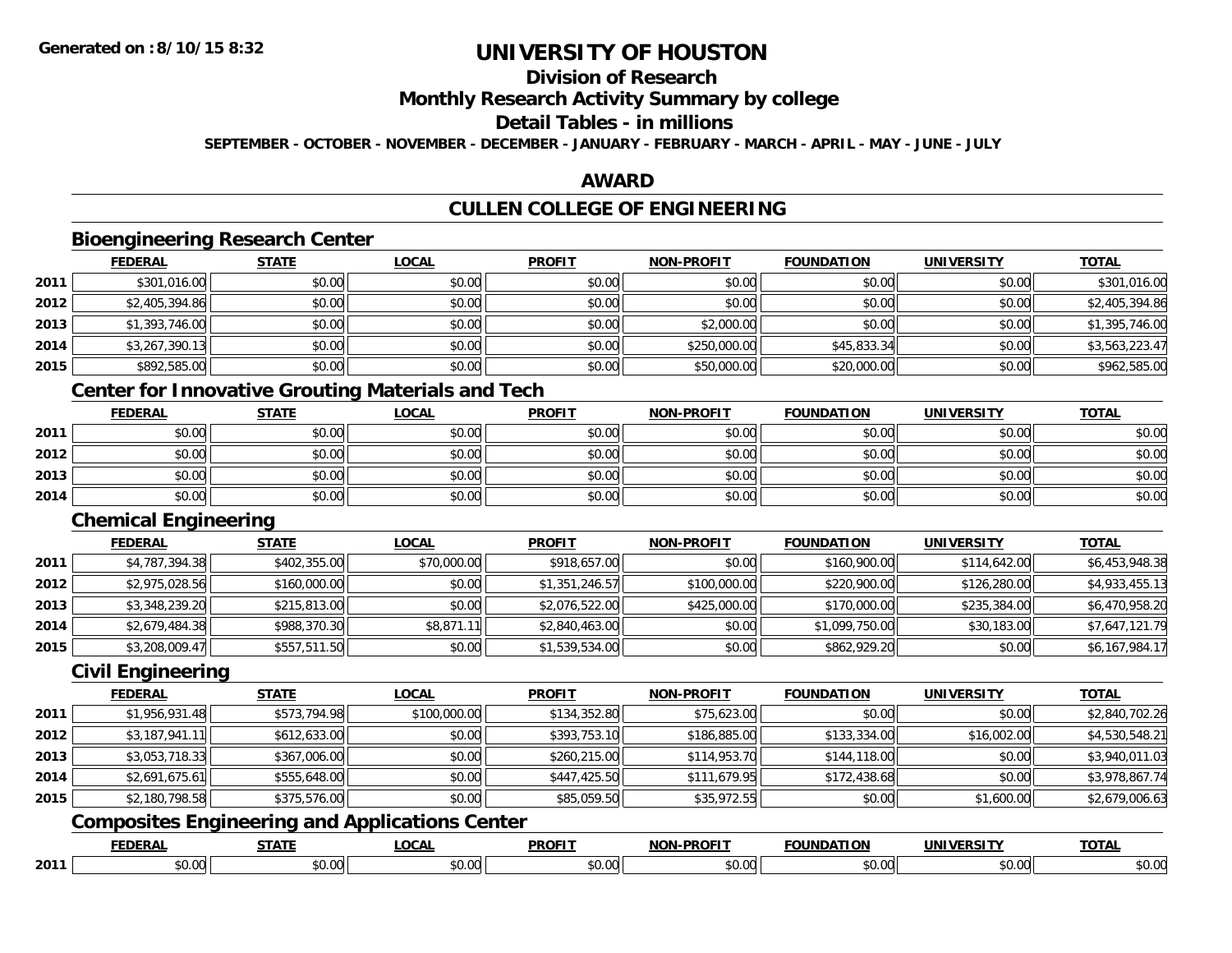## **Division of Research**

### **Monthly Research Activity Summary by college**

## **Detail Tables - in millions**

**SEPTEMBER - OCTOBER - NOVEMBER - DECEMBER - JANUARY - FEBRUARY - MARCH - APRIL - MAY - JUNE - JULY**

#### **AWARD**

## **CULLEN COLLEGE OF ENGINEERING**

### **Bioengineering Research Center**

|      | <b>FEDERAL</b> | <b>STATE</b> | <u>LOCAL</u> | <b>PROFIT</b> | <b>NON-PROFIT</b> | <b>FOUNDATION</b> | <b>UNIVERSITY</b> | <b>TOTAL</b>   |
|------|----------------|--------------|--------------|---------------|-------------------|-------------------|-------------------|----------------|
| 2011 | \$301,016.00   | \$0.00       | \$0.00       | \$0.00        | \$0.00            | \$0.00            | \$0.00            | \$301,016.00   |
| 2012 | \$2,405,394.86 | \$0.00       | \$0.00       | \$0.00        | \$0.00            | \$0.00            | \$0.00            | \$2,405,394.86 |
| 2013 | \$1,393,746.00 | \$0.00       | \$0.00       | \$0.00        | \$2,000.00        | \$0.00            | \$0.00            | \$1,395,746.00 |
| 2014 | \$3,267,390.13 | \$0.00       | \$0.00       | \$0.00        | \$250,000.00      | \$45,833.34       | \$0.00            | \$3,563,223.47 |
| 2015 | \$892,585.00   | \$0.00       | \$0.00       | \$0.00        | \$50,000.00       | \$20,000.00       | \$0.00            | \$962,585.00   |

### **Center for Innovative Grouting Materials and Tech**

|      | <u>FEDERAL</u> | <b>STATE</b> | <u>LOCAL</u> | <b>PROFIT</b> | <b>NON-PROFIT</b> | <b>FOUNDATION</b> | <b>UNIVERSITY</b> | <b>TOTAL</b> |
|------|----------------|--------------|--------------|---------------|-------------------|-------------------|-------------------|--------------|
| 2011 | \$0.00         | \$0.00       | \$0.00       | \$0.00        | \$0.00            | \$0.00            | \$0.00            | \$0.00       |
| 2012 | \$0.00         | \$0.00       | \$0.00       | \$0.00        | \$0.00            | \$0.00            | \$0.00            | \$0.00       |
| 2013 | \$0.00         | \$0.00       | \$0.00       | \$0.00        | \$0.00            | \$0.00            | \$0.00            | \$0.00       |
| 2014 | \$0.00         | \$0.00       | \$0.00       | \$0.00        | \$0.00            | \$0.00            | \$0.00            | \$0.00       |

#### **Chemical Engineering**

|      | <b>FEDERAL</b> | <b>STATE</b> | <u>LOCAL</u> | <b>PROFIT</b>  | <b>NON-PROFIT</b> | <b>FOUNDATION</b> | UNIVERSITY   | <b>TOTAL</b>   |
|------|----------------|--------------|--------------|----------------|-------------------|-------------------|--------------|----------------|
| 2011 | \$4,787,394.38 | \$402,355.00 | \$70,000.00  | \$918,657.00   | \$0.00            | \$160,900.00      | \$114,642.00 | \$6,453,948.38 |
| 2012 | \$2,975,028.56 | \$160,000.00 | \$0.00       | \$1,351,246.57 | \$100,000.00      | \$220,900.00      | \$126,280.00 | \$4,933,455.13 |
| 2013 | \$3,348,239.20 | \$215,813.00 | \$0.00       | \$2,076,522.00 | \$425,000.00      | \$170,000.00      | \$235,384.00 | \$6,470,958.20 |
| 2014 | \$2,679,484.38 | \$988,370.30 | \$8,871.11   | \$2,840,463.00 | \$0.00            | \$1,099,750.00    | \$30,183.00  | \$7,647,121.79 |
| 2015 | \$3,208,009.47 | \$557,511.50 | \$0.00       | \$1,539,534.00 | \$0.00            | \$862,929.20      | \$0.00       | \$6,167,984.17 |

### **Civil Engineering**

|      | <b>FEDERAL</b> | <b>STATE</b> | <b>LOCAL</b> | <b>PROFIT</b> | <b>NON-PROFIT</b> | <b>FOUNDATION</b> | <b>UNIVERSITY</b> | <b>TOTAL</b>   |
|------|----------------|--------------|--------------|---------------|-------------------|-------------------|-------------------|----------------|
| 2011 | \$1,956,931.48 | \$573,794.98 | \$100,000.00 | \$134,352.80  | \$75,623.00       | \$0.00            | \$0.00            | \$2,840,702.26 |
| 2012 | \$3,187,941.11 | \$612,633.00 | \$0.00       | \$393,753.10  | \$186,885.00      | \$133,334.00      | \$16,002.00       | \$4,530,548.21 |
| 2013 | \$3,053,718.33 | \$367,006.00 | \$0.00       | \$260,215.00  | \$114,953.70      | \$144,118.00      | \$0.00            | \$3,940,011.03 |
| 2014 | \$2,691,675.61 | \$555,648.00 | \$0.00       | \$447,425.50  | \$111.679.95      | \$172,438.68      | \$0.00            | \$3,978,867.74 |
| 2015 | \$2,180,798.58 | \$375,576.00 | \$0.00       | \$85,059.50   | \$35,972.55       | \$0.00            | \$1,600.00        | \$2,679,006.63 |

## **Composites Engineering and Applications Center**

|      | <b>FEDERAI</b> | <b>CTATE</b>       | LOCAL  | <b>PROFIT</b> | <b>PROFIT</b><br>וחרות | NUNDATION          | ידו אם:<br>UNIVE<br>EN 31 | $-2 - 1$<br>$\mathbf{u}$ |
|------|----------------|--------------------|--------|---------------|------------------------|--------------------|---------------------------|--------------------------|
| 2011 | 0000<br>DU.UU  | $\sim$ 00<br>,u.uu | $\sim$ | $ -$<br>r∩    | اہ ہ<br>,u.uu          | $\sim$ 00<br>pu.uu | ADOM<br>JU.UU             | ስ ለሰ<br>JU.UU            |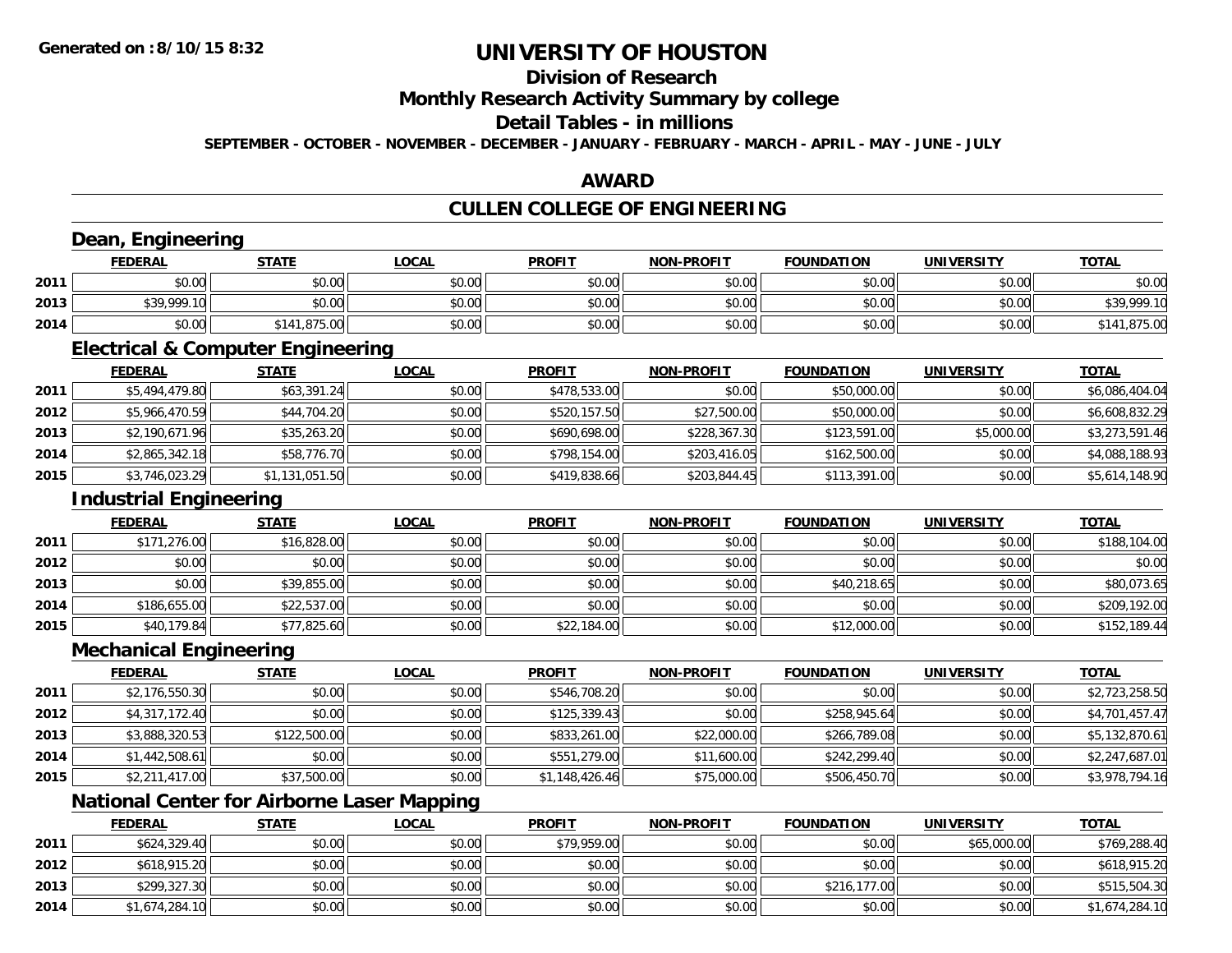## **Division of Research**

### **Monthly Research Activity Summary by college**

### **Detail Tables - in millions**

**SEPTEMBER - OCTOBER - NOVEMBER - DECEMBER - JANUARY - FEBRUARY - MARCH - APRIL - MAY - JUNE - JULY**

#### **AWARD**

## **CULLEN COLLEGE OF ENGINEERING**

### **Dean, Engineering**

|      | Dean<br>Engineering |              |              |               |                   |                   |                   |              |  |  |
|------|---------------------|--------------|--------------|---------------|-------------------|-------------------|-------------------|--------------|--|--|
|      | <b>FEDERAL</b>      | <b>STATE</b> | <u>LOCAL</u> | <b>PROFIT</b> | <b>NON-PROFIT</b> | <b>FOUNDATION</b> | <b>UNIVERSITY</b> | <b>TOTAL</b> |  |  |
| 2011 | \$0.00              | \$0.00       | \$0.00       | \$0.00        | \$0.00            | \$0.00            | \$0.00            | \$0.00       |  |  |
| 2013 | \$39,999.10         | \$0.00       | \$0.00       | \$0.00        | \$0.00            | \$0.00            | \$0.00            | \$39,999.10  |  |  |
| 2014 | \$0.00              | \$141,875.00 | \$0.00       | \$0.00        | \$0.00            | \$0.00            | \$0.00            | \$141,875.00 |  |  |

<u> 1980 - Andrea Station Barbara, actor a component de la componentación de la componentación de la componentaci</u>

#### **Electrical & Computer Engineering**

|      | <b>FEDERAL</b> | <b>STATE</b>   | <b>LOCAL</b> | <b>PROFIT</b> | <b>NON-PROFIT</b> | <b>FOUNDATION</b> | <b>UNIVERSITY</b> | <u>TOTAL</u>   |
|------|----------------|----------------|--------------|---------------|-------------------|-------------------|-------------------|----------------|
| 2011 | \$5,494,479.80 | \$63,391.24    | \$0.00       | \$478,533.00  | \$0.00            | \$50,000.00       | \$0.00            | \$6,086,404.04 |
| 2012 | \$5,966,470.59 | \$44,704.20    | \$0.00       | \$520,157.50  | \$27,500.00       | \$50,000.00       | \$0.00            | \$6,608,832.29 |
| 2013 | \$2,190,671.96 | \$35,263.20    | \$0.00       | \$690,698.00  | \$228,367.30      | \$123,591.00      | \$5,000.00        | \$3,273,591.46 |
| 2014 | \$2,865,342.18 | \$58,776.70    | \$0.00       | \$798,154.00  | \$203,416.05      | \$162,500.00      | \$0.00            | \$4,088,188.93 |
| 2015 | \$3,746,023.29 | \$1,131,051.50 | \$0.00       | \$419,838.66  | \$203,844.45      | \$113,391.00      | \$0.00            | \$5,614,148.90 |

### **Industrial Engineering**

|      | <b>Industrial Engineering</b> |              |              |               |                   |                   |                   |              |  |  |
|------|-------------------------------|--------------|--------------|---------------|-------------------|-------------------|-------------------|--------------|--|--|
|      | <b>FEDERAL</b>                | <b>STATE</b> | <b>LOCAL</b> | <b>PROFIT</b> | <b>NON-PROFIT</b> | <b>FOUNDATION</b> | <b>UNIVERSITY</b> | <b>TOTAL</b> |  |  |
| 2011 | \$171,276.00                  | \$16,828.00  | \$0.00       | \$0.00        | \$0.00            | \$0.00            | \$0.00            | \$188,104.00 |  |  |
| 2012 | \$0.00                        | \$0.00       | \$0.00       | \$0.00        | \$0.00            | \$0.00            | \$0.00            | \$0.00       |  |  |
| 2013 | \$0.00                        | \$39,855.00  | \$0.00       | \$0.00        | \$0.00            | \$40,218.65       | \$0.00            | \$80,073.65  |  |  |
| 2014 | \$186,655.00                  | \$22,537.00  | \$0.00       | \$0.00        | \$0.00            | \$0.00            | \$0.00            | \$209,192.00 |  |  |
| 2015 | \$40,179.84                   | \$77,825.60  | \$0.00       | \$22,184.00   | \$0.00            | \$12,000.00       | \$0.00            | \$152,189.44 |  |  |

<u> 1989 - Johann Stoff, deutscher Stoffen und der Stoffen und der Stoffen und der Stoffen und der Stoffen und de</u>

#### **Mechanical Engineering**

|      | <b>FEDERAL</b> | <b>STATE</b> | <u>LOCAL</u> | <b>PROFIT</b>  | <b>NON-PROFIT</b> | <b>FOUNDATION</b> | <b>UNIVERSITY</b> | <b>TOTAL</b>   |
|------|----------------|--------------|--------------|----------------|-------------------|-------------------|-------------------|----------------|
| 2011 | \$2,176,550.30 | \$0.00       | \$0.00       | \$546,708.20   | \$0.00            | \$0.00            | \$0.00            | \$2,723,258.50 |
| 2012 | \$4,317,172.40 | \$0.00       | \$0.00       | \$125,339.43   | \$0.00            | \$258,945.64      | \$0.00            | \$4,701,457.47 |
| 2013 | \$3,888,320.53 | \$122,500.00 | \$0.00       | \$833,261.00   | \$22,000.00       | \$266,789.08      | \$0.00            | \$5,132,870.61 |
| 2014 | \$1,442,508.61 | \$0.00       | \$0.00       | \$551,279.00   | \$11,600.00       | \$242,299.40      | \$0.00            | \$2,247,687.01 |
| 2015 | \$2,211,417.00 | \$37,500.00  | \$0.00       | \$1,148,426.46 | \$75,000.00       | \$506,450.70      | \$0.00            | \$3,978,794.16 |

## **National Center for Airborne Laser Mapping**

|      | <b>FEDERAL</b> | <u>STATE</u> | <u>LOCAL</u> | <b>PROFIT</b> | <b>NON-PROFIT</b> | <b>FOUNDATION</b> | UNIVERSITY  | <b>TOTAL</b>   |
|------|----------------|--------------|--------------|---------------|-------------------|-------------------|-------------|----------------|
| 2011 | \$624,329.40   | \$0.00       | \$0.00       | \$79,959.00   | \$0.00            | \$0.00            | \$65,000.00 | \$769,288.40   |
| 2012 | \$618,915.20   | \$0.00       | \$0.00       | \$0.00        | \$0.00            | \$0.00            | \$0.00      | \$618,915.20   |
| 2013 | \$299,327.30   | \$0.00       | \$0.00       | \$0.00        | \$0.00            | \$216,177.00      | \$0.00      | \$515,504.30   |
| 2014 | \$1,674,284.10 | \$0.00       | \$0.00       | \$0.00        | \$0.00            | \$0.00            | \$0.00      | \$1,674,284.10 |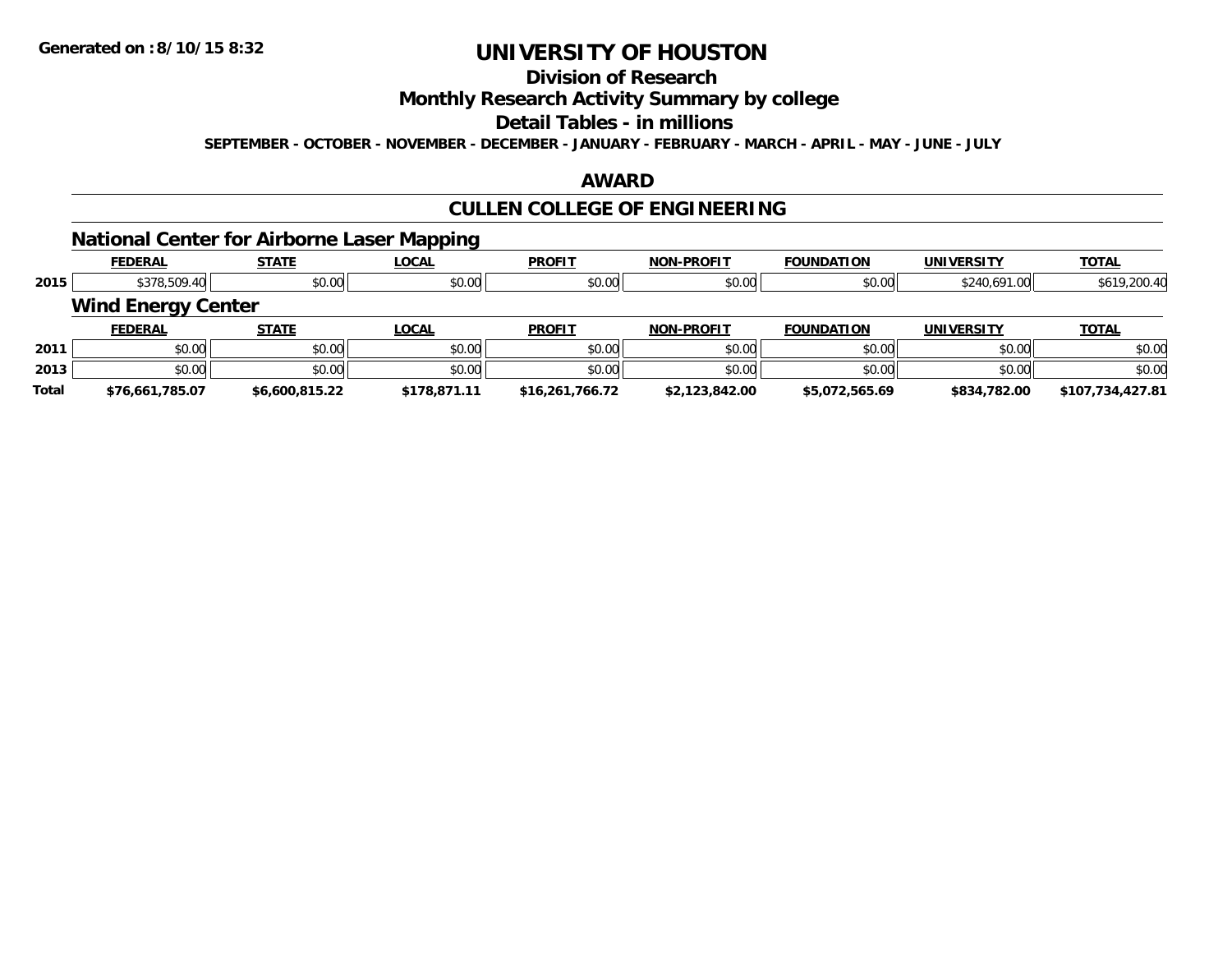## **Division of Research**

### **Monthly Research Activity Summary by college**

#### **Detail Tables - in millions**

**SEPTEMBER - OCTOBER - NOVEMBER - DECEMBER - JANUARY - FEBRUARY - MARCH - APRIL - MAY - JUNE - JULY**

### **AWARD**

## **CULLEN COLLEGE OF ENGINEERING**

### **National Center for Airborne Laser Mapping**

|              | <b>FEDERAL</b>            | <b>STATE</b>   | <b>LOCAL</b> | <b>PROFIT</b>   | <b>NON-PROFIT</b> | <b>FOUNDATION</b> | <b>UNIVERSITY</b> | <u>TOTAL</u>     |
|--------------|---------------------------|----------------|--------------|-----------------|-------------------|-------------------|-------------------|------------------|
| 2015         | \$378,509.40              | \$0.00         | \$0.00       | \$0.00          | \$0.00            | \$0.00            | \$240,691.00      | \$619,200.40     |
|              | <b>Wind Energy Center</b> |                |              |                 |                   |                   |                   |                  |
|              | <b>FEDERAL</b>            | <b>STATE</b>   | <b>LOCAL</b> | <b>PROFIT</b>   | <b>NON-PROFIT</b> | <b>FOUNDATION</b> | <b>UNIVERSITY</b> | <b>TOTAL</b>     |
| 2011         | \$0.00                    | \$0.00         | \$0.00       | \$0.00          | \$0.00            | \$0.00            | \$0.00            | \$0.00           |
| 2013         | \$0.00                    | \$0.00         | \$0.00       | \$0.00          | \$0.00            | \$0.00            | \$0.00            | \$0.00           |
| <b>Total</b> | \$76,661,785.07           | \$6.600.815.22 | \$178,871.11 | \$16,261,766.72 | \$2,123,842.00    | \$5,072,565.69    | \$834,782.00      | \$107,734,427.81 |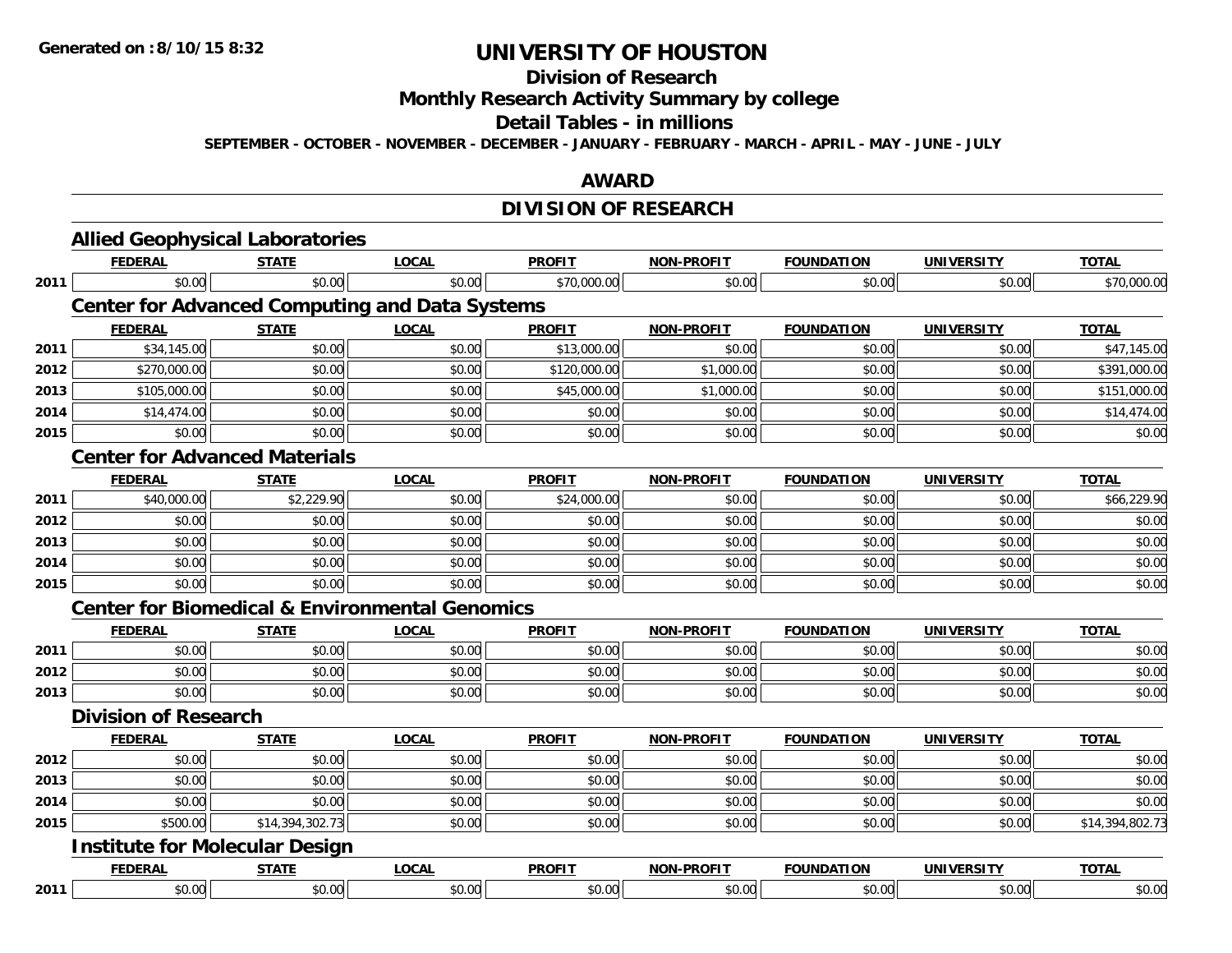#### **Division of Research**

**Monthly Research Activity Summary by college**

#### **Detail Tables - in millions**

**SEPTEMBER - OCTOBER - NOVEMBER - DECEMBER - JANUARY - FEBRUARY - MARCH - APRIL - MAY - JUNE - JULY**

#### **AWARD**

## **DIVISION OF RESEARCH**

|      | <b>Allied Geophysical Laboratories</b>                    |                 |              |               |                   |                   |                   |                 |
|------|-----------------------------------------------------------|-----------------|--------------|---------------|-------------------|-------------------|-------------------|-----------------|
|      | <b>FEDERAL</b>                                            | <b>STATE</b>    | <b>LOCAL</b> | <b>PROFIT</b> | <b>NON-PROFIT</b> | <b>FOUNDATION</b> | <b>UNIVERSITY</b> | <b>TOTAL</b>    |
| 2011 | \$0.00                                                    | \$0.00          | \$0.00       | \$70,000.00   | \$0.00            | \$0.00            | \$0.00            | \$70,000.00     |
|      | <b>Center for Advanced Computing and Data Systems</b>     |                 |              |               |                   |                   |                   |                 |
|      | <b>FEDERAL</b>                                            | <b>STATE</b>    | <b>LOCAL</b> | <b>PROFIT</b> | <b>NON-PROFIT</b> | <b>FOUNDATION</b> | <b>UNIVERSITY</b> | <b>TOTAL</b>    |
| 2011 | \$34,145.00                                               | \$0.00          | \$0.00       | \$13,000.00   | \$0.00            | \$0.00            | \$0.00            | \$47,145.00     |
| 2012 | \$270,000.00                                              | \$0.00          | \$0.00       | \$120,000.00  | \$1,000.00        | \$0.00            | \$0.00            | \$391,000.00    |
| 2013 | \$105,000.00                                              | \$0.00          | \$0.00       | \$45,000.00   | \$1,000.00        | \$0.00            | \$0.00            | \$151,000.00    |
| 2014 | \$14,474.00                                               | \$0.00          | \$0.00       | \$0.00        | \$0.00            | \$0.00            | \$0.00            | \$14,474.00     |
| 2015 | \$0.00                                                    | \$0.00          | \$0.00       | \$0.00        | \$0.00            | \$0.00            | \$0.00            | \$0.00          |
|      | <b>Center for Advanced Materials</b>                      |                 |              |               |                   |                   |                   |                 |
|      | <b>FEDERAL</b>                                            | <b>STATE</b>    | <b>LOCAL</b> | <b>PROFIT</b> | <b>NON-PROFIT</b> | <b>FOUNDATION</b> | <b>UNIVERSITY</b> | <b>TOTAL</b>    |
| 2011 | \$40,000.00                                               | \$2,229.90      | \$0.00       | \$24,000.00   | \$0.00            | \$0.00            | \$0.00            | \$66,229.90     |
| 2012 | \$0.00                                                    | \$0.00          | \$0.00       | \$0.00        | \$0.00            | \$0.00            | \$0.00            | \$0.00          |
| 2013 | \$0.00                                                    | \$0.00          | \$0.00       | \$0.00        | \$0.00            | \$0.00            | \$0.00            | \$0.00          |
| 2014 | \$0.00                                                    | \$0.00          | \$0.00       | \$0.00        | \$0.00            | \$0.00            | \$0.00            | \$0.00          |
| 2015 | \$0.00                                                    | \$0.00          | \$0.00       | \$0.00        | \$0.00            | \$0.00            | \$0.00            | \$0.00          |
|      | <b>Center for Biomedical &amp; Environmental Genomics</b> |                 |              |               |                   |                   |                   |                 |
|      | <b>FEDERAL</b>                                            | <b>STATE</b>    | <b>LOCAL</b> | <b>PROFIT</b> | <b>NON-PROFIT</b> | <b>FOUNDATION</b> | <b>UNIVERSITY</b> | <b>TOTAL</b>    |
| 2011 | \$0.00                                                    | \$0.00          | \$0.00       | \$0.00        | \$0.00            | \$0.00            | \$0.00            | \$0.00          |
| 2012 | \$0.00                                                    | \$0.00          | \$0.00       | \$0.00        | \$0.00            | \$0.00            | \$0.00            | \$0.00          |
| 2013 | \$0.00                                                    | \$0.00          | \$0.00       | \$0.00        | \$0.00            | \$0.00            | \$0.00            | \$0.00          |
|      | <b>Division of Research</b>                               |                 |              |               |                   |                   |                   |                 |
|      | <b>FEDERAL</b>                                            | <b>STATE</b>    | <b>LOCAL</b> | <b>PROFIT</b> | <b>NON-PROFIT</b> | <b>FOUNDATION</b> | <b>UNIVERSITY</b> | <b>TOTAL</b>    |
| 2012 | \$0.00                                                    | \$0.00          | \$0.00       | \$0.00        | \$0.00            | \$0.00            | \$0.00            | \$0.00          |
| 2013 | \$0.00                                                    | \$0.00          | \$0.00       | \$0.00        | \$0.00            | \$0.00            | \$0.00            | \$0.00          |
| 2014 | \$0.00                                                    | \$0.00          | \$0.00       | \$0.00        | \$0.00            | \$0.00            | \$0.00            | \$0.00          |
| 2015 | \$500.00                                                  | \$14,394,302.73 | \$0.00       | \$0.00        | \$0.00            | \$0.00            | \$0.00            | \$14,394,802.73 |
|      | <b>Institute for Molecular Design</b>                     |                 |              |               |                   |                   |                   |                 |
|      | <b>FEDERAL</b>                                            | <b>STATE</b>    | <b>LOCAL</b> | <b>PROFIT</b> | <b>NON-PROFIT</b> | <b>FOUNDATION</b> | <b>UNIVERSITY</b> | <b>TOTAL</b>    |
| 2011 | \$0.00                                                    | \$0.00          | \$0.00       | \$0.00        | \$0.00            | \$0.00            | \$0.00            | \$0.00          |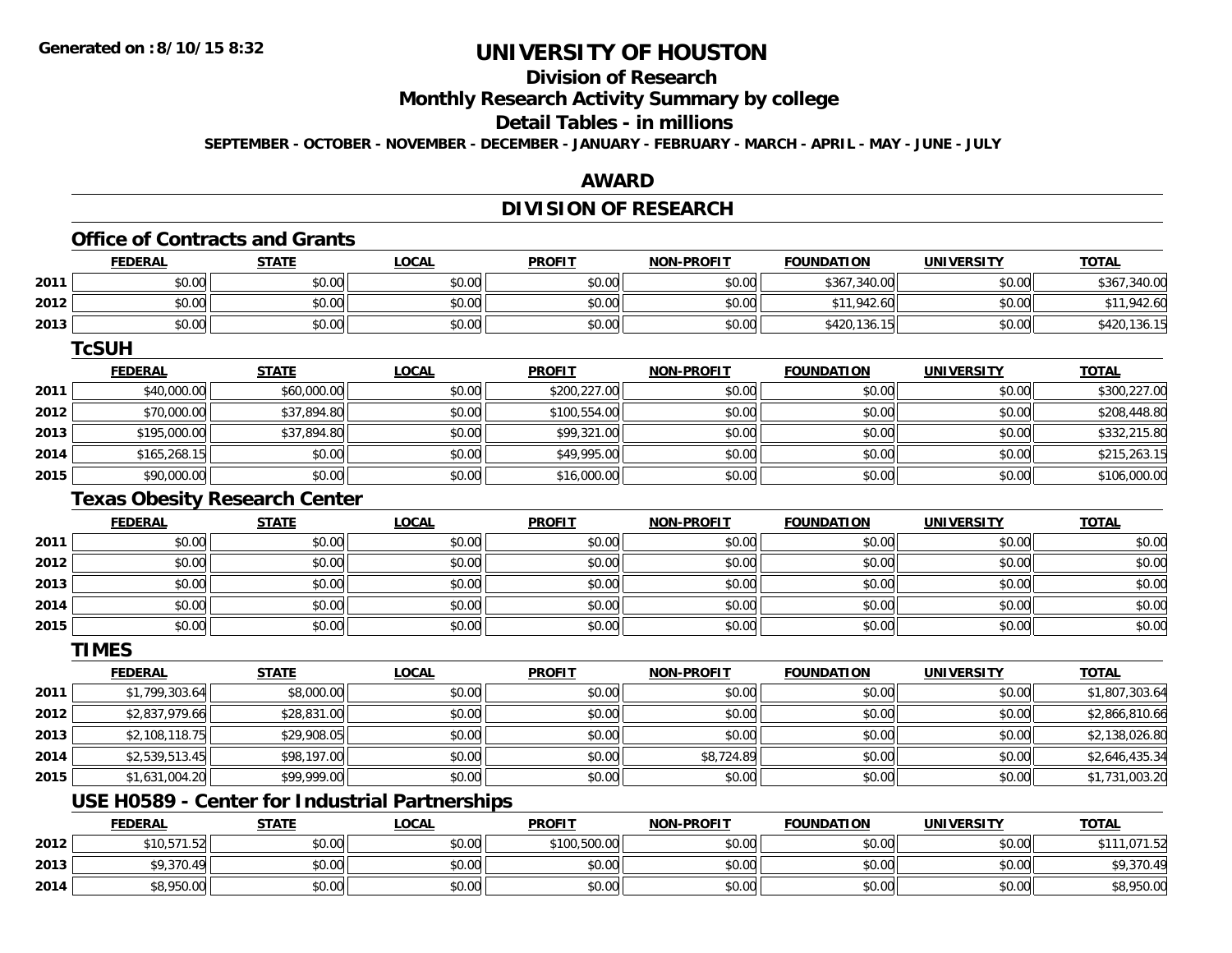## **Division of Research**

**Monthly Research Activity Summary by college**

## **Detail Tables - in millions**

**SEPTEMBER - OCTOBER - NOVEMBER - DECEMBER - JANUARY - FEBRUARY - MARCH - APRIL - MAY - JUNE - JULY**

### **AWARD**

### **DIVISION OF RESEARCH**

#### **Office of Contracts and Grants**

|      | <b>FEDERAL</b> | <b>STATE</b>                | <u>LOCAL</u> | <b>PROFIT</b> | <b>NON-PROFIT</b> | <b>FOUNDATION</b> | <b>UNIVERSITY</b> | <b>TOTAL</b> |
|------|----------------|-----------------------------|--------------|---------------|-------------------|-------------------|-------------------|--------------|
| 2011 | \$0.00         | \$0.00                      | \$0.00       | \$0.00        | \$0.00            | \$367,340.00      | \$0.00            | \$367,340.00 |
| 2012 | \$0.00         | \$0.00                      | \$0.00       | \$0.00        | \$0.00            | \$11,942.60       | \$0.00            | \$11,942.60  |
| 2013 | \$0.00         | \$0.00                      | \$0.00       | \$0.00        | \$0.00            | \$420,136.15      | \$0.00            | \$420,136.15 |
|      | TcSUH          |                             |              |               |                   |                   |                   |              |
|      | ------         | $\sim$ $\sim$ $\sim$ $\sim$ | .            | ------        | ----- ------      | -----------       | . <i>.</i>        | $- - - -$    |

|      | <b>FEDERAL</b> | <u>STATE</u> | <u>LOCAL</u> | <b>PROFIT</b> | <b>NON-PROFIT</b> | <b>FOUNDATION</b> | UNIVERSITY | <u>TOTAL</u> |
|------|----------------|--------------|--------------|---------------|-------------------|-------------------|------------|--------------|
| 2011 | \$40,000.00    | \$60,000.00  | \$0.00       | \$200,227.00  | \$0.00            | \$0.00            | \$0.00     | \$300,227.00 |
| 2012 | \$70,000.00    | \$37,894.80  | \$0.00       | \$100,554.00  | \$0.00            | \$0.00            | \$0.00     | \$208,448.80 |
| 2013 | \$195,000.00   | \$37,894.80  | \$0.00       | \$99,321.00   | \$0.00            | \$0.00            | \$0.00     | \$332,215.80 |
| 2014 | \$165,268.15   | \$0.00       | \$0.00       | \$49,995.00   | \$0.00            | \$0.00            | \$0.00     | \$215,263.15 |
| 2015 | \$90,000.00    | \$0.00       | \$0.00       | \$16,000.00   | \$0.00            | \$0.00            | \$0.00     | \$106,000.00 |

#### **Texas Obesity Research Center**

|      | <b>FEDERAL</b> | <b>STATE</b> | <u>LOCAL</u> | <b>PROFIT</b> | <b>NON-PROFIT</b> | <b>FOUNDATION</b> | <b>UNIVERSITY</b> | <b>TOTAL</b> |
|------|----------------|--------------|--------------|---------------|-------------------|-------------------|-------------------|--------------|
| 2011 | \$0.00         | \$0.00       | \$0.00       | \$0.00        | \$0.00            | \$0.00            | \$0.00            | \$0.00       |
| 2012 | \$0.00         | \$0.00       | \$0.00       | \$0.00        | \$0.00            | \$0.00            | \$0.00            | \$0.00       |
| 2013 | \$0.00         | \$0.00       | \$0.00       | \$0.00        | \$0.00            | \$0.00            | \$0.00            | \$0.00       |
| 2014 | \$0.00         | \$0.00       | \$0.00       | \$0.00        | \$0.00            | \$0.00            | \$0.00            | \$0.00       |
| 2015 | \$0.00         | \$0.00       | \$0.00       | \$0.00        | \$0.00            | \$0.00            | \$0.00            | \$0.00       |

#### **TIMES**

|      | <b>FEDERAL</b> | <b>STATE</b> | <b>LOCAL</b> | <b>PROFIT</b> | <b>NON-PROFIT</b> | <b>FOUNDATION</b> | <b>UNIVERSITY</b> | <b>TOTAL</b>   |
|------|----------------|--------------|--------------|---------------|-------------------|-------------------|-------------------|----------------|
| 2011 | \$1,799,303.64 | \$8,000.00   | \$0.00       | \$0.00        | \$0.00            | \$0.00            | \$0.00            | \$1,807,303.64 |
| 2012 | \$2,837,979.66 | \$28,831.00  | \$0.00       | \$0.00        | \$0.00            | \$0.00            | \$0.00            | \$2,866,810.66 |
| 2013 | \$2,108,118.75 | \$29,908.05  | \$0.00       | \$0.00        | \$0.00            | \$0.00            | \$0.00            | \$2,138,026.80 |
| 2014 | \$2,539,513.45 | \$98,197.00  | \$0.00       | \$0.00        | \$8,724.89        | \$0.00            | \$0.00            | \$2,646,435.34 |
| 2015 | \$1,631,004.20 | \$99,999.00  | \$0.00       | \$0.00        | \$0.00            | \$0.00            | \$0.00            | \$1,731,003.20 |

## **USE H0589 - Center for Industrial Partnerships**

|      | FEDERAL     | <b>STATE</b> | <u>LOCAL</u> | <b>PROFIT</b> | <b>NON-PROFIT</b> | <b>FOUNDATION</b> | <b>UNIVERSITY</b> | <b>TOTAL</b>           |
|------|-------------|--------------|--------------|---------------|-------------------|-------------------|-------------------|------------------------|
| 2012 | \$10,571.52 | \$0.00       | \$0.00       | \$100,500.00  | \$0.00            | \$0.00            | \$0.00            | 1.071.52<br><b>¢11</b> |
| 2013 | \$9,370.49  | \$0.00       | \$0.00       | \$0.00        | \$0.00            | \$0.00            | \$0.00            | \$9,370.49             |
| 2014 | \$8,950.00  | \$0.00       | \$0.00       | \$0.00        | \$0.00            | \$0.00            | \$0.00            | \$8,950.00             |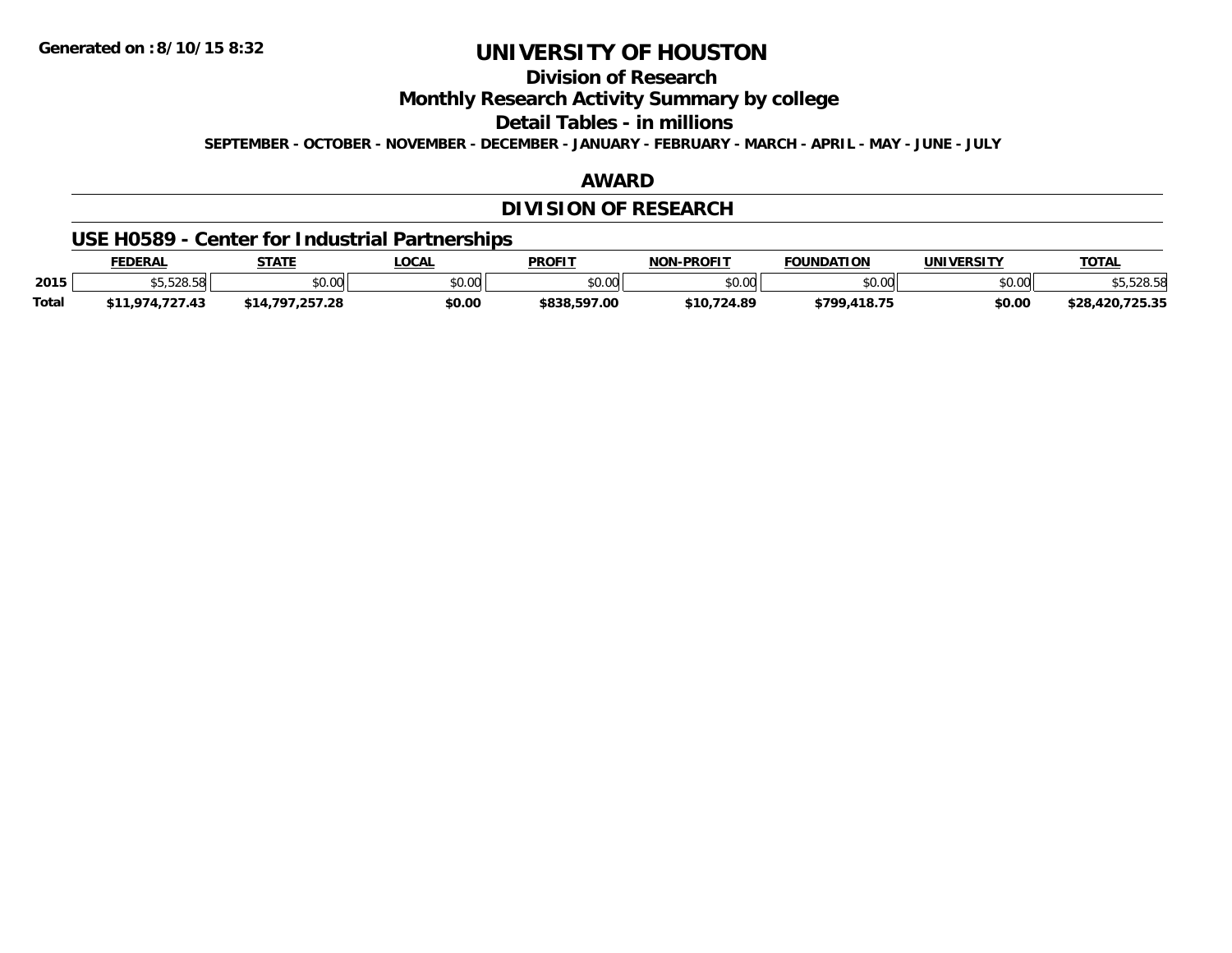**Division of Research**

**Monthly Research Activity Summary by college**

**Detail Tables - in millions**

**SEPTEMBER - OCTOBER - NOVEMBER - DECEMBER - JANUARY - FEBRUARY - MARCH - APRIL - MAY - JUNE - JULY**

### **AWARD**

## **DIVISION OF RESEARCH**

### **USE H0589 - Center for Industrial Partnerships**

|              | <b>EDERAL</b>                   | <b>STATE</b>         | .OCAL  | <b>PROFIT</b> | <b>J-PROFIT</b><br>וחרות         | <b>FOUNDATION</b> | <b>UNIVERSITY</b> | <b>TOTAL</b>                                     |
|--------------|---------------------------------|----------------------|--------|---------------|----------------------------------|-------------------|-------------------|--------------------------------------------------|
| 2015         | $AT$ $F$ $OQ$ $FQ$<br>໓ວ.ວ∠໐.ວ໐ | 0000<br><b>JU.UU</b> | \$0.00 | \$0.00        | $\circ$ $\circ$ $\circ$<br>pu.uu | \$0.00            | \$0.00            | 300E<br>אכ.ס∠כ.כי                                |
| <b>Total</b> | .974.727.43                     | ־סי                  | \$0.00 | \$838,597.00  | \$10.724.89                      | \$799,418.75      | \$0.00            | 725.25<br>$+20$<br>$\sqrt{2}$<br>50.00<br>92 J.J |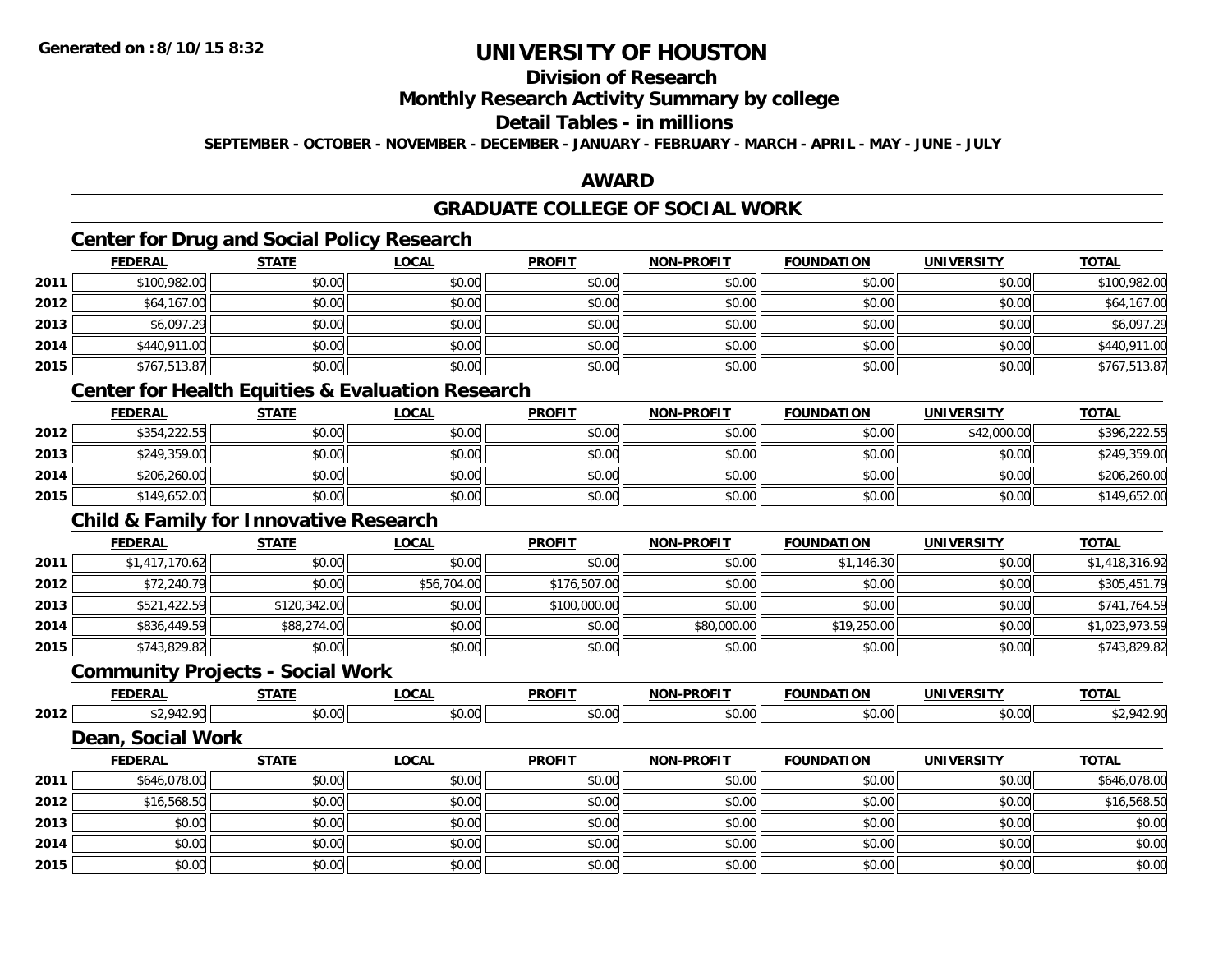## **Division of Research**

### **Monthly Research Activity Summary by college**

## **Detail Tables - in millions**

**SEPTEMBER - OCTOBER - NOVEMBER - DECEMBER - JANUARY - FEBRUARY - MARCH - APRIL - MAY - JUNE - JULY**

### **AWARD**

## **GRADUATE COLLEGE OF SOCIAL WORK**

## **Center for Drug and Social Policy Research**

|      | <b>FEDERAL</b> | <b>STATE</b> | <b>LOCAL</b> | <b>PROFIT</b> | <b>NON-PROFIT</b> | <b>FOUNDATION</b> | <b>UNIVERSITY</b> | <b>TOTAL</b> |
|------|----------------|--------------|--------------|---------------|-------------------|-------------------|-------------------|--------------|
| 2011 | \$100,982.00   | \$0.00       | \$0.00       | \$0.00        | \$0.00            | \$0.00            | \$0.00            | \$100,982.00 |
| 2012 | \$64,167.00    | \$0.00       | \$0.00       | \$0.00        | \$0.00            | \$0.00            | \$0.00            | \$64,167.00  |
| 2013 | \$6,097.29     | \$0.00       | \$0.00       | \$0.00        | \$0.00            | \$0.00            | \$0.00            | \$6,097.29   |
| 2014 | \$440,911.00   | \$0.00       | \$0.00       | \$0.00        | \$0.00            | \$0.00            | \$0.00            | \$440,911.00 |
| 2015 | \$767,513.87   | \$0.00       | \$0.00       | \$0.00        | \$0.00            | \$0.00            | \$0.00            | \$767,513.87 |
|      |                |              |              |               |                   |                   |                   |              |

### **Center for Health Equities & Evaluation Research**

|      | <b>FEDERAL</b> | <b>STATE</b> | <u>LOCAL</u> | <b>PROFIT</b> | <b>NON-PROFIT</b> | <b>FOUNDATION</b> | <b>UNIVERSITY</b> | <b>TOTAL</b> |
|------|----------------|--------------|--------------|---------------|-------------------|-------------------|-------------------|--------------|
| 2012 | \$354,222.55   | \$0.00       | \$0.00       | \$0.00        | \$0.00            | \$0.00            | \$42,000.00       | \$396,222.55 |
| 2013 | \$249,359.00   | \$0.00       | \$0.00       | \$0.00        | \$0.00            | \$0.00            | \$0.00            | \$249,359.00 |
| 2014 | \$206,260.00   | \$0.00       | \$0.00       | \$0.00        | \$0.00            | \$0.00            | \$0.00            | \$206,260.00 |
| 2015 | \$149,652.00   | \$0.00       | \$0.00       | \$0.00        | \$0.00            | \$0.00            | \$0.00            | \$149,652.00 |

### **Child & Family for Innovative Research**

|      | <b>FEDERAL</b> | <b>STATE</b> | <u>LOCAL</u> | <b>PROFIT</b> | <b>NON-PROFIT</b> | <b>FOUNDATION</b> | <b>UNIVERSITY</b> | <b>TOTAL</b>   |
|------|----------------|--------------|--------------|---------------|-------------------|-------------------|-------------------|----------------|
| 2011 | \$1,417,170.62 | \$0.00       | \$0.00       | \$0.00        | \$0.00            | \$1,146.30        | \$0.00            | \$1,418,316.92 |
| 2012 | \$72,240.79    | \$0.00       | \$56,704.00  | \$176,507.00  | \$0.00            | \$0.00            | \$0.00            | \$305,451.79   |
| 2013 | \$521,422.59   | \$120,342.00 | \$0.00       | \$100,000.00  | \$0.00            | \$0.00            | \$0.00            | \$741,764.59   |
| 2014 | \$836,449.59   | \$88,274.00  | \$0.00       | \$0.00        | \$80,000.00       | \$19,250.00       | \$0.00            | \$1,023,973.59 |
| 2015 | \$743,829.82   | \$0.00       | \$0.00       | \$0.00        | \$0.00            | \$0.00            | \$0.00            | \$743,829.82   |

#### **Community Projects - Social Work**

|      | ______ | -----  | 001               | PROFIT           | -----         | '''           | <br>- - - -        | TOTA. |
|------|--------|--------|-------------------|------------------|---------------|---------------|--------------------|-------|
| 2012 | $\sim$ | $\sim$ | $\sim$ 00<br>ט.טי | ሶስ ሰሰ<br>- JU.UU | $\mathcal{L}$ | ልስ ሰሰ<br>ט.טי | $\sim$ 00<br>vv.vv |       |

#### **Dean, Social Work**

|      | <b>FEDERAL</b> | <b>STATE</b> | <u>LOCAL</u> | <b>PROFIT</b> | <b>NON-PROFIT</b> | <b>FOUNDATION</b> | <b>UNIVERSITY</b> | <b>TOTAL</b> |
|------|----------------|--------------|--------------|---------------|-------------------|-------------------|-------------------|--------------|
| 2011 | \$646,078.00   | \$0.00       | \$0.00       | \$0.00        | \$0.00            | \$0.00            | \$0.00            | \$646,078.00 |
| 2012 | \$16,568.50    | \$0.00       | \$0.00       | \$0.00        | \$0.00            | \$0.00            | \$0.00            | \$16,568.50  |
| 2013 | \$0.00         | \$0.00       | \$0.00       | \$0.00        | \$0.00            | \$0.00            | \$0.00            | \$0.00       |
| 2014 | \$0.00         | \$0.00       | \$0.00       | \$0.00        | \$0.00            | \$0.00            | \$0.00            | \$0.00       |
| 2015 | \$0.00         | \$0.00       | \$0.00       | \$0.00        | \$0.00            | \$0.00            | \$0.00            | \$0.00       |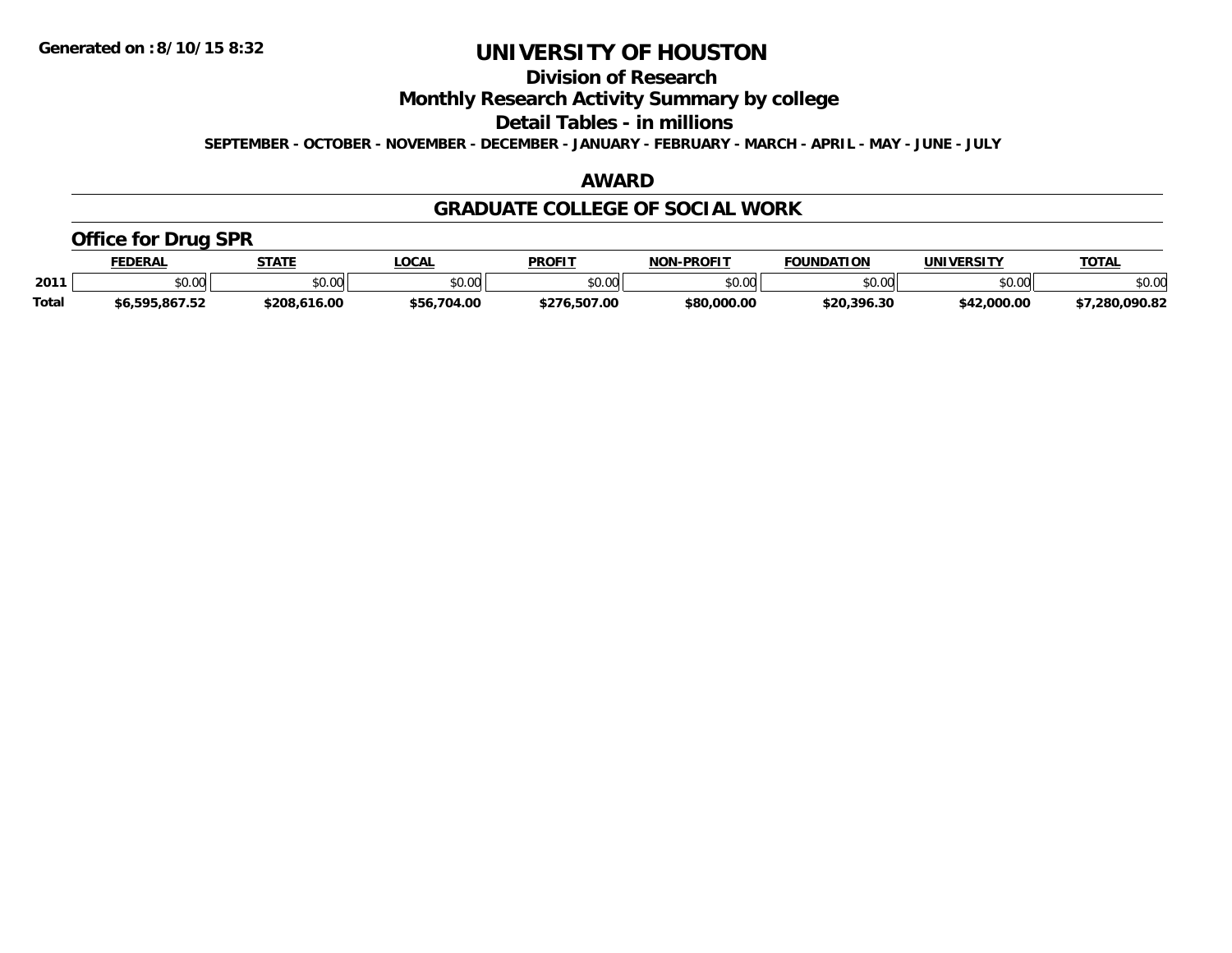## **Division of Research**

**Monthly Research Activity Summary by college**

**Detail Tables - in millions**

**SEPTEMBER - OCTOBER - NOVEMBER - DECEMBER - JANUARY - FEBRUARY - MARCH - APRIL - MAY - JUNE - JULY**

#### **AWARD**

#### **GRADUATE COLLEGE OF SOCIAL WORK**

### **Office for Drug SPR**

|              | <b>FEDERAL</b>                 | <b>STATE</b>           | <b>LOCAL</b>     | <b>PROFIT</b>    | -PROFIT<br><b>NON</b> | <b>FOUNDATION</b> | <b>UNIVERSITY</b> | <b>TOTAL</b> |
|--------------|--------------------------------|------------------------|------------------|------------------|-----------------------|-------------------|-------------------|--------------|
| 2011         | 0000<br>JU.UU                  | 0 <sup>n</sup><br>JU.L | \$0.00           | 40.00<br>JU.UU   | ልስ ለሰ<br>DU.UU        | \$0.00            | 40.00<br>งบ.บบ    | \$0.00       |
| <b>Total</b> | <b>EQE QA7 E?</b><br>95.867.52 | 1200<br>16.00          | .704.00<br>\$56. | 6.507.00<br>tクフム | \$80,000,00           | \$20.396.30       | \$42,000.00       | 7.280.090.82 |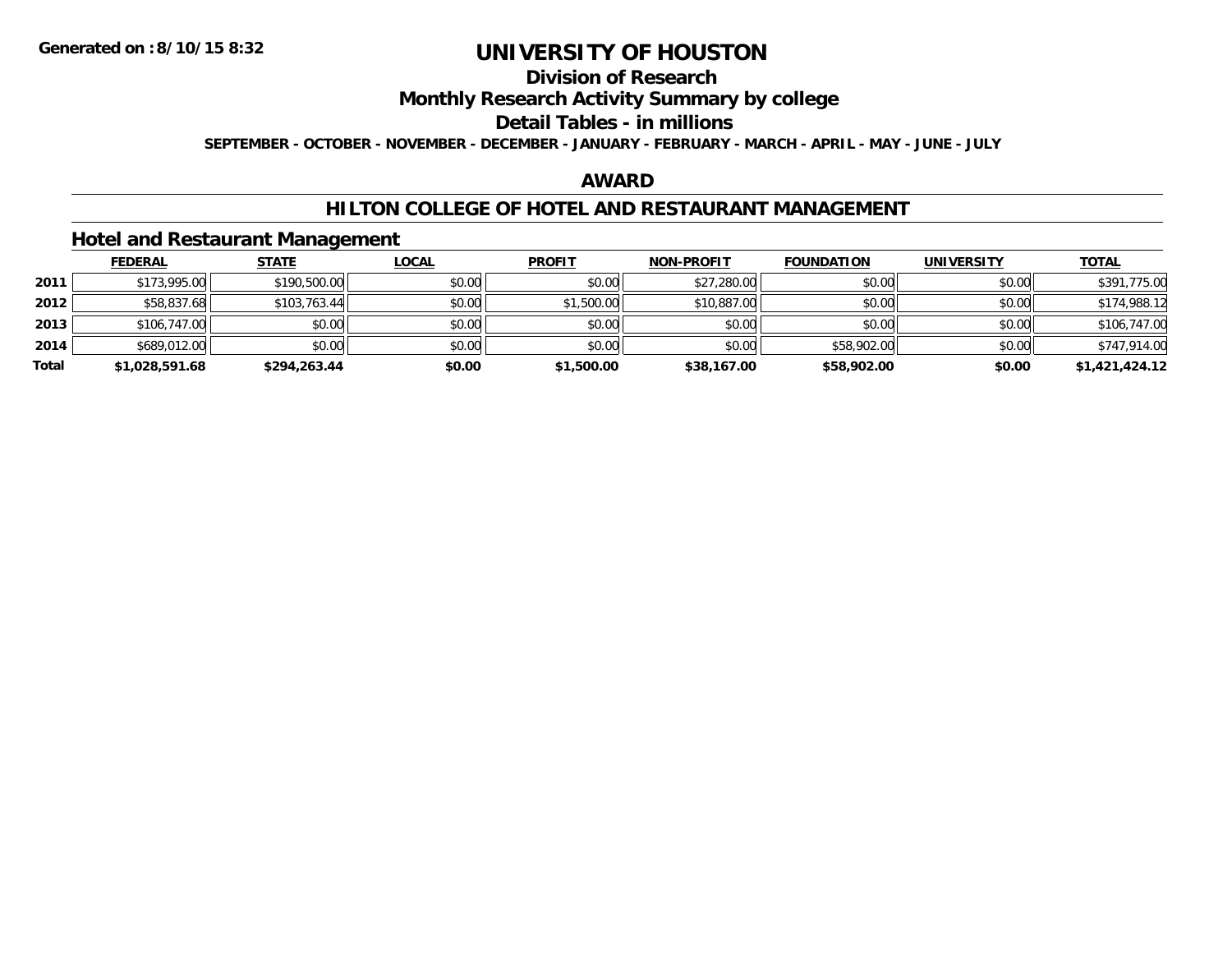## **Division of Research**

### **Monthly Research Activity Summary by college**

#### **Detail Tables - in millions**

**SEPTEMBER - OCTOBER - NOVEMBER - DECEMBER - JANUARY - FEBRUARY - MARCH - APRIL - MAY - JUNE - JULY**

### **AWARD**

#### **HILTON COLLEGE OF HOTEL AND RESTAURANT MANAGEMENT**

#### **Hotel and Restaurant Management**

|       | <b>FEDERAL</b> | <u>STATE</u> | <b>LOCAL</b> | <b>PROFIT</b> | <b>NON-PROFIT</b> | <b>FOUNDATION</b> | <b>UNIVERSITY</b> | <b>TOTAL</b>   |
|-------|----------------|--------------|--------------|---------------|-------------------|-------------------|-------------------|----------------|
| 2011  | \$173,995.00   | \$190,500.00 | \$0.00       | \$0.00        | \$27,280.00       | \$0.00            | \$0.00            | \$391,775.00   |
| 2012  | \$58,837.68    | \$103,763.44 | \$0.00       | \$1,500.00    | \$10,887.00       | \$0.00            | \$0.00            | \$174,988.12   |
| 2013  | \$106,747.00   | \$0.00       | \$0.00       | \$0.00        | \$0.00            | \$0.00            | \$0.00            | \$106,747.00   |
| 2014  | \$689,012.00   | \$0.00       | \$0.00       | \$0.00        | \$0.00            | \$58,902.00       | \$0.00            | \$747,914.00   |
| Total | \$1,028,591.68 | \$294,263.44 | \$0.00       | \$1,500.00    | \$38,167.00       | \$58,902.00       | \$0.00            | \$1,421,424.12 |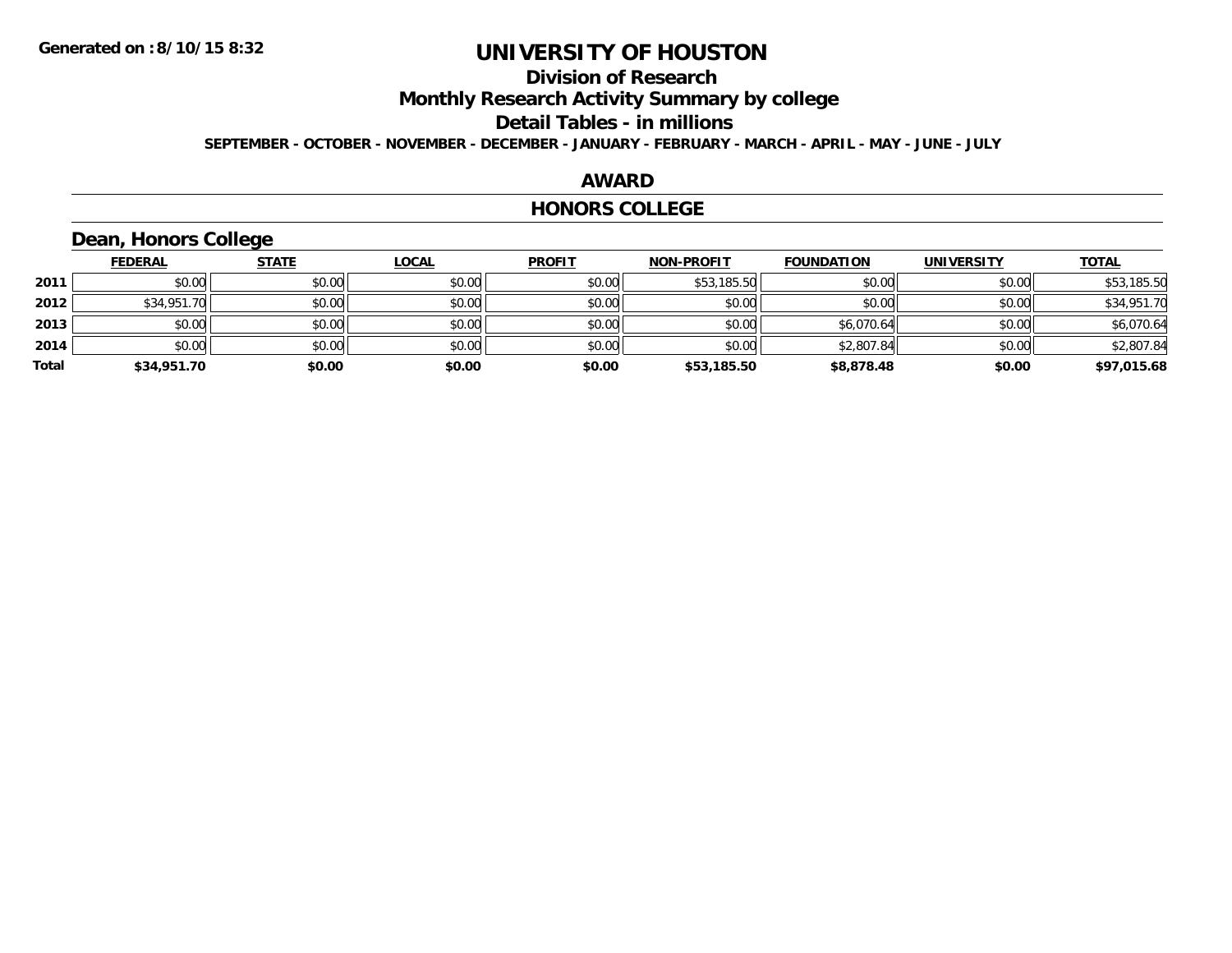## **Division of Research**

**Monthly Research Activity Summary by college**

**Detail Tables - in millions**

**SEPTEMBER - OCTOBER - NOVEMBER - DECEMBER - JANUARY - FEBRUARY - MARCH - APRIL - MAY - JUNE - JULY**

### **AWARD**

#### **HONORS COLLEGE**

## **Dean, Honors College**

|       | <b>FEDERAL</b> | <b>STATE</b> | <b>LOCAL</b> | <b>PROFIT</b> | <b>NON-PROFIT</b> | <b>FOUNDATION</b> | <b>UNIVERSITY</b> | <b>TOTAL</b> |
|-------|----------------|--------------|--------------|---------------|-------------------|-------------------|-------------------|--------------|
| 2011  | \$0.00         | \$0.00       | \$0.00       | \$0.00        | \$53,185.50       | \$0.00            | \$0.00            | \$53,185.50  |
| 2012  | \$34,951.70    | \$0.00       | \$0.00       | \$0.00        | \$0.00            | \$0.00            | \$0.00            | \$34,951.70  |
| 2013  | \$0.00         | \$0.00       | \$0.00       | \$0.00        | \$0.00            | \$6,070.64        | \$0.00            | \$6,070.64   |
| 2014  | \$0.00         | \$0.00       | \$0.00       | \$0.00        | \$0.00            | \$2,807.84        | \$0.00            | \$2,807.84   |
| Total | \$34,951.70    | \$0.00       | \$0.00       | \$0.00        | \$53,185.50       | \$8,878.48        | \$0.00            | \$97,015.68  |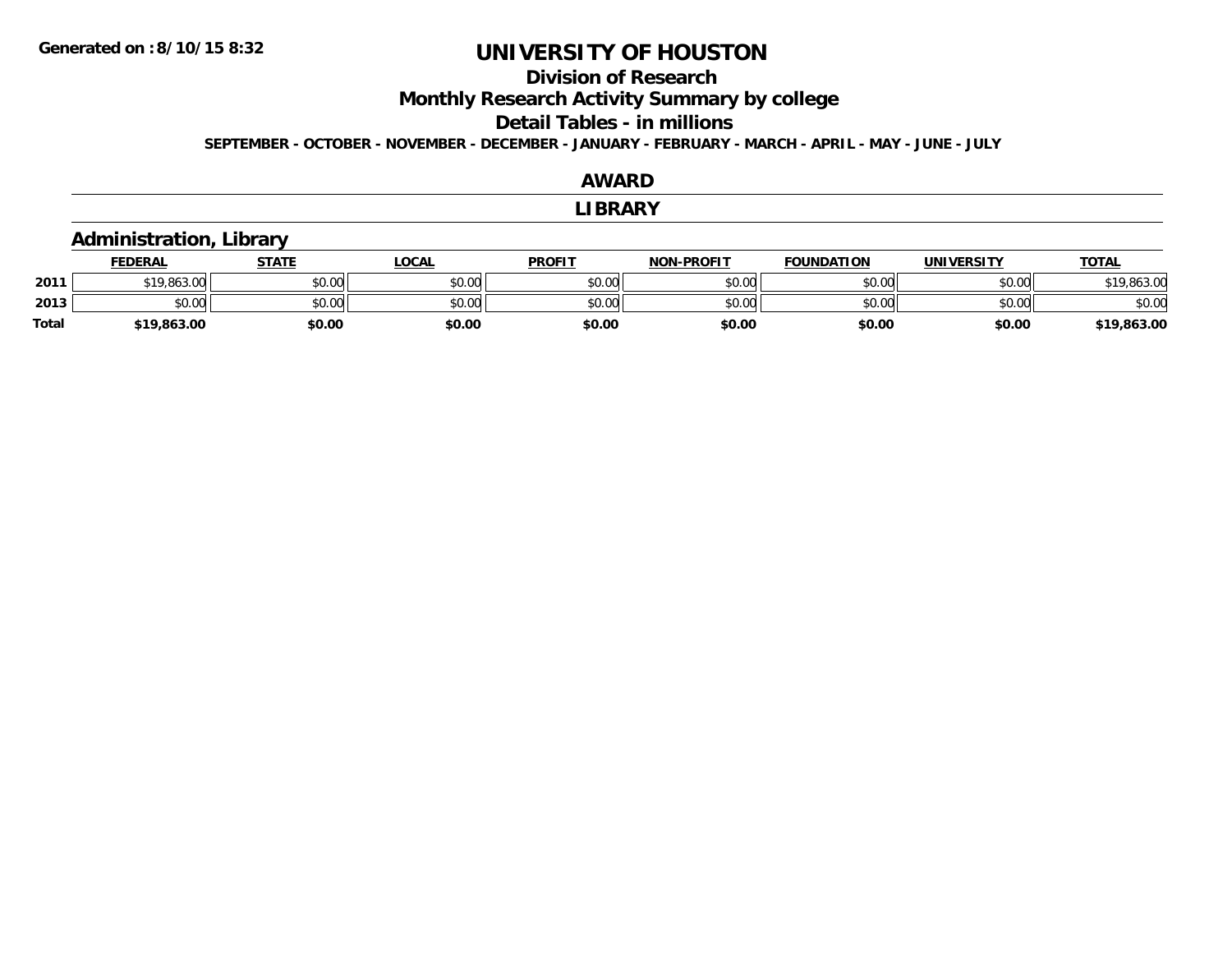### **Division of Research**

**Monthly Research Activity Summary by college**

**Detail Tables - in millions**

**SEPTEMBER - OCTOBER - NOVEMBER - DECEMBER - JANUARY - FEBRUARY - MARCH - APRIL - MAY - JUNE - JULY**

#### **AWARDLIBRARY Administration, Library FEDERAL STATE LOCAL PROFIT NON-PROFIT FOUNDATION UNIVERSITY TOTALTOTAL 2011** \$19,863.00 \$0.00 \$0.00 \$0.00 \$0.00 \$0.00 \$0.00 \$19,863.00 **2013** $\textbf{3} \quad \textbf{\textcolor{blue}{\textbf{50.00}}} \quad \textbf{\textcolor{blue}{\textbf{50.00}}} \quad \textbf{\textcolor{blue}{\textbf{50.00}}} \quad \textbf{\textcolor{blue}{\textbf{50.00}}} \quad \textbf{\textcolor{blue}{\textbf{50.00}}} \quad \textbf{\textcolor{blue}{\textbf{50.00}}} \quad \textbf{\textcolor{blue}{\textbf{50.00}}} \quad \textbf{\textcolor{blue}{\textbf{50.00}}} \quad \textbf{\textcolor{blue}{\textbf{50.00}}} \quad \textbf{\textcolor{blue}{\textbf{50.00}}} \quad \text$ **Total\$19,863.00 \$0.00 \$0.00 \$0.00 \$0.00 \$0.00 \$0.00 \$19,863.00**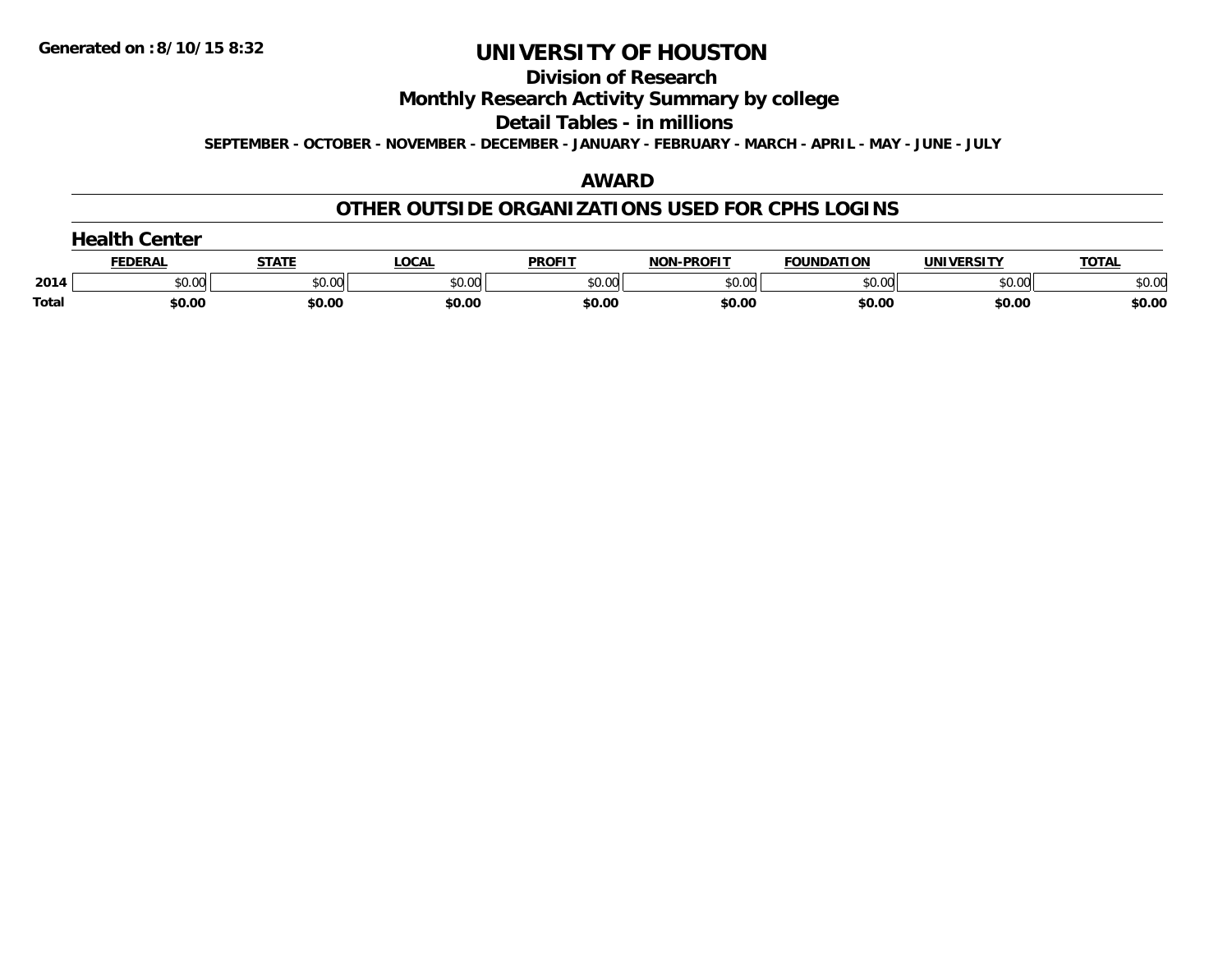#### **Division of Research**

### **Monthly Research Activity Summary by college**

#### **Detail Tables - in millions**

**SEPTEMBER - OCTOBER - NOVEMBER - DECEMBER - JANUARY - FEBRUARY - MARCH - APRIL - MAY - JUNE - JULY**

### **AWARD**

### **OTHER OUTSIDE ORGANIZATIONS USED FOR CPHS LOGINS**

|  | <b>Health Center</b> |  |
|--|----------------------|--|
|--|----------------------|--|

|       | FEDERAI        | $  -$              | <b>OCAL</b>                           | <b>PROFIT</b> | <b>NON-PROFIT</b>  | <b>FOUNDATION</b> | UNIVERSITY | TOTA.  |
|-------|----------------|--------------------|---------------------------------------|---------------|--------------------|-------------------|------------|--------|
| 2014  | ልስ ሀህ<br>PU.UU | $\sim$ 00<br>PU.UU | $\mathbb{C} \cap \mathbb{C}$<br>pu.uu | nn nn<br>טט.  | $\sim$ 00<br>pu.uu | $\sim$ 00<br>JU.U | \$0.00     | \$0.00 |
| Total | \$0.00         | \$0.00             | \$0.00                                | \$0.00        | \$0.00             | \$0.00            | \$0.00     | \$0.00 |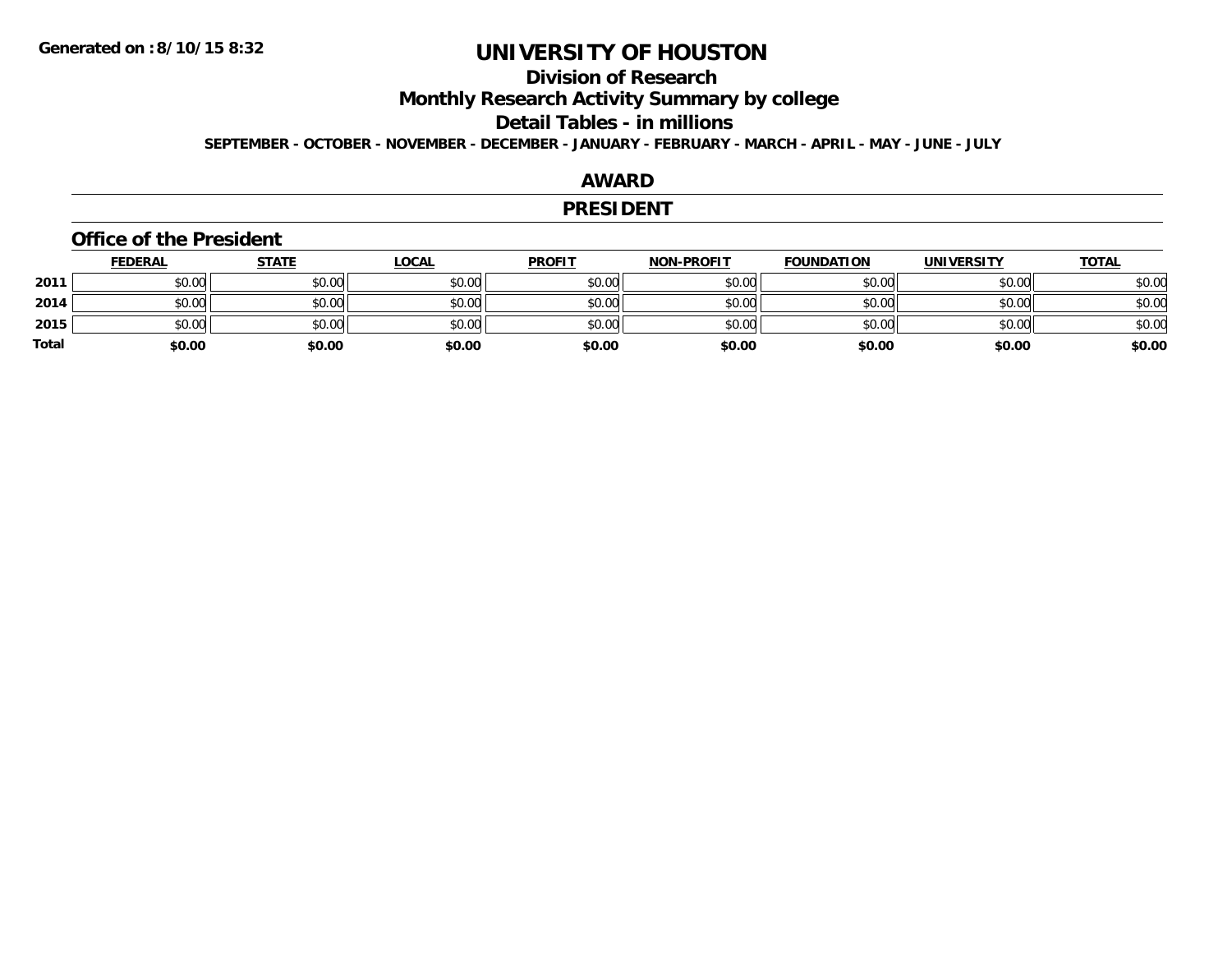## **Division of Research**

**Monthly Research Activity Summary by college**

#### **Detail Tables - in millions**

**SEPTEMBER - OCTOBER - NOVEMBER - DECEMBER - JANUARY - FEBRUARY - MARCH - APRIL - MAY - JUNE - JULY**

### **AWARD**

#### **PRESIDENT**

#### **Office of the President**

|              | <u>FEDERAL</u> | <u>STATE</u> | <u>LOCAL</u> | <b>PROFIT</b> | <b>NON-PROFIT</b> | <b>FOUNDATION</b> | <b>UNIVERSITY</b> | <b>TOTAL</b> |
|--------------|----------------|--------------|--------------|---------------|-------------------|-------------------|-------------------|--------------|
| 2011         | \$0.00         | \$0.00       | \$0.00       | \$0.00        | \$0.00            | \$0.00            | \$0.00            | \$0.00       |
| 2014         | \$0.00         | \$0.00       | \$0.00       | \$0.00        | \$0.00            | \$0.00            | \$0.00            | \$0.00       |
| 2015         | \$0.00         | \$0.00       | \$0.00       | \$0.00        | \$0.00            | \$0.00            | \$0.00            | \$0.00       |
| <b>Total</b> | \$0.00         | \$0.00       | \$0.00       | \$0.00        | \$0.00            | \$0.00            | \$0.00            | \$0.00       |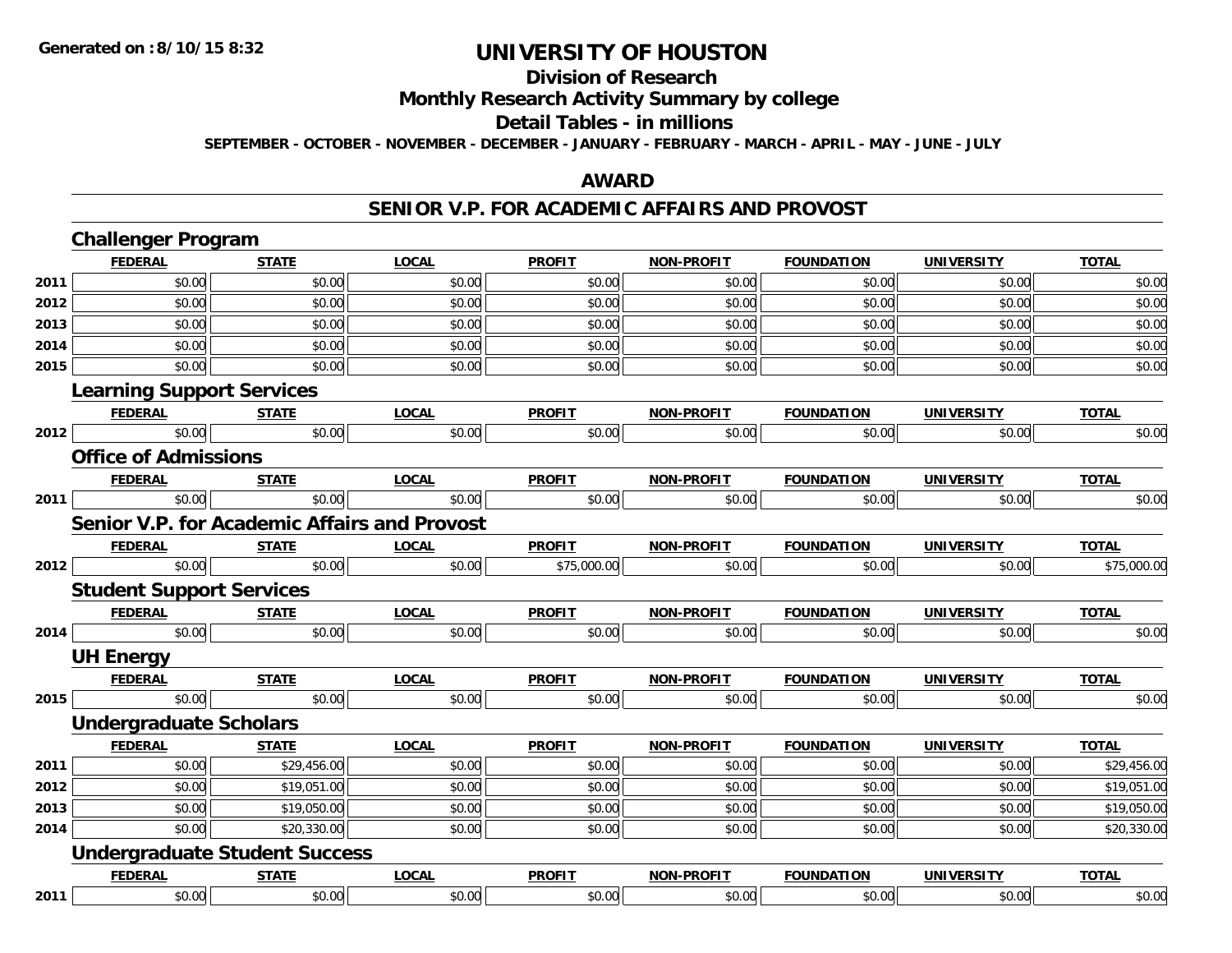#### **Division of Research**

**Monthly Research Activity Summary by college**

#### **Detail Tables - in millions**

**SEPTEMBER - OCTOBER - NOVEMBER - DECEMBER - JANUARY - FEBRUARY - MARCH - APRIL - MAY - JUNE - JULY**

#### **AWARD**

#### **SENIOR V.P. FOR ACADEMIC AFFAIRS AND PROVOST**

|      | <b>Challenger Program</b>                           |              |              |               |                   |                   |                   |              |
|------|-----------------------------------------------------|--------------|--------------|---------------|-------------------|-------------------|-------------------|--------------|
|      | <b>FEDERAL</b>                                      | <b>STATE</b> | <b>LOCAL</b> | <b>PROFIT</b> | <b>NON-PROFIT</b> | <b>FOUNDATION</b> | <b>UNIVERSITY</b> | <b>TOTAL</b> |
| 2011 | \$0.00                                              | \$0.00       | \$0.00       | \$0.00        | \$0.00            | \$0.00            | \$0.00            | \$0.00       |
| 2012 | \$0.00                                              | \$0.00       | \$0.00       | \$0.00        | \$0.00            | \$0.00            | \$0.00            | \$0.00       |
| 2013 | \$0.00                                              | \$0.00       | \$0.00       | \$0.00        | \$0.00            | \$0.00            | \$0.00            | \$0.00       |
| 2014 | \$0.00                                              | \$0.00       | \$0.00       | \$0.00        | \$0.00            | \$0.00            | \$0.00            | \$0.00       |
| 2015 | \$0.00                                              | \$0.00       | \$0.00       | \$0.00        | \$0.00            | \$0.00            | \$0.00            | \$0.00       |
|      | <b>Learning Support Services</b>                    |              |              |               |                   |                   |                   |              |
|      | <b>FEDERAL</b>                                      | <b>STATE</b> | <b>LOCAL</b> | <b>PROFIT</b> | <b>NON-PROFIT</b> | <b>FOUNDATION</b> | <b>UNIVERSITY</b> | <b>TOTAL</b> |
| 2012 | \$0.00                                              | \$0.00       | \$0.00       | \$0.00        | \$0.00            | \$0.00            | \$0.00            | \$0.00       |
|      | <b>Office of Admissions</b>                         |              |              |               |                   |                   |                   |              |
|      | <b>FEDERAL</b>                                      | <b>STATE</b> | <b>LOCAL</b> | <b>PROFIT</b> | NON-PROFIT        | <b>FOUNDATION</b> | <b>UNIVERSITY</b> | <b>TOTAL</b> |
| 2011 | \$0.00                                              | \$0.00       | \$0.00       | \$0.00        | \$0.00            | \$0.00            | \$0.00            | \$0.00       |
|      | <b>Senior V.P. for Academic Affairs and Provost</b> |              |              |               |                   |                   |                   |              |
|      | <b>FEDERAL</b>                                      | <b>STATE</b> | <b>LOCAL</b> | <b>PROFIT</b> | <b>NON-PROFIT</b> | <b>FOUNDATION</b> | <b>UNIVERSITY</b> | <b>TOTAL</b> |
| 2012 | \$0.00                                              | \$0.00       | \$0.00       | \$75,000.00   | \$0.00            | \$0.00            | \$0.00            | \$75,000.00  |
|      | <b>Student Support Services</b>                     |              |              |               |                   |                   |                   |              |
|      | <b>FEDERAL</b>                                      | <b>STATE</b> | <b>LOCAL</b> | <b>PROFIT</b> | <b>NON-PROFIT</b> | <b>FOUNDATION</b> | <b>UNIVERSITY</b> | <b>TOTAL</b> |
| 2014 | \$0.00                                              | \$0.00       | \$0.00       | \$0.00        | \$0.00            | \$0.00            | \$0.00            | \$0.00       |
|      | <b>UH Energy</b>                                    |              |              |               |                   |                   |                   |              |
|      | <b>FEDERAL</b>                                      | <b>STATE</b> | <b>LOCAL</b> | <b>PROFIT</b> | <b>NON-PROFIT</b> | <b>FOUNDATION</b> | <b>UNIVERSITY</b> | <b>TOTAL</b> |
| 2015 | \$0.00                                              | \$0.00       | \$0.00       | \$0.00        | \$0.00            | \$0.00            | \$0.00            | \$0.00       |
|      | <b>Undergraduate Scholars</b>                       |              |              |               |                   |                   |                   |              |
|      | <b>FEDERAL</b>                                      | <b>STATE</b> | <b>LOCAL</b> | <b>PROFIT</b> | <b>NON-PROFIT</b> | <b>FOUNDATION</b> | <b>UNIVERSITY</b> | <b>TOTAL</b> |
| 2011 | \$0.00                                              | \$29,456.00  | \$0.00       | \$0.00        | \$0.00            | \$0.00            | \$0.00            | \$29,456.00  |
| 2012 | \$0.00                                              | \$19,051.00  | \$0.00       | \$0.00        | \$0.00            | \$0.00            | \$0.00            | \$19,051.00  |
| 2013 | \$0.00                                              | \$19,050.00  | \$0.00       | \$0.00        | \$0.00            | \$0.00            | \$0.00            | \$19,050.00  |
| 2014 | \$0.00                                              | \$20,330.00  | \$0.00       | \$0.00        | \$0.00            | \$0.00            | \$0.00            | \$20,330.00  |
|      | <b>Undergraduate Student Success</b>                |              |              |               |                   |                   |                   |              |
|      | <b>FEDERAL</b>                                      | <b>STATE</b> | <b>LOCAL</b> | <b>PROFIT</b> | <b>NON-PROFIT</b> | <b>FOUNDATION</b> | <b>UNIVERSITY</b> | <b>TOTAL</b> |
| 2011 | \$0.00                                              | \$0.00       | \$0.00       | \$0.00        | \$0.00            | \$0.00            | \$0.00            | \$0.00       |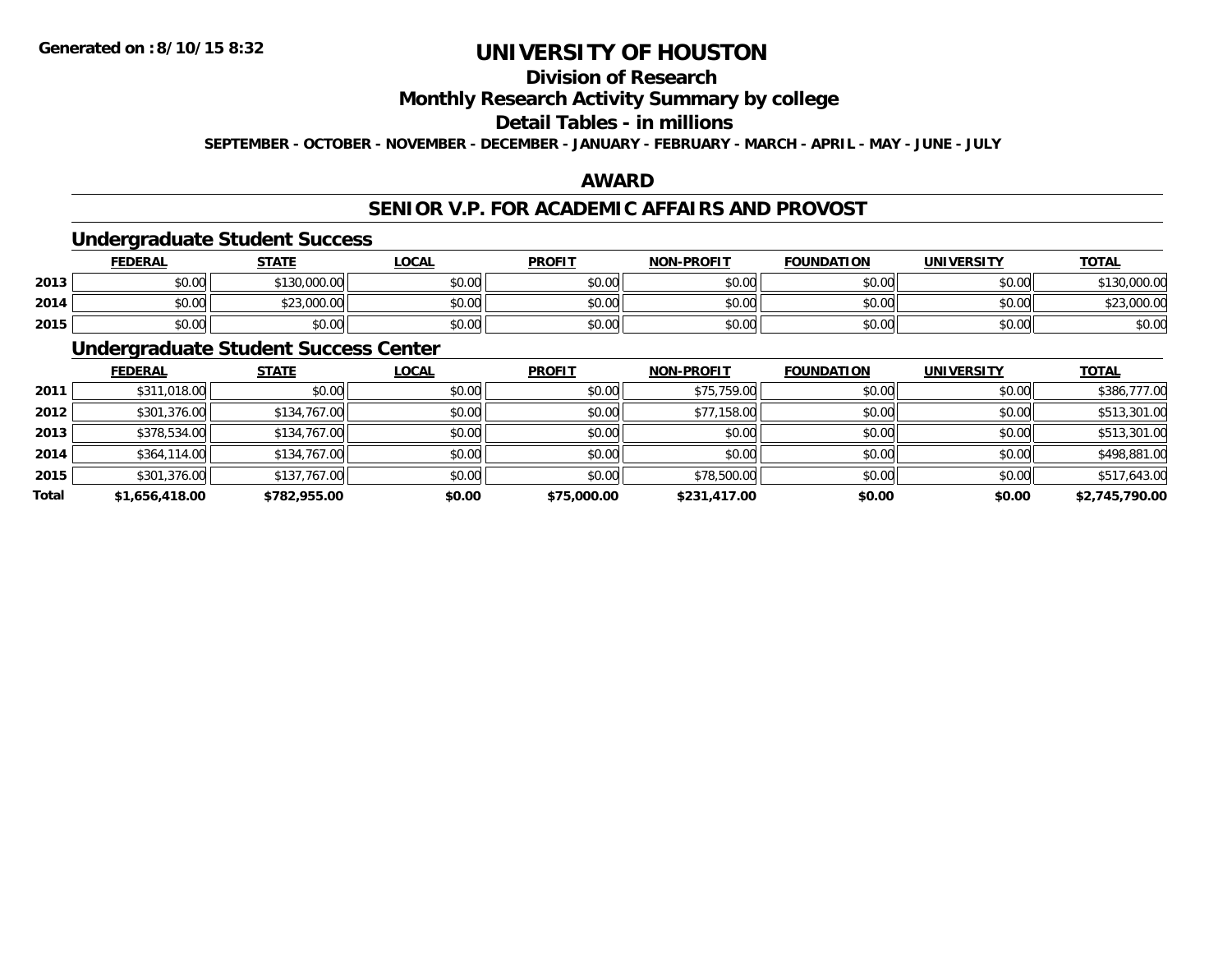## **Division of Research**

### **Monthly Research Activity Summary by college**

### **Detail Tables - in millions**

**SEPTEMBER - OCTOBER - NOVEMBER - DECEMBER - JANUARY - FEBRUARY - MARCH - APRIL - MAY - JUNE - JULY**

### **AWARD**

### **SENIOR V.P. FOR ACADEMIC AFFAIRS AND PROVOST**

#### **Undergraduate Student Success**

|      | <u>FEDERAL</u> | <b>STATE</b>                 | <b>_OCAL</b>  | <b>PROFIT</b> | <b>NON-PROFIT</b> | <b>FOUNDATION</b> | <b>UNIVERSITY</b> | <b>TOTAL</b> |
|------|----------------|------------------------------|---------------|---------------|-------------------|-------------------|-------------------|--------------|
| 2013 | \$0.00         | 0.000.00<br><b>¢120</b>      | 0000<br>DU.UU | \$0.00        | \$0.00            | \$0.00            | \$0.00            | 0.000.00     |
| 2014 | \$0.00         | \$23,000.00<br>$\sim$ $\sim$ | \$0.00        | \$0.00        | \$0.00            | \$0.00            | \$0.00            | \$23,000.00  |
| 2015 | \$0.00         | \$0.00                       | \$0.00        | \$0.00        | \$0.00            | \$0.00            | \$0.00            | \$0.00       |

### **Undergraduate Student Success Center**

|       | <b>FEDERAL</b> | <b>STATE</b> | <b>LOCAL</b> | <b>PROFIT</b> | <b>NON-PROFIT</b> | <b>FOUNDATION</b> | <b>UNIVERSITY</b> | <b>TOTAL</b>   |
|-------|----------------|--------------|--------------|---------------|-------------------|-------------------|-------------------|----------------|
| 2011  | \$311,018.00   | \$0.00       | \$0.00       | \$0.00        | \$75,759.00       | \$0.00            | \$0.00            | \$386,777.00   |
| 2012  | \$301,376.00   | \$134,767.00 | \$0.00       | \$0.00        | \$77,158.00       | \$0.00            | \$0.00            | \$513,301.00   |
| 2013  | \$378,534.00   | \$134,767.00 | \$0.00       | \$0.00        | \$0.00            | \$0.00            | \$0.00            | \$513,301.00   |
| 2014  | \$364,114.00   | \$134,767.00 | \$0.00       | \$0.00        | \$0.00            | \$0.00            | \$0.00            | \$498,881.00   |
| 2015  | \$301,376.00   | \$137,767.00 | \$0.00       | \$0.00        | \$78,500.00       | \$0.00            | \$0.00            | \$517,643.00   |
| Total | \$1,656,418.00 | \$782,955.00 | \$0.00       | \$75,000.00   | \$231,417.00      | \$0.00            | \$0.00            | \$2,745,790.00 |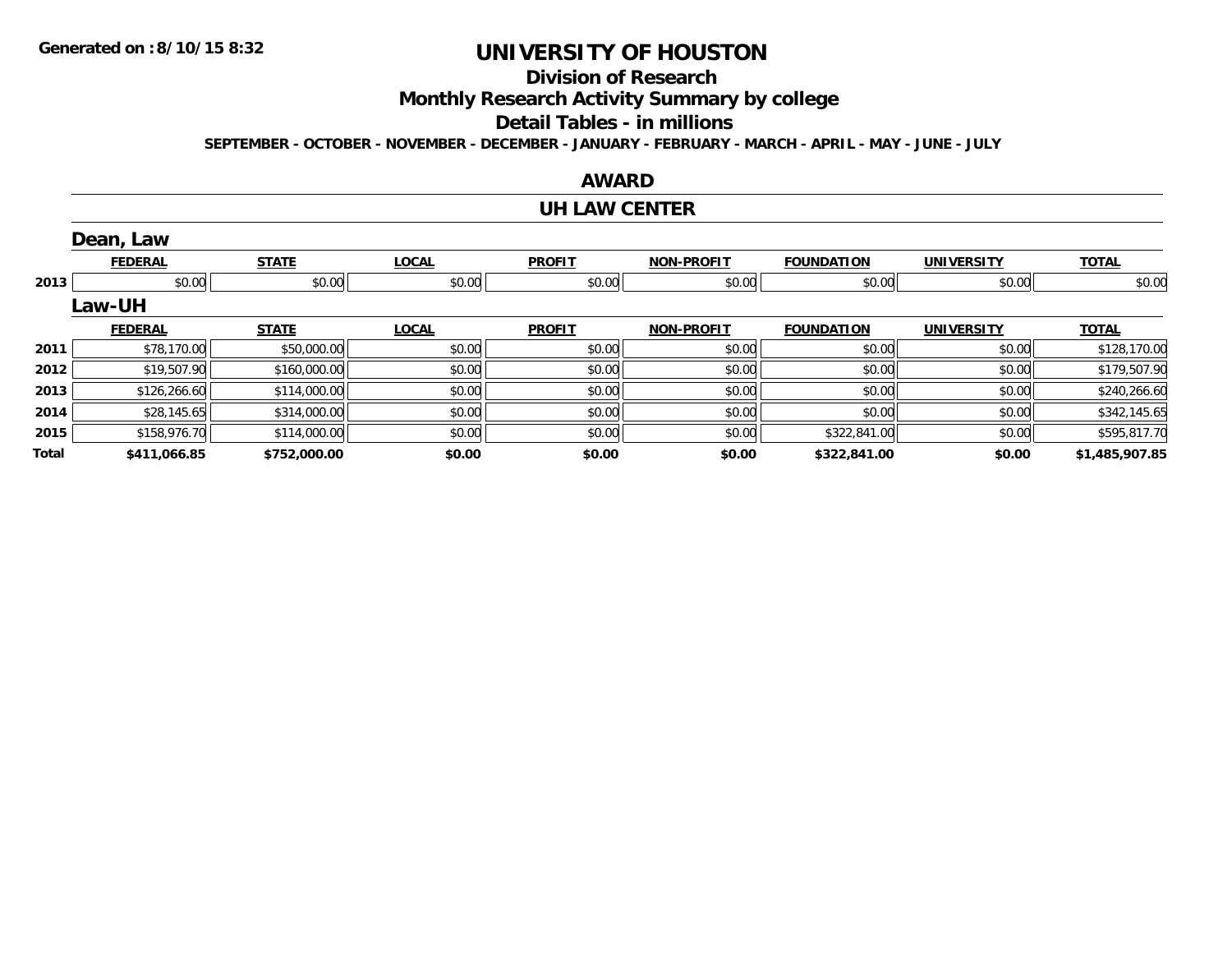## **Division of Research**

**Monthly Research Activity Summary by college**

#### **Detail Tables - in millions**

**SEPTEMBER - OCTOBER - NOVEMBER - DECEMBER - JANUARY - FEBRUARY - MARCH - APRIL - MAY - JUNE - JULY**

### **AWARD**

#### **UH LAW CENTER**

|       | Dean, Law      |              |              |               |                   |                   |                   |                |
|-------|----------------|--------------|--------------|---------------|-------------------|-------------------|-------------------|----------------|
|       | <b>FEDERAL</b> | <b>STATE</b> | <b>LOCAL</b> | <b>PROFIT</b> | <b>NON-PROFIT</b> | <b>FOUNDATION</b> | <b>UNIVERSITY</b> | <b>TOTAL</b>   |
| 2013  | \$0.00         | \$0.00       | \$0.00       | \$0.00        | \$0.00            | \$0.00            | \$0.00            | \$0.00         |
|       | <b>Law-UH</b>  |              |              |               |                   |                   |                   |                |
|       | <b>FEDERAL</b> | <b>STATE</b> | <b>LOCAL</b> | <b>PROFIT</b> | <b>NON-PROFIT</b> | <b>FOUNDATION</b> | <b>UNIVERSITY</b> | <b>TOTAL</b>   |
| 2011  | \$78,170.00    | \$50,000.00  | \$0.00       | \$0.00        | \$0.00            | \$0.00            | \$0.00            | \$128,170.00   |
| 2012  | \$19,507.90    | \$160,000.00 | \$0.00       | \$0.00        | \$0.00            | \$0.00            | \$0.00            | \$179,507.90   |
| 2013  | \$126,266.60   | \$114,000.00 | \$0.00       | \$0.00        | \$0.00            | \$0.00            | \$0.00            | \$240,266.60   |
| 2014  | \$28,145.65    | \$314,000.00 | \$0.00       | \$0.00        | \$0.00            | \$0.00            | \$0.00            | \$342,145.65   |
| 2015  | \$158,976.70   | \$114,000.00 | \$0.00       | \$0.00        | \$0.00            | \$322,841.00      | \$0.00            | \$595,817.70   |
| Total | \$411,066.85   | \$752,000.00 | \$0.00       | \$0.00        | \$0.00            | \$322,841.00      | \$0.00            | \$1,485,907.85 |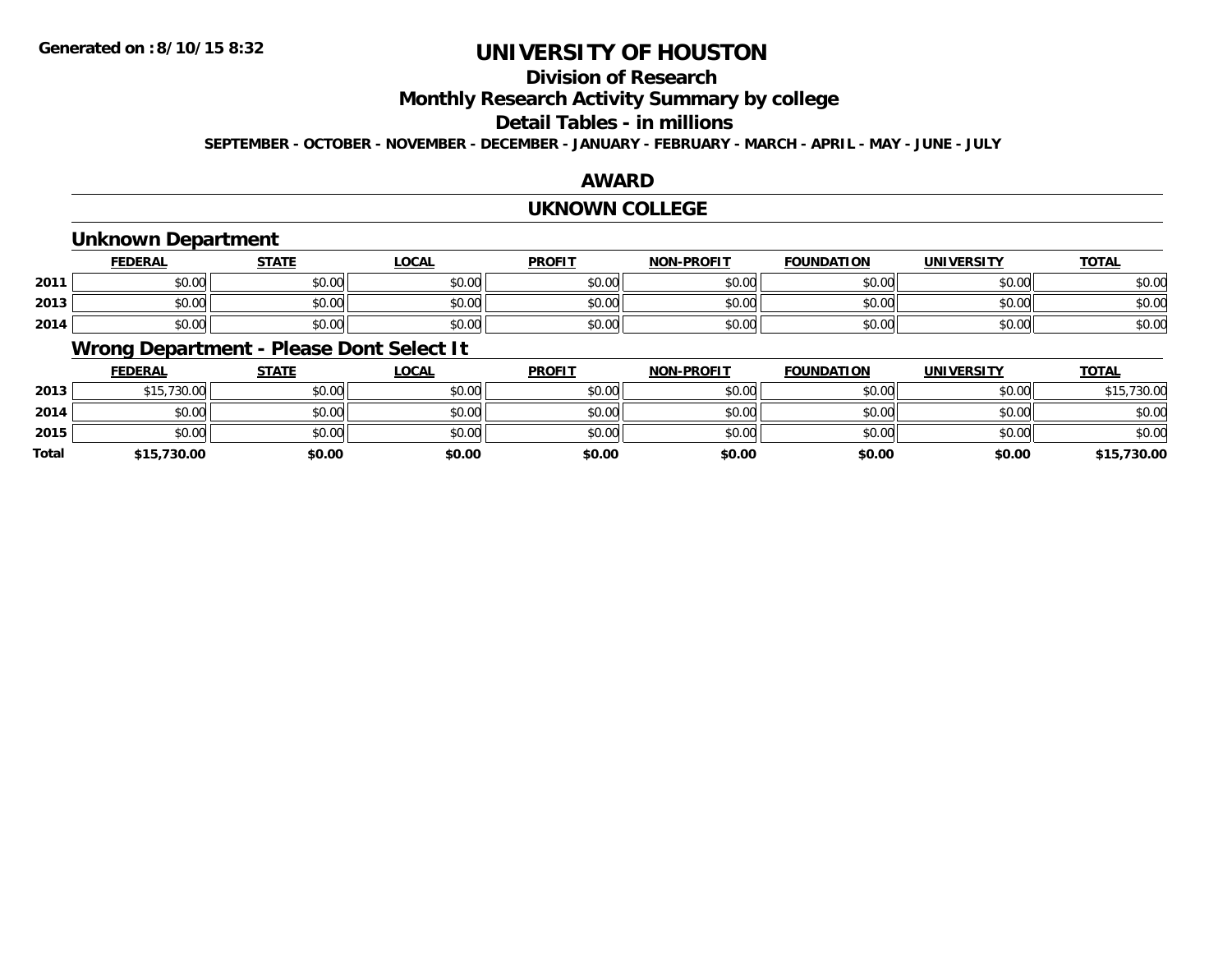## **Division of Research**

**Monthly Research Activity Summary by college**

#### **Detail Tables - in millions**

**SEPTEMBER - OCTOBER - NOVEMBER - DECEMBER - JANUARY - FEBRUARY - MARCH - APRIL - MAY - JUNE - JULY**

### **AWARD**

#### **UKNOWN COLLEGE**

### **Unknown Department**

|      | <u>FEDERAL</u> | <b>STATE</b> | <u>LOCAL</u> | <b>PROFIT</b> | <b>NON-PROFIT</b> | <b>FOUNDATION</b> | <b>UNIVERSITY</b> | <b>TOTAL</b> |
|------|----------------|--------------|--------------|---------------|-------------------|-------------------|-------------------|--------------|
| 2011 | \$0.00         | \$0.00       | \$0.00       | \$0.00        | \$0.00            | \$0.00            | \$0.00            | \$0.00       |
| 2013 | \$0.00         | \$0.00       | \$0.00       | \$0.00        | \$0.00            | \$0.00            | \$0.00            | \$0.00       |
| 2014 | \$0.00         | \$0.00       | \$0.00       | \$0.00        | \$0.00            | \$0.00            | \$0.00            | \$0.00       |

### **Wrong Department - Please Dont Select It**

|              | <b>FEDERAL</b> | <b>STATE</b> | <u>LOCAL</u> | <b>PROFIT</b> | <b>NON-PROFIT</b> | <b>FOUNDATION</b> | <b>UNIVERSITY</b> | <b>TOTAL</b> |
|--------------|----------------|--------------|--------------|---------------|-------------------|-------------------|-------------------|--------------|
| 2013         | \$15,730.00    | \$0.00       | \$0.00       | \$0.00        | \$0.00            | \$0.00            | \$0.00            | \$15,730.00  |
| 2014         | \$0.00         | \$0.00       | \$0.00       | \$0.00        | \$0.00            | \$0.00            | \$0.00            | \$0.00       |
| 2015         | \$0.00         | \$0.00       | \$0.00       | \$0.00        | \$0.00            | \$0.00            | \$0.00            | \$0.00       |
| <b>Total</b> | \$15,730.00    | \$0.00       | \$0.00       | \$0.00        | \$0.00            | \$0.00            | \$0.00            | \$15,730.00  |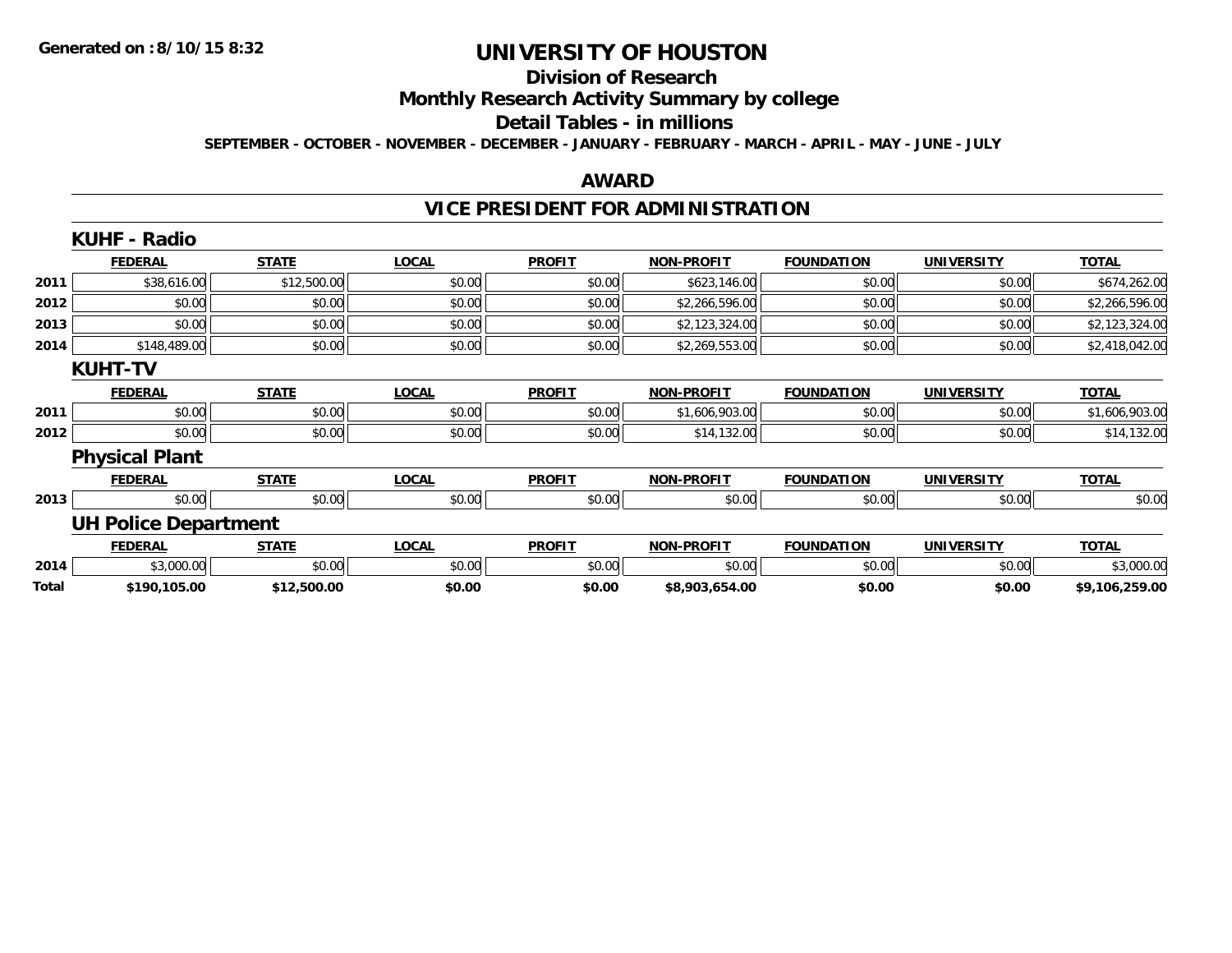#### **Division of Research**

**Monthly Research Activity Summary by college**

#### **Detail Tables - in millions**

**SEPTEMBER - OCTOBER - NOVEMBER - DECEMBER - JANUARY - FEBRUARY - MARCH - APRIL - MAY - JUNE - JULY**

#### **AWARD**

## **VICE PRESIDENT FOR ADMINISTRATION**

|       | <b>KUHF - Radio</b>         |              |              |               |                   |                   |                   |                |
|-------|-----------------------------|--------------|--------------|---------------|-------------------|-------------------|-------------------|----------------|
|       | <b>FEDERAL</b>              | <b>STATE</b> | <b>LOCAL</b> | <b>PROFIT</b> | <b>NON-PROFIT</b> | <b>FOUNDATION</b> | <b>UNIVERSITY</b> | <b>TOTAL</b>   |
| 2011  | \$38,616.00                 | \$12,500.00  | \$0.00       | \$0.00        | \$623,146.00      | \$0.00            | \$0.00            | \$674,262.00   |
| 2012  | \$0.00                      | \$0.00       | \$0.00       | \$0.00        | \$2,266,596.00    | \$0.00            | \$0.00            | \$2,266,596.00 |
| 2013  | \$0.00                      | \$0.00       | \$0.00       | \$0.00        | \$2,123,324.00    | \$0.00            | \$0.00            | \$2,123,324.00 |
| 2014  | \$148,489.00                | \$0.00       | \$0.00       | \$0.00        | \$2,269,553.00    | \$0.00            | \$0.00            | \$2,418,042.00 |
|       | <b>KUHT-TV</b>              |              |              |               |                   |                   |                   |                |
|       | <b>FEDERAL</b>              | <b>STATE</b> | <b>LOCAL</b> | <b>PROFIT</b> | <b>NON-PROFIT</b> | <b>FOUNDATION</b> | <b>UNIVERSITY</b> | <b>TOTAL</b>   |
| 2011  | \$0.00                      | \$0.00       | \$0.00       | \$0.00        | \$1,606,903.00    | \$0.00            | \$0.00            | \$1,606,903.00 |
| 2012  | \$0.00                      | \$0.00       | \$0.00       | \$0.00        | \$14,132.00       | \$0.00            | \$0.00            | \$14,132.00    |
|       | <b>Physical Plant</b>       |              |              |               |                   |                   |                   |                |
|       | <b>FEDERAL</b>              | <b>STATE</b> | <b>LOCAL</b> | <b>PROFIT</b> | <b>NON-PROFIT</b> | <b>FOUNDATION</b> | <b>UNIVERSITY</b> | <b>TOTAL</b>   |
| 2013  | \$0.00                      | \$0.00       | \$0.00       | \$0.00        | \$0.00            | \$0.00            | \$0.00            | \$0.00         |
|       | <b>UH Police Department</b> |              |              |               |                   |                   |                   |                |
|       | <b>FEDERAL</b>              | <b>STATE</b> | <b>LOCAL</b> | <b>PROFIT</b> | <b>NON-PROFIT</b> | <b>FOUNDATION</b> | <b>UNIVERSITY</b> | <b>TOTAL</b>   |
| 2014  | \$3,000.00                  | \$0.00       | \$0.00       | \$0.00        | \$0.00            | \$0.00            | \$0.00            | \$3,000.00     |
| Total | \$190,105.00                | \$12,500.00  | \$0.00       | \$0.00        | \$8,903,654.00    | \$0.00            | \$0.00            | \$9,106,259.00 |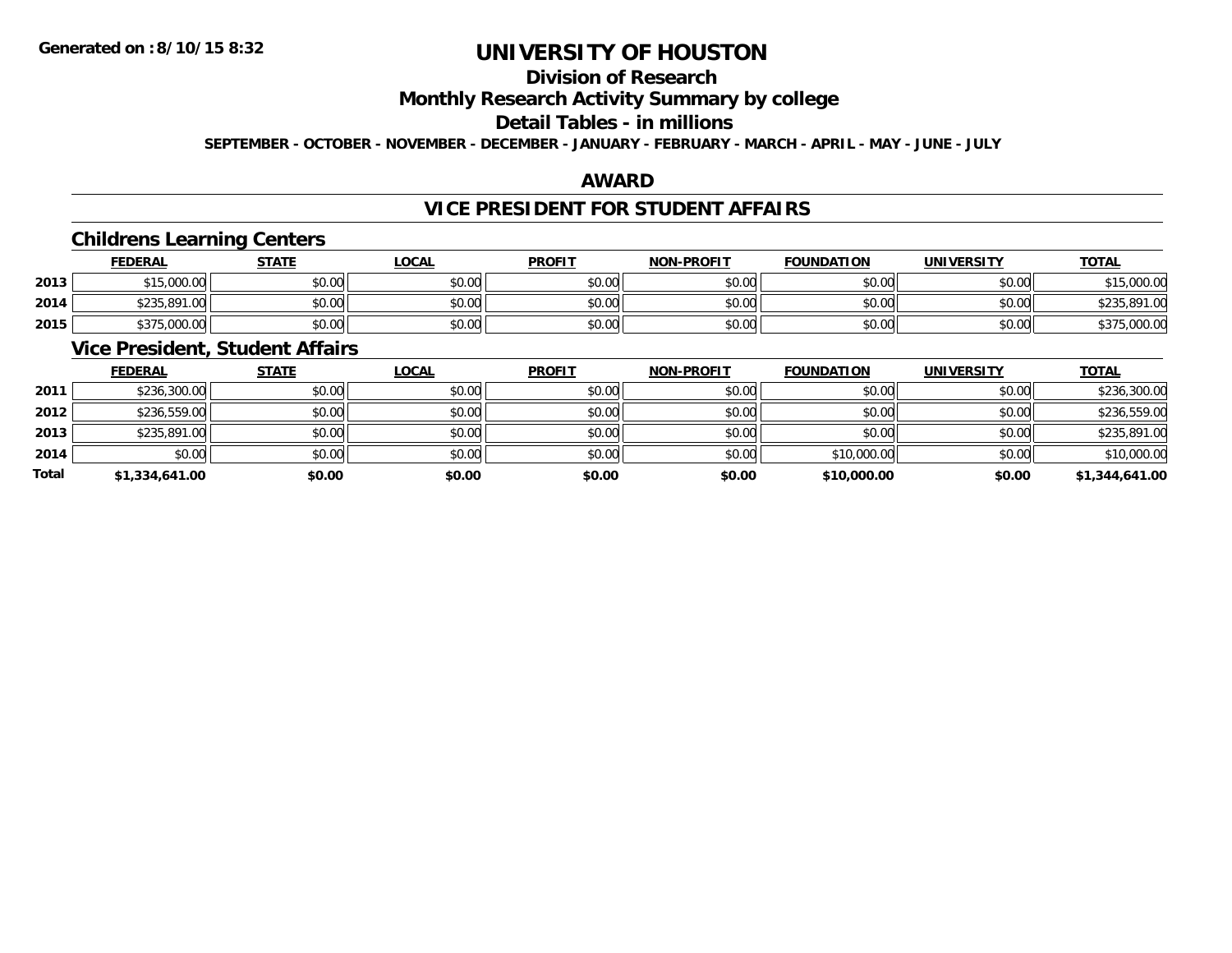## **Division of Research**

### **Monthly Research Activity Summary by college**

#### **Detail Tables - in millions**

**SEPTEMBER - OCTOBER - NOVEMBER - DECEMBER - JANUARY - FEBRUARY - MARCH - APRIL - MAY - JUNE - JULY**

### **AWARD**

### **VICE PRESIDENT FOR STUDENT AFFAIRS**

#### **Childrens Learning Centers**

|      | <b>FEDERAL</b> | <b>STATE</b> | <u>LOCAL</u> | <b>PROFIT</b> | <b>NON-PROFIT</b> | <b>FOUNDATION</b> | <b>UNIVERSITY</b> | <b>TOTAL</b> |
|------|----------------|--------------|--------------|---------------|-------------------|-------------------|-------------------|--------------|
| 2013 | \$15,000.00    | \$0.00       | \$0.00       | \$0.00        | \$0.00            | \$0.00            | \$0.00            | \$15,000.00  |
| 2014 | \$235,891.00   | \$0.00       | \$0.00       | \$0.00        | \$0.00            | \$0.00            | \$0.00            | \$235,891.00 |
| 2015 | \$375,000.00   | \$0.00       | \$0.00       | \$0.00        | \$0.00            | \$0.00            | \$0.00            | \$375,000.00 |

### **Vice President, Student Affairs**

|       | <b>FEDERAL</b> | <b>STATE</b> | <b>LOCAL</b> | <b>PROFIT</b> | <b>NON-PROFIT</b> | <b>FOUNDATION</b> | <b>UNIVERSITY</b> | <b>TOTAL</b>   |
|-------|----------------|--------------|--------------|---------------|-------------------|-------------------|-------------------|----------------|
| 2011  | \$236,300.00   | \$0.00       | \$0.00       | \$0.00        | \$0.00            | \$0.00            | \$0.00            | \$236,300.00   |
| 2012  | \$236,559.00   | \$0.00       | \$0.00       | \$0.00        | \$0.00            | \$0.00            | \$0.00            | \$236,559.00   |
| 2013  | \$235,891.00   | \$0.00       | \$0.00       | \$0.00        | \$0.00            | \$0.00            | \$0.00            | \$235,891.00   |
| 2014  | \$0.00         | \$0.00       | \$0.00       | \$0.00        | \$0.00            | \$10,000.00       | \$0.00            | \$10,000.00    |
| Total | \$1,334,641.00 | \$0.00       | \$0.00       | \$0.00        | \$0.00            | \$10,000.00       | \$0.00            | \$1,344,641.00 |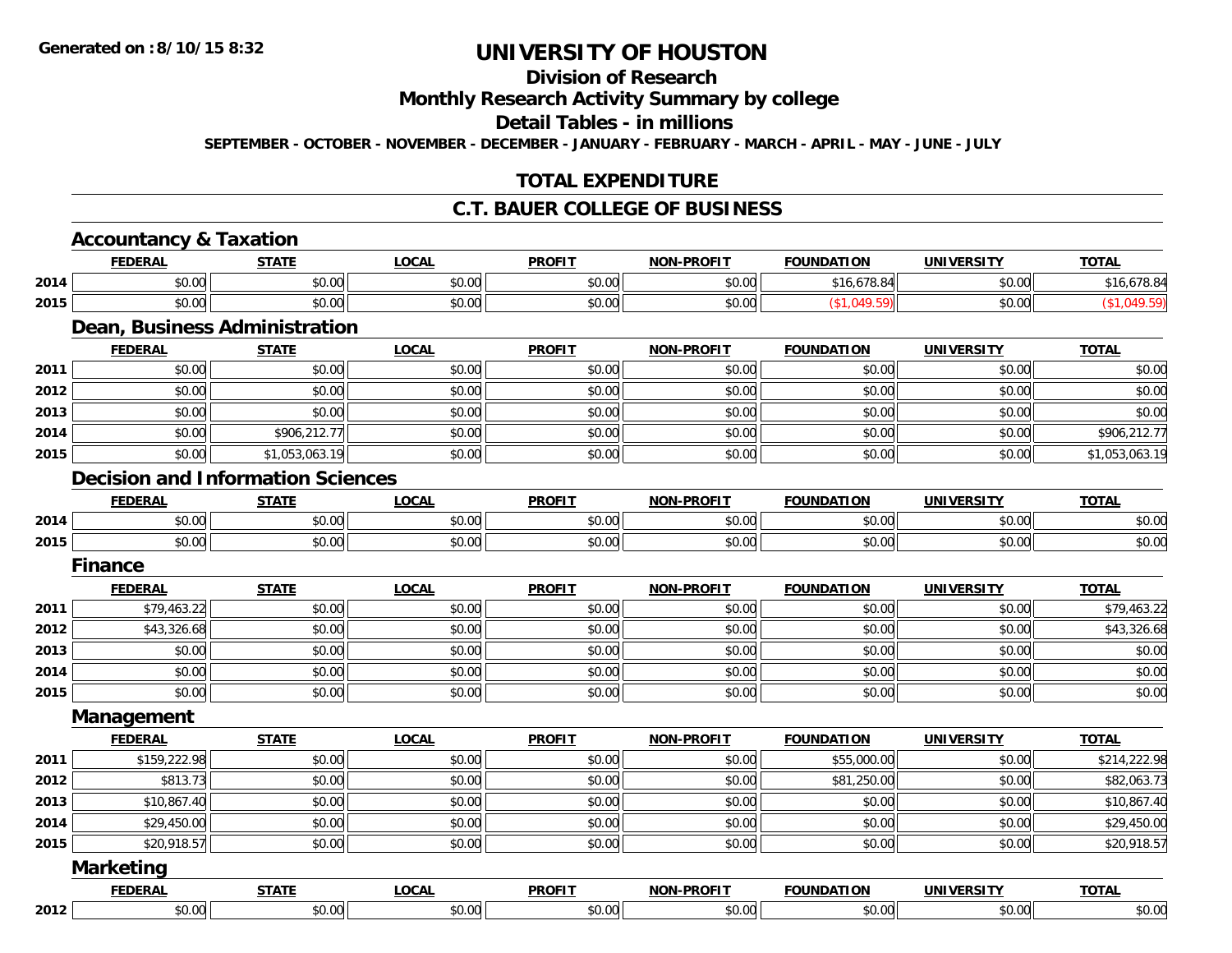## **Division of Research**

**Monthly Research Activity Summary by college**

**Detail Tables - in millions**

**SEPTEMBER - OCTOBER - NOVEMBER - DECEMBER - JANUARY - FEBRUARY - MARCH - APRIL - MAY - JUNE - JULY**

### **TOTAL EXPENDITURE**

#### **C.T. BAUER COLLEGE OF BUSINESS**

|      | <b>Accountancy &amp; Taxation</b><br><b>FEDERAL</b> | <b>STATE</b>   | <b>LOCAL</b> | <b>PROFIT</b> | <b>NON-PROFIT</b> | <b>FOUNDATION</b> | <b>UNIVERSITY</b> | <b>TOTAL</b>   |
|------|-----------------------------------------------------|----------------|--------------|---------------|-------------------|-------------------|-------------------|----------------|
|      | \$0.00                                              | \$0.00         | \$0.00       | \$0.00        | \$0.00            |                   | \$0.00            | \$16,678.84    |
| 2014 |                                                     |                |              |               |                   | \$16,678.84       |                   |                |
| 2015 | \$0.00                                              | \$0.00         | \$0.00       | \$0.00        | \$0.00            | (\$1,049.59)      | \$0.00            | (\$1,049.59)   |
|      | Dean, Business Administration                       |                |              |               |                   |                   |                   |                |
|      | <b>FEDERAL</b>                                      | <b>STATE</b>   | <b>LOCAL</b> | <b>PROFIT</b> | <b>NON-PROFIT</b> | <b>FOUNDATION</b> | <b>UNIVERSITY</b> | <b>TOTAL</b>   |
| 2011 | \$0.00                                              | \$0.00         | \$0.00       | \$0.00        | \$0.00            | \$0.00            | \$0.00            | \$0.00         |
| 2012 | \$0.00                                              | \$0.00         | \$0.00       | \$0.00        | \$0.00            | \$0.00            | \$0.00            | \$0.00         |
| 2013 | \$0.00                                              | \$0.00         | \$0.00       | \$0.00        | \$0.00            | \$0.00            | \$0.00            | \$0.00         |
| 2014 | \$0.00                                              | \$906,212.77   | \$0.00       | \$0.00        | \$0.00            | \$0.00            | \$0.00            | \$906,212.77   |
| 2015 | \$0.00                                              | \$1,053,063.19 | \$0.00       | \$0.00        | \$0.00            | \$0.00            | \$0.00            | \$1,053,063.19 |
|      | <b>Decision and Information Sciences</b>            |                |              |               |                   |                   |                   |                |
|      | <b>FEDERAL</b>                                      | <b>STATE</b>   | <b>LOCAL</b> | <b>PROFIT</b> | <b>NON-PROFIT</b> | <b>FOUNDATION</b> | <b>UNIVERSITY</b> | <b>TOTAL</b>   |
| 2014 | \$0.00                                              | \$0.00         | \$0.00       | \$0.00        | \$0.00            | \$0.00            | \$0.00            | \$0.00         |
| 2015 | \$0.00                                              | \$0.00         | \$0.00       | \$0.00        | \$0.00            | \$0.00            | \$0.00            | \$0.00         |
|      | <b>Finance</b>                                      |                |              |               |                   |                   |                   |                |
|      | <b>FEDERAL</b>                                      | <b>STATE</b>   | <b>LOCAL</b> | <b>PROFIT</b> | <b>NON-PROFIT</b> | <b>FOUNDATION</b> | <b>UNIVERSITY</b> | <b>TOTAL</b>   |
| 2011 | \$79,463.22                                         | \$0.00         | \$0.00       | \$0.00        | \$0.00            | \$0.00            | \$0.00            | \$79,463.22    |
| 2012 | \$43,326.68                                         | \$0.00         | \$0.00       | \$0.00        | \$0.00            | \$0.00            | \$0.00            | \$43,326.68    |
| 2013 | \$0.00                                              | \$0.00         | \$0.00       | \$0.00        | \$0.00            | \$0.00            | \$0.00            | \$0.00         |
| 2014 | \$0.00                                              | \$0.00         | \$0.00       | \$0.00        | \$0.00            | \$0.00            | \$0.00            | \$0.00         |
| 2015 | \$0.00                                              | \$0.00         | \$0.00       | \$0.00        | \$0.00            | \$0.00            | \$0.00            | \$0.00         |
|      | Management                                          |                |              |               |                   |                   |                   |                |
|      | <b>FEDERAL</b>                                      | <b>STATE</b>   | <b>LOCAL</b> | <b>PROFIT</b> | <b>NON-PROFIT</b> | <b>FOUNDATION</b> | <b>UNIVERSITY</b> | <b>TOTAL</b>   |
| 2011 | \$159,222.98                                        | \$0.00         | \$0.00       | \$0.00        | \$0.00            | \$55,000.00       | \$0.00            | \$214,222.98   |
| 2012 | \$813.73                                            | \$0.00         | \$0.00       | \$0.00        | \$0.00            | \$81,250.00       | \$0.00            | \$82,063.73    |
| 2013 | \$10,867.40                                         | \$0.00         | \$0.00       | \$0.00        | \$0.00            | \$0.00            | \$0.00            | \$10,867.40    |
| 2014 | \$29,450.00                                         | \$0.00         | \$0.00       | \$0.00        | \$0.00            | \$0.00            | \$0.00            | \$29,450.00    |
| 2015 | \$20,918.57                                         | \$0.00         | \$0.00       | \$0.00        | \$0.00            | \$0.00            | \$0.00            | \$20,918.57    |
|      | <b>Marketing</b>                                    |                |              |               |                   |                   |                   |                |
|      | <b>FEDERAL</b>                                      | <b>STATE</b>   | <b>LOCAL</b> | <b>PROFIT</b> | <b>NON-PROFIT</b> | <b>FOUNDATION</b> | <b>UNIVERSITY</b> | <b>TOTAL</b>   |
| 2012 | \$0.00                                              | \$0.00         | \$0.00       | \$0.00        | \$0.00            | \$0.00            | \$0.00            | \$0.00         |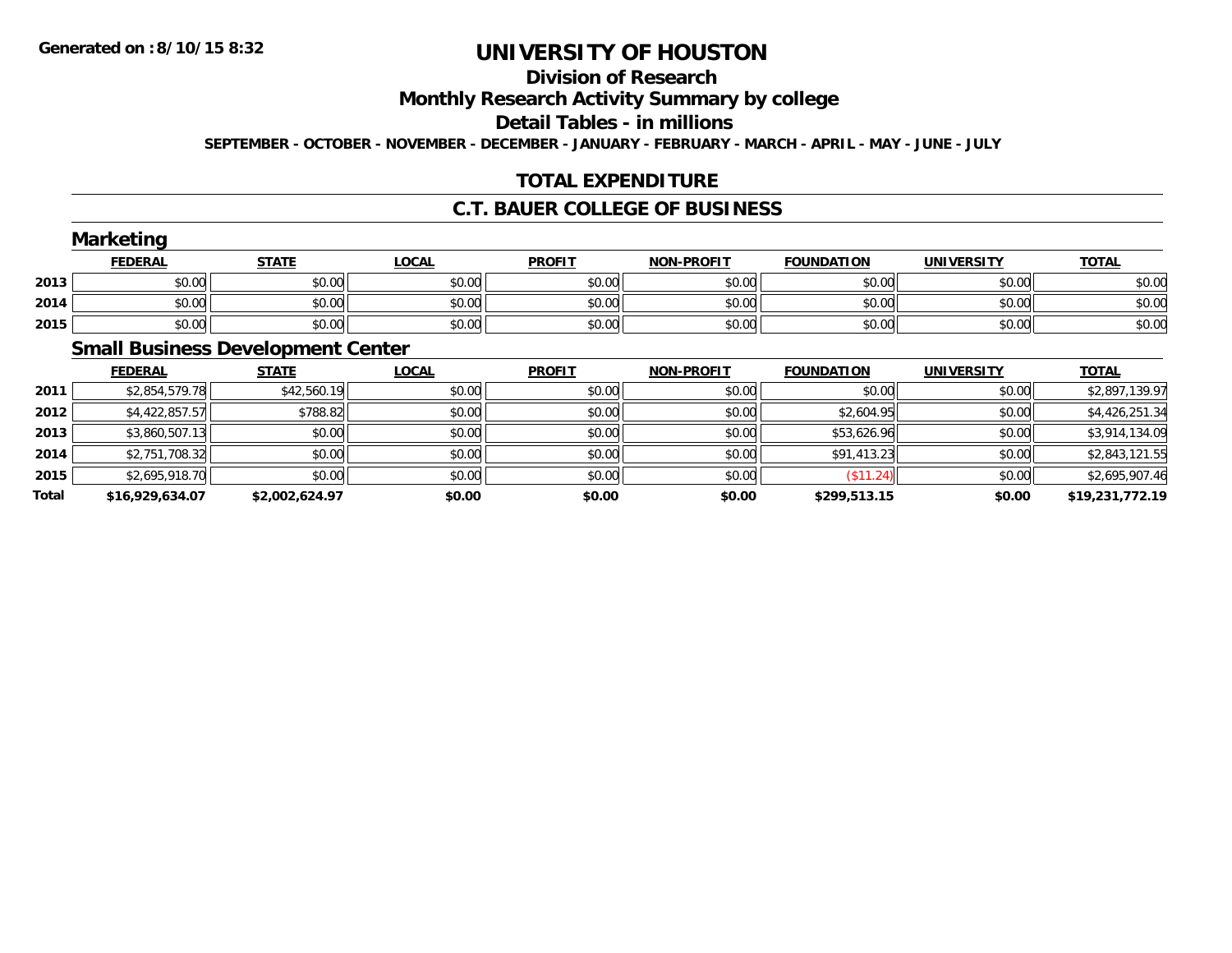# **Division of Research**

**Monthly Research Activity Summary by college**

**Detail Tables - in millions**

**SEPTEMBER - OCTOBER - NOVEMBER - DECEMBER - JANUARY - FEBRUARY - MARCH - APRIL - MAY - JUNE - JULY**

## **TOTAL EXPENDITURE**

#### **C.T. BAUER COLLEGE OF BUSINESS**

|      | <b>Marketing</b> |              |              |               |                   |                   |                   |              |
|------|------------------|--------------|--------------|---------------|-------------------|-------------------|-------------------|--------------|
|      | <b>FEDERAL</b>   | <b>STATE</b> | <u>LOCAL</u> | <b>PROFIT</b> | <b>NON-PROFIT</b> | <b>FOUNDATION</b> | <b>UNIVERSITY</b> | <b>TOTAL</b> |
| 2013 | \$0.00           | \$0.00       | \$0.00       | \$0.00        | \$0.00            | \$0.00            | \$0.00            | \$0.00       |
| 2014 | \$0.00           | \$0.00       | \$0.00       | \$0.00        | \$0.00            | \$0.00            | \$0.00            | \$0.00       |
| 2015 | \$0.00           | \$0.00       | \$0.00       | \$0.00        | \$0.00            | \$0.00            | \$0.00            | \$0.00       |

## **Small Business Development Center**

|       | <b>FEDERAL</b>  | <b>STATE</b>   | <u>LOCAL</u> | <b>PROFIT</b> | <b>NON-PROFIT</b> | <b>FOUNDATION</b> | <b>UNIVERSITY</b> | <b>TOTAL</b>    |
|-------|-----------------|----------------|--------------|---------------|-------------------|-------------------|-------------------|-----------------|
| 2011  | \$2,854,579.78  | \$42,560.19    | \$0.00       | \$0.00        | \$0.00            | \$0.00            | \$0.00            | \$2,897,139.97  |
| 2012  | \$4,422,857.57  | \$788.82       | \$0.00       | \$0.00        | \$0.00            | \$2,604.95        | \$0.00            | \$4,426,251.34  |
| 2013  | \$3,860,507.13  | \$0.00         | \$0.00       | \$0.00        | \$0.00            | \$53,626.96       | \$0.00            | \$3,914,134.09  |
| 2014  | \$2,751,708.32  | \$0.00         | \$0.00       | \$0.00        | \$0.00            | \$91,413.23       | \$0.00            | \$2,843,121.55  |
| 2015  | \$2,695,918.70  | \$0.00         | \$0.00       | \$0.00        | \$0.00            | $($ \$11.24) $ $  | \$0.00            | \$2,695,907.46  |
| Total | \$16,929,634.07 | \$2.002.624.97 | \$0.00       | \$0.00        | \$0.00            | \$299,513.15      | \$0.00            | \$19,231,772.19 |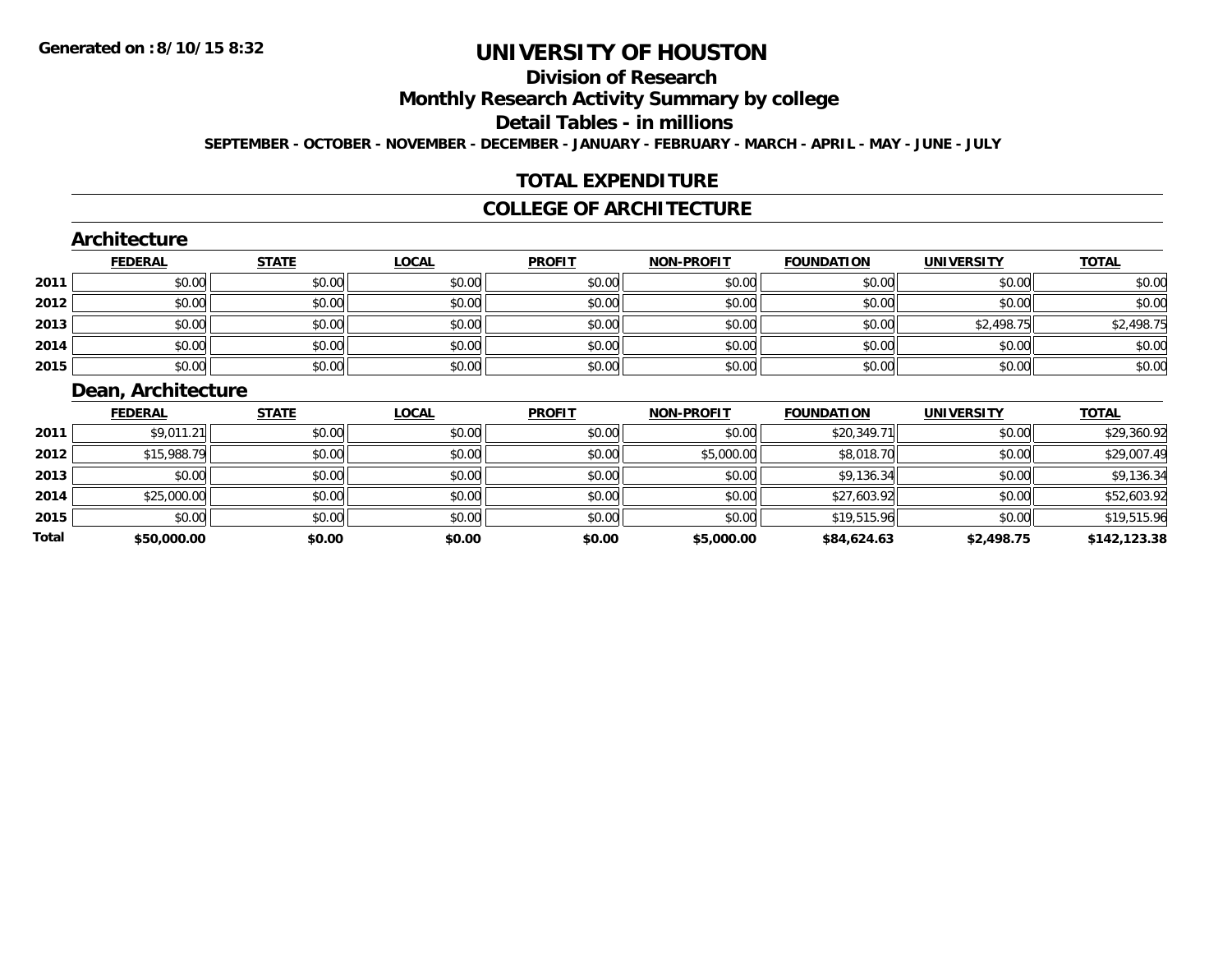**Total**

# **UNIVERSITY OF HOUSTON**

#### **Division of Research**

**Monthly Research Activity Summary by college**

**Detail Tables - in millions**

**SEPTEMBER - OCTOBER - NOVEMBER - DECEMBER - JANUARY - FEBRUARY - MARCH - APRIL - MAY - JUNE - JULY**

#### **TOTAL EXPENDITURE**

#### **COLLEGE OF ARCHITECTURE**

#### **ArchitectureFEDERAL STATE LOCAL PROFIT NON-PROFIT FOUNDATION UNIVERSITY TOTALTOTAL 2011** \$0.00 \$0.00 \$0.00 \$0.00 \$0.00 \$0.00 \$0.00 \$0.00 **2012**2 | \$0.00 \$0.00 \$0.00 \$0.00 \$0.00 \$0.00 \$0.00 \$0.00 \$0.00 \$0.00 \$0.00 \$0.00 \$0.00 \$0.00 \$0.00 \$0.00 \$0.00 \$0.0 **2013**3 \$0.00 \$0.00 \$0.00 \$0.00 \$0.00 \$0.00 \$0.00 \$0.00 \$0.00 \$0.00 \$0.00 \$0.00 \$2,498.75 \$2,498.75 \$2,498.75 **2014**4 \$0.00 \$0.00 \$0.00 \$0.00 \$0.00 \$0.00 \$0.00 \$0.00 \$0.00 \$0.00 \$0.00 \$0.00 \$0.00 \$0.00 \$0.00 \$0.00 \$0.00 **2015** \$0.00 \$0.00 \$0.00 \$0.00 \$0.00 \$0.00 \$0.00 \$0.00 **Dean, Architecture FEDERAL STATE LOCAL PROFIT NON-PROFIT FOUNDATION UNIVERSITY TOTAL2011**1 \$9,011.21|| \$0.00|| \$0.00|| \$0.00|| \$0.00|| \$0.00|| \$20,349.71|| \$0.00|| \$20,360.92 **2012**2 | \$15,988.79|| \$0.00|| \$0.00|| \$0.00|| \$0.00|| \$0.00|| \$5,000.00|| \$8,018.70|| \$0.00|| \$29,007.49 **2013** \$0.00 \$0.00 \$0.00 \$0.00 \$0.00 \$9,136.34 \$0.00 \$9,136.34 **2014**4 \$25,000.00 \$0.00 \$0.00 \$0.00 \$0.00 \$0.00 \$0.00 \$0.00 \$0.00 \$0.00 \$27,603.92 \$0.00 \$0.00 \$52,603.92 **2015**\$0.00 \$0.00 \$0.00 \$0.00 \$0.00 \$19,515.96 \$0.00 \$19,515.96

**\$50,000.00 \$0.00 \$0.00 \$0.00 \$5,000.00 \$84,624.63 \$2,498.75 \$142,123.38**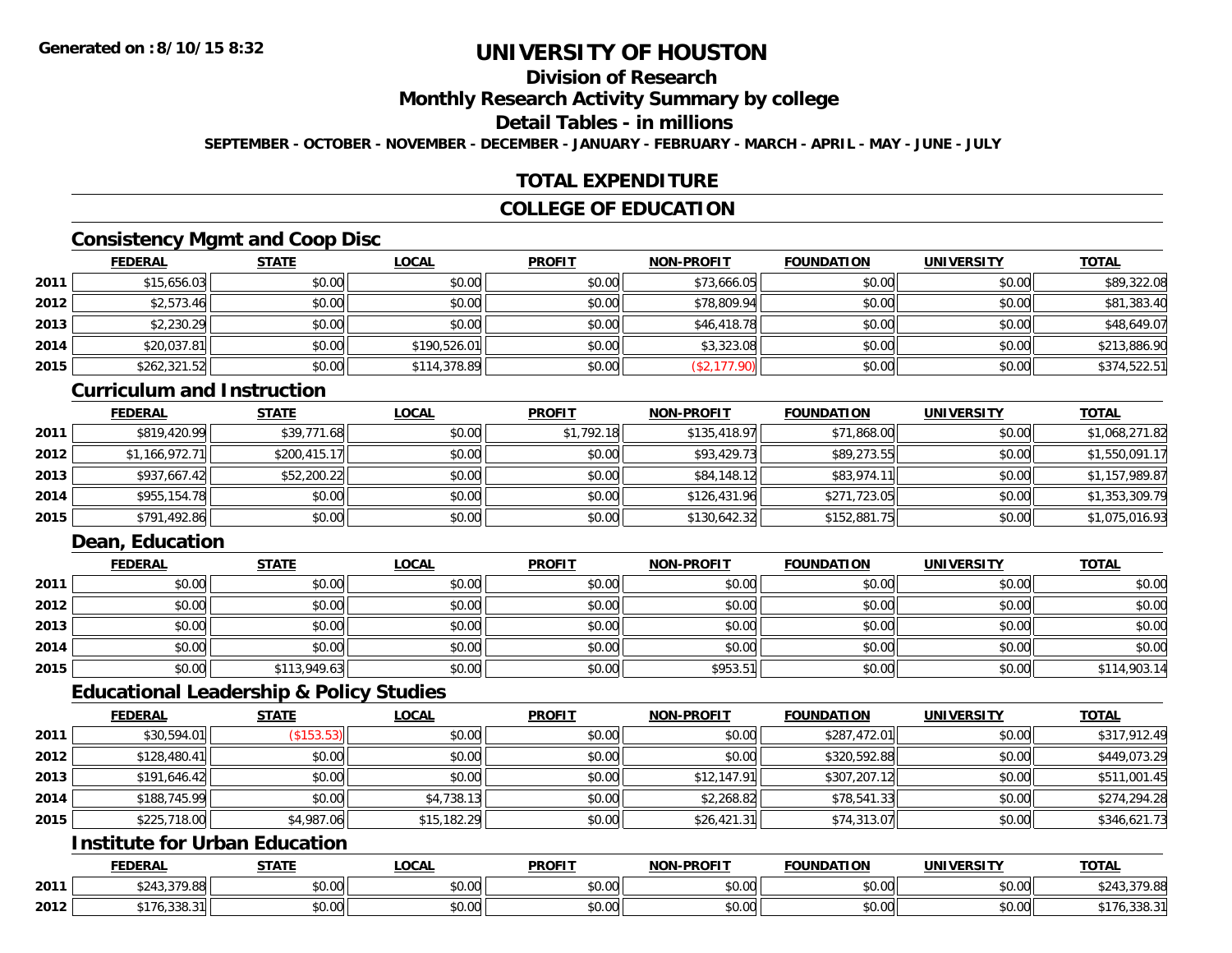## **Division of Research**

**Monthly Research Activity Summary by college**

**Detail Tables - in millions**

**SEPTEMBER - OCTOBER - NOVEMBER - DECEMBER - JANUARY - FEBRUARY - MARCH - APRIL - MAY - JUNE - JULY**

## **TOTAL EXPENDITURE**

#### **COLLEGE OF EDUCATION**

## **Consistency Mgmt and Coop Disc**

|      | <b>FEDERAL</b> | <b>STATE</b> | <b>LOCAL</b> | <b>PROFIT</b> | <b>NON-PROFIT</b> | <b>FOUNDATION</b> | <b>UNIVERSITY</b> | <b>TOTAL</b> |
|------|----------------|--------------|--------------|---------------|-------------------|-------------------|-------------------|--------------|
| 2011 | \$15,656.03    | \$0.00       | \$0.00       | \$0.00        | \$73,666.05       | \$0.00            | \$0.00            | \$89,322.08  |
| 2012 | \$2,573.46     | \$0.00       | \$0.00       | \$0.00        | \$78,809.94       | \$0.00            | \$0.00            | \$81,383.40  |
| 2013 | \$2,230.29     | \$0.00       | \$0.00       | \$0.00        | \$46,418.78       | \$0.00            | \$0.00            | \$48,649.07  |
| 2014 | \$20,037.81    | \$0.00       | \$190,526.01 | \$0.00        | \$3,323.08        | \$0.00            | \$0.00            | \$213,886.90 |
| 2015 | \$262,321.52   | \$0.00       | \$114,378.89 | \$0.00        | \$2,177.90        | \$0.00            | \$0.00            | \$374,522.51 |

#### **Curriculum and Instruction**

|      | <u>FEDERAL</u> | <u>STATE</u> | <b>LOCAL</b> | <b>PROFIT</b> | <b>NON-PROFIT</b> | <b>FOUNDATION</b> | <b>UNIVERSITY</b> | <b>TOTAL</b>   |
|------|----------------|--------------|--------------|---------------|-------------------|-------------------|-------------------|----------------|
| 2011 | \$819,420.99   | \$39,771.68  | \$0.00       | \$1,792.18    | \$135,418.97      | \$71,868.00       | \$0.00            | \$1,068,271.82 |
| 2012 | \$1,166,972.71 | \$200,415.17 | \$0.00       | \$0.00        | \$93,429.73       | \$89,273.55       | \$0.00            | \$1,550,091.17 |
| 2013 | \$937,667.42   | \$52,200.22  | \$0.00       | \$0.00        | \$84,148.12       | \$83,974.11       | \$0.00            | \$1,157,989.87 |
| 2014 | \$955,154.78   | \$0.00       | \$0.00       | \$0.00        | \$126,431.96      | \$271,723.05      | \$0.00            | \$1,353,309.79 |
| 2015 | \$791,492.86   | \$0.00       | \$0.00       | \$0.00        | \$130,642.32      | \$152,881.75      | \$0.00            | \$1,075,016.93 |

## **Dean, Education**

|      | <b>FEDERAL</b> | <b>STATE</b> | <u>LOCAL</u> | <b>PROFIT</b> | <b>NON-PROFIT</b> | <b>FOUNDATION</b> | <b>UNIVERSITY</b> | <b>TOTAL</b> |
|------|----------------|--------------|--------------|---------------|-------------------|-------------------|-------------------|--------------|
| 2011 | \$0.00         | \$0.00       | \$0.00       | \$0.00        | \$0.00            | \$0.00            | \$0.00            | \$0.00       |
| 2012 | \$0.00         | \$0.00       | \$0.00       | \$0.00        | \$0.00            | \$0.00            | \$0.00            | \$0.00       |
| 2013 | \$0.00         | \$0.00       | \$0.00       | \$0.00        | \$0.00            | \$0.00            | \$0.00            | \$0.00       |
| 2014 | \$0.00         | \$0.00       | \$0.00       | \$0.00        | \$0.00            | \$0.00            | \$0.00            | \$0.00       |
| 2015 | \$0.00         | \$113,949.63 | \$0.00       | \$0.00        | \$953.51          | \$0.00            | \$0.00            | \$114,903.14 |

#### **Educational Leadership & Policy Studies**

|      | <b>FEDERAL</b> | <b>STATE</b> | <b>LOCAL</b> | <b>PROFIT</b> | <b>NON-PROFIT</b> | <b>FOUNDATION</b> | <b>UNIVERSITY</b> | <b>TOTAL</b> |
|------|----------------|--------------|--------------|---------------|-------------------|-------------------|-------------------|--------------|
| 2011 | \$30,594.01    | (\$153.53)   | \$0.00       | \$0.00        | \$0.00            | \$287,472.01      | \$0.00            | \$317,912.49 |
| 2012 | \$128,480.41   | \$0.00       | \$0.00       | \$0.00        | \$0.00            | \$320,592.88      | \$0.00            | \$449,073.29 |
| 2013 | \$191,646.42   | \$0.00       | \$0.00       | \$0.00        | \$12,147.91       | \$307,207.12      | \$0.00            | \$511,001.45 |
| 2014 | \$188,745.99   | \$0.00       | \$4,738.13   | \$0.00        | \$2,268.82        | \$78,541.33       | \$0.00            | \$274,294.28 |
| 2015 | \$225,718.00   | \$4,987.06   | \$15,182.29  | \$0.00        | \$26,421.31       | \$74,313.07       | \$0.00            | \$346,621.73 |

## **Institute for Urban Education**

|      | <b>FEDERAL</b>                              | <b>CTATE</b>             | <b>LOCAL</b>          | <b>PROFIT</b>      | <b>J-PROFIT</b><br><b>BIABI</b> | <b>FOUNDATION</b> | <b>UNIVERSITY</b> | <b>TOTAL</b>        |
|------|---------------------------------------------|--------------------------|-----------------------|--------------------|---------------------------------|-------------------|-------------------|---------------------|
| 2011 | ሐጣ ብጣ<br><b>270.00</b><br>80.71<br>, ט. ט ד | $n \cap \Omega$<br>DU.UU | $\sim$<br>0 t<br>שט.⊽ | nn nn<br>DU.UU     | 0.00<br>JU.UU                   | \$0.00            | \$0.00            | 270.00<br>7379.88   |
| 2012 | $\sim$ $\sim$ $\sim$<br>76.338.3            | 0000<br>,u.uu            | $\sim$ 00<br>vv.vv    | $\sim$ 00<br>DU.UU | 0.00<br>JU.UU                   | \$0.00            | \$0.00            | <b>AI/O, JJU.U.</b> |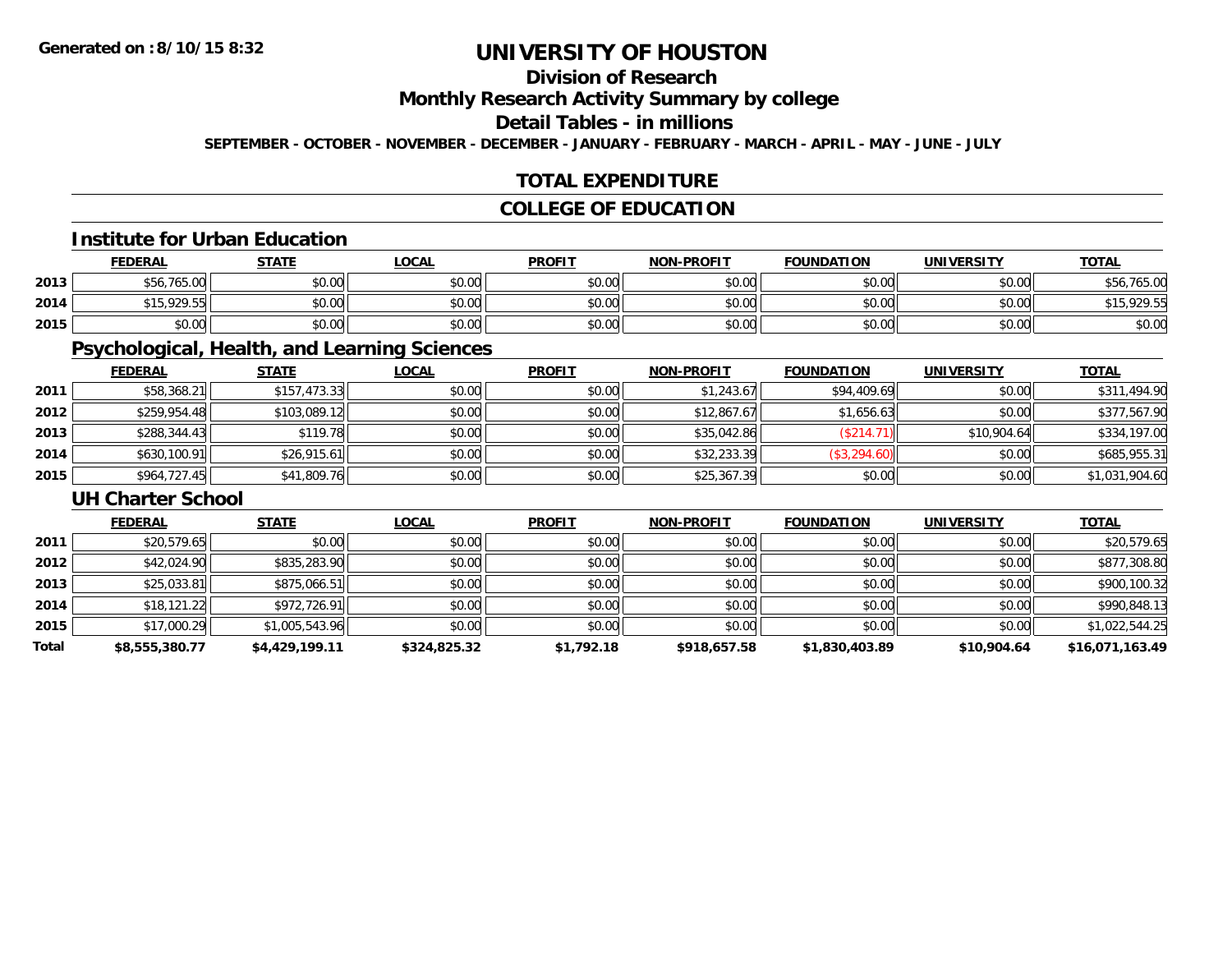## **Division of Research**

**Monthly Research Activity Summary by college**

## **Detail Tables - in millions**

**SEPTEMBER - OCTOBER - NOVEMBER - DECEMBER - JANUARY - FEBRUARY - MARCH - APRIL - MAY - JUNE - JULY**

#### **TOTAL EXPENDITURE**

## **COLLEGE OF EDUCATION**

#### **Institute for Urban Education**

|      | <b>FEDERAL</b> | <b>STATE</b> | <u>LOCAL</u> | <b>PROFIT</b> | <b>NON-PROFIT</b> | <b>FOUNDATION</b> | <b>UNIVERSITY</b> | <u>TOTAL</u>     |
|------|----------------|--------------|--------------|---------------|-------------------|-------------------|-------------------|------------------|
| 2013 | \$56,765,00    | \$0.00       | \$0.00       | \$0.00        | \$0.00            | \$0.00            | \$0.00            | .765.00<br>\$56. |
| 2014 | \$15,929.55    | \$0.00       | \$0.00       | \$0.00        | \$0.00            | \$0.00            | \$0.00            | \$15,929.55      |
| 2015 | \$0.00         | \$0.00       | \$0.00       | \$0.00        | \$0.00            | \$0.00            | \$0.00            | \$0.00           |

## **Psychological, Health, and Learning Sciences**

|      | <b>FEDERAL</b> | <b>STATE</b> | <u>LOCAL</u> | <b>PROFIT</b> | <b>NON-PROFIT</b> | <b>FOUNDATION</b> | <b>UNIVERSITY</b> | <b>TOTAL</b>   |
|------|----------------|--------------|--------------|---------------|-------------------|-------------------|-------------------|----------------|
| 2011 | \$58,368.21    | \$157,473.33 | \$0.00       | \$0.00        | \$1.243.67        | \$94,409.69       | \$0.00            | \$311,494.90   |
| 2012 | \$259,954.48   | \$103,089.12 | \$0.00       | \$0.00        | \$12,867.67       | \$1,656.63        | \$0.00            | \$377,567.90   |
| 2013 | \$288,344.43   | \$119.78     | \$0.00       | \$0.00        | \$35,042.86       | (\$214.71)        | \$10,904.64       | \$334,197.00   |
| 2014 | \$630,100.91   | \$26,915.61  | \$0.00       | \$0.00        | \$32,233.39       | (\$3,294.60)      | \$0.00            | \$685,955.31   |
| 2015 | \$964,727.45   | \$41,809.76  | \$0.00       | \$0.00        | \$25,367.39       | \$0.00            | \$0.00            | \$1,031,904.60 |

#### **UH Charter School**

|       | <b>FEDERAL</b> | <b>STATE</b>   | <b>LOCAL</b> | <b>PROFIT</b> | <b>NON-PROFIT</b> | <b>FOUNDATION</b> | <b>UNIVERSITY</b> | <b>TOTAL</b>    |
|-------|----------------|----------------|--------------|---------------|-------------------|-------------------|-------------------|-----------------|
| 2011  | \$20,579.65    | \$0.00         | \$0.00       | \$0.00        | \$0.00            | \$0.00            | \$0.00            | \$20,579.65     |
| 2012  | \$42,024.90    | \$835,283.90   | \$0.00       | \$0.00        | \$0.00            | \$0.00            | \$0.00            | \$877,308.80    |
| 2013  | \$25,033.81    | \$875,066.51   | \$0.00       | \$0.00        | \$0.00            | \$0.00            | \$0.00            | \$900,100.32    |
| 2014  | \$18,121.22    | \$972,726.91   | \$0.00       | \$0.00        | \$0.00            | \$0.00            | \$0.00            | \$990,848.13    |
| 2015  | \$17,000.29    | \$1,005,543.96 | \$0.00       | \$0.00        | \$0.00            | \$0.00            | \$0.00            | \$1,022,544.25  |
| Total | \$8,555,380.77 | \$4,429,199.11 | \$324,825.32 | \$1,792.18    | \$918,657.58      | \$1,830,403.89    | \$10,904.64       | \$16,071,163.49 |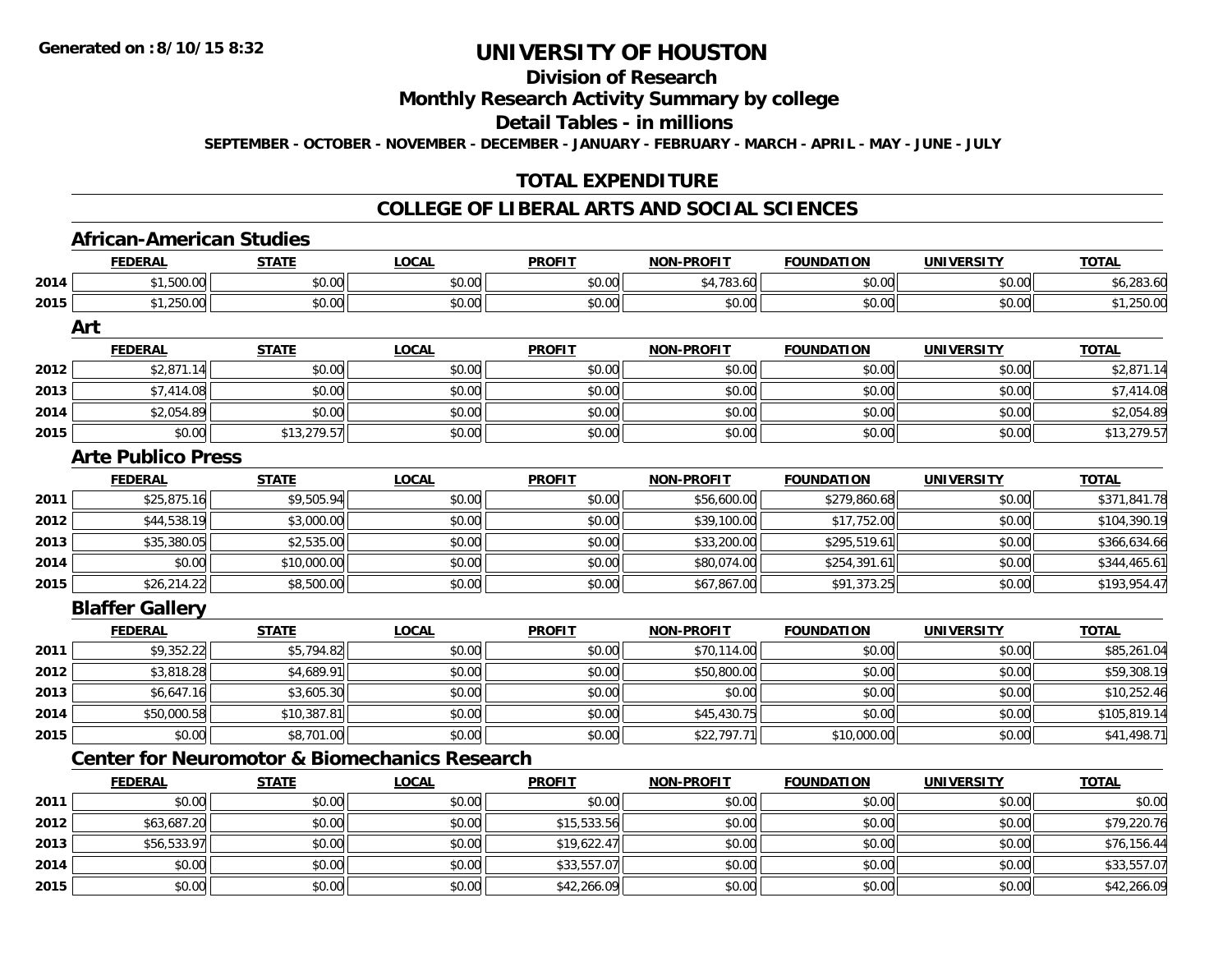# **Division of Research**

**Monthly Research Activity Summary by college**

**Detail Tables - in millions**

**SEPTEMBER - OCTOBER - NOVEMBER - DECEMBER - JANUARY - FEBRUARY - MARCH - APRIL - MAY - JUNE - JULY**

## **TOTAL EXPENDITURE**

#### **COLLEGE OF LIBERAL ARTS AND SOCIAL SCIENCES**

|      | <b>African-American Studies</b> |              |                                                          |               |                   |                   |                   |              |
|------|---------------------------------|--------------|----------------------------------------------------------|---------------|-------------------|-------------------|-------------------|--------------|
|      | <b>FEDERAL</b>                  | <b>STATE</b> | <b>LOCAL</b>                                             | <b>PROFIT</b> | <b>NON-PROFIT</b> | <b>FOUNDATION</b> | <b>UNIVERSITY</b> | <b>TOTAL</b> |
| 2014 | \$1,500.00                      | \$0.00       | \$0.00                                                   | \$0.00        | \$4,783.60        | \$0.00            | \$0.00            | \$6,283.60   |
| 2015 | \$1,250.00                      | \$0.00       | \$0.00                                                   | \$0.00        | \$0.00            | \$0.00            | \$0.00            | \$1,250.00   |
|      | Art                             |              |                                                          |               |                   |                   |                   |              |
|      | <b>FEDERAL</b>                  | <b>STATE</b> | <b>LOCAL</b>                                             | <b>PROFIT</b> | <b>NON-PROFIT</b> | <b>FOUNDATION</b> | <b>UNIVERSITY</b> | <b>TOTAL</b> |
| 2012 | \$2,871.14                      | \$0.00       | \$0.00                                                   | \$0.00        | \$0.00            | \$0.00            | \$0.00            | \$2,871.14   |
| 2013 | \$7,414.08                      | \$0.00       | \$0.00                                                   | \$0.00        | \$0.00            | \$0.00            | \$0.00            | \$7,414.08   |
| 2014 | \$2,054.89                      | \$0.00       | \$0.00                                                   | \$0.00        | \$0.00            | \$0.00            | \$0.00            | \$2,054.89   |
| 2015 | \$0.00                          | \$13,279.57  | \$0.00                                                   | \$0.00        | \$0.00            | \$0.00            | \$0.00            | \$13,279.57  |
|      | <b>Arte Publico Press</b>       |              |                                                          |               |                   |                   |                   |              |
|      | <b>FEDERAL</b>                  | <b>STATE</b> | <b>LOCAL</b>                                             | <b>PROFIT</b> | <b>NON-PROFIT</b> | <b>FOUNDATION</b> | <b>UNIVERSITY</b> | <b>TOTAL</b> |
| 2011 | \$25,875.16                     | \$9,505.94   | \$0.00                                                   | \$0.00        | \$56,600.00       | \$279,860.68      | \$0.00            | \$371,841.78 |
| 2012 | \$44,538.19                     | \$3,000.00   | \$0.00                                                   | \$0.00        | \$39,100.00       | \$17,752.00       | \$0.00            | \$104,390.19 |
| 2013 | \$35,380.05                     | \$2,535.00   | \$0.00                                                   | \$0.00        | \$33,200.00       | \$295,519.61      | \$0.00            | \$366,634.66 |
| 2014 | \$0.00                          | \$10,000.00  | \$0.00                                                   | \$0.00        | \$80,074.00       | \$254,391.61      | \$0.00            | \$344,465.61 |
| 2015 | \$26,214.22                     | \$8,500.00   | \$0.00                                                   | \$0.00        | \$67,867.00       | \$91,373.25       | \$0.00            | \$193,954.47 |
|      | <b>Blaffer Gallery</b>          |              |                                                          |               |                   |                   |                   |              |
|      | <b>FEDERAL</b>                  | <b>STATE</b> | <b>LOCAL</b>                                             | <b>PROFIT</b> | NON-PROFIT        | <b>FOUNDATION</b> | <b>UNIVERSITY</b> | <b>TOTAL</b> |
| 2011 | \$9,352.22                      | \$5,794.82   | \$0.00                                                   | \$0.00        | \$70,114.00       | \$0.00            | \$0.00            | \$85,261.04  |
| 2012 | \$3,818.28                      | \$4,689.91   | \$0.00                                                   | \$0.00        | \$50,800.00       | \$0.00            | \$0.00            | \$59,308.19  |
| 2013 | \$6,647.16                      | \$3,605.30   | \$0.00                                                   | \$0.00        | \$0.00            | \$0.00            | \$0.00            | \$10,252.46  |
| 2014 | \$50,000.58                     | \$10,387.81  | \$0.00                                                   | \$0.00        | \$45,430.75       | \$0.00            | \$0.00            | \$105,819.14 |
| 2015 | \$0.00                          | \$8,701.00   | \$0.00                                                   | \$0.00        | \$22,797.71       | \$10,000.00       | \$0.00            | \$41,498.71  |
|      |                                 |              | <b>Center for Neuromotor &amp; Biomechanics Research</b> |               |                   |                   |                   |              |
|      | <b>FEDERAL</b>                  | <b>STATE</b> | <b>LOCAL</b>                                             | <b>PROFIT</b> | <b>NON-PROFIT</b> | <b>FOUNDATION</b> | <b>UNIVERSITY</b> | <b>TOTAL</b> |
| 2011 | \$0.00                          | \$0.00       | \$0.00                                                   | \$0.00        | \$0.00            | \$0.00            | \$0.00            | \$0.00       |

| 2011 | \$0.00      | \$0.00 | \$0.00 | \$0.00      | \$0.00 | \$0.00 | \$0.00 | \$0.00      |
|------|-------------|--------|--------|-------------|--------|--------|--------|-------------|
| 2012 | \$63,687.20 | \$0.00 | \$0.00 | \$15,533.56 | \$0.00 | \$0.00 | \$0.00 | \$79,220.76 |
| 2013 | \$56,533.97 | \$0.00 | \$0.00 | \$19,622.47 | \$0.00 | \$0.00 | \$0.00 | \$76,156.44 |
| 2014 | \$0.00      | \$0.00 | \$0.00 | \$33,557.07 | \$0.00 | \$0.00 | \$0.00 | \$33,557.07 |
| 2015 | \$0.00      | \$0.00 | \$0.00 | \$42,266.09 | \$0.00 | \$0.00 | \$0.00 | \$42,266.09 |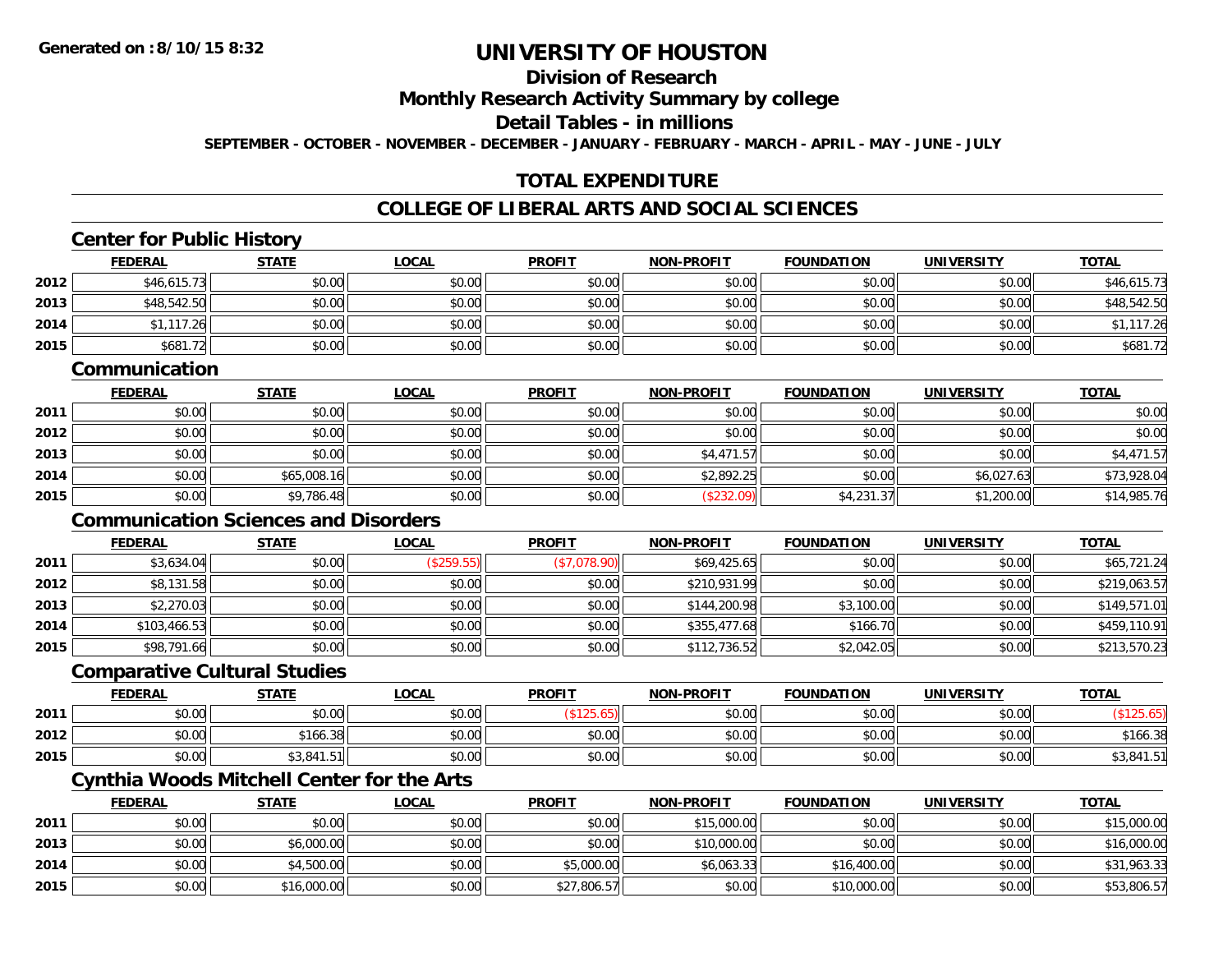**2015**

# **UNIVERSITY OF HOUSTON**

## **Division of Research**

**Monthly Research Activity Summary by college**

**Detail Tables - in millions**

**SEPTEMBER - OCTOBER - NOVEMBER - DECEMBER - JANUARY - FEBRUARY - MARCH - APRIL - MAY - JUNE - JULY**

## **TOTAL EXPENDITURE**

#### **COLLEGE OF LIBERAL ARTS AND SOCIAL SCIENCES**

|      | <b>Center for Public History</b>                  |              |              |               |                   |                   |                   |              |
|------|---------------------------------------------------|--------------|--------------|---------------|-------------------|-------------------|-------------------|--------------|
|      | <b>FEDERAL</b>                                    | <b>STATE</b> | <b>LOCAL</b> | <b>PROFIT</b> | <b>NON-PROFIT</b> | <b>FOUNDATION</b> | <b>UNIVERSITY</b> | <b>TOTAL</b> |
| 2012 | \$46,615.73                                       | \$0.00       | \$0.00       | \$0.00        | \$0.00            | \$0.00            | \$0.00            | \$46,615.73  |
| 2013 | \$48,542.50                                       | \$0.00       | \$0.00       | \$0.00        | \$0.00            | \$0.00            | \$0.00            | \$48,542.50  |
| 2014 | \$1,117.26                                        | \$0.00       | \$0.00       | \$0.00        | \$0.00            | \$0.00            | \$0.00            | \$1,117.26   |
| 2015 | \$681.72                                          | \$0.00       | \$0.00       | \$0.00        | \$0.00            | \$0.00            | \$0.00            | \$681.72     |
|      | Communication                                     |              |              |               |                   |                   |                   |              |
|      | <b>FEDERAL</b>                                    | <b>STATE</b> | <b>LOCAL</b> | <b>PROFIT</b> | NON-PROFIT        | <b>FOUNDATION</b> | <b>UNIVERSITY</b> | <b>TOTAL</b> |
| 2011 | \$0.00                                            | \$0.00       | \$0.00       | \$0.00        | \$0.00            | \$0.00            | \$0.00            | \$0.00       |
| 2012 | \$0.00                                            | \$0.00       | \$0.00       | \$0.00        | \$0.00            | \$0.00            | \$0.00            | \$0.00       |
| 2013 | \$0.00                                            | \$0.00       | \$0.00       | \$0.00        | \$4,471.57        | \$0.00            | \$0.00            | \$4,471.57   |
| 2014 | \$0.00                                            | \$65,008.16  | \$0.00       | \$0.00        | \$2,892.25        | \$0.00            | \$6,027.63        | \$73,928.04  |
| 2015 | \$0.00                                            | \$9,786.48   | \$0.00       | \$0.00        | (\$232.09)        | \$4,231.37        | \$1,200.00        | \$14,985.76  |
|      | <b>Communication Sciences and Disorders</b>       |              |              |               |                   |                   |                   |              |
|      | <b>FEDERAL</b>                                    | <b>STATE</b> | <b>LOCAL</b> | <b>PROFIT</b> | <b>NON-PROFIT</b> | <b>FOUNDATION</b> | <b>UNIVERSITY</b> | <b>TOTAL</b> |
| 2011 | \$3,634.04                                        | \$0.00       | (\$259.55)   | (\$7,078.90)  | \$69,425.65       | \$0.00            | \$0.00            | \$65,721.24  |
| 2012 | \$8,131.58                                        | \$0.00       | \$0.00       | \$0.00        | \$210,931.99      | \$0.00            | \$0.00            | \$219,063.57 |
| 2013 | \$2,270.03                                        | \$0.00       | \$0.00       | \$0.00        | \$144,200.98      | \$3,100.00        | \$0.00            | \$149,571.01 |
| 2014 | \$103,466.53                                      | \$0.00       | \$0.00       | \$0.00        | \$355,477.68      | \$166.70          | \$0.00            | \$459,110.91 |
| 2015 | \$98,791.66                                       | \$0.00       | \$0.00       | \$0.00        | \$112,736.52      | \$2,042.05        | \$0.00            | \$213,570.23 |
|      | <b>Comparative Cultural Studies</b>               |              |              |               |                   |                   |                   |              |
|      | <b>FEDERAL</b>                                    | <b>STATE</b> | <b>LOCAL</b> | <b>PROFIT</b> | <b>NON-PROFIT</b> | <b>FOUNDATION</b> | <b>UNIVERSITY</b> | <b>TOTAL</b> |
| 2011 | \$0.00                                            | \$0.00       | \$0.00       | (\$125.65)    | \$0.00            | \$0.00            | \$0.00            | (\$125.65)   |
| 2012 | \$0.00                                            | \$166.38     | \$0.00       | \$0.00        | \$0.00            | \$0.00            | \$0.00            | \$166.38     |
| 2015 | \$0.00                                            | \$3,841.51   | \$0.00       | \$0.00        | \$0.00            | \$0.00            | \$0.00            | \$3,841.51   |
|      | <b>Cynthia Woods Mitchell Center for the Arts</b> |              |              |               |                   |                   |                   |              |
|      | <b>FEDERAL</b>                                    | <b>STATE</b> | <b>LOCAL</b> | <b>PROFIT</b> | <b>NON-PROFIT</b> | <b>FOUNDATION</b> | <b>UNIVERSITY</b> | <b>TOTAL</b> |
| 2011 | \$0.00                                            | \$0.00       | \$0.00       | \$0.00        | \$15,000.00       | \$0.00            | \$0.00            | \$15,000.00  |
| 2013 | \$0.00                                            | \$6,000.00   | \$0.00       | \$0.00        | \$10,000.00       | \$0.00            | \$0.00            | \$16,000.00  |
| 2014 | \$0.00                                            | \$4,500.00   | \$0.00       | \$5,000.00    | \$6,063.33        | \$16,400.00       | \$0.00            | \$31,963.33  |

\$0.00 \$16,000.00 \$0.00 \$27,806.57 \$0.00 \$10,000.00 \$0.00 \$53,806.57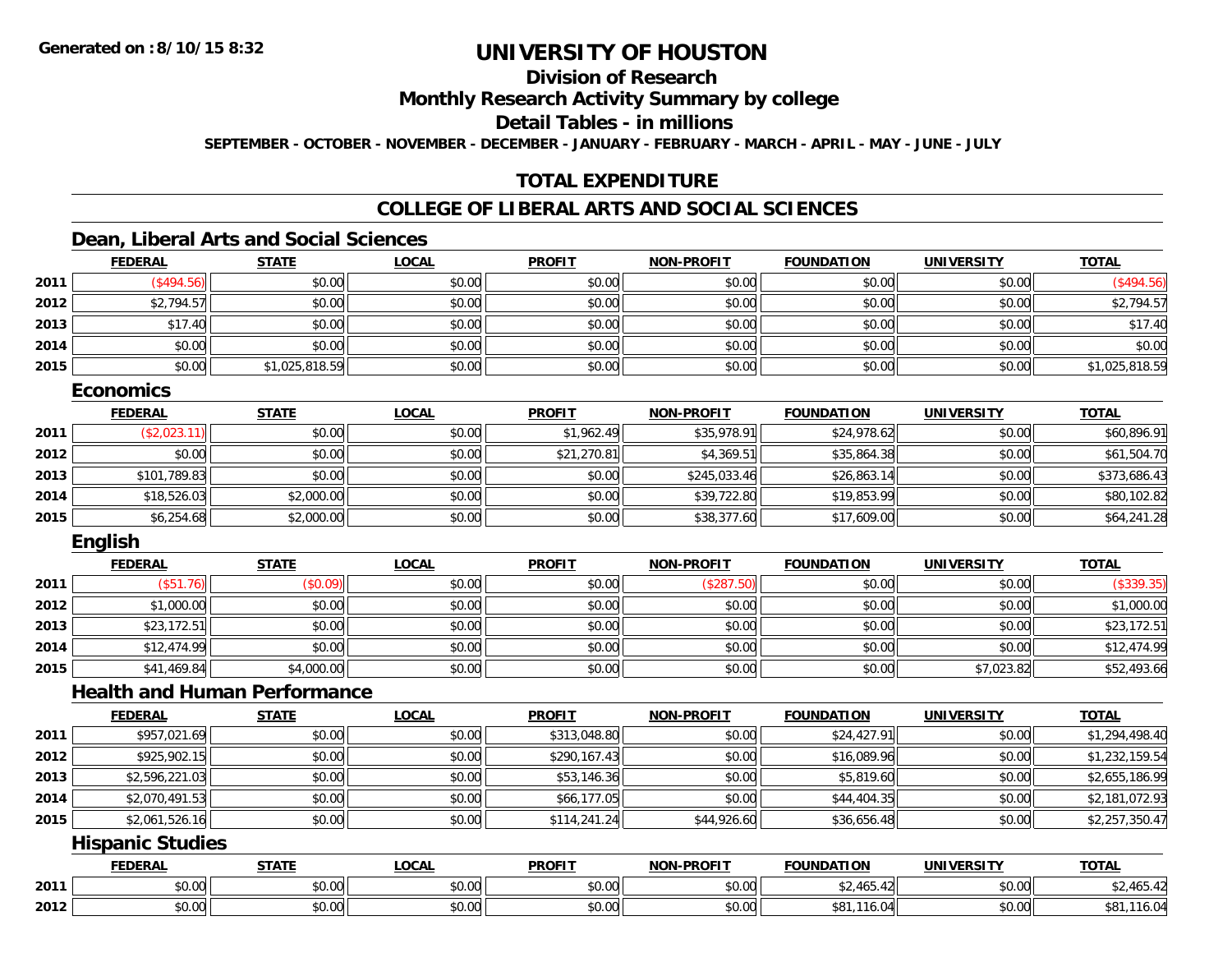## **Division of Research**

**Monthly Research Activity Summary by college**

**Detail Tables - in millions**

**SEPTEMBER - OCTOBER - NOVEMBER - DECEMBER - JANUARY - FEBRUARY - MARCH - APRIL - MAY - JUNE - JULY**

## **TOTAL EXPENDITURE**

## **COLLEGE OF LIBERAL ARTS AND SOCIAL SCIENCES**

#### **Dean, Liberal Arts and Social Sciences**

|      | <b>FEDERAL</b> | <b>STATE</b>   | <b>LOCAL</b> | <b>PROFIT</b> | <b>NON-PROFIT</b> | <b>FOUNDATION</b> | <b>UNIVERSITY</b> | <b>TOTAL</b>   |
|------|----------------|----------------|--------------|---------------|-------------------|-------------------|-------------------|----------------|
| 2011 | \$494.56       | \$0.00         | \$0.00       | \$0.00        | \$0.00            | \$0.00            | \$0.00            | \$494.56       |
| 2012 | \$2,794.57     | \$0.00         | \$0.00       | \$0.00        | \$0.00            | \$0.00            | \$0.00            | \$2,794.57     |
| 2013 | \$17.40        | \$0.00         | \$0.00       | \$0.00        | \$0.00            | \$0.00            | \$0.00            | \$17.40        |
| 2014 | \$0.00         | \$0.00         | \$0.00       | \$0.00        | \$0.00            | \$0.00            | \$0.00            | \$0.00         |
| 2015 | \$0.00         | \$1,025,818.59 | \$0.00       | \$0.00        | \$0.00            | \$0.00            | \$0.00            | \$1,025,818.59 |

#### **Economics**

|      | <b>FEDERAL</b> | <u>STATE</u> | <b>LOCAL</b> | <b>PROFIT</b> | <b>NON-PROFIT</b> | <b>FOUNDATION</b> | <b>UNIVERSITY</b> | <b>TOTAL</b> |
|------|----------------|--------------|--------------|---------------|-------------------|-------------------|-------------------|--------------|
| 2011 | (\$2,023.11)   | \$0.00       | \$0.00       | \$1,962.49    | \$35,978.91       | \$24,978.62       | \$0.00            | \$60,896.91  |
| 2012 | \$0.00         | \$0.00       | \$0.00       | \$21,270.81   | \$4,369.51        | \$35,864.38       | \$0.00            | \$61,504.70  |
| 2013 | \$101,789.83   | \$0.00       | \$0.00       | \$0.00        | \$245,033,46      | \$26,863.14       | \$0.00            | \$373,686.43 |
| 2014 | \$18,526.03    | \$2,000.00   | \$0.00       | \$0.00        | \$39,722.80       | \$19,853.99       | \$0.00            | \$80,102.82  |
| 2015 | \$6,254.68     | \$2,000.00   | \$0.00       | \$0.00        | \$38,377.60       | \$17,609.00       | \$0.00            | \$64,241.28  |

#### **English**

|      | <b>FEDERAL</b> | <b>STATE</b> | <b>LOCAL</b> | <b>PROFIT</b> | <b>NON-PROFIT</b> | <b>FOUNDATION</b> | <b>UNIVERSITY</b> | <b>TOTAL</b> |
|------|----------------|--------------|--------------|---------------|-------------------|-------------------|-------------------|--------------|
| 2011 | .76).<br>\$51  | (\$0.09)     | \$0.00       | \$0.00        | (\$287.50)        | \$0.00            | \$0.00            | (\$339.35)   |
| 2012 | \$1,000.00     | \$0.00       | \$0.00       | \$0.00        | \$0.00            | \$0.00            | \$0.00            | \$1,000.00   |
| 2013 | \$23,172.51    | \$0.00       | \$0.00       | \$0.00        | \$0.00            | \$0.00            | \$0.00            | \$23,172.51  |
| 2014 | \$12,474.99    | \$0.00       | \$0.00       | \$0.00        | \$0.00            | \$0.00            | \$0.00            | \$12,474.99  |
| 2015 | \$41,469.84    | \$4,000.00   | \$0.00       | \$0.00        | \$0.00            | \$0.00            | \$7,023.82        | \$52,493.66  |

#### **Health and Human Performance**

|      | <b>FEDERAL</b> | <b>STATE</b> | <b>LOCAL</b> | <b>PROFIT</b> | <b>NON-PROFIT</b> | <b>FOUNDATION</b> | <b>UNIVERSITY</b> | <b>TOTAL</b>   |
|------|----------------|--------------|--------------|---------------|-------------------|-------------------|-------------------|----------------|
| 2011 | \$957,021.69   | \$0.00       | \$0.00       | \$313,048.80  | \$0.00            | \$24,427.91       | \$0.00            | \$1,294,498.40 |
| 2012 | \$925,902.15   | \$0.00       | \$0.00       | \$290,167.43  | \$0.00            | \$16,089.96       | \$0.00            | \$1,232,159.54 |
| 2013 | \$2,596,221.03 | \$0.00       | \$0.00       | \$53,146.36   | \$0.00            | \$5,819.60        | \$0.00            | \$2,655,186.99 |
| 2014 | \$2,070,491.53 | \$0.00       | \$0.00       | \$66,177.05   | \$0.00            | \$44,404.35       | \$0.00            | \$2,181,072.93 |
| 2015 | \$2,061,526.16 | \$0.00       | \$0.00       | \$114,241.24  | \$44,926.60       | \$36,656.48       | \$0.00            | \$2,257,350.47 |

#### **Hispanic Studies**

|      | <b>FEDERAI</b> | <b>STATE</b>                  | .OCAI          | <b>PROFIT</b>         | <b>.PROFIT</b><br><b>NON</b> | .<br><b>FOUNDAT</b> | <b>IINIVERSIT</b>      | <b>TOTAL</b>                    |
|------|----------------|-------------------------------|----------------|-----------------------|------------------------------|---------------------|------------------------|---------------------------------|
| 2011 | \$0.00         | 0.00<br>10.U                  | ሶስ ሰሰ<br>DU.UU | 0.00<br>DU.UU         | \$0.00                       | $\sim$              | $\sim$ $\sim$<br>vv.vv | $\sim$ $\sim$ $\sim$<br>,405.42 |
| 2012 | \$0.00         | ሖ へ<br>$\sim$ $\sim$<br>JU.UU | ሶስ ስስ<br>JU.UU | ልስ ባሁ<br><b>DU.UU</b> | \$0.00                       | 10.U<br>، ۱ 0 0 س   | $\sim$ 00<br>\$U.UU    | . v. v                          |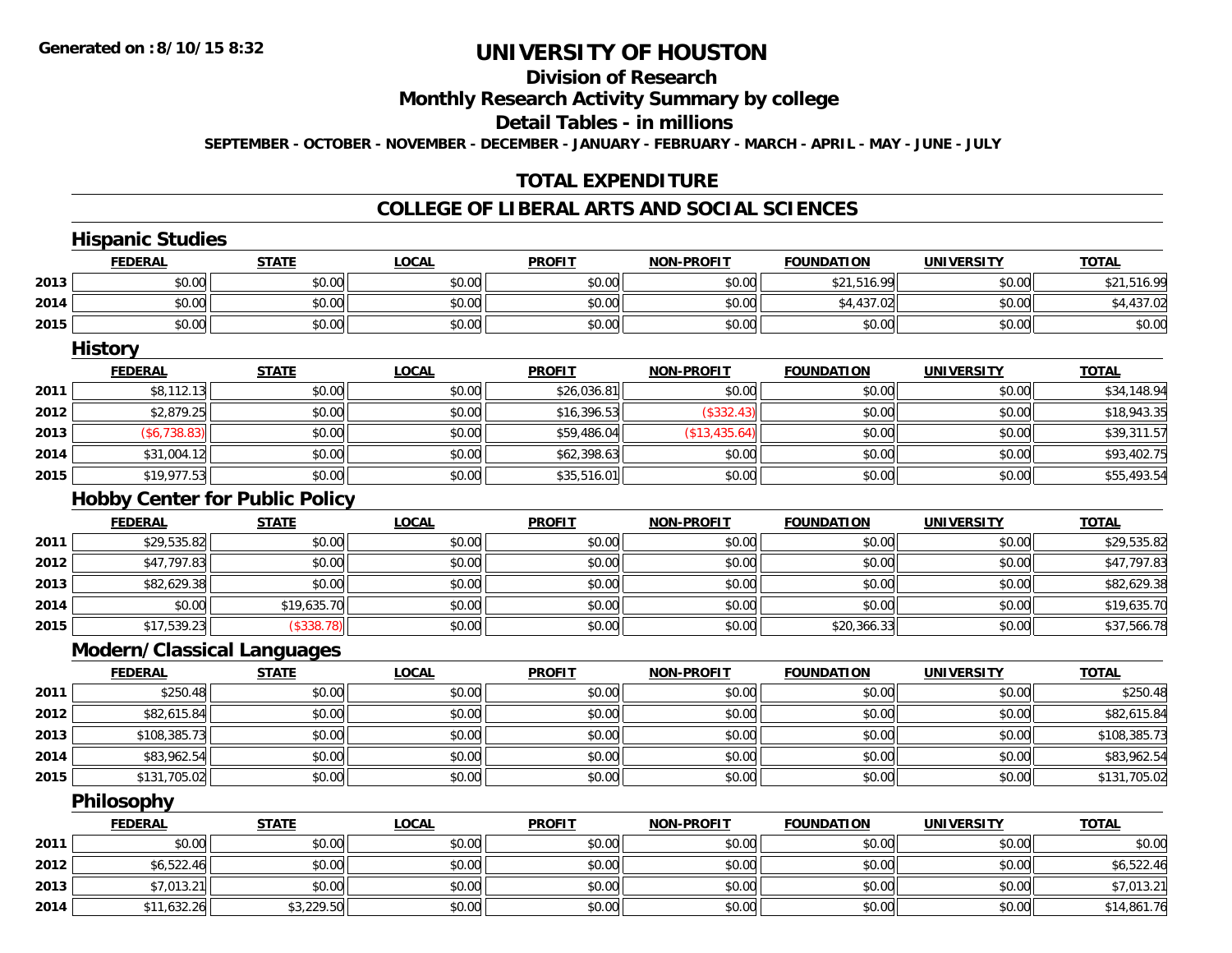## **Division of Research**

**Monthly Research Activity Summary by college**

**Detail Tables - in millions**

**SEPTEMBER - OCTOBER - NOVEMBER - DECEMBER - JANUARY - FEBRUARY - MARCH - APRIL - MAY - JUNE - JULY**

## **TOTAL EXPENDITURE**

#### **COLLEGE OF LIBERAL ARTS AND SOCIAL SCIENCES**

|      | <b>Hispanic Studies</b>               |              |              |               |                   |                   |                   |              |
|------|---------------------------------------|--------------|--------------|---------------|-------------------|-------------------|-------------------|--------------|
|      | <b>FEDERAL</b>                        | <b>STATE</b> | <b>LOCAL</b> | <b>PROFIT</b> | <b>NON-PROFIT</b> | <b>FOUNDATION</b> | <b>UNIVERSITY</b> | <b>TOTAL</b> |
| 2013 | \$0.00                                | \$0.00       | \$0.00       | \$0.00        | \$0.00            | \$21,516.99       | \$0.00            | \$21,516.99  |
| 2014 | \$0.00                                | \$0.00       | \$0.00       | \$0.00        | \$0.00            | \$4,437.02        | \$0.00            | \$4,437.02   |
| 2015 | \$0.00                                | \$0.00       | \$0.00       | \$0.00        | \$0.00            | \$0.00            | \$0.00            | \$0.00       |
|      | <b>History</b>                        |              |              |               |                   |                   |                   |              |
|      | <b>FEDERAL</b>                        | <b>STATE</b> | <b>LOCAL</b> | <b>PROFIT</b> | <b>NON-PROFIT</b> | <b>FOUNDATION</b> | <b>UNIVERSITY</b> | <b>TOTAL</b> |
| 2011 | \$8,112.13                            | \$0.00       | \$0.00       | \$26,036.81   | \$0.00            | \$0.00            | \$0.00            | \$34,148.94  |
| 2012 | \$2,879.25                            | \$0.00       | \$0.00       | \$16,396.53   | (\$332.43)        | \$0.00            | \$0.00            | \$18,943.35  |
| 2013 | (\$6,738.83)                          | \$0.00       | \$0.00       | \$59,486.04   | (\$13,435.64)     | \$0.00            | \$0.00            | \$39,311.57  |
| 2014 | \$31,004.12                           | \$0.00       | \$0.00       | \$62,398.63   | \$0.00            | \$0.00            | \$0.00            | \$93,402.75  |
| 2015 | \$19,977.53                           | \$0.00       | \$0.00       | \$35,516.01   | \$0.00            | \$0.00            | \$0.00            | \$55,493.54  |
|      | <b>Hobby Center for Public Policy</b> |              |              |               |                   |                   |                   |              |
|      | <b>FEDERAL</b>                        | <b>STATE</b> | <b>LOCAL</b> | <b>PROFIT</b> | <b>NON-PROFIT</b> | <b>FOUNDATION</b> | <b>UNIVERSITY</b> | <b>TOTAL</b> |
| 2011 | \$29,535.82                           | \$0.00       | \$0.00       | \$0.00        | \$0.00            | \$0.00            | \$0.00            | \$29,535.82  |
| 2012 | \$47,797.83                           | \$0.00       | \$0.00       | \$0.00        | \$0.00            | \$0.00            | \$0.00            | \$47,797.83  |
| 2013 | \$82,629.38                           | \$0.00       | \$0.00       | \$0.00        | \$0.00            | \$0.00            | \$0.00            | \$82,629.38  |
| 2014 | \$0.00                                | \$19,635.70  | \$0.00       | \$0.00        | \$0.00            | \$0.00            | \$0.00            | \$19,635.70  |
| 2015 | \$17,539.23                           | (\$338.78)   | \$0.00       | \$0.00        | \$0.00            | \$20,366.33       | \$0.00            | \$37,566.78  |
|      | <b>Modern/Classical Languages</b>     |              |              |               |                   |                   |                   |              |
|      | <b>FEDERAL</b>                        | <b>STATE</b> | <b>LOCAL</b> | <b>PROFIT</b> | <b>NON-PROFIT</b> | <b>FOUNDATION</b> | <b>UNIVERSITY</b> | <b>TOTAL</b> |
| 2011 | \$250.48                              | \$0.00       | \$0.00       | \$0.00        | \$0.00            | \$0.00            | \$0.00            | \$250.48     |
| 2012 | \$82,615.84                           | \$0.00       | \$0.00       | \$0.00        | \$0.00            | \$0.00            | \$0.00            | \$82,615.84  |
| 2013 | \$108,385.73                          | \$0.00       | \$0.00       | \$0.00        | \$0.00            | \$0.00            | \$0.00            | \$108,385.73 |
| 2014 | \$83,962.54                           | \$0.00       | \$0.00       | \$0.00        | \$0.00            | \$0.00            | \$0.00            | \$83,962.54  |
| 2015 | \$131,705.02                          | \$0.00       | \$0.00       | \$0.00        | \$0.00            | \$0.00            | \$0.00            | \$131,705.02 |
|      | Philosophy                            |              |              |               |                   |                   |                   |              |
|      | <b>FEDERAL</b>                        | <b>STATE</b> | <b>LOCAL</b> | <b>PROFIT</b> | <b>NON-PROFIT</b> | <b>FOUNDATION</b> | <b>UNIVERSITY</b> | <b>TOTAL</b> |
| 2011 | \$0.00                                | \$0.00       | \$0.00       | \$0.00        | \$0.00            | \$0.00            | \$0.00            | \$0.00       |

**20112012**2 \$6,522.46 \$0.00 \$0.00 \$0.00 \$0.00 \$0.00 \$0.00 \$0.00 \$0.00 \$0.00 \$0.00 \$0.00 \$0.00 \$0.00 \$6,522.46 **2013** \$7,013.21 \$0.00 \$0.00 \$0.00 \$0.00 \$0.00 \$0.00 \$7,013.21 **2014**4 \$11,632.26 \$3,229.50 \$3,229.50 \$0.00 \$0.00 \$0.00 \$0.00 \$0.00 \$0.00 \$0.00 \$0.00 \$0.00 \$14,861.76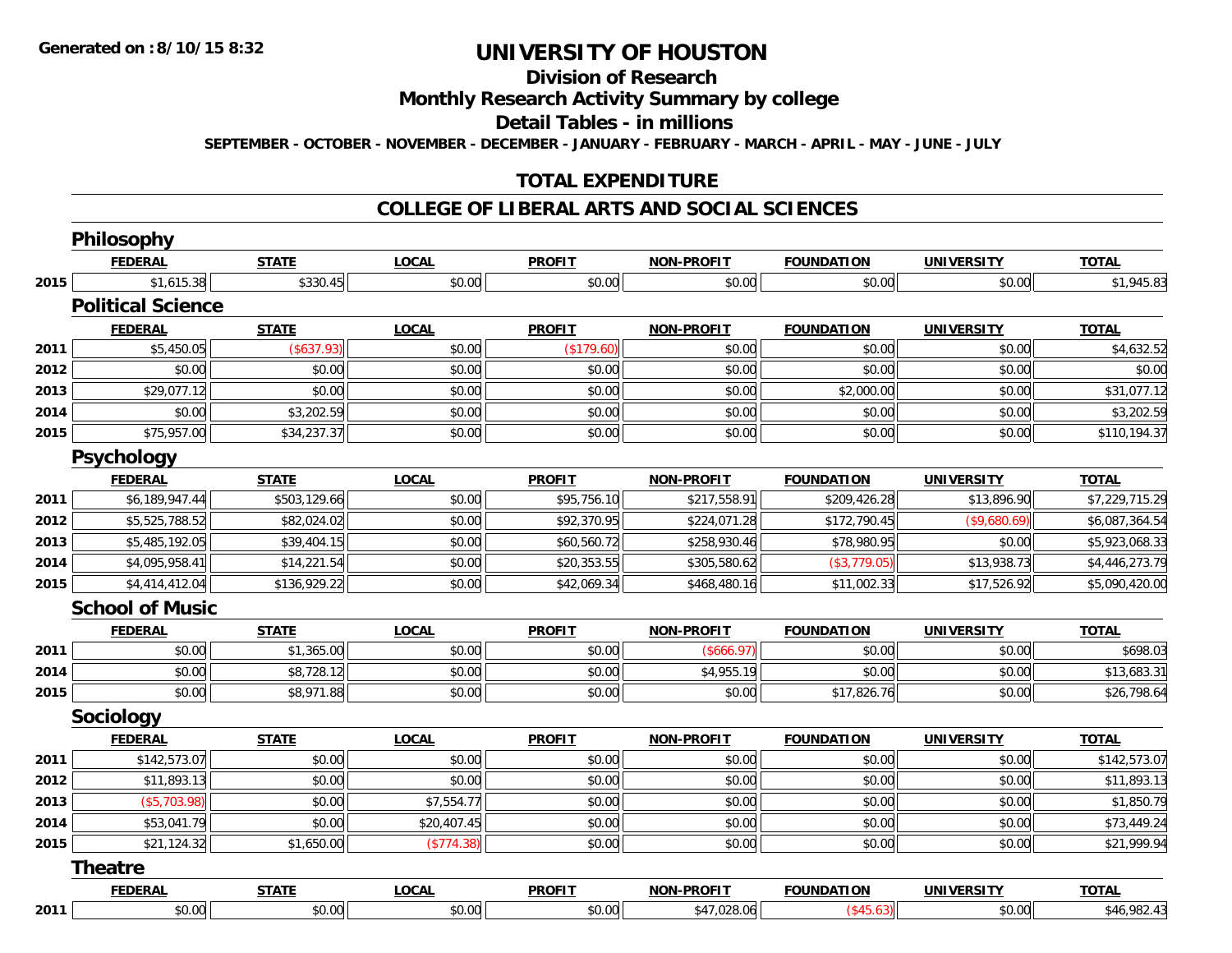# **Division of Research**

**Monthly Research Activity Summary by college**

**Detail Tables - in millions**

**SEPTEMBER - OCTOBER - NOVEMBER - DECEMBER - JANUARY - FEBRUARY - MARCH - APRIL - MAY - JUNE - JULY**

## **TOTAL EXPENDITURE**

#### **COLLEGE OF LIBERAL ARTS AND SOCIAL SCIENCES**

|      | Philosophy               |              |              |               |                   |                   |                   |                |
|------|--------------------------|--------------|--------------|---------------|-------------------|-------------------|-------------------|----------------|
|      | <b>FEDERAL</b>           | <b>STATE</b> | <b>LOCAL</b> | <b>PROFIT</b> | NON-PROFIT        | <b>FOUNDATION</b> | <b>UNIVERSITY</b> | <b>TOTAL</b>   |
| 2015 | \$1,615.38               | \$330.45     | \$0.00       | \$0.00        | \$0.00            | \$0.00            | \$0.00            | \$1,945.83     |
|      | <b>Political Science</b> |              |              |               |                   |                   |                   |                |
|      | <b>FEDERAL</b>           | <b>STATE</b> | <b>LOCAL</b> | <b>PROFIT</b> | <b>NON-PROFIT</b> | <b>FOUNDATION</b> | <b>UNIVERSITY</b> | <b>TOTAL</b>   |
| 2011 | \$5,450.05               | (\$637.93)   | \$0.00       | (\$179.60)    | \$0.00            | \$0.00            | \$0.00            | \$4,632.52     |
| 2012 | \$0.00                   | \$0.00       | \$0.00       | \$0.00        | \$0.00            | \$0.00            | \$0.00            | \$0.00         |
| 2013 | \$29,077.12              | \$0.00       | \$0.00       | \$0.00        | \$0.00            | \$2,000.00        | \$0.00            | \$31,077.12    |
| 2014 | \$0.00                   | \$3,202.59   | \$0.00       | \$0.00        | \$0.00            | \$0.00            | \$0.00            | \$3,202.59     |
| 2015 | \$75,957.00              | \$34,237.37  | \$0.00       | \$0.00        | \$0.00            | \$0.00            | \$0.00            | \$110,194.37   |
|      | <b>Psychology</b>        |              |              |               |                   |                   |                   |                |
|      | <b>FEDERAL</b>           | <b>STATE</b> | <b>LOCAL</b> | <b>PROFIT</b> | <b>NON-PROFIT</b> | <b>FOUNDATION</b> | <b>UNIVERSITY</b> | <b>TOTAL</b>   |
| 2011 | \$6,189,947.44           | \$503,129.66 | \$0.00       | \$95,756.10   | \$217,558.91      | \$209,426.28      | \$13,896.90       | \$7,229,715.29 |
| 2012 | \$5,525,788.52           | \$82,024.02  | \$0.00       | \$92,370.95   | \$224,071.28      | \$172,790.45      | (\$9,680.69)      | \$6,087,364.54 |
| 2013 | \$5,485,192.05           | \$39,404.15  | \$0.00       | \$60,560.72   | \$258,930.46      | \$78,980.95       | \$0.00            | \$5,923,068.33 |
| 2014 | \$4,095,958.41           | \$14,221.54  | \$0.00       | \$20,353.55   | \$305,580.62      | (\$3,779.05)      | \$13,938.73       | \$4,446,273.79 |
| 2015 | \$4,414,412.04           | \$136,929.22 | \$0.00       | \$42,069.34   | \$468,480.16      | \$11,002.33       | \$17,526.92       | \$5,090,420.00 |
|      | <b>School of Music</b>   |              |              |               |                   |                   |                   |                |
|      | <b>FEDERAL</b>           | <b>STATE</b> | <b>LOCAL</b> | <b>PROFIT</b> | <b>NON-PROFIT</b> | <b>FOUNDATION</b> | <b>UNIVERSITY</b> | <b>TOTAL</b>   |
| 2011 | \$0.00                   | \$1,365.00   | \$0.00       | \$0.00        | (\$666.97)        | \$0.00            | \$0.00            | \$698.03       |
| 2014 | \$0.00                   | \$8,728.12   | \$0.00       | \$0.00        | \$4,955.19        | \$0.00            | \$0.00            | \$13,683.31    |
| 2015 | \$0.00                   | \$8,971.88   | \$0.00       | \$0.00        | \$0.00            | \$17,826.76       | \$0.00            | \$26,798.64    |
|      | Sociology                |              |              |               |                   |                   |                   |                |
|      | <b>FEDERAL</b>           | <b>STATE</b> | <b>LOCAL</b> | <b>PROFIT</b> | NON-PROFIT        | <b>FOUNDATION</b> | <b>UNIVERSITY</b> | <b>TOTAL</b>   |
| 2011 | \$142,573.07             | \$0.00       | \$0.00       | \$0.00        | \$0.00            | \$0.00            | \$0.00            | \$142,573.07   |
| 2012 | \$11,893.13              | \$0.00       | \$0.00       | \$0.00        | \$0.00            | \$0.00            | \$0.00            | \$11,893.13    |
| 2013 | ( \$5,703.98)            | \$0.00       | \$7,554.77   | \$0.00        | \$0.00            | \$0.00            | \$0.00            | \$1,850.79     |
| 2014 | \$53,041.79              | \$0.00       | \$20,407.45  | \$0.00        | \$0.00            | \$0.00            | \$0.00            | \$73,449.24    |
| 2015 | \$21,124.32              | \$1,650.00   | (\$774.38)   | \$0.00        | \$0.00            | \$0.00            | \$0.00            | \$21,999.94    |
|      | <b>Theatre</b>           |              |              |               |                   |                   |                   |                |
|      | <b>FEDERAL</b>           | <b>STATE</b> | <b>LOCAL</b> | <b>PROFIT</b> | <b>NON-PROFIT</b> | <b>FOUNDATION</b> | <b>UNIVERSITY</b> | <b>TOTAL</b>   |
| 2011 | \$0.00                   | \$0.00       | \$0.00       | \$0.00        | \$47,028.06       | (\$45.63)         | \$0.00            | \$46,982.43    |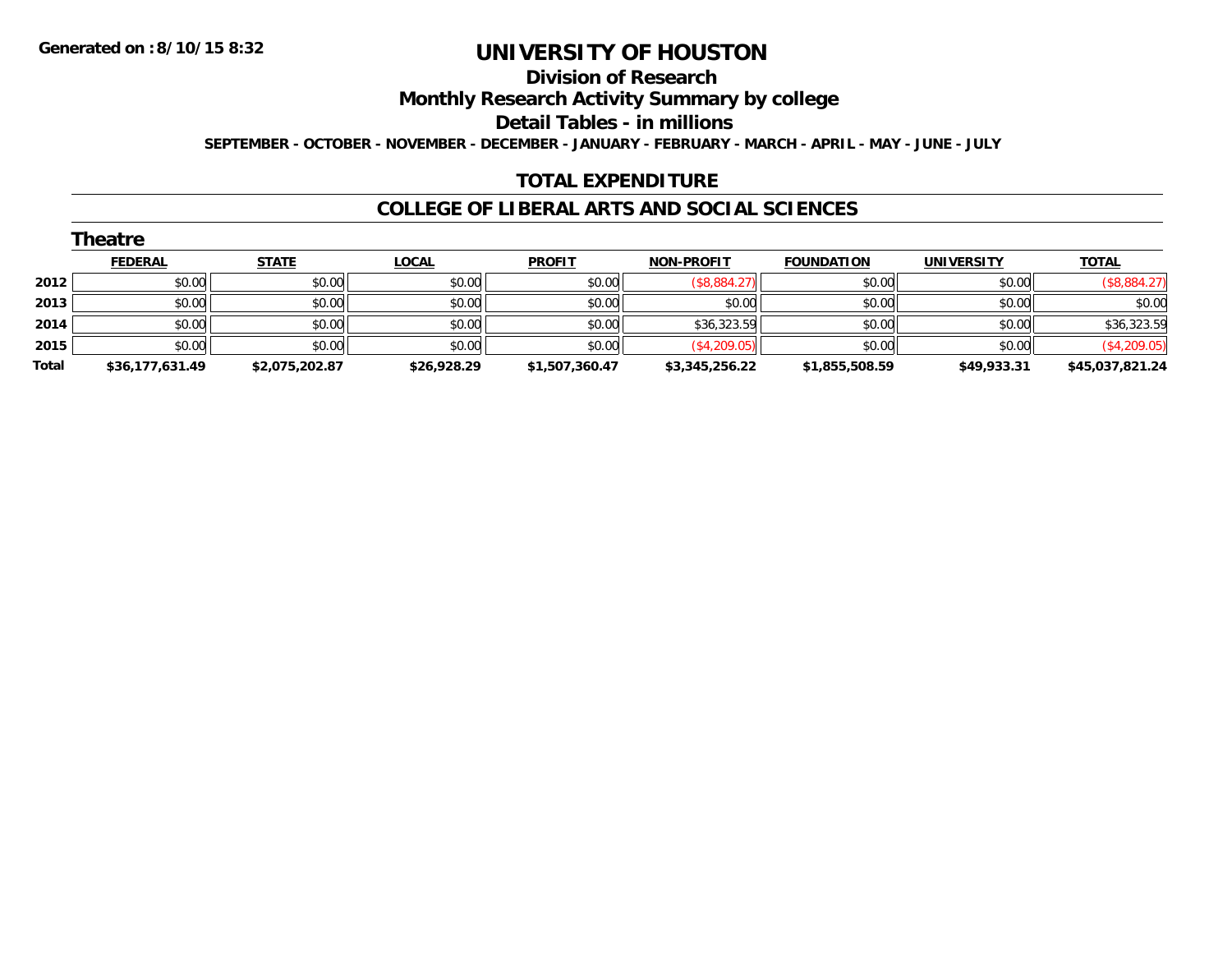#### **Division of Research**

**Monthly Research Activity Summary by college**

**Detail Tables - in millions**

**SEPTEMBER - OCTOBER - NOVEMBER - DECEMBER - JANUARY - FEBRUARY - MARCH - APRIL - MAY - JUNE - JULY**

#### **TOTAL EXPENDITURE**

#### **COLLEGE OF LIBERAL ARTS AND SOCIAL SCIENCES**

|       | Theatre         |                |              |                |                   |                   |                   |                 |  |  |  |  |
|-------|-----------------|----------------|--------------|----------------|-------------------|-------------------|-------------------|-----------------|--|--|--|--|
|       | <b>FEDERAL</b>  | <b>STATE</b>   | <b>LOCAL</b> | <b>PROFIT</b>  | <b>NON-PROFIT</b> | <b>FOUNDATION</b> | <b>UNIVERSITY</b> | <b>TOTAL</b>    |  |  |  |  |
| 2012  | \$0.00          | \$0.00         | \$0.00       | \$0.00         | (\$8,884.27)      | \$0.00            | \$0.00            | (\$8,884.27)    |  |  |  |  |
| 2013  | \$0.00          | \$0.00         | \$0.00       | \$0.00         | \$0.00            | \$0.00            | \$0.00            | \$0.00          |  |  |  |  |
| 2014  | \$0.00          | \$0.00         | \$0.00       | \$0.00         | \$36,323.59       | \$0.00            | \$0.00            | \$36,323.59     |  |  |  |  |
| 2015  | \$0.00          | \$0.00         | \$0.00       | \$0.00         | (\$4,209.05)      | \$0.00            | \$0.00            | (\$4,209.05)    |  |  |  |  |
| Total | \$36,177,631.49 | \$2,075,202.87 | \$26,928.29  | \$1,507,360.47 | \$3,345,256.22    | \$1,855,508.59    | \$49,933.31       | \$45,037,821.24 |  |  |  |  |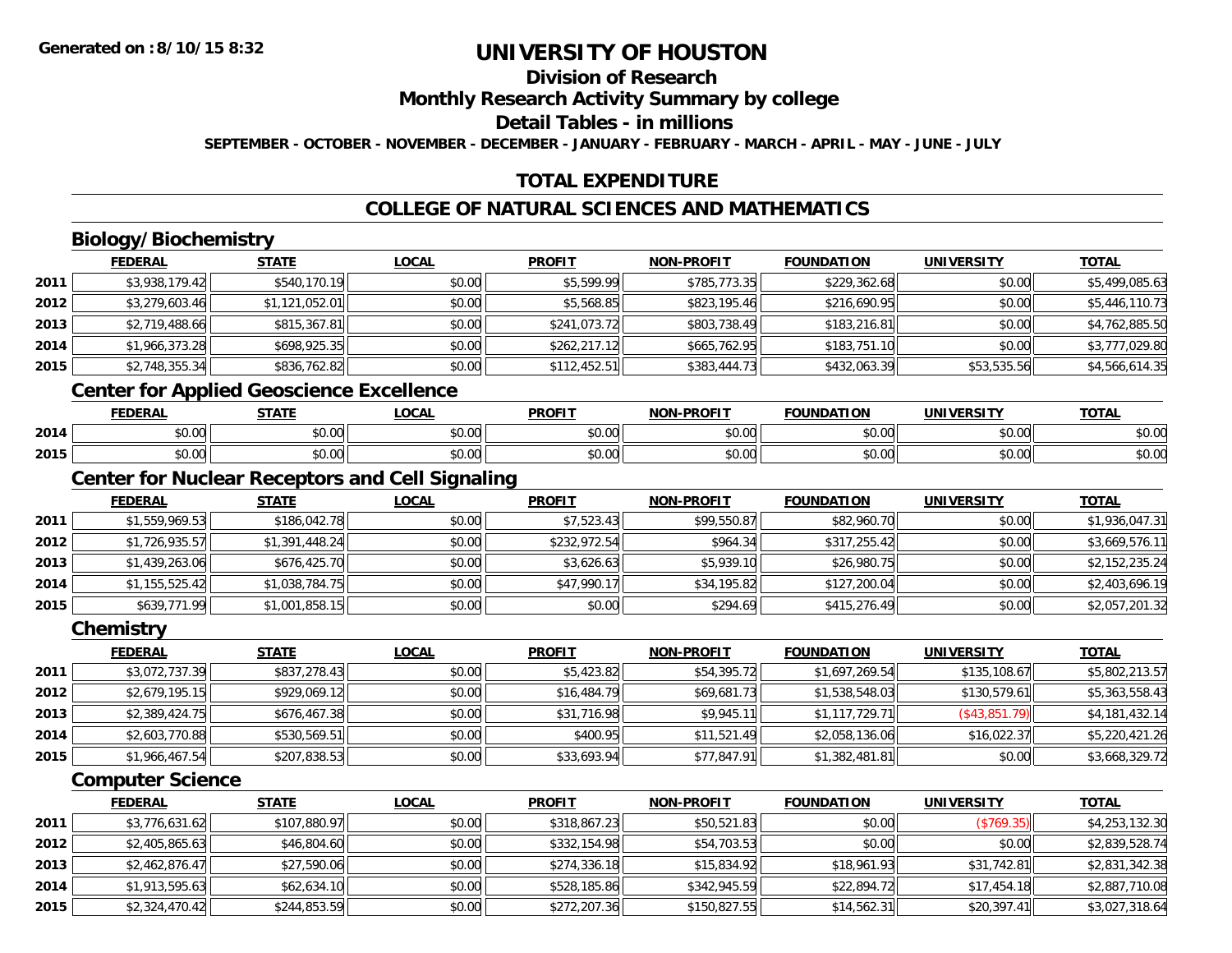## **Division of Research**

**Monthly Research Activity Summary by college**

**Detail Tables - in millions**

**SEPTEMBER - OCTOBER - NOVEMBER - DECEMBER - JANUARY - FEBRUARY - MARCH - APRIL - MAY - JUNE - JULY**

## **TOTAL EXPENDITURE**

## **COLLEGE OF NATURAL SCIENCES AND MATHEMATICS**

## **Biology/Biochemistry**

|      | <b>FEDERAL</b> | <b>STATE</b>                                                                                                           | <b>LOCAL</b> | <b>PROFIT</b> | <b>NON-PROFIT</b> | <b>FOUNDATION</b> | <b>UNIVERSITY</b> | <b>TOTAL</b>   |
|------|----------------|------------------------------------------------------------------------------------------------------------------------|--------------|---------------|-------------------|-------------------|-------------------|----------------|
| 2011 | \$3,938,179.42 | \$540,170.19                                                                                                           | \$0.00       | \$5,599.99    | \$785,773.35      | \$229,362.68      | \$0.00            | \$5,499,085.63 |
| 2012 | \$3,279,603.46 | \$1,121,052.01                                                                                                         | \$0.00       | \$5,568.85    | \$823,195.46      | \$216,690.95      | \$0.00            | \$5,446,110.73 |
| 2013 | \$2,719,488.66 | \$815,367.81                                                                                                           | \$0.00       | \$241,073.72  | \$803,738.49      | \$183,216.81      | \$0.00            | \$4,762,885.50 |
| 2014 | \$1,966,373.28 | \$698,925.35                                                                                                           | \$0.00       | \$262,217.12  | \$665,762.95      | \$183,751.10      | \$0.00            | \$3,777,029.80 |
| 2015 | \$2,748,355.34 | \$836,762.82                                                                                                           | \$0.00       | \$112,452.51  | \$383,444.73      | \$432,063.39      | \$53,535.56       | \$4,566,614.35 |
|      |                | $\mathbf{A}$ . The contract of $\mathbf{A}$ is a set of $\mathbf{A}$ is a set of $\mathbf{B}$ is a set of $\mathbf{A}$ |              |               |                   |                   |                   |                |

#### **Center for Applied Geoscience Excellence**

|      | EENEDA<br>ERA   | <b>STATE</b>       | .OCAI                | <b>DDOFIT</b> | -PROFI1<br>NON     | ΓΙΟΝ<br><b>FOLINI</b> | UNIVERSITY    | <b>TOTA</b><br>ו ב <i>ו</i> |
|------|-----------------|--------------------|----------------------|---------------|--------------------|-----------------------|---------------|-----------------------------|
| 2014 | $\sim$<br>vv.vu | $\sim$ 00<br>J∪.∪u | 0.00<br><b>JU.UU</b> | \$0.00        | $\sim$ 00<br>vv.vv | \$0.00                | 0000<br>DU.UU | $\sim$ $\sim$<br>DU.UG      |
| 2015 | $\sim$<br>JU.UU | nn nn<br>DU.UU     | 0.00<br>DU.UU        | \$0.00        | $\sim$ 00<br>vu.vu | ا0.00٪                | \$0.00        | $\sqrt{ }$<br>DU.UU         |

## **Center for Nuclear Receptors and Cell Signaling**

|      | <b>FEDERAL</b> | <b>STATE</b>   | <u>LOCAL</u> | <b>PROFIT</b> | <b>NON-PROFIT</b> | <b>FOUNDATION</b> | <b>UNIVERSITY</b> | <b>TOTAL</b>   |
|------|----------------|----------------|--------------|---------------|-------------------|-------------------|-------------------|----------------|
| 2011 | \$1,559,969.53 | \$186,042.78   | \$0.00       | \$7,523.43    | \$99,550.87       | \$82,960.70       | \$0.00            | \$1,936,047.31 |
| 2012 | \$1,726,935.57 | \$1,391,448.24 | \$0.00       | \$232,972.54  | \$964.34          | \$317,255.42      | \$0.00            | \$3,669,576.11 |
| 2013 | \$1,439,263.06 | \$676,425.70   | \$0.00       | \$3,626.63    | \$5,939.10        | \$26,980.75       | \$0.00            | \$2,152,235.24 |
| 2014 | \$1,155,525.42 | \$1,038,784.75 | \$0.00       | \$47,990.17   | \$34,195.82       | \$127,200.04      | \$0.00            | \$2,403,696.19 |
| 2015 | \$639,771.99   | \$1,001,858.15 | \$0.00       | \$0.00        | \$294.69          | \$415,276.49      | \$0.00            | \$2,057,201.32 |

#### **Chemistry**

|      | <b>FEDERAL</b> | <b>STATE</b> | <b>LOCAL</b> | <b>PROFIT</b> | <b>NON-PROFIT</b> | <b>FOUNDATION</b> | <b>UNIVERSITY</b> | <u>TOTAL</u>   |
|------|----------------|--------------|--------------|---------------|-------------------|-------------------|-------------------|----------------|
| 2011 | \$3,072,737.39 | \$837,278.43 | \$0.00       | \$5,423.82    | \$54,395.72       | \$1,697,269.54    | \$135,108.67      | \$5,802,213.57 |
| 2012 | \$2,679,195.15 | \$929,069.12 | \$0.00       | \$16,484.79   | \$69,681.73       | \$1,538,548.03    | \$130,579.61      | \$5,363,558.43 |
| 2013 | \$2,389,424.75 | \$676,467.38 | \$0.00       | \$31,716.98   | \$9,945.11        | \$1,117,729.71    | (\$43,851.79)     | \$4,181,432.14 |
| 2014 | \$2,603,770.88 | \$530,569.51 | \$0.00       | \$400.95      | \$11,521.49       | \$2,058,136.06    | \$16,022.37       | \$5,220,421.26 |
| 2015 | \$1,966,467.54 | \$207,838.53 | \$0.00       | \$33,693.94   | \$77,847.91       | \$1,382,481.81    | \$0.00            | \$3,668,329.72 |

#### **Computer Science**

|      | <b>FEDERAL</b> | <b>STATE</b> | <b>LOCAL</b> | <b>PROFIT</b> | <b>NON-PROFIT</b> | <b>FOUNDATION</b> | <b>UNIVERSITY</b> | <b>TOTAL</b>   |
|------|----------------|--------------|--------------|---------------|-------------------|-------------------|-------------------|----------------|
| 2011 | \$3,776,631.62 | \$107,880.97 | \$0.00       | \$318,867.23  | \$50,521.83       | \$0.00            | (\$769.35)        | \$4,253,132.30 |
| 2012 | \$2,405,865.63 | \$46,804.60  | \$0.00       | \$332,154.98  | \$54,703.53       | \$0.00            | \$0.00            | \$2,839,528.74 |
| 2013 | \$2,462,876.47 | \$27,590.06  | \$0.00       | \$274,336.18  | \$15,834.92       | \$18,961.93       | \$31,742.81       | \$2,831,342.38 |
| 2014 | \$1,913,595.63 | \$62,634.10  | \$0.00       | \$528,185.86  | \$342,945.59      | \$22,894.72       | \$17,454.18       | \$2,887,710.08 |
| 2015 | \$2,324,470.42 | \$244,853.59 | \$0.00       | \$272,207.36  | \$150,827.55      | \$14,562.31       | \$20,397.41       | \$3,027,318.64 |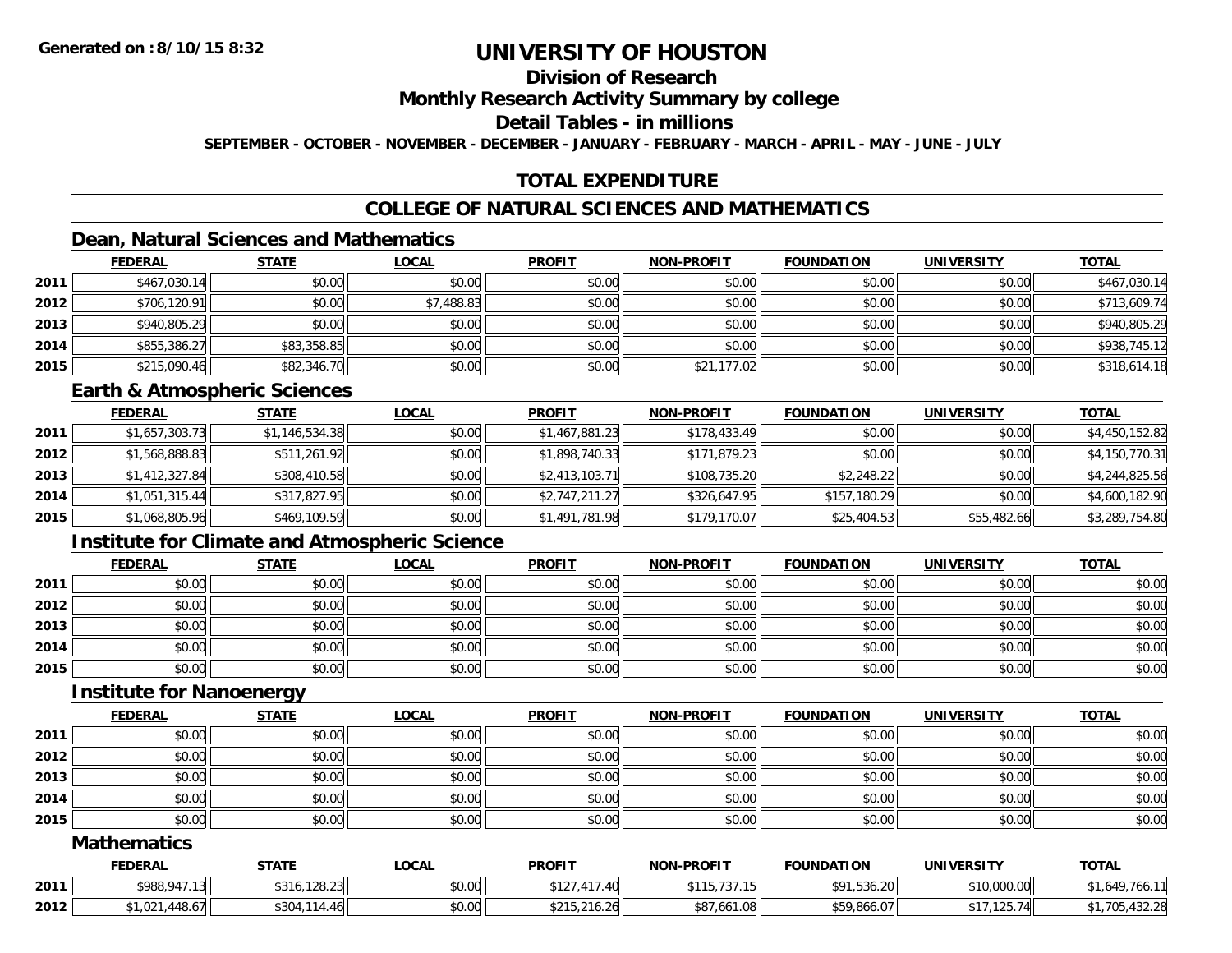## **Division of Research**

#### **Monthly Research Activity Summary by college**

#### **Detail Tables - in millions**

**SEPTEMBER - OCTOBER - NOVEMBER - DECEMBER - JANUARY - FEBRUARY - MARCH - APRIL - MAY - JUNE - JULY**

## **TOTAL EXPENDITURE**

## **COLLEGE OF NATURAL SCIENCES AND MATHEMATICS**

## **Dean, Natural Sciences and Mathematics**

|      | <b>FEDERAL</b> | <b>STATE</b> | <u>LOCAL</u> | <b>PROFIT</b> | <b>NON-PROFIT</b> | <b>FOUNDATION</b> | <b>UNIVERSITY</b> | <b>TOTAL</b> |
|------|----------------|--------------|--------------|---------------|-------------------|-------------------|-------------------|--------------|
| 2011 | \$467,030.14   | \$0.00       | \$0.00       | \$0.00        | \$0.00            | \$0.00            | \$0.00            | \$467,030.14 |
| 2012 | \$706,120.91   | \$0.00       | \$7,488.83   | \$0.00        | \$0.00            | \$0.00            | \$0.00            | \$713,609.74 |
| 2013 | \$940,805.29   | \$0.00       | \$0.00       | \$0.00        | \$0.00            | \$0.00            | \$0.00            | \$940,805.29 |
| 2014 | \$855,386.27   | \$83,358.85  | \$0.00       | \$0.00        | \$0.00            | \$0.00            | \$0.00            | \$938,745.12 |
| 2015 | \$215,090.46   | \$82,346.70  | \$0.00       | \$0.00        | \$21,177.02       | \$0.00            | \$0.00            | \$318,614.18 |

#### **Earth & Atmospheric Sciences**

|      | <b>FEDERAL</b> | <b>STATE</b>   | <b>LOCAL</b> | <b>PROFIT</b>  | <b>NON-PROFIT</b> | <b>FOUNDATION</b> | <b>UNIVERSITY</b> | <b>TOTAL</b>   |
|------|----------------|----------------|--------------|----------------|-------------------|-------------------|-------------------|----------------|
| 2011 | \$1,657,303.73 | \$1,146,534.38 | \$0.00       | \$1,467,881.23 | \$178,433.49      | \$0.00            | \$0.00            | \$4,450,152.82 |
| 2012 | \$1,568,888.83 | \$511,261.92   | \$0.00       | \$1,898,740.33 | \$171,879.23      | \$0.00            | \$0.00            | \$4,150,770.31 |
| 2013 | \$1,412,327.84 | \$308,410.58   | \$0.00       | \$2,413,103.71 | \$108,735.20      | \$2,248.22        | \$0.00            | \$4,244,825.56 |
| 2014 | \$1,051,315.44 | \$317,827.95   | \$0.00       | \$2,747,211.27 | \$326,647.95      | \$157,180.29      | \$0.00            | \$4,600,182.90 |
| 2015 | \$1,068,805.96 | \$469,109.59   | \$0.00       | \$1,491,781.98 | \$179,170.07      | \$25,404.53       | \$55,482.66       | \$3,289,754.80 |

## **Institute for Climate and Atmospheric Science**

|      | <b>FEDERAL</b> | <b>STATE</b> | <b>LOCAL</b> | <b>PROFIT</b> | <b>NON-PROFIT</b> | <b>FOUNDATION</b> | <b>UNIVERSITY</b> | <b>TOTAL</b> |
|------|----------------|--------------|--------------|---------------|-------------------|-------------------|-------------------|--------------|
| 2011 | \$0.00         | \$0.00       | \$0.00       | \$0.00        | \$0.00            | \$0.00            | \$0.00            | \$0.00       |
| 2012 | \$0.00         | \$0.00       | \$0.00       | \$0.00        | \$0.00            | \$0.00            | \$0.00            | \$0.00       |
| 2013 | \$0.00         | \$0.00       | \$0.00       | \$0.00        | \$0.00            | \$0.00            | \$0.00            | \$0.00       |
| 2014 | \$0.00         | \$0.00       | \$0.00       | \$0.00        | \$0.00            | \$0.00            | \$0.00            | \$0.00       |
| 2015 | \$0.00         | \$0.00       | \$0.00       | \$0.00        | \$0.00            | \$0.00            | \$0.00            | \$0.00       |

#### **Institute for Nanoenergy**

|      | <b>FEDERAL</b> | <b>STATE</b> | <b>LOCAL</b> | <b>PROFIT</b> | <b>NON-PROFIT</b> | <b>FOUNDATION</b> | <b>UNIVERSITY</b> | <b>TOTAL</b> |
|------|----------------|--------------|--------------|---------------|-------------------|-------------------|-------------------|--------------|
| 2011 | \$0.00         | \$0.00       | \$0.00       | \$0.00        | \$0.00            | \$0.00            | \$0.00            | \$0.00       |
| 2012 | \$0.00         | \$0.00       | \$0.00       | \$0.00        | \$0.00            | \$0.00            | \$0.00            | \$0.00       |
| 2013 | \$0.00         | \$0.00       | \$0.00       | \$0.00        | \$0.00            | \$0.00            | \$0.00            | \$0.00       |
| 2014 | \$0.00         | \$0.00       | \$0.00       | \$0.00        | \$0.00            | \$0.00            | \$0.00            | \$0.00       |
| 2015 | \$0.00         | \$0.00       | \$0.00       | \$0.00        | \$0.00            | \$0.00            | \$0.00            | \$0.00       |

#### **Mathematics**

|      | FEDERAL                       | <b>STATE</b>     | LOCAI  | <b>PROFIT</b>                                           | <b>NON-PROFIT</b>             | <b>FOUNDATION</b>                        | <b>UNIVERSITY</b> | <b>TOTAL</b>                       |
|------|-------------------------------|------------------|--------|---------------------------------------------------------|-------------------------------|------------------------------------------|-------------------|------------------------------------|
| 2011 | \$988,947.<br>$\sim$          | ,128.23<br>\$316 | \$0.00 | $\overline{1}$<br>$\mathsf{A} \cap \mathsf{A}$<br>17.40 | .<br>، ب<br>.                 | $-0.1$<br>$\sim$ $\sim$<br>¢O1<br>536.ZU | \$10,000.00       | - 640، ب<br>$\overline{a}$<br>766. |
| 2012 | **<br>יי/ 0.ن,<br>447<br>LJZ. | \$304            | \$0.00 | $\sim$ $\sim$<br><b>0711</b><br>$-16.26$                | /.661.08<br>$\wedge$ $\wedge$ | *59,866.07                               | 125.74            | $\sim$                             |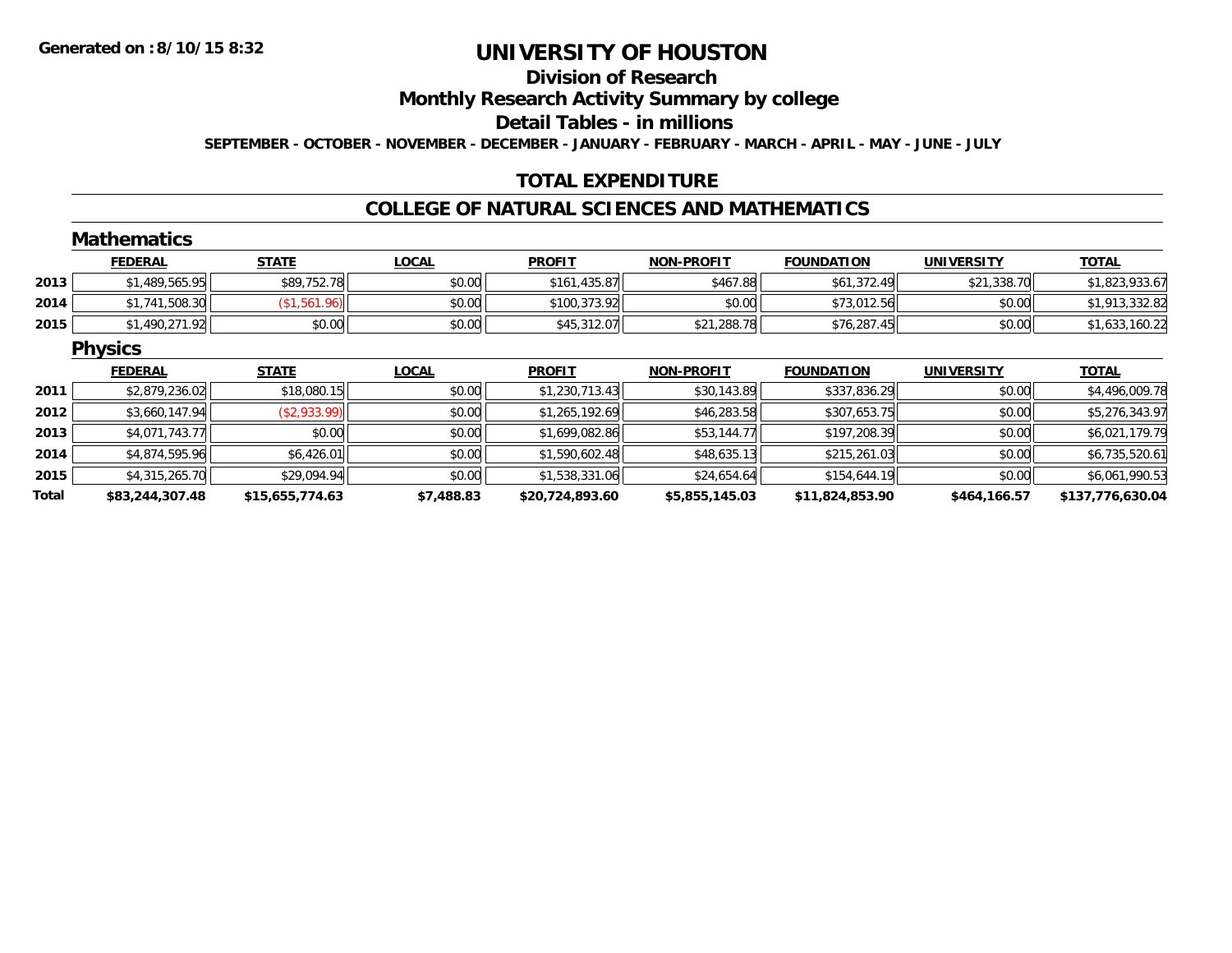#### **Division of Research**

**Monthly Research Activity Summary by college**

**Detail Tables - in millions**

**SEPTEMBER - OCTOBER - NOVEMBER - DECEMBER - JANUARY - FEBRUARY - MARCH - APRIL - MAY - JUNE - JULY**

## **TOTAL EXPENDITURE**

#### **COLLEGE OF NATURAL SCIENCES AND MATHEMATICS**

#### **MathematicsFEDERAL STATE LOCAL PROFIT NON-PROFIT FOUNDATION UNIVERSITY TOTALTOTAL 2013** $\bf{3} \mid \text{3} \mid \text{489,565.95} \mid \text{50.9752.78} \mid \text{51.823,933.67}$  \$1,823,933.67 \$1,823,933.67 \$1,823,933.67 \$1,823,933.67 **2014**4 \$1,741,508.30| (\$1,561.96)| \$0.00| \$100,373.92| \$0.00| \$73,012.56| \$0.00| \$1,741,508.30| \$1,913,332.82 **2015** \$1,490,271.92 \$0.00 \$0.00 \$45,312.07 \$21,288.78 \$76,287.45 \$0.00 \$1,633,160.22 **Physics FEDERAL STATE LOCAL PROFIT NON-PROFIT FOUNDATION UNIVERSITY TOTALTOTAL 2011** \$2,879,236.02 \$18,080.15 \$0.00 \$1,230,713.43 \$30,143.89 \$337,836.29 \$0.00 \$4,496,009.78 **2012**2 | \$3,660,147.94|| (\$2,933.99)| \$0.00|| \$1,265,192.69|| \$46,283.58|| \$307,653.75|| \$0.00|| \$5,276,343.97 **2013** \$4,071,743.77 \$0.00 \$0.00 \$1,699,082.86 \$53,144.77 \$197,208.39 \$0.00 \$6,021,179.79 **2014**4 \$4,874,595.96| \$6,426.01| \$0,426.01| \$0.00| \$1,590,602.48| \$48,635.13| \$215,261.03| \$20.00| \$0.00| \$6,735,520 **2015** \$4,315,265.70 \$29,094.94 \$0.00 \$1,538,331.06 \$24,654.64 \$154,644.19 \$0.00 \$6,061,990.53 **Total**

**\$83,244,307.48 \$15,655,774.63 \$7,488.83 \$20,724,893.60 \$5,855,145.03 \$11,824,853.90 \$464,166.57 \$137,776,630.04**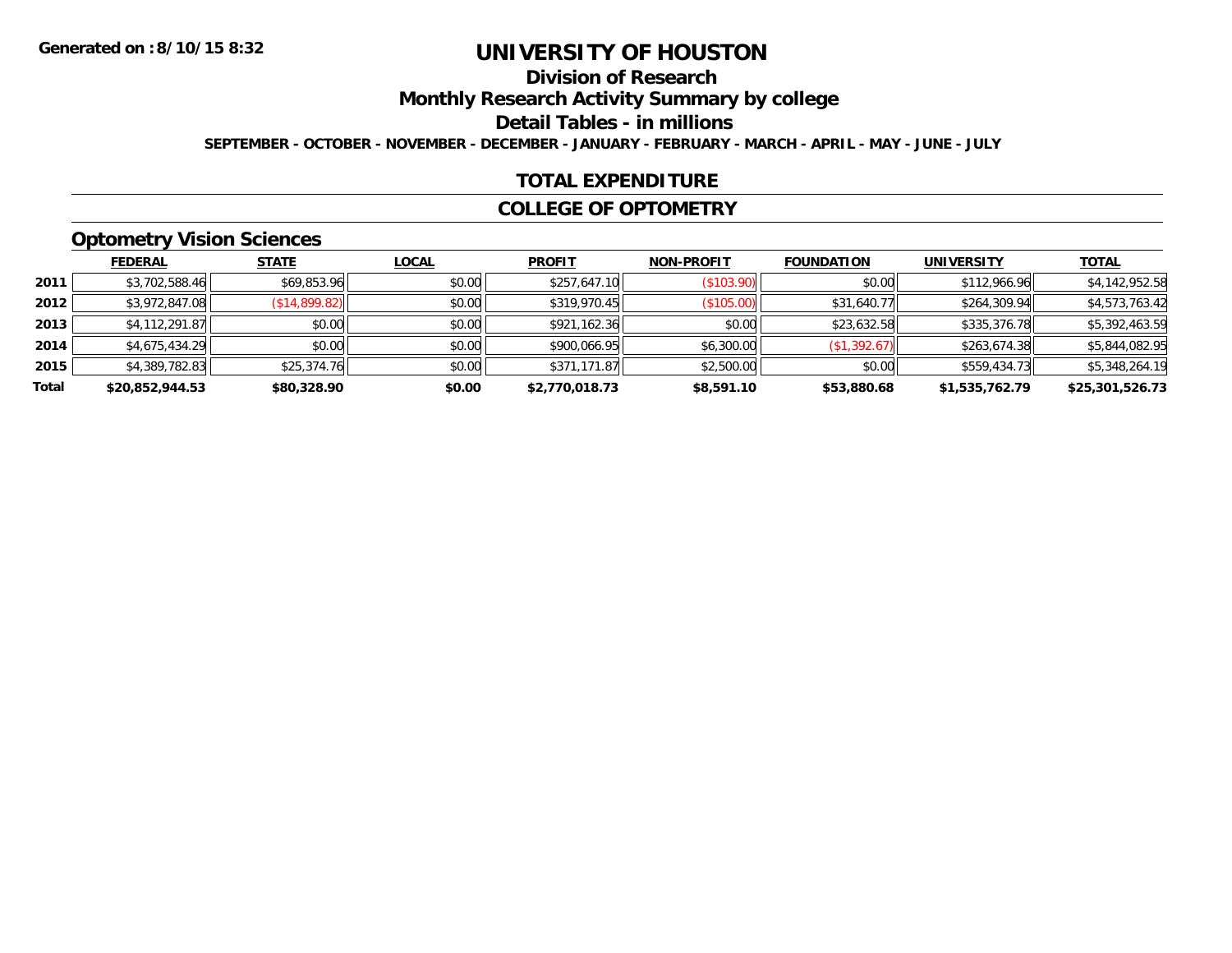# **Division of Research**

**Monthly Research Activity Summary by college**

**Detail Tables - in millions**

**SEPTEMBER - OCTOBER - NOVEMBER - DECEMBER - JANUARY - FEBRUARY - MARCH - APRIL - MAY - JUNE - JULY**

#### **TOTAL EXPENDITURE**

#### **COLLEGE OF OPTOMETRY**

## **Optometry Vision Sciences**

|       | <b>FEDERAL</b>  | <b>STATE</b>  | <b>LOCAL</b> | <b>PROFIT</b>  | <b>NON-PROFIT</b> | <b>FOUNDATION</b> | <b>UNIVERSITY</b> | <u>TOTAL</u>    |
|-------|-----------------|---------------|--------------|----------------|-------------------|-------------------|-------------------|-----------------|
| 2011  | \$3,702,588.46  | \$69,853.96   | \$0.00       | \$257,647.10   | (\$103.90)        | \$0.00            | \$112,966.96      | \$4,142,952.58  |
| 2012  | \$3,972,847.08  | (\$14,899.82) | \$0.00       | \$319,970.45   | (\$105.00)        | \$31,640.77       | \$264,309.94      | \$4,573,763.42  |
| 2013  | \$4,112,291.87  | \$0.00        | \$0.00       | \$921,162.36   | \$0.00            | \$23,632.58       | \$335,376.78      | \$5,392,463.59  |
| 2014  | \$4,675,434.29  | \$0.00        | \$0.00       | \$900,066.95   | \$6,300.00        | \$1,392.67        | \$263,674.38      | \$5,844,082.95  |
| 2015  | \$4,389,782.83  | \$25,374.76   | \$0.00       | \$371,171.87   | \$2,500.00        | \$0.00            | \$559,434.73      | \$5,348,264.19  |
| Total | \$20,852,944.53 | \$80,328.90   | \$0.00       | \$2,770,018.73 | \$8,591.10        | \$53,880.68       | \$1,535,762.79    | \$25,301,526.73 |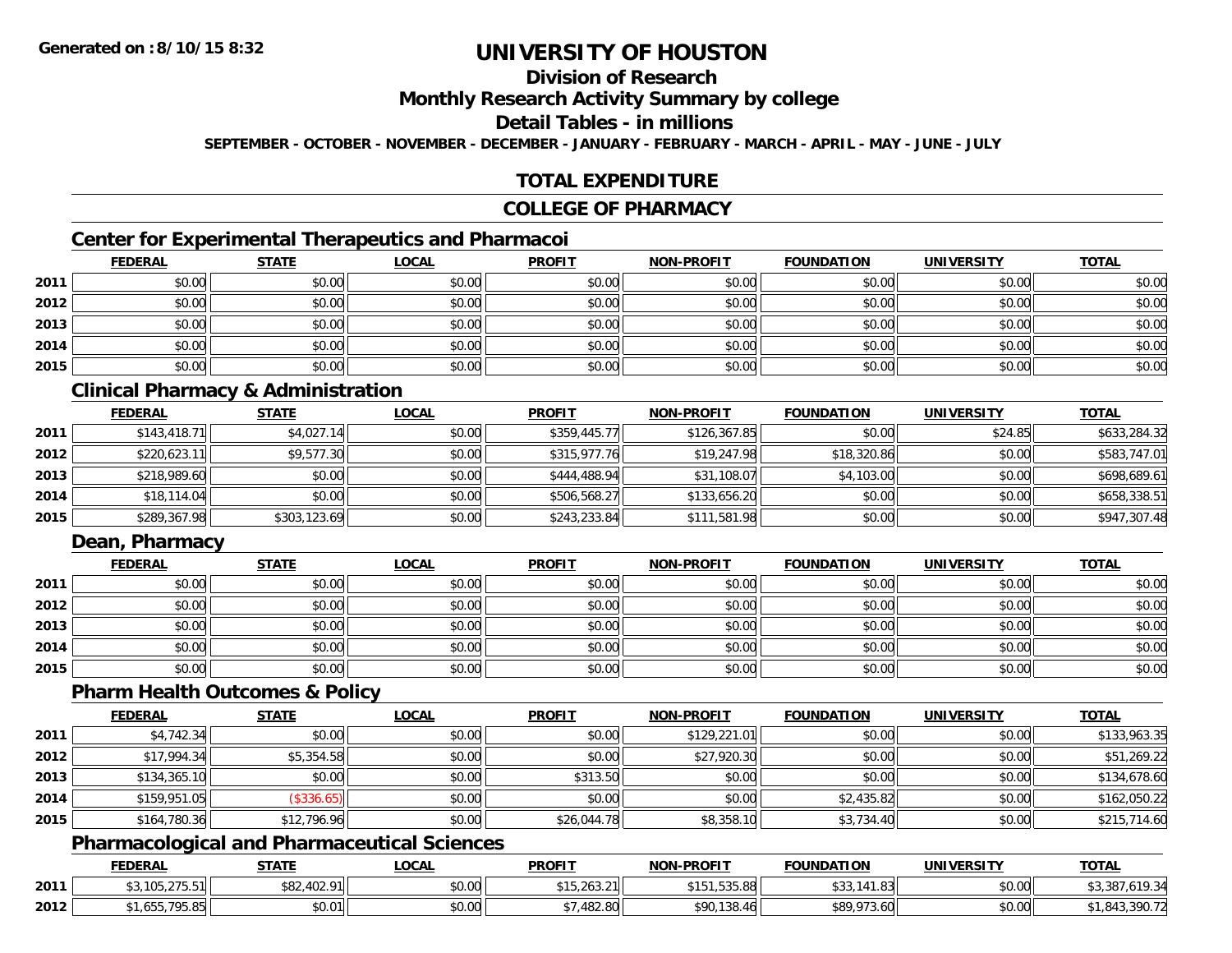## **Division of Research**

**Monthly Research Activity Summary by college**

**Detail Tables - in millions**

**SEPTEMBER - OCTOBER - NOVEMBER - DECEMBER - JANUARY - FEBRUARY - MARCH - APRIL - MAY - JUNE - JULY**

## **TOTAL EXPENDITURE**

#### **COLLEGE OF PHARMACY**

## **Center for Experimental Therapeutics and Pharmacoi**

|      | <b>FEDERAL</b> | <b>STATE</b> | <b>LOCAL</b> | <b>PROFIT</b> | <b>NON-PROFIT</b> | <b>FOUNDATION</b> | <b>UNIVERSITY</b> | <b>TOTAL</b> |
|------|----------------|--------------|--------------|---------------|-------------------|-------------------|-------------------|--------------|
| 2011 | \$0.00         | \$0.00       | \$0.00       | \$0.00        | \$0.00            | \$0.00            | \$0.00            | \$0.00       |
| 2012 | \$0.00         | \$0.00       | \$0.00       | \$0.00        | \$0.00            | \$0.00            | \$0.00            | \$0.00       |
| 2013 | \$0.00         | \$0.00       | \$0.00       | \$0.00        | \$0.00            | \$0.00            | \$0.00            | \$0.00       |
| 2014 | \$0.00         | \$0.00       | \$0.00       | \$0.00        | \$0.00            | \$0.00            | \$0.00            | \$0.00       |
| 2015 | \$0.00         | \$0.00       | \$0.00       | \$0.00        | \$0.00            | \$0.00            | \$0.00            | \$0.00       |

## **Clinical Pharmacy & Administration**

|      | <b>FEDERAL</b> | <u>STATE</u> | <b>LOCAL</b> | <b>PROFIT</b> | <b>NON-PROFIT</b> | <b>FOUNDATION</b> | <b>UNIVERSITY</b> | <b>TOTAL</b> |
|------|----------------|--------------|--------------|---------------|-------------------|-------------------|-------------------|--------------|
| 2011 | \$143.418.71   | \$4,027.14   | \$0.00       | \$359,445.77  | \$126,367.85      | \$0.00            | \$24.85           | \$633,284.32 |
| 2012 | \$220,623.11   | \$9,577.30   | \$0.00       | \$315,977.76  | \$19,247.98       | \$18,320.86       | \$0.00            | \$583,747.01 |
| 2013 | \$218,989.60   | \$0.00       | \$0.00       | \$444,488.94  | \$31,108.07       | \$4,103.00        | \$0.00            | \$698,689.61 |
| 2014 | \$18,114.04    | \$0.00       | \$0.00       | \$506,568.27  | \$133,656.20      | \$0.00            | \$0.00            | \$658,338.51 |
| 2015 | \$289,367.98   | \$303,123.69 | \$0.00       | \$243,233.84  | \$111,581.98      | \$0.00            | \$0.00            | \$947,307.48 |

## **Dean, Pharmacy**

|      | <b>FEDERAL</b> | <b>STATE</b> | <u>LOCAL</u> | <b>PROFIT</b> | <b>NON-PROFIT</b> | <b>FOUNDATION</b> | <b>UNIVERSITY</b> | <b>TOTAL</b> |
|------|----------------|--------------|--------------|---------------|-------------------|-------------------|-------------------|--------------|
| 2011 | \$0.00         | \$0.00       | \$0.00       | \$0.00        | \$0.00            | \$0.00            | \$0.00            | \$0.00       |
| 2012 | \$0.00         | \$0.00       | \$0.00       | \$0.00        | \$0.00            | \$0.00            | \$0.00            | \$0.00       |
| 2013 | \$0.00         | \$0.00       | \$0.00       | \$0.00        | \$0.00            | \$0.00            | \$0.00            | \$0.00       |
| 2014 | \$0.00         | \$0.00       | \$0.00       | \$0.00        | \$0.00            | \$0.00            | \$0.00            | \$0.00       |
| 2015 | \$0.00         | \$0.00       | \$0.00       | \$0.00        | \$0.00            | \$0.00            | \$0.00            | \$0.00       |

#### **Pharm Health Outcomes & Policy**

|      | <b>FEDERAL</b> | <b>STATE</b> | <u>LOCAL</u> | <b>PROFIT</b> | <b>NON-PROFIT</b> | <b>FOUNDATION</b> | <b>UNIVERSITY</b> | <b>TOTAL</b> |
|------|----------------|--------------|--------------|---------------|-------------------|-------------------|-------------------|--------------|
| 2011 | \$4,742.34     | \$0.00       | \$0.00       | \$0.00        | \$129,221.01      | \$0.00            | \$0.00            | \$133,963.35 |
| 2012 | \$17,994.34    | \$5,354.58   | \$0.00       | \$0.00        | \$27,920.30       | \$0.00            | \$0.00            | \$51,269.22  |
| 2013 | \$134,365.10   | \$0.00       | \$0.00       | \$313.50      | \$0.00            | \$0.00            | \$0.00            | \$134,678.60 |
| 2014 | \$159,951.05   | (\$336.65)   | \$0.00       | \$0.00        | \$0.00            | \$2,435.82        | \$0.00            | \$162,050.22 |
| 2015 | \$164,780.36   | \$12,796.96  | \$0.00       | \$26,044.78   | \$8,358.10        | \$3,734.40        | \$0.00            | \$215,714.60 |

#### **Pharmacological and Pharmaceutical Sciences**

|      | <b>FEDERAL</b>                  | <b>STATE</b>                    | <u>LOCAL</u>              | <b>PROFIT</b>     | <b>NON-PROFIT</b>          | <b>FOUNDATION</b>            | UNIVERSITY | <b>TOTAL</b>          |
|------|---------------------------------|---------------------------------|---------------------------|-------------------|----------------------------|------------------------------|------------|-----------------------|
| 2011 | *2 105 275 511<br>$10J/LJ$ .J.J | 000<br><sup>ا∣82,402.91</sup> ∝ | ስ ለሰ<br>PU.UU             | 15,263.21         | $A - C$<br>1,535.88<br>. . | റി<br>. ٻي رب                | \$0.00     | $\sim$<br>י מ.<br>. ۷ |
| 2012 | $    -$<br>າວ.໐ວ                | \$0.01                          | $\sim$<br>$\cap$<br>DU.UU | 102.00<br>,482.8U | \$90,138.46                | <b>\$80.073</b><br>$.3.60$ L | \$0.00     | 71.JYU - 12           |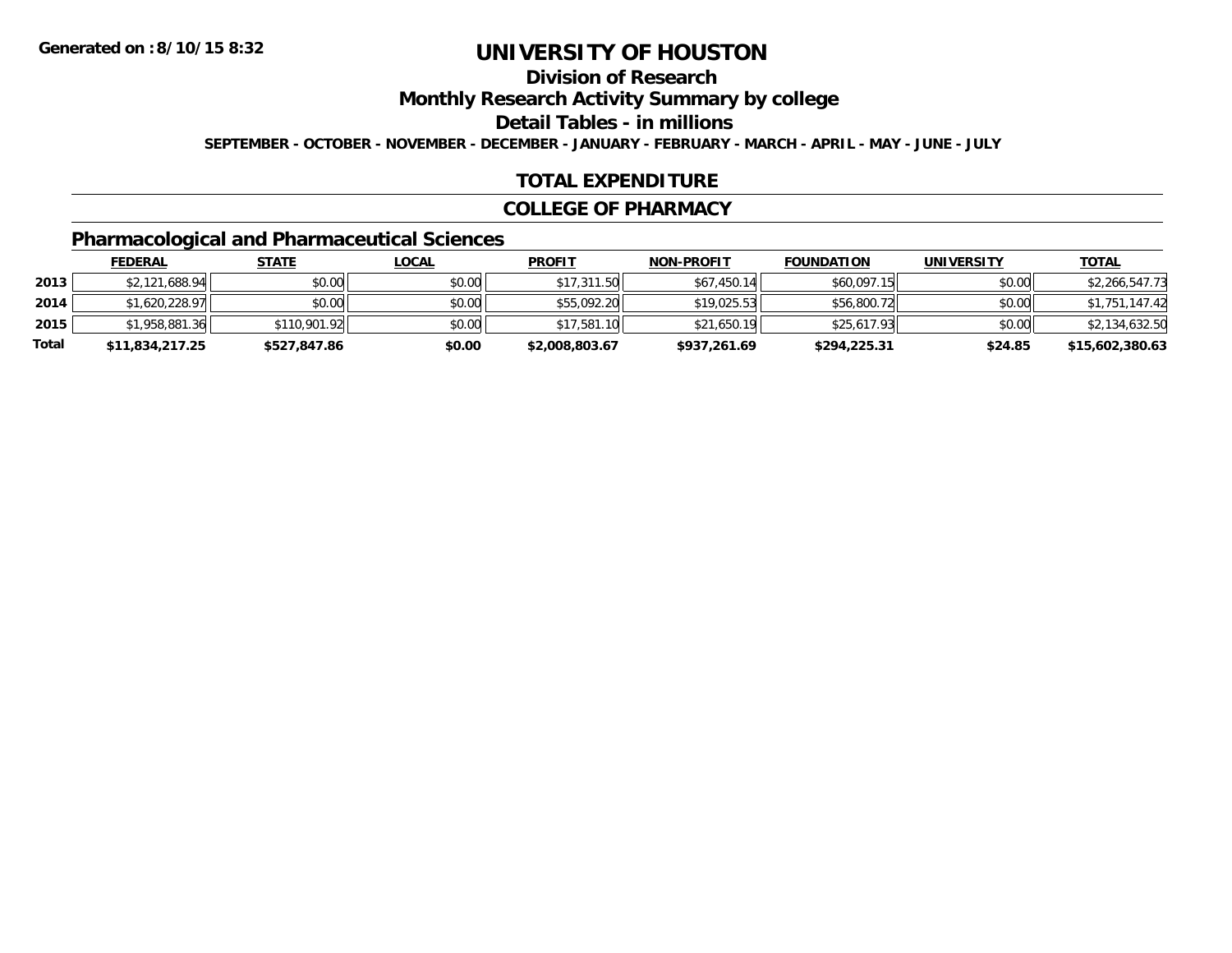## **Division of Research**

**Monthly Research Activity Summary by college**

**Detail Tables - in millions**

**SEPTEMBER - OCTOBER - NOVEMBER - DECEMBER - JANUARY - FEBRUARY - MARCH - APRIL - MAY - JUNE - JULY**

#### **TOTAL EXPENDITURE**

#### **COLLEGE OF PHARMACY**

## **Pharmacological and Pharmaceutical Sciences**

|       | <b>FEDERAL</b>  | <u>STATE</u> | <u>LOCAL</u> | <b>PROFIT</b>  | <b>NON-PROFIT</b> | <b>FOUNDATION</b> | <b>UNIVERSITY</b> | <b>TOTAL</b>    |
|-------|-----------------|--------------|--------------|----------------|-------------------|-------------------|-------------------|-----------------|
| 2013  | \$2,121,688.94  | \$0.00       | \$0.00       | \$17,311.50    | \$67,450.14       | \$60,097.15       | \$0.00            | \$2,266,547.73  |
| 2014  | \$1,620,228.97  | \$0.00       | \$0.00       | \$55,092.20    | \$19.025.53       | \$56,800.72       | \$0.00            | \$1,751,147.42  |
| 2015  | \$1,958,881.36  | \$110,901.92 | \$0.00       | \$17,581.10    | \$21,650.19       | \$25,617.93       | \$0.00            | \$2,134,632.50  |
| Total | \$11,834,217.25 | \$527,847.86 | \$0.00       | \$2,008,803.67 | \$937,261.69      | \$294,225.31      | \$24.85           | \$15,602,380.63 |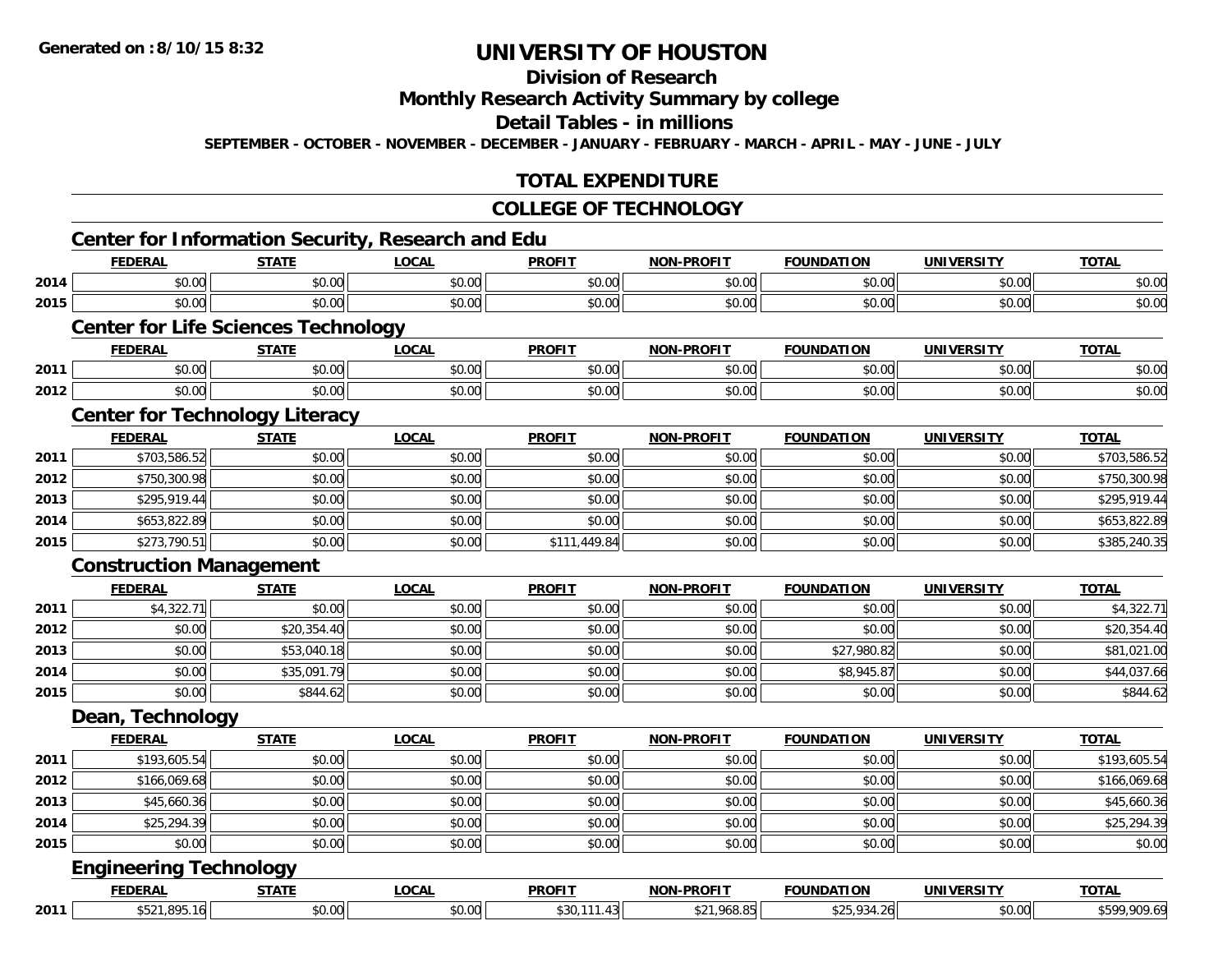# **Division of Research**

## **Monthly Research Activity Summary by college**

#### **Detail Tables - in millions**

**SEPTEMBER - OCTOBER - NOVEMBER - DECEMBER - JANUARY - FEBRUARY - MARCH - APRIL - MAY - JUNE - JULY**

## **TOTAL EXPENDITURE**

#### **COLLEGE OF TECHNOLOGY**

|      | <b>FEDERAL</b>                             | <b>STATE</b>           | <b>LOCAL</b> | <b>PROFIT</b> | <b>NON-PROFIT</b> | <b>FOUNDATION</b> | <b>UNIVERSITY</b> | <b>TOTAL</b> |
|------|--------------------------------------------|------------------------|--------------|---------------|-------------------|-------------------|-------------------|--------------|
| 2014 | \$0.00                                     | \$0.00                 | \$0.00       | \$0.00        | \$0.00            | \$0.00            | \$0.00            | \$0.00       |
| 2015 | \$0.00                                     | \$0.00                 | \$0.00       | \$0.00        | \$0.00            | \$0.00            | \$0.00            | \$0.00       |
|      | <b>Center for Life Sciences Technology</b> |                        |              |               |                   |                   |                   |              |
|      | <b>FEDERAL</b>                             | <b>STATE</b>           | <b>LOCAL</b> | <b>PROFIT</b> | NON-PROFIT        | <b>FOUNDATION</b> | <b>UNIVERSITY</b> | <b>TOTAL</b> |
| 2011 | \$0.00                                     | \$0.00                 | \$0.00       | \$0.00        | \$0.00            | \$0.00            | \$0.00            | \$0.00       |
| 2012 | \$0.00                                     | \$0.00                 | \$0.00       | \$0.00        | \$0.00            | \$0.00            | \$0.00            | \$0.00       |
|      | <b>Center for Technology Literacy</b>      |                        |              |               |                   |                   |                   |              |
|      | <b>FEDERAL</b>                             | <b>STATE</b>           | <b>LOCAL</b> | <b>PROFIT</b> | <b>NON-PROFIT</b> | <b>FOUNDATION</b> | <b>UNIVERSITY</b> | <b>TOTAL</b> |
| 2011 | \$703,586.52                               | \$0.00                 | \$0.00       | \$0.00        | \$0.00            | \$0.00            | \$0.00            | \$703,586.52 |
| 2012 | \$750,300.98                               | \$0.00                 | \$0.00       | \$0.00        | \$0.00            | \$0.00            | \$0.00            | \$750,300.98 |
| 2013 | \$295,919.44                               | \$0.00                 | \$0.00       | \$0.00        | \$0.00            | \$0.00            | \$0.00            | \$295,919.44 |
| 2014 | \$653,822.89                               | \$0.00                 | \$0.00       | \$0.00        | \$0.00            | \$0.00            | \$0.00            | \$653,822.89 |
| 2015 | \$273,790.51                               | \$0.00                 | \$0.00       | \$111,449.84  | \$0.00            | \$0.00            | \$0.00            | \$385,240.35 |
|      | <b>Construction Management</b>             |                        |              |               |                   |                   |                   |              |
|      | <b>FEDERAL</b>                             | <b>STATE</b>           | <b>LOCAL</b> | <b>PROFIT</b> | <b>NON-PROFIT</b> | <b>FOUNDATION</b> | <b>UNIVERSITY</b> | <b>TOTAL</b> |
| 2011 | \$4,322.71                                 | \$0.00                 | \$0.00       | \$0.00        | \$0.00            | \$0.00            | \$0.00            | \$4,322.71   |
| 2012 | \$0.00                                     | \$20,354.40            | \$0.00       | \$0.00        | \$0.00            | \$0.00            | \$0.00            | \$20,354.40  |
| 2013 | \$0.00                                     | \$53,040.18            | \$0.00       | \$0.00        | \$0.00            | \$27,980.82       | \$0.00            | \$81,021.00  |
| 2014 | \$0.00                                     | \$35,091.79            | \$0.00       | \$0.00        | \$0.00            | \$8,945.87        | \$0.00            | \$44,037.66  |
| 2015 | \$0.00                                     | \$844.62               | \$0.00       | \$0.00        | \$0.00            | \$0.00            | \$0.00            | \$844.62     |
|      | Dean, Technology                           |                        |              |               |                   |                   |                   |              |
|      | <b>FEDERAL</b>                             | <b>STATE</b>           | <b>LOCAL</b> | <b>PROFIT</b> | <b>NON-PROELI</b> | <b>FOUNDATION</b> | <b>UNIVERSITY</b> | <b>TOTAL</b> |
| 2011 | \$193,605.54                               | \$0.00                 | \$0.00       | \$0.00        | \$0.00            | \$0.00            | \$0.00            | \$193,605.54 |
| 2012 | \$166,069.68                               | \$0.00                 | \$0.00       | \$0.00        | \$0.00            | \$0.00            | \$0.00            | \$166,069.68 |
| 2013 | \$45,660.36                                | \$0.00                 | \$0.00       | \$0.00        | \$0.00            | \$0.00            | \$0.00            | \$45,660.36  |
| 2014 | \$25,294.39                                | \$0.00                 | \$0.00       | \$0.00        | \$0.00            | \$0.00            | \$0.00            | \$25,294.39  |
| 2015 | \$0.00                                     | \$0.00                 | \$0.00       | \$0.00        | \$0.00            | \$0.00            | \$0.00            | \$0.00       |
|      | <b>Engineering Technology</b>              |                        |              |               |                   |                   |                   |              |
|      |                                            |                        |              |               |                   |                   |                   |              |
|      | <b>FEDERAL</b><br>\$521,895.16             | <b>STATE</b><br>\$0.00 | <b>LOCAL</b> | <b>PROFIT</b> | <b>NON-PROFIT</b> | <b>FOUNDATION</b> | <b>UNIVERSITY</b> | <b>TOTAL</b> |

**2011**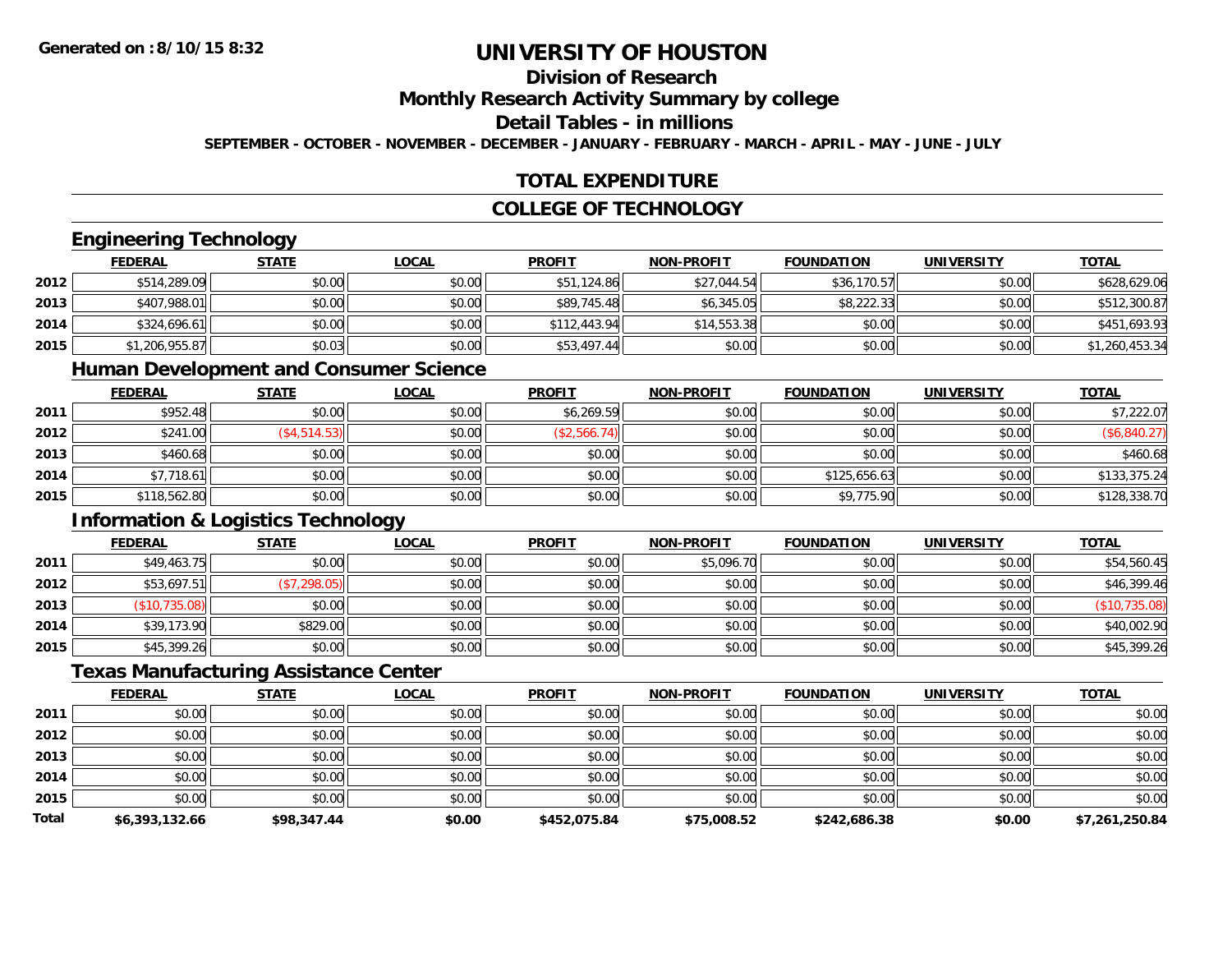## **Division of Research**

**Monthly Research Activity Summary by college**

#### **Detail Tables - in millions**

**SEPTEMBER - OCTOBER - NOVEMBER - DECEMBER - JANUARY - FEBRUARY - MARCH - APRIL - MAY - JUNE - JULY**

#### **TOTAL EXPENDITURE**

## **COLLEGE OF TECHNOLOGY**

#### **Engineering Technology**

|      | <b>FEDERAL</b> | <b>STATE</b> | <u>LOCAL</u> | <b>PROFIT</b> | <b>NON-PROFIT</b> | <b>FOUNDATION</b> | <b>UNIVERSITY</b> | <b>TOTAL</b>   |
|------|----------------|--------------|--------------|---------------|-------------------|-------------------|-------------------|----------------|
| 2012 | \$514,289.09   | \$0.00       | \$0.00       | \$51,124.86   | \$27,044.54       | \$36,170.57       | \$0.00            | \$628,629.06   |
| 2013 | \$407,988.01   | \$0.00       | \$0.00       | \$89,745.48   | \$6,345.05        | \$8,222.33        | \$0.00            | \$512,300.87   |
| 2014 | \$324,696.61   | \$0.00       | \$0.00       | \$112.443.94  | \$14,553.38       | \$0.00            | \$0.00            | \$451,693.93   |
| 2015 | \$1,206,955.87 | \$0.03       | \$0.00       | \$53,497.44   | \$0.00            | \$0.00            | \$0.00            | \$1,260,453.34 |

#### **Human Development and Consumer Science**

|      | <b>FEDERAL</b> | <b>STATE</b>    | <u>LOCAL</u> | <b>PROFIT</b> | <b>NON-PROFIT</b> | <b>FOUNDATION</b> | <b>UNIVERSITY</b> | <b>TOTAL</b> |
|------|----------------|-----------------|--------------|---------------|-------------------|-------------------|-------------------|--------------|
| 2011 | \$952.48       | \$0.00          | \$0.00       | \$6,269.59    | \$0.00            | \$0.00            | \$0.00            | \$7,222.07   |
| 2012 | \$241.00       | $($ \$4,514.53) | \$0.00       | (\$2,566.74)  | \$0.00            | \$0.00            | \$0.00            | \$6,840.27\$ |
| 2013 | \$460.68       | \$0.00          | \$0.00       | \$0.00        | \$0.00            | \$0.00            | \$0.00            | \$460.68     |
| 2014 | \$7,718.61     | \$0.00          | \$0.00       | \$0.00        | \$0.00            | \$125,656.63      | \$0.00            | \$133,375.24 |
| 2015 | \$118,562.80   | \$0.00          | \$0.00       | \$0.00        | \$0.00            | \$9,775.90        | \$0.00            | \$128,338.70 |

## **Information & Logistics Technology**

|      | <b>FEDERAL</b> | <b>STATE</b> | <b>LOCAL</b> | <b>PROFIT</b> | <b>NON-PROFIT</b> | <b>FOUNDATION</b> | <b>UNIVERSITY</b> | <b>TOTAL</b>  |
|------|----------------|--------------|--------------|---------------|-------------------|-------------------|-------------------|---------------|
| 2011 | \$49,463.75    | \$0.00       | \$0.00       | \$0.00        | \$5,096.70        | \$0.00            | \$0.00            | \$54,560.45   |
| 2012 | \$53,697.51    | (\$7,298.05) | \$0.00       | \$0.00        | \$0.00            | \$0.00            | \$0.00            | \$46,399.46   |
| 2013 | (\$10,735.08)  | \$0.00       | \$0.00       | \$0.00        | \$0.00            | \$0.00            | \$0.00            | (\$10,735.08) |
| 2014 | \$39,173.90    | \$829.00     | \$0.00       | \$0.00        | \$0.00            | \$0.00            | \$0.00            | \$40,002.90   |
| 2015 | \$45,399.26    | \$0.00       | \$0.00       | \$0.00        | \$0.00            | \$0.00            | \$0.00            | \$45,399.26   |

#### **Texas Manufacturing Assistance Center**

|              | <b>FEDERAL</b> | <b>STATE</b> | <b>LOCAL</b> | <b>PROFIT</b> | <b>NON-PROFIT</b> | <b>FOUNDATION</b> | <b>UNIVERSITY</b> | <b>TOTAL</b>   |
|--------------|----------------|--------------|--------------|---------------|-------------------|-------------------|-------------------|----------------|
| 2011         | \$0.00         | \$0.00       | \$0.00       | \$0.00        | \$0.00            | \$0.00            | \$0.00            | \$0.00         |
| 2012         | \$0.00         | \$0.00       | \$0.00       | \$0.00        | \$0.00            | \$0.00            | \$0.00            | \$0.00         |
| 2013         | \$0.00         | \$0.00       | \$0.00       | \$0.00        | \$0.00            | \$0.00            | \$0.00            | \$0.00         |
| 2014         | \$0.00         | \$0.00       | \$0.00       | \$0.00        | \$0.00            | \$0.00            | \$0.00            | \$0.00         |
| 2015         | \$0.00         | \$0.00       | \$0.00       | \$0.00        | \$0.00            | \$0.00            | \$0.00            | \$0.00         |
| <b>Total</b> | \$6,393,132.66 | \$98,347.44  | \$0.00       | \$452,075.84  | \$75,008.52       | \$242,686.38      | \$0.00            | \$7,261,250.84 |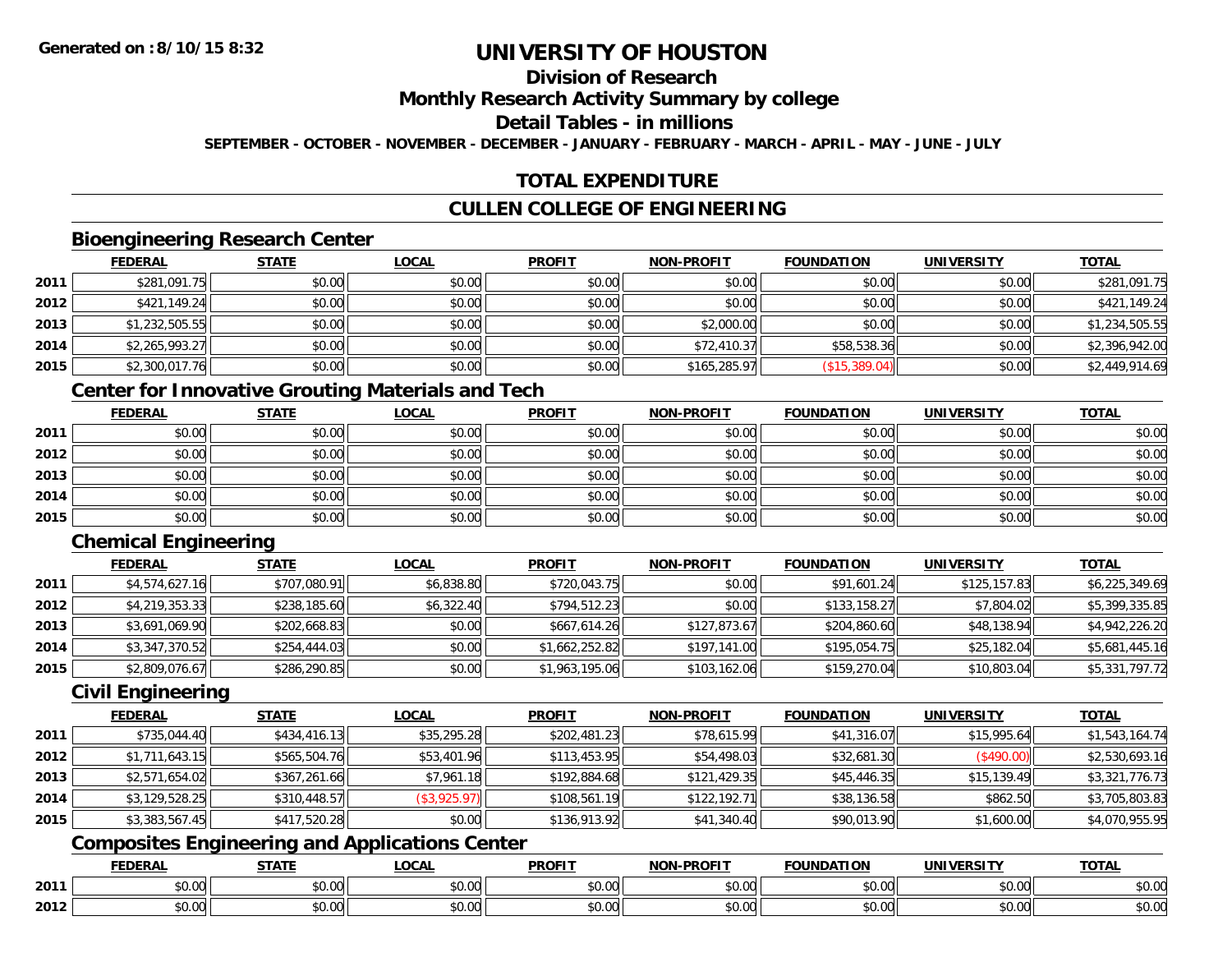## **Division of Research**

#### **Monthly Research Activity Summary by college**

## **Detail Tables - in millions**

**SEPTEMBER - OCTOBER - NOVEMBER - DECEMBER - JANUARY - FEBRUARY - MARCH - APRIL - MAY - JUNE - JULY**

## **TOTAL EXPENDITURE**

## **CULLEN COLLEGE OF ENGINEERING**

#### **Bioengineering Research Center**

|      | <b>FEDERAL</b> | <b>STATE</b> | <b>LOCAL</b> | <b>PROFIT</b> | <b>NON-PROFIT</b> | <b>FOUNDATION</b> | <b>UNIVERSITY</b> | <b>TOTAL</b>   |
|------|----------------|--------------|--------------|---------------|-------------------|-------------------|-------------------|----------------|
| 2011 | \$281,091.75   | \$0.00       | \$0.00       | \$0.00        | \$0.00            | \$0.00            | \$0.00            | \$281,091.75   |
| 2012 | \$421,149.24   | \$0.00       | \$0.00       | \$0.00        | \$0.00            | \$0.00            | \$0.00            | \$421,149.24   |
| 2013 | \$1,232,505.55 | \$0.00       | \$0.00       | \$0.00        | \$2,000.00        | \$0.00            | \$0.00            | \$1,234,505.55 |
| 2014 | \$2,265,993.27 | \$0.00       | \$0.00       | \$0.00        | \$72,410.37       | \$58,538.36       | \$0.00            | \$2,396,942.00 |
| 2015 | \$2,300,017.76 | \$0.00       | \$0.00       | \$0.00        | \$165,285.97      | (\$15,389.04)     | \$0.00            | \$2,449,914.69 |

## **Center for Innovative Grouting Materials and Tech**

|      | <b>FEDERAL</b> | <b>STATE</b> | <u>LOCAL</u> | <b>PROFIT</b> | <b>NON-PROFIT</b> | <b>FOUNDATION</b> | <b>UNIVERSITY</b> | <b>TOTAL</b> |
|------|----------------|--------------|--------------|---------------|-------------------|-------------------|-------------------|--------------|
| 2011 | \$0.00         | \$0.00       | \$0.00       | \$0.00        | \$0.00            | \$0.00            | \$0.00            | \$0.00       |
| 2012 | \$0.00         | \$0.00       | \$0.00       | \$0.00        | \$0.00            | \$0.00            | \$0.00            | \$0.00       |
| 2013 | \$0.00         | \$0.00       | \$0.00       | \$0.00        | \$0.00            | \$0.00            | \$0.00            | \$0.00       |
| 2014 | \$0.00         | \$0.00       | \$0.00       | \$0.00        | \$0.00            | \$0.00            | \$0.00            | \$0.00       |
| 2015 | \$0.00         | \$0.00       | \$0.00       | \$0.00        | \$0.00            | \$0.00            | \$0.00            | \$0.00       |

# **Chemical Engineering**

|      | <b>FEDERAL</b> | <b>STATE</b> | <b>LOCAL</b> | <b>PROFIT</b>  | <b>NON-PROFIT</b> | <b>FOUNDATION</b> | <b>UNIVERSITY</b> | <b>TOTAL</b>   |
|------|----------------|--------------|--------------|----------------|-------------------|-------------------|-------------------|----------------|
| 2011 | \$4,574,627.16 | \$707,080.91 | \$6,838.80   | \$720,043.75   | \$0.00            | \$91,601.24       | \$125,157.83      | \$6,225,349.69 |
| 2012 | \$4,219,353.33 | \$238,185.60 | \$6,322.40   | \$794,512.23   | \$0.00            | \$133,158.27      | \$7,804.02        | \$5,399,335.85 |
| 2013 | \$3,691,069.90 | \$202,668.83 | \$0.00       | \$667,614.26   | \$127,873.67      | \$204,860.60      | \$48,138.94       | \$4,942,226.20 |
| 2014 | \$3,347,370.52 | \$254,444.03 | \$0.00       | \$1,662,252.82 | \$197,141.00      | \$195,054.75      | \$25,182.04       | \$5,681,445.16 |
| 2015 | \$2,809,076.67 | \$286,290.85 | \$0.00       | \$1,963,195.06 | \$103,162.06      | \$159,270.04      | \$10,803.04       | \$5,331,797.72 |

#### **Civil Engineering**

|      | <b>FEDERAL</b> | <b>STATE</b> | <u>LOCAL</u> | <b>PROFIT</b> | <b>NON-PROFIT</b> | <b>FOUNDATION</b> | <b>UNIVERSITY</b> | <b>TOTAL</b>   |
|------|----------------|--------------|--------------|---------------|-------------------|-------------------|-------------------|----------------|
| 2011 | \$735,044.40   | \$434,416.13 | \$35,295.28  | \$202,481.23  | \$78,615.99       | \$41,316.07       | \$15,995.64       | \$1,543,164.74 |
| 2012 | \$1,711,643.15 | \$565,504.76 | \$53,401.96  | \$113,453.95  | \$54,498.03       | \$32,681.30       | (\$490.00)        | \$2,530,693.16 |
| 2013 | \$2,571,654.02 | \$367,261.66 | \$7,961.18   | \$192,884.68  | \$121,429.35      | \$45,446.35       | \$15,139.49       | \$3,321,776.73 |
| 2014 | \$3,129,528.25 | \$310,448.57 | (\$3,925.97) | \$108,561.19  | \$122,192.71      | \$38,136.58       | \$862.50          | \$3,705,803.83 |
| 2015 | \$3,383,567.45 | \$417,520.28 | \$0.00       | \$136,913.92  | \$41,340.40       | \$90,013.90       | \$1,600.00        | \$4,070,955.95 |

## **Composites Engineering and Applications Center**

|      | DERAI  | CTATI     | .OCAL     | <b>PROFIT</b> | <b>DDOCIT</b><br><b>ארות</b> | ΓΙΩΝ    | UNIVERSITY                                   | <b>TOTAL</b> |
|------|--------|-----------|-----------|---------------|------------------------------|---------|----------------------------------------------|--------------|
| 2011 | $\sim$ | $\sim$    | $\sim$    | $\cdots$      | 0000                         | 0.00    | $\mathsf{A} \cap \mathsf{A} \cap \mathsf{A}$ | 0000         |
|      | ∕∪.∪⊍  | JU.UU     | vv.vv     | vu.vu         | vu.vu                        | - JU.UU | PO.OO                                        | <b>JU.UU</b> |
|      | 0.00   | $\sim$ 00 | $\sim$ 00 | $\cdots$      | 0.00                         | 0.00    | $\sim$ 00                                    | $\cdots$     |
| 2012 | וט.טי  | JU.L      | JU.UU     | vv.vv         | JU.UU                        | ww.uu   | PO.OO                                        | <b>JU.UU</b> |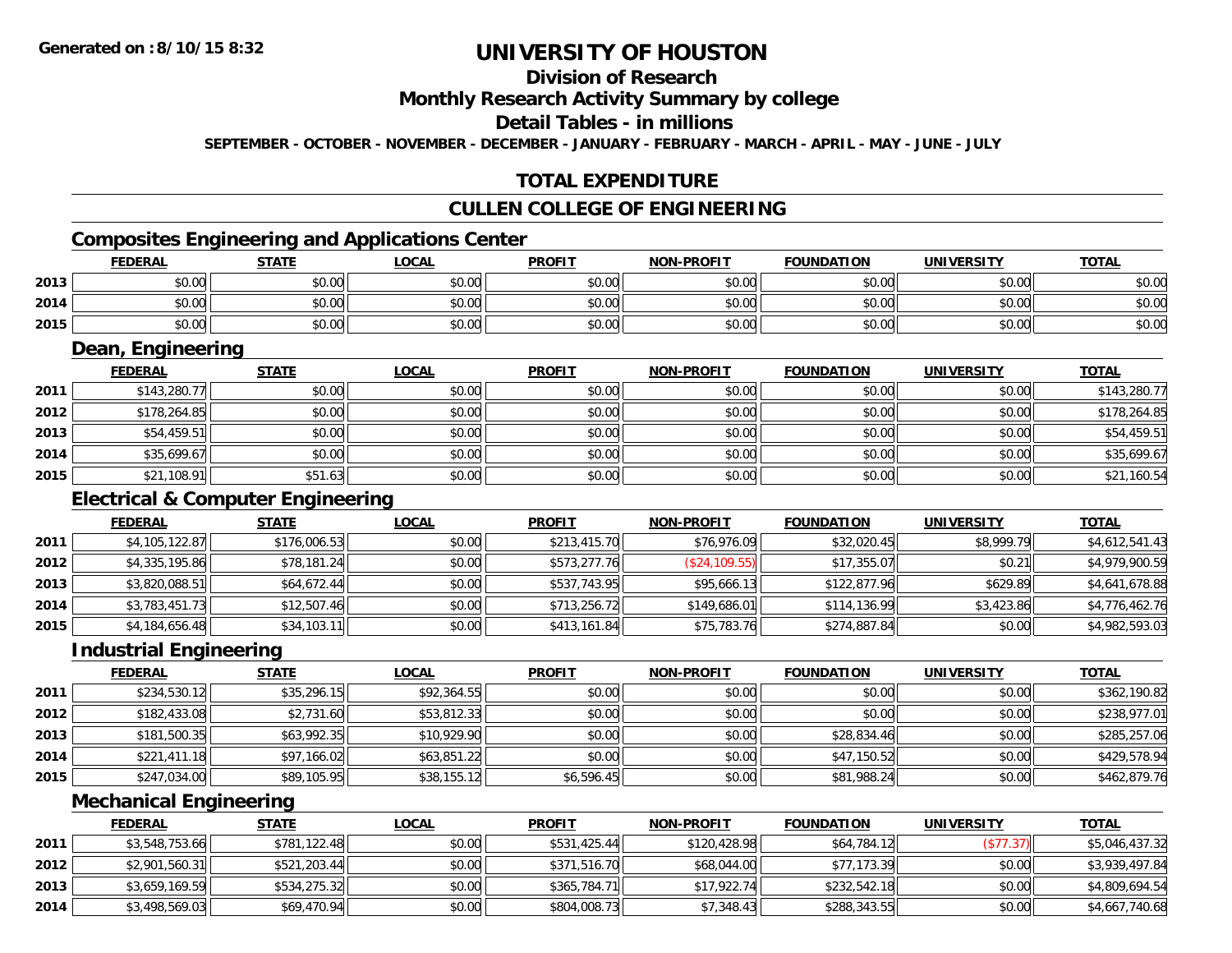## **Division of Research**

#### **Monthly Research Activity Summary by college**

#### **Detail Tables - in millions**

**SEPTEMBER - OCTOBER - NOVEMBER - DECEMBER - JANUARY - FEBRUARY - MARCH - APRIL - MAY - JUNE - JULY**

## **TOTAL EXPENDITURE**

#### **CULLEN COLLEGE OF ENGINEERING**

## **Composites Engineering and Applications Center**

| Composites Engineering and Applications Center |                |              |              |               |                   |                   |            |              |  |
|------------------------------------------------|----------------|--------------|--------------|---------------|-------------------|-------------------|------------|--------------|--|
|                                                | <b>FEDERAL</b> | <u>STATE</u> | <u>_OCAL</u> | <b>PROFIT</b> | <b>NON-PROFIT</b> | <b>FOUNDATION</b> | UNIVERSITY | <b>TOTAL</b> |  |
| 2013                                           | \$0.00         | \$0.00       | \$0.00       | \$0.00        | \$0.00            | \$0.00            | \$0.00     | \$0.00       |  |
| 2014                                           | \$0.00         | \$0.00       | \$0.00       | \$0.00        | \$0.00            | \$0.00            | \$0.00 l   | \$0.00       |  |
| 2015                                           | \$0.00         | \$0.00       | \$0.00       | \$0.00        | \$0.00            | \$0.00            | \$0.00     | \$0.00       |  |

<u> 1989 - Johann Stoff, deutscher Stoffen und der Stoffen und der Stoffen und der Stoffen und der Stoffen und der</u>

#### **Dean, Engineering**

|      | <b>FEDERAL</b> | <b>STATE</b> | <b>LOCAL</b> | <b>PROFIT</b> | <b>NON-PROFIT</b> | <b>FOUNDATION</b> | <b>UNIVERSITY</b> | <b>TOTAL</b> |
|------|----------------|--------------|--------------|---------------|-------------------|-------------------|-------------------|--------------|
| 2011 | \$143,280.77   | \$0.00       | \$0.00       | \$0.00        | \$0.00            | \$0.00            | \$0.00            | \$143,280.77 |
| 2012 | \$178,264.85   | \$0.00       | \$0.00       | \$0.00        | \$0.00            | \$0.00            | \$0.00            | \$178,264.85 |
| 2013 | \$54,459.51    | \$0.00       | \$0.00       | \$0.00        | \$0.00            | \$0.00            | \$0.00            | \$54,459.51  |
| 2014 | \$35,699.67    | \$0.00       | \$0.00       | \$0.00        | \$0.00            | \$0.00            | \$0.00            | \$35,699.67  |
| 2015 | \$21,108.91    | \$51.63      | \$0.00       | \$0.00        | \$0.00            | \$0.00            | \$0.00            | \$21,160.54  |

## **Electrical & Computer Engineering**

|      | <b>FEDERAL</b> | <b>STATE</b> | <b>LOCAL</b> | <b>PROFIT</b> | <b>NON-PROFIT</b> | <b>FOUNDATION</b> | <b>UNIVERSITY</b> | <b>TOTAL</b>   |
|------|----------------|--------------|--------------|---------------|-------------------|-------------------|-------------------|----------------|
| 2011 | \$4,105,122.87 | \$176,006.53 | \$0.00       | \$213,415.70  | \$76,976.09       | \$32,020.45       | \$8,999.79        | \$4,612,541.43 |
| 2012 | \$4,335,195.86 | \$78,181.24  | \$0.00       | \$573,277.76  | (S24, 109.55)     | \$17,355.07       | \$0.21            | \$4,979,900.59 |
| 2013 | \$3,820,088.51 | \$64,672.44  | \$0.00       | \$537,743.95  | \$95,666.13       | \$122,877.96      | \$629.89          | \$4,641,678.88 |
| 2014 | \$3,783,451.73 | \$12,507.46  | \$0.00       | \$713,256.72  | \$149,686.01      | \$114,136.99      | \$3,423.86        | \$4,776,462.76 |
| 2015 | \$4,184,656.48 | \$34,103.11  | \$0.00       | \$413,161.84  | \$75,783.76       | \$274,887.84      | \$0.00            | \$4,982,593.03 |

<u> 1980 - Johann Barn, mars ann an t-Amhain Aonaich an t-Aonaich an t-Aonaich ann an t-Aonaich ann an t-Aonaich</u>

#### **Industrial Engineering**

|      | <b>FEDERAL</b> | <b>STATE</b> | <u>LOCAL</u> | <b>PROFIT</b> | <b>NON-PROFIT</b> | <b>FOUNDATION</b> | <b>UNIVERSITY</b> | <b>TOTAL</b> |
|------|----------------|--------------|--------------|---------------|-------------------|-------------------|-------------------|--------------|
| 2011 | \$234,530.12   | \$35,296.15  | \$92,364.55  | \$0.00        | \$0.00            | \$0.00            | \$0.00            | \$362,190.82 |
| 2012 | \$182,433.08   | \$2,731.60   | \$53,812.33  | \$0.00        | \$0.00            | \$0.00            | \$0.00            | \$238,977.01 |
| 2013 | \$181,500.35   | \$63,992.35  | \$10,929.90  | \$0.00        | \$0.00            | \$28,834.46       | \$0.00            | \$285,257.06 |
| 2014 | \$221,411.18   | \$97,166.02  | \$63,851.22  | \$0.00        | \$0.00            | \$47,150.52       | \$0.00            | \$429,578.94 |
| 2015 | \$247,034.00   | \$89,105.95  | \$38,155.12  | \$6,596.45    | \$0.00            | \$81,988.24       | \$0.00            | \$462,879.76 |

<u> 1980 - Johann Stoff, deutscher Stoffen und der Stoffen und der Stoffen und der Stoffen und der Stoffen und der</u>

#### **Mechanical Engineering**

|      | <b>FEDERAL</b> | <b>STATE</b> | <u>LOCAL</u> | <b>PROFIT</b> | <b>NON-PROFIT</b> | <b>FOUNDATION</b> | <b>UNIVERSITY</b> | <b>TOTAL</b>   |
|------|----------------|--------------|--------------|---------------|-------------------|-------------------|-------------------|----------------|
| 2011 | \$3,548,753.66 | \$781,122.48 | \$0.00       | \$531,425.44  | \$120,428.98      | \$64,784.12       | (\$77.37)         | \$5,046,437.32 |
| 2012 | \$2,901,560.31 | \$521,203.44 | \$0.00       | \$371,516.70  | \$68,044.00       | \$77.173.39       | \$0.00            | \$3,939,497.84 |
| 2013 | \$3,659,169.59 | \$534,275.32 | \$0.00       | \$365,784.71  | \$17,922.74       | \$232,542.18      | \$0.00            | \$4,809,694.54 |
| 2014 | \$3,498,569.03 | \$69,470.94  | \$0.00       | \$804,008.73  | \$7,348.43        | \$288,343.55      | \$0.00            | \$4,667,740.68 |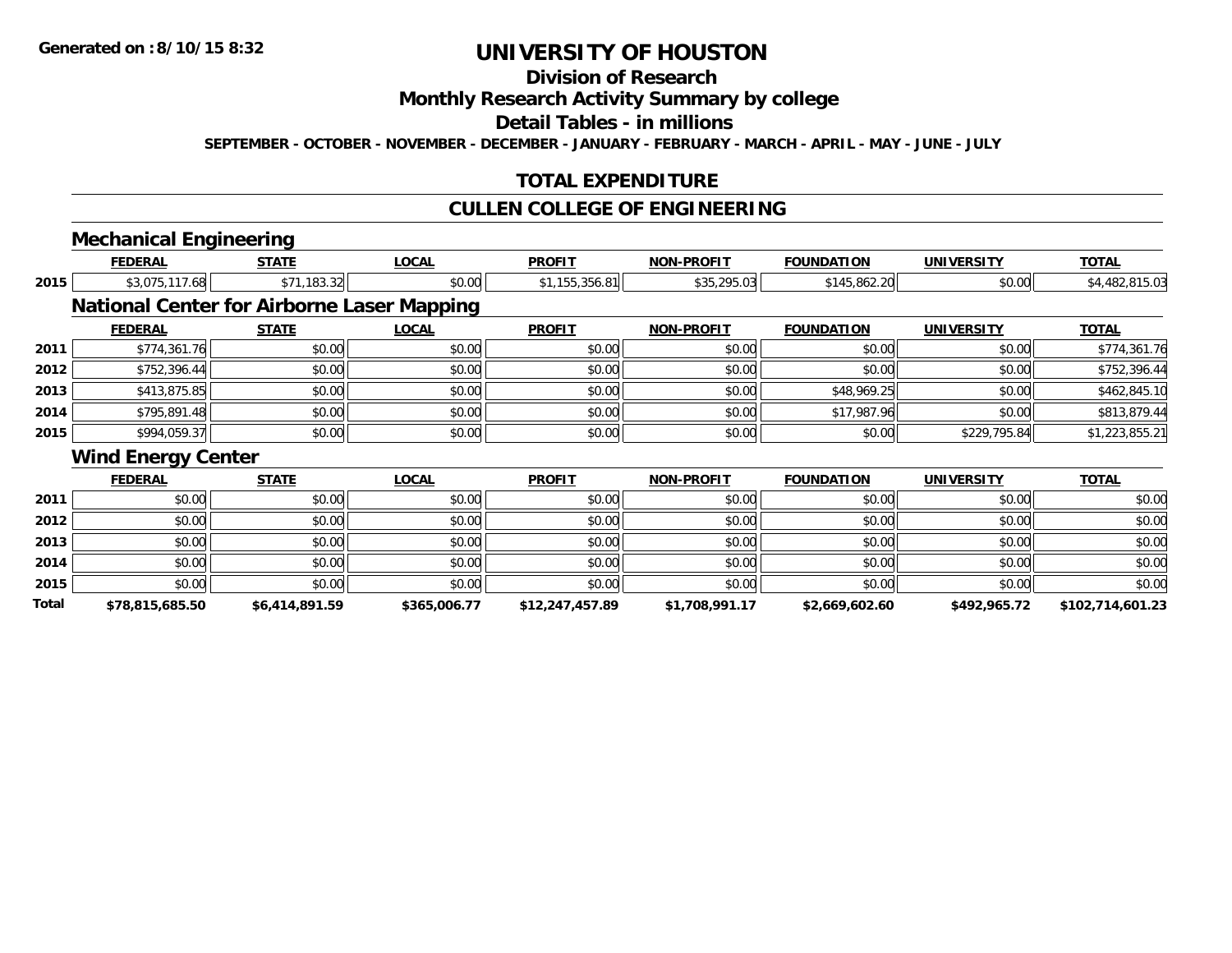## **Division of Research**

#### **Monthly Research Activity Summary by college**

#### **Detail Tables - in millions**

**SEPTEMBER - OCTOBER - NOVEMBER - DECEMBER - JANUARY - FEBRUARY - MARCH - APRIL - MAY - JUNE - JULY**

#### **TOTAL EXPENDITURE**

#### **CULLEN COLLEGE OF ENGINEERING**

## **Mechanical Engineering**

|       | <b>FEDERAL</b>            | <b>STATE</b>                                      | <b>LOCAL</b> | <b>PROFIT</b>   | <b>NON-PROFIT</b> | <b>FOUNDATION</b> | <b>UNIVERSITY</b> | <b>TOTAL</b>     |
|-------|---------------------------|---------------------------------------------------|--------------|-----------------|-------------------|-------------------|-------------------|------------------|
| 2015  | \$3,075,117.68            | \$71,183.32                                       | \$0.00       | \$1,155,356.81  | \$35,295.03       | \$145,862.20      | \$0.00            | \$4,482,815.03   |
|       |                           | <b>National Center for Airborne Laser Mapping</b> |              |                 |                   |                   |                   |                  |
|       | <b>FEDERAL</b>            | <b>STATE</b>                                      | <u>LOCAL</u> | <b>PROFIT</b>   | <b>NON-PROFIT</b> | <b>FOUNDATION</b> | <b>UNIVERSITY</b> | <u>TOTAL</u>     |
| 2011  | \$774,361.76              | \$0.00                                            | \$0.00       | \$0.00          | \$0.00            | \$0.00            | \$0.00            | \$774,361.76     |
| 2012  | \$752,396.44              | \$0.00                                            | \$0.00       | \$0.00          | \$0.00            | \$0.00            | \$0.00            | \$752,396.44     |
| 2013  | \$413,875.85              | \$0.00                                            | \$0.00       | \$0.00          | \$0.00            | \$48,969.25       | \$0.00            | \$462,845.10     |
| 2014  | \$795,891.48              | \$0.00                                            | \$0.00       | \$0.00          | \$0.00            | \$17,987.96       | \$0.00            | \$813,879.44     |
| 2015  | \$994,059.37              | \$0.00                                            | \$0.00       | \$0.00          | \$0.00            | \$0.00            | \$229,795.84      | \$1,223,855.21   |
|       | <b>Wind Energy Center</b> |                                                   |              |                 |                   |                   |                   |                  |
|       | <b>FEDERAL</b>            | <b>STATE</b>                                      | <b>LOCAL</b> | <b>PROFIT</b>   | <b>NON-PROFIT</b> | <b>FOUNDATION</b> | <b>UNIVERSITY</b> | <b>TOTAL</b>     |
| 2011  | \$0.00                    | \$0.00                                            | \$0.00       | \$0.00          | \$0.00            | \$0.00            | \$0.00            | \$0.00           |
| 2012  | \$0.00                    | \$0.00                                            | \$0.00       | \$0.00          | \$0.00            | \$0.00            | \$0.00            | \$0.00           |
| 2013  | \$0.00                    | \$0.00                                            | \$0.00       | \$0.00          | \$0.00            | \$0.00            | \$0.00            | \$0.00           |
| 2014  | \$0.00                    | \$0.00                                            | \$0.00       | \$0.00          | \$0.00            | \$0.00            | \$0.00            | \$0.00           |
| 2015  | \$0.00                    | \$0.00                                            | \$0.00       | \$0.00          | \$0.00            | \$0.00            | \$0.00            | \$0.00           |
| Total | \$78.815.685.50           | \$6,414,891.59                                    | \$365,006.77 | \$12.247.457.89 | \$1.708.991.17    | \$2,669,602.60    | \$492.965.72      | \$102.714.601.23 |

**\$78,815,685.50 \$6,414,891.59 \$365,006.77 \$12,247,457.89 \$1,708,991.17 \$2,669,602.60 \$492,965.72 \$102,714,601.23**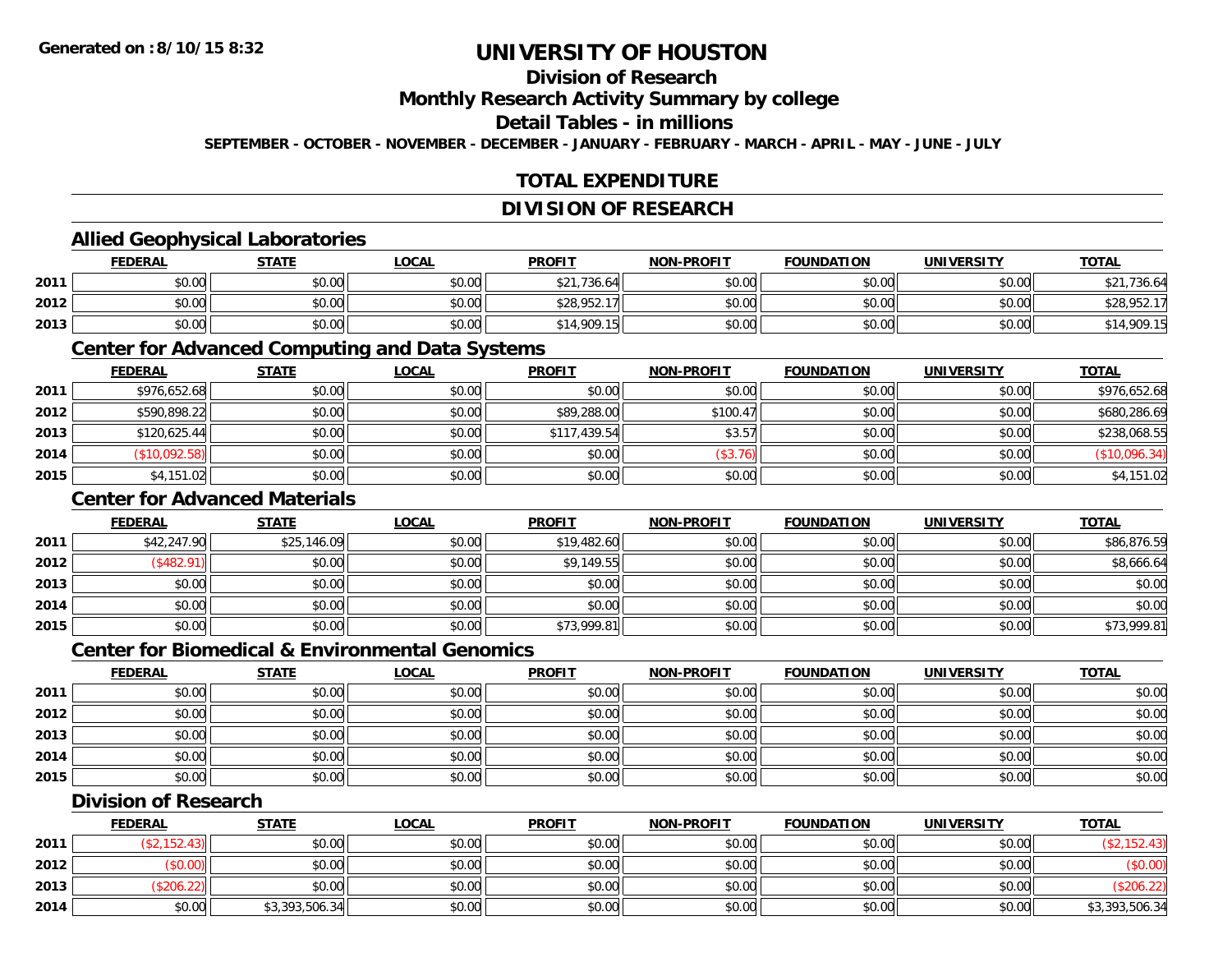## **Division of Research**

**Monthly Research Activity Summary by college**

**Detail Tables - in millions**

**SEPTEMBER - OCTOBER - NOVEMBER - DECEMBER - JANUARY - FEBRUARY - MARCH - APRIL - MAY - JUNE - JULY**

## **TOTAL EXPENDITURE**

#### **DIVISION OF RESEARCH**

#### **Allied Geophysical Laboratories**

|      | <b>FEDERAL</b> | <b>STATE</b> | <u>LOCAL</u> | <b>PROFIT</b> | <b>NON-PROFIT</b> | <b>FOUNDATION</b> | UNIVERSITY | <b>TOTAL</b>       |
|------|----------------|--------------|--------------|---------------|-------------------|-------------------|------------|--------------------|
| 2011 | \$0.00         | \$0.00       | \$0.00       | * 21.736.64H  | \$0.00            | \$0.00            | \$0.00     | $\cdots$<br>736.64 |
| 2012 | \$0.00         | \$0.00       | \$0.00       | \$28,952.     | \$0.00            | \$0.00            | \$0.00     | \$28,952.1         |
| 2013 | \$0.00         | \$0.00       | \$0.00       | \$14,909.15   | \$0.00            | \$0.00            | \$0.00     | \$14,909.15        |

#### **Center for Advanced Computing and Data Systems**

|      | <b>FEDERAL</b> | <b>STATE</b> | <b>LOCAL</b> | <b>PROFIT</b> | <b>NON-PROFIT</b> | <b>FOUNDATION</b> | <b>UNIVERSITY</b> | <b>TOTAL</b> |
|------|----------------|--------------|--------------|---------------|-------------------|-------------------|-------------------|--------------|
| 2011 | \$976,652.68   | \$0.00       | \$0.00       | \$0.00        | \$0.00            | \$0.00            | \$0.00            | \$976,652.68 |
| 2012 | \$590,898.22   | \$0.00       | \$0.00       | \$89,288.00   | \$100.47          | \$0.00            | \$0.00            | \$680,286.69 |
| 2013 | \$120,625.44   | \$0.00       | \$0.00       | \$117,439.54  | \$3.57            | \$0.00            | \$0.00            | \$238,068.55 |
| 2014 | (\$10,092.58)  | \$0.00       | \$0.00       | \$0.00        | (\$3.76)          | \$0.00            | \$0.00            | \$10,096.34  |
| 2015 | \$4,151.02     | \$0.00       | \$0.00       | \$0.00        | \$0.00            | \$0.00            | \$0.00            | \$4,151.02   |

#### **Center for Advanced Materials**

|      | <b>FEDERAL</b> | <b>STATE</b> | <u>LOCAL</u> | <b>PROFIT</b> | <b>NON-PROFIT</b> | <b>FOUNDATION</b> | <b>UNIVERSITY</b> | <b>TOTAL</b> |
|------|----------------|--------------|--------------|---------------|-------------------|-------------------|-------------------|--------------|
| 2011 | \$42,247.90    | \$25,146.09  | \$0.00       | \$19,482.60   | \$0.00            | \$0.00            | \$0.00            | \$86,876.59  |
| 2012 | \$482.91       | \$0.00       | \$0.00       | \$9,149.55    | \$0.00            | \$0.00            | \$0.00            | \$8,666.64   |
| 2013 | \$0.00         | \$0.00       | \$0.00       | \$0.00        | \$0.00            | \$0.00            | \$0.00            | \$0.00       |
| 2014 | \$0.00         | \$0.00       | \$0.00       | \$0.00        | \$0.00            | \$0.00            | \$0.00            | \$0.00       |
| 2015 | \$0.00         | \$0.00       | \$0.00       | \$73,999.81   | \$0.00            | \$0.00            | \$0.00            | \$73,999.81  |

#### **Center for Biomedical & Environmental Genomics**

|      | <b>FEDERAL</b> | <b>STATE</b> | <b>LOCAL</b> | <b>PROFIT</b> | <b>NON-PROFIT</b> | <b>FOUNDATION</b> | <b>UNIVERSITY</b> | <b>TOTAL</b> |
|------|----------------|--------------|--------------|---------------|-------------------|-------------------|-------------------|--------------|
| 2011 | \$0.00         | \$0.00       | \$0.00       | \$0.00        | \$0.00            | \$0.00            | \$0.00            | \$0.00       |
| 2012 | \$0.00         | \$0.00       | \$0.00       | \$0.00        | \$0.00            | \$0.00            | \$0.00            | \$0.00       |
| 2013 | \$0.00         | \$0.00       | \$0.00       | \$0.00        | \$0.00            | \$0.00            | \$0.00            | \$0.00       |
| 2014 | \$0.00         | \$0.00       | \$0.00       | \$0.00        | \$0.00            | \$0.00            | \$0.00            | \$0.00       |
| 2015 | \$0.00         | \$0.00       | \$0.00       | \$0.00        | \$0.00            | \$0.00            | \$0.00            | \$0.00       |

#### **Division of Research**

|      | <b>FEDERAL</b> | STATE          | <u>LOCAL</u> | <b>PROFIT</b> | <b>NON-PROFIT</b> | <b>FOUNDATION</b> | <b>UNIVERSITY</b> | <b>TOTAL</b>   |
|------|----------------|----------------|--------------|---------------|-------------------|-------------------|-------------------|----------------|
| 2011 | 152.           | \$0.00         | \$0.00       | \$0.00        | \$0.00            | \$0.00            | \$0.00            |                |
| 2012 | \$0.00         | \$0.00         | \$0.00       | \$0.00        | \$0.00            | \$0.00            | \$0.00            | (\$0.00)       |
| 2013 | \$206.22]      | \$0.00         | \$0.00       | \$0.00        | \$0.00            | \$0.00            | \$0.00            | \$206.22       |
| 2014 | \$0.00         | \$3,393,506.34 | \$0.00       | \$0.00        | \$0.00            | \$0.00            | \$0.00            | \$3,393,506.34 |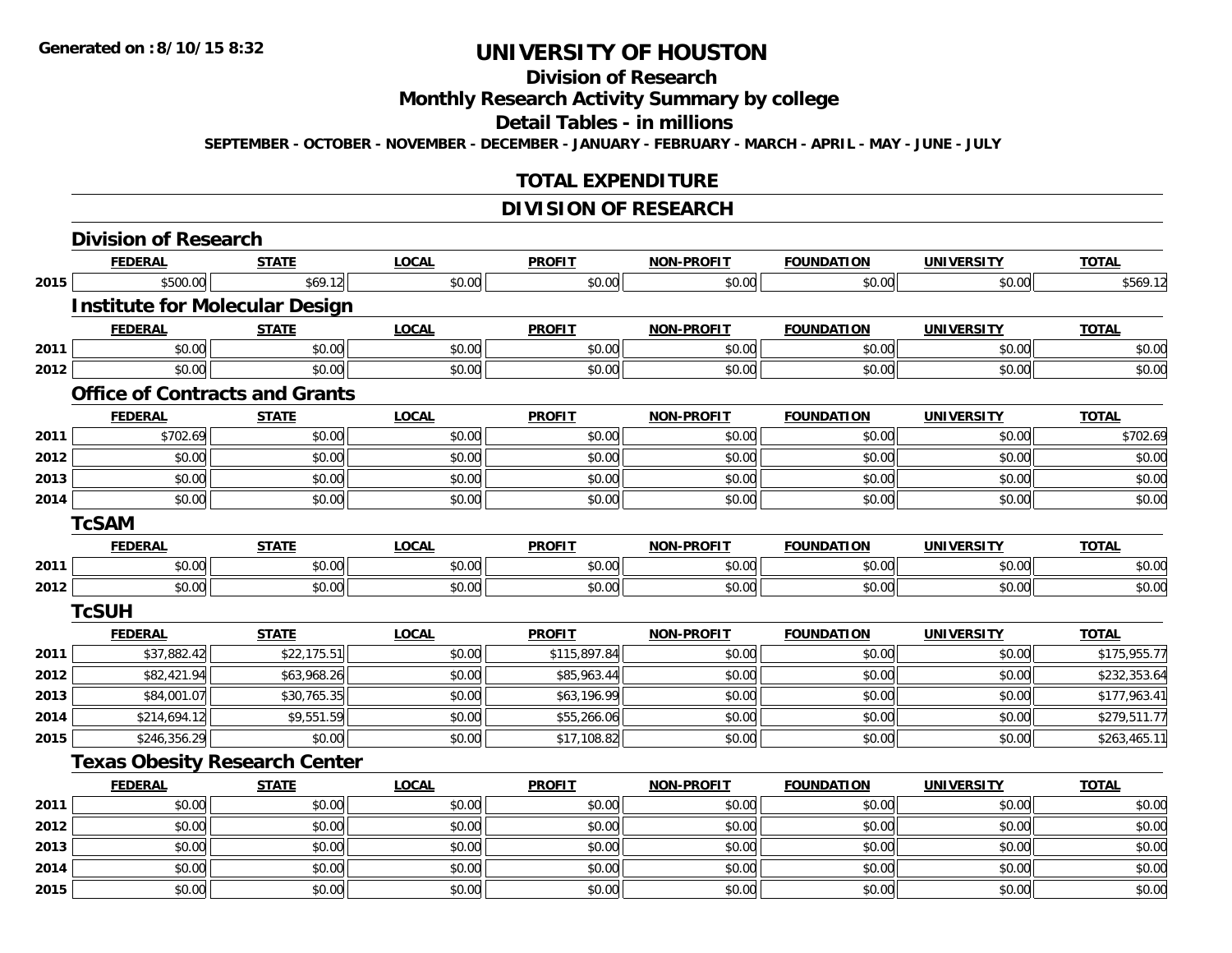# **Division of Research**

**Monthly Research Activity Summary by college**

**Detail Tables - in millions**

**SEPTEMBER - OCTOBER - NOVEMBER - DECEMBER - JANUARY - FEBRUARY - MARCH - APRIL - MAY - JUNE - JULY**

## **TOTAL EXPENDITURE**

## **DIVISION OF RESEARCH**

|      | <b>Division of Research</b>           |              |              |               |                   |                   |                   |              |
|------|---------------------------------------|--------------|--------------|---------------|-------------------|-------------------|-------------------|--------------|
|      | <b>FEDERAL</b>                        | <b>STATE</b> | <b>LOCAL</b> | <b>PROFIT</b> | <b>NON-PROFIT</b> | <b>FOUNDATION</b> | <b>UNIVERSITY</b> | <b>TOTAL</b> |
| 2015 | \$500.00                              | \$69.12      | \$0.00       | \$0.00        | \$0.00            | \$0.00            | \$0.00            | \$569.12     |
|      | <b>Institute for Molecular Design</b> |              |              |               |                   |                   |                   |              |
|      | <b>FEDERAL</b>                        | <b>STATE</b> | <b>LOCAL</b> | <b>PROFIT</b> | <b>NON-PROFIT</b> | <b>FOUNDATION</b> | <b>UNIVERSITY</b> | <b>TOTAL</b> |
| 2011 | \$0.00                                | \$0.00       | \$0.00       | \$0.00        | \$0.00            | \$0.00            | \$0.00            | \$0.00       |
| 2012 | \$0.00                                | \$0.00       | \$0.00       | \$0.00        | \$0.00            | \$0.00            | \$0.00            | \$0.00       |
|      | <b>Office of Contracts and Grants</b> |              |              |               |                   |                   |                   |              |
|      | <b>FEDERAL</b>                        | <b>STATE</b> | <b>LOCAL</b> | <b>PROFIT</b> | <b>NON-PROFIT</b> | <b>FOUNDATION</b> | <b>UNIVERSITY</b> | <b>TOTAL</b> |
| 2011 | \$702.69                              | \$0.00       | \$0.00       | \$0.00        | \$0.00            | \$0.00            | \$0.00            | \$702.69     |
| 2012 | \$0.00                                | \$0.00       | \$0.00       | \$0.00        | \$0.00            | \$0.00            | \$0.00            | \$0.00       |
| 2013 | \$0.00                                | \$0.00       | \$0.00       | \$0.00        | \$0.00            | \$0.00            | \$0.00            | \$0.00       |
| 2014 | \$0.00                                | \$0.00       | \$0.00       | \$0.00        | \$0.00            | \$0.00            | \$0.00            | \$0.00       |
|      | <b>TcSAM</b>                          |              |              |               |                   |                   |                   |              |
|      | <b>FEDERAL</b>                        | <b>STATE</b> | <b>LOCAL</b> | <b>PROFIT</b> | <b>NON-PROFIT</b> | <b>FOUNDATION</b> | <b>UNIVERSITY</b> | <b>TOTAL</b> |
| 2011 | \$0.00                                | \$0.00       | \$0.00       | \$0.00        | \$0.00            | \$0.00            | \$0.00            | \$0.00       |
| 2012 | \$0.00                                | \$0.00       | \$0.00       | \$0.00        | \$0.00            | \$0.00            | \$0.00            | \$0.00       |
|      | <b>TcSUH</b>                          |              |              |               |                   |                   |                   |              |
|      | <b>FEDERAL</b>                        | <b>STATE</b> | <b>LOCAL</b> | <b>PROFIT</b> | <b>NON-PROFIT</b> | <b>FOUNDATION</b> | <b>UNIVERSITY</b> | <b>TOTAL</b> |
| 2011 | \$37,882.42                           | \$22,175.51  | \$0.00       | \$115,897.84  | \$0.00            | \$0.00            | \$0.00            | \$175,955.77 |
| 2012 | \$82,421.94                           | \$63,968.26  | \$0.00       | \$85,963.44   | \$0.00            | \$0.00            | \$0.00            | \$232,353.64 |
| 2013 | \$84,001.07                           | \$30,765.35  | \$0.00       | \$63,196.99   | \$0.00            | \$0.00            | \$0.00            | \$177,963.41 |
| 2014 | \$214,694.12                          | \$9,551.59   | \$0.00       | \$55,266.06   | \$0.00            | \$0.00            | \$0.00            | \$279,511.77 |
| 2015 | \$246,356.29                          | \$0.00       | \$0.00       | \$17,108.82   | \$0.00            | \$0.00            | \$0.00            | \$263,465.11 |
|      | <b>Texas Obesity Research Center</b>  |              |              |               |                   |                   |                   |              |
|      | <b>FEDERAL</b>                        | <b>STATE</b> | <b>LOCAL</b> | <b>PROFIT</b> | NON-PROFIT        | <b>FOUNDATION</b> | <b>UNIVERSITY</b> | <b>TOTAL</b> |
| 2011 | \$0.00                                | \$0.00       | \$0.00       | \$0.00        | \$0.00            | \$0.00            | \$0.00            | \$0.00       |
| 2012 | \$0.00                                | \$0.00       | \$0.00       | \$0.00        | \$0.00            | \$0.00            | \$0.00            | \$0.00       |
| 2013 | \$0.00                                | \$0.00       | \$0.00       | \$0.00        | \$0.00            | \$0.00            | \$0.00            | \$0.00       |
| 2014 | \$0.00                                | \$0.00       | \$0.00       | \$0.00        | \$0.00            | \$0.00            | \$0.00            | \$0.00       |
| 2015 | \$0.00                                | \$0.00       | \$0.00       | \$0.00        | \$0.00            | \$0.00            | \$0.00            | \$0.00       |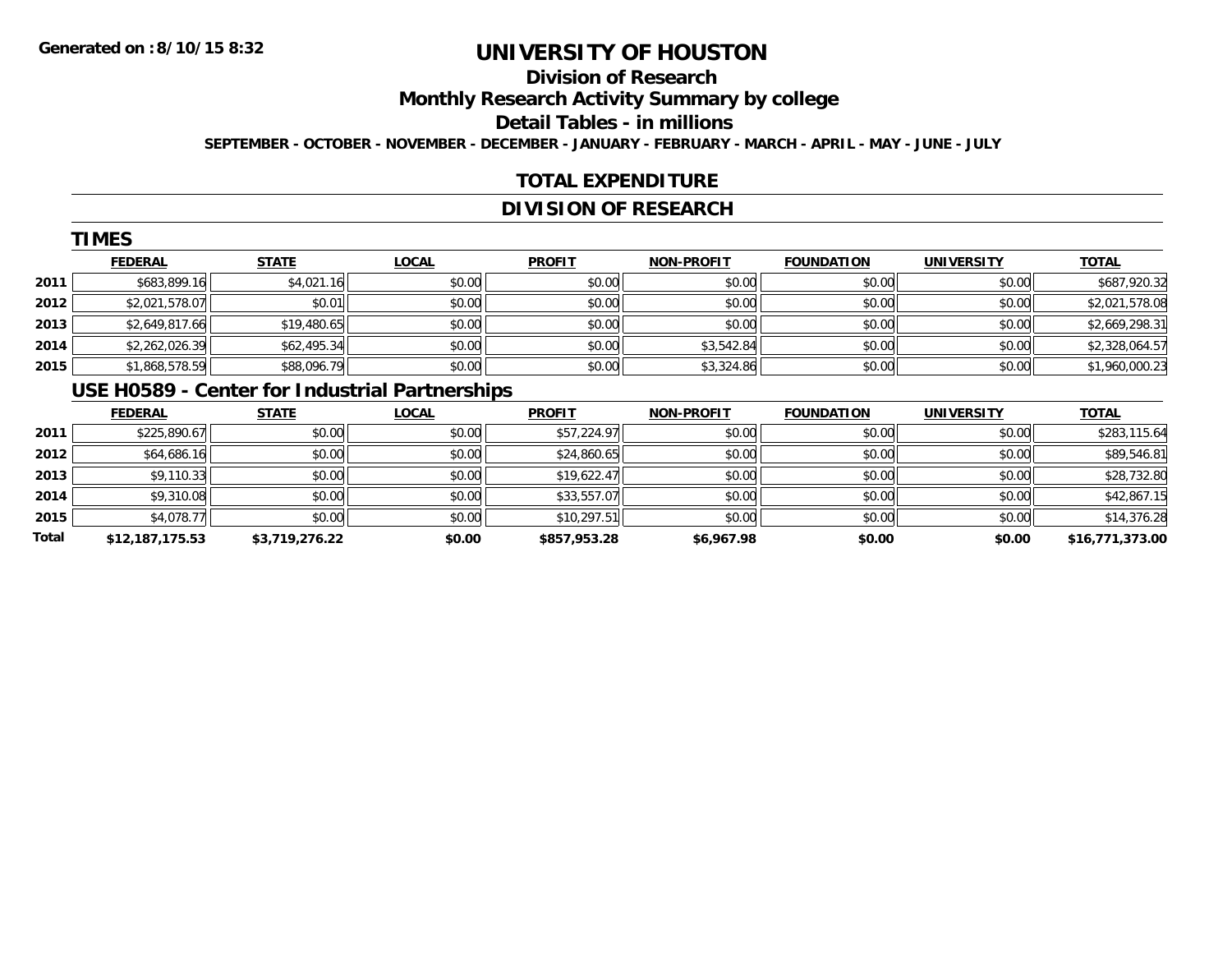# **Division of Research**

**Monthly Research Activity Summary by college**

**Detail Tables - in millions**

**SEPTEMBER - OCTOBER - NOVEMBER - DECEMBER - JANUARY - FEBRUARY - MARCH - APRIL - MAY - JUNE - JULY**

## **TOTAL EXPENDITURE**

## **DIVISION OF RESEARCH**

|      | <b>TIMES</b>   |              |              |               |                   |                   |                   |                |  |  |  |
|------|----------------|--------------|--------------|---------------|-------------------|-------------------|-------------------|----------------|--|--|--|
|      | <b>FEDERAL</b> | <b>STATE</b> | <b>LOCAL</b> | <b>PROFIT</b> | <b>NON-PROFIT</b> | <b>FOUNDATION</b> | <b>UNIVERSITY</b> | <b>TOTAL</b>   |  |  |  |
| 2011 | \$683,899.16   | \$4,021.16   | \$0.00       | \$0.00        | \$0.00            | \$0.00            | \$0.00            | \$687,920.32   |  |  |  |
| 2012 | \$2,021,578.07 | \$0.01       | \$0.00       | \$0.00        | \$0.00            | \$0.00            | \$0.00            | \$2,021,578.08 |  |  |  |
| 2013 | \$2,649,817.66 | \$19,480.65  | \$0.00       | \$0.00        | \$0.00            | \$0.00            | \$0.00            | \$2,669,298.31 |  |  |  |
| 2014 | \$2,262,026.39 | \$62,495.34  | \$0.00       | \$0.00        | \$3,542.84        | \$0.00            | \$0.00            | \$2,328,064.57 |  |  |  |
| 2015 | \$1,868,578.59 | \$88,096.79  | \$0.00       | \$0.00        | \$3,324.86        | \$0.00            | \$0.00            | \$1,960,000.23 |  |  |  |
|      | -----------    |              |              |               |                   |                   |                   |                |  |  |  |

#### **USE H0589 - Center for Industrial Partnerships**

|       | <b>FEDERAL</b>  | <b>STATE</b>   | <u>LOCAL</u> | <b>PROFIT</b> | <b>NON-PROFIT</b> | <b>FOUNDATION</b> | <b>UNIVERSITY</b> | <b>TOTAL</b>    |
|-------|-----------------|----------------|--------------|---------------|-------------------|-------------------|-------------------|-----------------|
| 2011  | \$225,890.67    | \$0.00         | \$0.00       | \$57,224.97   | \$0.00            | \$0.00            | \$0.00            | \$283,115.64    |
| 2012  | \$64,686.16     | \$0.00         | \$0.00       | \$24,860.65   | \$0.00            | \$0.00            | \$0.00            | \$89,546.81     |
| 2013  | \$9,110.33      | \$0.00         | \$0.00       | \$19,622.47   | \$0.00            | \$0.00            | \$0.00            | \$28,732.80     |
| 2014  | \$9,310.08      | \$0.00         | \$0.00       | \$33,557.07   | \$0.00            | \$0.00            | \$0.00            | \$42,867.15     |
| 2015  | \$4,078.77      | \$0.00         | \$0.00       | \$10,297.51   | \$0.00            | \$0.00            | \$0.00            | \$14,376.28     |
| Total | \$12,187,175.53 | \$3,719,276.22 | \$0.00       | \$857,953.28  | \$6,967.98        | \$0.00            | \$0.00            | \$16,771,373.00 |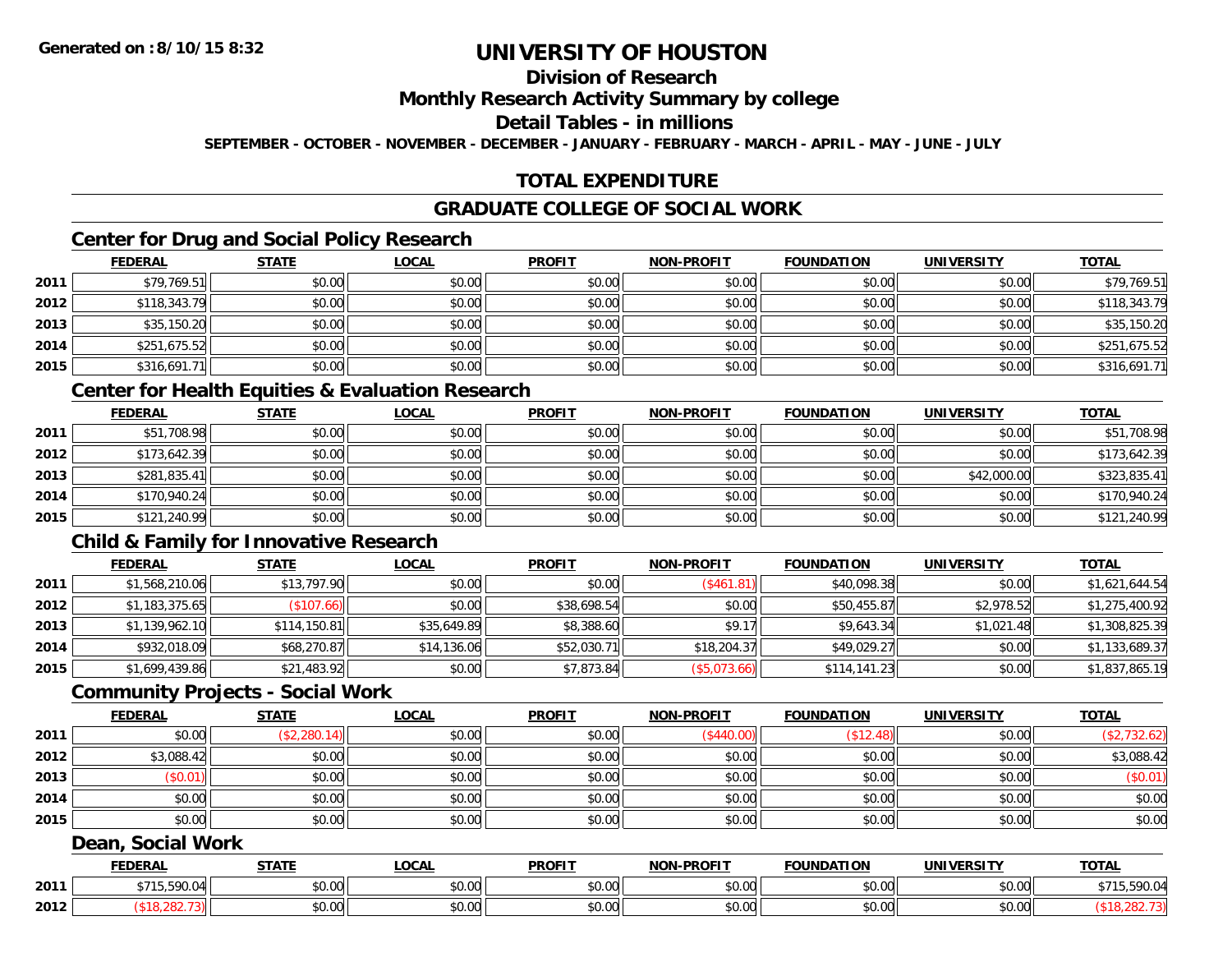## **Division of Research**

#### **Monthly Research Activity Summary by college**

#### **Detail Tables - in millions**

**SEPTEMBER - OCTOBER - NOVEMBER - DECEMBER - JANUARY - FEBRUARY - MARCH - APRIL - MAY - JUNE - JULY**

## **TOTAL EXPENDITURE**

#### **GRADUATE COLLEGE OF SOCIAL WORK**

## **Center for Drug and Social Policy Research**

|      | <b>FEDERAL</b> | <b>STATE</b> | <u>LOCAL</u> | <b>PROFIT</b> | <b>NON-PROFIT</b> | <b>FOUNDATION</b> | <b>UNIVERSITY</b> | <b>TOTAL</b> |
|------|----------------|--------------|--------------|---------------|-------------------|-------------------|-------------------|--------------|
| 2011 | \$79,769.51    | \$0.00       | \$0.00       | \$0.00        | \$0.00            | \$0.00            | \$0.00            | \$79,769.51  |
| 2012 | \$118,343.79   | \$0.00       | \$0.00       | \$0.00        | \$0.00            | \$0.00            | \$0.00            | \$118,343.79 |
| 2013 | \$35,150.20    | \$0.00       | \$0.00       | \$0.00        | \$0.00            | \$0.00            | \$0.00            | \$35,150.20  |
| 2014 | \$251,675.52   | \$0.00       | \$0.00       | \$0.00        | \$0.00            | \$0.00            | \$0.00            | \$251,675.52 |
| 2015 | \$316,691.71   | \$0.00       | \$0.00       | \$0.00        | \$0.00            | \$0.00            | \$0.00            | \$316,691.71 |

#### **Center for Health Equities & Evaluation Research**

|      | <b>FEDERAL</b> | <b>STATE</b> | <b>LOCAL</b> | <b>PROFIT</b> | <b>NON-PROFIT</b> | <b>FOUNDATION</b> | <b>UNIVERSITY</b> | <b>TOTAL</b> |
|------|----------------|--------------|--------------|---------------|-------------------|-------------------|-------------------|--------------|
| 2011 | \$51,708.98    | \$0.00       | \$0.00       | \$0.00        | \$0.00            | \$0.00            | \$0.00            | \$51,708.98  |
| 2012 | \$173,642.39   | \$0.00       | \$0.00       | \$0.00        | \$0.00            | \$0.00            | \$0.00            | \$173,642.39 |
| 2013 | \$281,835.41   | \$0.00       | \$0.00       | \$0.00        | \$0.00            | \$0.00            | \$42,000.00       | \$323,835.41 |
| 2014 | \$170,940.24   | \$0.00       | \$0.00       | \$0.00        | \$0.00            | \$0.00            | \$0.00            | \$170,940.24 |
| 2015 | \$121,240.99   | \$0.00       | \$0.00       | \$0.00        | \$0.00            | \$0.00            | \$0.00            | \$121,240.99 |

## **Child & Family for Innovative Research**

|      | <b>FEDERAL</b> | <b>STATE</b>       | <b>LOCAL</b> | <b>PROFIT</b> | <b>NON-PROFIT</b> | <b>FOUNDATION</b> | <b>UNIVERSITY</b> | <b>TOTAL</b>   |
|------|----------------|--------------------|--------------|---------------|-------------------|-------------------|-------------------|----------------|
| 2011 | \$1,568,210.06 | \$13,797.90        | \$0.00       | \$0.00        | (S461.81)         | \$40,098.38       | \$0.00            | \$1,621,644.54 |
| 2012 | \$1,183,375.65 | $($ \$107.66) $  $ | \$0.00       | \$38,698.54   | \$0.00            | \$50,455.87       | \$2,978.52        | \$1,275,400.92 |
| 2013 | \$1,139,962.10 | \$114,150.81       | \$35,649.89  | \$8,388.60    | \$9.17            | \$9,643.34        | \$1,021.48        | \$1,308,825.39 |
| 2014 | \$932,018.09   | \$68,270.87        | \$14,136.06  | \$52,030.71   | \$18,204.37       | \$49,029.27       | \$0.00            | \$1,133,689.37 |
| 2015 | \$1,699,439.86 | \$21,483.92        | \$0.00       | \$7,873.84    | (\$5,073.66)      | \$114,141.23      | \$0.00            | \$1,837,865.19 |

#### **Community Projects - Social Work**

|      | <b>FEDERAL</b> | <b>STATE</b> | <b>LOCAL</b> | <b>PROFIT</b> | <b>NON-PROFIT</b> | <b>FOUNDATION</b> | <b>UNIVERSITY</b> | <b>TOTAL</b> |
|------|----------------|--------------|--------------|---------------|-------------------|-------------------|-------------------|--------------|
| 2011 | \$0.00         | (\$2,280.14) | \$0.00       | \$0.00        | (\$440.00)        | \$12.48           | \$0.00            | (\$2,732.62) |
| 2012 | \$3,088.42     | \$0.00       | \$0.00       | \$0.00        | \$0.00            | \$0.00            | \$0.00            | \$3,088.42   |
| 2013 | (\$0.01)       | \$0.00       | \$0.00       | \$0.00        | \$0.00            | \$0.00            | \$0.00            | (\$0.01)     |
| 2014 | \$0.00         | \$0.00       | \$0.00       | \$0.00        | \$0.00            | \$0.00            | \$0.00            | \$0.00       |
| 2015 | \$0.00         | \$0.00       | \$0.00       | \$0.00        | \$0.00            | \$0.00            | \$0.00            | \$0.00       |
|      |                |              |              |               |                   |                   |                   |              |

#### **Dean, Social Work**

|      | FEDERAI | <b>STATE</b>                     | .OCAI          | <b>PROFIT</b>                    | <b>LPROFIT</b><br><b>NON</b> | .<br><b>FOUNDA</b>                        | <b>IINIVERSIT</b>      | <b>TOTAL</b> |
|------|---------|----------------------------------|----------------|----------------------------------|------------------------------|-------------------------------------------|------------------------|--------------|
| 2011 | 500     | 0000<br>ט.ט                      | ሶስ ሰሰ<br>DU.UU | 0 <sup>0</sup><br>DU.UU          | \$0.00                       | $\uparrow$ $\uparrow$ $\uparrow$<br>JU.UU | $\sim$ $\sim$<br>vv.vv | 590          |
| 2012 |         | $\sim$<br>$\sim$ $\sim$<br>JU.UU | ሶስ ሰሰ<br>JU.UU | $\circ$ $\circ$ $\circ$<br>JU.UU | \$0.00                       | ტი იი<br>JU.UU                            | \$0.00                 |              |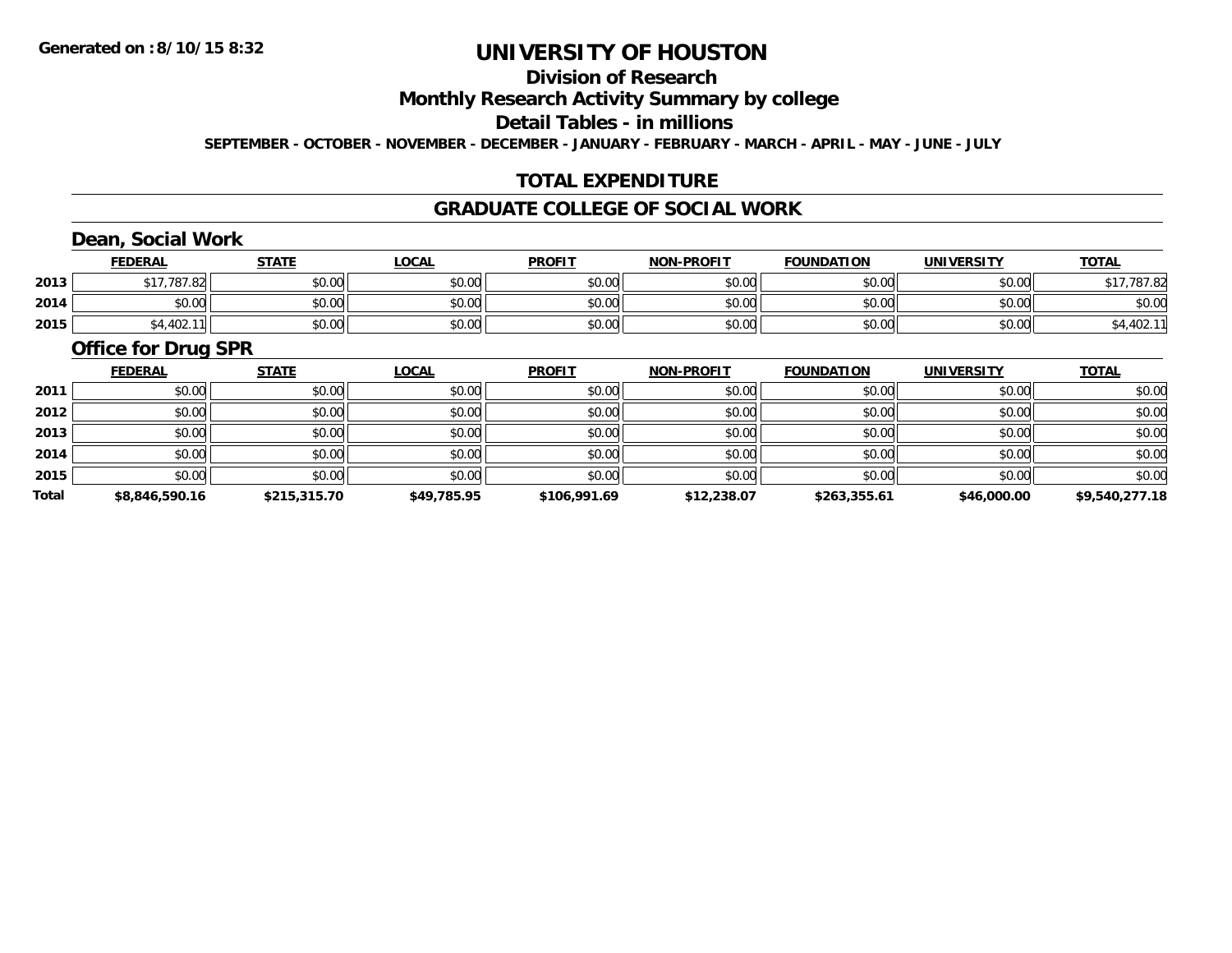# **Division of Research**

**Monthly Research Activity Summary by college**

**Detail Tables - in millions**

**SEPTEMBER - OCTOBER - NOVEMBER - DECEMBER - JANUARY - FEBRUARY - MARCH - APRIL - MAY - JUNE - JULY**

## **TOTAL EXPENDITURE**

#### **GRADUATE COLLEGE OF SOCIAL WORK**

# **Dean, Social Work**

|      | <b>FEDERAL</b>        | <b>STATE</b> | <u>LOCAL</u> | <b>PROFIT</b> | <b>NON-PROFIT</b> | <b>FOUNDATION</b> | UNIVERSITY | <b>TOTAL</b> |
|------|-----------------------|--------------|--------------|---------------|-------------------|-------------------|------------|--------------|
| 2013 | .787.82<br><b>617</b> | \$0.00       | \$0.00       | \$0.00        | \$0.00            | \$0.00            | \$0.00     | \$17,787.82  |
| 2014 | \$0.00                | \$0.00       | \$0.00       | \$0.00        | \$0.00            | \$0.00            | \$0.00     | \$0.00       |
| 2015 | \$4,402.1<br>Ш        | \$0.00       | \$0.00       | \$0.00        | \$0.00            | \$0.00            | \$0.00     | \$4,402.11   |

#### **Office for Drug SPR**

|              | <b>FEDERAL</b> | <b>STATE</b> | <b>LOCAL</b> | <b>PROFIT</b> | <b>NON-PROFIT</b> | <b>FOUNDATION</b> | <b>UNIVERSITY</b> | <b>TOTAL</b>   |
|--------------|----------------|--------------|--------------|---------------|-------------------|-------------------|-------------------|----------------|
| 2011         | \$0.00         | \$0.00       | \$0.00       | \$0.00        | \$0.00            | \$0.00            | \$0.00            | \$0.00         |
| 2012         | \$0.00         | \$0.00       | \$0.00       | \$0.00        | \$0.00            | \$0.00            | \$0.00            | \$0.00         |
| 2013         | \$0.00         | \$0.00       | \$0.00       | \$0.00        | \$0.00            | \$0.00            | \$0.00            | \$0.00         |
| 2014         | \$0.00         | \$0.00       | \$0.00       | \$0.00        | \$0.00            | \$0.00            | \$0.00            | \$0.00         |
| 2015         | \$0.00         | \$0.00       | \$0.00       | \$0.00        | \$0.00            | \$0.00            | \$0.00            | \$0.00         |
| <b>Total</b> | \$8,846,590.16 | \$215,315.70 | \$49,785.95  | \$106,991.69  | \$12,238.07       | \$263,355.61      | \$46,000.00       | \$9,540,277.18 |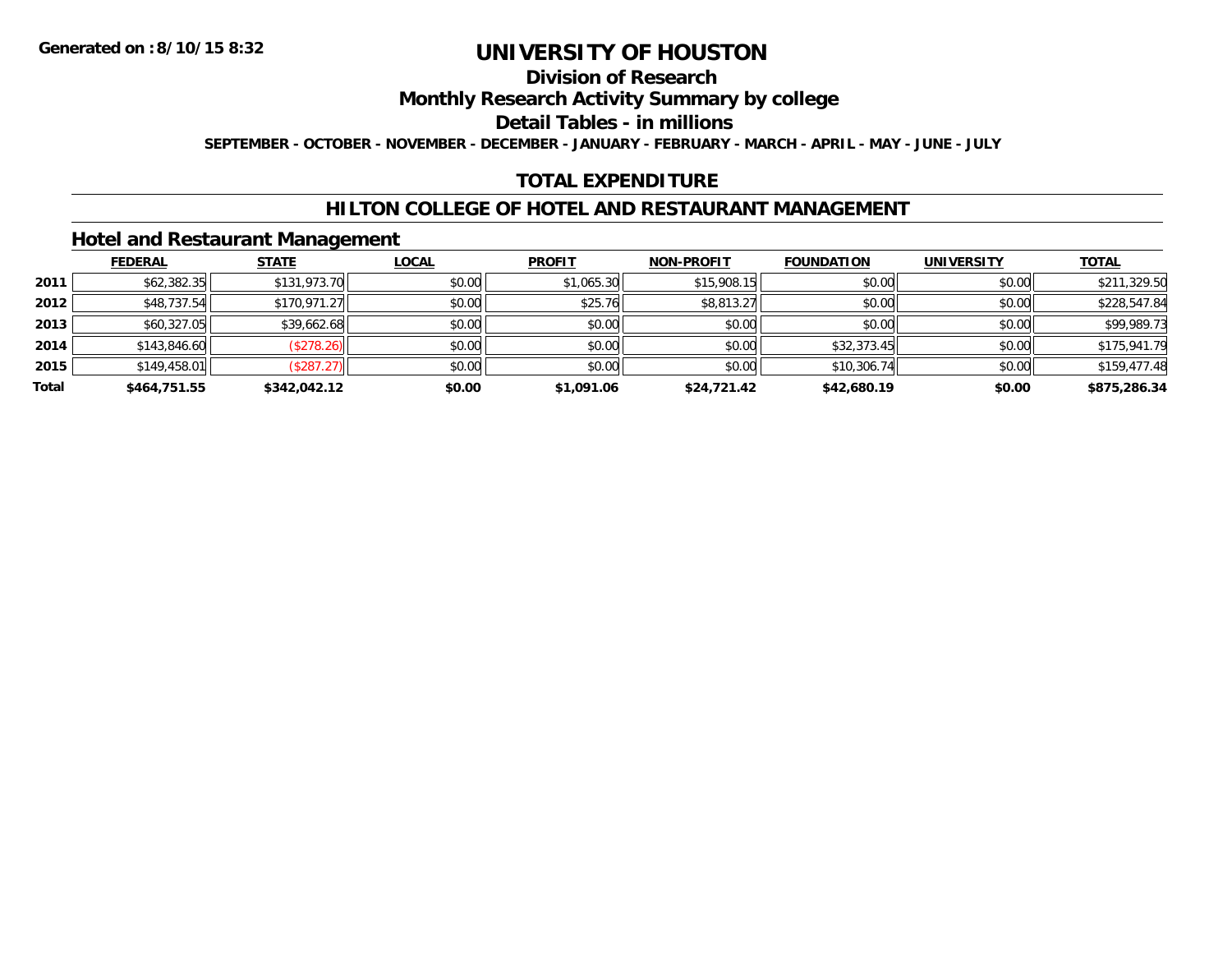#### **Division of Research**

**Monthly Research Activity Summary by college**

**Detail Tables - in millions**

**SEPTEMBER - OCTOBER - NOVEMBER - DECEMBER - JANUARY - FEBRUARY - MARCH - APRIL - MAY - JUNE - JULY**

## **TOTAL EXPENDITURE**

#### **HILTON COLLEGE OF HOTEL AND RESTAURANT MANAGEMENT**

#### **Hotel and Restaurant Management**

|       | <b>FEDERAL</b> | <b>STATE</b> | <u>LOCAL</u> | <b>PROFIT</b> | <b>NON-PROFIT</b> | <b>FOUNDATION</b> | <b>UNIVERSITY</b> | <b>TOTAL</b> |
|-------|----------------|--------------|--------------|---------------|-------------------|-------------------|-------------------|--------------|
| 2011  | \$62,382.35    | \$131,973.70 | \$0.00       | \$1,065.30    | \$15,908.15       | \$0.00            | \$0.00            | \$211,329.50 |
| 2012  | \$48,737.54    | \$170,971.27 | \$0.00       | \$25.76       | \$8,813.27        | \$0.00            | \$0.00            | \$228,547.84 |
| 2013  | \$60,327.05    | \$39,662.68  | \$0.00       | \$0.00        | \$0.00            | \$0.00            | \$0.00            | \$99,989.73  |
| 2014  | \$143,846.60   | (\$278.26)   | \$0.00       | \$0.00        | \$0.00            | \$32,373.45       | \$0.00            | \$175,941.79 |
| 2015  | \$149,458.01   | (\$287.27)   | \$0.00       | \$0.00        | \$0.00            | \$10,306.74       | \$0.00            | \$159,477.48 |
| Total | \$464,751.55   | \$342,042.12 | \$0.00       | \$1,091.06    | \$24,721.42       | \$42,680.19       | \$0.00            | \$875,286.34 |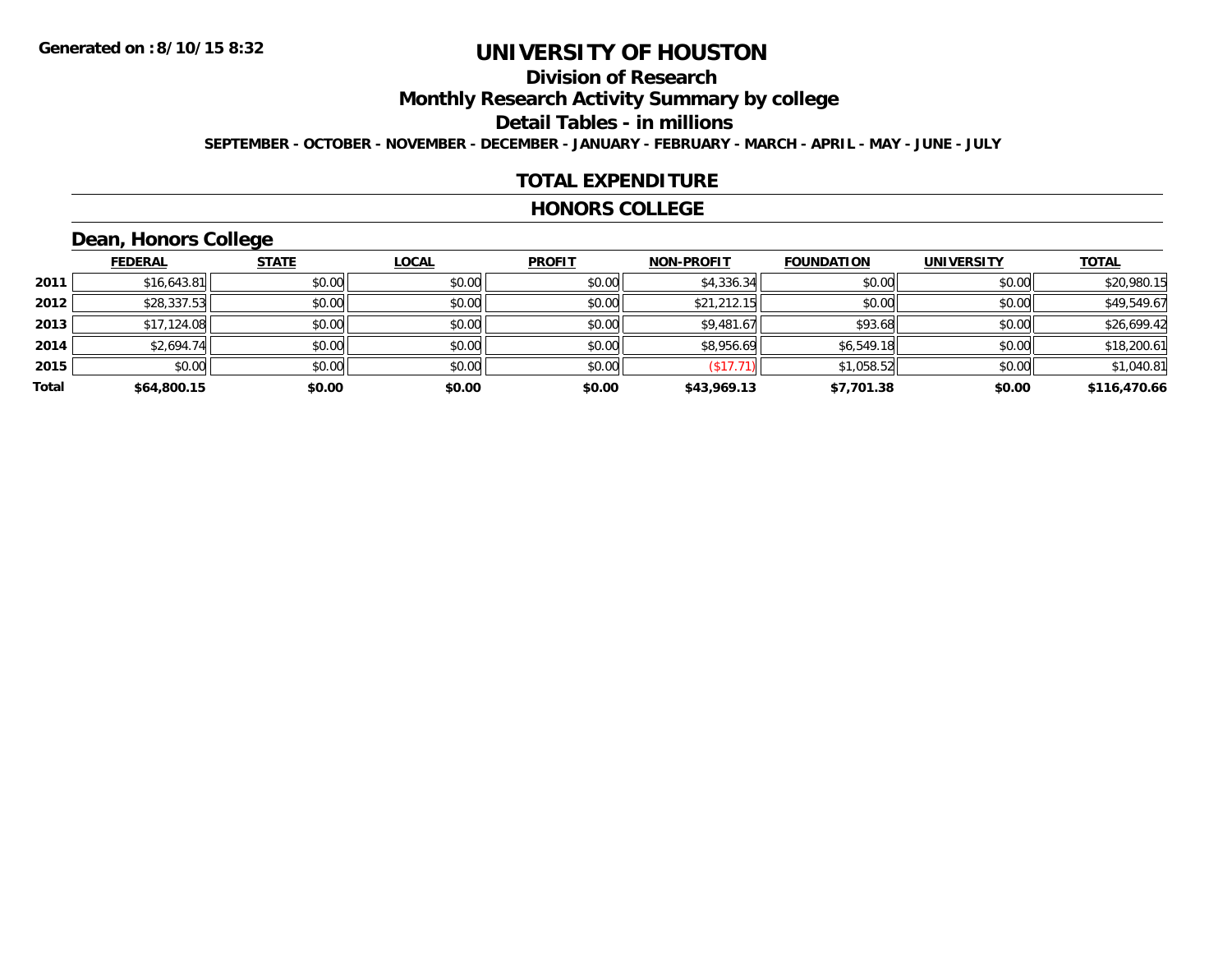## **Division of Research**

**Monthly Research Activity Summary by college**

**Detail Tables - in millions**

**SEPTEMBER - OCTOBER - NOVEMBER - DECEMBER - JANUARY - FEBRUARY - MARCH - APRIL - MAY - JUNE - JULY**

#### **TOTAL EXPENDITURE**

#### **HONORS COLLEGE**

# **Dean, Honors College**

|       |                | $\sim$       |        |               |                   |                   |                   |              |
|-------|----------------|--------------|--------|---------------|-------------------|-------------------|-------------------|--------------|
|       | <u>FEDERAL</u> | <b>STATE</b> | LOCAL  | <b>PROFIT</b> | <b>NON-PROFIT</b> | <b>FOUNDATION</b> | <b>UNIVERSITY</b> | <b>TOTAL</b> |
| 2011  | \$16,643.81    | \$0.00       | \$0.00 | \$0.00        | \$4,336.34        | \$0.00            | \$0.00            | \$20,980.15  |
| 2012  | \$28,337.53    | \$0.00       | \$0.00 | \$0.00        | \$21,212.15       | \$0.00            | \$0.00            | \$49,549.67  |
| 2013  | \$17,124.08    | \$0.00       | \$0.00 | \$0.00        | \$9,481.67        | \$93.68           | \$0.00            | \$26,699.42  |
| 2014  | \$2,694.74     | \$0.00       | \$0.00 | \$0.00        | \$8,956.69        | \$6,549.18        | \$0.00            | \$18,200.61  |
| 2015  | \$0.00         | \$0.00       | \$0.00 | \$0.00        | (\$17.71          | \$1,058.52        | \$0.00            | \$1,040.81   |
| Total | \$64,800.15    | \$0.00       | \$0.00 | \$0.00        | \$43,969.13       | \$7,701.38        | \$0.00            | \$116,470.66 |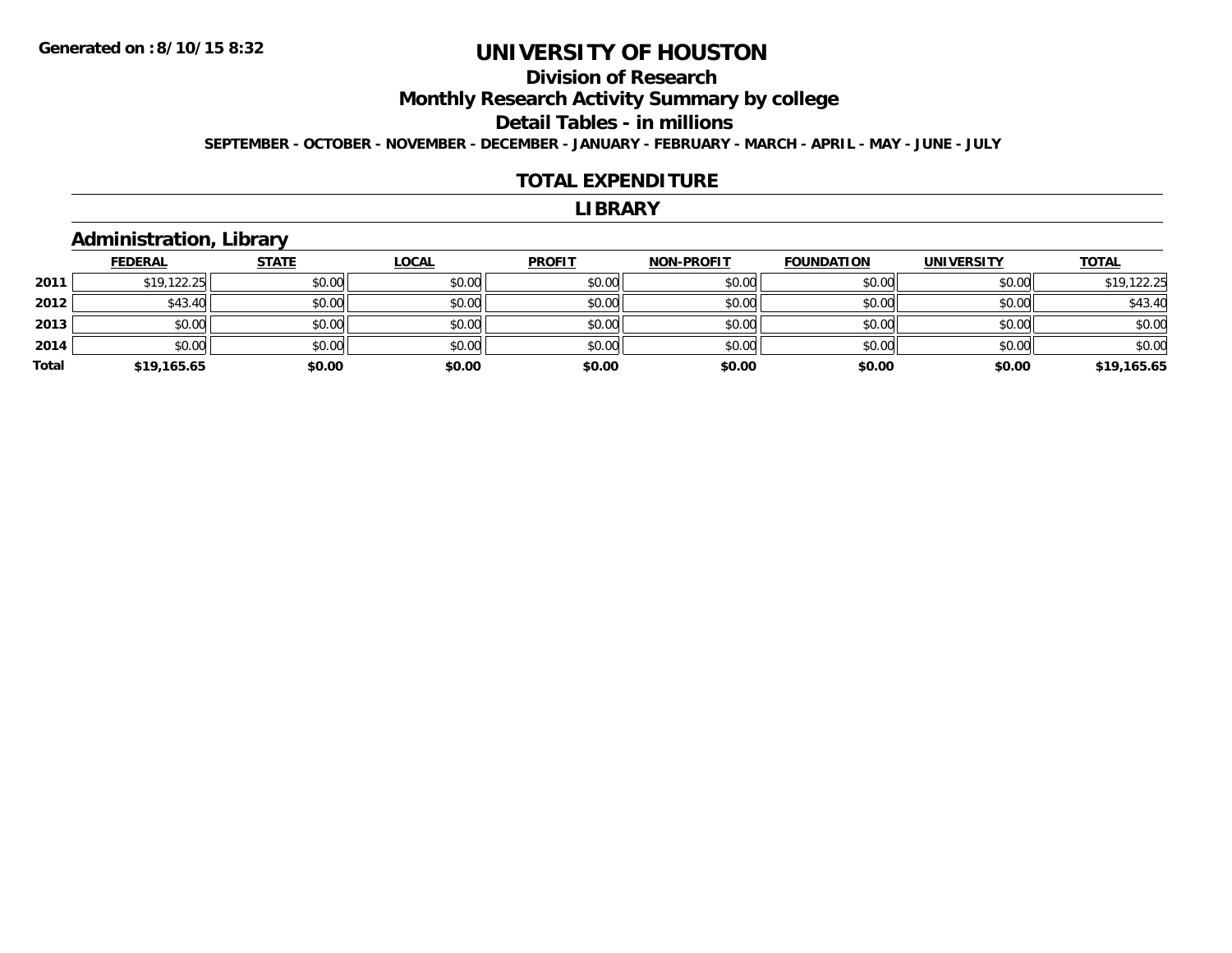## **Division of Research**

**Monthly Research Activity Summary by college**

**Detail Tables - in millions**

**SEPTEMBER - OCTOBER - NOVEMBER - DECEMBER - JANUARY - FEBRUARY - MARCH - APRIL - MAY - JUNE - JULY**

#### **TOTAL EXPENDITURE**

#### **LIBRARY**

#### **Administration, Library**

|       | <b>FEDERAL</b> | <b>STATE</b> | <u>LOCAL</u> | <b>PROFIT</b> | <b>NON-PROFIT</b> | <b>FOUNDATION</b> | <b>UNIVERSITY</b> | <b>TOTAL</b> |
|-------|----------------|--------------|--------------|---------------|-------------------|-------------------|-------------------|--------------|
| 2011  | \$19,122.25    | \$0.00       | \$0.00       | \$0.00        | \$0.00            | \$0.00            | \$0.00            | \$19,122.25  |
| 2012  | \$43.40        | \$0.00       | \$0.00       | \$0.00        | \$0.00            | \$0.00            | \$0.00            | \$43.40      |
| 2013  | \$0.00         | \$0.00       | \$0.00       | \$0.00        | \$0.00            | \$0.00            | \$0.00            | \$0.00       |
| 2014  | \$0.00         | \$0.00       | \$0.00       | \$0.00        | \$0.00            | \$0.00            | \$0.00            | \$0.00       |
| Total | \$19,165.65    | \$0.00       | \$0.00       | \$0.00        | \$0.00            | \$0.00            | \$0.00            | \$19,165.65  |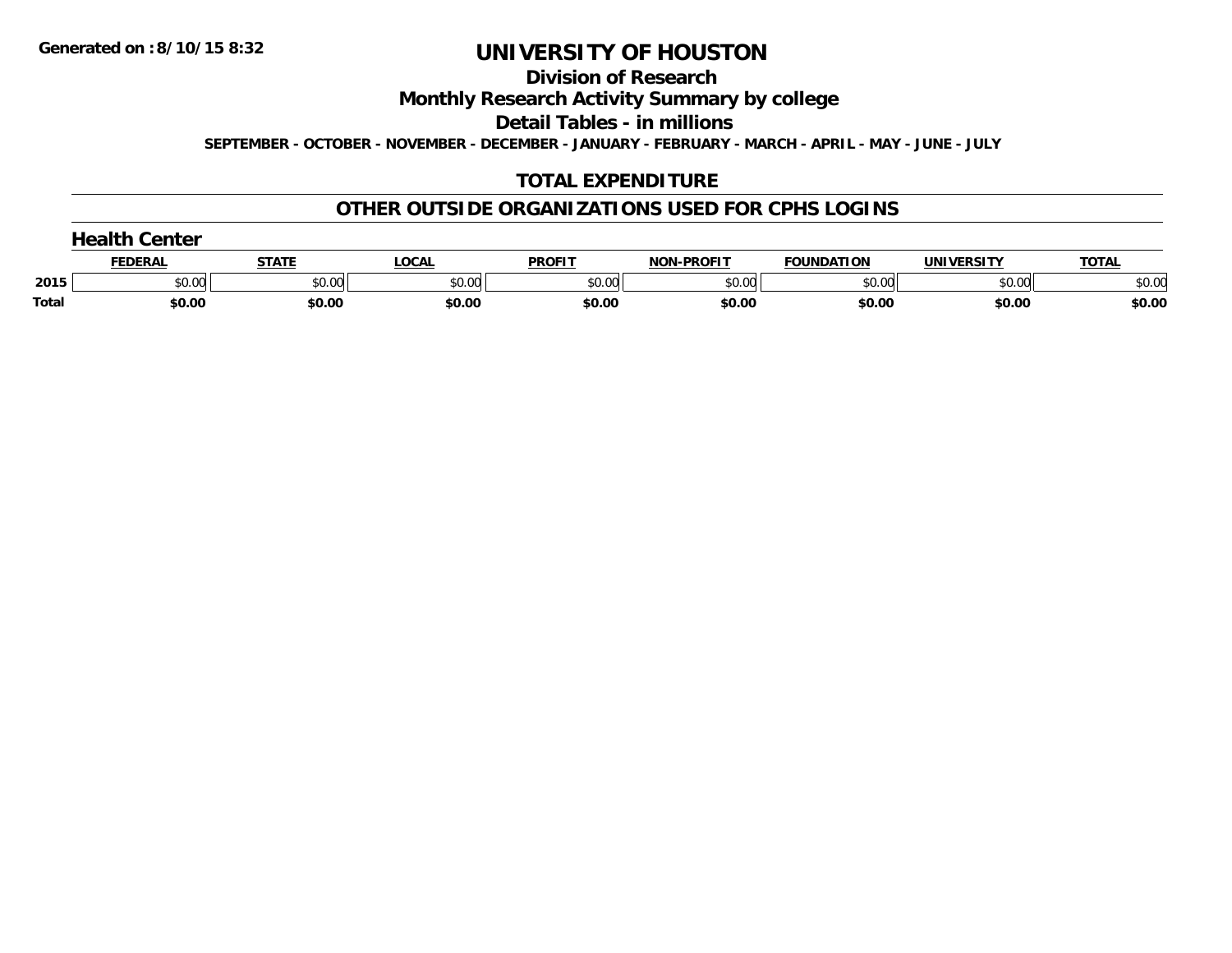**Division of Research**

**Monthly Research Activity Summary by college**

**Detail Tables - in millions**

**SEPTEMBER - OCTOBER - NOVEMBER - DECEMBER - JANUARY - FEBRUARY - MARCH - APRIL - MAY - JUNE - JULY**

## **TOTAL EXPENDITURE**

#### **OTHER OUTSIDE ORGANIZATIONS USED FOR CPHS LOGINS**

|       | Center<br>$\sim$ $\sim$ 1+ $\sim$ . |              |        |               |                   |                   |                   |              |  |  |
|-------|-------------------------------------|--------------|--------|---------------|-------------------|-------------------|-------------------|--------------|--|--|
|       | <b>FEDERAL</b>                      | <b>CTATE</b> | ∟OCAI  | <b>PROFIT</b> | <b>NON-PROFIT</b> | <b>FOUNDATION</b> | <b>UNIVERSITY</b> | <b>TOTAL</b> |  |  |
| 2015  | \$0.00                              | \$0.00       | \$0.00 | \$0.00        | \$0.00            | \$0.00            | \$0.00            | \$0.00       |  |  |
| Total | \$0.00                              | \$0.00       | \$0.00 | \$0.00        | \$0.00            | \$0.00            | \$0.00            | \$0.00       |  |  |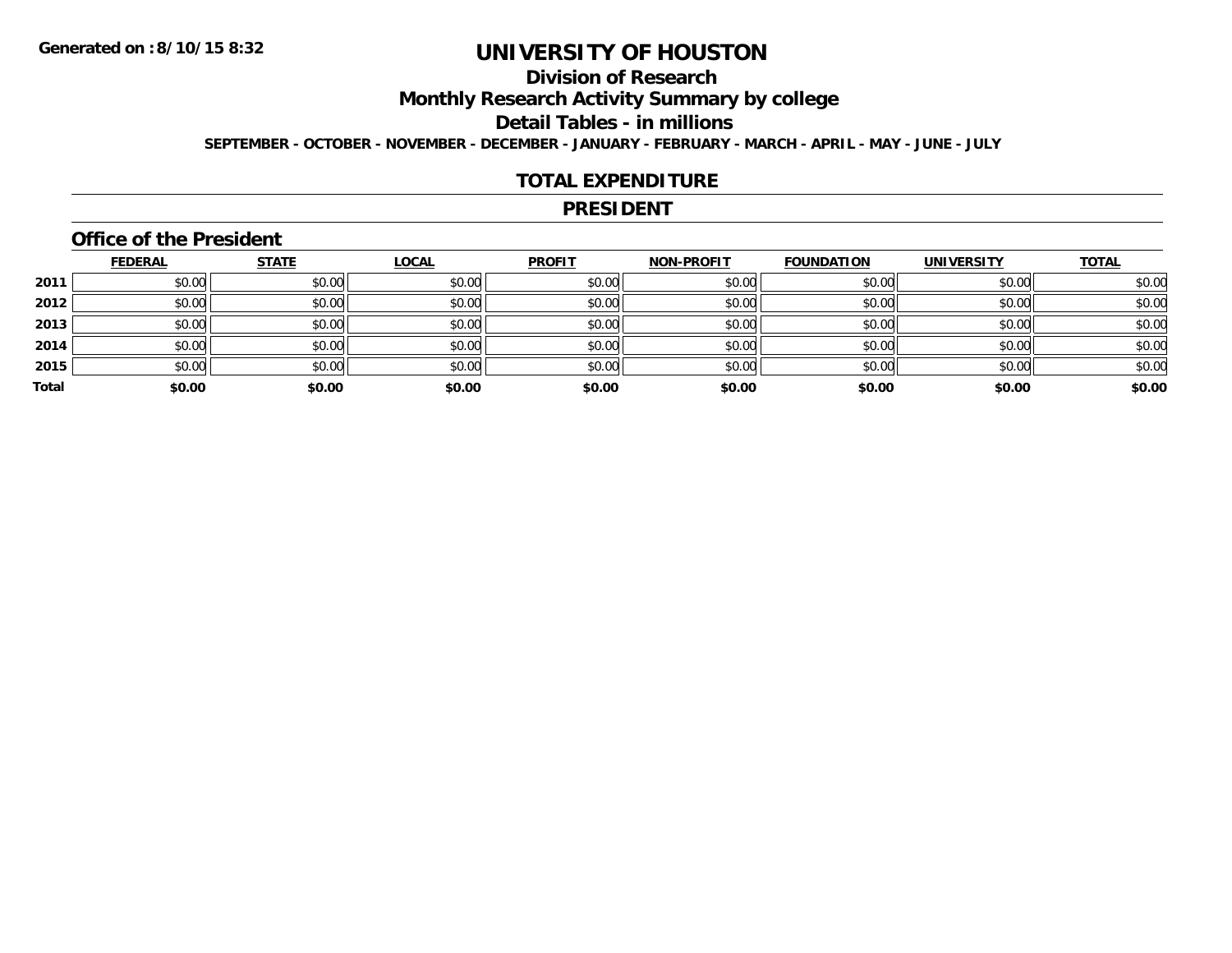## **Division of Research**

**Monthly Research Activity Summary by college**

**Detail Tables - in millions**

**SEPTEMBER - OCTOBER - NOVEMBER - DECEMBER - JANUARY - FEBRUARY - MARCH - APRIL - MAY - JUNE - JULY**

#### **TOTAL EXPENDITURE**

#### **PRESIDENT**

#### **Office of the President**

|       | <b>FEDERAL</b> | <b>STATE</b> | <b>LOCAL</b> | <b>PROFIT</b> | <b>NON-PROFIT</b> | <b>FOUNDATION</b> | <b>UNIVERSITY</b> | <b>TOTAL</b> |
|-------|----------------|--------------|--------------|---------------|-------------------|-------------------|-------------------|--------------|
| 2011  | \$0.00         | \$0.00       | \$0.00       | \$0.00        | \$0.00            | \$0.00            | \$0.00            | \$0.00       |
| 2012  | \$0.00         | \$0.00       | \$0.00       | \$0.00        | \$0.00            | \$0.00            | \$0.00            | \$0.00       |
| 2013  | \$0.00         | \$0.00       | \$0.00       | \$0.00        | \$0.00            | \$0.00            | \$0.00            | \$0.00       |
| 2014  | \$0.00         | \$0.00       | \$0.00       | \$0.00        | \$0.00            | \$0.00            | \$0.00            | \$0.00       |
| 2015  | \$0.00         | \$0.00       | \$0.00       | \$0.00        | \$0.00            | \$0.00            | \$0.00            | \$0.00       |
| Total | \$0.00         | \$0.00       | \$0.00       | \$0.00        | \$0.00            | \$0.00            | \$0.00            | \$0.00       |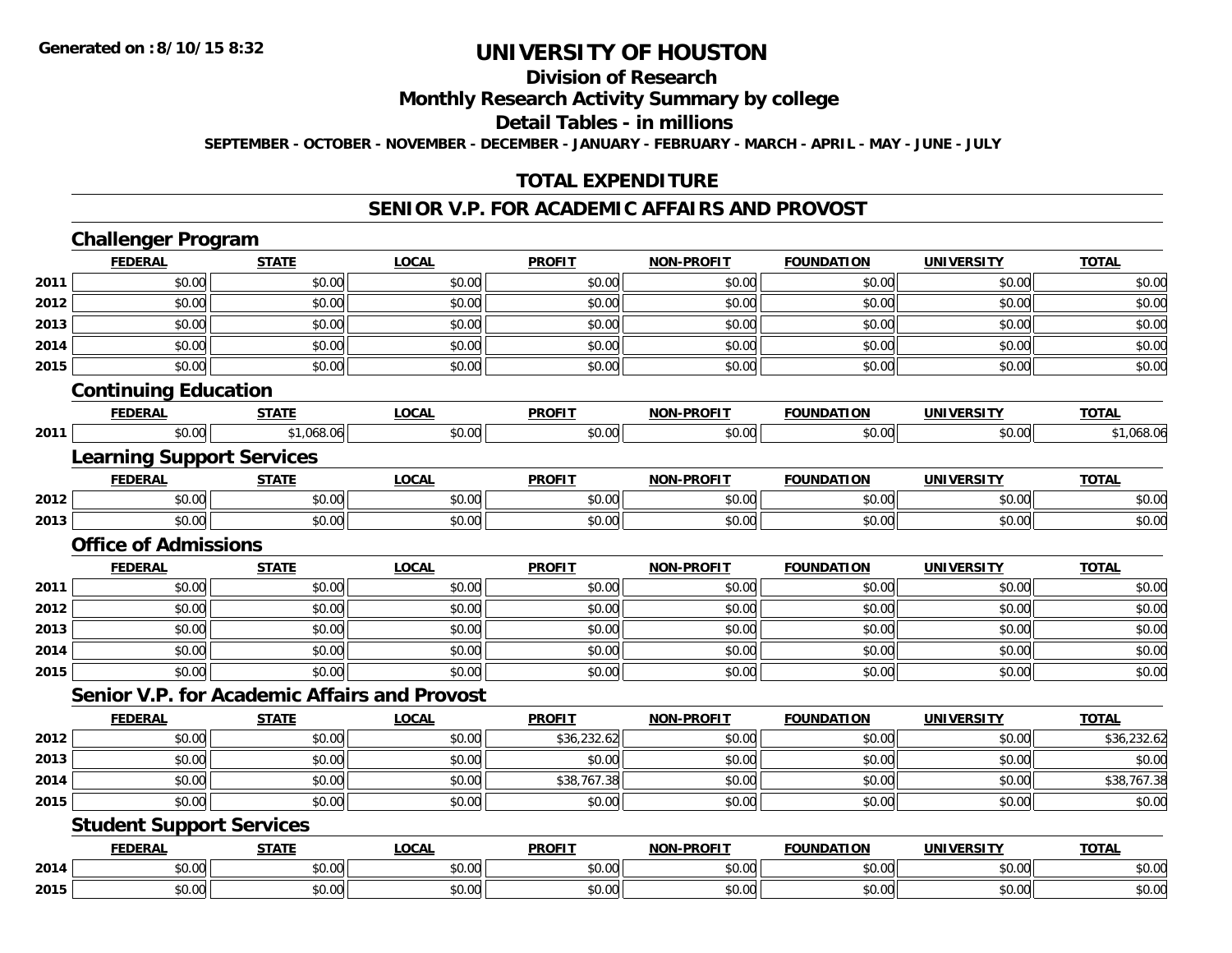# **Division of Research**

#### **Monthly Research Activity Summary by college**

#### **Detail Tables - in millions**

**SEPTEMBER - OCTOBER - NOVEMBER - DECEMBER - JANUARY - FEBRUARY - MARCH - APRIL - MAY - JUNE - JULY**

#### **TOTAL EXPENDITURE**

#### **SENIOR V.P. FOR ACADEMIC AFFAIRS AND PROVOST**

|      | <b>Challenger Program</b>        |                                                     |              |               |                   |                   |                   |              |
|------|----------------------------------|-----------------------------------------------------|--------------|---------------|-------------------|-------------------|-------------------|--------------|
|      | <b>FEDERAL</b>                   | <b>STATE</b>                                        | <b>LOCAL</b> | <b>PROFIT</b> | <b>NON-PROFIT</b> | <b>FOUNDATION</b> | <b>UNIVERSITY</b> | <b>TOTAL</b> |
| 2011 | \$0.00                           | \$0.00                                              | \$0.00       | \$0.00        | \$0.00            | \$0.00            | \$0.00            | \$0.00       |
| 2012 | \$0.00                           | \$0.00                                              | \$0.00       | \$0.00        | \$0.00            | \$0.00            | \$0.00            | \$0.00       |
| 2013 | \$0.00                           | \$0.00                                              | \$0.00       | \$0.00        | \$0.00            | \$0.00            | \$0.00            | \$0.00       |
| 2014 | \$0.00                           | \$0.00                                              | \$0.00       | \$0.00        | \$0.00            | \$0.00            | \$0.00            | \$0.00       |
| 2015 | \$0.00                           | \$0.00                                              | \$0.00       | \$0.00        | \$0.00            | \$0.00            | \$0.00            | \$0.00       |
|      | <b>Continuing Education</b>      |                                                     |              |               |                   |                   |                   |              |
|      | <b>FEDERAL</b>                   | <b>STATE</b>                                        | <b>LOCAL</b> | <b>PROFIT</b> | <b>NON-PROFIT</b> | <b>FOUNDATION</b> | <b>UNIVERSITY</b> | <b>TOTAL</b> |
| 2011 | \$0.00                           | \$1,068.06                                          | \$0.00       | \$0.00        | \$0.00            | \$0.00            | \$0.00            | \$1,068.06   |
|      | <b>Learning Support Services</b> |                                                     |              |               |                   |                   |                   |              |
|      | <b>FEDERAL</b>                   | <b>STATE</b>                                        | <b>LOCAL</b> | <b>PROFIT</b> | <b>NON-PROFIT</b> | <b>FOUNDATION</b> | <b>UNIVERSITY</b> | <b>TOTAL</b> |
| 2012 | \$0.00                           | \$0.00                                              | \$0.00       | \$0.00        | \$0.00            | \$0.00            | \$0.00            | \$0.00       |
| 2013 | \$0.00                           | \$0.00                                              | \$0.00       | \$0.00        | \$0.00            | \$0.00            | \$0.00            | \$0.00       |
|      | <b>Office of Admissions</b>      |                                                     |              |               |                   |                   |                   |              |
|      | <b>FEDERAL</b>                   | <b>STATE</b>                                        | <b>LOCAL</b> | <b>PROFIT</b> | <b>NON-PROFIT</b> | <b>FOUNDATION</b> | <b>UNIVERSITY</b> | <b>TOTAL</b> |
| 2011 | \$0.00                           | \$0.00                                              | \$0.00       | \$0.00        | \$0.00            | \$0.00            | \$0.00            | \$0.00       |
| 2012 | \$0.00                           | \$0.00                                              | \$0.00       | \$0.00        | \$0.00            | \$0.00            | \$0.00            | \$0.00       |
| 2013 | \$0.00                           | \$0.00                                              | \$0.00       | \$0.00        | \$0.00            | \$0.00            | \$0.00            | \$0.00       |
| 2014 | \$0.00                           | \$0.00                                              | \$0.00       | \$0.00        | \$0.00            | \$0.00            | \$0.00            | \$0.00       |
| 2015 | \$0.00                           | \$0.00                                              | \$0.00       | \$0.00        | \$0.00            | \$0.00            | \$0.00            | \$0.00       |
|      |                                  | <b>Senior V.P. for Academic Affairs and Provost</b> |              |               |                   |                   |                   |              |
|      | <b>FEDERAL</b>                   | <b>STATE</b>                                        | <b>LOCAL</b> | <b>PROFIT</b> | <b>NON-PROFIT</b> | <b>FOUNDATION</b> | <b>UNIVERSITY</b> | <b>TOTAL</b> |
| 2012 | \$0.00                           | \$0.00                                              | \$0.00       | \$36,232.62   | \$0.00            | \$0.00            | \$0.00            | \$36,232.62  |
| 2013 | \$0.00                           | \$0.00                                              | \$0.00       | \$0.00        | \$0.00            | \$0.00            | \$0.00            | \$0.00       |
| 2014 | \$0.00                           | \$0.00                                              | \$0.00       | \$38,767.38   | \$0.00            | \$0.00            | \$0.00            | \$38,767.38  |
| 2015 | \$0.00                           | \$0.00                                              | \$0.00       | \$0.00        | \$0.00            | \$0.00            | \$0.00            | \$0.00       |
|      | <b>Student Support Services</b>  |                                                     |              |               |                   |                   |                   |              |
|      | <b>FEDERAL</b>                   | <b>STATE</b>                                        | <b>LOCAL</b> | <b>PROFIT</b> | <b>NON-PROFIT</b> | <b>FOUNDATION</b> | <b>UNIVERSITY</b> | <b>TOTAL</b> |
| 2014 | \$0.00                           | \$0.00                                              | \$0.00       | \$0.00        | \$0.00            | \$0.00            | \$0.00            | \$0.00       |
| 2015 | \$0.00                           | \$0.00                                              | \$0.00       | \$0.00        | \$0.00            | \$0.00            | \$0.00            | \$0.00       |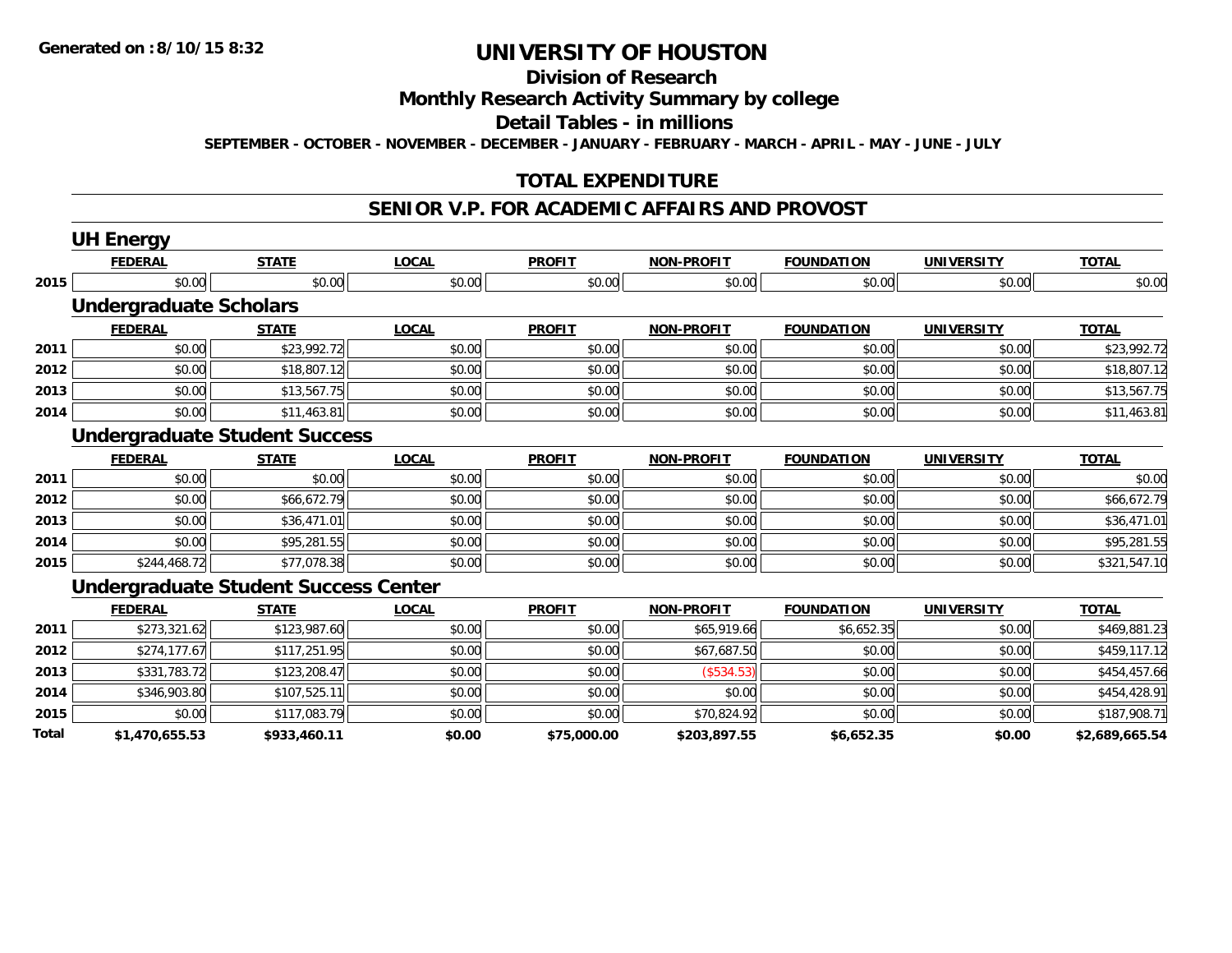# **Division of Research**

#### **Monthly Research Activity Summary by college**

#### **Detail Tables - in millions**

**SEPTEMBER - OCTOBER - NOVEMBER - DECEMBER - JANUARY - FEBRUARY - MARCH - APRIL - MAY - JUNE - JULY**

#### **TOTAL EXPENDITURE**

#### **SENIOR V.P. FOR ACADEMIC AFFAIRS AND PROVOST**

|       | <b>UH Energy</b>                            |              |              |               |                   |                   |                   |                |
|-------|---------------------------------------------|--------------|--------------|---------------|-------------------|-------------------|-------------------|----------------|
|       | <b>FEDERAL</b>                              | <b>STATE</b> | <b>LOCAL</b> | <b>PROFIT</b> | <b>NON-PROFIT</b> | <b>FOUNDATION</b> | <b>UNIVERSITY</b> | <b>TOTAL</b>   |
| 2015  | \$0.00                                      | \$0.00       | \$0.00       | \$0.00        | \$0.00            | \$0.00            | \$0.00            | \$0.00         |
|       | <b>Undergraduate Scholars</b>               |              |              |               |                   |                   |                   |                |
|       | <b>FEDERAL</b>                              | <b>STATE</b> | <b>LOCAL</b> | <b>PROFIT</b> | <b>NON-PROFIT</b> | <b>FOUNDATION</b> | <b>UNIVERSITY</b> | <b>TOTAL</b>   |
| 2011  | \$0.00                                      | \$23,992.72  | \$0.00       | \$0.00        | \$0.00            | \$0.00            | \$0.00            | \$23,992.72    |
| 2012  | \$0.00                                      | \$18,807.12  | \$0.00       | \$0.00        | \$0.00            | \$0.00            | \$0.00            | \$18,807.12    |
| 2013  | \$0.00                                      | \$13,567.75  | \$0.00       | \$0.00        | \$0.00            | \$0.00            | \$0.00            | \$13,567.75    |
| 2014  | \$0.00                                      | \$11,463.81  | \$0.00       | \$0.00        | \$0.00            | \$0.00            | \$0.00            | \$11,463.81    |
|       | <b>Undergraduate Student Success</b>        |              |              |               |                   |                   |                   |                |
|       | <b>FEDERAL</b>                              | <b>STATE</b> | <b>LOCAL</b> | <b>PROFIT</b> | <b>NON-PROFIT</b> | <b>FOUNDATION</b> | <b>UNIVERSITY</b> | <b>TOTAL</b>   |
| 2011  | \$0.00                                      | \$0.00       | \$0.00       | \$0.00        | \$0.00            | \$0.00            | \$0.00            | \$0.00         |
| 2012  | \$0.00                                      | \$66,672.79  | \$0.00       | \$0.00        | \$0.00            | \$0.00            | \$0.00            | \$66,672.79    |
| 2013  | \$0.00                                      | \$36,471.01  | \$0.00       | \$0.00        | \$0.00            | \$0.00            | \$0.00            | \$36,471.01    |
| 2014  | \$0.00                                      | \$95,281.55  | \$0.00       | \$0.00        | \$0.00            | \$0.00            | \$0.00            | \$95,281.55    |
| 2015  | \$244,468.72                                | \$77,078.38  | \$0.00       | \$0.00        | \$0.00            | \$0.00            | \$0.00            | \$321,547.10   |
|       | <b>Undergraduate Student Success Center</b> |              |              |               |                   |                   |                   |                |
|       | <b>FEDERAL</b>                              | <b>STATE</b> | <b>LOCAL</b> | <b>PROFIT</b> | <b>NON-PROFIT</b> | <b>FOUNDATION</b> | <b>UNIVERSITY</b> | <b>TOTAL</b>   |
| 2011  | \$273,321.62                                | \$123,987.60 | \$0.00       | \$0.00        | \$65,919.66       | \$6,652.35        | \$0.00            | \$469,881.23   |
| 2012  | \$274,177.67                                | \$117,251.95 | \$0.00       | \$0.00        | \$67,687.50       | \$0.00            | \$0.00            | \$459,117.12   |
| 2013  | \$331,783.72                                | \$123,208.47 | \$0.00       | \$0.00        | (\$534.53)        | \$0.00            | \$0.00            | \$454,457.66   |
| 2014  | \$346,903.80                                | \$107,525.11 | \$0.00       | \$0.00        | \$0.00            | \$0.00            | \$0.00            | \$454,428.91   |
| 2015  | \$0.00                                      | \$117,083.79 | \$0.00       | \$0.00        | \$70,824.92       | \$0.00            | \$0.00            | \$187,908.71   |
| Total | \$1,470,655.53                              | \$933,460.11 | \$0.00       | \$75,000.00   | \$203,897.55      | \$6,652.35        | \$0.00            | \$2,689,665.54 |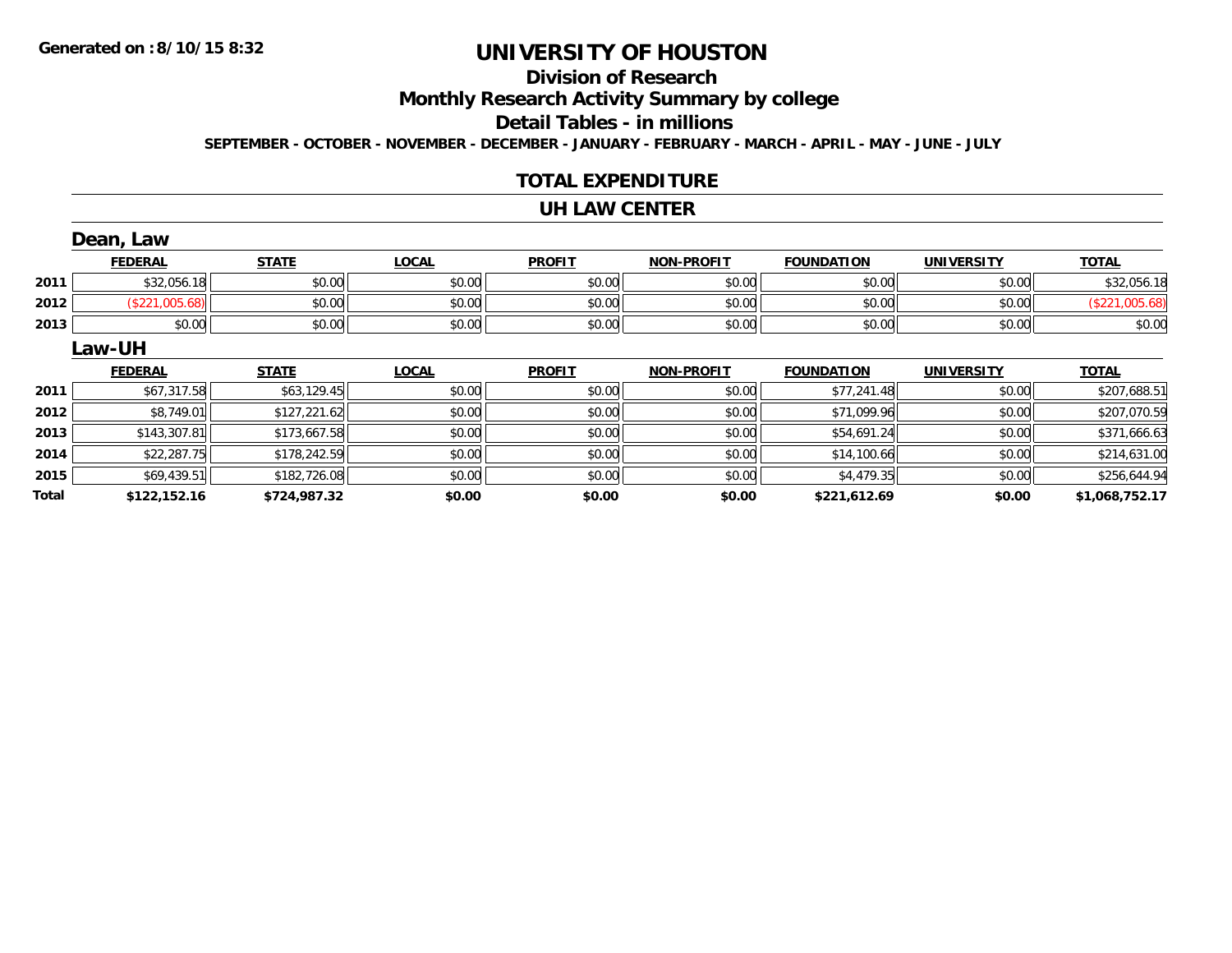## **Division of Research**

**Monthly Research Activity Summary by college**

**Detail Tables - in millions**

**SEPTEMBER - OCTOBER - NOVEMBER - DECEMBER - JANUARY - FEBRUARY - MARCH - APRIL - MAY - JUNE - JULY**

#### **TOTAL EXPENDITURE**

#### **UH LAW CENTER**

|              | Dean, Law      |              |              |               |                   |                   |                   |                |
|--------------|----------------|--------------|--------------|---------------|-------------------|-------------------|-------------------|----------------|
|              | <b>FEDERAL</b> | <b>STATE</b> | <b>LOCAL</b> | <b>PROFIT</b> | <b>NON-PROFIT</b> | <b>FOUNDATION</b> | <b>UNIVERSITY</b> | <b>TOTAL</b>   |
| 2011         | \$32,056.18    | \$0.00       | \$0.00       | \$0.00        | \$0.00            | \$0.00            | \$0.00            | \$32,056.18    |
| 2012         | (\$221,005.68) | \$0.00       | \$0.00       | \$0.00        | \$0.00            | \$0.00            | \$0.00            | (\$221,005.68) |
| 2013         | \$0.00         | \$0.00       | \$0.00       | \$0.00        | \$0.00            | \$0.00            | \$0.00            | \$0.00         |
|              | Law-UH         |              |              |               |                   |                   |                   |                |
|              | <b>FEDERAL</b> | <b>STATE</b> | <b>LOCAL</b> | <b>PROFIT</b> | <b>NON-PROFIT</b> | <b>FOUNDATION</b> | <b>UNIVERSITY</b> | <b>TOTAL</b>   |
| 2011         | \$67,317.58    | \$63,129.45  | \$0.00       | \$0.00        | \$0.00            | \$77,241.48       | \$0.00            | \$207,688.51   |
| 2012         | \$8,749.01     | \$127,221.62 | \$0.00       | \$0.00        | \$0.00            | \$71,099.96       | \$0.00            | \$207,070.59   |
| 2013         | \$143,307.81   | \$173,667.58 | \$0.00       | \$0.00        | \$0.00            | \$54,691.24       | \$0.00            | \$371,666.63   |
| 2014         | \$22,287.75    | \$178,242.59 | \$0.00       | \$0.00        | \$0.00            | \$14,100.66       | \$0.00            | \$214,631.00   |
| 2015         | \$69,439.51    | \$182,726.08 | \$0.00       | \$0.00        | \$0.00            | \$4,479.35        | \$0.00            | \$256,644.94   |
| <b>Total</b> | \$122,152.16   | \$724,987.32 | \$0.00       | \$0.00        | \$0.00            | \$221,612.69      | \$0.00            | \$1,068,752.17 |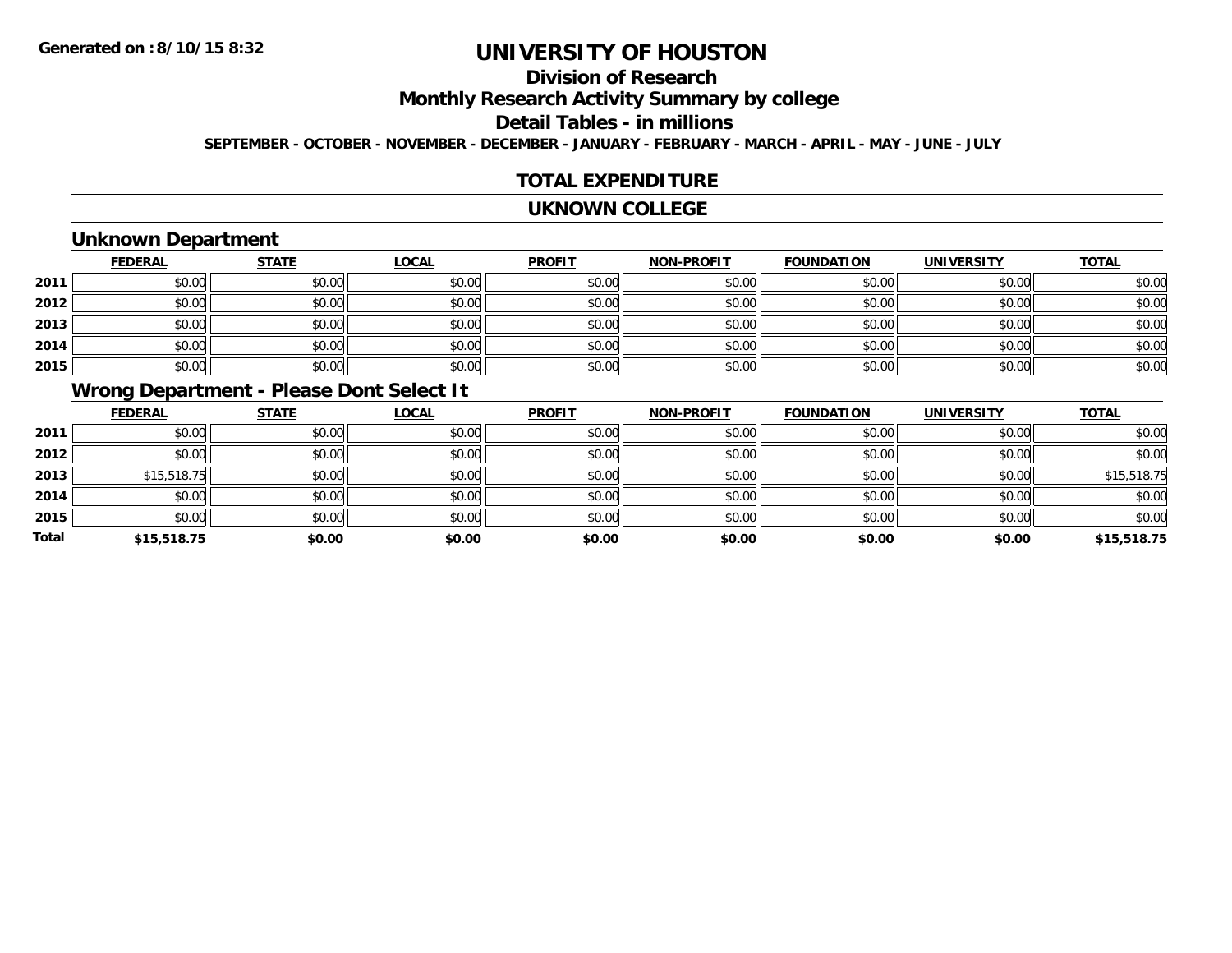# **Division of Research**

**Monthly Research Activity Summary by college**

**Detail Tables - in millions**

**SEPTEMBER - OCTOBER - NOVEMBER - DECEMBER - JANUARY - FEBRUARY - MARCH - APRIL - MAY - JUNE - JULY**

#### **TOTAL EXPENDITURE**

#### **UKNOWN COLLEGE**

## **Unknown Department**

|      | <b>FEDERAL</b> | <b>STATE</b> | <u>LOCAL</u> | <b>PROFIT</b> | <b>NON-PROFIT</b> | <b>FOUNDATION</b> | <b>UNIVERSITY</b> | <b>TOTAL</b> |
|------|----------------|--------------|--------------|---------------|-------------------|-------------------|-------------------|--------------|
| 2011 | \$0.00         | \$0.00       | \$0.00       | \$0.00        | \$0.00            | \$0.00            | \$0.00            | \$0.00       |
| 2012 | \$0.00         | \$0.00       | \$0.00       | \$0.00        | \$0.00            | \$0.00            | \$0.00            | \$0.00       |
| 2013 | \$0.00         | \$0.00       | \$0.00       | \$0.00        | \$0.00            | \$0.00            | \$0.00            | \$0.00       |
| 2014 | \$0.00         | \$0.00       | \$0.00       | \$0.00        | \$0.00            | \$0.00            | \$0.00            | \$0.00       |
| 2015 | \$0.00         | \$0.00       | \$0.00       | \$0.00        | \$0.00            | \$0.00            | \$0.00            | \$0.00       |

## **Wrong Department - Please Dont Select It**

|              | <b>FEDERAL</b> | <b>STATE</b> | <b>LOCAL</b> | <b>PROFIT</b> | <b>NON-PROFIT</b> | <b>FOUNDATION</b> | <b>UNIVERSITY</b> | <b>TOTAL</b> |
|--------------|----------------|--------------|--------------|---------------|-------------------|-------------------|-------------------|--------------|
| 2011         | \$0.00         | \$0.00       | \$0.00       | \$0.00        | \$0.00            | \$0.00            | \$0.00            | \$0.00       |
| 2012         | \$0.00         | \$0.00       | \$0.00       | \$0.00        | \$0.00            | \$0.00            | \$0.00            | \$0.00       |
| 2013         | \$15,518.75    | \$0.00       | \$0.00       | \$0.00        | \$0.00            | \$0.00            | \$0.00            | \$15,518.75  |
| 2014         | \$0.00         | \$0.00       | \$0.00       | \$0.00        | \$0.00            | \$0.00            | \$0.00            | \$0.00       |
| 2015         | \$0.00         | \$0.00       | \$0.00       | \$0.00        | \$0.00            | \$0.00            | \$0.00            | \$0.00       |
| <b>Total</b> | \$15,518.75    | \$0.00       | \$0.00       | \$0.00        | \$0.00            | \$0.00            | \$0.00            | \$15,518.75  |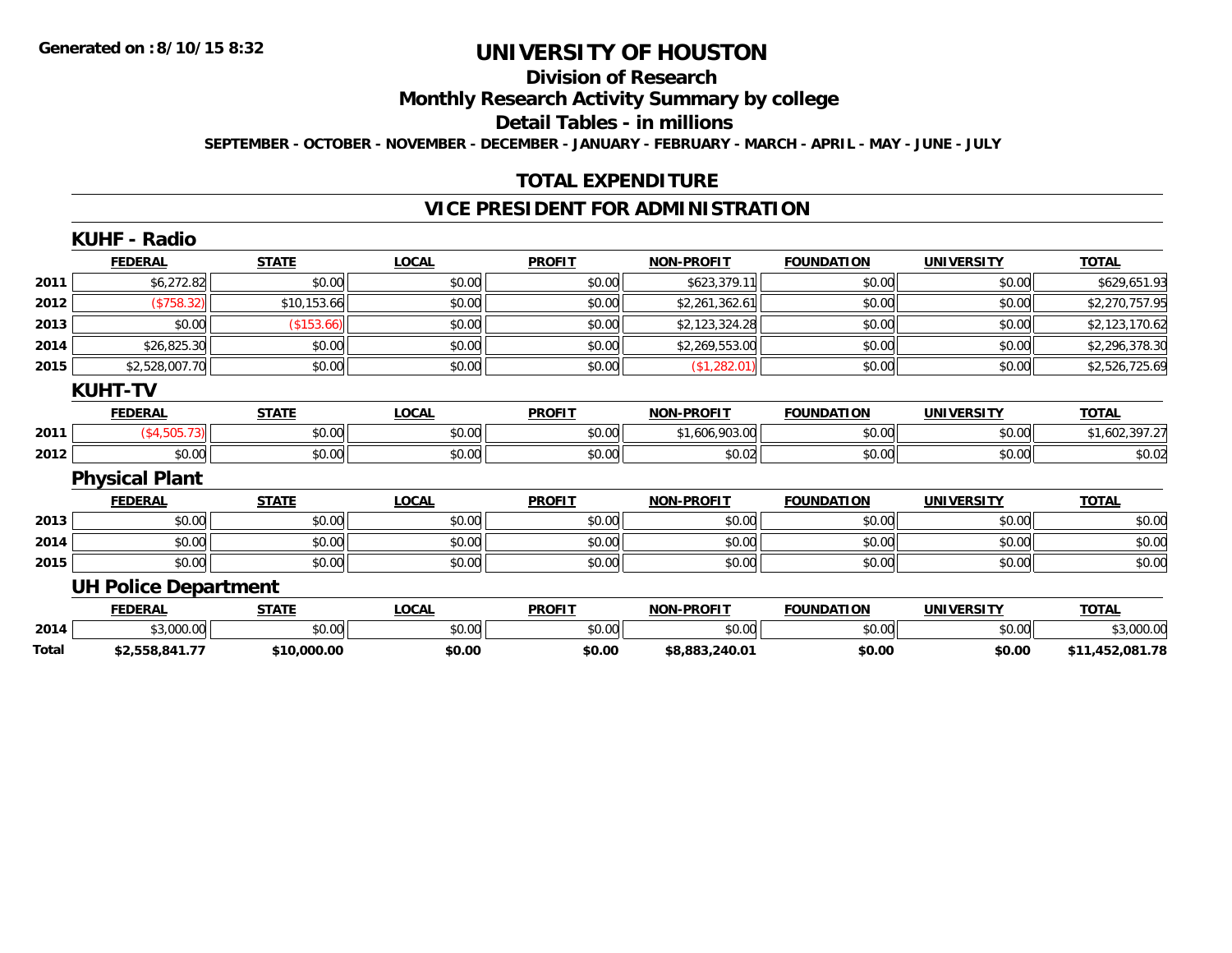# **Division of Research**

**Monthly Research Activity Summary by college**

**Detail Tables - in millions**

**SEPTEMBER - OCTOBER - NOVEMBER - DECEMBER - JANUARY - FEBRUARY - MARCH - APRIL - MAY - JUNE - JULY**

## **TOTAL EXPENDITURE**

#### **VICE PRESIDENT FOR ADMINISTRATION**

| <b>KUHF - Radio</b>   |              |                                               |               |                   |                   |                   |                 |
|-----------------------|--------------|-----------------------------------------------|---------------|-------------------|-------------------|-------------------|-----------------|
| <b>FEDERAL</b>        | <b>STATE</b> | <b>LOCAL</b>                                  | <b>PROFIT</b> | <b>NON-PROFIT</b> | <b>FOUNDATION</b> | <b>UNIVERSITY</b> | <b>TOTAL</b>    |
| \$6,272.82            | \$0.00       | \$0.00                                        | \$0.00        | \$623,379.11      | \$0.00            | \$0.00            | \$629,651.93    |
| (\$758.32)            | \$10,153.66  | \$0.00                                        | \$0.00        | \$2,261,362.61    | \$0.00            | \$0.00            | \$2,270,757.95  |
| \$0.00                | (\$153.66)   | \$0.00                                        | \$0.00        | \$2,123,324.28    | \$0.00            | \$0.00            | \$2,123,170.62  |
| \$26,825.30           | \$0.00       | \$0.00                                        | \$0.00        | \$2,269,553.00    | \$0.00            | \$0.00            | \$2,296,378.30  |
|                       | \$0.00       | \$0.00                                        | \$0.00        | (\$1,282.01)      | \$0.00            | \$0.00            | \$2,526,725.69  |
| <b>KUHT-TV</b>        |              |                                               |               |                   |                   |                   |                 |
| <b>FEDERAL</b>        | <b>STATE</b> | <b>LOCAL</b>                                  | <b>PROFIT</b> | <b>NON-PROFIT</b> | <b>FOUNDATION</b> | <b>UNIVERSITY</b> | <b>TOTAL</b>    |
| (\$4,505.73)          | \$0.00       | \$0.00                                        | \$0.00        | \$1,606,903.00    | \$0.00            | \$0.00            | \$1,602,397.27  |
| \$0.00                | \$0.00       | \$0.00                                        | \$0.00        | \$0.02            | \$0.00            | \$0.00            | \$0.02          |
| <b>Physical Plant</b> |              |                                               |               |                   |                   |                   |                 |
| <b>FEDERAL</b>        | <b>STATE</b> | <b>LOCAL</b>                                  | <b>PROFIT</b> | <b>NON-PROFIT</b> | <b>FOUNDATION</b> | <b>UNIVERSITY</b> | <b>TOTAL</b>    |
| \$0.00                | \$0.00       | \$0.00                                        | \$0.00        | \$0.00            | \$0.00            | \$0.00            | \$0.00          |
| \$0.00                | \$0.00       | \$0.00                                        | \$0.00        | \$0.00            | \$0.00            | \$0.00            | \$0.00          |
| \$0.00                | \$0.00       | \$0.00                                        | \$0.00        | \$0.00            | \$0.00            | \$0.00            | \$0.00          |
|                       |              |                                               |               |                   |                   |                   |                 |
| <b>FEDERAL</b>        | <b>STATE</b> | <b>LOCAL</b>                                  | <b>PROFIT</b> | <b>NON-PROFIT</b> | <b>FOUNDATION</b> | <b>UNIVERSITY</b> | <b>TOTAL</b>    |
| \$3,000.00            | \$0.00       | \$0.00                                        | \$0.00        | \$0.00            | \$0.00            | \$0.00            | \$3,000.00      |
| \$2,558,841.77        | \$10,000.00  | \$0.00                                        | \$0.00        | \$8,883,240.01    | \$0.00            | \$0.00            | \$11,452,081.78 |
|                       |              | \$2,528,007.70<br><b>UH Police Department</b> |               |                   |                   |                   |                 |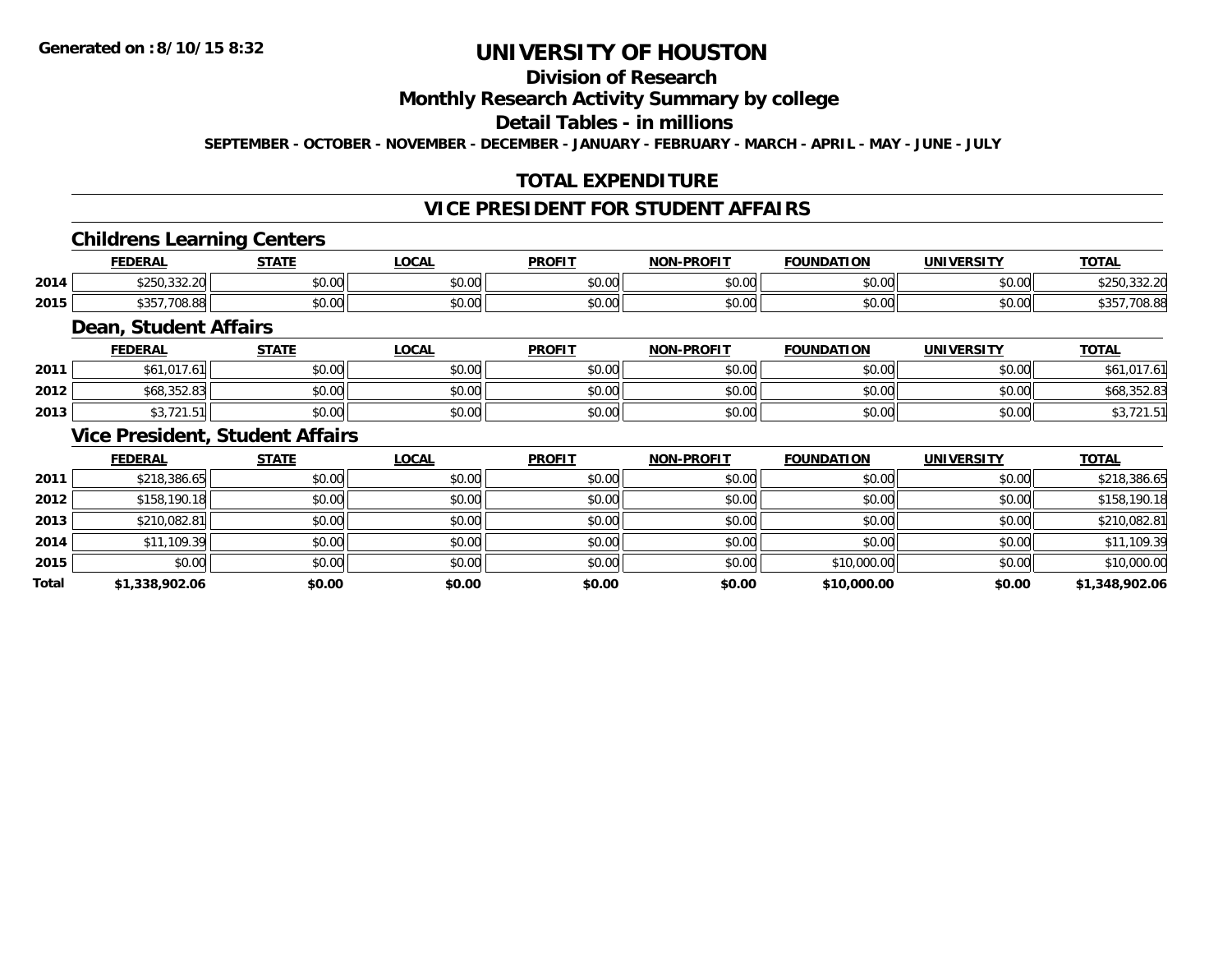## **Division of Research**

#### **Monthly Research Activity Summary by college**

## **Detail Tables - in millions**

**SEPTEMBER - OCTOBER - NOVEMBER - DECEMBER - JANUARY - FEBRUARY - MARCH - APRIL - MAY - JUNE - JULY**

## **TOTAL EXPENDITURE**

#### **VICE PRESIDENT FOR STUDENT AFFAIRS**

#### **Childrens Learning Centers**

|      | <b>FEDERAL</b>                                             | <b>CTATE</b>  | <b>OCAL</b>   | <b>PROFIT</b>          | <b>NON-PROFIT</b> | <b>FOUNDATION</b>        | UNIVERSITY<br>-кэі. | <b>TOTAL</b>                            |
|------|------------------------------------------------------------|---------------|---------------|------------------------|-------------------|--------------------------|---------------------|-----------------------------------------|
| 2014 | 0.0000<br>$\uparrow$ $\uparrow$ $\uparrow$<br>∾∠∪ບ,∪∪∠.∠∪⊟ | 0000<br>DU.UG | 0.00<br>pu.uu | $\sim$ $\sim$<br>vu.vu | 0000<br>ง∪.∪บ     | $n \cap \Omega$<br>pu.uu | \$0.00              | 0.0000<br>$\sim$ $\sim$<br>もと しし ししと・とい |
| 2015 | よつにつ<br>.708.88<br>، ن ن                                   | 0000<br>DU.UG | 0.00<br>JU.UU | $\sim$ $\sim$<br>JU.UU | 0000<br>ง∪.∪บ     | \$0.00                   | \$0.00              | nn nr<br>vo.oc                          |

#### **Dean, Student Affairs**

|      | <b>FEDERAL</b>                    | <b>STATE</b> | <b>LOCAL</b> | <b>PROFIT</b> | <b>NON-PROFIT</b> | <b>FOUNDATION</b> | UNIVERSITY | <b>TOTAL</b>                             |
|------|-----------------------------------|--------------|--------------|---------------|-------------------|-------------------|------------|------------------------------------------|
| 2011 | 017<br>\$61<br>1.0                | \$0.00       | \$0.00       | \$0.00        | \$0.00            | mn n¢<br>JU.UU    | \$0.00     | $\sim$ $\sim$                            |
| 2012 | $\cap$<br>כם נ<br>.352.83<br>DO C | \$0.00       | \$0.00       | \$0.00        | \$0.00            | \$0.00            | \$0.00     | ⊅00,30Z.0 <i>3</i>                       |
| 2013 | <br>ں ، اے                        | \$0.00       | \$0.00       | \$0.00        | \$0.00            | \$0.00            | \$0.00     | $\overline{\phantom{a}}$<br>70, 12 I . J |

#### **Vice President, Student Affairs**

|       | <b>FEDERAL</b> | <b>STATE</b> | <b>LOCAL</b> | <b>PROFIT</b> | <b>NON-PROFIT</b> | <b>FOUNDATION</b> | <b>UNIVERSITY</b> | <b>TOTAL</b>   |
|-------|----------------|--------------|--------------|---------------|-------------------|-------------------|-------------------|----------------|
| 2011  | \$218,386.65   | \$0.00       | \$0.00       | \$0.00        | \$0.00            | \$0.00            | \$0.00            | \$218,386.65   |
| 2012  | \$158,190.18   | \$0.00       | \$0.00       | \$0.00        | \$0.00            | \$0.00            | \$0.00            | \$158,190.18   |
| 2013  | \$210,082.81   | \$0.00       | \$0.00       | \$0.00        | \$0.00            | \$0.00            | \$0.00            | \$210,082.81   |
| 2014  | \$11,109.39    | \$0.00       | \$0.00       | \$0.00        | \$0.00            | \$0.00            | \$0.00            | \$11,109.39    |
| 2015  | \$0.00         | \$0.00       | \$0.00       | \$0.00        | \$0.00            | \$10,000.00       | \$0.00            | \$10,000.00    |
| Total | \$1,338,902.06 | \$0.00       | \$0.00       | \$0.00        | \$0.00            | \$10,000.00       | \$0.00            | \$1,348,902.06 |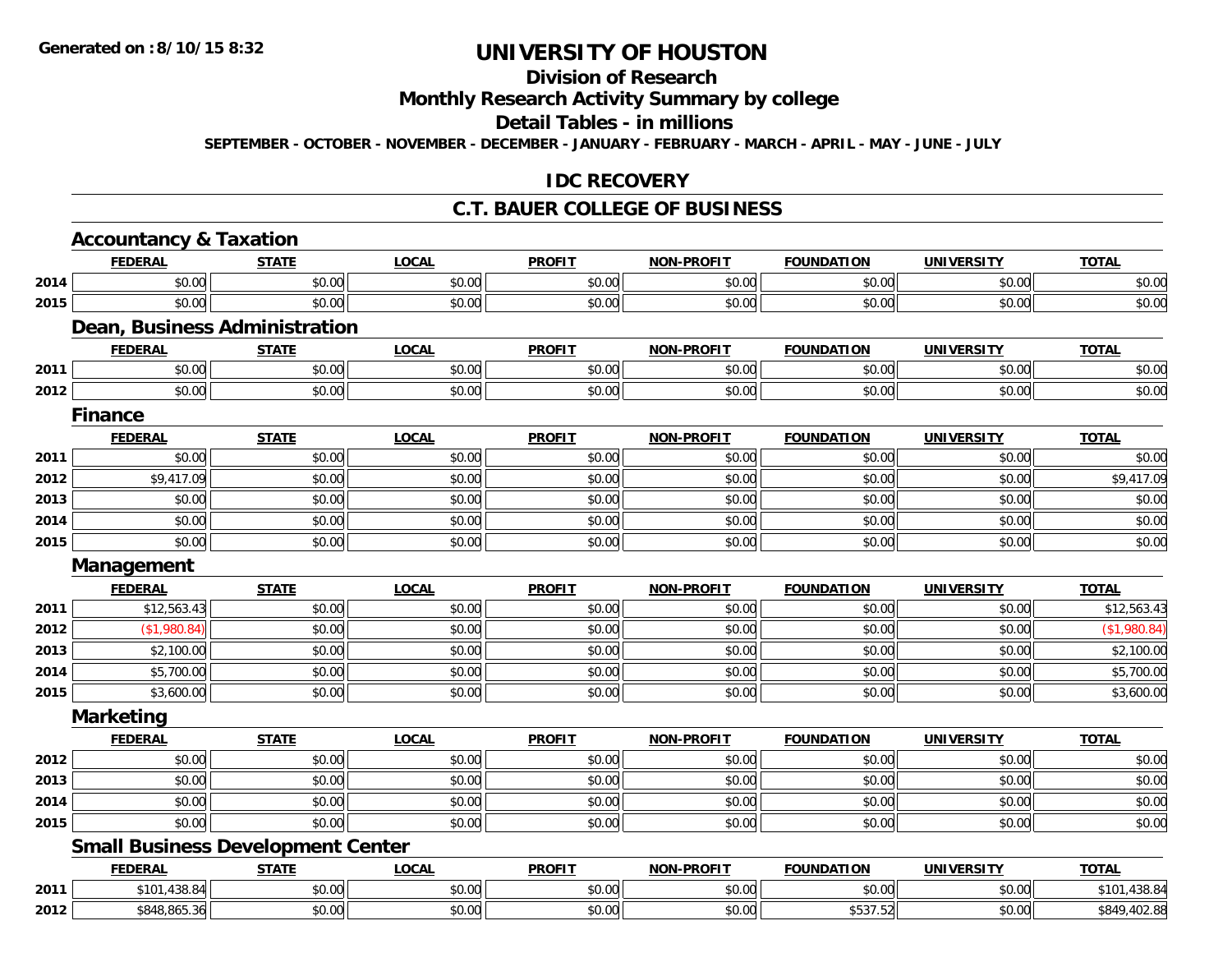# **Division of Research**

## **Monthly Research Activity Summary by college**

#### **Detail Tables - in millions**

**SEPTEMBER - OCTOBER - NOVEMBER - DECEMBER - JANUARY - FEBRUARY - MARCH - APRIL - MAY - JUNE - JULY**

#### **IDC RECOVERY**

#### **C.T. BAUER COLLEGE OF BUSINESS**

|      | <b>Accountancy &amp; Taxation</b>        |              |              |               |                   |                   |                   |              |
|------|------------------------------------------|--------------|--------------|---------------|-------------------|-------------------|-------------------|--------------|
|      | <b>FEDERAL</b>                           | <b>STATE</b> | <b>LOCAL</b> | <b>PROFIT</b> | <b>NON-PROFIT</b> | <b>FOUNDATION</b> | <b>UNIVERSITY</b> | <b>TOTAL</b> |
| 2014 | \$0.00                                   | \$0.00       | \$0.00       | \$0.00        | \$0.00            | \$0.00            | \$0.00            | \$0.00       |
| 2015 | \$0.00                                   | \$0.00       | \$0.00       | \$0.00        | \$0.00            | \$0.00            | \$0.00            | \$0.00       |
|      | <b>Dean, Business Administration</b>     |              |              |               |                   |                   |                   |              |
|      | <b>FEDERAL</b>                           | <b>STATE</b> | <b>LOCAL</b> | <b>PROFIT</b> | <b>NON-PROFIT</b> | <b>FOUNDATION</b> | <b>UNIVERSITY</b> | <b>TOTAL</b> |
| 2011 | \$0.00                                   | \$0.00       | \$0.00       | \$0.00        | \$0.00            | \$0.00            | \$0.00            | \$0.00       |
| 2012 | \$0.00                                   | \$0.00       | \$0.00       | \$0.00        | \$0.00            | \$0.00            | \$0.00            | \$0.00       |
|      | <b>Finance</b>                           |              |              |               |                   |                   |                   |              |
|      | <b>FEDERAL</b>                           | <b>STATE</b> | <b>LOCAL</b> | <b>PROFIT</b> | <b>NON-PROFIT</b> | <b>FOUNDATION</b> | <b>UNIVERSITY</b> | <b>TOTAL</b> |
| 2011 | \$0.00                                   | \$0.00       | \$0.00       | \$0.00        | \$0.00            | \$0.00            | \$0.00            | \$0.00       |
| 2012 | \$9,417.09                               | \$0.00       | \$0.00       | \$0.00        | \$0.00            | \$0.00            | \$0.00            | \$9,417.09   |
| 2013 | \$0.00                                   | \$0.00       | \$0.00       | \$0.00        | \$0.00            | \$0.00            | \$0.00            | \$0.00       |
| 2014 | \$0.00                                   | \$0.00       | \$0.00       | \$0.00        | \$0.00            | \$0.00            | \$0.00            | \$0.00       |
| 2015 | \$0.00                                   | \$0.00       | \$0.00       | \$0.00        | \$0.00            | \$0.00            | \$0.00            | \$0.00       |
|      | Management                               |              |              |               |                   |                   |                   |              |
|      | <b>FEDERAL</b>                           | <b>STATE</b> | <b>LOCAL</b> | <b>PROFIT</b> | <b>NON-PROFIT</b> | <b>FOUNDATION</b> | <b>UNIVERSITY</b> | <b>TOTAL</b> |
| 2011 | \$12,563.43                              | \$0.00       | \$0.00       | \$0.00        | \$0.00            | \$0.00            | \$0.00            | \$12,563.43  |
| 2012 | (\$1,980.84)                             | \$0.00       | \$0.00       | \$0.00        | \$0.00            | \$0.00            | \$0.00            | (\$1,980.84) |
| 2013 | \$2,100.00                               | \$0.00       | \$0.00       | \$0.00        | \$0.00            | \$0.00            | \$0.00            | \$2,100.00   |
| 2014 | \$5,700.00                               | \$0.00       | \$0.00       | \$0.00        | \$0.00            | \$0.00            | \$0.00            | \$5,700.00   |
| 2015 | \$3,600.00                               | \$0.00       | \$0.00       | \$0.00        | \$0.00            | \$0.00            | \$0.00            | \$3,600.00   |
|      | <b>Marketing</b>                         |              |              |               |                   |                   |                   |              |
|      | <b>FEDERAL</b>                           | <b>STATE</b> | <b>LOCAL</b> | <b>PROFIT</b> | <b>NON-PROELI</b> | <b>FOUNDATION</b> | <b>UNIVERSITY</b> | <b>TOTAL</b> |
| 2012 | \$0.00                                   | \$0.00       | \$0.00       | \$0.00        | \$0.00            | \$0.00            | \$0.00            | \$0.00       |
| 2013 | \$0.00                                   | \$0.00       | \$0.00       | \$0.00        | \$0.00            | \$0.00            | \$0.00            | \$0.00       |
| 2014 | \$0.00                                   | \$0.00       | \$0.00       | \$0.00        | \$0.00            | \$0.00            | \$0.00            | \$0.00       |
| 2015 | \$0.00                                   | \$0.00       | \$0.00       | \$0.00        | \$0.00            | \$0.00            | \$0.00            | \$0.00       |
|      | <b>Small Business Development Center</b> |              |              |               |                   |                   |                   |              |
|      | <b>FEDERAL</b>                           | <b>STATE</b> | <b>LOCAL</b> | <b>PROFIT</b> | <b>NON-PROFIT</b> | <b>FOUNDATION</b> | <b>UNIVERSITY</b> | <b>TOTAL</b> |
| 2011 | \$101,438.84                             | \$0.00       | \$0.00       | \$0.00        | \$0.00            | \$0.00            | \$0.00            | \$101,438.84 |
| 2012 | \$848,865.36                             | \$0.00       | \$0.00       | \$0.00        | \$0.00            | \$537.52          | \$0.00            | \$849,402.88 |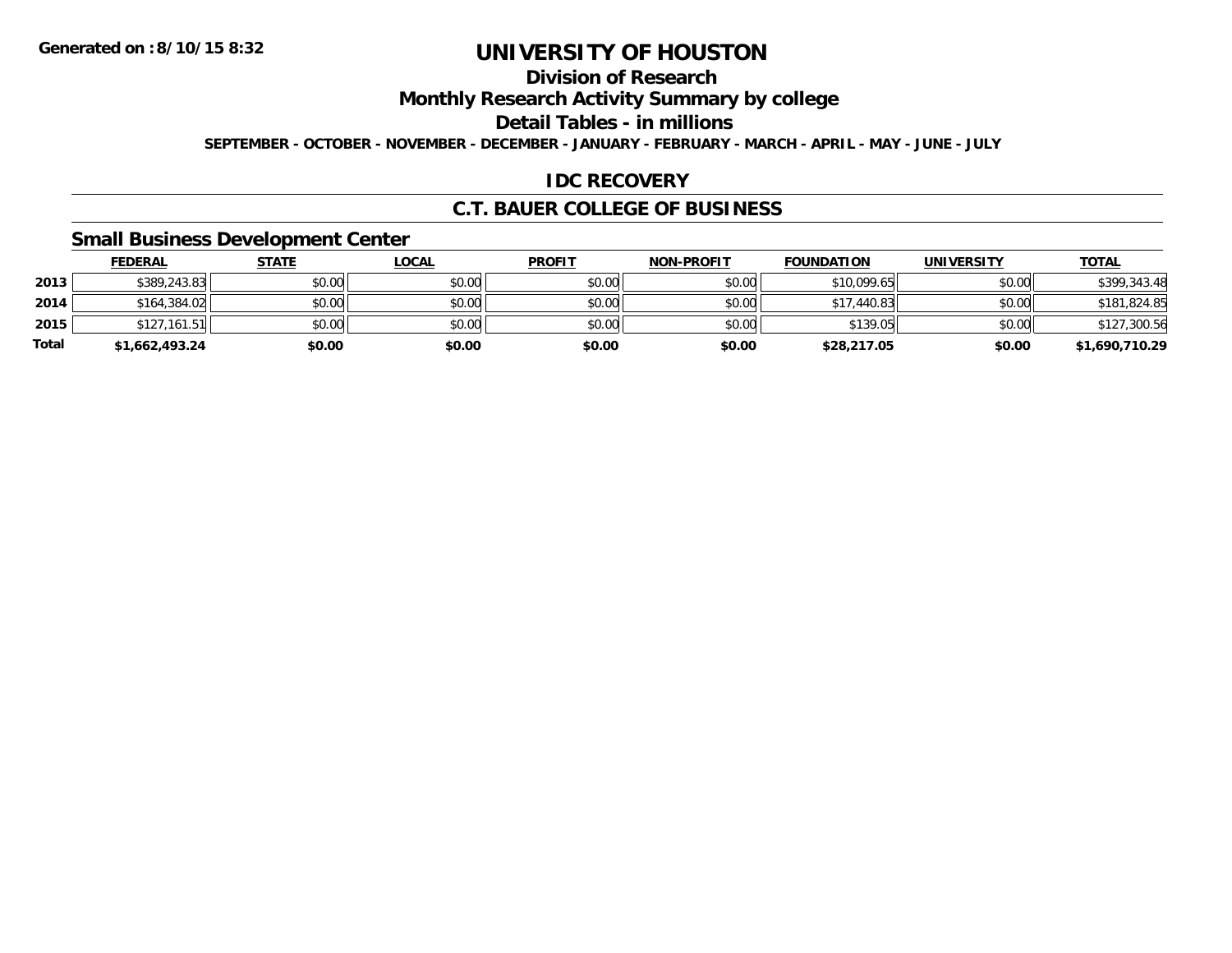## **Division of Research**

**Monthly Research Activity Summary by college**

**Detail Tables - in millions**

**SEPTEMBER - OCTOBER - NOVEMBER - DECEMBER - JANUARY - FEBRUARY - MARCH - APRIL - MAY - JUNE - JULY**

#### **IDC RECOVERY**

#### **C.T. BAUER COLLEGE OF BUSINESS**

#### **Small Business Development Center**

|              | <b>FEDERAL</b> | <u>STATE</u> | <u>LOCAL</u> | <b>PROFIT</b> | <b>NON-PROFIT</b> | <b>FOUNDATION</b> | UNIVERSITY | <b>TOTAL</b>   |
|--------------|----------------|--------------|--------------|---------------|-------------------|-------------------|------------|----------------|
| 2013         | \$389,243.83   | \$0.00       | \$0.00       | \$0.00        | \$0.00            | \$10,099.65       | \$0.00     | \$399,343.48   |
| 2014         | \$164,384.02   | \$0.00       | \$0.00       | \$0.00        | \$0.00            | \$17,440.83       | \$0.00     | \$181,824.85   |
| 2015         | \$127,161.51   | \$0.00       | \$0.00       | \$0.00        | \$0.00            | \$139.05          | \$0.00     | \$127,300.56   |
| <b>Total</b> | \$1,662,493.24 | \$0.00       | \$0.00       | \$0.00        | \$0.00            | \$28,217.05       | \$0.00     | \$1,690,710.29 |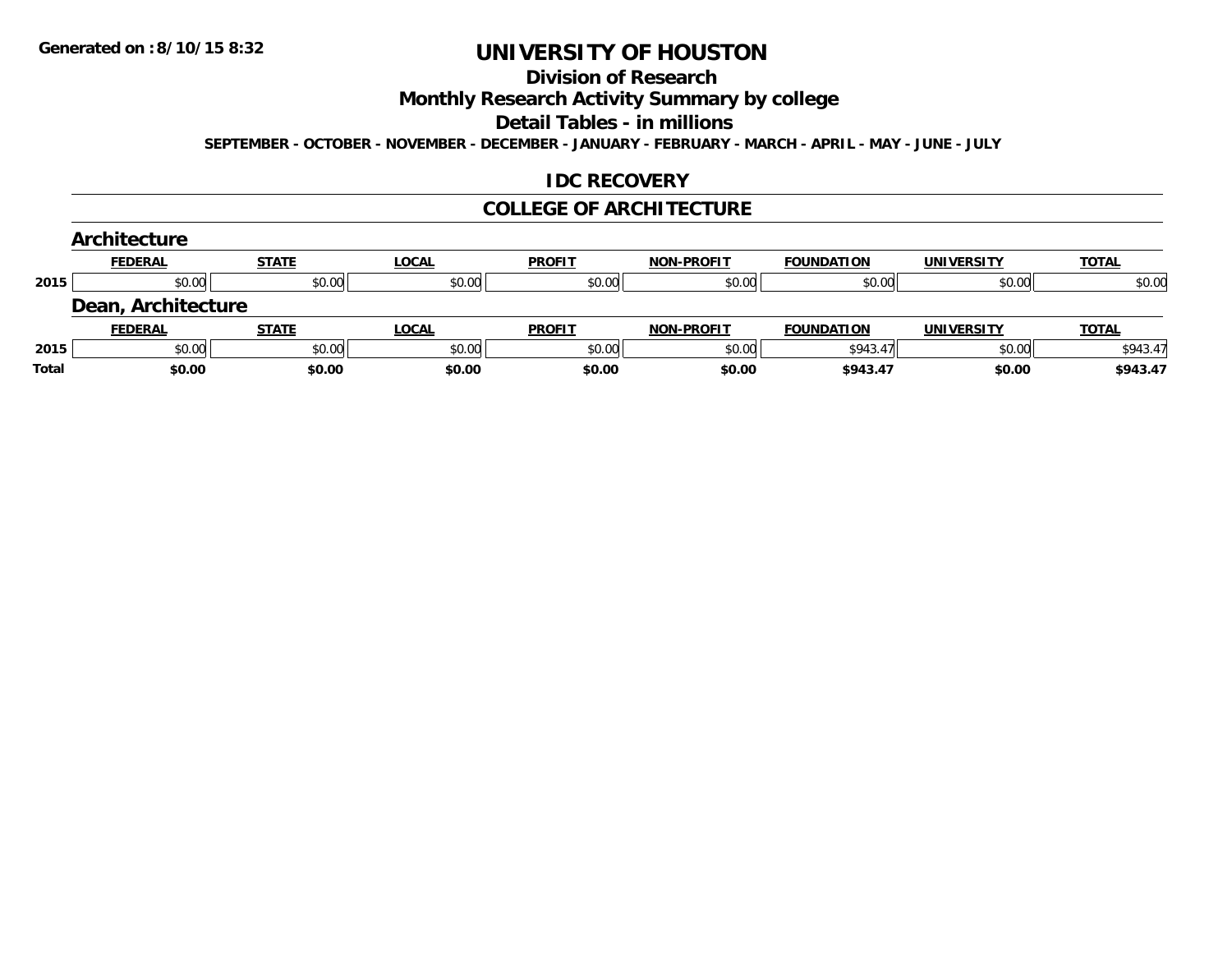## **Division of Research**

**Monthly Research Activity Summary by college**

**Detail Tables - in millions**

**SEPTEMBER - OCTOBER - NOVEMBER - DECEMBER - JANUARY - FEBRUARY - MARCH - APRIL - MAY - JUNE - JULY**

#### **IDC RECOVERY**

#### **COLLEGE OF ARCHITECTURE**

|       | Architecture       |              |              |               |                   |                   |                   |              |
|-------|--------------------|--------------|--------------|---------------|-------------------|-------------------|-------------------|--------------|
|       | <b>FEDERAL</b>     | <b>STATE</b> | <b>LOCAL</b> | <b>PROFIT</b> | <b>NON-PROFIT</b> | <b>FOUNDATION</b> | <b>UNIVERSITY</b> | <b>TOTAL</b> |
| 2015  | \$0.00             | \$0.00       | \$0.00       | \$0.00        | \$0.00            | \$0.00            | \$0.00            | \$0.00       |
|       | Dean, Architecture |              |              |               |                   |                   |                   |              |
|       | <b>FEDERAL</b>     | <b>STATE</b> | <b>LOCAL</b> | <b>PROFIT</b> | <b>NON-PROFIT</b> | <b>FOUNDATION</b> | <b>UNIVERSITY</b> | <b>TOTAL</b> |
| 2015  | \$0.00             | \$0.00       | \$0.00       | \$0.00        | \$0.00            | \$943.47          | \$0.00            | \$943.47     |
| Total | \$0.00             | \$0.00       | \$0.00       | \$0.00        | \$0.00            | \$943.47          | \$0.00            | \$943.47     |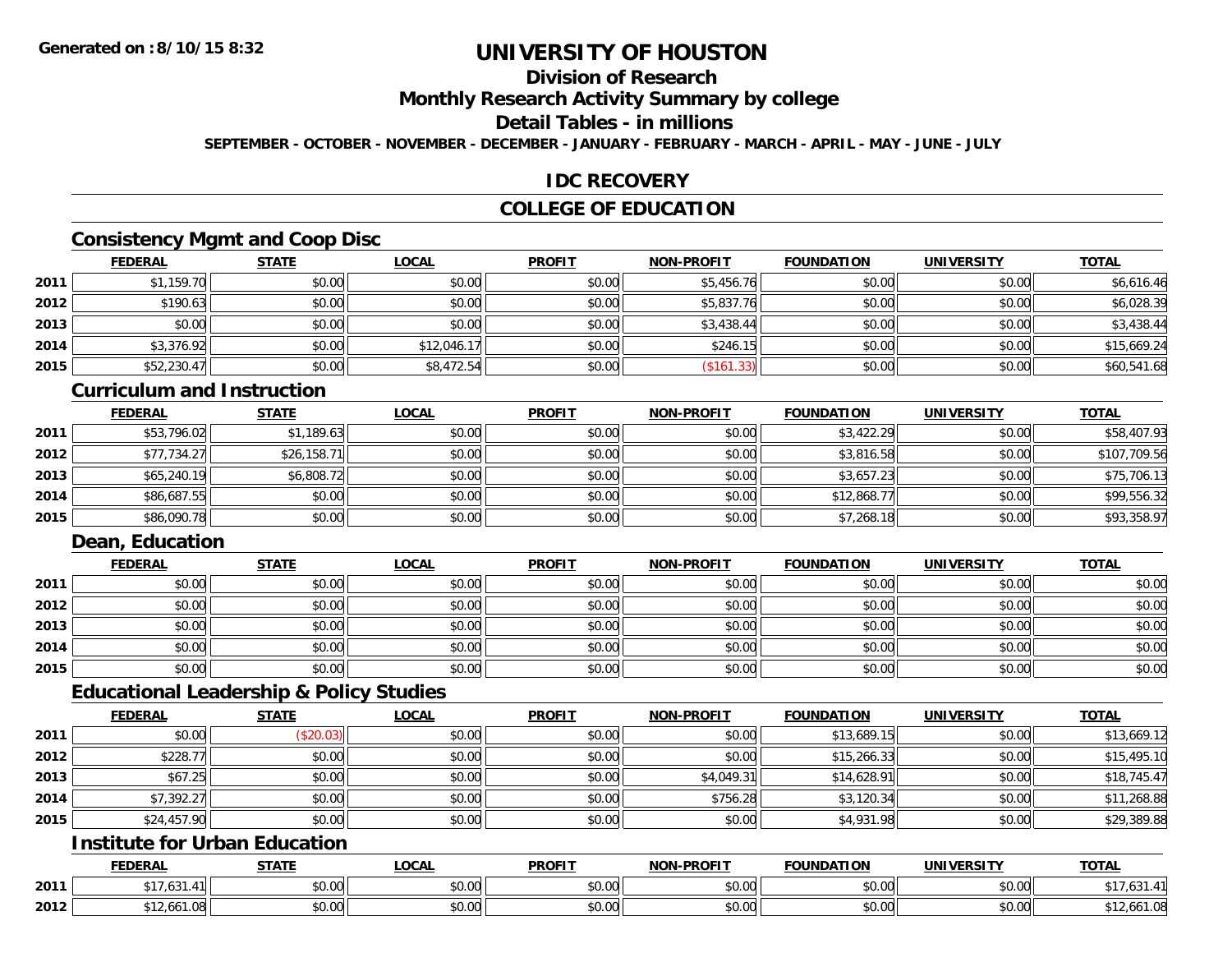## **Division of Research**

**Monthly Research Activity Summary by college**

## **Detail Tables - in millions**

**SEPTEMBER - OCTOBER - NOVEMBER - DECEMBER - JANUARY - FEBRUARY - MARCH - APRIL - MAY - JUNE - JULY**

#### **IDC RECOVERY**

#### **COLLEGE OF EDUCATION**

#### **Consistency Mgmt and Coop Disc**

|      | <b>FEDERAL</b> | <b>STATE</b> | <b>LOCAL</b> | <b>PROFIT</b> | <b>NON-PROFIT</b> | <b>FOUNDATION</b> | <b>UNIVERSITY</b> | <b>TOTAL</b> |
|------|----------------|--------------|--------------|---------------|-------------------|-------------------|-------------------|--------------|
| 2011 | \$1,159.70     | \$0.00       | \$0.00       | \$0.00        | \$5,456.76        | \$0.00            | \$0.00            | \$6,616.46   |
| 2012 | \$190.63       | \$0.00       | \$0.00       | \$0.00        | \$5,837.76        | \$0.00            | \$0.00            | \$6,028.39   |
| 2013 | \$0.00         | \$0.00       | \$0.00       | \$0.00        | \$3,438.44        | \$0.00            | \$0.00            | \$3,438.44   |
| 2014 | \$3,376.92     | \$0.00       | \$12,046.17  | \$0.00        | \$246.15          | \$0.00            | \$0.00            | \$15,669.24  |
| 2015 | \$52,230.47    | \$0.00       | \$8,472.54   | \$0.00        | (\$161.33)        | \$0.00            | \$0.00            | \$60,541.68  |

#### **Curriculum and Instruction**

|      | <u>FEDERAL</u> | <u>STATE</u> | <u>LOCAL</u> | <b>PROFIT</b> | <b>NON-PROFIT</b> | <b>FOUNDATION</b> | <b>UNIVERSITY</b> | <b>TOTAL</b> |
|------|----------------|--------------|--------------|---------------|-------------------|-------------------|-------------------|--------------|
| 2011 | \$53,796.02    | \$1,189.63   | \$0.00       | \$0.00        | \$0.00            | \$3,422.29        | \$0.00            | \$58,407.93  |
| 2012 | \$77,734.27    | \$26,158.71  | \$0.00       | \$0.00        | \$0.00            | \$3,816.58        | \$0.00            | \$107,709.56 |
| 2013 | \$65,240.19    | \$6,808.72   | \$0.00       | \$0.00        | \$0.00            | \$3,657.23        | \$0.00            | \$75,706.13  |
| 2014 | \$86,687.55    | \$0.00       | \$0.00       | \$0.00        | \$0.00            | \$12,868.77       | \$0.00            | \$99,556.32  |
| 2015 | \$86,090.78    | \$0.00       | \$0.00       | \$0.00        | \$0.00            | \$7,268.18        | \$0.00            | \$93,358.97  |

## **Dean, Education**

|      | <b>FEDERAL</b> | <b>STATE</b> | <b>LOCAL</b> | <b>PROFIT</b> | <b>NON-PROFIT</b> | <b>FOUNDATION</b> | <b>UNIVERSITY</b> | <b>TOTAL</b> |
|------|----------------|--------------|--------------|---------------|-------------------|-------------------|-------------------|--------------|
| 2011 | \$0.00         | \$0.00       | \$0.00       | \$0.00        | \$0.00            | \$0.00            | \$0.00            | \$0.00       |
| 2012 | \$0.00         | \$0.00       | \$0.00       | \$0.00        | \$0.00            | \$0.00            | \$0.00            | \$0.00       |
| 2013 | \$0.00         | \$0.00       | \$0.00       | \$0.00        | \$0.00            | \$0.00            | \$0.00            | \$0.00       |
| 2014 | \$0.00         | \$0.00       | \$0.00       | \$0.00        | \$0.00            | \$0.00            | \$0.00            | \$0.00       |
| 2015 | \$0.00         | \$0.00       | \$0.00       | \$0.00        | \$0.00            | \$0.00            | \$0.00            | \$0.00       |

#### **Educational Leadership & Policy Studies**

|      | <b>FEDERAL</b> | <b>STATE</b> | <u>LOCAL</u> | <b>PROFIT</b> | <b>NON-PROFIT</b> | <b>FOUNDATION</b> | <b>UNIVERSITY</b> | <b>TOTAL</b> |
|------|----------------|--------------|--------------|---------------|-------------------|-------------------|-------------------|--------------|
| 2011 | \$0.00         | (\$20.03)    | \$0.00       | \$0.00        | \$0.00            | \$13,689.15       | \$0.00            | \$13,669.12  |
| 2012 | \$228.77       | \$0.00       | \$0.00       | \$0.00        | \$0.00            | \$15,266.33       | \$0.00            | \$15,495.10  |
| 2013 | \$67.25        | \$0.00       | \$0.00       | \$0.00        | \$4,049.31        | \$14,628.91       | \$0.00            | \$18,745.47  |
| 2014 | \$7,392.27     | \$0.00       | \$0.00       | \$0.00        | \$756.28          | \$3,120.34        | \$0.00            | \$11,268.88  |
| 2015 | \$24,457.90    | \$0.00       | \$0.00       | \$0.00        | \$0.00            | \$4,931.98        | \$0.00            | \$29,389.88  |

## **Institute for Urban Education**

|      | <b>FEDERAL</b>    | <b>CTATE</b>             | <b>LOCAL</b>             | <b>PROFIT</b>              | <b>-PROFIT</b><br><b>MANI</b> | <b>FOUNDATION</b> | <b>UNIVERSITY</b>    | <b>TOTAL</b> |
|------|-------------------|--------------------------|--------------------------|----------------------------|-------------------------------|-------------------|----------------------|--------------|
| 2011 | $\sim$ $-$<br>ن ن | $n \cap \Omega$<br>DU.UU | $\sim$<br>$\sim$<br>שט.⊽ | nn nn<br>DU.UU             | 0.00<br>JU.UU                 | \$0.00            | 0000<br><b>JU.UU</b> | ں ں،         |
| 2012 | I.VG<br>70، ١٤    | 0000<br>,u.uu            | $\sim$ 00<br>vv.vv       | $*$ $\cap$ $\cap$<br>DU.UU | 0.00<br>JU.UU                 | \$0.00            | 0000<br><b>JU.UU</b> | 12,661.08    |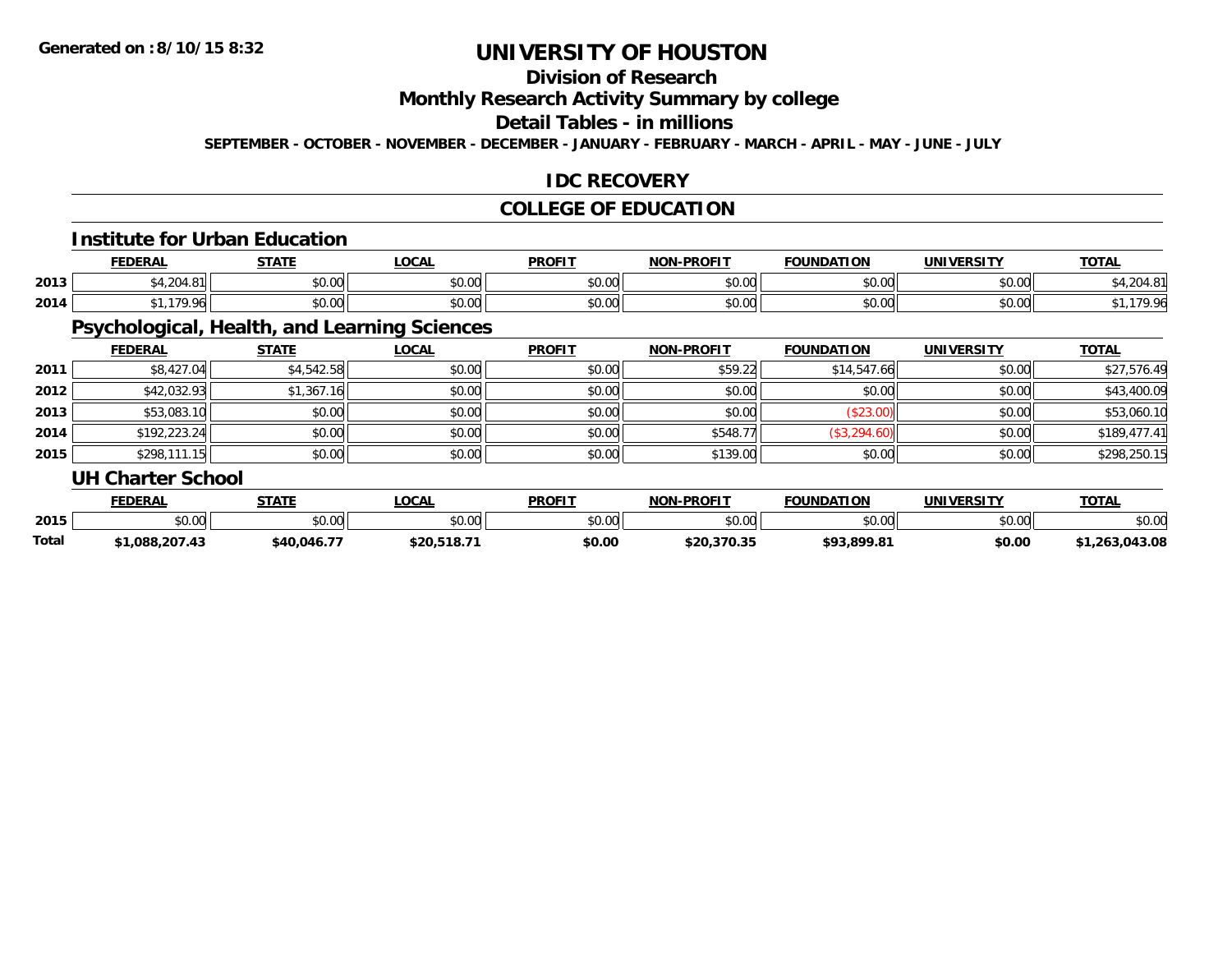## **Division of Research**

**Monthly Research Activity Summary by college**

#### **Detail Tables - in millions**

**SEPTEMBER - OCTOBER - NOVEMBER - DECEMBER - JANUARY - FEBRUARY - MARCH - APRIL - MAY - JUNE - JULY**

#### **IDC RECOVERY**

#### **COLLEGE OF EDUCATION**

#### **Institute for Urban Education**

|      | <b>FEDERAL</b>                                    | <b>STATE</b><br>$100 - 120$ | .OCAL         | <b>PROFIT</b> | -PROFIT<br>NON- | <b>FOUNDATION</b>      | <b>UNIVERSITY</b> | <b>TOTAL</b>    |
|------|---------------------------------------------------|-----------------------------|---------------|---------------|-----------------|------------------------|-------------------|-----------------|
| 2013 | \$4,204.81                                        | \$0.00                      | 0000<br>JU.UU | \$0.00        | nn na<br>JU.UU  | $\sim$ $\sim$<br>JU.UU | 0000<br>vu.vu     | ּ הי<br>ט.+     |
| 2014 | $\rightarrow$ $\rightarrow$ $\rightarrow$<br>ገ ሰረ | \$0.00                      | \$0.00        | \$0.00        | mn na<br>JU.UU  | $\sim$ 00<br>JU.UU     | ልስ ሀህ<br>JU.UU    | $\Omega$<br>70. |

## **Psychological, Health, and Learning Sciences**

|      | <b>FEDERAL</b>           | <b>STATE</b> | <b>LOCAL</b> | <b>PROFIT</b> | <b>NON-PROFIT</b> | <b>FOUNDATION</b> | <b>UNIVERSITY</b>                    | <b>TOTAL</b> |
|------|--------------------------|--------------|--------------|---------------|-------------------|-------------------|--------------------------------------|--------------|
| 2011 | \$8,427.04               | \$4,542.58   | \$0.00       | \$0.00        | \$59.22           | \$14,547.66       | \$0.00                               | \$27,576.49  |
| 2012 | \$42,032.93              | \$1,367.16   | \$0.00       | \$0.00        | \$0.00            | \$0.00            | \$0.00                               | \$43,400.09  |
| 2013 | \$53,083.10              | \$0.00       | \$0.00       | \$0.00        | \$0.00            | (\$23.00)         | \$0.00                               | \$53,060.10  |
| 2014 | \$192,223.24             | \$0.00       | \$0.00       | \$0.00        | \$548.77          | (\$3,294.60)      | \$0.00                               | \$189,477.41 |
| 2015 | \$298,111.15             | \$0.00       | \$0.00       | \$0.00        | \$139.00          | \$0.00            | \$0.00                               | \$298,250.15 |
|      | <b>UH Charter School</b> |              |              |               |                   |                   |                                      |              |
|      | _______                  | -----        | - - - - - -  | _____         | ----- -- ----     | ____._            | . .- <del>. .</del> <del>. .</del> . | _____        |

|       | <b>FEDERAL</b> | <b>STATE</b> | <b>OCAL</b>            | <b>PROFIT</b> | <b>NON-PROFIT</b> | <b>FOUNDATION</b> | UNIVERSITY | <b>TOTAL</b> |
|-------|----------------|--------------|------------------------|---------------|-------------------|-------------------|------------|--------------|
| 2015  | \$0.00         | \$0.00       | $\sim$ $\sim$<br>vv.vv | \$0.00        | \$0.00            | tu vy<br>DU.UU    | \$0.00     | \$0.00       |
| Total | .088.207.43    | \$40.046.77  | \$20,518.71            | \$0.00        | \$20,370.35       | \$93,899.81       | \$0.00     | 1.263.043.08 |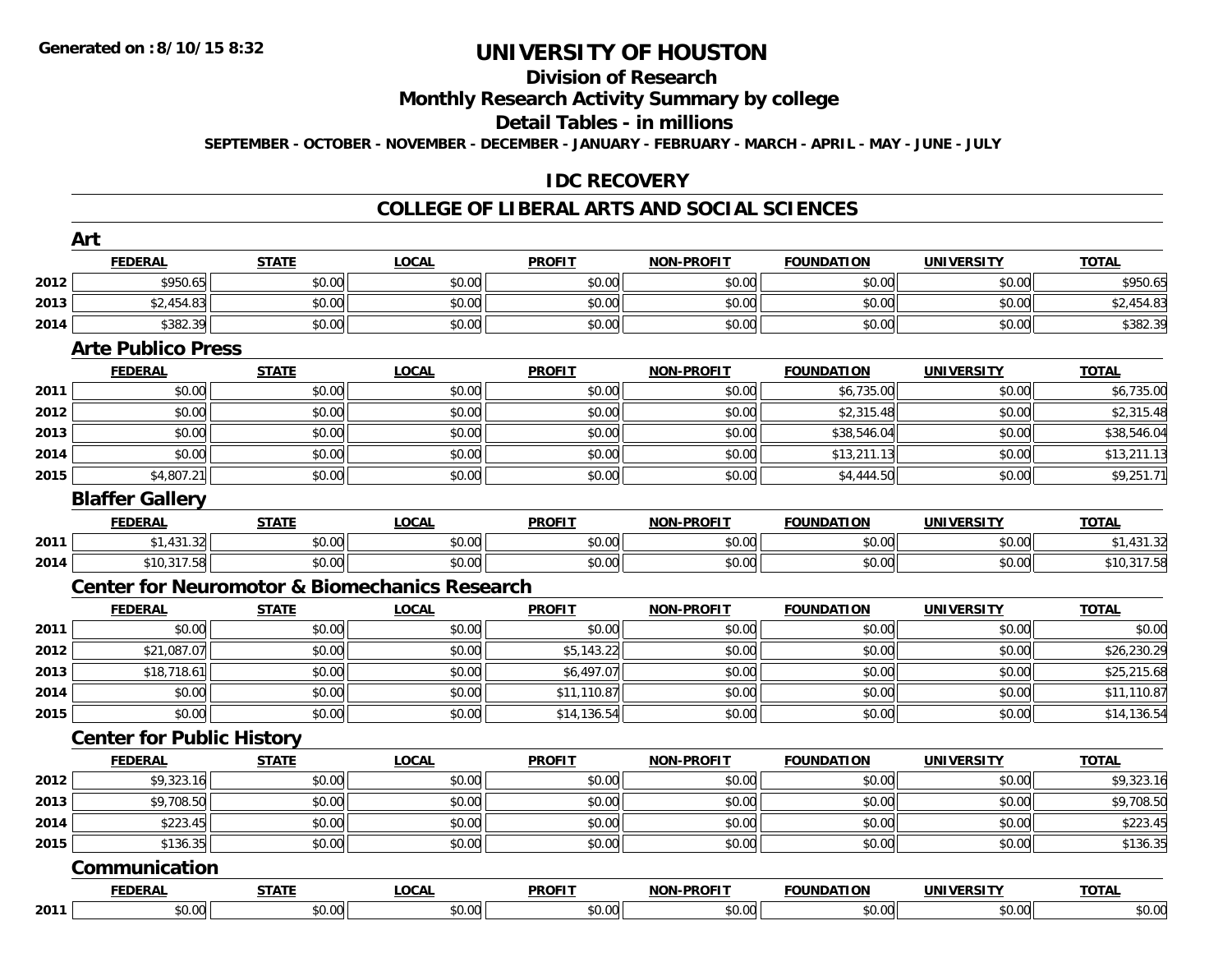#### **Division of Research**

#### **Monthly Research Activity Summary by college**

#### **Detail Tables - in millions**

**SEPTEMBER - OCTOBER - NOVEMBER - DECEMBER - JANUARY - FEBRUARY - MARCH - APRIL - MAY - JUNE - JULY**

#### **IDC RECOVERY**

|      | Art                              |              |                                                          |               |                   |                   |                   |              |
|------|----------------------------------|--------------|----------------------------------------------------------|---------------|-------------------|-------------------|-------------------|--------------|
|      | <b>FEDERAL</b>                   | <b>STATE</b> | <b>LOCAL</b>                                             | <b>PROFIT</b> | <b>NON-PROFIT</b> | <b>FOUNDATION</b> | <b>UNIVERSITY</b> | <b>TOTAL</b> |
| 2012 | \$950.65                         | \$0.00       | \$0.00                                                   | \$0.00        | \$0.00            | \$0.00            | \$0.00            | \$950.65     |
| 2013 | \$2,454.83                       | \$0.00       | \$0.00                                                   | \$0.00        | \$0.00            | \$0.00            | \$0.00            | \$2,454.83   |
| 2014 | \$382.39                         | \$0.00       | \$0.00                                                   | \$0.00        | \$0.00            | \$0.00            | \$0.00            | \$382.39     |
|      | <b>Arte Publico Press</b>        |              |                                                          |               |                   |                   |                   |              |
|      | <b>FEDERAL</b>                   | <b>STATE</b> | <b>LOCAL</b>                                             | <b>PROFIT</b> | <b>NON-PROFIT</b> | <b>FOUNDATION</b> | <b>UNIVERSITY</b> | <b>TOTAL</b> |
| 2011 | \$0.00                           | \$0.00       | \$0.00                                                   | \$0.00        | \$0.00            | \$6,735.00        | \$0.00            | \$6,735.00   |
| 2012 | \$0.00                           | \$0.00       | \$0.00                                                   | \$0.00        | \$0.00            | \$2,315.48        | \$0.00            | \$2,315.48   |
| 2013 | \$0.00                           | \$0.00       | \$0.00                                                   | \$0.00        | \$0.00            | \$38,546.04       | \$0.00            | \$38,546.04  |
| 2014 | \$0.00                           | \$0.00       | \$0.00                                                   | \$0.00        | \$0.00            | \$13,211.13       | \$0.00            | \$13,211.13  |
| 2015 | \$4,807.21                       | \$0.00       | \$0.00                                                   | \$0.00        | \$0.00            | \$4,444.50        | \$0.00            | \$9,251.71   |
|      | <b>Blaffer Gallery</b>           |              |                                                          |               |                   |                   |                   |              |
|      | <b>FEDERAL</b>                   | <b>STATE</b> | <b>LOCAL</b>                                             | <b>PROFIT</b> | <b>NON-PROFIT</b> | <b>FOUNDATION</b> | <b>UNIVERSITY</b> | <b>TOTAL</b> |
| 2011 | \$1,431.32                       | \$0.00       | \$0.00                                                   | \$0.00        | \$0.00            | \$0.00            | \$0.00            | \$1,431.32   |
| 2014 | \$10,317.58                      | \$0.00       | \$0.00                                                   | \$0.00        | \$0.00            | \$0.00            | \$0.00            | \$10,317.58  |
|      |                                  |              | <b>Center for Neuromotor &amp; Biomechanics Research</b> |               |                   |                   |                   |              |
|      | <b>FEDERAL</b>                   | <b>STATE</b> | <b>LOCAL</b>                                             | <b>PROFIT</b> | <b>NON-PROFIT</b> | <b>FOUNDATION</b> | <b>UNIVERSITY</b> | <b>TOTAL</b> |
| 2011 | \$0.00                           | \$0.00       | \$0.00                                                   | \$0.00        | \$0.00            | \$0.00            | \$0.00            | \$0.00       |
| 2012 | $\overline{$}21,087.07$          | \$0.00       | \$0.00                                                   | \$5,143.22    | \$0.00            | \$0.00            | \$0.00            | \$26,230.29  |
| 2013 | \$18,718.61                      | \$0.00       | \$0.00                                                   | \$6,497.07    | \$0.00            | \$0.00            | \$0.00            | \$25,215.68  |
| 2014 | \$0.00                           | \$0.00       | \$0.00                                                   | \$11,110.87   | \$0.00            | \$0.00            | \$0.00            | \$11,110.87  |
| 2015 | \$0.00                           | \$0.00       | \$0.00                                                   | \$14,136.54   | \$0.00            | \$0.00            | \$0.00            | \$14,136.54  |
|      | <b>Center for Public History</b> |              |                                                          |               |                   |                   |                   |              |
|      | <b>FEDERAL</b>                   | <b>STATE</b> | <b>LOCAL</b>                                             | <b>PROFIT</b> | <b>NON-PROFIT</b> | <b>FOUNDATION</b> | <b>UNIVERSITY</b> | <b>TOTAL</b> |
| 2012 | \$9,323.16                       | \$0.00       | \$0.00                                                   | \$0.00        | \$0.00            | \$0.00            | \$0.00            | \$9,323.16   |
| 2013 | \$9,708.50                       | \$0.00       | \$0.00                                                   | \$0.00        | \$0.00            | \$0.00            | \$0.00            | \$9,708.50   |
| 2014 | \$223.45                         | \$0.00       | \$0.00                                                   | \$0.00        | \$0.00            | \$0.00            | \$0.00            | \$223.45     |
| 2015 | \$136.35                         | \$0.00       | \$0.00                                                   | \$0.00        | \$0.00            | \$0.00            | \$0.00            | \$136.35     |
|      | Communication                    |              |                                                          |               |                   |                   |                   |              |
|      | <b>FEDERAL</b>                   | <b>STATE</b> | <b>LOCAL</b>                                             | <b>PROFIT</b> | <b>NON-PROFIT</b> | <b>FOUNDATION</b> | <b>UNIVERSITY</b> | <b>TOTAL</b> |
| 2011 | \$0.00                           | \$0.00       | \$0.00                                                   | \$0.00        | \$0.00            | \$0.00            | \$0.00            | \$0.00       |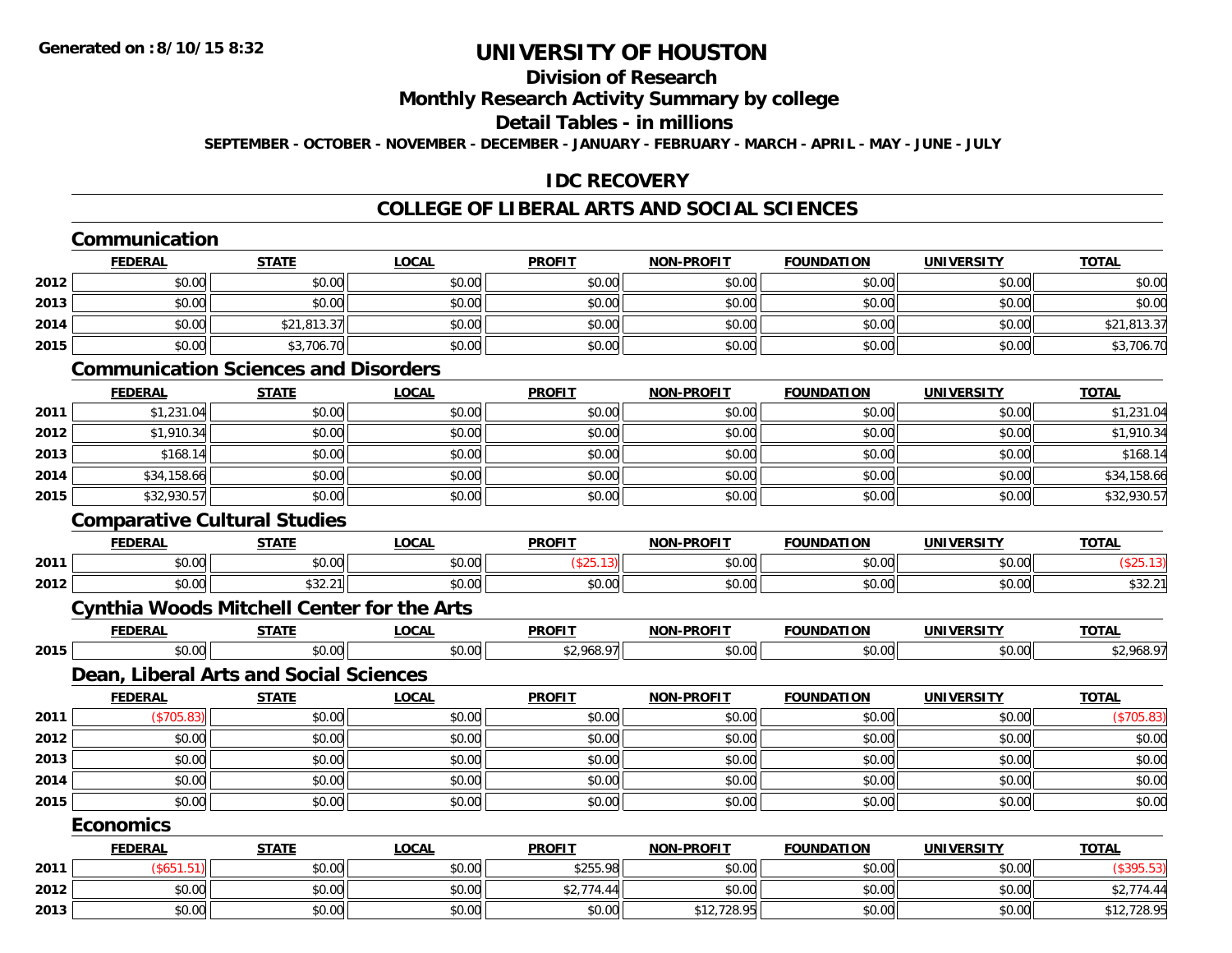# **Division of Research**

**Monthly Research Activity Summary by college**

**Detail Tables - in millions**

**SEPTEMBER - OCTOBER - NOVEMBER - DECEMBER - JANUARY - FEBRUARY - MARCH - APRIL - MAY - JUNE - JULY**

#### **IDC RECOVERY**

|      | Communication    |                                                   |              |               |                   |                   |                   |              |
|------|------------------|---------------------------------------------------|--------------|---------------|-------------------|-------------------|-------------------|--------------|
|      | <b>FEDERAL</b>   | <b>STATE</b>                                      | <b>LOCAL</b> | <b>PROFIT</b> | <b>NON-PROFIT</b> | <b>FOUNDATION</b> | <b>UNIVERSITY</b> | <b>TOTAL</b> |
| 2012 | \$0.00           | \$0.00                                            | \$0.00       | \$0.00        | \$0.00            | \$0.00            | \$0.00            | \$0.00       |
| 2013 | \$0.00           | \$0.00                                            | \$0.00       | \$0.00        | \$0.00            | \$0.00            | \$0.00            | \$0.00       |
| 2014 | \$0.00           | \$21,813.37                                       | \$0.00       | \$0.00        | \$0.00            | \$0.00            | \$0.00            | \$21,813.37  |
| 2015 | \$0.00           | \$3,706.70                                        | \$0.00       | \$0.00        | \$0.00            | \$0.00            | \$0.00            | \$3,706.70   |
|      |                  | <b>Communication Sciences and Disorders</b>       |              |               |                   |                   |                   |              |
|      | <b>FEDERAL</b>   | <b>STATE</b>                                      | <b>LOCAL</b> | <b>PROFIT</b> | NON-PROFIT        | <b>FOUNDATION</b> | <b>UNIVERSITY</b> | <b>TOTAL</b> |
| 2011 | \$1,231.04       | \$0.00                                            | \$0.00       | \$0.00        | \$0.00            | \$0.00            | \$0.00            | \$1,231.04   |
| 2012 | \$1,910.34       | \$0.00                                            | \$0.00       | \$0.00        | \$0.00            | \$0.00            | \$0.00            | \$1,910.34   |
| 2013 | \$168.14         | \$0.00                                            | \$0.00       | \$0.00        | \$0.00            | \$0.00            | \$0.00            | \$168.14     |
| 2014 | \$34,158.66      | \$0.00                                            | \$0.00       | \$0.00        | \$0.00            | \$0.00            | \$0.00            | \$34,158.66  |
| 2015 | \$32,930.57      | \$0.00                                            | \$0.00       | \$0.00        | \$0.00            | \$0.00            | \$0.00            | \$32,930.57  |
|      |                  | <b>Comparative Cultural Studies</b>               |              |               |                   |                   |                   |              |
|      | <b>FEDERAL</b>   | <b>STATE</b>                                      | <b>LOCAL</b> | <b>PROFIT</b> | <b>NON-PROFIT</b> | <b>FOUNDATION</b> | <b>UNIVERSITY</b> | <b>TOTAL</b> |
| 2011 | \$0.00           | \$0.00                                            | \$0.00       | (\$25.13)     | \$0.00            | \$0.00            | \$0.00            | (\$25.13)    |
| 2012 | \$0.00           | \$32.21                                           | \$0.00       | \$0.00        | \$0.00            | \$0.00            | \$0.00            | \$32.21      |
|      |                  | <b>Cynthia Woods Mitchell Center for the Arts</b> |              |               |                   |                   |                   |              |
|      | <b>FEDERAL</b>   | <b>STATE</b>                                      | <b>LOCAL</b> | <b>PROFIT</b> | <b>NON-PROFIT</b> | <b>FOUNDATION</b> | <b>UNIVERSITY</b> | <b>TOTAL</b> |
| 2015 | \$0.00           | \$0.00                                            | \$0.00       | \$2,968.97    | \$0.00            | \$0.00            | \$0.00            | \$2,968.97   |
|      |                  | Dean, Liberal Arts and Social Sciences            |              |               |                   |                   |                   |              |
|      | <b>FEDERAL</b>   | <b>STATE</b>                                      | <b>LOCAL</b> | <b>PROFIT</b> | <b>NON-PROFIT</b> | <b>FOUNDATION</b> | <b>UNIVERSITY</b> | <b>TOTAL</b> |
| 2011 | (\$705.83)       | \$0.00                                            | \$0.00       | \$0.00        | \$0.00            | \$0.00            | \$0.00            | (\$705.83)   |
| 2012 | \$0.00           | \$0.00                                            | \$0.00       | \$0.00        | \$0.00            | \$0.00            | \$0.00            | \$0.00       |
| 2013 | \$0.00           | \$0.00                                            | \$0.00       | \$0.00        | \$0.00            | \$0.00            | \$0.00            | \$0.00       |
| 2014 | \$0.00           | \$0.00                                            | \$0.00       | \$0.00        | \$0.00            | \$0.00            | \$0.00            | \$0.00       |
| 2015 | \$0.00           | \$0.00                                            | \$0.00       | \$0.00        | \$0.00            | \$0.00            | \$0.00            | \$0.00       |
|      | <b>Economics</b> |                                                   |              |               |                   |                   |                   |              |
|      | <b>FEDERAL</b>   | <b>STATE</b>                                      | <b>LOCAL</b> | <b>PROFIT</b> | NON-PROFIT        | <b>FOUNDATION</b> | <b>UNIVERSITY</b> | <b>TOTAL</b> |
| 2011 | (\$651.51)       | \$0.00                                            | \$0.00       | \$255.98      | \$0.00            | \$0.00            | \$0.00            | (\$395.53)   |
| 2012 | \$0.00           | \$0.00                                            | \$0.00       | \$2,774.44    | \$0.00            | \$0.00            | \$0.00            | \$2,774.44   |
| 2013 | \$0.00           | \$0.00                                            | \$0.00       | \$0.00        | \$12,728.95       | \$0.00            | \$0.00            | \$12,728.95  |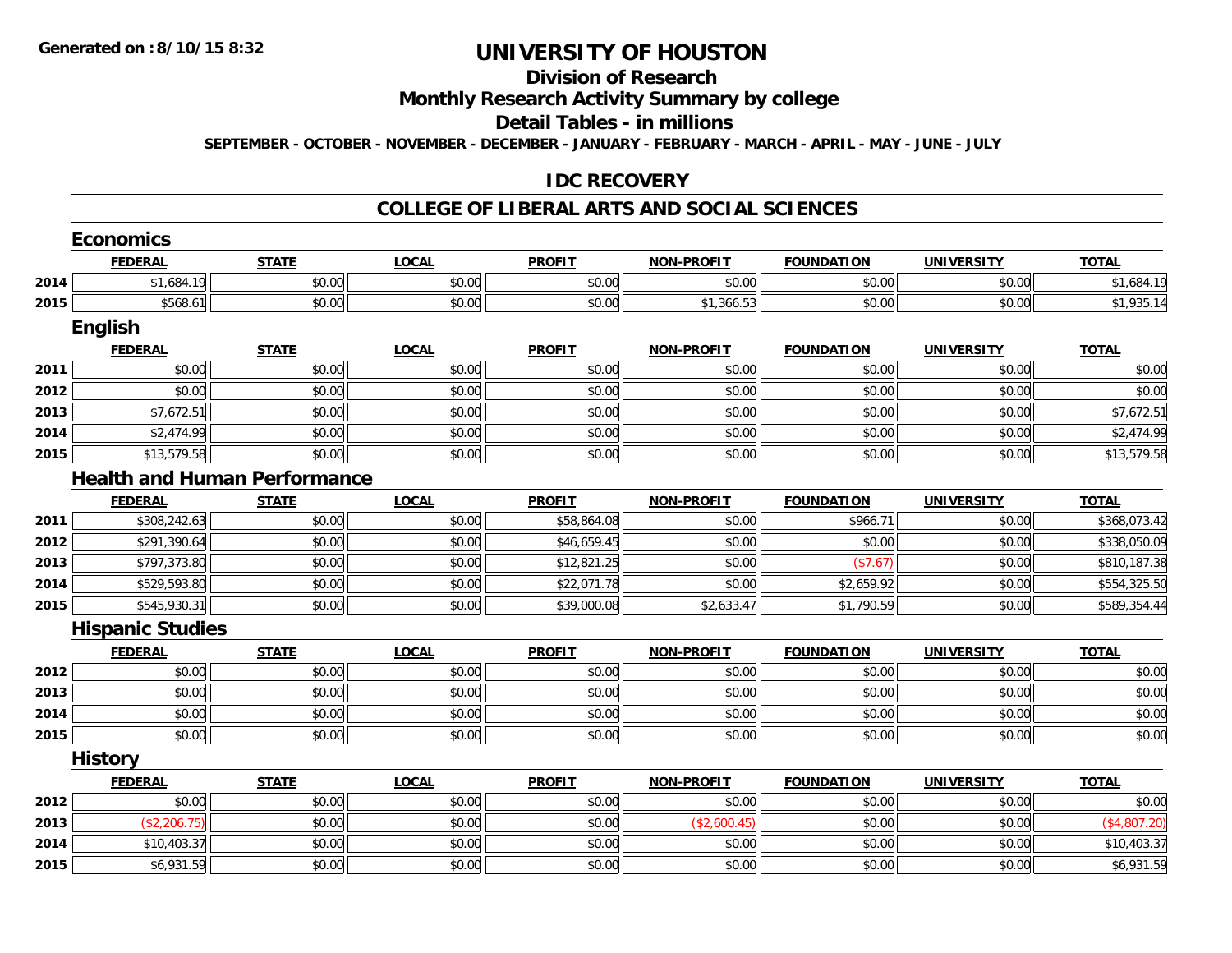# **Division of Research**

#### **Monthly Research Activity Summary by college**

#### **Detail Tables - in millions**

**SEPTEMBER - OCTOBER - NOVEMBER - DECEMBER - JANUARY - FEBRUARY - MARCH - APRIL - MAY - JUNE - JULY**

#### **IDC RECOVERY**

|      | <b>Economics</b>                    |              |              |               |                   |                   |                   |              |
|------|-------------------------------------|--------------|--------------|---------------|-------------------|-------------------|-------------------|--------------|
|      | <b>FEDERAL</b>                      | <b>STATE</b> | <b>LOCAL</b> | <b>PROFIT</b> | <b>NON-PROFIT</b> | <b>FOUNDATION</b> | <b>UNIVERSITY</b> | <b>TOTAL</b> |
| 2014 | \$1,684.19                          | \$0.00       | \$0.00       | \$0.00        | \$0.00            | \$0.00            | \$0.00            | \$1,684.19   |
| 2015 | \$568.61                            | \$0.00       | \$0.00       | \$0.00        | \$1,366.53        | \$0.00            | \$0.00            | \$1,935.14   |
|      | English                             |              |              |               |                   |                   |                   |              |
|      | <b>FEDERAL</b>                      | <b>STATE</b> | <b>LOCAL</b> | <b>PROFIT</b> | <b>NON-PROFIT</b> | <b>FOUNDATION</b> | <b>UNIVERSITY</b> | <b>TOTAL</b> |
| 2011 | \$0.00                              | \$0.00       | \$0.00       | \$0.00        | \$0.00            | \$0.00            | \$0.00            | \$0.00       |
| 2012 | \$0.00                              | \$0.00       | \$0.00       | \$0.00        | \$0.00            | \$0.00            | \$0.00            | \$0.00       |
| 2013 | \$7,672.51                          | \$0.00       | \$0.00       | \$0.00        | \$0.00            | \$0.00            | \$0.00            | \$7,672.51   |
| 2014 | \$2,474.99                          | \$0.00       | \$0.00       | \$0.00        | \$0.00            | \$0.00            | \$0.00            | \$2,474.99   |
| 2015 | \$13,579.58                         | \$0.00       | \$0.00       | \$0.00        | \$0.00            | \$0.00            | \$0.00            | \$13,579.58  |
|      | <b>Health and Human Performance</b> |              |              |               |                   |                   |                   |              |
|      | <b>FEDERAL</b>                      | <b>STATE</b> | <b>LOCAL</b> | <b>PROFIT</b> | <b>NON-PROFIT</b> | <b>FOUNDATION</b> | <b>UNIVERSITY</b> | <b>TOTAL</b> |
| 2011 | \$308,242.63                        | \$0.00       | \$0.00       | \$58,864.08   | \$0.00            | \$966.71          | \$0.00            | \$368,073.42 |
| 2012 | \$291,390.64                        | \$0.00       | \$0.00       | \$46,659.45   | \$0.00            | \$0.00            | \$0.00            | \$338,050.09 |
| 2013 | \$797,373.80                        | \$0.00       | \$0.00       | \$12,821.25   | \$0.00            | (\$7.67)          | \$0.00            | \$810,187.38 |
| 2014 | \$529,593.80                        | \$0.00       | \$0.00       | \$22,071.78   | \$0.00            | \$2,659.92        | \$0.00            | \$554,325.50 |
| 2015 | \$545,930.31                        | \$0.00       | \$0.00       | \$39,000.08   | \$2,633.47        | \$1,790.59        | \$0.00            | \$589,354.44 |
|      | <b>Hispanic Studies</b>             |              |              |               |                   |                   |                   |              |
|      | <b>FEDERAL</b>                      | <b>STATE</b> | <b>LOCAL</b> | <b>PROFIT</b> | <b>NON-PROFIT</b> | <b>FOUNDATION</b> | <b>UNIVERSITY</b> | <b>TOTAL</b> |
| 2012 | \$0.00                              | \$0.00       | \$0.00       | \$0.00        | \$0.00            | \$0.00            | \$0.00            | \$0.00       |
| 2013 | \$0.00                              | \$0.00       | \$0.00       | \$0.00        | \$0.00            | \$0.00            | \$0.00            | \$0.00       |
| 2014 | \$0.00                              | \$0.00       | \$0.00       | \$0.00        | \$0.00            | \$0.00            | \$0.00            | \$0.00       |
| 2015 | \$0.00                              | \$0.00       | \$0.00       | \$0.00        | \$0.00            | \$0.00            | \$0.00            | \$0.00       |
|      | <b>History</b>                      |              |              |               |                   |                   |                   |              |
|      | <b>FEDERAL</b>                      | <b>STATE</b> | <b>LOCAL</b> | <b>PROFIT</b> | <b>NON-PROFIT</b> | <b>FOUNDATION</b> | <b>UNIVERSITY</b> | <b>TOTAL</b> |
| 2012 | \$0.00                              | \$0.00       | \$0.00       | \$0.00        | \$0.00            | \$0.00            | \$0.00            | \$0.00       |
| 2013 | (\$2,206.75)                        | \$0.00       | \$0.00       | \$0.00        | (\$2,600.45)      | \$0.00            | \$0.00            | (\$4,807.20) |
| 2014 | \$10,403.37                         | \$0.00       | \$0.00       | \$0.00        | \$0.00            | \$0.00            | \$0.00            | \$10,403.37  |
| 2015 | \$6,931.59                          | \$0.00       | \$0.00       | \$0.00        | \$0.00            | \$0.00            | \$0.00            | \$6,931.59   |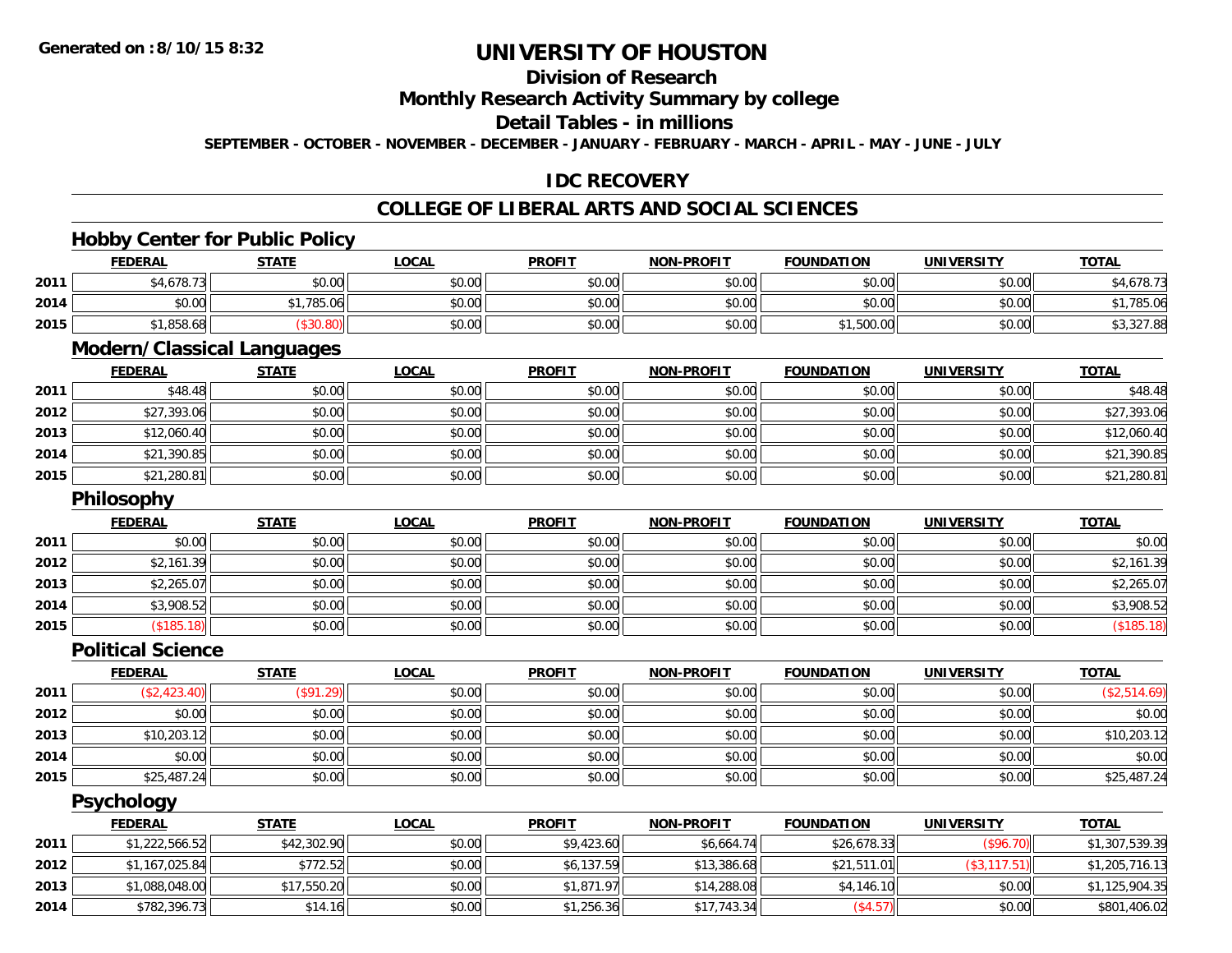## **Division of Research**

#### **Monthly Research Activity Summary by college**

#### **Detail Tables - in millions**

**SEPTEMBER - OCTOBER - NOVEMBER - DECEMBER - JANUARY - FEBRUARY - MARCH - APRIL - MAY - JUNE - JULY**

#### **IDC RECOVERY**

## **COLLEGE OF LIBERAL ARTS AND SOCIAL SCIENCES**

<u> 1989 - Johann Stoff, amerikansk politiker (d. 1989)</u>

<u> 1989 - Johann Stoff, amerikansk politiker (d. 1989)</u>

#### **Hobby Center for Public Policy**

|      | <b>FEDERAL</b> | <b>STATE</b> | LOCAL  | <b>PROFIT</b> | <b>NON-PROFIT</b> | <b>FOUNDATION</b> | <b>UNIVERSITY</b> | <b>TOTAL</b> |
|------|----------------|--------------|--------|---------------|-------------------|-------------------|-------------------|--------------|
| 2011 | 34,678.73      | \$0.00       | \$0.00 | \$0.00        | \$0.00            | \$0.00            | \$0.00            | 4.678.77     |
| 2014 | \$0.00         | ,785.06      | \$0.00 | \$0.00        | \$0.00            | \$0.00            | \$0.00            | 1,785.06     |
| 2015 | 1,858.68       |              | \$0.00 | \$0.00        | \$0.00            | 1,500.00          | \$0.00            | \$3,327.88   |

#### **Modern/Classical Languages**

|      | <u>FEDERAL</u> | <u>STATE</u> | <u>LOCAL</u> | <b>PROFIT</b> | <b>NON-PROFIT</b> | <b>FOUNDATION</b> | <b>UNIVERSITY</b> | <b>TOTAL</b> |
|------|----------------|--------------|--------------|---------------|-------------------|-------------------|-------------------|--------------|
| 2011 | \$48.48        | \$0.00       | \$0.00       | \$0.00        | \$0.00            | \$0.00            | \$0.00            | \$48.48      |
| 2012 | \$27,393.06    | \$0.00       | \$0.00       | \$0.00        | \$0.00            | \$0.00            | \$0.00            | \$27,393.06  |
| 2013 | \$12,060.40    | \$0.00       | \$0.00       | \$0.00        | \$0.00            | \$0.00            | \$0.00            | \$12,060.40  |
| 2014 | \$21,390.85    | \$0.00       | \$0.00       | \$0.00        | \$0.00            | \$0.00            | \$0.00            | \$21,390.85  |
| 2015 | \$21,280.81    | \$0.00       | \$0.00       | \$0.00        | \$0.00            | \$0.00            | \$0.00            | \$21,280.81  |

#### **Philosophy**

|      | <b>Philosophy</b> |              |              |               |                   |                   |                   |              |
|------|-------------------|--------------|--------------|---------------|-------------------|-------------------|-------------------|--------------|
|      | <b>FEDERAL</b>    | <b>STATE</b> | <u>LOCAL</u> | <b>PROFIT</b> | <b>NON-PROFIT</b> | <b>FOUNDATION</b> | <b>UNIVERSITY</b> | <b>TOTAL</b> |
| 2011 | \$0.00            | \$0.00       | \$0.00       | \$0.00        | \$0.00            | \$0.00            | \$0.00            | \$0.00       |
| 2012 | \$2,161.39        | \$0.00       | \$0.00       | \$0.00        | \$0.00            | \$0.00            | \$0.00            | \$2,161.39   |
| 2013 | \$2,265.07        | \$0.00       | \$0.00       | \$0.00        | \$0.00            | \$0.00            | \$0.00            | \$2,265.07   |
| 2014 | \$3,908.52        | \$0.00       | \$0.00       | \$0.00        | \$0.00            | \$0.00            | \$0.00            | \$3,908.52   |
| 2015 | (\$185.18)        | \$0.00       | \$0.00       | \$0.00        | \$0.00            | \$0.00            | \$0.00            | ( \$185.18)  |

#### **Political Science**

|      | <b>FEDERAL</b> | <b>STATE</b>            | <u>LOCAL</u> | <b>PROFIT</b> | <b>NON-PROFIT</b> | <b>FOUNDATION</b> | <b>UNIVERSITY</b> | <b>TOTAL</b> |
|------|----------------|-------------------------|--------------|---------------|-------------------|-------------------|-------------------|--------------|
| 2011 | \$2,423.40     | $($ \$91.29) $^{\circ}$ | \$0.00       | \$0.00        | \$0.00            | \$0.00            | \$0.00            | (\$2,514.69) |
| 2012 | \$0.00         | \$0.00                  | \$0.00       | \$0.00        | \$0.00            | \$0.00            | \$0.00            | \$0.00       |
| 2013 | \$10,203.12    | \$0.00                  | \$0.00       | \$0.00        | \$0.00            | \$0.00            | \$0.00            | \$10,203.12  |
| 2014 | \$0.00         | \$0.00                  | \$0.00       | \$0.00        | \$0.00            | \$0.00            | \$0.00            | \$0.00       |
| 2015 | \$25,487.24    | \$0.00                  | \$0.00       | \$0.00        | \$0.00            | \$0.00            | \$0.00            | \$25,487.24  |

#### **Psychology**

|      | <b>FEDERAL</b> | <u>STATE</u> | <b>LOCAL</b> | <b>PROFIT</b> | <b>NON-PROFIT</b> | <b>FOUNDATION</b> | <b>UNIVERSITY</b> | <b>TOTAL</b>   |
|------|----------------|--------------|--------------|---------------|-------------------|-------------------|-------------------|----------------|
| 2011 | \$1,222,566.52 | \$42,302.90  | \$0.00       | \$9,423.60    | \$6,664.74        | \$26,678.33       | (\$96.70)         | \$1,307,539.39 |
| 2012 | \$1,167,025.84 | \$772.52     | \$0.00       | \$6,137.59    | \$13,386.68       | \$21,511.01       | (\$3, 117.51)     | \$1,205,716.13 |
| 2013 | \$1,088,048.00 | \$17,550.20  | \$0.00       | \$1,871.97    | \$14,288.08       | \$4,146.10        | \$0.00            | \$1,125,904.35 |
| 2014 | \$782,396.73   | \$14.16      | \$0.00       | \$1,256.36    | \$17,743.34       | (\$4.57)          | \$0.00            | \$801,406.02   |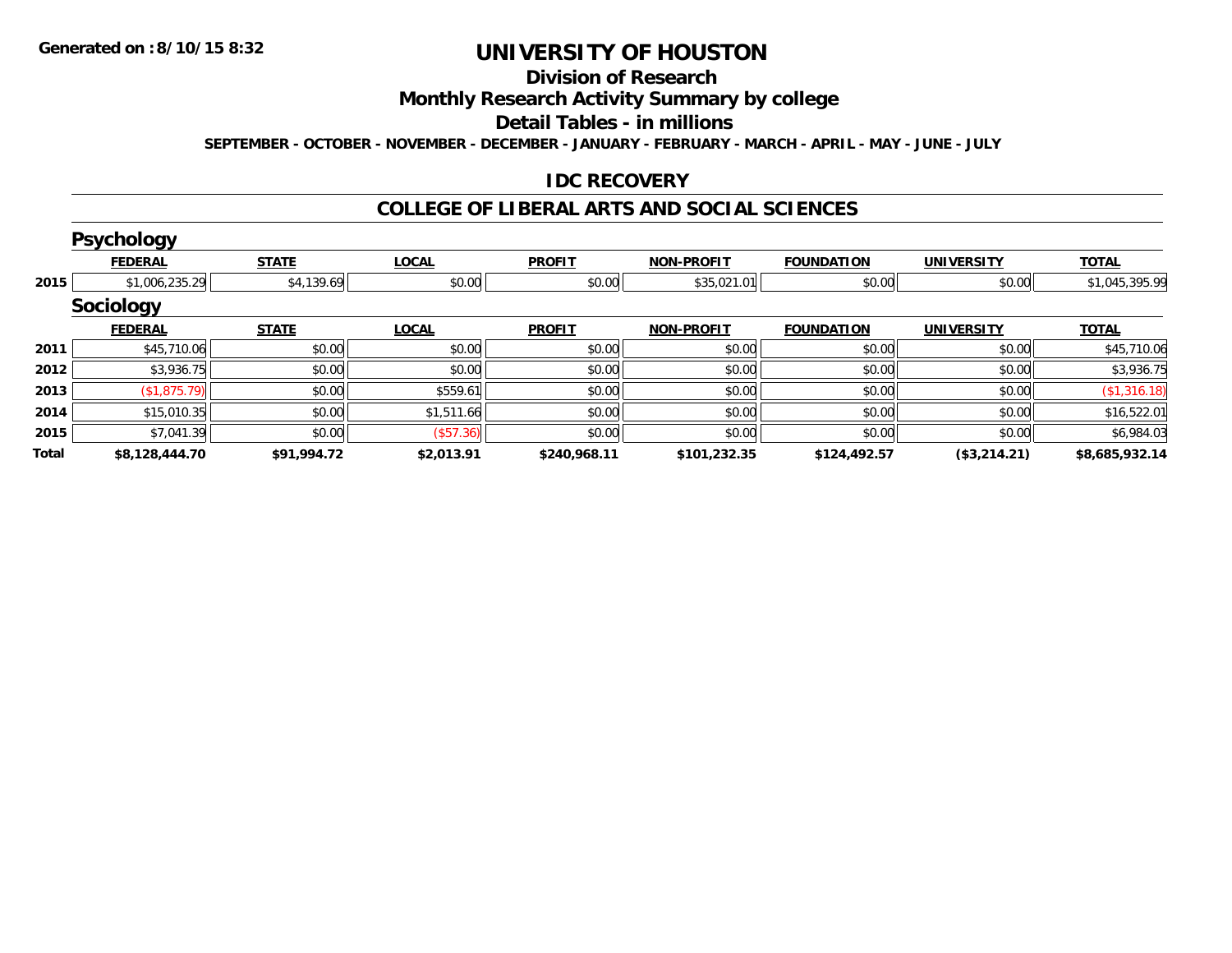# **Division of Research**

**Monthly Research Activity Summary by college**

**Detail Tables - in millions**

**SEPTEMBER - OCTOBER - NOVEMBER - DECEMBER - JANUARY - FEBRUARY - MARCH - APRIL - MAY - JUNE - JULY**

#### **IDC RECOVERY**

|       | <b>Psychology</b> |              |              |               |                   |                   |                   |                |
|-------|-------------------|--------------|--------------|---------------|-------------------|-------------------|-------------------|----------------|
|       | <b>FEDERAL</b>    | <b>STATE</b> | <b>LOCAL</b> | <b>PROFIT</b> | <b>NON-PROFIT</b> | <b>FOUNDATION</b> | <b>UNIVERSITY</b> | <b>TOTAL</b>   |
| 2015  | \$1,006,235.29    | \$4,139.69   | \$0.00       | \$0.00        | \$35,021.01       | \$0.00            | \$0.00            | \$1,045,395.99 |
|       | <b>Sociology</b>  |              |              |               |                   |                   |                   |                |
|       | <b>FEDERAL</b>    | <b>STATE</b> | <b>LOCAL</b> | <b>PROFIT</b> | <b>NON-PROFIT</b> | <b>FOUNDATION</b> | <b>UNIVERSITY</b> | <b>TOTAL</b>   |
| 2011  | \$45,710.06       | \$0.00       | \$0.00       | \$0.00        | \$0.00            | \$0.00            | \$0.00            | \$45,710.06    |
| 2012  | \$3,936.75        | \$0.00       | \$0.00       | \$0.00        | \$0.00            | \$0.00            | \$0.00            | \$3,936.75     |
| 2013  | \$1,875.79        | \$0.00       | \$559.61     | \$0.00        | \$0.00            | \$0.00            | \$0.00            | (\$1,316.18)   |
| 2014  | \$15,010.35       | \$0.00       | \$1,511.66   | \$0.00        | \$0.00            | \$0.00            | \$0.00            | \$16,522.01    |
| 2015  | \$7,041.39        | \$0.00       | (S57.36)     | \$0.00        | \$0.00            | \$0.00            | \$0.00            | \$6,984.03     |
| Total | \$8,128,444.70    | \$91,994.72  | \$2,013.91   | \$240,968.11  | \$101,232.35      | \$124,492.57      | (\$3,214.21)      | \$8,685,932.14 |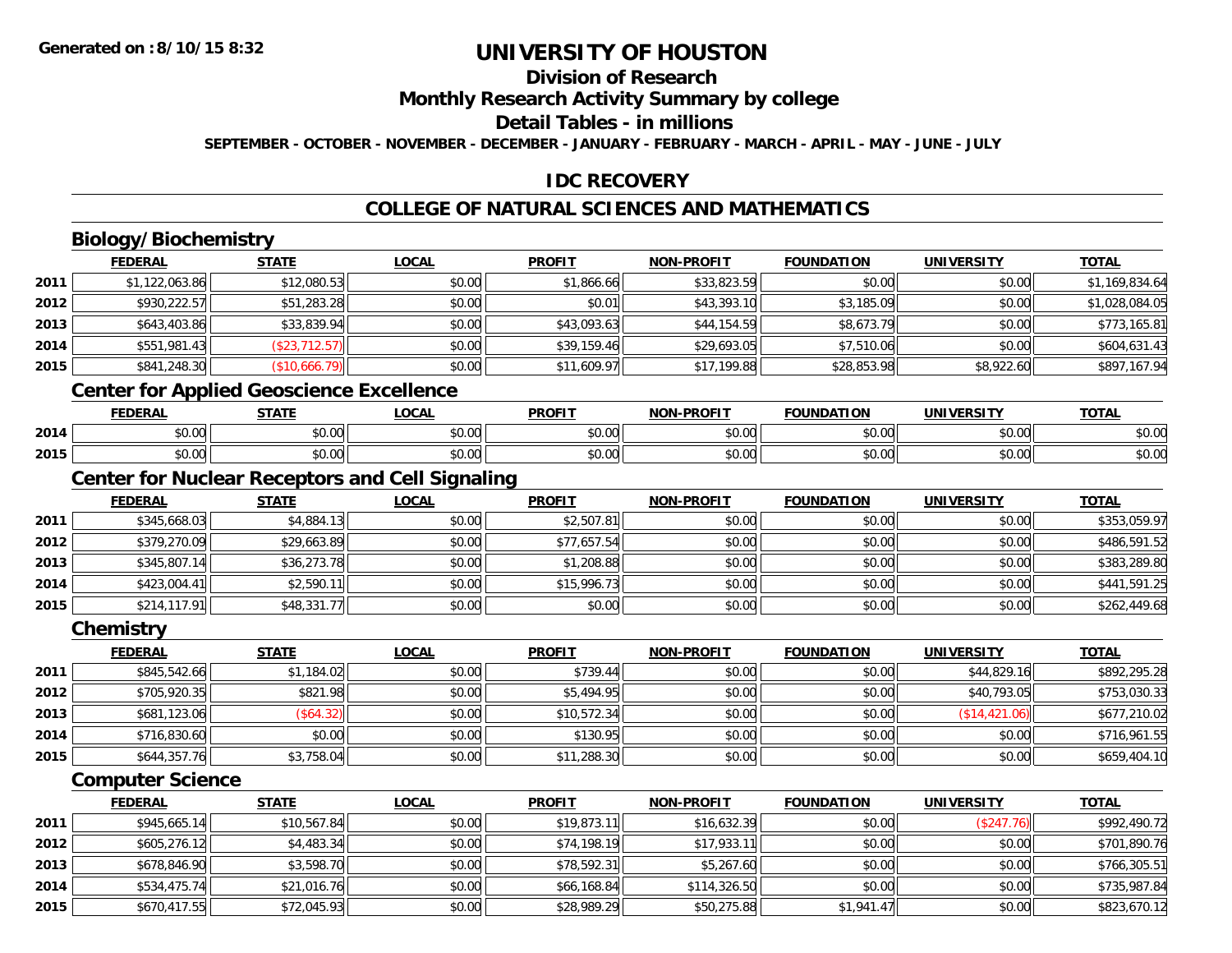## **Division of Research**

**Monthly Research Activity Summary by college**

**Detail Tables - in millions**

**SEPTEMBER - OCTOBER - NOVEMBER - DECEMBER - JANUARY - FEBRUARY - MARCH - APRIL - MAY - JUNE - JULY**

## **IDC RECOVERY**

## **COLLEGE OF NATURAL SCIENCES AND MATHEMATICS**

# **Biology/Biochemistry**

|      | <b>FEDERAL</b> | <b>STATE</b>                                    | <b>LOCAL</b> | <b>PROFIT</b> | <b>NON-PROFIT</b> | <b>FOUNDATION</b> | <b>UNIVERSITY</b> | <b>TOTAL</b>   |
|------|----------------|-------------------------------------------------|--------------|---------------|-------------------|-------------------|-------------------|----------------|
| 2011 | \$1,122,063.86 | \$12,080.53                                     | \$0.00       | \$1,866.66    | \$33,823.59       | \$0.00            | \$0.00            | \$1,169,834.64 |
| 2012 | \$930,222.57   | \$51,283.28                                     | \$0.00       | \$0.01        | \$43,393.10       | \$3,185.09        | \$0.00            | \$1,028,084.05 |
| 2013 | \$643,403.86   | \$33,839.94                                     | \$0.00       | \$43,093.63   | \$44,154.59       | \$8,673.79        | \$0.00            | \$773,165.81   |
| 2014 | \$551,981.43   | (\$23,712.57)                                   | \$0.00       | \$39,159.46   | \$29,693.05       | \$7,510.06        | \$0.00            | \$604,631.43   |
| 2015 | \$841,248.30   | (\$10,666.79)                                   | \$0.00       | \$11,609.97   | \$17,199.88       | \$28,853.98       | \$8,922.60        | \$897,167.94   |
|      |                | <b>Center for Applied Geoscience Excellence</b> |              |               |                   |                   |                   |                |
|      | <b>FEDERAL</b> | <b>STATE</b>                                    | <b>LOCAL</b> | <b>PROFIT</b> | <b>NON-PROFIT</b> | <b>FOUNDATION</b> | <b>UNIVERSITY</b> | <b>TOTAL</b>   |

#### **2014**4 \$0.00 \$0.00 \$0.00 \$0.00 \$0.00 \$0.00 \$0.00 \$0.00 \$0.00 \$0.00 \$0.00 \$0.00 \$0.00 \$0.00 \$0.00 \$0.00 \$0.00 **2015**5 | \$0.00 \$0.00 \$0.00 \$0.00 \$0.00 \$0.00 \$0.00 \$0.00 \$0.00 \$0.00 \$0.00 \$0.00 \$0.00 \$0.00 \$0.00 \$0.00 \$0.00 \$0.00

#### **Center for Nuclear Receptors and Cell Signaling**

|      | <b>FEDERAL</b> | <b>STATE</b> | <u>LOCAL</u> | <b>PROFIT</b> | <b>NON-PROFIT</b> | <b>FOUNDATION</b> | <b>UNIVERSITY</b> | <b>TOTAL</b> |
|------|----------------|--------------|--------------|---------------|-------------------|-------------------|-------------------|--------------|
| 2011 | \$345,668.03   | \$4,884.13   | \$0.00       | \$2,507.81    | \$0.00            | \$0.00            | \$0.00            | \$353,059.97 |
| 2012 | \$379,270.09   | \$29,663.89  | \$0.00       | \$77,657.54   | \$0.00            | \$0.00            | \$0.00            | \$486,591.52 |
| 2013 | \$345,807.14   | \$36,273.78  | \$0.00       | \$1,208.88    | \$0.00            | \$0.00            | \$0.00            | \$383,289.80 |
| 2014 | \$423,004.41   | \$2,590.11   | \$0.00       | \$15,996.73   | \$0.00            | \$0.00            | \$0.00            | \$441,591.25 |
| 2015 | \$214,117.91   | \$48,331.77  | \$0.00       | \$0.00        | \$0.00            | \$0.00            | \$0.00            | \$262,449.68 |

**Chemistry**

|      | <b>FEDERAL</b> | <u>STATE</u> | <u>LOCAL</u> | <b>PROFIT</b> | <b>NON-PROFIT</b> | <b>FOUNDATION</b> | <b>UNIVERSITY</b> | <b>TOTAL</b> |
|------|----------------|--------------|--------------|---------------|-------------------|-------------------|-------------------|--------------|
| 2011 | \$845,542.66   | \$1,184.02   | \$0.00       | \$739.44      | \$0.00            | \$0.00            | \$44,829.16       | \$892,295.28 |
| 2012 | \$705,920.35   | \$821.98     | \$0.00       | \$5,494.95    | \$0.00            | \$0.00            | \$40,793.05       | \$753,030.33 |
| 2013 | \$681,123.06   | (\$64.32)    | \$0.00       | \$10,572.34   | \$0.00            | \$0.00            | (S14, 421.06)     | \$677,210.02 |
| 2014 | \$716,830.60   | \$0.00       | \$0.00       | \$130.95      | \$0.00            | \$0.00            | \$0.00            | \$716,961.55 |
| 2015 | \$644,357.76   | \$3,758.04   | \$0.00       | \$11,288.30   | \$0.00            | \$0.00            | \$0.00            | \$659,404.10 |

#### **Computer Science**

|      | <b>FEDERAL</b> | <b>STATE</b> | <b>LOCAL</b> | <b>PROFIT</b> | <b>NON-PROFIT</b> | <b>FOUNDATION</b> | <b>UNIVERSITY</b> | <u>TOTAL</u> |
|------|----------------|--------------|--------------|---------------|-------------------|-------------------|-------------------|--------------|
| 2011 | \$945,665.14   | \$10,567.84  | \$0.00       | \$19,873.11   | \$16,632.39       | \$0.00            | (\$247.76)        | \$992,490.72 |
| 2012 | \$605,276.12   | \$4,483.34   | \$0.00       | \$74,198.19   | \$17,933.11       | \$0.00            | \$0.00            | \$701,890.76 |
| 2013 | \$678,846.90   | \$3,598.70   | \$0.00       | \$78,592.31   | \$5,267.60        | \$0.00            | \$0.00            | \$766,305.51 |
| 2014 | \$534,475.74   | \$21,016.76  | \$0.00       | \$66,168.84   | \$114,326.50      | \$0.00            | \$0.00            | \$735,987.84 |
| 2015 | \$670,417.55   | \$72,045.93  | \$0.00       | \$28,989.29   | \$50,275.88       | \$1,941.47        | \$0.00            | \$823,670.12 |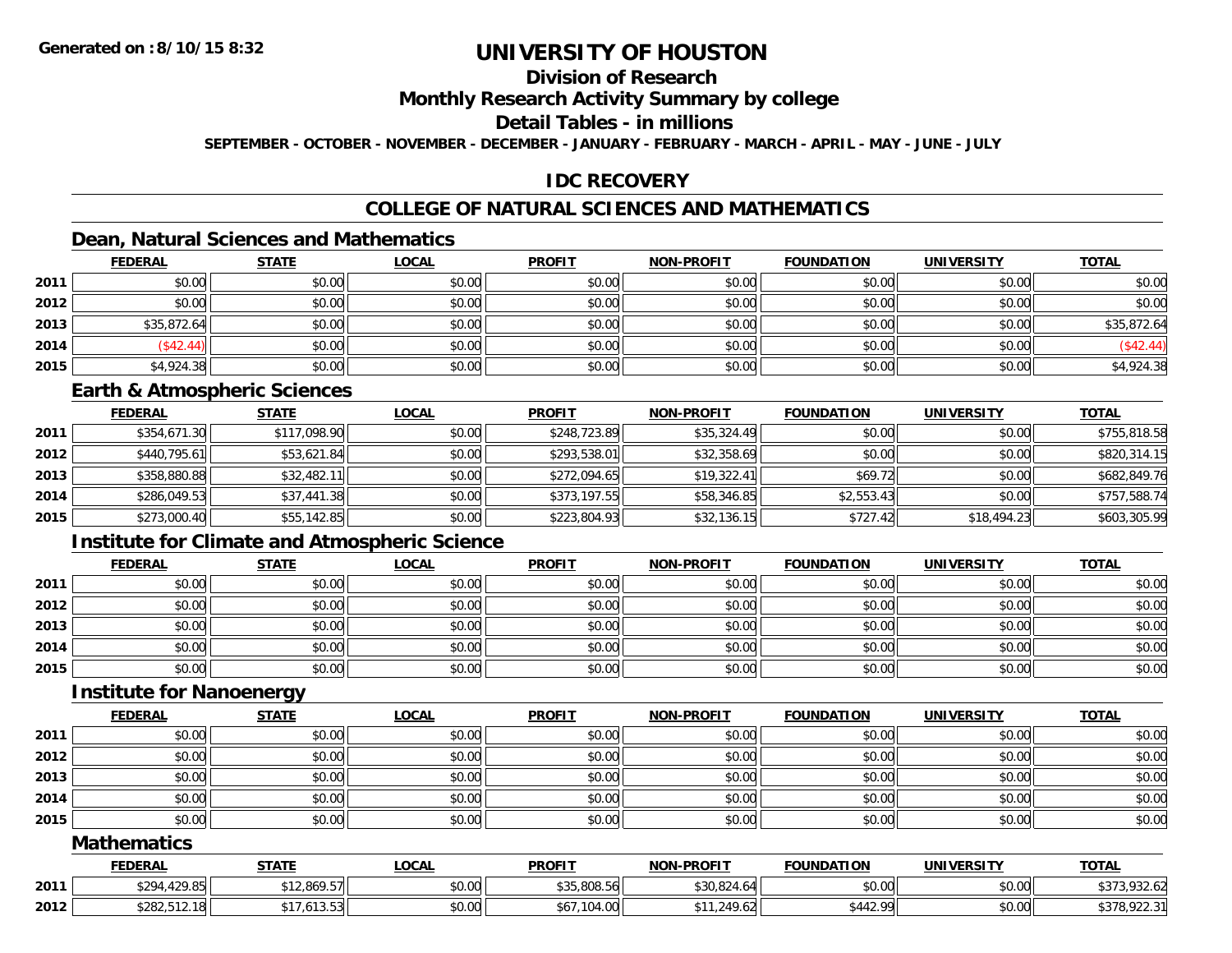## **Division of Research**

#### **Monthly Research Activity Summary by college**

#### **Detail Tables - in millions**

**SEPTEMBER - OCTOBER - NOVEMBER - DECEMBER - JANUARY - FEBRUARY - MARCH - APRIL - MAY - JUNE - JULY**

#### **IDC RECOVERY**

## **COLLEGE OF NATURAL SCIENCES AND MATHEMATICS**

## **Dean, Natural Sciences and Mathematics**

|      | <b>FEDERAL</b> | <b>STATE</b> | <u>LOCAL</u> | <b>PROFIT</b> | <b>NON-PROFIT</b> | <b>FOUNDATION</b> | <b>UNIVERSITY</b> | <b>TOTAL</b> |
|------|----------------|--------------|--------------|---------------|-------------------|-------------------|-------------------|--------------|
| 2011 | \$0.00         | \$0.00       | \$0.00       | \$0.00        | \$0.00            | \$0.00            | \$0.00            | \$0.00       |
| 2012 | \$0.00         | \$0.00       | \$0.00       | \$0.00        | \$0.00            | \$0.00            | \$0.00            | \$0.00       |
| 2013 | \$35,872.64    | \$0.00       | \$0.00       | \$0.00        | \$0.00            | \$0.00            | \$0.00            | \$35,872.64  |
| 2014 | (\$42.44)      | \$0.00       | \$0.00       | \$0.00        | \$0.00            | \$0.00            | \$0.00            | (\$42.44)    |
| 2015 | \$4,924.38     | \$0.00       | \$0.00       | \$0.00        | \$0.00            | \$0.00            | \$0.00            | \$4,924.38   |

#### **Earth & Atmospheric Sciences**

|      | <b>FEDERAL</b> | <u>STATE</u> | <b>LOCAL</b> | <b>PROFIT</b> | <b>NON-PROFIT</b> | <b>FOUNDATION</b> | <b>UNIVERSITY</b> | <b>TOTAL</b> |
|------|----------------|--------------|--------------|---------------|-------------------|-------------------|-------------------|--------------|
| 2011 | \$354,671.30   | \$117,098.90 | \$0.00       | \$248,723.89  | \$35,324.49       | \$0.00            | \$0.00            | \$755,818.58 |
| 2012 | \$440,795.61   | \$53,621.84  | \$0.00       | \$293,538.01  | \$32,358.69       | \$0.00            | \$0.00            | \$820,314.15 |
| 2013 | \$358,880.88   | \$32,482.11  | \$0.00       | \$272,094.65  | \$19,322.41       | \$69.72           | \$0.00            | \$682,849.76 |
| 2014 | \$286,049.53   | \$37,441.38  | \$0.00       | \$373,197.55  | \$58,346.85       | \$2,553.43        | \$0.00            | \$757,588.74 |
| 2015 | \$273,000.40   | \$55,142.85  | \$0.00       | \$223,804.93  | \$32,136.15       | \$727.42          | \$18,494.23       | \$603,305.99 |

## **Institute for Climate and Atmospheric Science**

|      | <b>FEDERAL</b> | <b>STATE</b> | <b>LOCAL</b> | <b>PROFIT</b> | NON-PROFIT | <b>FOUNDATION</b> | <b>UNIVERSITY</b> | <b>TOTAL</b> |
|------|----------------|--------------|--------------|---------------|------------|-------------------|-------------------|--------------|
| 2011 | \$0.00         | \$0.00       | \$0.00       | \$0.00        | \$0.00     | \$0.00            | \$0.00            | \$0.00       |
| 2012 | \$0.00         | \$0.00       | \$0.00       | \$0.00        | \$0.00     | \$0.00            | \$0.00            | \$0.00       |
| 2013 | \$0.00         | \$0.00       | \$0.00       | \$0.00        | \$0.00     | \$0.00            | \$0.00            | \$0.00       |
| 2014 | \$0.00         | \$0.00       | \$0.00       | \$0.00        | \$0.00     | \$0.00            | \$0.00            | \$0.00       |
| 2015 | \$0.00         | \$0.00       | \$0.00       | \$0.00        | \$0.00     | \$0.00            | \$0.00            | \$0.00       |

#### **Institute for Nanoenergy**

|      | <b>FEDERAL</b> | <b>STATE</b> | <b>LOCAL</b> | <b>PROFIT</b> | <b>NON-PROFIT</b> | <b>FOUNDATION</b> | <b>UNIVERSITY</b> | <b>TOTAL</b> |
|------|----------------|--------------|--------------|---------------|-------------------|-------------------|-------------------|--------------|
| 2011 | \$0.00         | \$0.00       | \$0.00       | \$0.00        | \$0.00            | \$0.00            | \$0.00            | \$0.00       |
| 2012 | \$0.00         | \$0.00       | \$0.00       | \$0.00        | \$0.00            | \$0.00            | \$0.00            | \$0.00       |
| 2013 | \$0.00         | \$0.00       | \$0.00       | \$0.00        | \$0.00            | \$0.00            | \$0.00            | \$0.00       |
| 2014 | \$0.00         | \$0.00       | \$0.00       | \$0.00        | \$0.00            | \$0.00            | \$0.00            | \$0.00       |
| 2015 | \$0.00         | \$0.00       | \$0.00       | \$0.00        | \$0.00            | \$0.00            | \$0.00            | \$0.00       |

#### **Mathematics**

|      | <b>FEDERA!</b>          | <b>STATE</b>              | .OCAI                  | <b>PROFIT</b>                   | <b>BBAFIT</b><br><b>AIOR</b> | <b>FOUNDATION</b> | UNIVERSITY | <b>TOTAL</b>                                            |
|------|-------------------------|---------------------------|------------------------|---------------------------------|------------------------------|-------------------|------------|---------------------------------------------------------|
| 2011 | 1.2000<br>0.001         | 12.869.57<br>$A^{\prime}$ | $\sim$ $\sim$<br>vu.vu | $0.25$ 0.00 $E/L$<br>DC.OUO,CCC | $\sim$ $\sim$                | \$0.00            | \$0.00     | $\sim$ $\sim$<br>$\mathbf{A} \cap \mathbf{B}$<br>132.OZ |
| 2012 | 0.0000000<br>21 G, 2024 | 110F<br>. 1.1.1.1.        | ሶስ ስስ<br>JU.UU         | 4.VV                            | 249.62<br>.021               | $A A A$<br>ററ     | \$0.00     | $\sim$ $\sim$<br>$\sim$ $\sim$ $\sim$<br>. ن / ز ه<br>. |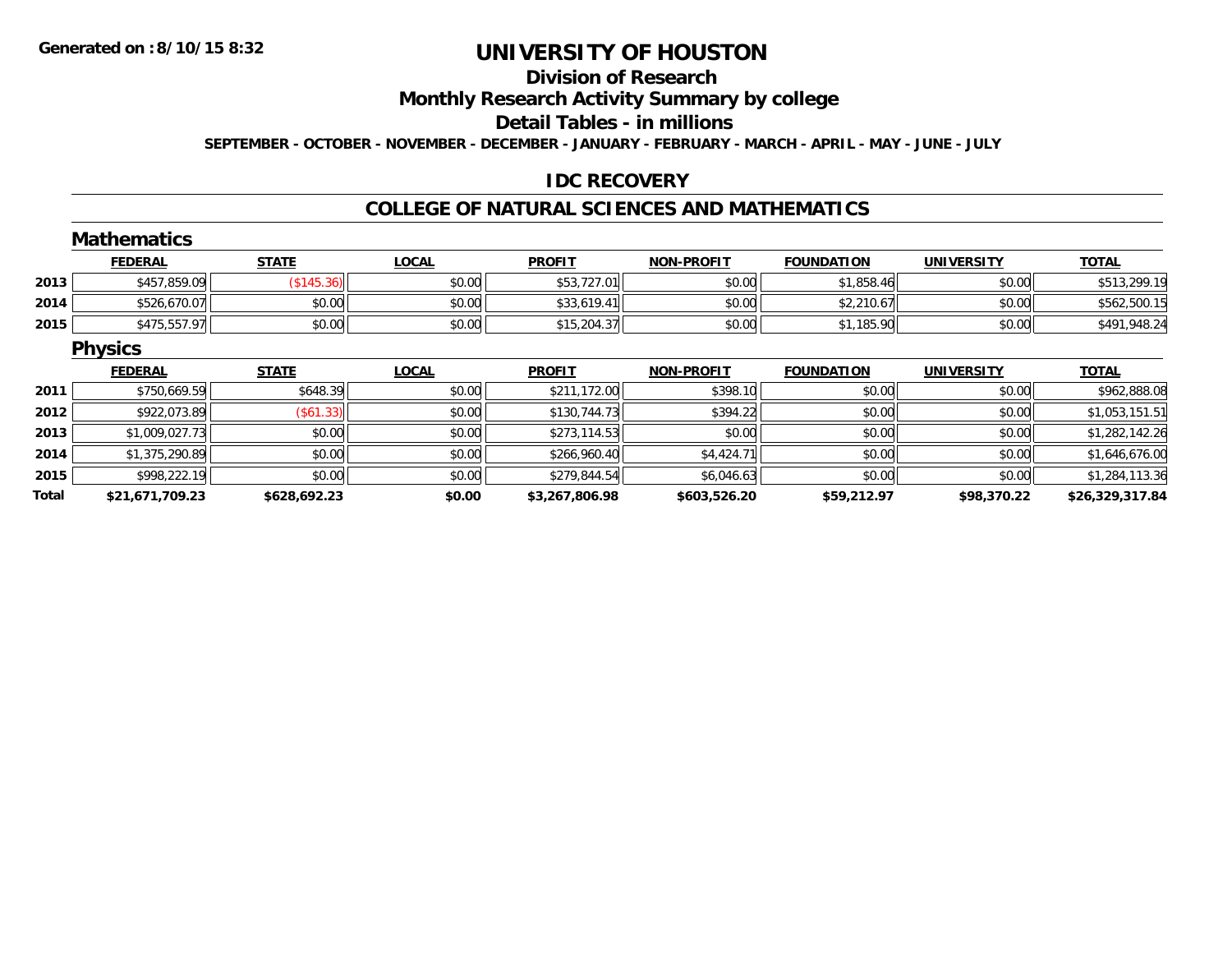#### **Division of Research**

**Monthly Research Activity Summary by college**

**Detail Tables - in millions**

**SEPTEMBER - OCTOBER - NOVEMBER - DECEMBER - JANUARY - FEBRUARY - MARCH - APRIL - MAY - JUNE - JULY**

## **IDC RECOVERY**

#### **COLLEGE OF NATURAL SCIENCES AND MATHEMATICS**

|       | <b>Mathematics</b> |                   |              |                |                   |                   |                   |                 |
|-------|--------------------|-------------------|--------------|----------------|-------------------|-------------------|-------------------|-----------------|
|       | <b>FEDERAL</b>     | <b>STATE</b>      | <b>LOCAL</b> | <b>PROFIT</b>  | <b>NON-PROFIT</b> | <b>FOUNDATION</b> | <b>UNIVERSITY</b> | <b>TOTAL</b>    |
| 2013  | \$457,859.09       | $($ \$145.36) $ $ | \$0.00       | \$53,727.01    | \$0.00            | \$1,858.46        | \$0.00            | \$513,299.19    |
| 2014  | \$526,670.07       | \$0.00            | \$0.00       | \$33,619.41    | \$0.00            | \$2,210.67        | \$0.00            | \$562,500.15    |
| 2015  | \$475,557.97       | \$0.00            | \$0.00       | \$15,204.37    | \$0.00            | \$1,185.90        | \$0.00            | \$491,948.24    |
|       | <b>Physics</b>     |                   |              |                |                   |                   |                   |                 |
|       | <b>FEDERAL</b>     | <b>STATE</b>      | <b>LOCAL</b> | <b>PROFIT</b>  | <b>NON-PROFIT</b> | <b>FOUNDATION</b> | <b>UNIVERSITY</b> | <b>TOTAL</b>    |
| 2011  | \$750,669.59       | \$648.39          | \$0.00       | \$211,172.00   | \$398.10          | \$0.00            | \$0.00            | \$962,888.08    |
| 2012  | \$922,073.89       | $($ \$61.33) $ $  | \$0.00       | \$130,744.73   | \$394.22          | \$0.00            | \$0.00            | \$1,053,151.51  |
| 2013  | \$1,009,027.73     | \$0.00            | \$0.00       | \$273,114.53   | \$0.00            | \$0.00            | \$0.00            | \$1,282,142.26  |
| 2014  | \$1,375,290.89     | \$0.00            | \$0.00       | \$266,960.40   | \$4,424.71        | \$0.00            | \$0.00            | \$1,646,676.00  |
| 2015  | \$998,222.19       | \$0.00            | \$0.00       | \$279,844.54   | \$6,046.63        | \$0.00            | \$0.00            | \$1,284,113.36  |
| Total | \$21,671,709.23    | \$628,692.23      | \$0.00       | \$3,267,806.98 | \$603,526.20      | \$59,212.97       | \$98,370.22       | \$26,329,317.84 |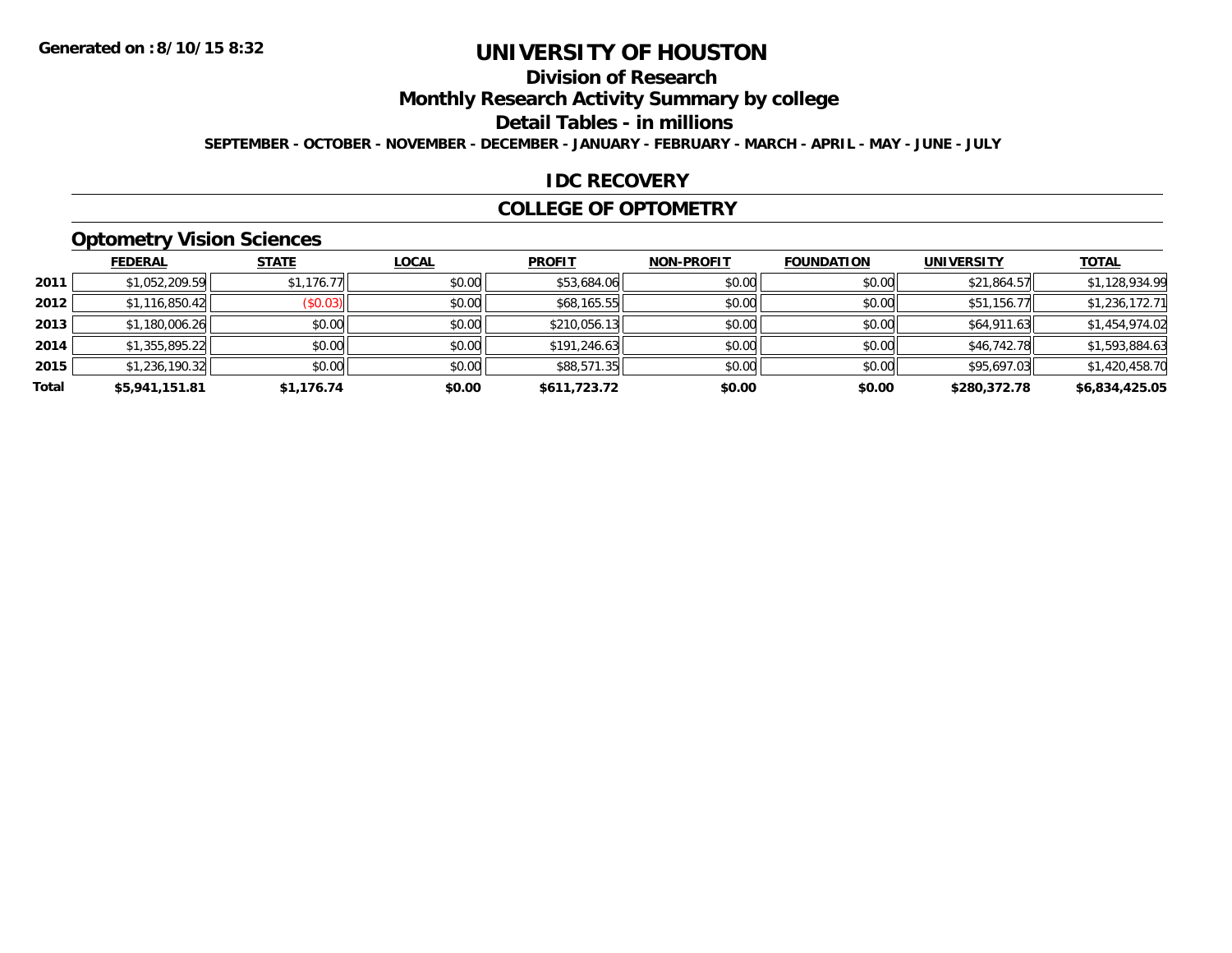## **Division of Research**

**Monthly Research Activity Summary by college**

**Detail Tables - in millions**

**SEPTEMBER - OCTOBER - NOVEMBER - DECEMBER - JANUARY - FEBRUARY - MARCH - APRIL - MAY - JUNE - JULY**

#### **IDC RECOVERY**

#### **COLLEGE OF OPTOMETRY**

## **Optometry Vision Sciences**

|       | <b>FEDERAL</b> | <b>STATE</b>            | <b>LOCAL</b> | <b>PROFIT</b> | <b>NON-PROFIT</b> | <b>FOUNDATION</b> | <b>UNIVERSITY</b> | <u>TOTAL</u>   |
|-------|----------------|-------------------------|--------------|---------------|-------------------|-------------------|-------------------|----------------|
| 2011  | \$1,052,209.59 | \$1,176.77              | \$0.00       | \$53,684.06   | \$0.00            | \$0.00            | \$21,864.57       | \$1,128,934.99 |
| 2012  | \$1,116,850.42 | $($ \$0.03) $\parallel$ | \$0.00       | \$68,165.55   | \$0.00            | \$0.00            | \$51,156.77       | \$1,236,172.71 |
| 2013  | \$1,180,006.26 | \$0.00                  | \$0.00       | \$210,056.13  | \$0.00            | \$0.00            | \$64,911.63       | \$1,454,974.02 |
| 2014  | \$1,355,895.22 | \$0.00                  | \$0.00       | \$191,246.63  | \$0.00            | \$0.00            | \$46,742.78       | \$1,593,884.63 |
| 2015  | \$1,236,190.32 | \$0.00                  | \$0.00       | \$88,571.35   | \$0.00            | \$0.00            | \$95,697.03       | \$1,420,458.70 |
| Total | \$5,941,151.81 | \$1,176.74              | \$0.00       | \$611,723.72  | \$0.00            | \$0.00            | \$280,372.78      | \$6,834,425.05 |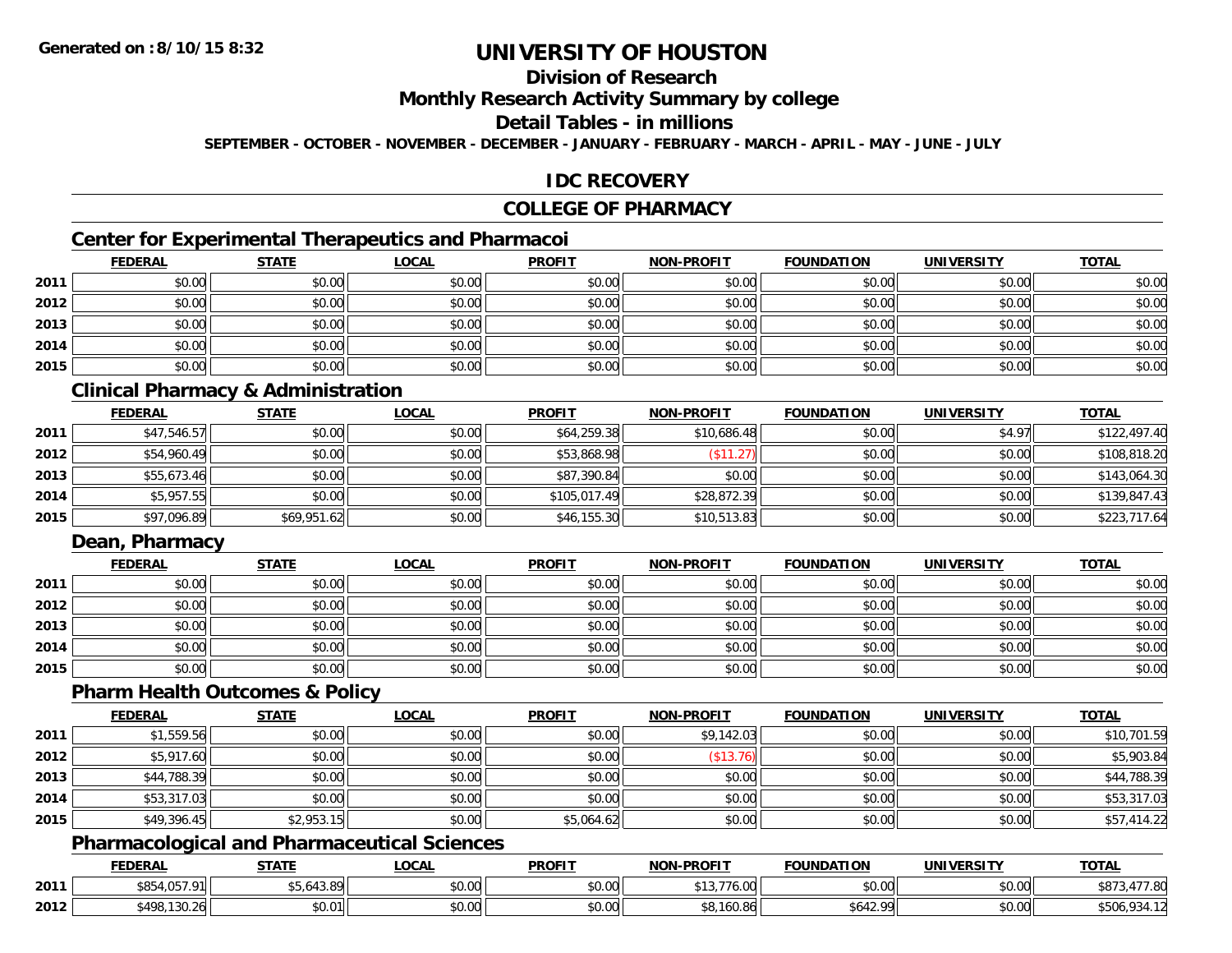## **Division of Research**

**Monthly Research Activity Summary by college**

**Detail Tables - in millions**

**SEPTEMBER - OCTOBER - NOVEMBER - DECEMBER - JANUARY - FEBRUARY - MARCH - APRIL - MAY - JUNE - JULY**

#### **IDC RECOVERY**

#### **COLLEGE OF PHARMACY**

## **Center for Experimental Therapeutics and Pharmacoi**

|      | <b>FEDERAL</b> | <b>STATE</b> | <b>LOCAL</b> | <b>PROFIT</b> | <b>NON-PROFIT</b> | <b>FOUNDATION</b> | <b>UNIVERSITY</b> | <b>TOTAL</b> |
|------|----------------|--------------|--------------|---------------|-------------------|-------------------|-------------------|--------------|
| 2011 | \$0.00         | \$0.00       | \$0.00       | \$0.00        | \$0.00            | \$0.00            | \$0.00            | \$0.00       |
| 2012 | \$0.00         | \$0.00       | \$0.00       | \$0.00        | \$0.00            | \$0.00            | \$0.00            | \$0.00       |
| 2013 | \$0.00         | \$0.00       | \$0.00       | \$0.00        | \$0.00            | \$0.00            | \$0.00            | \$0.00       |
| 2014 | \$0.00         | \$0.00       | \$0.00       | \$0.00        | \$0.00            | \$0.00            | \$0.00            | \$0.00       |
| 2015 | \$0.00         | \$0.00       | \$0.00       | \$0.00        | \$0.00            | \$0.00            | \$0.00            | \$0.00       |

## **Clinical Pharmacy & Administration**

|      | <b>FEDERAL</b> | <b>STATE</b> | <b>LOCAL</b> | <b>PROFIT</b> | <b>NON-PROFIT</b> | <b>FOUNDATION</b> | <b>UNIVERSITY</b> | <b>TOTAL</b> |
|------|----------------|--------------|--------------|---------------|-------------------|-------------------|-------------------|--------------|
| 2011 | \$47,546.57    | \$0.00       | \$0.00       | \$64,259.38   | \$10,686.48       | \$0.00            | \$4.97            | \$122,497.40 |
| 2012 | \$54,960.49    | \$0.00       | \$0.00       | \$53,868.98   | (\$11.27)         | \$0.00            | \$0.00            | \$108,818.20 |
| 2013 | \$55,673.46    | \$0.00       | \$0.00       | \$87,390.84   | \$0.00            | \$0.00            | \$0.00            | \$143,064.30 |
| 2014 | \$5,957.55     | \$0.00       | \$0.00       | \$105,017.49  | \$28,872.39       | \$0.00            | \$0.00            | \$139,847.43 |
| 2015 | \$97,096.89    | \$69,951.62  | \$0.00       | \$46,155.30   | \$10,513.83       | \$0.00            | \$0.00            | \$223,717.64 |

## **Dean, Pharmacy**

|      | <u>FEDERAL</u> | <u>STATE</u> | <u>LOCAL</u> | <b>PROFIT</b> | <b>NON-PROFIT</b> | <b>FOUNDATION</b> | <b>UNIVERSITY</b> | <b>TOTAL</b> |
|------|----------------|--------------|--------------|---------------|-------------------|-------------------|-------------------|--------------|
| 2011 | \$0.00         | \$0.00       | \$0.00       | \$0.00        | \$0.00            | \$0.00            | \$0.00            | \$0.00       |
| 2012 | \$0.00         | \$0.00       | \$0.00       | \$0.00        | \$0.00            | \$0.00            | \$0.00            | \$0.00       |
| 2013 | \$0.00         | \$0.00       | \$0.00       | \$0.00        | \$0.00            | \$0.00            | \$0.00            | \$0.00       |
| 2014 | \$0.00         | \$0.00       | \$0.00       | \$0.00        | \$0.00            | \$0.00            | \$0.00            | \$0.00       |
| 2015 | \$0.00         | \$0.00       | \$0.00       | \$0.00        | \$0.00            | \$0.00            | \$0.00            | \$0.00       |

#### **Pharm Health Outcomes & Policy**

|      | <b>FEDERAL</b> | <b>STATE</b> | <b>LOCAL</b> | <b>PROFIT</b> | <b>NON-PROFIT</b> | <b>FOUNDATION</b> | <b>UNIVERSITY</b> | <b>TOTAL</b> |
|------|----------------|--------------|--------------|---------------|-------------------|-------------------|-------------------|--------------|
| 2011 | \$1,559.56     | \$0.00       | \$0.00       | \$0.00        | \$9,142.03        | \$0.00            | \$0.00            | \$10,701.59  |
| 2012 | \$5,917.60     | \$0.00       | \$0.00       | \$0.00        | \$13.76           | \$0.00            | \$0.00            | \$5,903.84   |
| 2013 | \$44,788.39    | \$0.00       | \$0.00       | \$0.00        | \$0.00            | \$0.00            | \$0.00            | \$44,788.39  |
| 2014 | \$53,317.03    | \$0.00       | \$0.00       | \$0.00        | \$0.00            | \$0.00            | \$0.00            | \$53,317.03  |
| 2015 | \$49,396.45    | \$2,953.15   | \$0.00       | \$5,064.62    | \$0.00            | \$0.00            | \$0.00            | \$57,414.22  |

## **Pharmacological and Pharmaceutical Sciences**

|      | <b>FEDERAL</b>                  | C T A T C               | .OCAL                                           | <b>PROFIT</b>  | <b>NON-PROFIT</b> | <b>FOUNDATION</b> | UNIVERSITY                                            | <b>TOTAL</b>                            |
|------|---------------------------------|-------------------------|-------------------------------------------------|----------------|-------------------|-------------------|-------------------------------------------------------|-----------------------------------------|
| 2011 | QOFAOET<br>∽ت⊙ر<br>. <i>. .</i> | ററ<br>nд<br>1 J . U     | ሶስ ሰሰ<br>טט.טע                                  | ቀስ ሰሰ<br>JU.UU | . v. vv           | 0.00<br>JU.UU.    | $\mathfrak{g}$ $\mathfrak{g}$ $\mathfrak{g}$<br>JU.UU | 177.00<br>$\sim$ $\sim$ $\sim$<br>77.OU |
| 2012 | \$498.130.<br>13U.ZO            | $\overline{a}$<br>DU.UI | $\uparrow$ $\uparrow$<br>$\sim$ $\sim$<br>vv.vv | 0.00<br>DU.UG  | v.oo              | u oc<br>564Z.     | $\mathfrak{g} \cap \mathfrak{g}$<br><b>DU.UU</b>      |                                         |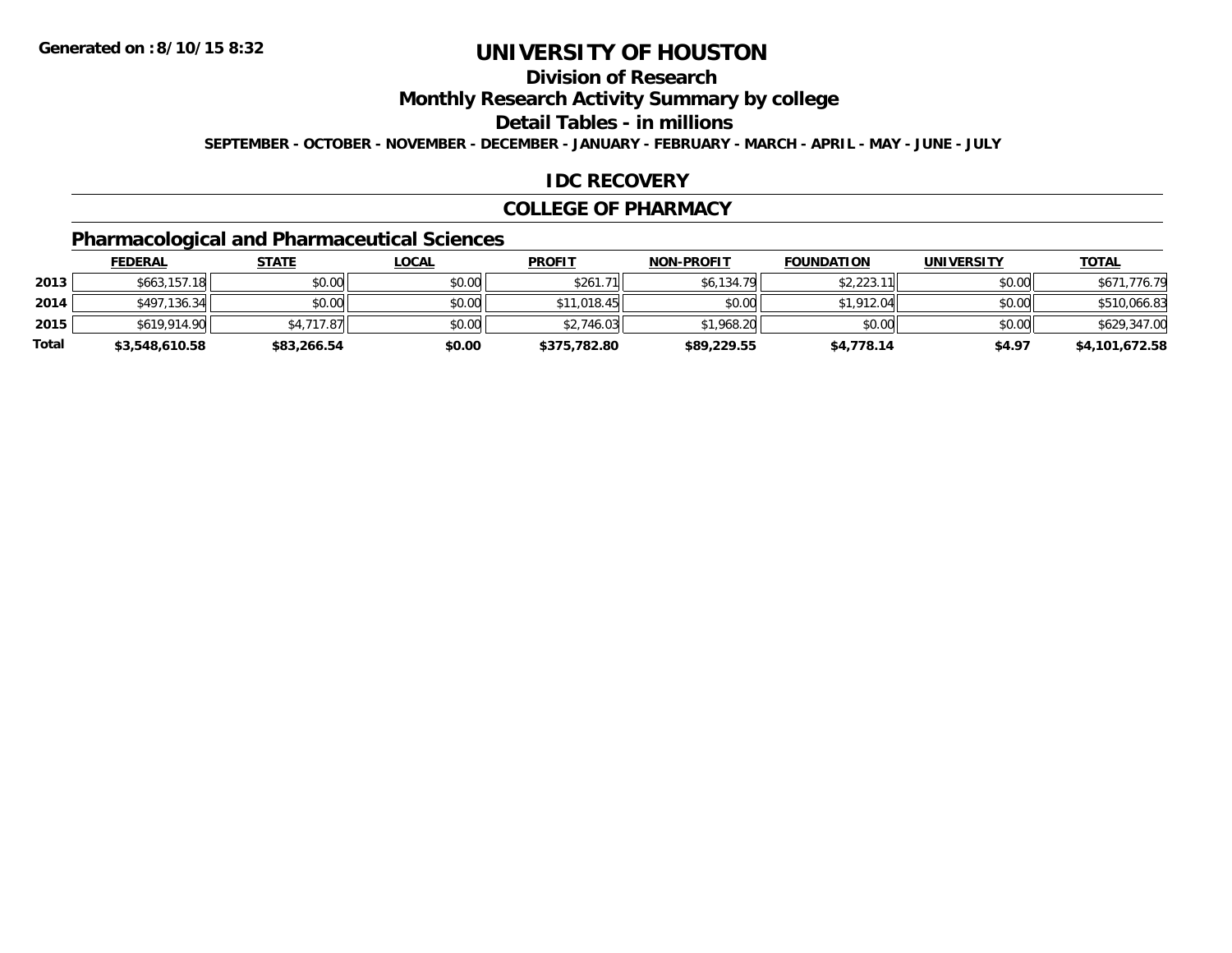## **Division of Research**

**Monthly Research Activity Summary by college**

**Detail Tables - in millions**

**SEPTEMBER - OCTOBER - NOVEMBER - DECEMBER - JANUARY - FEBRUARY - MARCH - APRIL - MAY - JUNE - JULY**

#### **IDC RECOVERY**

#### **COLLEGE OF PHARMACY**

## **Pharmacological and Pharmaceutical Sciences**

|       | <b>FEDERAL</b> | <u>STATE</u> | <u>LOCAL</u> | <b>PROFIT</b> | <b>NON-PROFIT</b> | <b>FOUNDATION</b> | UNIVERSITY | <b>TOTAL</b>   |
|-------|----------------|--------------|--------------|---------------|-------------------|-------------------|------------|----------------|
| 2013  | \$663,157.18   | \$0.00       | \$0.00       | \$261.71      | \$6,134.79        | \$2,223.11        | \$0.00     | \$671,776.79   |
| 2014  | \$497,136.34   | \$0.00       | \$0.00       | \$11,018.45   | \$0.00            | \$1,912.04        | \$0.00     | \$510,066.83   |
| 2015  | \$619,914.90   | \$4,717.87   | \$0.00       | \$2,746.03    | \$1,968.20        | \$0.00            | \$0.00     | \$629,347.00   |
| Total | \$3,548,610.58 | \$83,266.54  | \$0.00       | \$375,782.80  | \$89,229.55       | \$4,778.14        | \$4.97     | \$4,101,672.58 |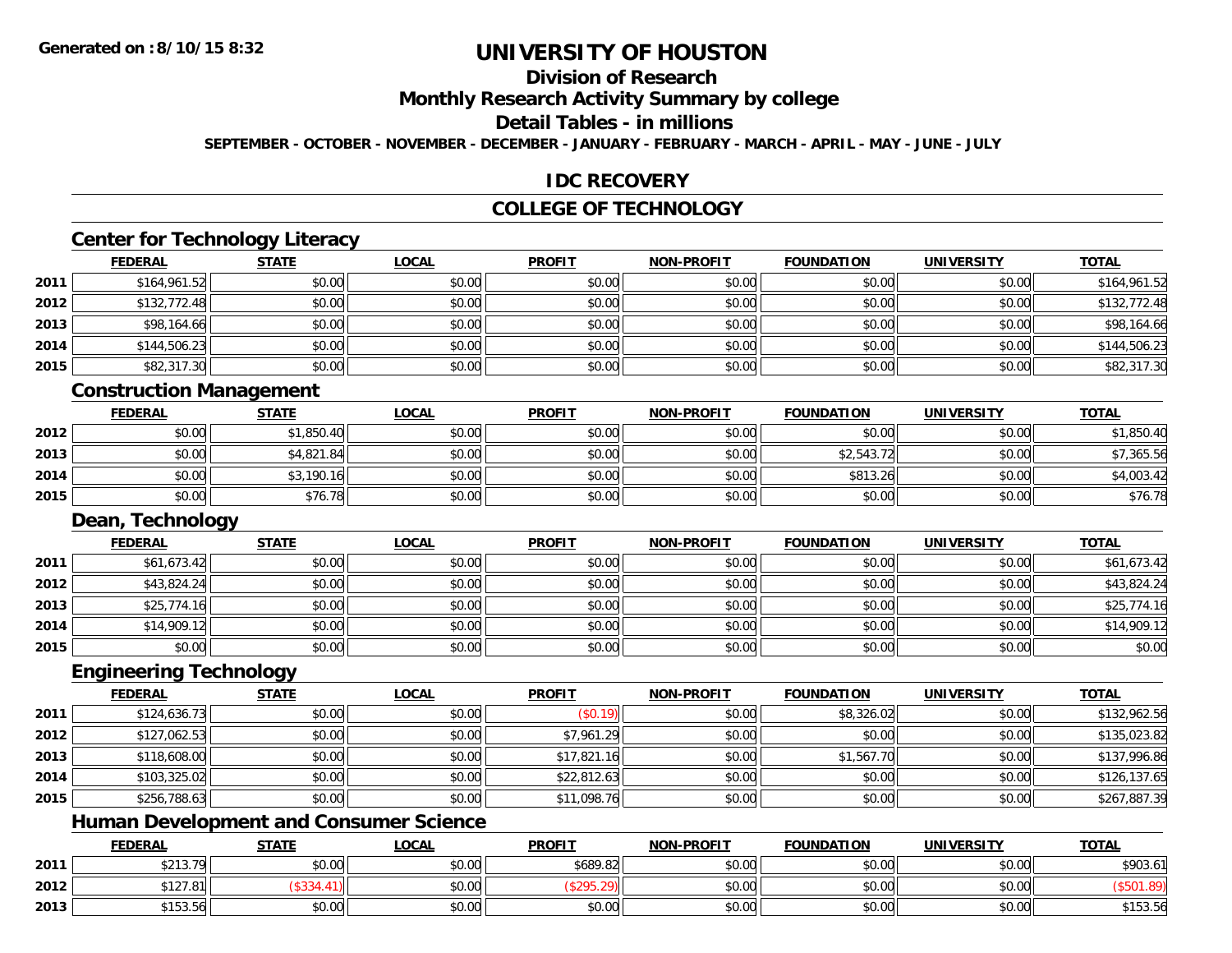## **Division of Research**

**Monthly Research Activity Summary by college**

## **Detail Tables - in millions**

**SEPTEMBER - OCTOBER - NOVEMBER - DECEMBER - JANUARY - FEBRUARY - MARCH - APRIL - MAY - JUNE - JULY**

#### **IDC RECOVERY**

#### **COLLEGE OF TECHNOLOGY**

# **Center for Technology Literacy**

|      | Center for Technology Literacy |              |              |               |                   |                   |                   |              |  |  |
|------|--------------------------------|--------------|--------------|---------------|-------------------|-------------------|-------------------|--------------|--|--|
|      | <b>FEDERAL</b>                 | <b>STATE</b> | <b>LOCAL</b> | <b>PROFIT</b> | <b>NON-PROFIT</b> | <b>FOUNDATION</b> | <b>UNIVERSITY</b> | <b>TOTAL</b> |  |  |
| 2011 | \$164,961.52                   | \$0.00       | \$0.00       | \$0.00        | \$0.00            | \$0.00            | \$0.00            | \$164,961.52 |  |  |
| 2012 | \$132,772.48                   | \$0.00       | \$0.00       | \$0.00        | \$0.00            | \$0.00            | \$0.00            | \$132,772.48 |  |  |
| 2013 | \$98,164.66                    | \$0.00       | \$0.00       | \$0.00        | \$0.00            | \$0.00            | \$0.00            | \$98,164.66  |  |  |
| 2014 | \$144,506.23                   | \$0.00       | \$0.00       | \$0.00        | \$0.00            | \$0.00            | \$0.00            | \$144,506.23 |  |  |
| 2015 | \$82,317.30                    | \$0.00       | \$0.00       | \$0.00        | \$0.00            | \$0.00            | \$0.00            | \$82,317.30  |  |  |

#### **Construction Management**

|      | <b>FEDERAL</b> | <b>STATE</b> | <u>LOCAL</u> | <b>PROFIT</b> | <b>NON-PROFIT</b> | <b>FOUNDATION</b> | <b>UNIVERSITY</b> | <b>TOTAL</b> |
|------|----------------|--------------|--------------|---------------|-------------------|-------------------|-------------------|--------------|
| 2012 | \$0.00         | \$1,850.40   | \$0.00       | \$0.00        | \$0.00            | \$0.00            | \$0.00            | \$1,850.40   |
| 2013 | \$0.00         | \$4,821.84   | \$0.00       | \$0.00        | \$0.00            | \$2,543.72        | \$0.00            | \$7,365.56   |
| 2014 | \$0.00         | \$3,190.1    | \$0.00       | \$0.00        | \$0.00            | \$813.26          | \$0.00            | \$4,003.42   |
| 2015 | \$0.00         | \$76.78      | \$0.00       | \$0.00        | \$0.00            | \$0.00            | \$0.00            | \$76.78      |

#### **Dean, Technology**

|      | <b>FEDERAL</b> | <b>STATE</b> | <u>LOCAL</u> | <b>PROFIT</b> | <b>NON-PROFIT</b> | <b>FOUNDATION</b> | <b>UNIVERSITY</b> | <b>TOTAL</b> |
|------|----------------|--------------|--------------|---------------|-------------------|-------------------|-------------------|--------------|
| 2011 | \$61,673.42    | \$0.00       | \$0.00       | \$0.00        | \$0.00            | \$0.00            | \$0.00            | \$61,673.42  |
| 2012 | \$43,824.24    | \$0.00       | \$0.00       | \$0.00        | \$0.00            | \$0.00            | \$0.00            | \$43,824.24  |
| 2013 | \$25,774.16    | \$0.00       | \$0.00       | \$0.00        | \$0.00            | \$0.00            | \$0.00            | \$25,774.16  |
| 2014 | \$14,909.12    | \$0.00       | \$0.00       | \$0.00        | \$0.00            | \$0.00            | \$0.00            | \$14,909.12  |
| 2015 | \$0.00         | \$0.00       | \$0.00       | \$0.00        | \$0.00            | \$0.00            | \$0.00            | \$0.00       |

#### **Engineering Technology**

|      | <b>FEDERAL</b> | <b>STATE</b> | <b>LOCAL</b> | <b>PROFIT</b> | <b>NON-PROFIT</b> | <b>FOUNDATION</b> | <b>UNIVERSITY</b> | <b>TOTAL</b> |
|------|----------------|--------------|--------------|---------------|-------------------|-------------------|-------------------|--------------|
| 2011 | \$124,636.73   | \$0.00       | \$0.00       | (\$0.19)      | \$0.00            | \$8,326.02        | \$0.00            | \$132,962.56 |
| 2012 | \$127,062.53   | \$0.00       | \$0.00       | \$7,961.29    | \$0.00            | \$0.00            | \$0.00            | \$135,023.82 |
| 2013 | \$118,608.00   | \$0.00       | \$0.00       | \$17,821.16   | \$0.00            | \$1,567.70        | \$0.00            | \$137,996.86 |
| 2014 | \$103,325.02   | \$0.00       | \$0.00       | \$22,812.63   | \$0.00            | \$0.00            | \$0.00            | \$126,137.65 |
| 2015 | \$256,788.63   | \$0.00       | \$0.00       | \$11,098.76   | \$0.00            | \$0.00            | \$0.00            | \$267,887.39 |

#### **Human Development and Consumer Science**

|      | <b>FEDERAL</b>                             | <b>STATE</b> | LOCAL          | <b>PROFIT</b> | <b>NON-PROFIT</b> | <b>FOUNDATION</b> | <b>UNIVERSITY</b> | <b>TOTAL</b> |
|------|--------------------------------------------|--------------|----------------|---------------|-------------------|-------------------|-------------------|--------------|
| 2011 | $\mathsf{max} \; \mathsf{max}$<br>92 I J.I | \$0.00       | 40.00<br>DU.UU | \$689.82      | \$0.00            | \$0.00            | \$0.00            | \$903.61     |
| 2012 | 7.81                                       |              | \$0.00         | .             | \$0.00            | \$0.00            | \$0.00            |              |
| 2013 | A A E Q E I<br>$\mathbf{r}$<br>199.90      | \$0.00       | \$0.00         | \$0.00        | \$0.00            | \$0.00            | \$0.00            | \$153.56     |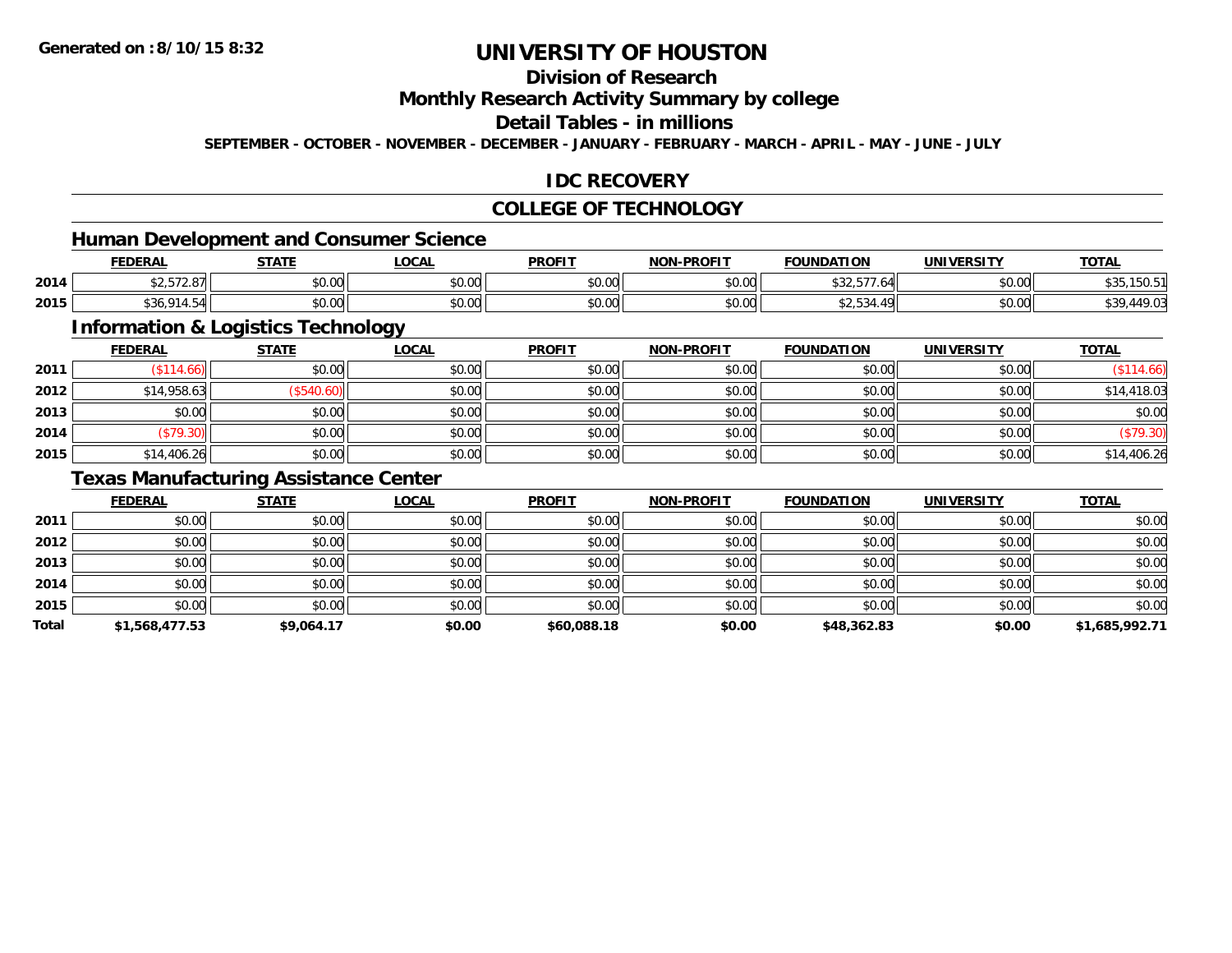## **Division of Research**

**Monthly Research Activity Summary by college**

## **Detail Tables - in millions**

**SEPTEMBER - OCTOBER - NOVEMBER - DECEMBER - JANUARY - FEBRUARY - MARCH - APRIL - MAY - JUNE - JULY**

#### **IDC RECOVERY**

#### **COLLEGE OF TECHNOLOGY**

<u> 1989 - Johann Stein, fransk politik (d. 1989)</u>

# **Human Development and Consumer Science**

|      | <b>FEDERAL</b>                         | <b>STATE</b><br>,,,,, | <b>LOCAL</b>         | <b>PROFIT</b> | <b>NON-PROFIT</b> | <b>FOUNDATION</b>      | <b>UNIVERSITY</b> | <u>TOTAL</u> |
|------|----------------------------------------|-----------------------|----------------------|---------------|-------------------|------------------------|-------------------|--------------|
| 2014 | $\land$ $\land$ $\land$<br>→∠,∪1∠.Ö/II | 0000<br>DU.UG         | 0.00<br><b>DU.UU</b> | 0000<br>vv.vv | 0000<br>JU.UU     | 0.005<br>.64<br>، رے ب | \$0.00            | 199.9        |
| 2015 | ືບບ                                    | \$0.00                | 0.00<br><b>DU.UU</b> | 0000<br>JU.UU | 0000<br>JU.UU     | <b>JZ, JJ4.</b>        | \$0.00            | 47.V.        |

## **Information & Logistics Technology**

|      | <u>FEDERAL</u> | <b>STATE</b> | <b>LOCAL</b> | <b>PROFIT</b> | <b>NON-PROFIT</b> | <b>FOUNDATION</b> | <b>UNIVERSITY</b> | <b>TOTAL</b> |
|------|----------------|--------------|--------------|---------------|-------------------|-------------------|-------------------|--------------|
| 2011 | \$114.66       | \$0.00       | \$0.00       | \$0.00        | \$0.00            | \$0.00            | \$0.00            | (\$114.66)   |
| 2012 | \$14,958.63    | \$540.60     | \$0.00       | \$0.00        | \$0.00            | \$0.00            | \$0.00            | \$14,418.03  |
| 2013 | \$0.00         | \$0.00       | \$0.00       | \$0.00        | \$0.00            | \$0.00            | \$0.00            | \$0.00       |
| 2014 | (\$79.30)      | \$0.00       | \$0.00       | \$0.00        | \$0.00            | \$0.00            | \$0.00            | (\$79.30)    |
| 2015 | \$14,406.26    | \$0.00       | \$0.00       | \$0.00        | \$0.00            | \$0.00            | \$0.00            | \$14,406.26  |

## **Texas Manufacturing Assistance Center**

|       | <b>FEDERAL</b> | <b>STATE</b> | <b>LOCAL</b> | <b>PROFIT</b> | <b>NON-PROFIT</b> | <b>FOUNDATION</b> | <b>UNIVERSITY</b> | <b>TOTAL</b>   |
|-------|----------------|--------------|--------------|---------------|-------------------|-------------------|-------------------|----------------|
| 2011  | \$0.00         | \$0.00       | \$0.00       | \$0.00        | \$0.00            | \$0.00            | \$0.00            | \$0.00         |
| 2012  | \$0.00         | \$0.00       | \$0.00       | \$0.00        | \$0.00            | \$0.00            | \$0.00            | \$0.00         |
| 2013  | \$0.00         | \$0.00       | \$0.00       | \$0.00        | \$0.00            | \$0.00            | \$0.00            | \$0.00         |
| 2014  | \$0.00         | \$0.00       | \$0.00       | \$0.00        | \$0.00            | \$0.00            | \$0.00            | \$0.00         |
| 2015  | \$0.00         | \$0.00       | \$0.00       | \$0.00        | \$0.00            | \$0.00            | \$0.00            | \$0.00         |
| Total | \$1,568,477.53 | \$9,064.17   | \$0.00       | \$60,088.18   | \$0.00            | \$48,362.83       | \$0.00            | \$1,685,992.71 |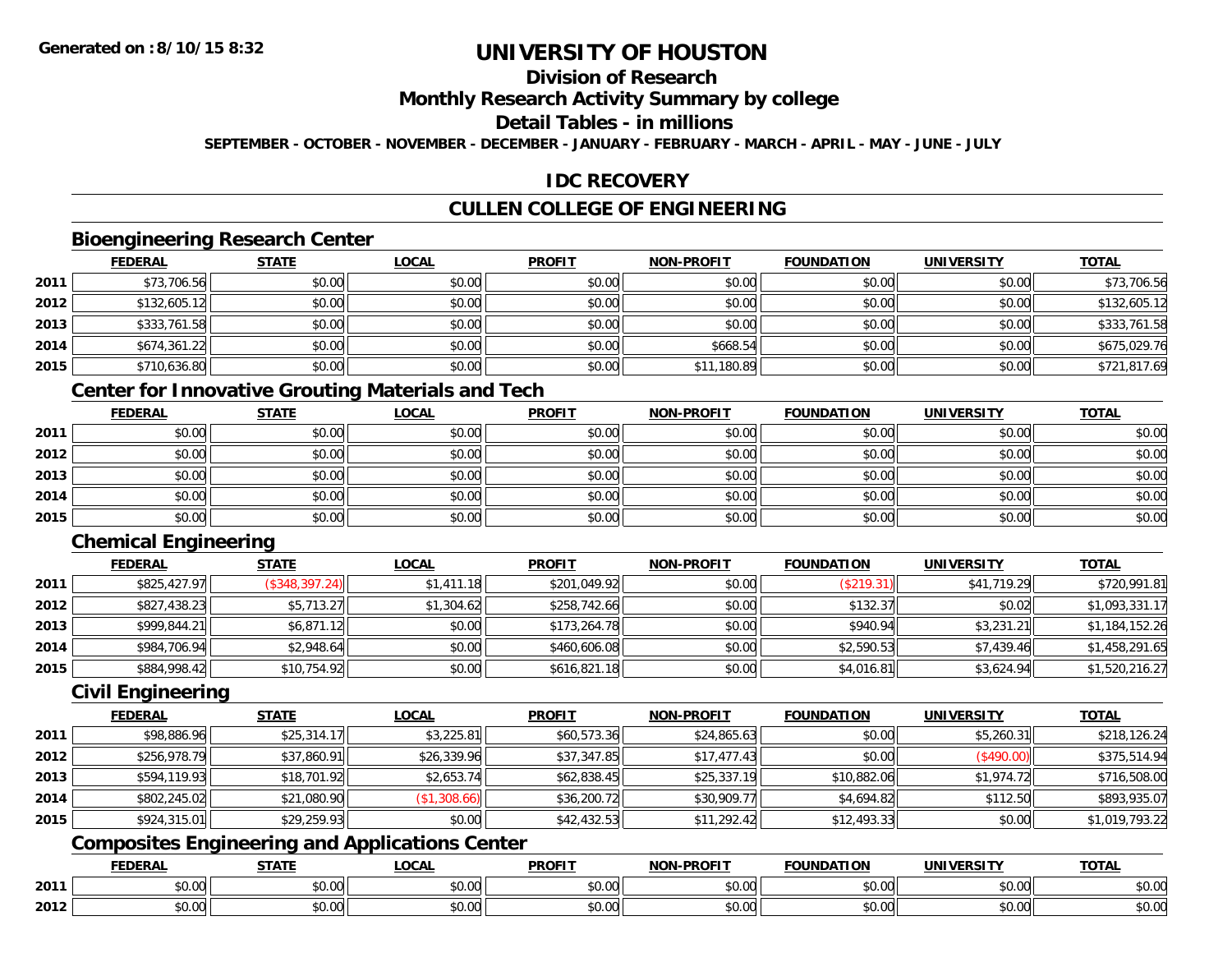# **Division of Research**

#### **Monthly Research Activity Summary by college**

## **Detail Tables - in millions**

**SEPTEMBER - OCTOBER - NOVEMBER - DECEMBER - JANUARY - FEBRUARY - MARCH - APRIL - MAY - JUNE - JULY**

#### **IDC RECOVERY**

## **CULLEN COLLEGE OF ENGINEERING**

#### **Bioengineering Research Center**

|      | <b>FEDERAL</b> | <b>STATE</b> | <b>LOCAL</b> | <b>PROFIT</b> | <b>NON-PROFIT</b> | <b>FOUNDATION</b> | <b>UNIVERSITY</b> | <b>TOTAL</b> |
|------|----------------|--------------|--------------|---------------|-------------------|-------------------|-------------------|--------------|
| 2011 | \$73,706.56    | \$0.00       | \$0.00       | \$0.00        | \$0.00            | \$0.00            | \$0.00            | \$73,706.56  |
| 2012 | \$132,605.12   | \$0.00       | \$0.00       | \$0.00        | \$0.00            | \$0.00            | \$0.00            | \$132,605.12 |
| 2013 | \$333,761.58   | \$0.00       | \$0.00       | \$0.00        | \$0.00            | \$0.00            | \$0.00            | \$333,761.58 |
| 2014 | \$674,361.22   | \$0.00       | \$0.00       | \$0.00        | \$668.54          | \$0.00            | \$0.00            | \$675,029.76 |
| 2015 | \$710,636.80   | \$0.00       | \$0.00       | \$0.00        | \$11,180.89       | \$0.00            | \$0.00            | \$721,817.69 |

## **Center for Innovative Grouting Materials and Tech**

|      | <b>FEDERAL</b> | <b>STATE</b> | <b>LOCAL</b> | <b>PROFIT</b> | <b>NON-PROFIT</b> | <b>FOUNDATION</b> | <b>UNIVERSITY</b> | <b>TOTAL</b> |
|------|----------------|--------------|--------------|---------------|-------------------|-------------------|-------------------|--------------|
| 2011 | \$0.00         | \$0.00       | \$0.00       | \$0.00        | \$0.00            | \$0.00            | \$0.00            | \$0.00       |
| 2012 | \$0.00         | \$0.00       | \$0.00       | \$0.00        | \$0.00            | \$0.00            | \$0.00            | \$0.00       |
| 2013 | \$0.00         | \$0.00       | \$0.00       | \$0.00        | \$0.00            | \$0.00            | \$0.00            | \$0.00       |
| 2014 | \$0.00         | \$0.00       | \$0.00       | \$0.00        | \$0.00            | \$0.00            | \$0.00            | \$0.00       |
| 2015 | \$0.00         | \$0.00       | \$0.00       | \$0.00        | \$0.00            | \$0.00            | \$0.00            | \$0.00       |

## **Chemical Engineering**

|      | <b>FEDERAL</b> | <b>STATE</b>   | <u>LOCAL</u> | <b>PROFIT</b> | <b>NON-PROFIT</b> | <b>FOUNDATION</b> | <b>UNIVERSITY</b> | <b>TOTAL</b>   |
|------|----------------|----------------|--------------|---------------|-------------------|-------------------|-------------------|----------------|
| 2011 | \$825,427.97   | (S348, 397.24) | \$1,411.18   | \$201,049.92  | \$0.00            | (\$219.31)        | \$41,719.29       | \$720,991.81   |
| 2012 | \$827,438.23   | \$5,713.27     | \$1,304.62   | \$258,742.66  | \$0.00            | \$132.37          | \$0.02            | \$1,093,331.17 |
| 2013 | \$999,844.21   | \$6,871.12     | \$0.00       | \$173,264.78  | \$0.00            | \$940.94          | \$3,231.21        | \$1,184,152.26 |
| 2014 | \$984,706.94   | \$2,948.64     | \$0.00       | \$460,606.08  | \$0.00            | \$2,590.53        | \$7,439.46        | \$1,458,291.65 |
| 2015 | \$884,998.42   | \$10,754.92    | \$0.00       | \$616,821.18  | \$0.00            | \$4,016.81        | \$3,624.94        | \$1,520,216.27 |

#### **Civil Engineering**

|      | <b>FEDERAL</b> | <b>STATE</b> | <b>LOCAL</b> | <b>PROFIT</b> | <b>NON-PROFIT</b> | <b>FOUNDATION</b> | <b>UNIVERSITY</b> | <b>TOTAL</b>   |
|------|----------------|--------------|--------------|---------------|-------------------|-------------------|-------------------|----------------|
| 2011 | \$98,886.96    | \$25,314.17  | \$3,225.81   | \$60,573.36   | \$24,865.63       | \$0.00            | \$5,260.31        | \$218,126.24   |
| 2012 | \$256,978.79   | \$37,860.91  | \$26,339.96  | \$37,347.85   | \$17,477.43       | \$0.00            | (\$490.00)        | \$375,514.94   |
| 2013 | \$594,119.93   | \$18,701.92  | \$2,653.74   | \$62,838.45   | \$25,337.19       | \$10,882.06       | \$1,974.72        | \$716,508.00   |
| 2014 | \$802,245.02   | \$21,080.90  | (S1, 308.66) | \$36,200.72   | \$30,909.77       | \$4,694.82        | \$112.50          | \$893,935.07   |
| 2015 | \$924,315.01   | \$29,259.93  | \$0.00       | \$42,432.53   | \$11,292.42       | \$12,493.33       | \$0.00            | \$1,019,793.22 |

## **Composites Engineering and Applications Center**

|      | DERAI  | CTATI     | .OCAL     | <b>PROFIT</b> | <b>DDOCIT</b><br><b>ארות</b> | ΓΙΩΝ    | UNIVERSITY                                   | <b>TOTAL</b> |
|------|--------|-----------|-----------|---------------|------------------------------|---------|----------------------------------------------|--------------|
| 2011 | $\sim$ | $\sim$    | $\sim$    | $\cdots$      | 0000                         | 0.00    | $\mathsf{A} \cap \mathsf{A} \cap \mathsf{A}$ | 0000         |
|      | ∕∪.∪⊍  | JU.UU     | vv.vv     | vu.vu         | vu.vu                        | - JU.UU | PO.OO                                        | <b>JU.UU</b> |
|      | 0.00   | $\sim$ 00 | $\sim$ 00 | $\cdots$      | 0.00                         | 0.00    | $\sim$ 00                                    | $\cdots$     |
| 2012 | וט.טי  | JU.L      | JU.UU     | vv.vv         | JU.UU                        | ww.uu   | PO.OO                                        | <b>JU.UU</b> |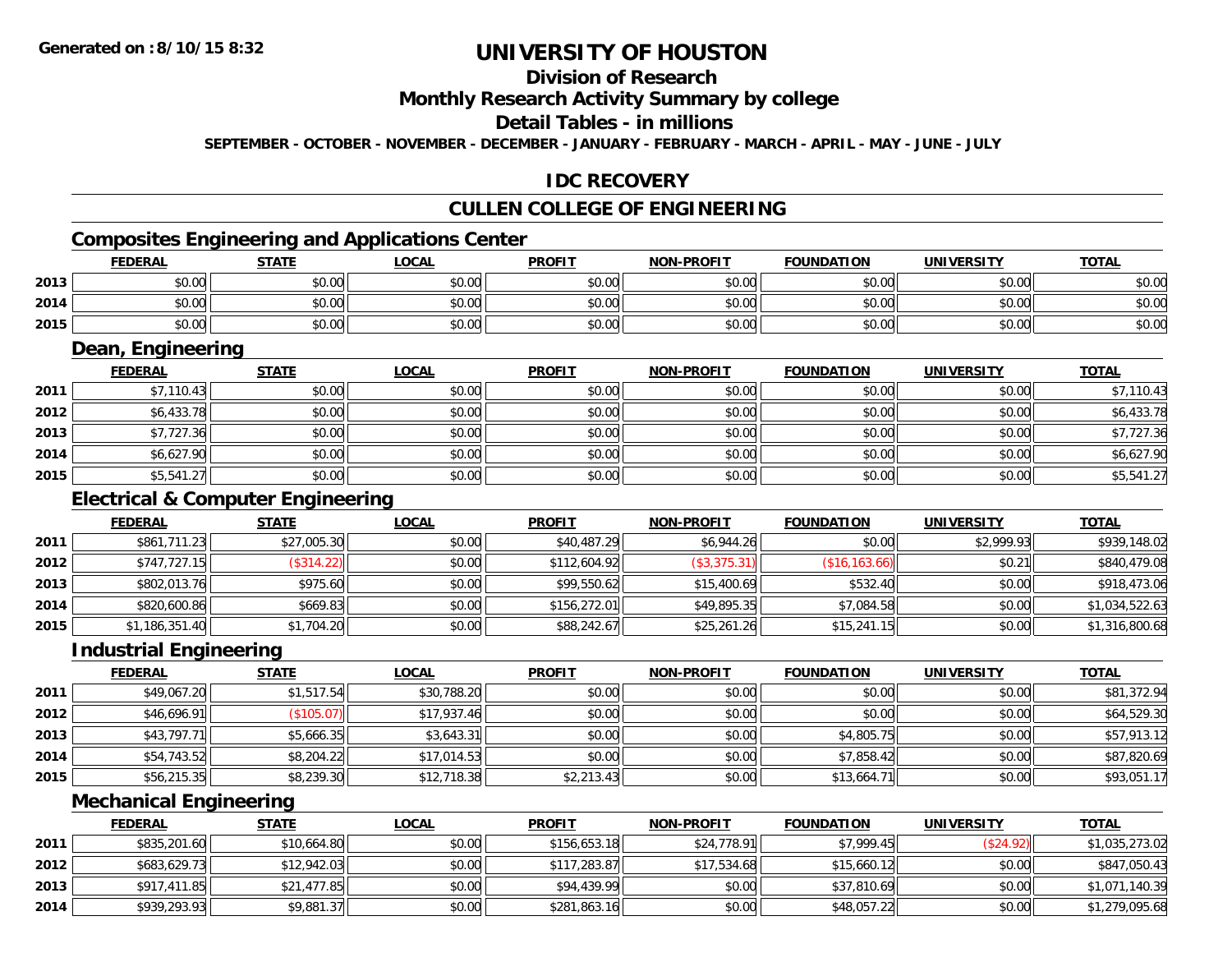# **Division of Research**

#### **Monthly Research Activity Summary by college**

#### **Detail Tables - in millions**

**SEPTEMBER - OCTOBER - NOVEMBER - DECEMBER - JANUARY - FEBRUARY - MARCH - APRIL - MAY - JUNE - JULY**

#### **IDC RECOVERY**

## **CULLEN COLLEGE OF ENGINEERING**

## **Composites Engineering and Applications Center**

|      | Composites Engineering and Applications Center |        |              |               |                   |                   |                   |              |  |  |  |
|------|------------------------------------------------|--------|--------------|---------------|-------------------|-------------------|-------------------|--------------|--|--|--|
|      | <b>FEDERAL</b>                                 | STATE  | <u>LOCAL</u> | <b>PROFIT</b> | <b>NON-PROFIT</b> | <b>FOUNDATION</b> | <b>UNIVERSITY</b> | <b>TOTAL</b> |  |  |  |
| 2013 | \$0.00                                         | \$0.00 | \$0.00       | \$0.00        | \$0.00            | \$0.00            | \$0.00            | \$0.00       |  |  |  |
| 2014 | \$0.00                                         | \$0.00 | \$0.00       | \$0.00        | \$0.00            | \$0.00            | \$0.00            | \$0.00       |  |  |  |
| 2015 | \$0.00                                         | \$0.00 | \$0.00       | \$0.00        | \$0.00            | \$0.00            | \$0.00            | \$0.00       |  |  |  |

<u> 1989 - Johann Stoff, deutscher Stoffen und der Stoffen und der Stoffen und der Stoffen und der Stoffen und der</u>

#### **Dean, Engineering**

|      | <b>FEDERAL</b> | <b>STATE</b> | <b>LOCAL</b> | <b>PROFIT</b> | <b>NON-PROFIT</b> | <b>FOUNDATION</b> | <b>UNIVERSITY</b> | <b>TOTAL</b> |
|------|----------------|--------------|--------------|---------------|-------------------|-------------------|-------------------|--------------|
| 2011 | \$7,110.43     | \$0.00       | \$0.00       | \$0.00        | \$0.00            | \$0.00            | \$0.00            | \$7,110.43   |
| 2012 | \$6,433.78     | \$0.00       | \$0.00       | \$0.00        | \$0.00            | \$0.00            | \$0.00            | \$6,433.78   |
| 2013 | \$7,727.36     | \$0.00       | \$0.00       | \$0.00        | \$0.00            | \$0.00            | \$0.00            | \$7,727.36   |
| 2014 | \$6,627.90     | \$0.00       | \$0.00       | \$0.00        | \$0.00            | \$0.00            | \$0.00            | \$6,627.90   |
| 2015 | \$5,541.27     | \$0.00       | \$0.00       | \$0.00        | \$0.00            | \$0.00            | \$0.00            | \$5,541.27   |

#### **Electrical & Computer Engineering**

|      | <b>FEDERAL</b> | <b>STATE</b> | <b>LOCAL</b> | <b>PROFIT</b> | <b>NON-PROFIT</b> | <b>FOUNDATION</b> | UNIVERSITY | <b>TOTAL</b>   |
|------|----------------|--------------|--------------|---------------|-------------------|-------------------|------------|----------------|
| 2011 | \$861,711.23   | \$27,005.30  | \$0.00       | \$40,487.29   | \$6,944.26        | \$0.00            | \$2.999.93 | \$939,148.02   |
| 2012 | \$747,727.15   | (S314.22)    | \$0.00       | \$112,604.92  | (\$3,375.31)      | (S16, 163.66)     | \$0.21     | \$840,479.08   |
| 2013 | \$802,013.76   | \$975.60     | \$0.00       | \$99,550.62   | \$15,400.69       | \$532.40          | \$0.00     | \$918,473.06   |
| 2014 | \$820,600.86   | \$669.83     | \$0.00       | \$156,272.01  | \$49,895.35       | \$7,084.58        | \$0.00     | \$1,034,522.63 |
| 2015 | \$1,186,351.40 | \$1,704.20   | \$0.00       | \$88,242.67   | \$25,261.26       | \$15,241.15       | \$0.00     | \$1,316,800.68 |

<u> 1980 - Johann Barn, mars ann an t-Amhain Aonaich an t-Aonaich an t-Aonaich ann an t-Aonaich ann an t-Aonaich</u>

#### **Industrial Engineering**

|      | Industrial Engineering |              |              |               |                   |                   |                   |              |
|------|------------------------|--------------|--------------|---------------|-------------------|-------------------|-------------------|--------------|
|      | <b>FEDERAL</b>         | <b>STATE</b> | <u>LOCAL</u> | <b>PROFIT</b> | <b>NON-PROFIT</b> | <b>FOUNDATION</b> | <b>UNIVERSITY</b> | <b>TOTAL</b> |
| 2011 | \$49,067.20            | \$1,517.54   | \$30,788.20  | \$0.00        | \$0.00            | \$0.00            | \$0.00            | \$81,372.94  |
| 2012 | \$46,696.91            | (\$105.07)   | \$17,937.46  | \$0.00        | \$0.00            | \$0.00            | \$0.00            | \$64,529.30  |
| 2013 | \$43,797.71            | \$5,666.35   | \$3,643.31   | \$0.00        | \$0.00            | \$4,805.75        | \$0.00            | \$57,913.12  |
| 2014 | \$54,743.52            | \$8,204.22   | \$17,014.53  | \$0.00        | \$0.00            | \$7,858.42        | \$0.00            | \$87,820.69  |
| 2015 | \$56,215.35            | \$8,239.30   | \$12,718.38  | \$2,213.43    | \$0.00            | \$13,664.71       | \$0.00            | \$93,051.17  |

#### **Mechanical Engineering**

|      | <b>FEDERAL</b> | <u>STATE</u> | <b>LOCAL</b> | <b>PROFIT</b> | <b>NON-PROFIT</b> | <b>FOUNDATION</b> | UNIVERSITY | <b>TOTAL</b>   |
|------|----------------|--------------|--------------|---------------|-------------------|-------------------|------------|----------------|
| 2011 | \$835,201.60   | \$10,664.80  | \$0.00       | \$156.653.18  | \$24.778.91       | \$7,999.45        | (\$24.92)  | \$1,035,273.02 |
| 2012 | \$683,629.73   | \$12,942.03  | \$0.00       | \$117,283.87  | \$17,534.68       | \$15,660.12       | \$0.00     | \$847,050.43   |
| 2013 | \$917,411.85   | \$21,477.85  | \$0.00       | \$94,439.99   | \$0.00            | \$37,810.69       | \$0.00     | \$1,071,140.39 |
| 2014 | \$939,293.93   | \$9,881.37   | \$0.00       | \$281,863.16  | \$0.00            | \$48,057.22       | \$0.00     | \$1,279,095.68 |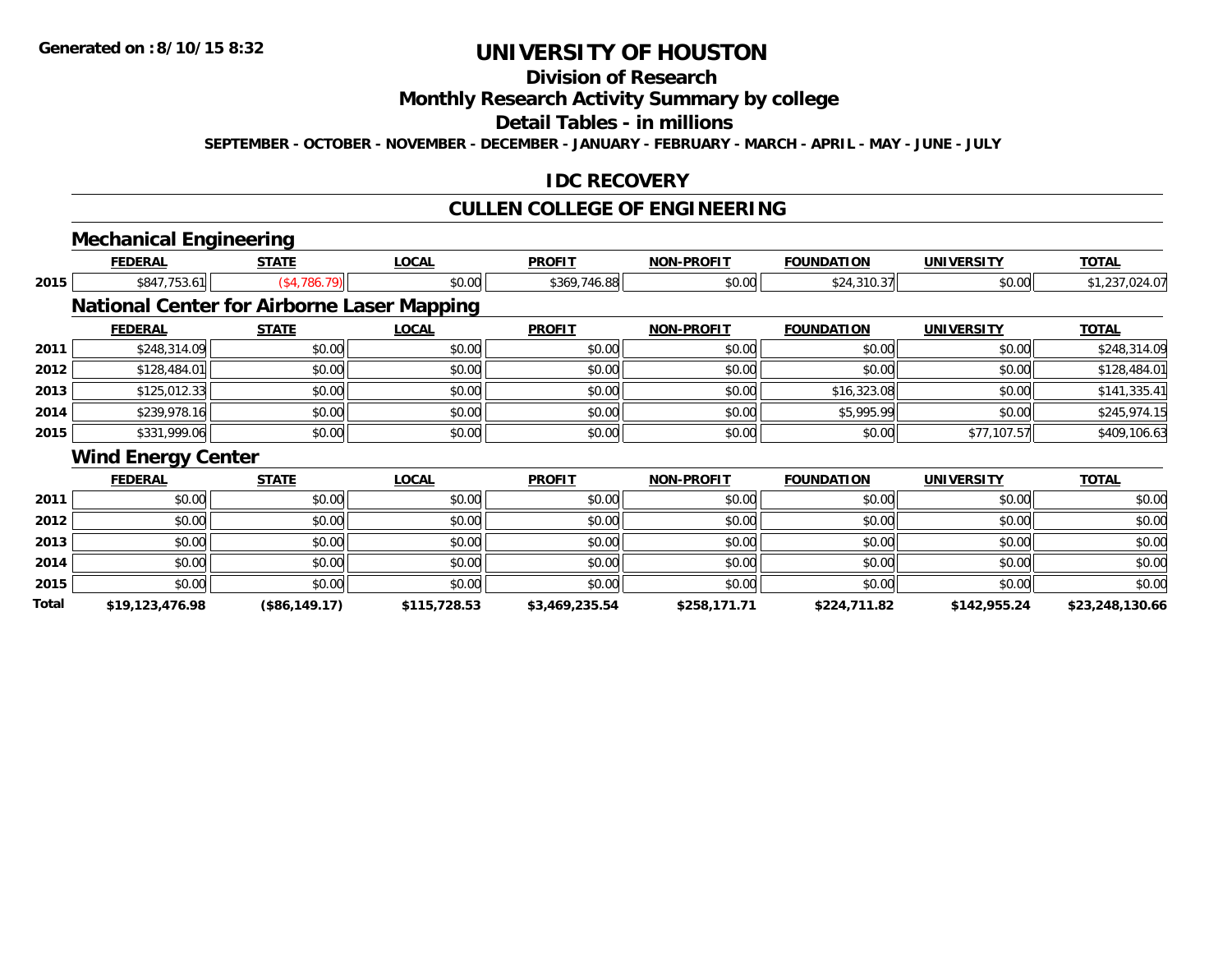**Total**

# **UNIVERSITY OF HOUSTON**

## **Division of Research**

#### **Monthly Research Activity Summary by college**

#### **Detail Tables - in millions**

**SEPTEMBER - OCTOBER - NOVEMBER - DECEMBER - JANUARY - FEBRUARY - MARCH - APRIL - MAY - JUNE - JULY**

#### **IDC RECOVERY**

## **CULLEN COLLEGE OF ENGINEERING**

# **Mechanical Engineering**

|      | FEDERAL                   | STATE                                             | <u>LOCAL</u> | <b>PROFIT</b> | <b>NON-PROFIT</b> | <b>FOUNDATION</b> | UNIVERSITY        | <u>TOTAL</u>   |
|------|---------------------------|---------------------------------------------------|--------------|---------------|-------------------|-------------------|-------------------|----------------|
| 2015 | \$847,753.61              | (\$4,786.79)                                      | \$0.00       | \$369,746.88  | \$0.00            | \$24,310.37       | \$0.00            | \$1,237,024.07 |
|      |                           | <b>National Center for Airborne Laser Mapping</b> |              |               |                   |                   |                   |                |
|      | <b>FEDERAL</b>            | <b>STATE</b>                                      | <b>LOCAL</b> | <b>PROFIT</b> | <b>NON-PROFIT</b> | <b>FOUNDATION</b> | <b>UNIVERSITY</b> | <b>TOTAL</b>   |
| 2011 | \$248,314.09              | \$0.00                                            | \$0.00       | \$0.00        | \$0.00            | \$0.00            | \$0.00            | \$248,314.09   |
| 2012 | \$128,484.01              | \$0.00                                            | \$0.00       | \$0.00        | \$0.00            | \$0.00            | \$0.00            | \$128,484.01   |
| 2013 | \$125,012.33              | \$0.00                                            | \$0.00       | \$0.00        | \$0.00            | \$16,323.08       | \$0.00            | \$141,335.41   |
| 2014 | \$239,978.16              | \$0.00                                            | \$0.00       | \$0.00        | \$0.00            | \$5,995.99        | \$0.00            | \$245,974.15   |
| 2015 | \$331,999.06              | \$0.00                                            | \$0.00       | \$0.00        | \$0.00            | \$0.00            | \$77,107.57       | \$409,106.63   |
|      | <b>Wind Energy Center</b> |                                                   |              |               |                   |                   |                   |                |
|      | <b>FEDERAL</b>            | <b>STATE</b>                                      | <b>LOCAL</b> | <b>PROFIT</b> | <b>NON-PROFIT</b> | <b>FOUNDATION</b> | <b>UNIVERSITY</b> | <b>TOTAL</b>   |
| 2011 | \$0.00                    | \$0.00                                            | \$0.00       | \$0.00        | \$0.00            | \$0.00            | \$0.00            | \$0.00         |
| 2012 | \$0.00                    | \$0.00                                            | \$0.00       | \$0.00        | \$0.00            | \$0.00            | \$0.00            | \$0.00         |
| 2013 | \$0.00                    | \$0.00                                            | \$0.00       | \$0.00        | \$0.00            | \$0.00            | \$0.00            | \$0.00         |
| 2014 | \$0.00                    | \$0.00                                            | \$0.00       | \$0.00        | \$0.00            | \$0.00            | \$0.00            | \$0.00         |
| 2015 | \$0.00                    | \$0.00                                            | \$0.00       | \$0.00        | \$0.00            | \$0.00            | \$0.00            | \$0.00         |

**\$19,123,476.98 (\$86,149.17) \$115,728.53 \$3,469,235.54 \$258,171.71 \$224,711.82 \$142,955.24 \$23,248,130.66**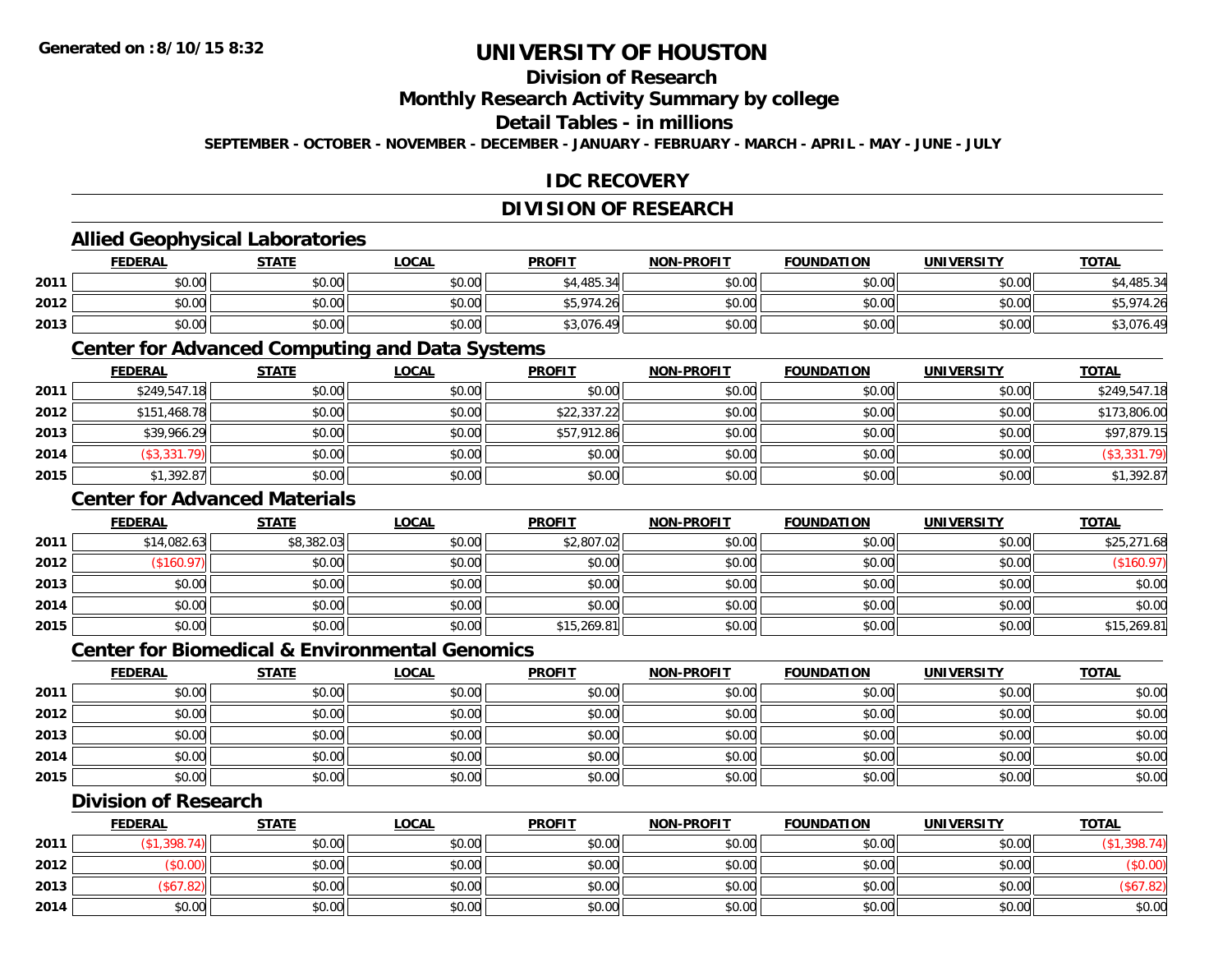## **Division of Research**

**Monthly Research Activity Summary by college**

#### **Detail Tables - in millions**

**SEPTEMBER - OCTOBER - NOVEMBER - DECEMBER - JANUARY - FEBRUARY - MARCH - APRIL - MAY - JUNE - JULY**

## **IDC RECOVERY**

## **DIVISION OF RESEARCH**

#### **Allied Geophysical Laboratories**

|      | <b>FEDERAL</b> | <b>STATE</b> | <u>LOCAL</u> | <b>PROFIT</b> | <b>NON-PROFIT</b> | <b>FOUNDATION</b> | <b>UNIVERSITY</b> | <b>TOTAL</b> |
|------|----------------|--------------|--------------|---------------|-------------------|-------------------|-------------------|--------------|
| 2011 | \$0.00         | \$0.00       | \$0.00       | \$4,485.34    | \$0.00            | \$0.00            | \$0.00            | ,485.34      |
| 2012 | \$0.00         | \$0.00       | \$0.00       | \$5,974.26    | \$0.00            | \$0.00            | \$0.00            | 974.26,      |
| 2013 | \$0.00         | \$0.00       | \$0.00       | \$3,076.49    | \$0.00            | \$0.00            | \$0.00            | \$3,076.49   |

#### **Center for Advanced Computing and Data Systems**

|      | <b>FEDERAL</b> | <b>STATE</b> | <u>LOCAL</u> | <b>PROFIT</b> | <b>NON-PROFIT</b> | <b>FOUNDATION</b> | <b>UNIVERSITY</b> | <b>TOTAL</b>       |
|------|----------------|--------------|--------------|---------------|-------------------|-------------------|-------------------|--------------------|
| 2011 | \$249,547.18   | \$0.00       | \$0.00       | \$0.00        | \$0.00            | \$0.00            | \$0.00            | \$249,547.18       |
| 2012 | \$151,468.78   | \$0.00       | \$0.00       | \$22,337.22   | \$0.00            | \$0.00            | \$0.00            | \$173,806.00       |
| 2013 | \$39,966.29    | \$0.00       | \$0.00       | \$57,912.86   | \$0.00            | \$0.00            | \$0.00            | \$97,879.15        |
| 2014 | (\$3,331.79)   | \$0.00       | \$0.00       | \$0.00        | \$0.00            | \$0.00            | \$0.00            | $($ \$3,331.79 $)$ |
| 2015 | \$1,392.87     | \$0.00       | \$0.00       | \$0.00        | \$0.00            | \$0.00            | \$0.00            | \$1,392.87         |

#### **Center for Advanced Materials**

|      | <b>FEDERAL</b> | <b>STATE</b> | <u>LOCAL</u> | <b>PROFIT</b> | <b>NON-PROFIT</b> | <b>FOUNDATION</b> | <b>UNIVERSITY</b> | <b>TOTAL</b> |
|------|----------------|--------------|--------------|---------------|-------------------|-------------------|-------------------|--------------|
| 2011 | \$14,082.63    | \$8,382.03   | \$0.00       | \$2,807.02    | \$0.00            | \$0.00            | \$0.00            | \$25,271.68  |
| 2012 | \$160.97       | \$0.00       | \$0.00       | \$0.00        | \$0.00            | \$0.00            | \$0.00            | (\$160.97)   |
| 2013 | \$0.00         | \$0.00       | \$0.00       | \$0.00        | \$0.00            | \$0.00            | \$0.00            | \$0.00       |
| 2014 | \$0.00         | \$0.00       | \$0.00       | \$0.00        | \$0.00            | \$0.00            | \$0.00            | \$0.00       |
| 2015 | \$0.00         | \$0.00       | \$0.00       | \$15,269.81   | \$0.00            | \$0.00            | \$0.00            | \$15,269.81  |

#### **Center for Biomedical & Environmental Genomics**

|      | <u>FEDERAL</u> | <b>STATE</b> | <b>LOCAL</b> | <b>PROFIT</b> | <b>NON-PROFIT</b> | <b>FOUNDATION</b> | <b>UNIVERSITY</b> | <b>TOTAL</b> |
|------|----------------|--------------|--------------|---------------|-------------------|-------------------|-------------------|--------------|
| 2011 | \$0.00         | \$0.00       | \$0.00       | \$0.00        | \$0.00            | \$0.00            | \$0.00            | \$0.00       |
| 2012 | \$0.00         | \$0.00       | \$0.00       | \$0.00        | \$0.00            | \$0.00            | \$0.00            | \$0.00       |
| 2013 | \$0.00         | \$0.00       | \$0.00       | \$0.00        | \$0.00            | \$0.00            | \$0.00            | \$0.00       |
| 2014 | \$0.00         | \$0.00       | \$0.00       | \$0.00        | \$0.00            | \$0.00            | \$0.00            | \$0.00       |
| 2015 | \$0.00         | \$0.00       | \$0.00       | \$0.00        | \$0.00            | \$0.00            | \$0.00            | \$0.00       |

#### **Division of Research**

|      | <b>FEDERAL</b> | STATE  | <b>LOCAL</b> | <b>PROFIT</b> | <b>NON-PROFIT</b> | <b>FOUNDATION</b> | <b>UNIVERSITY</b> | <b>TOTAL</b> |
|------|----------------|--------|--------------|---------------|-------------------|-------------------|-------------------|--------------|
| 2011 | .398.7         | \$0.00 | \$0.00       | \$0.00        | \$0.00            | \$0.00            | \$0.00            |              |
| 2012 | \$0.00         | \$0.00 | \$0.00       | \$0.00        | \$0.00            | \$0.00            | \$0.00            | <b>PU.UU</b> |
| 2013 | 2.82           | \$0.00 | \$0.00       | \$0.00        | \$0.00            | \$0.00            | \$0.00            | (\$67.82)    |
| 2014 | \$0.00         | \$0.00 | \$0.00       | \$0.00        | \$0.00            | \$0.00            | \$0.00            | \$0.00       |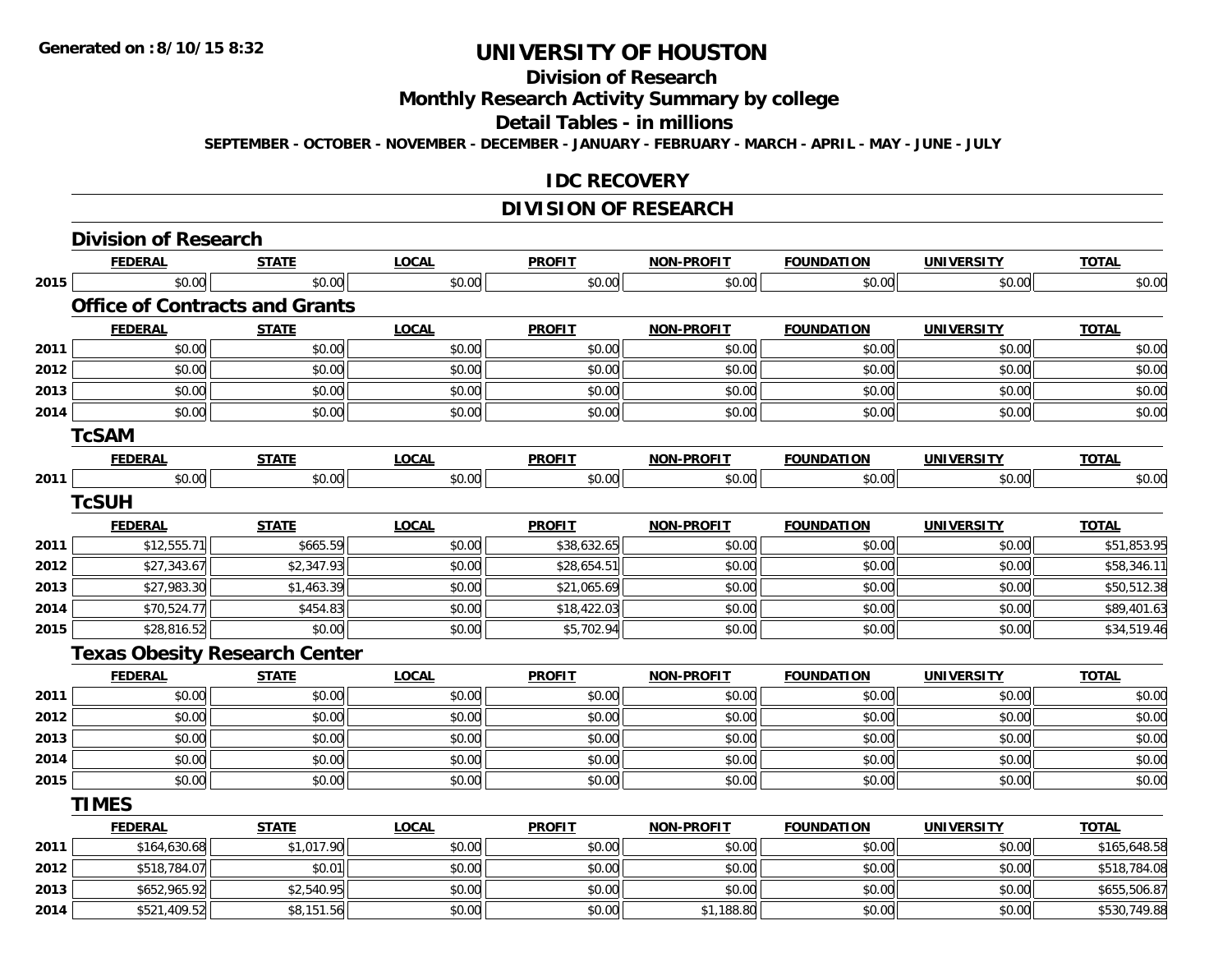## **Division of Research**

**Monthly Research Activity Summary by college**

**Detail Tables - in millions**

**SEPTEMBER - OCTOBER - NOVEMBER - DECEMBER - JANUARY - FEBRUARY - MARCH - APRIL - MAY - JUNE - JULY**

#### **IDC RECOVERY**

#### **DIVISION OF RESEARCH**

|      | <b>Division of Research</b>           |              |              |               |                   |                   |                   |              |
|------|---------------------------------------|--------------|--------------|---------------|-------------------|-------------------|-------------------|--------------|
|      | <b>FEDERAL</b>                        | <b>STATE</b> | <b>LOCAL</b> | <b>PROFIT</b> | NON-PROFIT        | <b>FOUNDATION</b> | <b>UNIVERSITY</b> | <b>TOTAL</b> |
| 2015 | \$0.00                                | \$0.00       | \$0.00       | \$0.00        | \$0.00            | \$0.00            | \$0.00            | \$0.00       |
|      | <b>Office of Contracts and Grants</b> |              |              |               |                   |                   |                   |              |
|      | <b>FEDERAL</b>                        | <b>STATE</b> | <b>LOCAL</b> | <b>PROFIT</b> | <b>NON-PROFIT</b> | <b>FOUNDATION</b> | <b>UNIVERSITY</b> | <b>TOTAL</b> |
| 2011 | \$0.00                                | \$0.00       | \$0.00       | \$0.00        | \$0.00            | \$0.00            | \$0.00            | \$0.00       |
| 2012 | \$0.00                                | \$0.00       | \$0.00       | \$0.00        | \$0.00            | \$0.00            | \$0.00            | \$0.00       |
| 2013 | \$0.00                                | \$0.00       | \$0.00       | \$0.00        | \$0.00            | \$0.00            | \$0.00            | \$0.00       |
| 2014 | \$0.00                                | \$0.00       | \$0.00       | \$0.00        | \$0.00            | \$0.00            | \$0.00            | \$0.00       |
|      | <b>TcSAM</b>                          |              |              |               |                   |                   |                   |              |
|      | <b>FEDERAL</b>                        | <b>STATE</b> | <b>LOCAL</b> | <b>PROFIT</b> | <b>NON-PROFIT</b> | <b>FOUNDATION</b> | <b>UNIVERSITY</b> | <b>TOTAL</b> |
| 2011 | \$0.00                                | \$0.00       | \$0.00       | \$0.00        | \$0.00            | \$0.00            | \$0.00            | \$0.00       |
|      | <b>TcSUH</b>                          |              |              |               |                   |                   |                   |              |
|      | <b>FEDERAL</b>                        | <b>STATE</b> | <b>LOCAL</b> | <b>PROFIT</b> | <b>NON-PROFIT</b> | <b>FOUNDATION</b> | <b>UNIVERSITY</b> | <b>TOTAL</b> |
| 2011 | \$12,555.71                           | \$665.59     | \$0.00       | \$38,632.65   | \$0.00            | \$0.00            | \$0.00            | \$51,853.95  |
| 2012 | \$27,343.67                           | \$2,347.93   | \$0.00       | \$28,654.51   | \$0.00            | \$0.00            | \$0.00            | \$58,346.11  |
| 2013 | \$27,983.30                           | \$1,463.39   | \$0.00       | \$21,065.69   | \$0.00            | \$0.00            | \$0.00            | \$50,512.38  |
| 2014 | \$70,524.77                           | \$454.83     | \$0.00       | \$18,422.03   | \$0.00            | \$0.00            | \$0.00            | \$89,401.63  |
| 2015 | \$28,816.52                           | \$0.00       | \$0.00       | \$5,702.94    | \$0.00            | \$0.00            | \$0.00            | \$34,519.46  |
|      | <b>Texas Obesity Research Center</b>  |              |              |               |                   |                   |                   |              |
|      | <b>FEDERAL</b>                        | <b>STATE</b> | <b>LOCAL</b> | <b>PROFIT</b> | <b>NON-PROFIT</b> | <b>FOUNDATION</b> | <b>UNIVERSITY</b> | <b>TOTAL</b> |
| 2011 | \$0.00                                | \$0.00       | \$0.00       | \$0.00        | \$0.00            | \$0.00            | \$0.00            | \$0.00       |
| 2012 | \$0.00                                | \$0.00       | \$0.00       | \$0.00        | \$0.00            | \$0.00            | \$0.00            | \$0.00       |
| 2013 | \$0.00                                | \$0.00       | \$0.00       | \$0.00        | \$0.00            | \$0.00            | \$0.00            | \$0.00       |
| 2014 | \$0.00                                | \$0.00       | \$0.00       | \$0.00        | \$0.00            | \$0.00            | \$0.00            | \$0.00       |
| 2015 | \$0.00                                | \$0.00       | \$0.00       | \$0.00        | \$0.00            | \$0.00            | \$0.00            | \$0.00       |
|      | <b>TIMES</b>                          |              |              |               |                   |                   |                   |              |
|      | <b>FEDERAL</b>                        | <b>STATE</b> | <b>LOCAL</b> | <b>PROFIT</b> | <b>NON-PROFIT</b> | <b>FOUNDATION</b> | <b>UNIVERSITY</b> | <b>TOTAL</b> |
| 2011 | \$164,630.68                          | \$1,017.90   | \$0.00       | \$0.00        | \$0.00            | \$0.00            | \$0.00            | \$165,648.58 |
| 2012 | \$518,784.07                          | \$0.01       | \$0.00       | \$0.00        | \$0.00            | \$0.00            | \$0.00            | \$518,784.08 |
| 2013 | \$652,965.92                          | \$2,540.95   | \$0.00       | \$0.00        | \$0.00            | \$0.00            | \$0.00            | \$655,506.87 |
| 2014 | \$521,409.52                          | \$8,151.56   | \$0.00       | \$0.00        | \$1,188.80        | \$0.00            | \$0.00            | \$530,749.88 |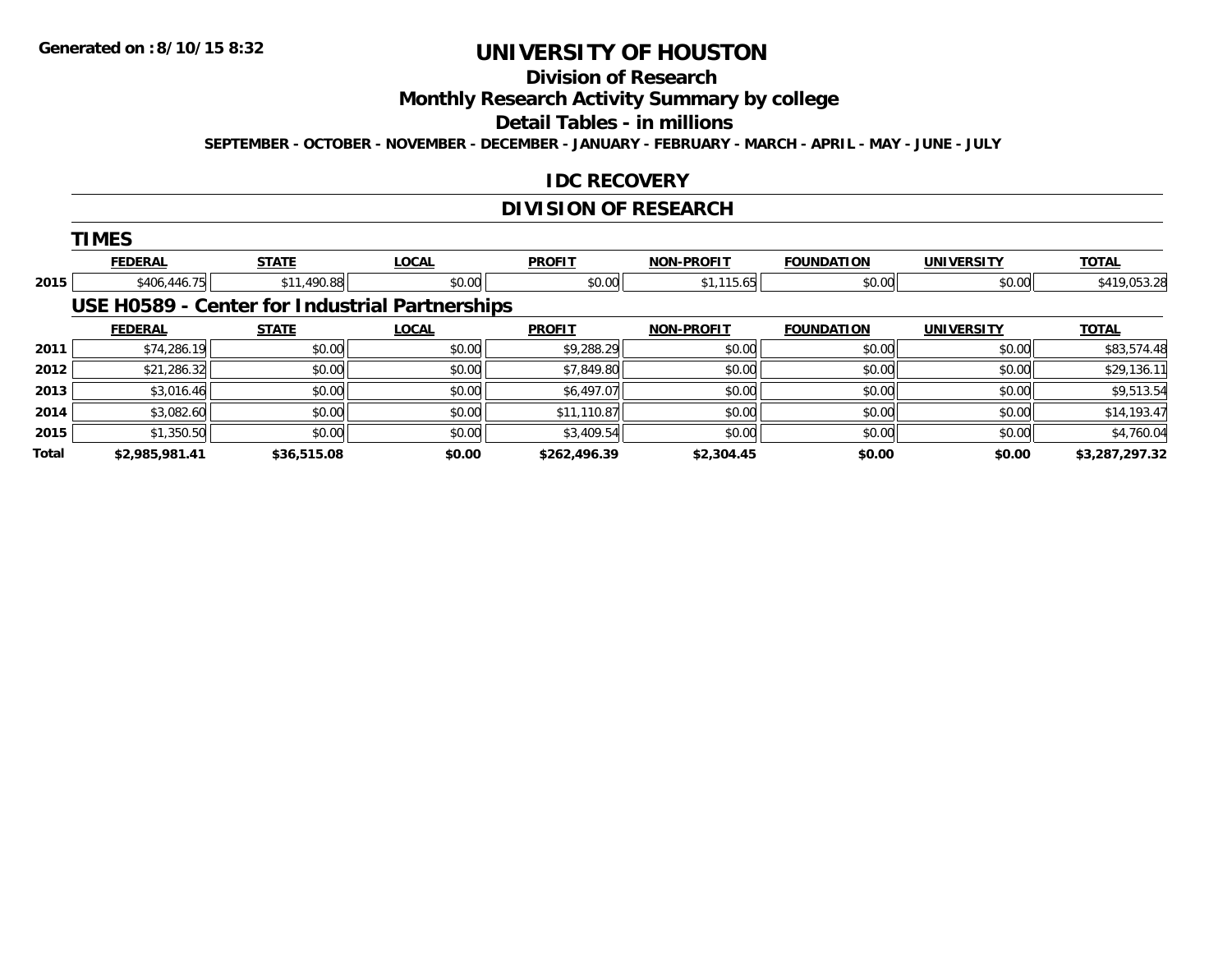# **Division of Research**

**Monthly Research Activity Summary by college**

**Detail Tables - in millions**

**SEPTEMBER - OCTOBER - NOVEMBER - DECEMBER - JANUARY - FEBRUARY - MARCH - APRIL - MAY - JUNE - JULY**

#### **IDC RECOVERY**

## **DIVISION OF RESEARCH**

|              | <b>TIMES</b>   |              |                                                |               |                   |                   |                   |                |
|--------------|----------------|--------------|------------------------------------------------|---------------|-------------------|-------------------|-------------------|----------------|
|              | <b>FEDERAL</b> | <b>STATE</b> | <b>LOCAL</b>                                   | <b>PROFIT</b> | <b>NON-PROFIT</b> | <b>FOUNDATION</b> | <b>UNIVERSITY</b> | <b>TOTAL</b>   |
| 2015         | \$406,446.75   | \$11,490.88  | \$0.00                                         | \$0.00        | \$1,115.65        | \$0.00            | \$0.00            | \$419,053.28   |
|              |                |              | USE H0589 - Center for Industrial Partnerships |               |                   |                   |                   |                |
|              | <b>FEDERAL</b> | <b>STATE</b> | <b>LOCAL</b>                                   | <b>PROFIT</b> | <b>NON-PROFIT</b> | <b>FOUNDATION</b> | <b>UNIVERSITY</b> | <b>TOTAL</b>   |
| 2011         | \$74,286.19    | \$0.00       | \$0.00                                         | \$9,288.29    | \$0.00            | \$0.00            | \$0.00            | \$83,574.48    |
| 2012         | \$21,286.32    | \$0.00       | \$0.00                                         | \$7,849.80    | \$0.00            | \$0.00            | \$0.00            | \$29,136.11    |
| 2013         | \$3,016.46     | \$0.00       | \$0.00                                         | \$6,497.07    | \$0.00            | \$0.00            | \$0.00            | \$9,513.54     |
| 2014         | \$3,082.60     | \$0.00       | \$0.00                                         | \$11,110.87   | \$0.00            | \$0.00            | \$0.00            | \$14,193.47    |
| 2015         | \$1,350.50     | \$0.00       | \$0.00                                         | \$3,409.54    | \$0.00            | \$0.00            | \$0.00            | \$4,760.04     |
| <b>Total</b> | \$2,985,981.41 | \$36,515.08  | \$0.00                                         | \$262,496.39  | \$2,304.45        | \$0.00            | \$0.00            | \$3,287,297.32 |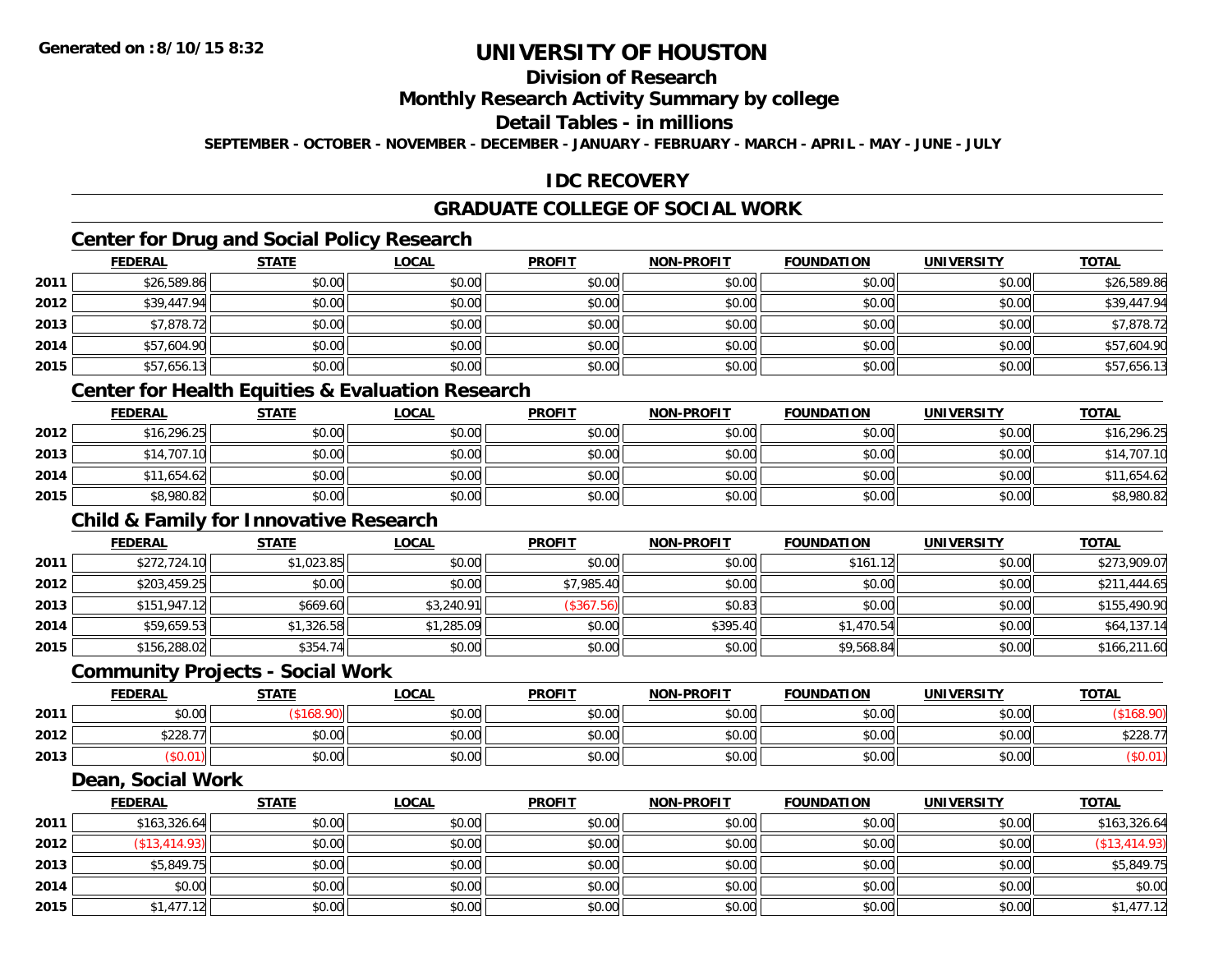## **Division of Research**

#### **Monthly Research Activity Summary by college**

#### **Detail Tables - in millions**

**SEPTEMBER - OCTOBER - NOVEMBER - DECEMBER - JANUARY - FEBRUARY - MARCH - APRIL - MAY - JUNE - JULY**

#### **IDC RECOVERY**

## **GRADUATE COLLEGE OF SOCIAL WORK**

## **Center for Drug and Social Policy Research**

|      | <b>FEDERAL</b> | <b>STATE</b> | <b>LOCAL</b> | <b>PROFIT</b> | <b>NON-PROFIT</b> | <b>FOUNDATION</b> | <b>UNIVERSITY</b> | <b>TOTAL</b> |
|------|----------------|--------------|--------------|---------------|-------------------|-------------------|-------------------|--------------|
| 2011 | \$26,589.86    | \$0.00       | \$0.00       | \$0.00        | \$0.00            | \$0.00            | \$0.00            | \$26,589.86  |
| 2012 | \$39,447.94    | \$0.00       | \$0.00       | \$0.00        | \$0.00            | \$0.00            | \$0.00            | \$39,447.94  |
| 2013 | \$7,878.72     | \$0.00       | \$0.00       | \$0.00        | \$0.00            | \$0.00            | \$0.00            | \$7,878.72   |
| 2014 | \$57,604.90    | \$0.00       | \$0.00       | \$0.00        | \$0.00            | \$0.00            | \$0.00            | \$57,604.90  |
| 2015 | \$57,656.13    | \$0.00       | \$0.00       | \$0.00        | \$0.00            | \$0.00            | \$0.00            | \$57,656.13  |

#### **Center for Health Equities & Evaluation Research**

|      | <b>FEDERAL</b> | <b>STATE</b> | <u>LOCAL</u> | <b>PROFIT</b> | <b>NON-PROFIT</b> | <b>FOUNDATION</b> | <b>UNIVERSITY</b> | <b>TOTAL</b> |
|------|----------------|--------------|--------------|---------------|-------------------|-------------------|-------------------|--------------|
| 2012 | \$16,296.25    | \$0.00       | \$0.00       | \$0.00        | \$0.00            | \$0.00            | \$0.00            | \$16,296.25  |
| 2013 | \$14,707.10    | \$0.00       | \$0.00       | \$0.00        | \$0.00            | \$0.00            | \$0.00            | \$14,707.10  |
| 2014 | \$11,654.62    | \$0.00       | \$0.00       | \$0.00        | \$0.00            | \$0.00            | \$0.00            | \$11,654.62  |
| 2015 | \$8,980.82     | \$0.00       | \$0.00       | \$0.00        | \$0.00            | \$0.00            | \$0.00            | \$8,980.82   |

#### **Child & Family for Innovative Research**

|      | <u>FEDERAL</u> | <b>STATE</b> | <u>LOCAL</u> | <b>PROFIT</b> | <b>NON-PROFIT</b> | <b>FOUNDATION</b>      | <b>UNIVERSITY</b> | <b>TOTAL</b> |
|------|----------------|--------------|--------------|---------------|-------------------|------------------------|-------------------|--------------|
| 2011 | \$272,724.10   | \$1,023.85   | \$0.00       | \$0.00        | \$0.00            | $$161.12$ <sup>1</sup> | \$0.00            | \$273,909.07 |
| 2012 | \$203,459.25   | \$0.00       | \$0.00       | \$7,985.40    | \$0.00            | \$0.00                 | \$0.00            | \$211,444.65 |
| 2013 | \$151,947.12   | \$669.60     | \$3,240.91   | (\$367.56)    | \$0.83            | \$0.00                 | \$0.00            | \$155,490.90 |
| 2014 | \$59,659.53    | \$1,326.58   | \$1,285.09   | \$0.00        | \$395.40          | \$1,470.54             | \$0.00            | \$64,137.14  |
| 2015 | \$156,288.02   | \$354.74     | \$0.00       | \$0.00        | \$0.00            | \$9,568.84             | \$0.00            | \$166,211.60 |

#### **Community Projects - Social Work**

|      | <b>FEDERAL</b>                        | <b>STATE</b> | <u>LOCAL</u>          | <b>PROFIT</b> | <b>NON-PROFIT</b> | <b>FOUNDATION</b> | <b>UNIVERSITY</b> | <u>TOTAL</u> |
|------|---------------------------------------|--------------|-----------------------|---------------|-------------------|-------------------|-------------------|--------------|
| 2011 | \$0.00                                |              | \$0.00                | \$0.00        | \$0.00            | \$0.00            | \$0.00            |              |
| 2012 | \$228.77<br>$\ell$ $\mu$ <sup>1</sup> | \$0.00       | nn on<br><b>DU.UG</b> | \$0.00        | \$0.00            | \$0.00            | \$0.00            | \$228.7      |
| 2013 | \$U.U I I                             | \$0.00       | \$0.00                | \$0.00        | \$0.00            | \$0.00            | \$0.00            |              |

#### **Dean, Social Work**

|      | <b>FEDERAL</b> | <b>STATE</b> | <b>LOCAL</b> | <b>PROFIT</b> | <b>NON-PROFIT</b> | <b>FOUNDATION</b> | <b>UNIVERSITY</b> | <b>TOTAL</b>  |
|------|----------------|--------------|--------------|---------------|-------------------|-------------------|-------------------|---------------|
| 2011 | \$163,326.64   | \$0.00       | \$0.00       | \$0.00        | \$0.00            | \$0.00            | \$0.00            | \$163,326.64  |
| 2012 | (\$13,414.93)  | \$0.00       | \$0.00       | \$0.00        | \$0.00            | \$0.00            | \$0.00            | (\$13,414.93) |
| 2013 | \$5,849.75     | \$0.00       | \$0.00       | \$0.00        | \$0.00            | \$0.00            | \$0.00            | \$5,849.75    |
| 2014 | \$0.00         | \$0.00       | \$0.00       | \$0.00        | \$0.00            | \$0.00            | \$0.00            | \$0.00        |
| 2015 | \$1,477.12     | \$0.00       | \$0.00       | \$0.00        | \$0.00            | \$0.00            | \$0.00            | \$1,477.12    |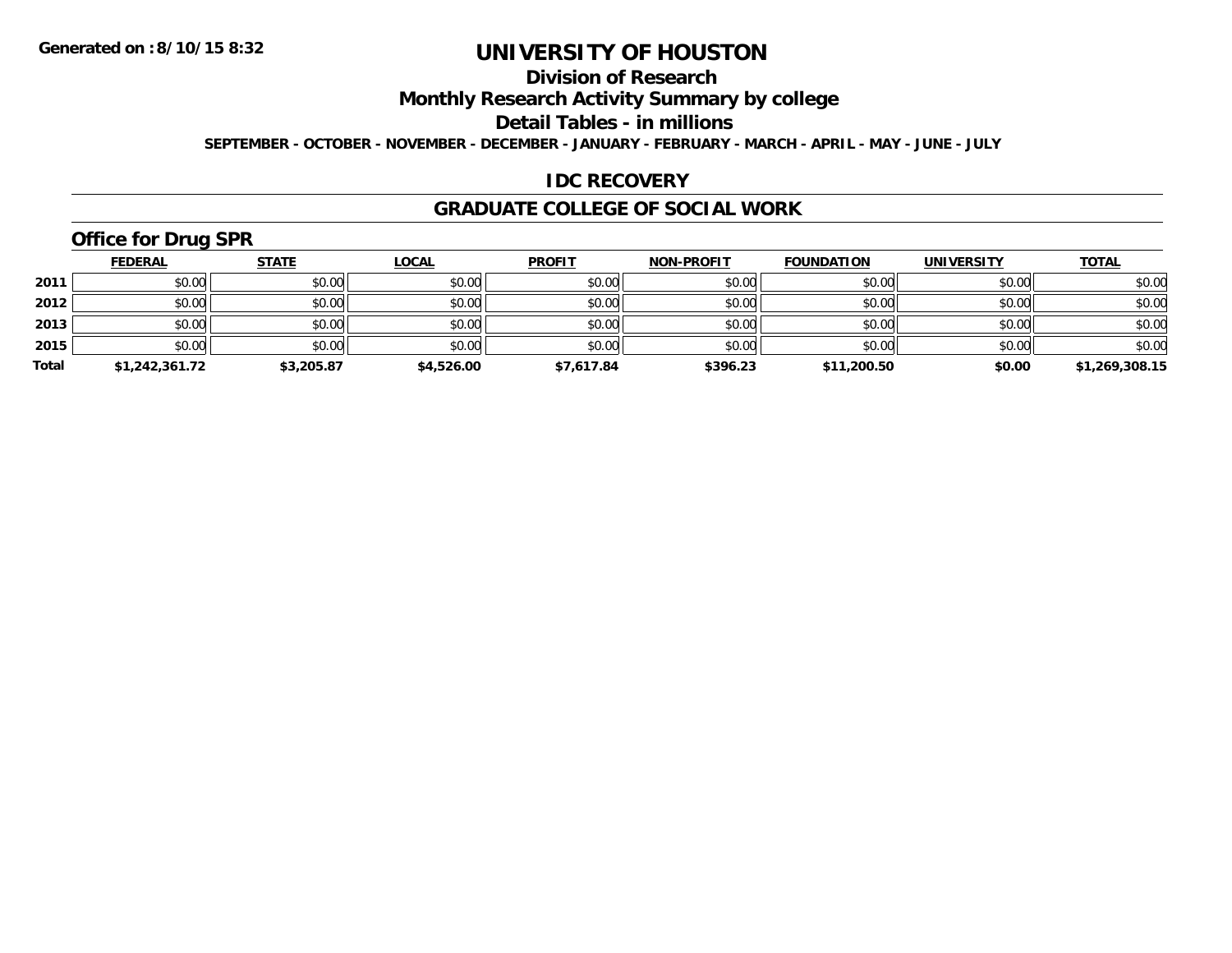## **Division of Research**

**Monthly Research Activity Summary by college**

**Detail Tables - in millions**

**SEPTEMBER - OCTOBER - NOVEMBER - DECEMBER - JANUARY - FEBRUARY - MARCH - APRIL - MAY - JUNE - JULY**

#### **IDC RECOVERY**

#### **GRADUATE COLLEGE OF SOCIAL WORK**

# **Office for Drug SPR**

|       | <b>FEDERAL</b> | <u>STATE</u> | <b>LOCAL</b> | <b>PROFIT</b> | <b>NON-PROFIT</b> | <b>FOUNDATION</b> | <b>UNIVERSITY</b> | <b>TOTAL</b>   |
|-------|----------------|--------------|--------------|---------------|-------------------|-------------------|-------------------|----------------|
| 2011  | \$0.00         | \$0.00       | \$0.00       | \$0.00        | \$0.00            | \$0.00            | \$0.00            | \$0.00         |
| 2012  | \$0.00         | \$0.00       | \$0.00       | \$0.00        | \$0.00            | \$0.00            | \$0.00            | \$0.00         |
| 2013  | \$0.00         | \$0.00       | \$0.00       | \$0.00        | \$0.00            | \$0.00            | \$0.00            | \$0.00         |
| 2015  | \$0.00         | \$0.00       | \$0.00       | \$0.00        | \$0.00            | \$0.00            | \$0.00            | \$0.00         |
| Total | \$1,242,361.72 | \$3,205.87   | \$4,526.00   | \$7,617.84    | \$396.23          | \$11,200.50       | \$0.00            | \$1,269,308.15 |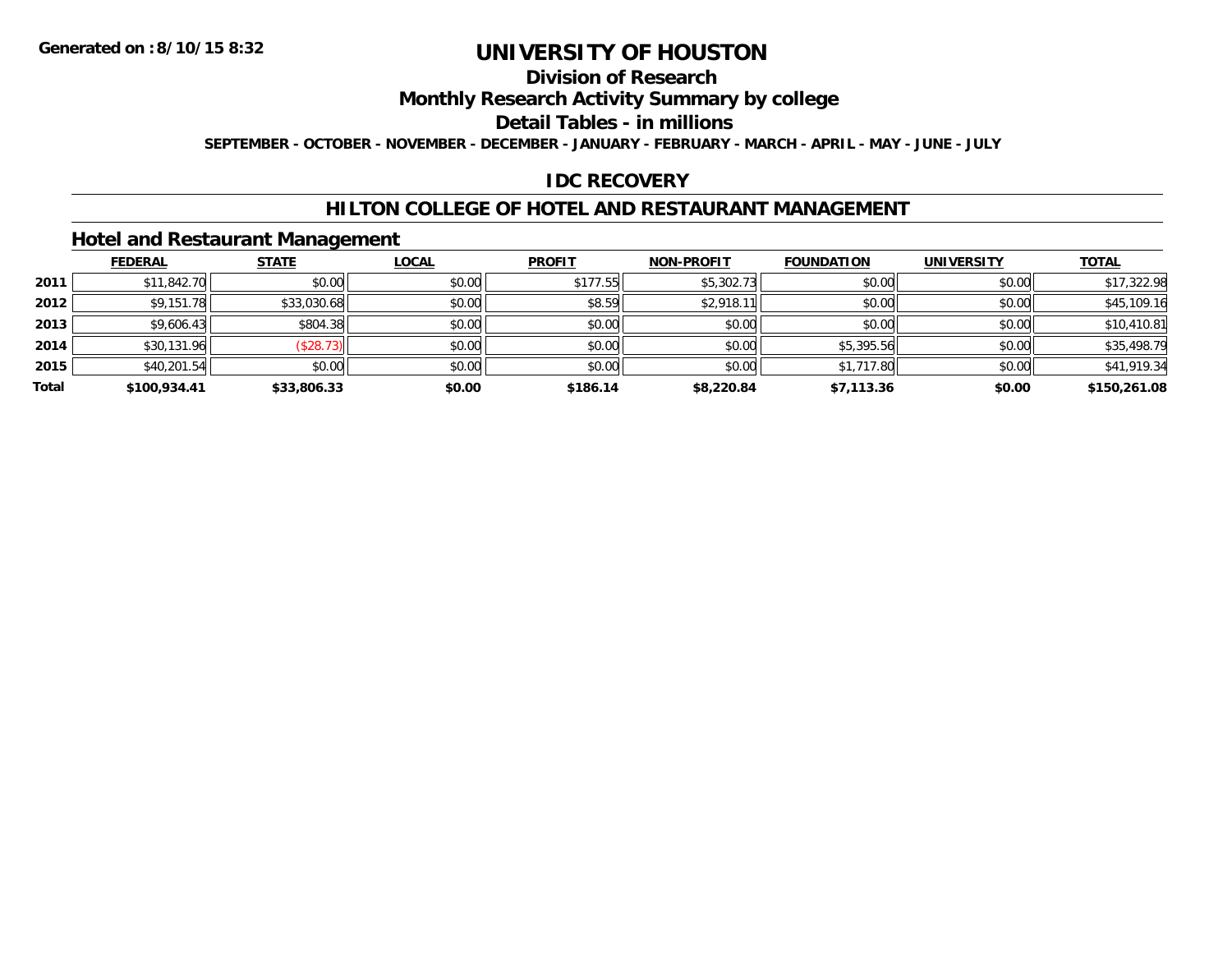## **Division of Research**

**Monthly Research Activity Summary by college**

**Detail Tables - in millions**

**SEPTEMBER - OCTOBER - NOVEMBER - DECEMBER - JANUARY - FEBRUARY - MARCH - APRIL - MAY - JUNE - JULY**

#### **IDC RECOVERY**

#### **HILTON COLLEGE OF HOTEL AND RESTAURANT MANAGEMENT**

#### **Hotel and Restaurant Management**

|       | <b>FEDERAL</b> | <b>STATE</b> | <b>LOCAL</b> | <b>PROFIT</b> | <b>NON-PROFIT</b> | <b>FOUNDATION</b> | <b>UNIVERSITY</b> | <b>TOTAL</b> |
|-------|----------------|--------------|--------------|---------------|-------------------|-------------------|-------------------|--------------|
| 2011  | \$11,842.70    | \$0.00       | \$0.00       | \$177.55      | \$5,302.73        | \$0.00            | \$0.00            | \$17,322.98  |
| 2012  | \$9,151.78     | \$33,030.68  | \$0.00       | \$8.59        | \$2,918.11        | \$0.00            | \$0.00            | \$45,109.16  |
| 2013  | \$9,606.43     | \$804.38     | \$0.00       | \$0.00        | \$0.00            | \$0.00            | \$0.00            | \$10,410.81  |
| 2014  | \$30,131.96    | (\$28.73)    | \$0.00       | \$0.00        | \$0.00            | \$5,395.56        | \$0.00            | \$35,498.79  |
| 2015  | \$40,201.54    | \$0.00       | \$0.00       | \$0.00        | \$0.00            | \$1,717.80        | \$0.00            | \$41,919.34  |
| Total | \$100,934.41   | \$33,806.33  | \$0.00       | \$186.14      | \$8,220.84        | \$7,113.36        | \$0.00            | \$150,261.08 |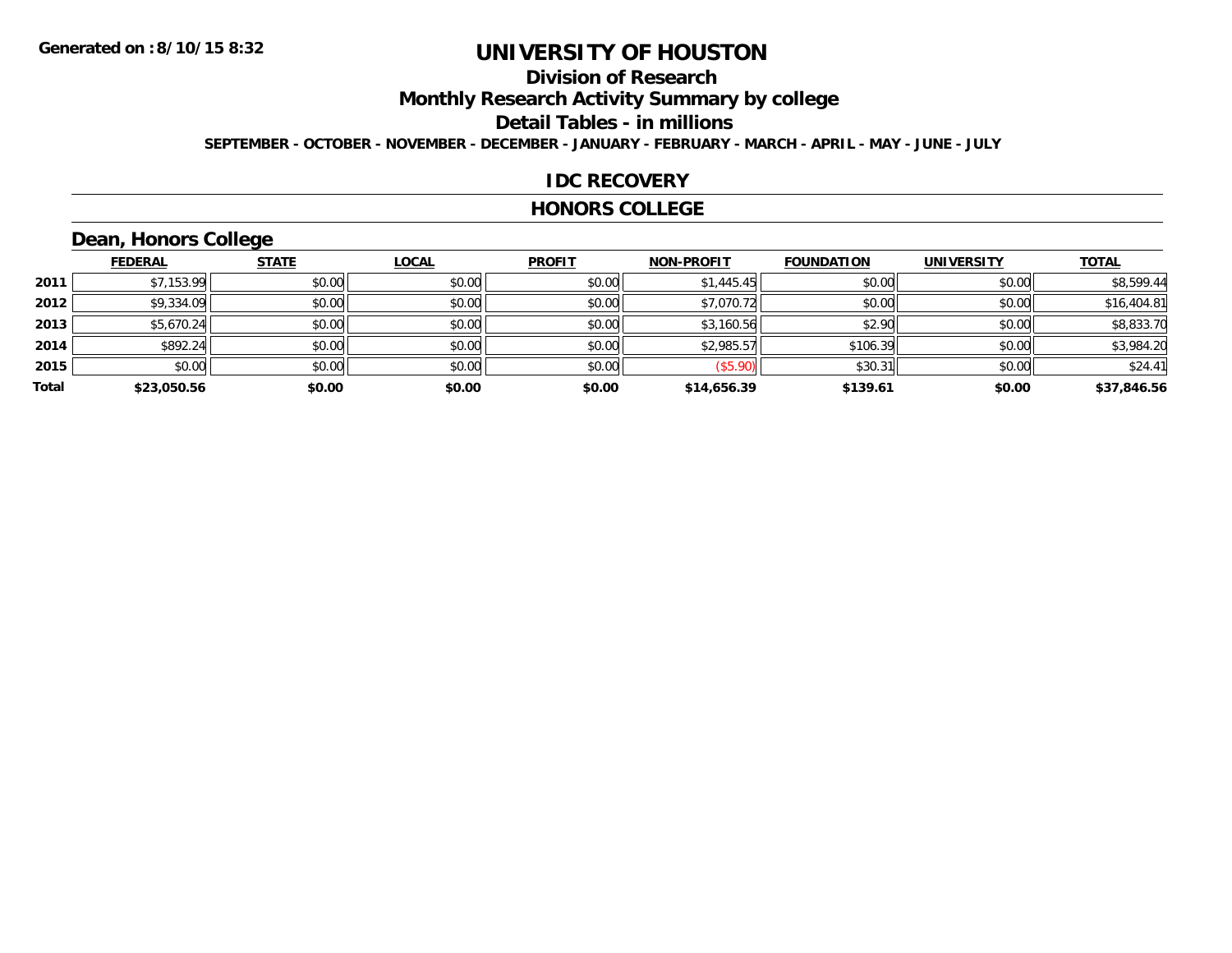## **Division of Research**

**Monthly Research Activity Summary by college**

**Detail Tables - in millions**

**SEPTEMBER - OCTOBER - NOVEMBER - DECEMBER - JANUARY - FEBRUARY - MARCH - APRIL - MAY - JUNE - JULY**

#### **IDC RECOVERY**

#### **HONORS COLLEGE**

# **Dean, Honors College**

|       | <b>FEDERAL</b> | <b>STATE</b> | <b>LOCAL</b> | <b>PROFIT</b> | <b>NON-PROFIT</b> | <b>FOUNDATION</b> | <b>UNIVERSITY</b> | <b>TOTAL</b> |
|-------|----------------|--------------|--------------|---------------|-------------------|-------------------|-------------------|--------------|
| 2011  | \$7,153.99     | \$0.00       | \$0.00       | \$0.00        | \$1,445.45        | \$0.00            | \$0.00            | \$8,599.44   |
| 2012  | \$9,334.09     | \$0.00       | \$0.00       | \$0.00        | \$7,070.72        | \$0.00            | \$0.00            | \$16,404.81  |
| 2013  | \$5,670.24     | \$0.00       | \$0.00       | \$0.00        | \$3,160.56        | \$2.90            | \$0.00            | \$8,833.70   |
| 2014  | \$892.24       | \$0.00       | \$0.00       | \$0.00        | \$2,985.57        | \$106.39          | \$0.00            | \$3,984.20   |
| 2015  | \$0.00         | \$0.00       | \$0.00       | \$0.00        | (\$5.90)          | \$30.31           | \$0.00            | \$24.41      |
| Total | \$23,050.56    | \$0.00       | \$0.00       | \$0.00        | \$14,656.39       | \$139.61          | \$0.00            | \$37,846.56  |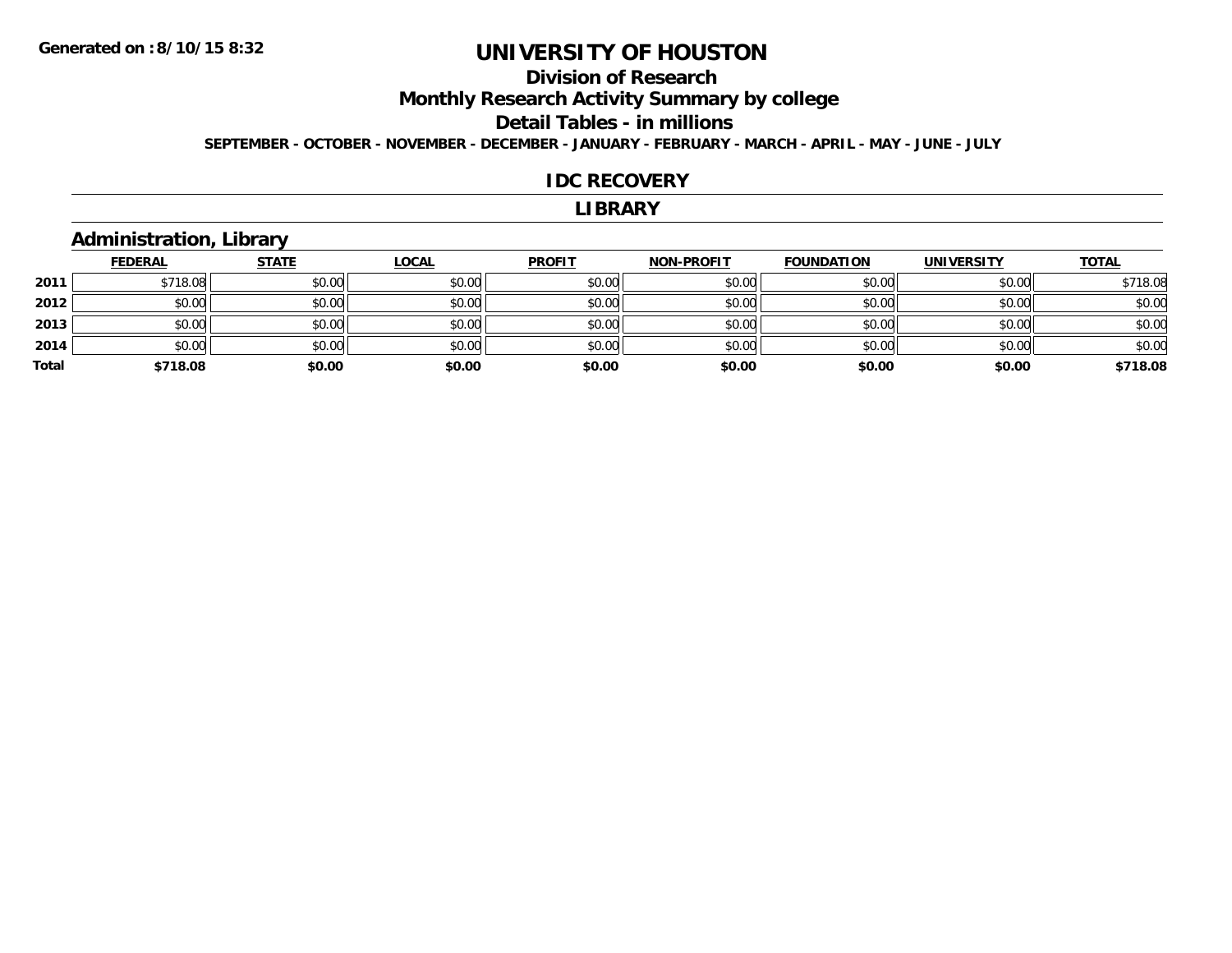## **Division of Research**

**Monthly Research Activity Summary by college**

#### **Detail Tables - in millions**

**SEPTEMBER - OCTOBER - NOVEMBER - DECEMBER - JANUARY - FEBRUARY - MARCH - APRIL - MAY - JUNE - JULY**

#### **IDC RECOVERY**

#### **LIBRARY**

#### **Administration, Library**

|       | <b>FEDERAL</b> | <b>STATE</b> | <b>LOCAL</b> | <b>PROFIT</b> | <b>NON-PROFIT</b> | <b>FOUNDATION</b> | <b>UNIVERSITY</b> | <b>TOTAL</b> |
|-------|----------------|--------------|--------------|---------------|-------------------|-------------------|-------------------|--------------|
| 2011  | \$718.08       | \$0.00       | \$0.00       | \$0.00        | \$0.00            | \$0.00            | \$0.00            | \$718.08     |
| 2012  | \$0.00         | \$0.00       | \$0.00       | \$0.00        | \$0.00            | \$0.00            | \$0.00            | \$0.00       |
| 2013  | \$0.00         | \$0.00       | \$0.00       | \$0.00        | \$0.00            | \$0.00            | \$0.00            | \$0.00       |
| 2014  | \$0.00         | \$0.00       | \$0.00       | \$0.00        | \$0.00            | \$0.00            | \$0.00            | \$0.00       |
| Total | \$718.08       | \$0.00       | \$0.00       | \$0.00        | \$0.00            | \$0.00            | \$0.00            | \$718.08     |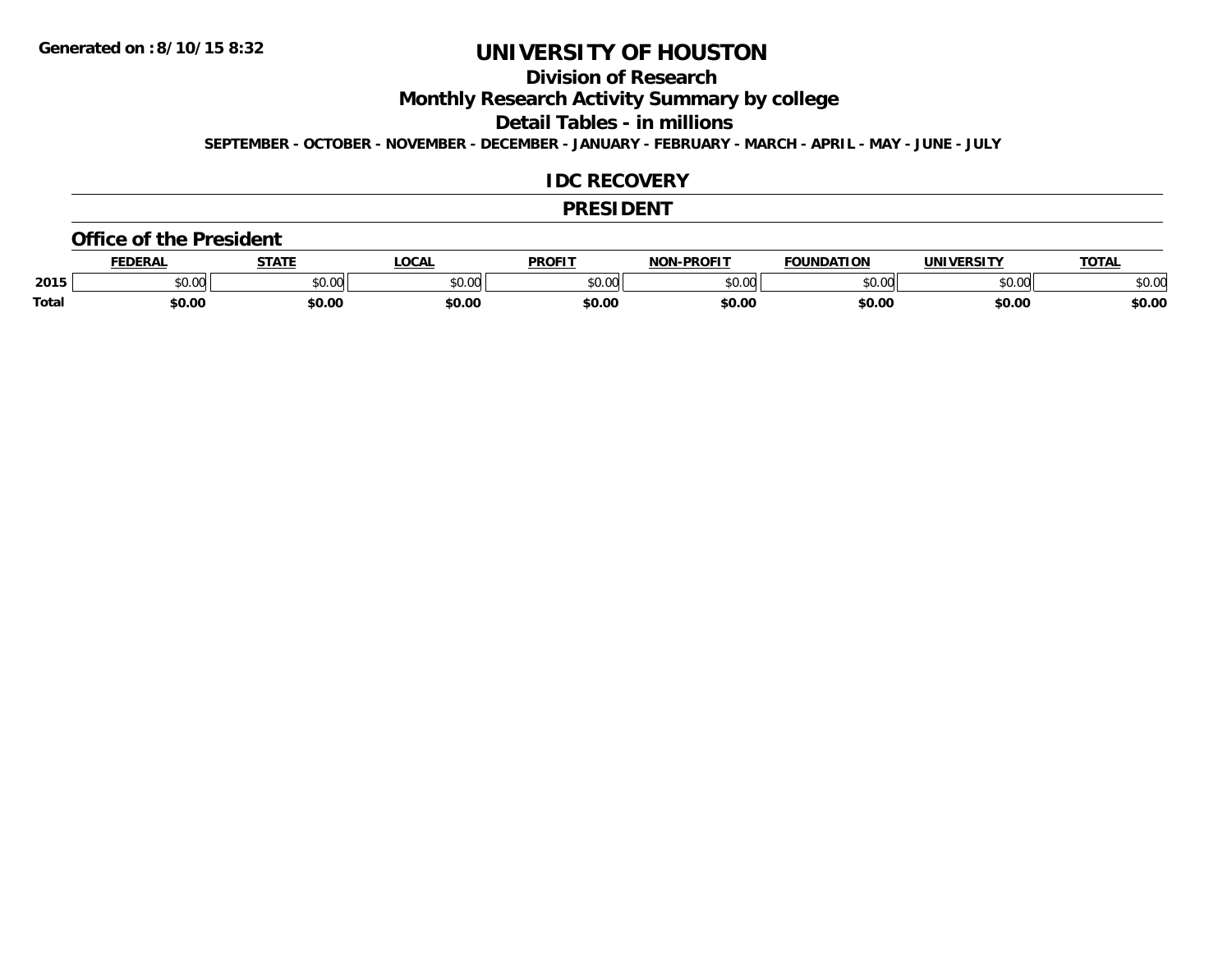## **Division of Research**

**Monthly Research Activity Summary by college**

**Detail Tables - in millions**

**SEPTEMBER - OCTOBER - NOVEMBER - DECEMBER - JANUARY - FEBRUARY - MARCH - APRIL - MAY - JUNE - JULY**

#### **IDC RECOVERY**

#### **PRESIDENT**

#### **Office of the President**

|       | EDERAL | <b>STATE</b>       | <b>OCAL</b> | PROFIT        | <b>I-PROFIT</b><br>וחרות | <b>FOUNDATION</b> | UNIVERSITY | <b>TOTAL</b> |
|-------|--------|--------------------|-------------|---------------|--------------------------|-------------------|------------|--------------|
| 2015  | \$0.00 | $\sim$ 00<br>vv.vv | \$0.00      | 0000<br>vv.vv | 0000<br>,u.uu            | \$0.00            | \$0.00     | 400<br>JU.UU |
| Total | \$0.00 | \$0.00             | \$0.00      | \$0.00        | \$0.00                   | \$0.00            | \$0.00     | \$0.00       |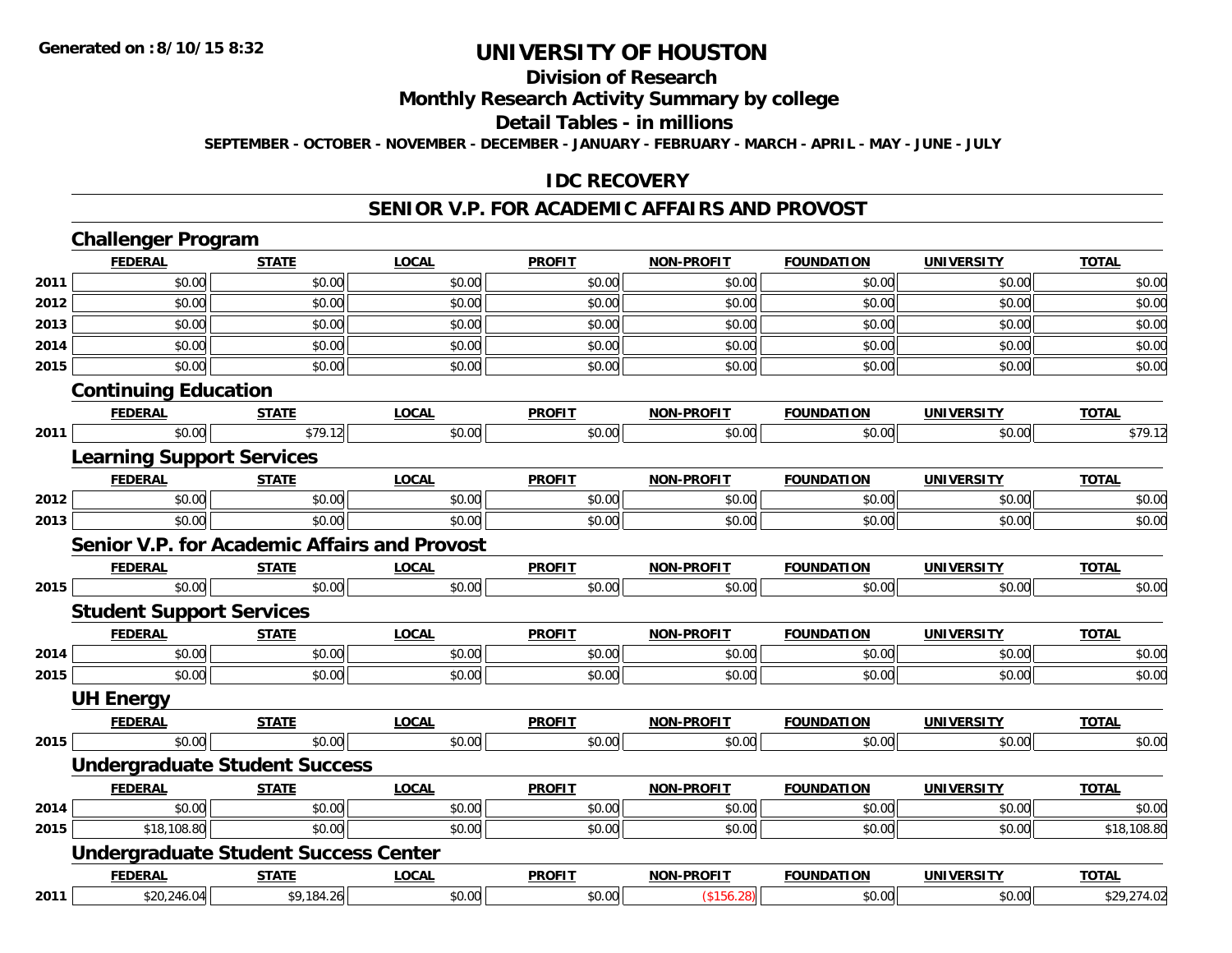#### **Division of Research**

**Monthly Research Activity Summary by college**

**Detail Tables - in millions**

**SEPTEMBER - OCTOBER - NOVEMBER - DECEMBER - JANUARY - FEBRUARY - MARCH - APRIL - MAY - JUNE - JULY**

#### **IDC RECOVERY**

#### **SENIOR V.P. FOR ACADEMIC AFFAIRS AND PROVOST**

|      | <b>Challenger Program</b>                           |              |              |               |                   |                   |                   |              |
|------|-----------------------------------------------------|--------------|--------------|---------------|-------------------|-------------------|-------------------|--------------|
|      | <b>FEDERAL</b>                                      | <b>STATE</b> | <b>LOCAL</b> | <b>PROFIT</b> | <b>NON-PROFIT</b> | <b>FOUNDATION</b> | <b>UNIVERSITY</b> | <b>TOTAL</b> |
| 2011 | \$0.00                                              | \$0.00       | \$0.00       | \$0.00        | \$0.00            | \$0.00            | \$0.00            | \$0.00       |
| 2012 | \$0.00                                              | \$0.00       | \$0.00       | \$0.00        | \$0.00            | \$0.00            | \$0.00            | \$0.00       |
| 2013 | \$0.00                                              | \$0.00       | \$0.00       | \$0.00        | \$0.00            | \$0.00            | \$0.00            | \$0.00       |
| 2014 | \$0.00                                              | \$0.00       | \$0.00       | \$0.00        | \$0.00            | \$0.00            | \$0.00            | \$0.00       |
| 2015 | \$0.00                                              | \$0.00       | \$0.00       | \$0.00        | \$0.00            | \$0.00            | \$0.00            | \$0.00       |
|      | <b>Continuing Education</b>                         |              |              |               |                   |                   |                   |              |
|      | <b>FEDERAL</b>                                      | <b>STATE</b> | <b>LOCAL</b> | <b>PROFIT</b> | <b>NON-PROFIT</b> | <b>FOUNDATION</b> | <b>UNIVERSITY</b> | <b>TOTAL</b> |
| 2011 | \$0.00                                              | \$79.12      | \$0.00       | \$0.00        | \$0.00            | \$0.00            | \$0.00            | \$79.12      |
|      | <b>Learning Support Services</b>                    |              |              |               |                   |                   |                   |              |
|      | <b>FEDERAL</b>                                      | <b>STATE</b> | <b>LOCAL</b> | <b>PROFIT</b> | <b>NON-PROFIT</b> | <b>FOUNDATION</b> | <b>UNIVERSITY</b> | <b>TOTAL</b> |
| 2012 | \$0.00                                              | \$0.00       | \$0.00       | \$0.00        | \$0.00            | \$0.00            | \$0.00            | \$0.00       |
| 2013 | \$0.00                                              | \$0.00       | \$0.00       | \$0.00        | \$0.00            | \$0.00            | \$0.00            | \$0.00       |
|      | <b>Senior V.P. for Academic Affairs and Provost</b> |              |              |               |                   |                   |                   |              |
|      | <b>FEDERAL</b>                                      | <b>STATE</b> | <b>LOCAL</b> | <b>PROFIT</b> | <b>NON-PROFIT</b> | <b>FOUNDATION</b> | <b>UNIVERSITY</b> | <b>TOTAL</b> |
| 2015 | \$0.00                                              | \$0.00       | \$0.00       | \$0.00        | \$0.00            | \$0.00            | \$0.00            | \$0.00       |
|      | <b>Student Support Services</b>                     |              |              |               |                   |                   |                   |              |
|      | <b>FEDERAL</b>                                      | <b>STATE</b> | <b>LOCAL</b> | <b>PROFIT</b> | <b>NON-PROFIT</b> | <b>FOUNDATION</b> | <b>UNIVERSITY</b> | <b>TOTAL</b> |
| 2014 | \$0.00                                              | \$0.00       | \$0.00       | \$0.00        | \$0.00            | \$0.00            | \$0.00            | \$0.00       |
| 2015 | \$0.00                                              | \$0.00       | \$0.00       | \$0.00        | \$0.00            | \$0.00            | \$0.00            | \$0.00       |
|      | <b>UH Energy</b>                                    |              |              |               |                   |                   |                   |              |
|      | <b>FEDERAL</b>                                      | <b>STATE</b> | <b>LOCAL</b> | <b>PROFIT</b> | <b>NON-PROFIT</b> | <b>FOUNDATION</b> | <b>UNIVERSITY</b> | <b>TOTAL</b> |
| 2015 | \$0.00                                              | \$0.00       | \$0.00       | \$0.00        | \$0.00            | \$0.00            | \$0.00            | \$0.00       |
|      | <b>Undergraduate Student Success</b>                |              |              |               |                   |                   |                   |              |
|      | <b>FEDERAL</b>                                      | <b>STATE</b> | <b>LOCAL</b> | <b>PROFIT</b> | <b>NON-PROFIT</b> | <b>FOUNDATION</b> | <b>UNIVERSITY</b> | <b>TOTAL</b> |
| 2014 | \$0.00                                              | \$0.00       | \$0.00       | \$0.00        | \$0.00            | \$0.00            | \$0.00            | \$0.00       |
| 2015 | \$18,108.80                                         | \$0.00       | \$0.00       | \$0.00        | \$0.00            | \$0.00            | \$0.00            | \$18,108.80  |
|      | <b>Undergraduate Student Success Center</b>         |              |              |               |                   |                   |                   |              |
|      | <b>FEDERAL</b>                                      | <b>STATE</b> | <b>LOCAL</b> | <b>PROFIT</b> | <b>NON-PROFIT</b> | <b>FOUNDATION</b> | <b>UNIVERSITY</b> | <b>TOTAL</b> |
| 2011 | \$20,246.04                                         | \$9,184.26   | \$0.00       | \$0.00        | (\$156.28)        | \$0.00            | \$0.00            | \$29,274.02  |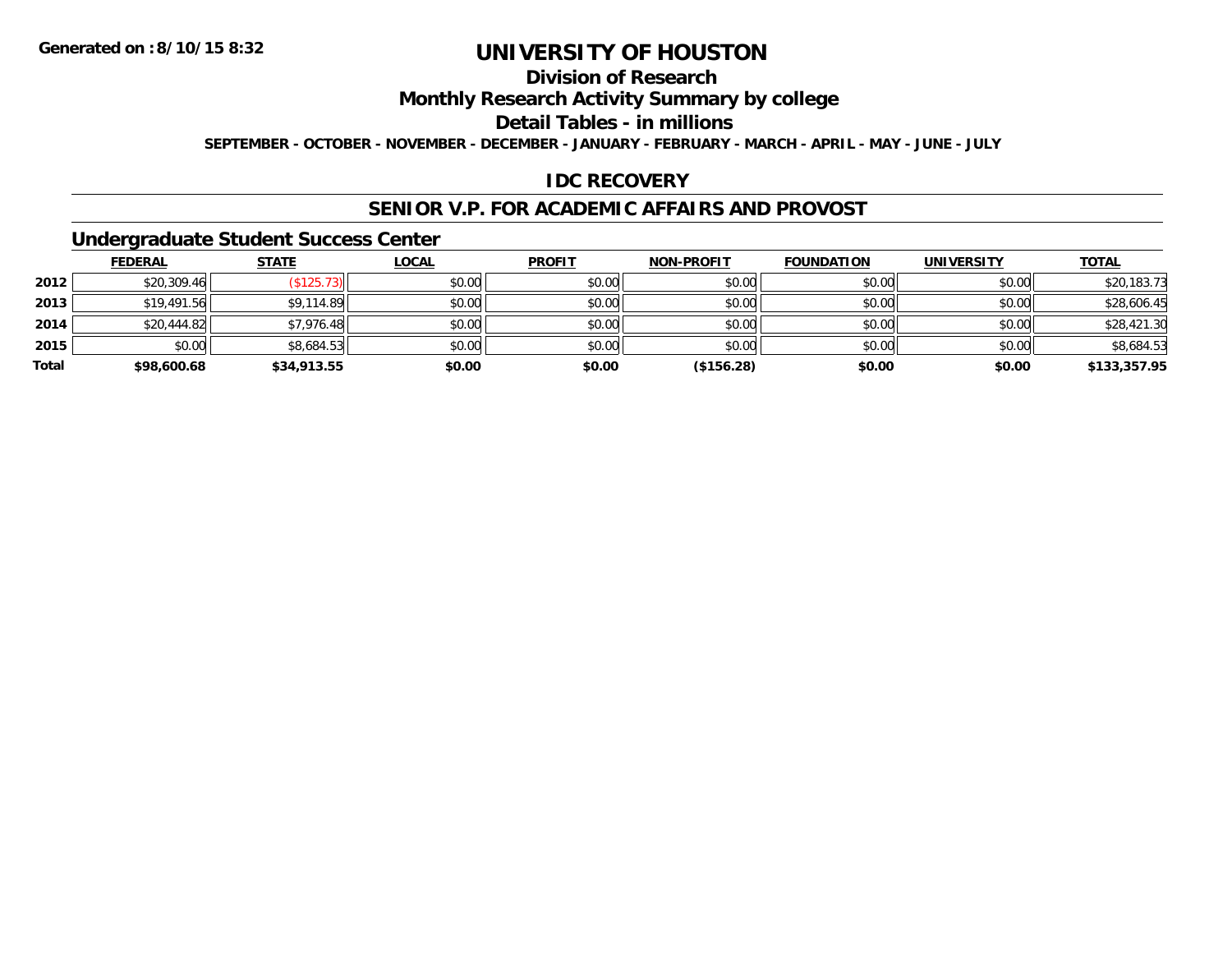## **Division of Research**

**Monthly Research Activity Summary by college**

**Detail Tables - in millions**

**SEPTEMBER - OCTOBER - NOVEMBER - DECEMBER - JANUARY - FEBRUARY - MARCH - APRIL - MAY - JUNE - JULY**

#### **IDC RECOVERY**

#### **SENIOR V.P. FOR ACADEMIC AFFAIRS AND PROVOST**

#### **Undergraduate Student Success Center**

|       | <b>FEDERAL</b> | <b>STATE</b> | <u>LOCAL</u> | <b>PROFIT</b> | <b>NON-PROFIT</b> | <b>FOUNDATION</b> | <b>UNIVERSITY</b> | <b>TOTAL</b> |
|-------|----------------|--------------|--------------|---------------|-------------------|-------------------|-------------------|--------------|
| 2012  | \$20,309.46    | \$125.73     | \$0.00       | \$0.00        | \$0.00            | \$0.00            | \$0.00            | \$20,183.73  |
| 2013  | \$19,491.56    | \$9,114.89   | \$0.00       | \$0.00        | \$0.00            | \$0.00            | \$0.00            | \$28,606.45  |
| 2014  | \$20,444.82    | \$7,976.48   | \$0.00       | \$0.00        | \$0.00            | \$0.00            | \$0.00            | \$28,421.30  |
| 2015  | \$0.00         | \$8,684.53   | \$0.00       | \$0.00        | \$0.00            | \$0.00            | \$0.00            | \$8,684.53   |
| Total | \$98,600.68    | \$34,913.55  | \$0.00       | \$0.00        | (\$156.28)        | \$0.00            | \$0.00            | \$133,357.95 |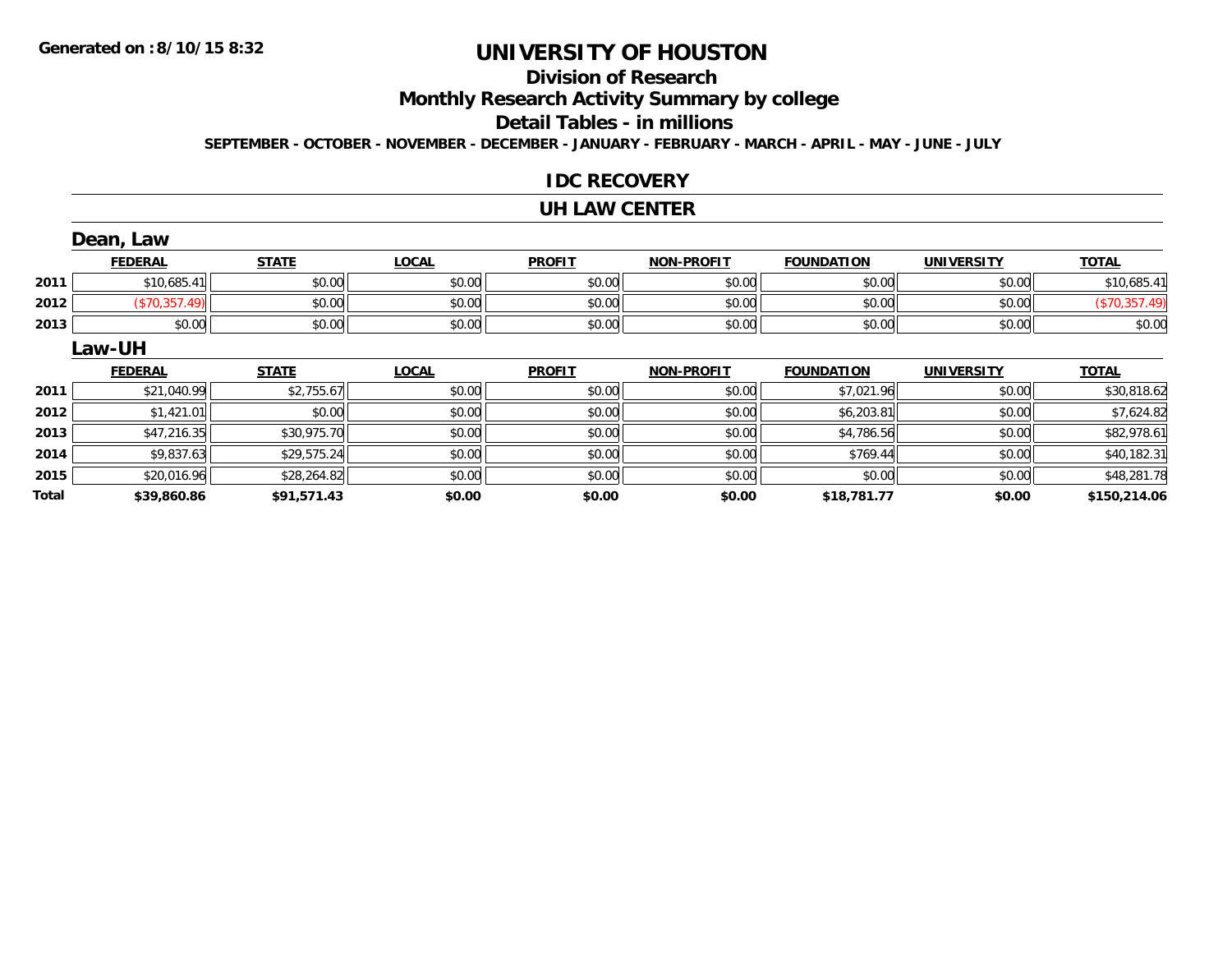# **Division of Research**

**Monthly Research Activity Summary by college**

#### **Detail Tables - in millions**

**SEPTEMBER - OCTOBER - NOVEMBER - DECEMBER - JANUARY - FEBRUARY - MARCH - APRIL - MAY - JUNE - JULY**

#### **IDC RECOVERY**

#### **UH LAW CENTER**

|              | Dean, Law      |              |              |               |                   |                   |                   |               |
|--------------|----------------|--------------|--------------|---------------|-------------------|-------------------|-------------------|---------------|
|              | <b>FEDERAL</b> | <b>STATE</b> | <b>LOCAL</b> | <b>PROFIT</b> | <b>NON-PROFIT</b> | <b>FOUNDATION</b> | <b>UNIVERSITY</b> | <b>TOTAL</b>  |
| 2011         | \$10,685.41    | \$0.00       | \$0.00       | \$0.00        | \$0.00            | \$0.00            | \$0.00            | \$10,685.41   |
| 2012         | (\$70,357.49)  | \$0.00       | \$0.00       | \$0.00        | \$0.00            | \$0.00            | \$0.00            | (\$70,357.49) |
| 2013         | \$0.00         | \$0.00       | \$0.00       | \$0.00        | \$0.00            | \$0.00            | \$0.00            | \$0.00        |
|              | Law-UH         |              |              |               |                   |                   |                   |               |
|              | <b>FEDERAL</b> | <b>STATE</b> | <b>LOCAL</b> | <b>PROFIT</b> | <b>NON-PROFIT</b> | <b>FOUNDATION</b> | <b>UNIVERSITY</b> | <b>TOTAL</b>  |
| 2011         | \$21,040.99    | \$2,755.67   | \$0.00       | \$0.00        | \$0.00            | \$7,021.96        | \$0.00            | \$30,818.62   |
| 2012         | \$1,421.01     | \$0.00       | \$0.00       | \$0.00        | \$0.00            | \$6,203.81        | \$0.00            | \$7,624.82    |
| 2013         | \$47,216.35    | \$30,975.70  | \$0.00       | \$0.00        | \$0.00            | \$4,786.56        | \$0.00            | \$82,978.61   |
| 2014         | \$9,837.63     | \$29,575.24  | \$0.00       | \$0.00        | \$0.00            | \$769.44          | \$0.00            | \$40,182.31   |
| 2015         | \$20,016.96    | \$28,264.82  | \$0.00       | \$0.00        | \$0.00            | \$0.00            | \$0.00            | \$48,281.78   |
| <b>Total</b> | \$39,860.86    | \$91,571.43  | \$0.00       | \$0.00        | \$0.00            | \$18,781.77       | \$0.00            | \$150,214.06  |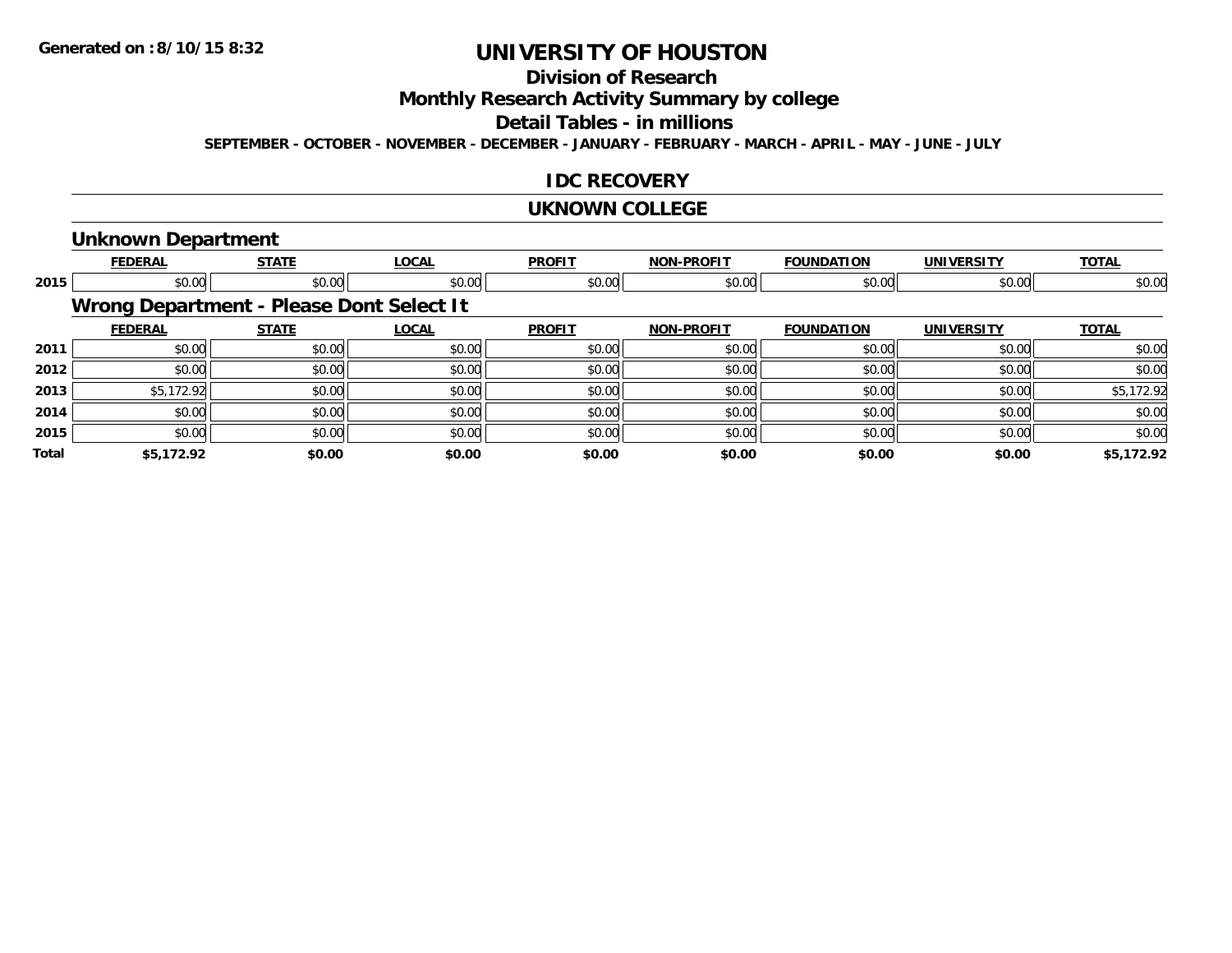# **Division of Research**

**Monthly Research Activity Summary by college**

## **Detail Tables - in millions**

**SEPTEMBER - OCTOBER - NOVEMBER - DECEMBER - JANUARY - FEBRUARY - MARCH - APRIL - MAY - JUNE - JULY**

#### **IDC RECOVERY**

#### **UKNOWN COLLEGE**

#### **Unknown Department**

|       | <b>FEDERAL</b> | <b>STATE</b>                             | <b>LOCAL</b> | <b>PROFIT</b> | <b>NON-PROFIT</b> | <b>FOUNDATION</b> | <b>UNIVERSITY</b> | <b>TOTAL</b> |
|-------|----------------|------------------------------------------|--------------|---------------|-------------------|-------------------|-------------------|--------------|
| 2015  | \$0.00         | \$0.00                                   | \$0.00       | \$0.00        | \$0.00            | \$0.00            | \$0.00            | \$0.00       |
|       |                | Wrong Department - Please Dont Select It |              |               |                   |                   |                   |              |
|       | <b>FEDERAL</b> | <b>STATE</b>                             | <b>LOCAL</b> | <b>PROFIT</b> | <b>NON-PROFIT</b> | <b>FOUNDATION</b> | <b>UNIVERSITY</b> | <b>TOTAL</b> |
| 2011  | \$0.00         | \$0.00                                   | \$0.00       | \$0.00        | \$0.00            | \$0.00            | \$0.00            | \$0.00       |
| 2012  | \$0.00         | \$0.00                                   | \$0.00       | \$0.00        | \$0.00            | \$0.00            | \$0.00            | \$0.00       |
| 2013  | \$5,172.92     | \$0.00                                   | \$0.00       | \$0.00        | \$0.00            | \$0.00            | \$0.00            | \$5,172.92   |
| 2014  | \$0.00         | \$0.00                                   | \$0.00       | \$0.00        | \$0.00            | \$0.00            | \$0.00            | \$0.00       |
| 2015  | \$0.00         | \$0.00                                   | \$0.00       | \$0.00        | \$0.00            | \$0.00            | \$0.00            | \$0.00       |
| Total | \$5,172.92     | \$0.00                                   | \$0.00       | \$0.00        | \$0.00            | \$0.00            | \$0.00            | \$5,172.92   |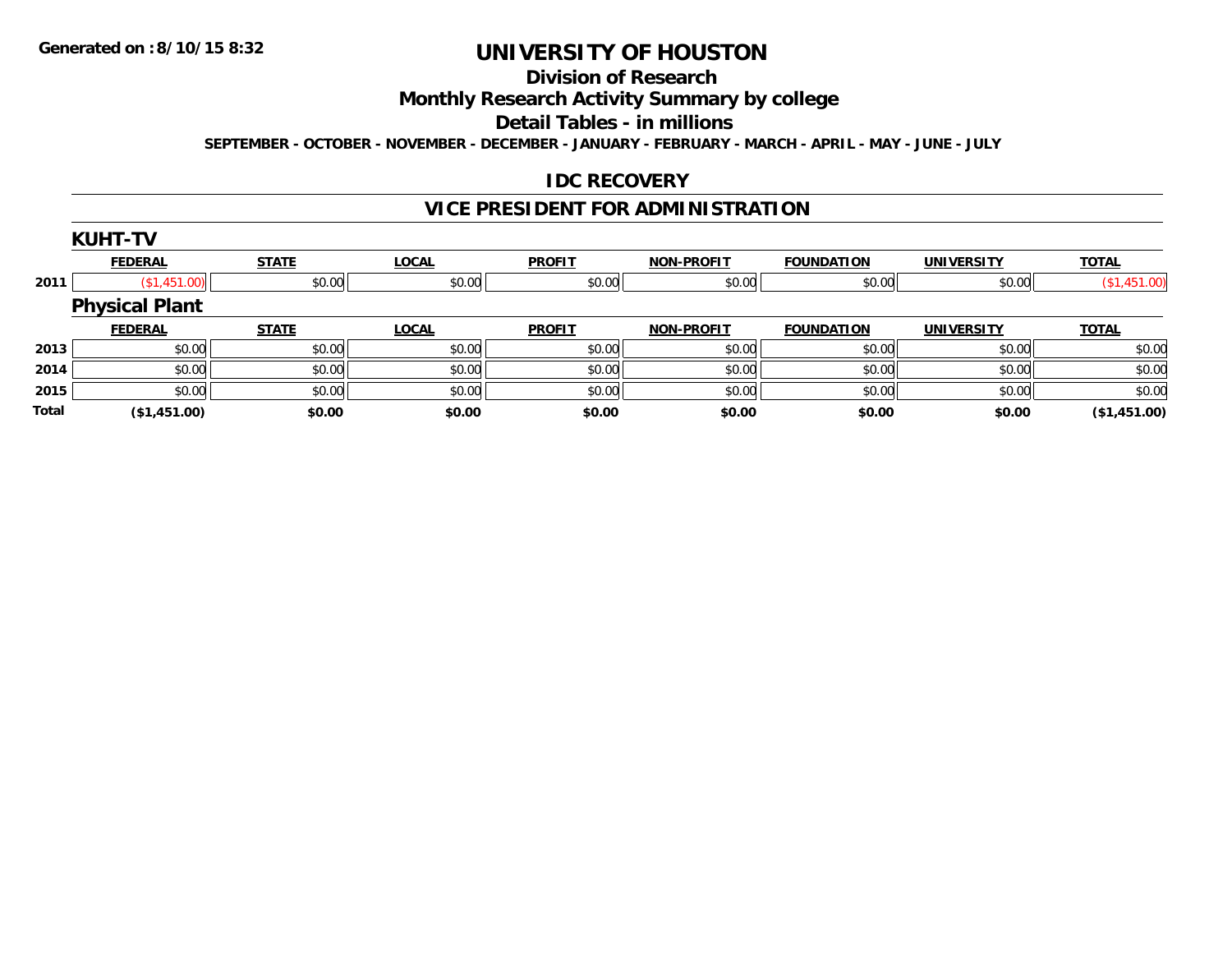# **Division of Research**

**Monthly Research Activity Summary by college**

**Detail Tables - in millions**

**SEPTEMBER - OCTOBER - NOVEMBER - DECEMBER - JANUARY - FEBRUARY - MARCH - APRIL - MAY - JUNE - JULY**

#### **IDC RECOVERY**

## **VICE PRESIDENT FOR ADMINISTRATION**

|              | <b>KUHT-TV</b>        |              |              |               |                   |                   |                   |              |
|--------------|-----------------------|--------------|--------------|---------------|-------------------|-------------------|-------------------|--------------|
|              | <b>FEDERAL</b>        | <b>STATE</b> | <b>LOCAL</b> | <b>PROFIT</b> | <b>NON-PROFIT</b> | <b>FOUNDATION</b> | <b>UNIVERSITY</b> | <b>TOTAL</b> |
| 2011         | (S1, 451.00)          | \$0.00       | \$0.00       | \$0.00        | \$0.00            | \$0.00            | \$0.00            | (\$1,451.00) |
|              | <b>Physical Plant</b> |              |              |               |                   |                   |                   |              |
|              | <b>FEDERAL</b>        | <b>STATE</b> | <b>LOCAL</b> | <b>PROFIT</b> | <b>NON-PROFIT</b> | <b>FOUNDATION</b> | <b>UNIVERSITY</b> | <b>TOTAL</b> |
| 2013         | \$0.00                | \$0.00       | \$0.00       | \$0.00        | \$0.00            | \$0.00            | \$0.00            | \$0.00       |
| 2014         | \$0.00                | \$0.00       | \$0.00       | \$0.00        | \$0.00            | \$0.00            | \$0.00            | \$0.00       |
| 2015         | \$0.00                | \$0.00       | \$0.00       | \$0.00        | \$0.00            | \$0.00            | \$0.00            | \$0.00       |
| <b>Total</b> | (\$1,451.00)          | \$0.00       | \$0.00       | \$0.00        | \$0.00            | \$0.00            | \$0.00            | (\$1,451.00) |